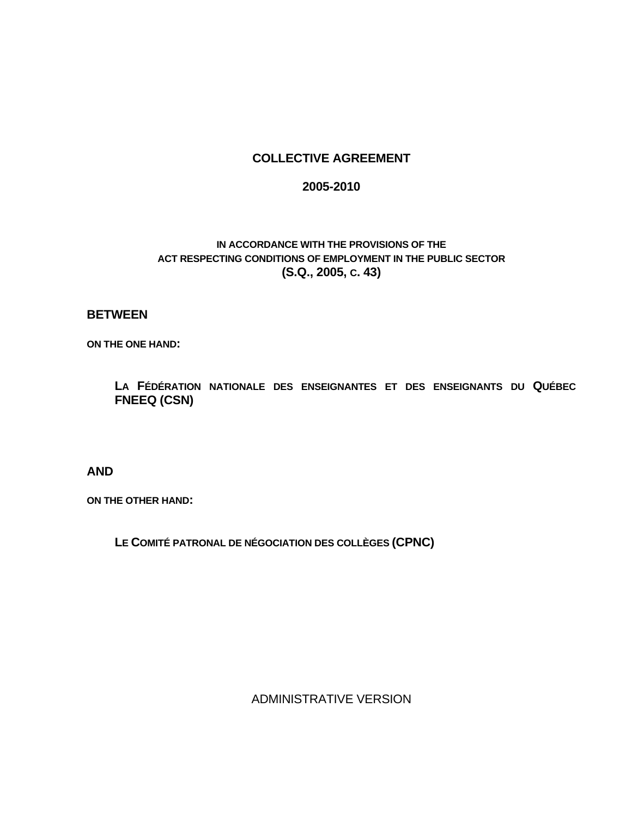#### **COLLECTIVE AGREEMENT**

#### **2005-2010**

#### **IN ACCORDANCE WITH THE PROVISIONS OF THE ACT RESPECTING CONDITIONS OF EMPLOYMENT IN THE PUBLIC SECTOR (S.Q., 2005, C. 43)**

#### **BETWEEN**

**ON THE ONE HAND:** 

 **LA FÉDÉRATION NATIONALE DES ENSEIGNANTES ET DES ENSEIGNANTS DU QUÉBEC FNEEQ (CSN)** 

**AND** 

**ON THE OTHER HAND:** 

 **LE COMITÉ PATRONAL DE NÉGOCIATION DES COLLÈGES (CPNC)** 

ADMINISTRATIVE VERSION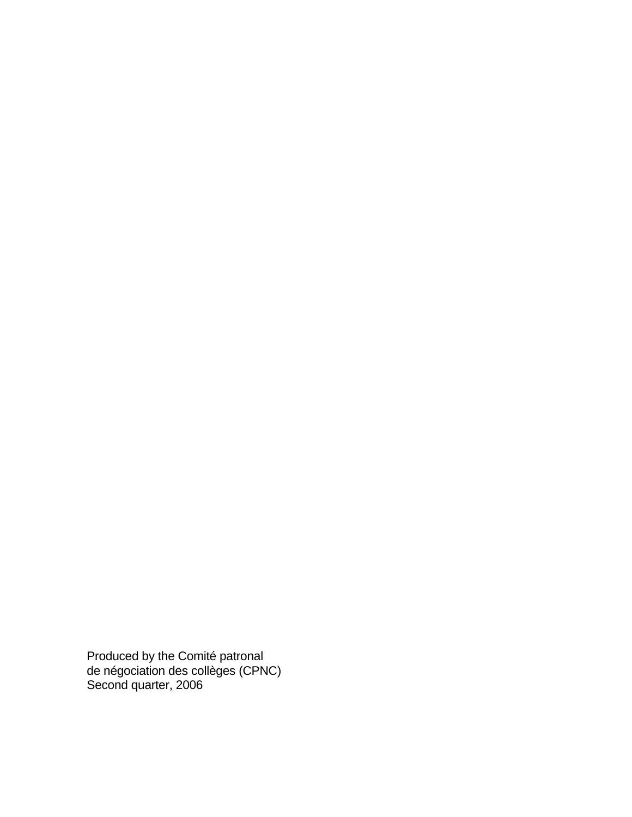Produced by the Comité patronal de négociation des collèges (CPNC) Second quarter, 2006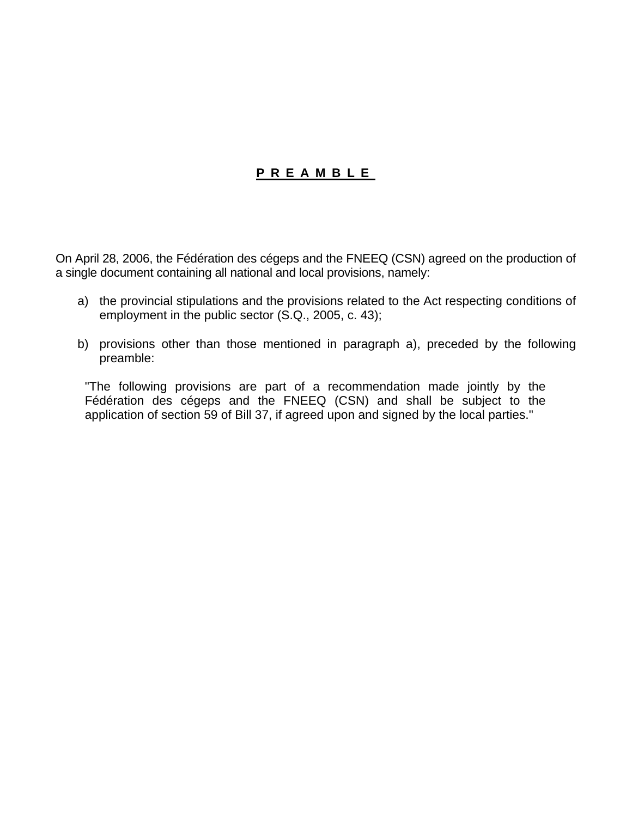## **PREAMBLE**

On April 28, 2006, the Fédération des cégeps and the FNEEQ (CSN) agreed on the production of a single document containing all national and local provisions, namely:

- a) the provincial stipulations and the provisions related to the Act respecting conditions of employment in the public sector (S.Q., 2005, c. 43);
- b) provisions other than those mentioned in paragraph a), preceded by the following preamble:

"The following provisions are part of a recommendation made jointly by the Fédération des cégeps and the FNEEQ (CSN) and shall be subject to the application of section 59 of Bill 37, if agreed upon and signed by the local parties."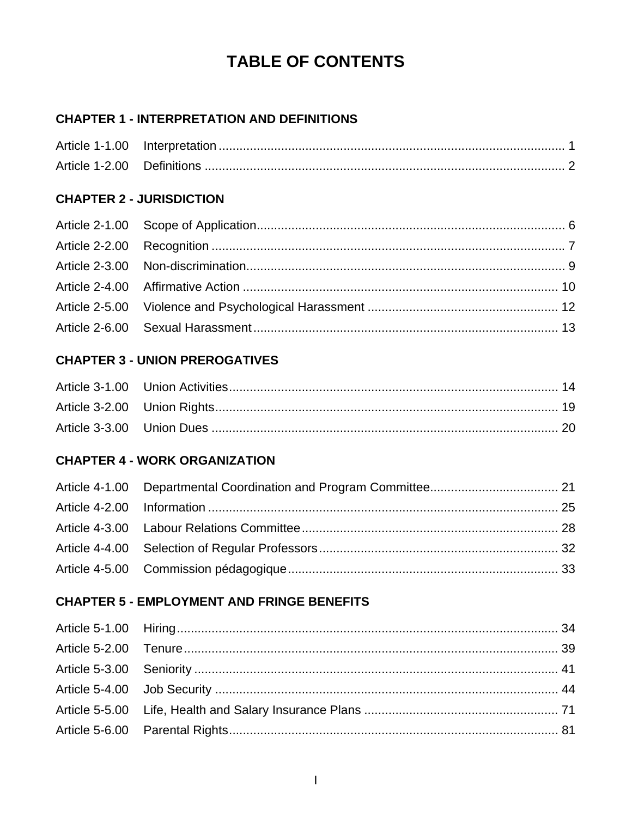# **TABLE OF CONTENTS**

## **CHAPTER 1 - INTERPRETATION AND DEFINITIONS**

## **CHAPTER 2 - JURISDICTION**

## **CHAPTER 3 - UNION PREROGATIVES**

## **CHAPTER 4 - WORK ORGANIZATION**

## **CHAPTER 5 - EMPLOYMENT AND FRINGE BENEFITS**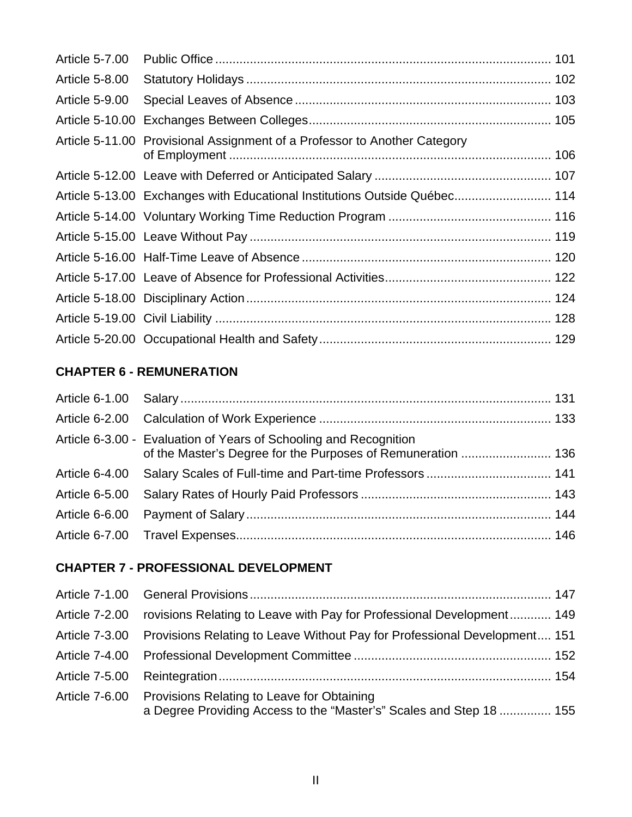| <b>Article 5-7.00</b> |                                                                            |  |
|-----------------------|----------------------------------------------------------------------------|--|
| <b>Article 5-8.00</b> |                                                                            |  |
| Article 5-9.00        |                                                                            |  |
|                       |                                                                            |  |
|                       | Article 5-11.00 Provisional Assignment of a Professor to Another Category  |  |
|                       |                                                                            |  |
|                       | Article 5-13.00 Exchanges with Educational Institutions Outside Québec 114 |  |
|                       |                                                                            |  |
|                       |                                                                            |  |
|                       |                                                                            |  |
|                       |                                                                            |  |
|                       |                                                                            |  |
|                       |                                                                            |  |
|                       |                                                                            |  |

## **CHAPTER 6 - REMUNERATION**

| Article 6-3.00 - Evaluation of Years of Schooling and Recognition |  |
|-------------------------------------------------------------------|--|
|                                                                   |  |
|                                                                   |  |
|                                                                   |  |
|                                                                   |  |

## **CHAPTER 7 - PROFESSIONAL DEVELOPMENT**

| Article 7-2.00 rovisions Relating to Leave with Pay for Professional Development 149                                             |  |
|----------------------------------------------------------------------------------------------------------------------------------|--|
| Article 7-3.00 Provisions Relating to Leave Without Pay for Professional Development 151                                         |  |
|                                                                                                                                  |  |
|                                                                                                                                  |  |
| Article 7-6.00 Provisions Relating to Leave for Obtaining<br>a Degree Providing Access to the "Master's" Scales and Step 18  155 |  |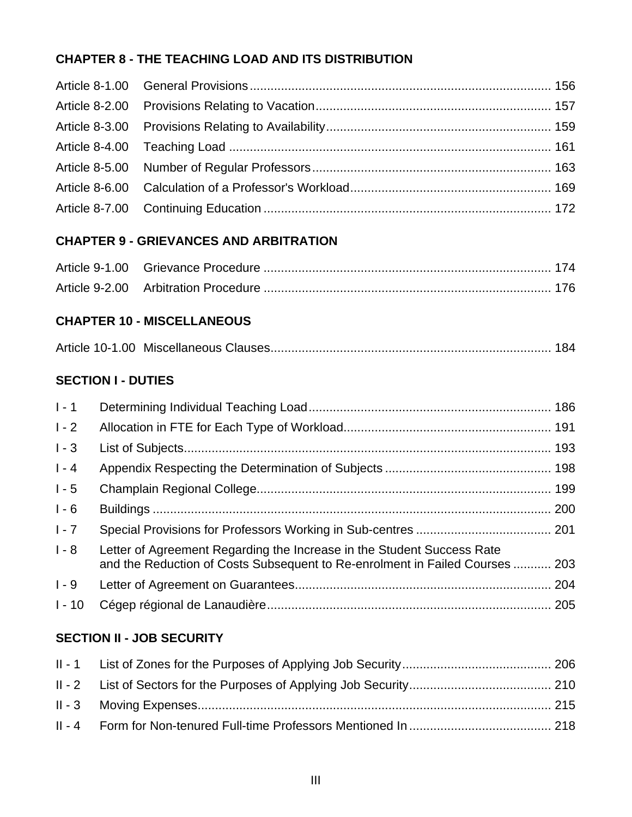## **CHAPTER 8 - THE TEACHING LOAD AND ITS DISTRIBUTION**

## **CHAPTER 9 - GRIEVANCES AND ARBITRATION**

## **CHAPTER 10 - MISCELLANEOUS**

|--|--|--|

## **SECTION I - DUTIES**

| $1 - 1$  |                                                                                                                                                        |  |
|----------|--------------------------------------------------------------------------------------------------------------------------------------------------------|--|
| $1 - 2$  |                                                                                                                                                        |  |
| $1 - 3$  |                                                                                                                                                        |  |
| $1 - 4$  |                                                                                                                                                        |  |
| $1 - 5$  |                                                                                                                                                        |  |
| $1 - 6$  |                                                                                                                                                        |  |
| $1 - 7$  |                                                                                                                                                        |  |
| $1 - 8$  | Letter of Agreement Regarding the Increase in the Student Success Rate<br>and the Reduction of Costs Subsequent to Re-enrolment in Failed Courses  203 |  |
| $1 - 9$  |                                                                                                                                                        |  |
| $1 - 10$ |                                                                                                                                                        |  |

## **SECTION II - JOB SECURITY**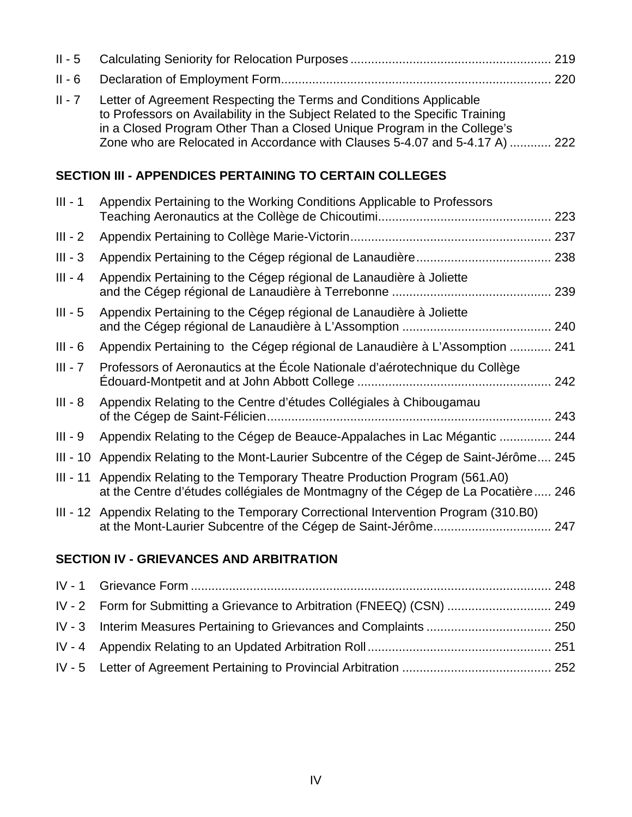| $II - 5$  |                                                                                                                                                                                                                                                                                                               |
|-----------|---------------------------------------------------------------------------------------------------------------------------------------------------------------------------------------------------------------------------------------------------------------------------------------------------------------|
| $II - 6$  |                                                                                                                                                                                                                                                                                                               |
| $II - 7$  | Letter of Agreement Respecting the Terms and Conditions Applicable<br>to Professors on Availability in the Subject Related to the Specific Training<br>in a Closed Program Other Than a Closed Unique Program in the College's<br>Zone who are Relocated in Accordance with Clauses 5-4.07 and 5-4.17 A)  222 |
|           | <b>SECTION III - APPENDICES PERTAINING TO CERTAIN COLLEGES</b>                                                                                                                                                                                                                                                |
| $III - 1$ | Appendix Pertaining to the Working Conditions Applicable to Professors                                                                                                                                                                                                                                        |
| $III - 2$ |                                                                                                                                                                                                                                                                                                               |
| $III - 3$ |                                                                                                                                                                                                                                                                                                               |
| $III - 4$ | Appendix Pertaining to the Cégep régional de Lanaudière à Joliette                                                                                                                                                                                                                                            |
| $III - 5$ | Appendix Pertaining to the Cégep régional de Lanaudière à Joliette                                                                                                                                                                                                                                            |
| $III - 6$ | Appendix Pertaining to the Cégep régional de Lanaudière à L'Assomption  241                                                                                                                                                                                                                                   |
| $III - 7$ | Professors of Aeronautics at the École Nationale d'aérotechnique du Collège                                                                                                                                                                                                                                   |
| $III - 8$ | Appendix Relating to the Centre d'études Collégiales à Chibougamau                                                                                                                                                                                                                                            |
| $III - 9$ | Appendix Relating to the Cégep de Beauce-Appalaches in Lac Mégantic  244                                                                                                                                                                                                                                      |
|           | III - 10 Appendix Relating to the Mont-Laurier Subcentre of the Cégep de Saint-Jérôme 245                                                                                                                                                                                                                     |
|           | III - 11 Appendix Relating to the Temporary Theatre Production Program (561.A0)<br>at the Centre d'études collégiales de Montmagny of the Cégep de La Pocatière 246                                                                                                                                           |
|           | III - 12 Appendix Relating to the Temporary Correctional Intervention Program (310.B0)                                                                                                                                                                                                                        |

## **SECTION IV - GRIEVANCES AND ARBITRATION**

| IV - 2 Form for Submitting a Grievance to Arbitration (FNEEQ) (CSN)  249 |  |
|--------------------------------------------------------------------------|--|
|                                                                          |  |
|                                                                          |  |
|                                                                          |  |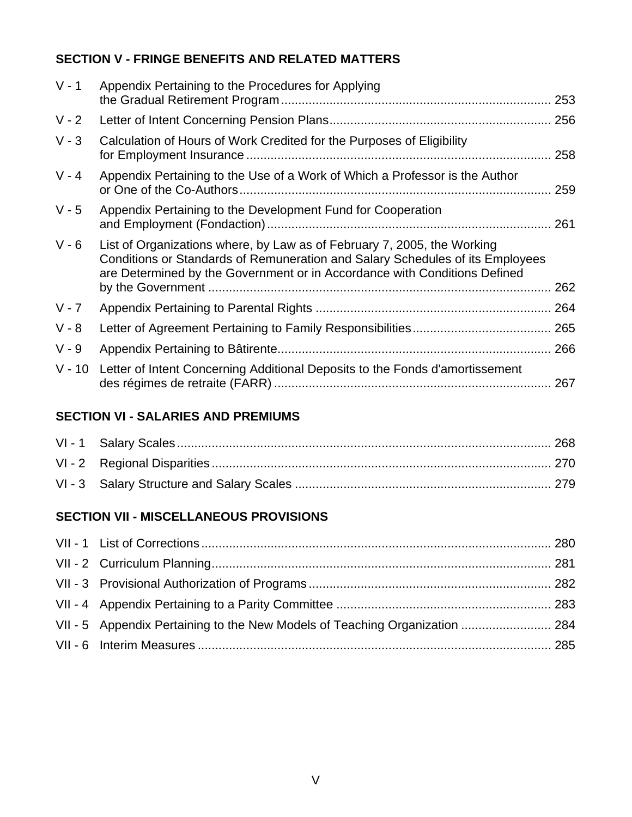## **SECTION V - FRINGE BENEFITS AND RELATED MATTERS**

| Appendix Pertaining to the Procedures for Applying                                                                                                                                                                                    |     |
|---------------------------------------------------------------------------------------------------------------------------------------------------------------------------------------------------------------------------------------|-----|
|                                                                                                                                                                                                                                       |     |
| Calculation of Hours of Work Credited for the Purposes of Eligibility                                                                                                                                                                 | 258 |
| Appendix Pertaining to the Use of a Work of Which a Professor is the Author                                                                                                                                                           |     |
| Appendix Pertaining to the Development Fund for Cooperation                                                                                                                                                                           |     |
| List of Organizations where, by Law as of February 7, 2005, the Working<br>Conditions or Standards of Remuneration and Salary Schedules of its Employees<br>are Determined by the Government or in Accordance with Conditions Defined | 262 |
|                                                                                                                                                                                                                                       |     |
|                                                                                                                                                                                                                                       |     |
|                                                                                                                                                                                                                                       |     |
| Letter of Intent Concerning Additional Deposits to the Fonds d'amortissement                                                                                                                                                          |     |
|                                                                                                                                                                                                                                       |     |

## **SECTION VI - SALARIES AND PREMIUMS**

## **SECTION VII - MISCELLANEOUS PROVISIONS**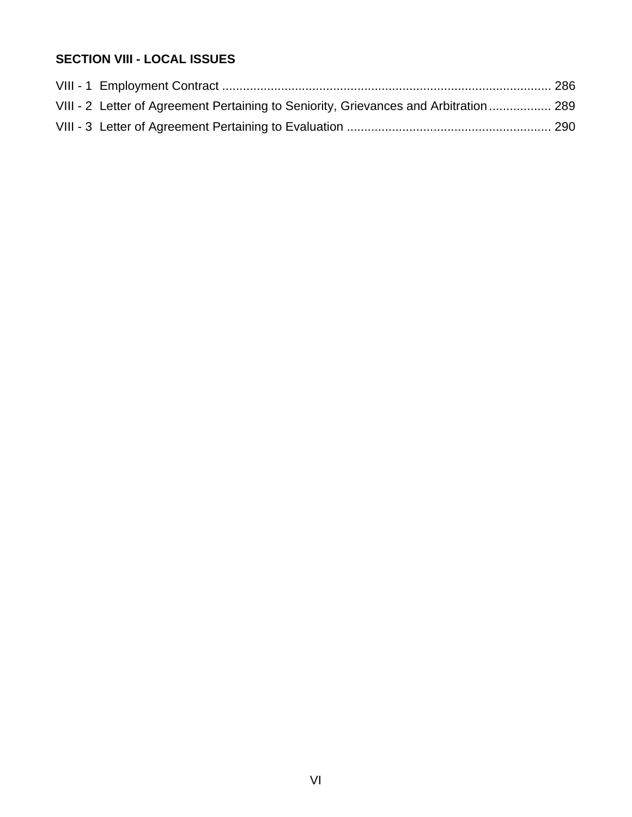## **SECTION VIII - LOCAL ISSUES**

| VIII - 2 Letter of Agreement Pertaining to Seniority, Grievances and Arbitration  289 |  |
|---------------------------------------------------------------------------------------|--|
|                                                                                       |  |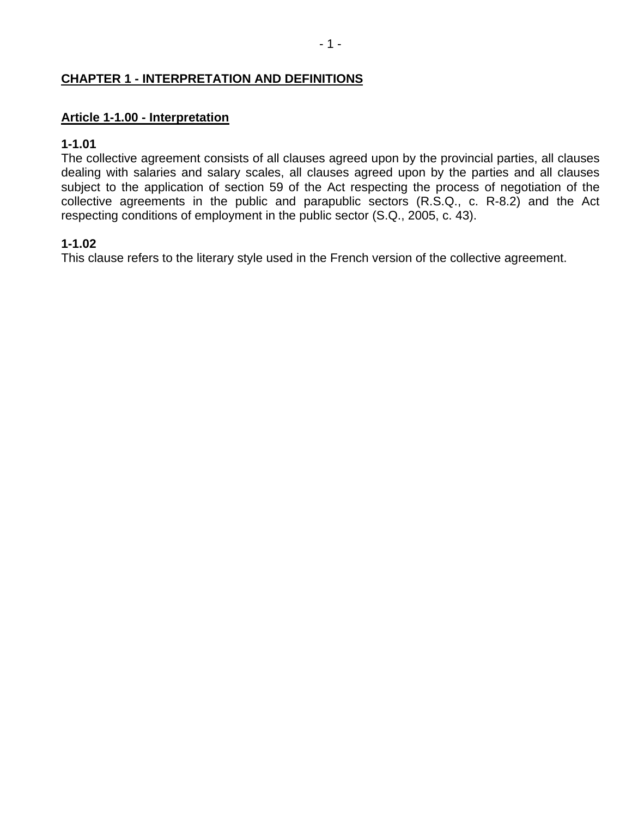### **CHAPTER 1 - INTERPRETATION AND DEFINITIONS**

#### **Article 1-1.00 - Interpretation**

#### **1-1.01**

The collective agreement consists of all clauses agreed upon by the provincial parties, all clauses dealing with salaries and salary scales, all clauses agreed upon by the parties and all clauses subject to the application of section 59 of the Act respecting the process of negotiation of the collective agreements in the public and parapublic sectors (R.S.Q., c. R-8.2) and the Act respecting conditions of employment in the public sector (S.Q., 2005, c. 43).

#### **1-1.02**

This clause refers to the literary style used in the French version of the collective agreement.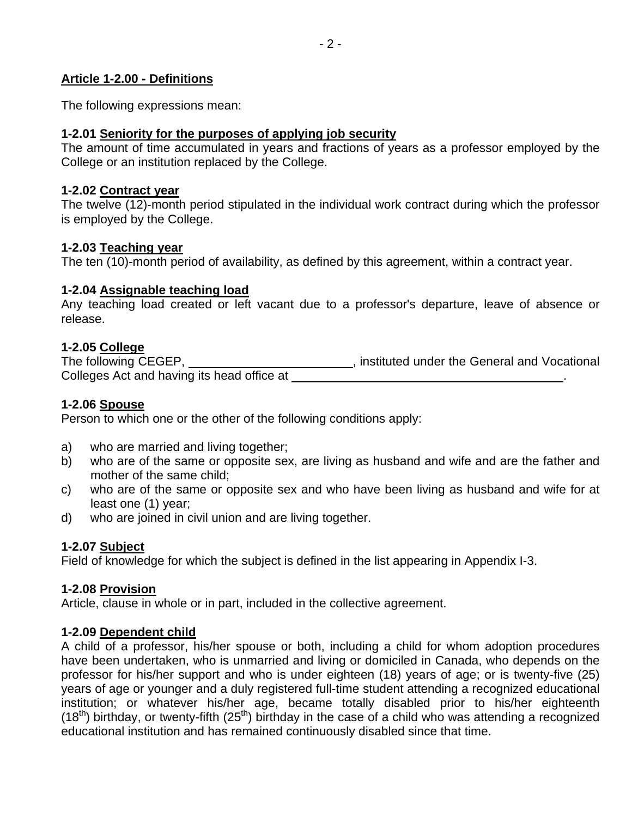#### **Article 1-2.00 - Definitions**

The following expressions mean:

#### **1-2.01 Seniority for the purposes of applying job security**

The amount of time accumulated in years and fractions of years as a professor employed by the College or an institution replaced by the College.

#### **1-2.02 Contract year**

The twelve (12)-month period stipulated in the individual work contract during which the professor is employed by the College.

#### **1-2.03 Teaching year**

The ten (10)-month period of availability, as defined by this agreement, within a contract year.

#### **1-2.04 Assignable teaching load**

Any teaching load created or left vacant due to a professor's departure, leave of absence or release.

### **1-2.05 College**

The following CEGEP, **instituted under the General and Vocational** Colleges Act and having its head office at .

### **1-2.06 Spouse**

Person to which one or the other of the following conditions apply:

- a) who are married and living together;
- b) who are of the same or opposite sex, are living as husband and wife and are the father and mother of the same child;
- c) who are of the same or opposite sex and who have been living as husband and wife for at least one (1) year;
- d) who are joined in civil union and are living together.

## **1-2.07 Subject**

Field of knowledge for which the subject is defined in the list appearing in Appendix I-3.

#### **1-2.08 Provision**

Article, clause in whole or in part, included in the collective agreement.

#### **1-2.09 Dependent child**

A child of a professor, his/her spouse or both, including a child for whom adoption procedures have been undertaken, who is unmarried and living or domiciled in Canada, who depends on the professor for his/her support and who is under eighteen (18) years of age; or is twenty-five (25) years of age or younger and a duly registered full-time student attending a recognized educational institution; or whatever his/her age, became totally disabled prior to his/her eighteenth  $(18<sup>th</sup>)$  birthday, or twenty-fifth  $(25<sup>th</sup>)$  birthday in the case of a child who was attending a recognized educational institution and has remained continuously disabled since that time.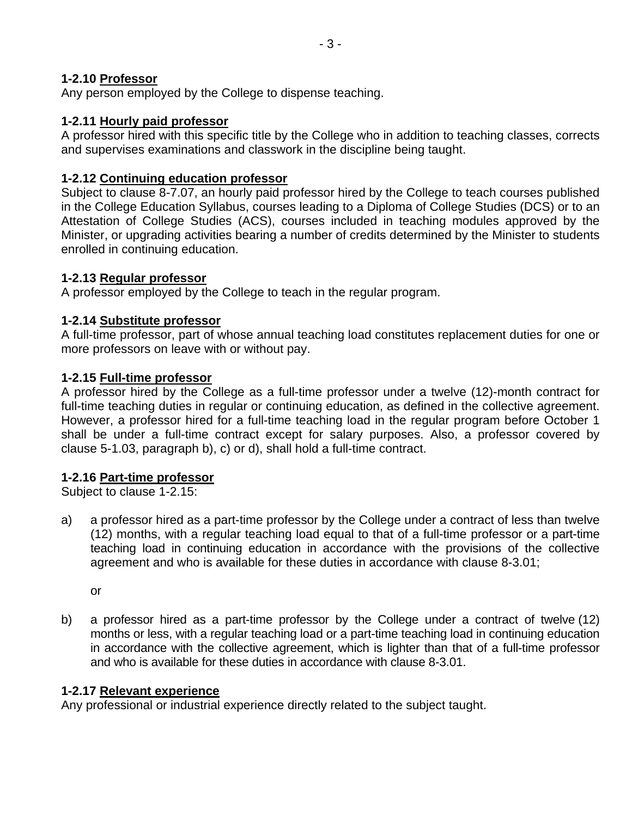### **1-2.10 Professor**

Any person employed by the College to dispense teaching.

### **1-2.11 Hourly paid professor**

A professor hired with this specific title by the College who in addition to teaching classes, corrects and supervises examinations and classwork in the discipline being taught.

## **1-2.12 Continuing education professor**

Subject to clause 8-7.07, an hourly paid professor hired by the College to teach courses published in the College Education Syllabus, courses leading to a Diploma of College Studies (DCS) or to an Attestation of College Studies (ACS), courses included in teaching modules approved by the Minister, or upgrading activities bearing a number of credits determined by the Minister to students enrolled in continuing education.

### **1-2.13 Regular professor**

A professor employed by the College to teach in the regular program.

### **1-2.14 Substitute professor**

A full-time professor, part of whose annual teaching load constitutes replacement duties for one or more professors on leave with or without pay.

### **1-2.15 Full-time professor**

A professor hired by the College as a full-time professor under a twelve (12)-month contract for full-time teaching duties in regular or continuing education, as defined in the collective agreement. However, a professor hired for a full-time teaching load in the regular program before October 1 shall be under a full-time contract except for salary purposes. Also, a professor covered by clause 5-1.03, paragraph b), c) or d), shall hold a full-time contract.

#### **1-2.16 Part-time professor**

Subject to clause 1-2.15:

a) a professor hired as a part-time professor by the College under a contract of less than twelve (12) months, with a regular teaching load equal to that of a full-time professor or a part-time teaching load in continuing education in accordance with the provisions of the collective agreement and who is available for these duties in accordance with clause 8-3.01;

or

b) a professor hired as a part-time professor by the College under a contract of twelve (12) months or less, with a regular teaching load or a part-time teaching load in continuing education in accordance with the collective agreement, which is lighter than that of a full-time professor and who is available for these duties in accordance with clause 8-3.01.

#### **1-2.17 Relevant experience**

Any professional or industrial experience directly related to the subject taught.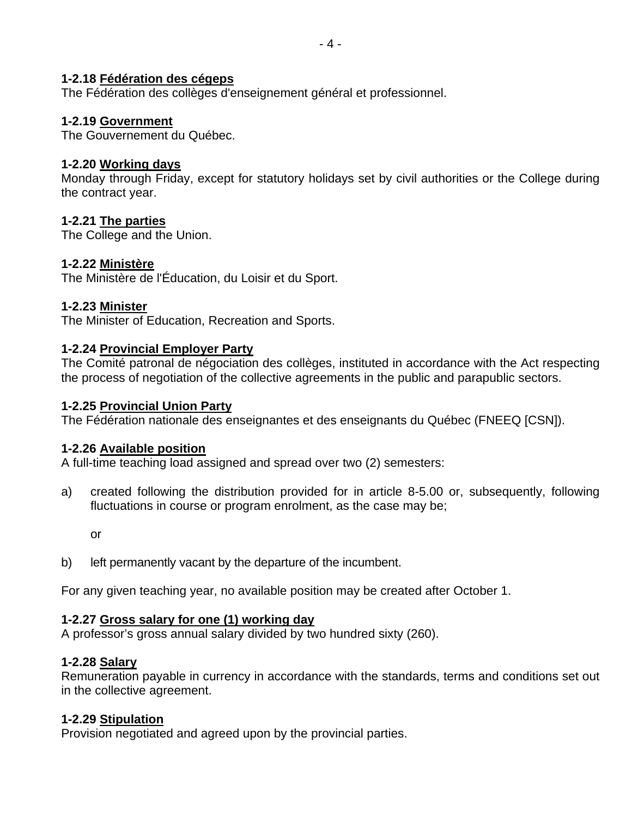The Fédération des collèges d'enseignement général et professionnel.

## **1-2.19 Government**

The Gouvernement du Québec.

## **1-2.20 Working days**

Monday through Friday, except for statutory holidays set by civil authorities or the College during the contract year.

## **1-2.21 The parties**

The College and the Union.

## **1-2.22 Ministère**

The Ministère de l'Éducation, du Loisir et du Sport.

### **1-2.23 Minister**

The Minister of Education, Recreation and Sports.

### **1-2.24 Provincial Employer Party**

The Comité patronal de négociation des collèges, instituted in accordance with the Act respecting the process of negotiation of the collective agreements in the public and parapublic sectors.

### **1-2.25 Provincial Union Party**

The Fédération nationale des enseignantes et des enseignants du Québec (FNEEQ [CSN]).

## **1-2.26 Available position**

A full-time teaching load assigned and spread over two (2) semesters:

a) created following the distribution provided for in article 8-5.00 or, subsequently, following fluctuations in course or program enrolment, as the case may be;

or

b) left permanently vacant by the departure of the incumbent.

For any given teaching year, no available position may be created after October 1.

## **1-2.27 Gross salary for one (1) working day**

A professor's gross annual salary divided by two hundred sixty (260).

## **1-2.28 Salary**

Remuneration payable in currency in accordance with the standards, terms and conditions set out in the collective agreement.

#### **1-2.29 Stipulation**

Provision negotiated and agreed upon by the provincial parties.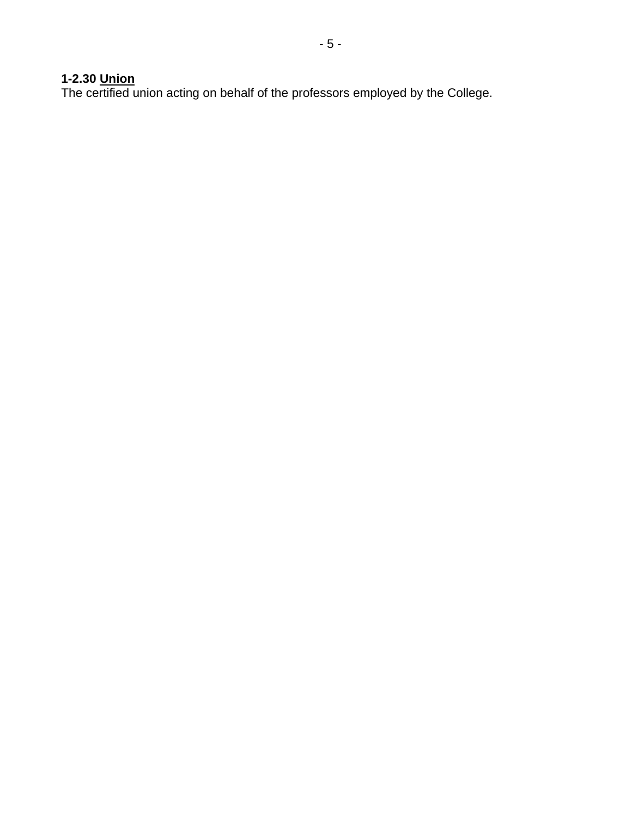### **1-2.30 Union**

The certified union acting on behalf of the professors employed by the College.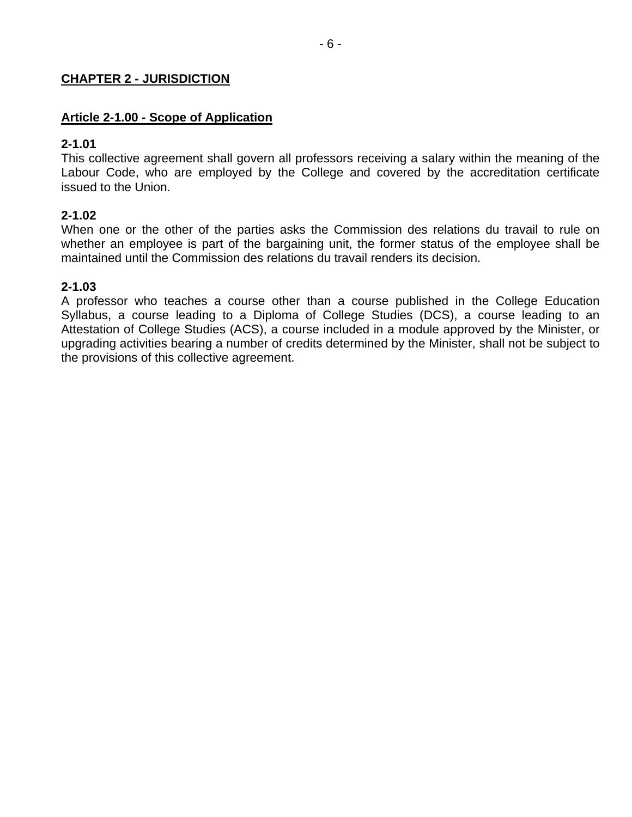#### **CHAPTER 2 - JURISDICTION**

#### **Article 2-1.00 - Scope of Application**

#### **2-1.01**

This collective agreement shall govern all professors receiving a salary within the meaning of the Labour Code, who are employed by the College and covered by the accreditation certificate issued to the Union.

#### **2-1.02**

When one or the other of the parties asks the Commission des relations du travail to rule on whether an employee is part of the bargaining unit, the former status of the employee shall be maintained until the Commission des relations du travail renders its decision.

#### **2-1.03**

A professor who teaches a course other than a course published in the College Education Syllabus, a course leading to a Diploma of College Studies (DCS), a course leading to an Attestation of College Studies (ACS), a course included in a module approved by the Minister, or upgrading activities bearing a number of credits determined by the Minister, shall not be subject to the provisions of this collective agreement.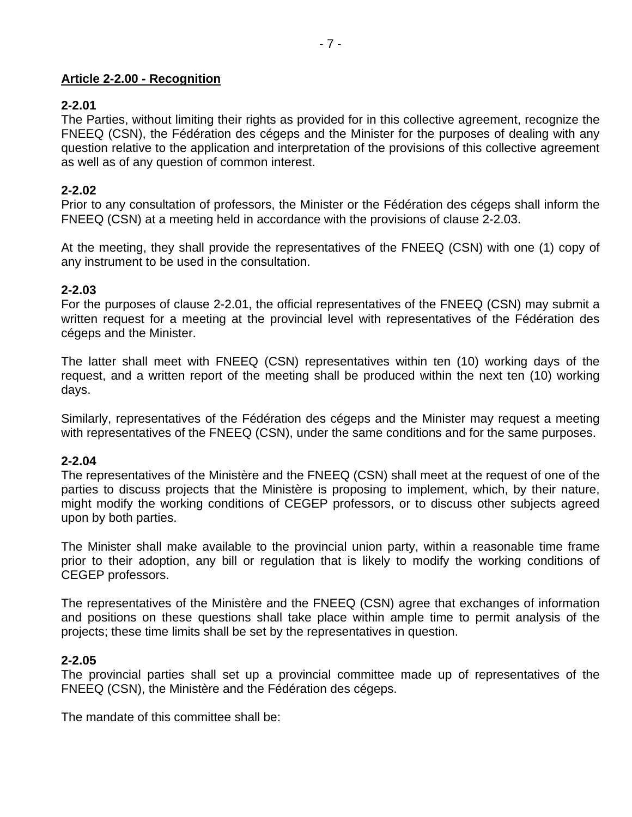#### **Article 2-2.00 - Recognition**

#### **2-2.01**

The Parties, without limiting their rights as provided for in this collective agreement, recognize the FNEEQ (CSN), the Fédération des cégeps and the Minister for the purposes of dealing with any question relative to the application and interpretation of the provisions of this collective agreement as well as of any question of common interest.

#### **2-2.02**

Prior to any consultation of professors, the Minister or the Fédération des cégeps shall inform the FNEEQ (CSN) at a meeting held in accordance with the provisions of clause 2-2.03.

At the meeting, they shall provide the representatives of the FNEEQ (CSN) with one (1) copy of any instrument to be used in the consultation.

#### **2-2.03**

For the purposes of clause 2-2.01, the official representatives of the FNEEQ (CSN) may submit a written request for a meeting at the provincial level with representatives of the Fédération des cégeps and the Minister.

The latter shall meet with FNEEQ (CSN) representatives within ten (10) working days of the request, and a written report of the meeting shall be produced within the next ten (10) working days.

Similarly, representatives of the Fédération des cégeps and the Minister may request a meeting with representatives of the FNEEQ (CSN), under the same conditions and for the same purposes.

#### **2-2.04**

The representatives of the Ministère and the FNEEQ (CSN) shall meet at the request of one of the parties to discuss projects that the Ministère is proposing to implement, which, by their nature, might modify the working conditions of CEGEP professors, or to discuss other subjects agreed upon by both parties.

The Minister shall make available to the provincial union party, within a reasonable time frame prior to their adoption, any bill or regulation that is likely to modify the working conditions of CEGEP professors.

The representatives of the Ministère and the FNEEQ (CSN) agree that exchanges of information and positions on these questions shall take place within ample time to permit analysis of the projects; these time limits shall be set by the representatives in question.

#### **2-2.05**

The provincial parties shall set up a provincial committee made up of representatives of the FNEEQ (CSN), the Ministère and the Fédération des cégeps.

The mandate of this committee shall be: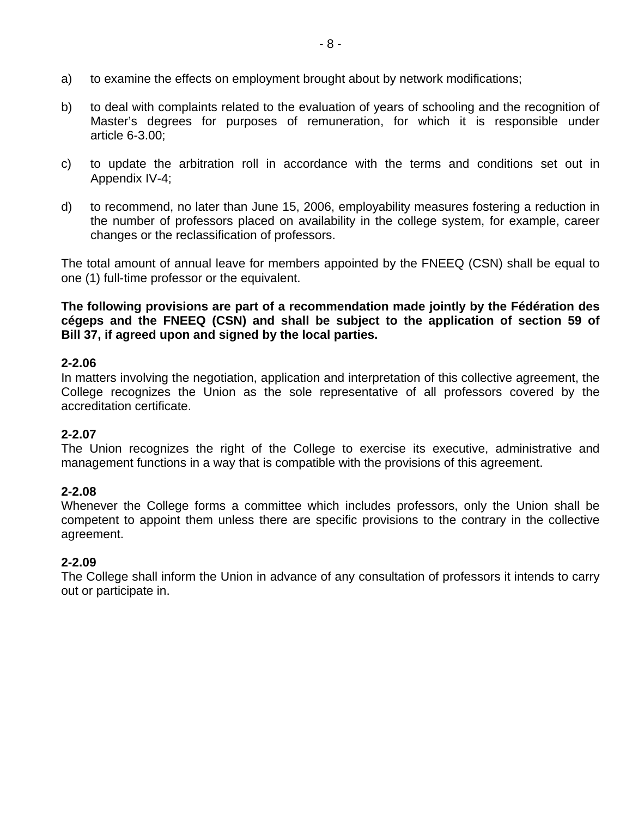- a) to examine the effects on employment brought about by network modifications;
- b) to deal with complaints related to the evaluation of years of schooling and the recognition of Master's degrees for purposes of remuneration, for which it is responsible under article 6-3.00;
- c) to update the arbitration roll in accordance with the terms and conditions set out in Appendix IV-4;
- d) to recommend, no later than June 15, 2006, employability measures fostering a reduction in the number of professors placed on availability in the college system, for example, career changes or the reclassification of professors.

The total amount of annual leave for members appointed by the FNEEQ (CSN) shall be equal to one (1) full-time professor or the equivalent.

**The following provisions are part of a recommendation made jointly by the Fédération des cégeps and the FNEEQ (CSN) and shall be subject to the application of section 59 of Bill 37, if agreed upon and signed by the local parties.** 

#### **2-2.06**

In matters involving the negotiation, application and interpretation of this collective agreement, the College recognizes the Union as the sole representative of all professors covered by the accreditation certificate.

#### **2-2.07**

The Union recognizes the right of the College to exercise its executive, administrative and management functions in a way that is compatible with the provisions of this agreement.

#### **2-2.08**

Whenever the College forms a committee which includes professors, only the Union shall be competent to appoint them unless there are specific provisions to the contrary in the collective agreement.

#### **2-2.09**

The College shall inform the Union in advance of any consultation of professors it intends to carry out or participate in.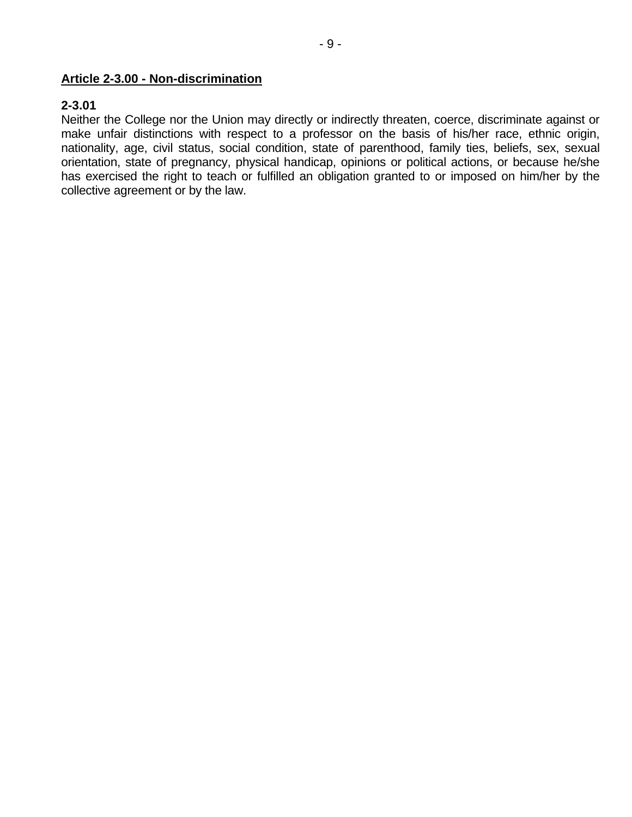#### **Article 2-3.00 - Non-discrimination**

#### **2-3.01**

Neither the College nor the Union may directly or indirectly threaten, coerce, discriminate against or make unfair distinctions with respect to a professor on the basis of his/her race, ethnic origin, nationality, age, civil status, social condition, state of parenthood, family ties, beliefs, sex, sexual orientation, state of pregnancy, physical handicap, opinions or political actions, or because he/she has exercised the right to teach or fulfilled an obligation granted to or imposed on him/her by the collective agreement or by the law.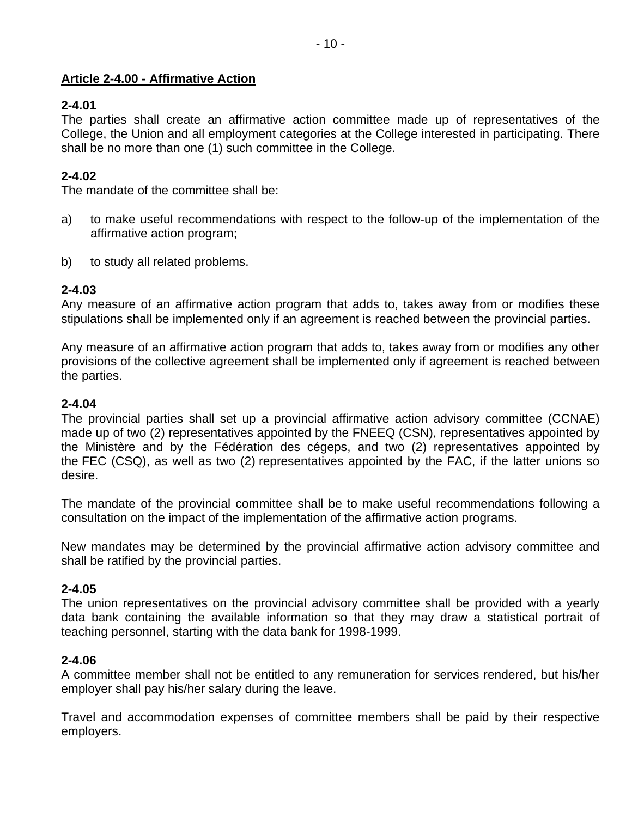#### **Article 2-4.00 - Affirmative Action**

### **2-4.01**

The parties shall create an affirmative action committee made up of representatives of the College, the Union and all employment categories at the College interested in participating. There shall be no more than one (1) such committee in the College.

## **2-4.02**

The mandate of the committee shall be:

- a) to make useful recommendations with respect to the follow-up of the implementation of the affirmative action program;
- b) to study all related problems.

### **2-4.03**

Any measure of an affirmative action program that adds to, takes away from or modifies these stipulations shall be implemented only if an agreement is reached between the provincial parties.

Any measure of an affirmative action program that adds to, takes away from or modifies any other provisions of the collective agreement shall be implemented only if agreement is reached between the parties.

### **2-4.04**

The provincial parties shall set up a provincial affirmative action advisory committee (CCNAE) made up of two (2) representatives appointed by the FNEEQ (CSN), representatives appointed by the Ministère and by the Fédération des cégeps, and two (2) representatives appointed by the FEC (CSQ), as well as two (2) representatives appointed by the FAC, if the latter unions so desire.

The mandate of the provincial committee shall be to make useful recommendations following a consultation on the impact of the implementation of the affirmative action programs.

New mandates may be determined by the provincial affirmative action advisory committee and shall be ratified by the provincial parties.

#### **2-4.05**

The union representatives on the provincial advisory committee shall be provided with a yearly data bank containing the available information so that they may draw a statistical portrait of teaching personnel, starting with the data bank for 1998-1999.

#### **2-4.06**

A committee member shall not be entitled to any remuneration for services rendered, but his/her employer shall pay his/her salary during the leave.

Travel and accommodation expenses of committee members shall be paid by their respective employers.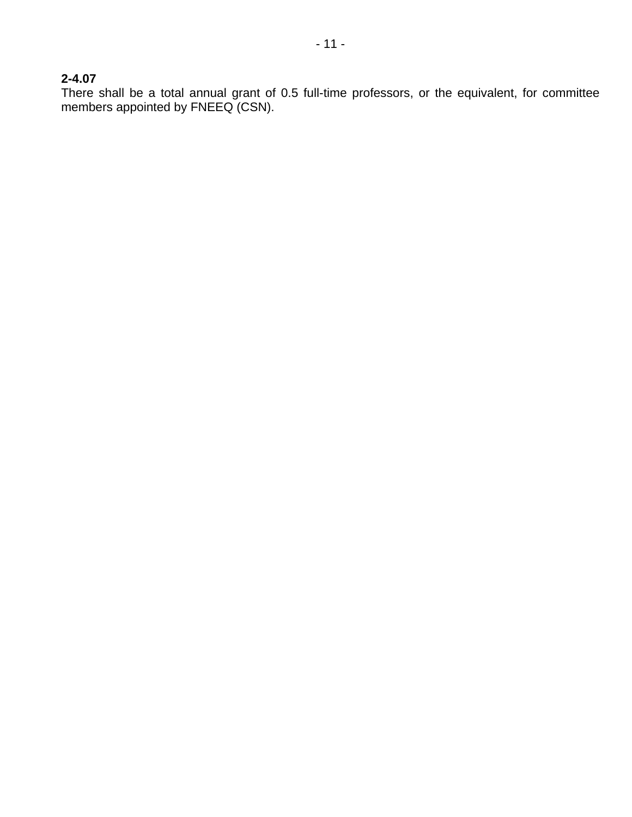## **2-4.07**

There shall be a total annual grant of 0.5 full-time professors, or the equivalent, for committee members appointed by FNEEQ (CSN).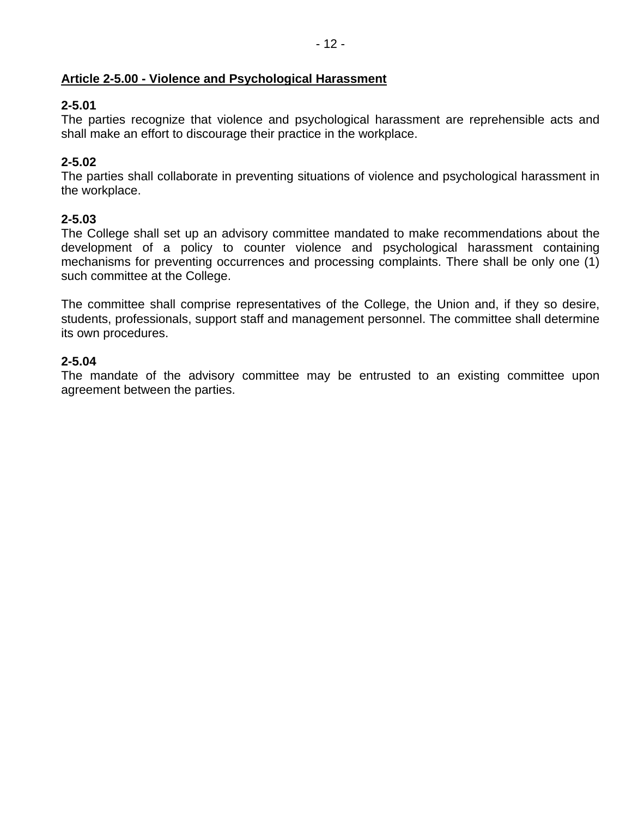## **Article 2-5.00 - Violence and Psychological Harassment**

## **2-5.01**

The parties recognize that violence and psychological harassment are reprehensible acts and shall make an effort to discourage their practice in the workplace.

## **2-5.02**

The parties shall collaborate in preventing situations of violence and psychological harassment in the workplace.

## **2-5.03**

The College shall set up an advisory committee mandated to make recommendations about the development of a policy to counter violence and psychological harassment containing mechanisms for preventing occurrences and processing complaints. There shall be only one (1) such committee at the College.

The committee shall comprise representatives of the College, the Union and, if they so desire, students, professionals, support staff and management personnel. The committee shall determine its own procedures.

### **2-5.04**

The mandate of the advisory committee may be entrusted to an existing committee upon agreement between the parties.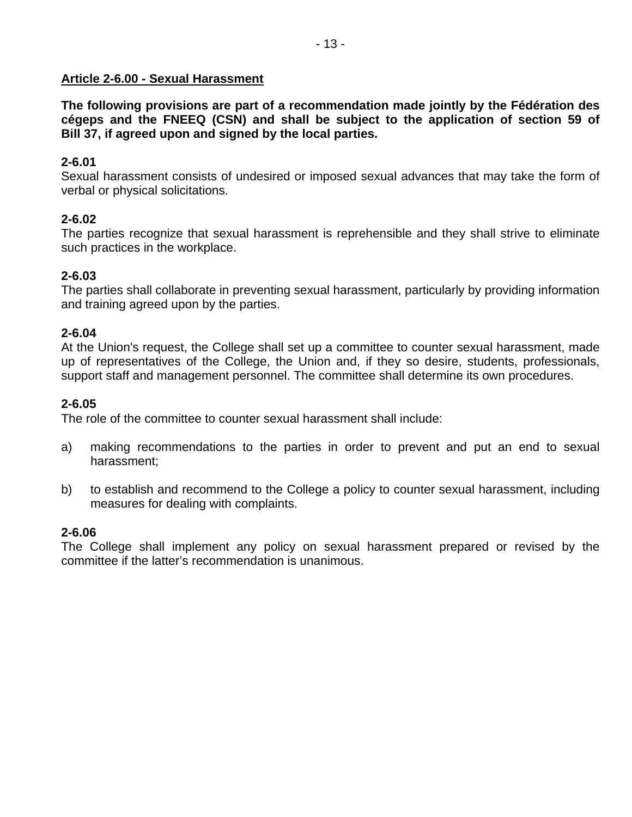#### **Article 2-6.00 - Sexual Harassment**

**The following provisions are part of a recommendation made jointly by the Fédération des cégeps and the FNEEQ (CSN) and shall be subject to the application of section 59 of Bill 37, if agreed upon and signed by the local parties.** 

### **2-6.01**

Sexual harassment consists of undesired or imposed sexual advances that may take the form of verbal or physical solicitations.

### **2-6.02**

The parties recognize that sexual harassment is reprehensible and they shall strive to eliminate such practices in the workplace.

### **2-6.03**

The parties shall collaborate in preventing sexual harassment, particularly by providing information and training agreed upon by the parties.

#### **2-6.04**

At the Union's request, the College shall set up a committee to counter sexual harassment, made up of representatives of the College, the Union and, if they so desire, students, professionals, support staff and management personnel. The committee shall determine its own procedures.

### **2-6.05**

The role of the committee to counter sexual harassment shall include:

- a) making recommendations to the parties in order to prevent and put an end to sexual harassment;
- b) to establish and recommend to the College a policy to counter sexual harassment, including measures for dealing with complaints.

#### **2-6.06**

The College shall implement any policy on sexual harassment prepared or revised by the committee if the latter's recommendation is unanimous.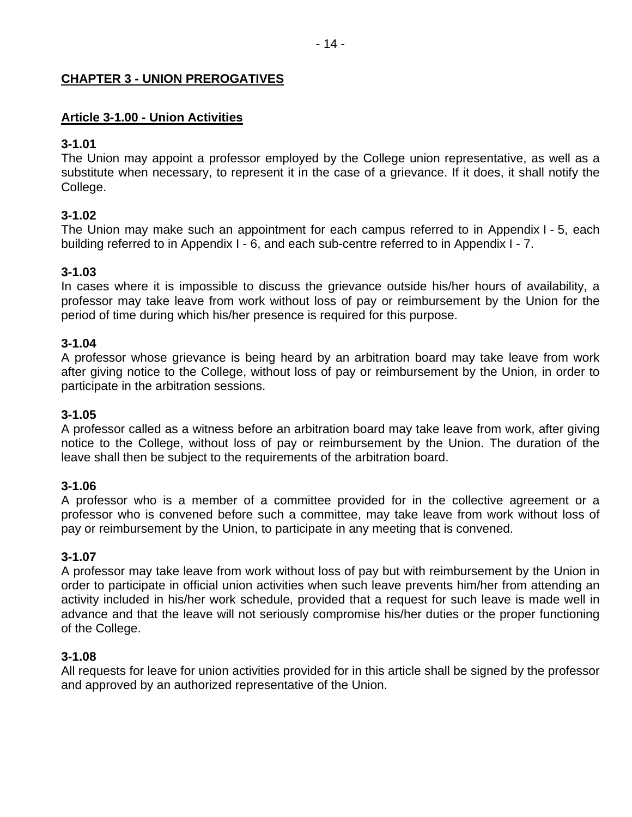### **CHAPTER 3 - UNION PREROGATIVES**

### **Article 3-1.00 - Union Activities**

#### **3-1.01**

The Union may appoint a professor employed by the College union representative, as well as a substitute when necessary, to represent it in the case of a grievance. If it does, it shall notify the College.

### **3-1.02**

The Union may make such an appointment for each campus referred to in Appendix I - 5, each building referred to in Appendix I - 6, and each sub-centre referred to in Appendix I - 7.

### **3-1.03**

In cases where it is impossible to discuss the grievance outside his/her hours of availability, a professor may take leave from work without loss of pay or reimbursement by the Union for the period of time during which his/her presence is required for this purpose.

#### **3-1.04**

A professor whose grievance is being heard by an arbitration board may take leave from work after giving notice to the College, without loss of pay or reimbursement by the Union, in order to participate in the arbitration sessions.

#### **3-1.05**

A professor called as a witness before an arbitration board may take leave from work, after giving notice to the College, without loss of pay or reimbursement by the Union. The duration of the leave shall then be subject to the requirements of the arbitration board.

#### **3-1.06**

A professor who is a member of a committee provided for in the collective agreement or a professor who is convened before such a committee, may take leave from work without loss of pay or reimbursement by the Union, to participate in any meeting that is convened.

#### **3-1.07**

A professor may take leave from work without loss of pay but with reimbursement by the Union in order to participate in official union activities when such leave prevents him/her from attending an activity included in his/her work schedule, provided that a request for such leave is made well in advance and that the leave will not seriously compromise his/her duties or the proper functioning of the College.

#### **3-1.08**

All requests for leave for union activities provided for in this article shall be signed by the professor and approved by an authorized representative of the Union.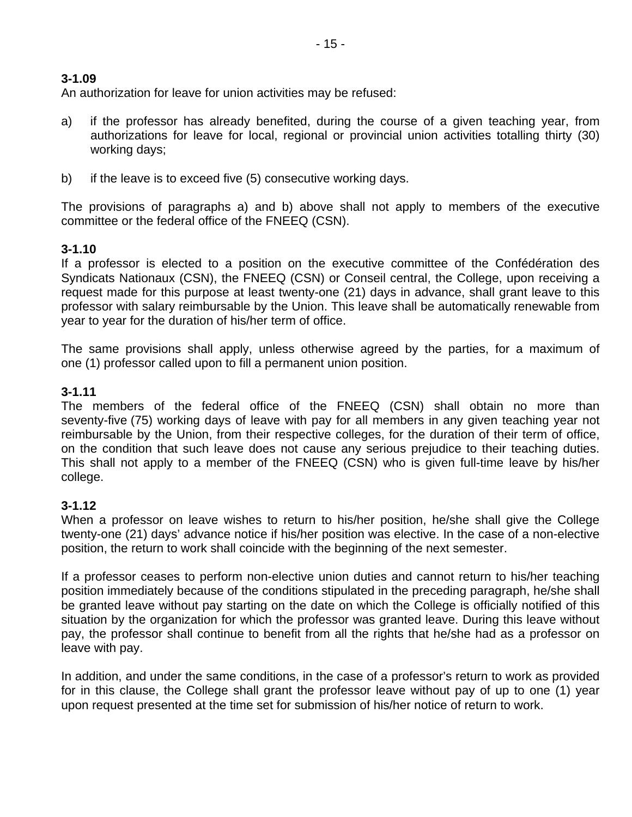An authorization for leave for union activities may be refused:

- a) if the professor has already benefited, during the course of a given teaching year, from authorizations for leave for local, regional or provincial union activities totalling thirty (30) working days;
- b) if the leave is to exceed five (5) consecutive working days.

The provisions of paragraphs a) and b) above shall not apply to members of the executive committee or the federal office of the FNEEQ (CSN).

## **3-1.10**

If a professor is elected to a position on the executive committee of the Confédération des Syndicats Nationaux (CSN), the FNEEQ (CSN) or Conseil central, the College, upon receiving a request made for this purpose at least twenty-one (21) days in advance, shall grant leave to this professor with salary reimbursable by the Union. This leave shall be automatically renewable from year to year for the duration of his/her term of office.

The same provisions shall apply, unless otherwise agreed by the parties, for a maximum of one (1) professor called upon to fill a permanent union position.

### **3-1.11**

The members of the federal office of the FNEEQ (CSN) shall obtain no more than seventy-five (75) working days of leave with pay for all members in any given teaching year not reimbursable by the Union, from their respective colleges, for the duration of their term of office, on the condition that such leave does not cause any serious prejudice to their teaching duties. This shall not apply to a member of the FNEEQ (CSN) who is given full-time leave by his/her college.

#### **3-1.12**

When a professor on leave wishes to return to his/her position, he/she shall give the College twenty-one (21) days' advance notice if his/her position was elective. In the case of a non-elective position, the return to work shall coincide with the beginning of the next semester.

If a professor ceases to perform non-elective union duties and cannot return to his/her teaching position immediately because of the conditions stipulated in the preceding paragraph, he/she shall be granted leave without pay starting on the date on which the College is officially notified of this situation by the organization for which the professor was granted leave. During this leave without pay, the professor shall continue to benefit from all the rights that he/she had as a professor on leave with pay.

In addition, and under the same conditions, in the case of a professor's return to work as provided for in this clause, the College shall grant the professor leave without pay of up to one (1) year upon request presented at the time set for submission of his/her notice of return to work.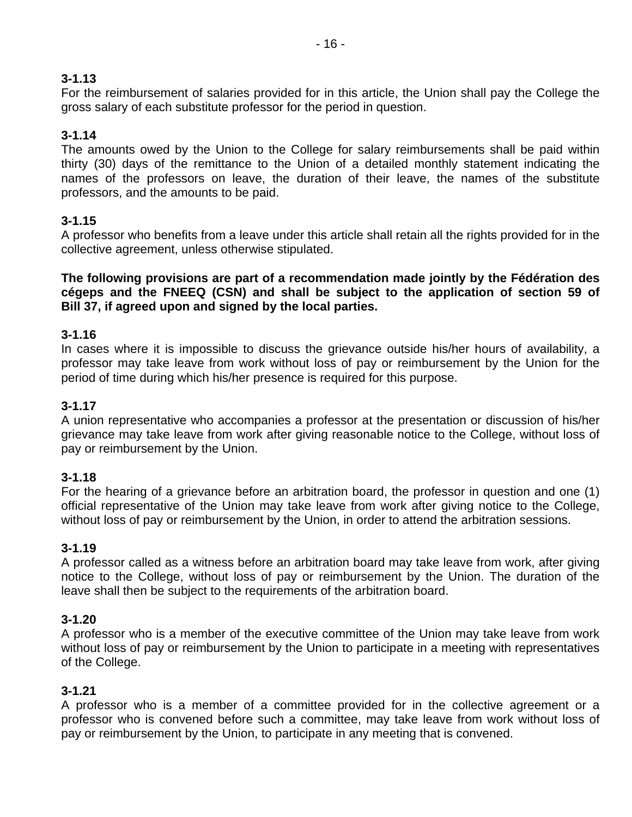For the reimbursement of salaries provided for in this article, the Union shall pay the College the gross salary of each substitute professor for the period in question.

## **3-1.14**

The amounts owed by the Union to the College for salary reimbursements shall be paid within thirty (30) days of the remittance to the Union of a detailed monthly statement indicating the names of the professors on leave, the duration of their leave, the names of the substitute professors, and the amounts to be paid.

## **3-1.15**

A professor who benefits from a leave under this article shall retain all the rights provided for in the collective agreement, unless otherwise stipulated.

**The following provisions are part of a recommendation made jointly by the Fédération des cégeps and the FNEEQ (CSN) and shall be subject to the application of section 59 of Bill 37, if agreed upon and signed by the local parties.** 

### **3-1.16**

In cases where it is impossible to discuss the grievance outside his/her hours of availability, a professor may take leave from work without loss of pay or reimbursement by the Union for the period of time during which his/her presence is required for this purpose.

### **3-1.17**

A union representative who accompanies a professor at the presentation or discussion of his/her grievance may take leave from work after giving reasonable notice to the College, without loss of pay or reimbursement by the Union.

#### **3-1.18**

For the hearing of a grievance before an arbitration board, the professor in question and one (1) official representative of the Union may take leave from work after giving notice to the College, without loss of pay or reimbursement by the Union, in order to attend the arbitration sessions.

#### **3-1.19**

A professor called as a witness before an arbitration board may take leave from work, after giving notice to the College, without loss of pay or reimbursement by the Union. The duration of the leave shall then be subject to the requirements of the arbitration board.

#### **3-1.20**

A professor who is a member of the executive committee of the Union may take leave from work without loss of pay or reimbursement by the Union to participate in a meeting with representatives of the College.

#### **3-1.21**

A professor who is a member of a committee provided for in the collective agreement or a professor who is convened before such a committee, may take leave from work without loss of pay or reimbursement by the Union, to participate in any meeting that is convened.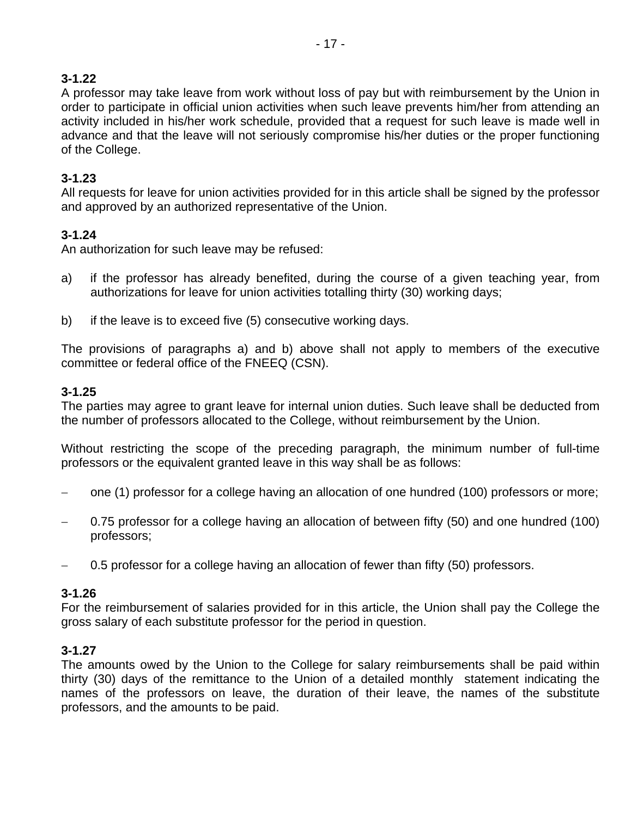A professor may take leave from work without loss of pay but with reimbursement by the Union in order to participate in official union activities when such leave prevents him/her from attending an activity included in his/her work schedule, provided that a request for such leave is made well in advance and that the leave will not seriously compromise his/her duties or the proper functioning of the College.

## **3-1.23**

All requests for leave for union activities provided for in this article shall be signed by the professor and approved by an authorized representative of the Union.

## **3-1.24**

An authorization for such leave may be refused:

- a) if the professor has already benefited, during the course of a given teaching year, from authorizations for leave for union activities totalling thirty (30) working days;
- b) if the leave is to exceed five (5) consecutive working days.

The provisions of paragraphs a) and b) above shall not apply to members of the executive committee or federal office of the FNEEQ (CSN).

### **3-1.25**

The parties may agree to grant leave for internal union duties. Such leave shall be deducted from the number of professors allocated to the College, without reimbursement by the Union.

Without restricting the scope of the preceding paragraph, the minimum number of full-time professors or the equivalent granted leave in this way shall be as follows:

- one (1) professor for a college having an allocation of one hundred (100) professors or more;
- 0.75 professor for a college having an allocation of between fifty (50) and one hundred (100) professors;
- − 0.5 professor for a college having an allocation of fewer than fifty (50) professors.

#### **3-1.26**

For the reimbursement of salaries provided for in this article, the Union shall pay the College the gross salary of each substitute professor for the period in question.

## **3-1.27**

The amounts owed by the Union to the College for salary reimbursements shall be paid within thirty (30) days of the remittance to the Union of a detailed monthly statement indicating the names of the professors on leave, the duration of their leave, the names of the substitute professors, and the amounts to be paid.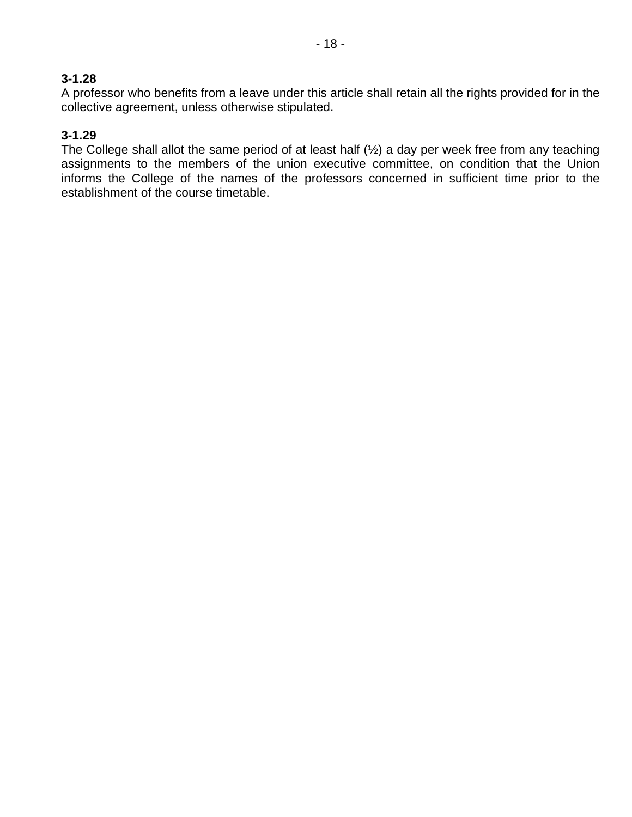A professor who benefits from a leave under this article shall retain all the rights provided for in the collective agreement, unless otherwise stipulated.

### **3-1.29**

The College shall allot the same period of at least half (½) a day per week free from any teaching assignments to the members of the union executive committee, on condition that the Union informs the College of the names of the professors concerned in sufficient time prior to the establishment of the course timetable.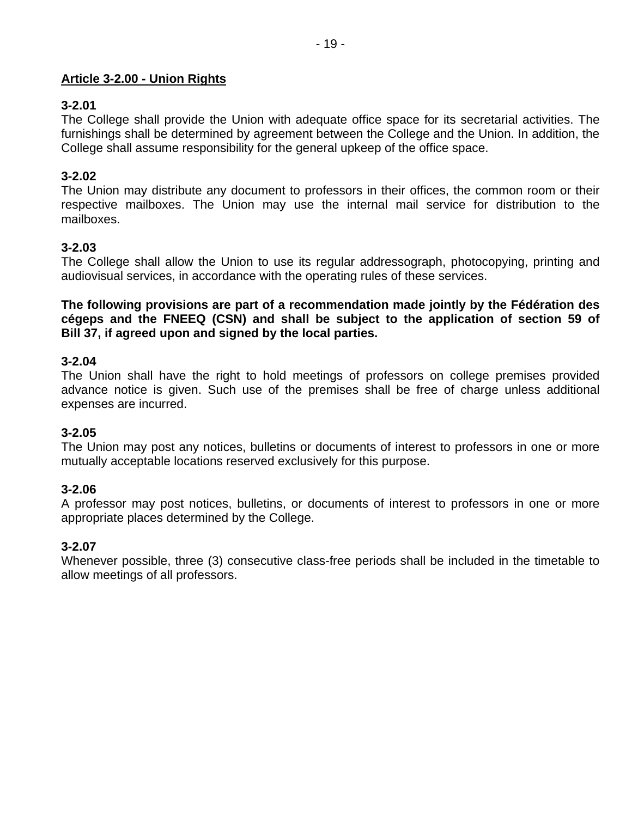### **Article 3-2.00 - Union Rights**

### **3-2.01**

The College shall provide the Union with adequate office space for its secretarial activities. The furnishings shall be determined by agreement between the College and the Union. In addition, the College shall assume responsibility for the general upkeep of the office space.

### **3-2.02**

The Union may distribute any document to professors in their offices, the common room or their respective mailboxes. The Union may use the internal mail service for distribution to the mailboxes.

### **3-2.03**

The College shall allow the Union to use its regular addressograph, photocopying, printing and audiovisual services, in accordance with the operating rules of these services.

**The following provisions are part of a recommendation made jointly by the Fédération des cégeps and the FNEEQ (CSN) and shall be subject to the application of section 59 of Bill 37, if agreed upon and signed by the local parties.** 

#### **3-2.04**

The Union shall have the right to hold meetings of professors on college premises provided advance notice is given. Such use of the premises shall be free of charge unless additional expenses are incurred.

#### **3-2.05**

The Union may post any notices, bulletins or documents of interest to professors in one or more mutually acceptable locations reserved exclusively for this purpose.

#### **3-2.06**

A professor may post notices, bulletins, or documents of interest to professors in one or more appropriate places determined by the College.

## **3-2.07**

Whenever possible, three (3) consecutive class-free periods shall be included in the timetable to allow meetings of all professors.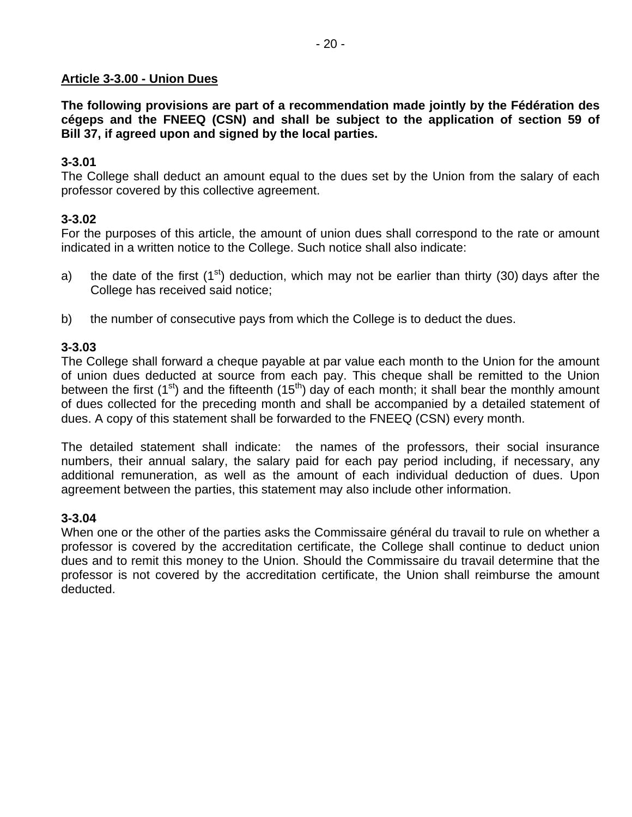#### **Article 3-3.00 - Union Dues**

**The following provisions are part of a recommendation made jointly by the Fédération des cégeps and the FNEEQ (CSN) and shall be subject to the application of section 59 of Bill 37, if agreed upon and signed by the local parties.** 

### **3-3.01**

The College shall deduct an amount equal to the dues set by the Union from the salary of each professor covered by this collective agreement.

### **3-3.02**

For the purposes of this article, the amount of union dues shall correspond to the rate or amount indicated in a written notice to the College. Such notice shall also indicate:

- a) the date of the first (1<sup>st</sup>) deduction, which may not be earlier than thirty (30) days after the College has received said notice;
- b) the number of consecutive pays from which the College is to deduct the dues.

#### **3-3.03**

The College shall forward a cheque payable at par value each month to the Union for the amount of union dues deducted at source from each pay. This cheque shall be remitted to the Union between the first (1<sup>st</sup>) and the fifteenth (15<sup>th</sup>) day of each month; it shall bear the monthly amount of dues collected for the preceding month and shall be accompanied by a detailed statement of dues. A copy of this statement shall be forwarded to the FNEEQ (CSN) every month.

The detailed statement shall indicate: the names of the professors, their social insurance numbers, their annual salary, the salary paid for each pay period including, if necessary, any additional remuneration, as well as the amount of each individual deduction of dues. Upon agreement between the parties, this statement may also include other information.

#### **3-3.04**

When one or the other of the parties asks the Commissaire général du travail to rule on whether a professor is covered by the accreditation certificate, the College shall continue to deduct union dues and to remit this money to the Union. Should the Commissaire du travail determine that the professor is not covered by the accreditation certificate, the Union shall reimburse the amount deducted.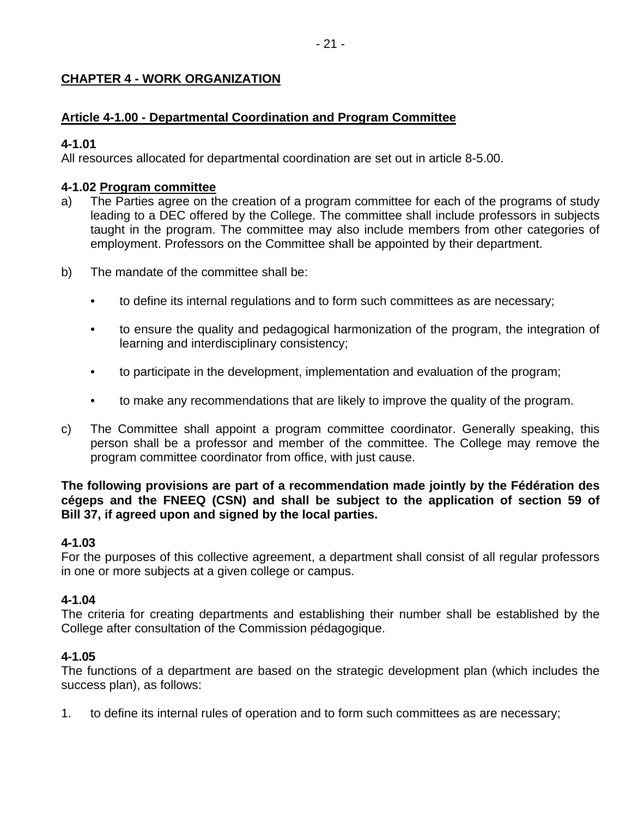## **CHAPTER 4 - WORK ORGANIZATION**

## **Article 4-1.00 - Departmental Coordination and Program Committee**

## **4-1.01**

All resources allocated for departmental coordination are set out in article 8-5.00.

## **4-1.02 Program committee**

- a) The Parties agree on the creation of a program committee for each of the programs of study leading to a DEC offered by the College. The committee shall include professors in subjects taught in the program. The committee may also include members from other categories of employment. Professors on the Committee shall be appointed by their department.
- b) The mandate of the committee shall be:
	- to define its internal regulations and to form such committees as are necessary;
	- to ensure the quality and pedagogical harmonization of the program, the integration of learning and interdisciplinary consistency;
	- to participate in the development, implementation and evaluation of the program;
	- to make any recommendations that are likely to improve the quality of the program.
- c) The Committee shall appoint a program committee coordinator. Generally speaking, this person shall be a professor and member of the committee. The College may remove the program committee coordinator from office, with just cause.

### **The following provisions are part of a recommendation made jointly by the Fédération des cégeps and the FNEEQ (CSN) and shall be subject to the application of section 59 of Bill 37, if agreed upon and signed by the local parties.**

## **4-1.03**

For the purposes of this collective agreement, a department shall consist of all regular professors in one or more subjects at a given college or campus.

## **4-1.04**

The criteria for creating departments and establishing their number shall be established by the College after consultation of the Commission pédagogique.

## **4-1.05**

The functions of a department are based on the strategic development plan (which includes the success plan), as follows:

1. to define its internal rules of operation and to form such committees as are necessary;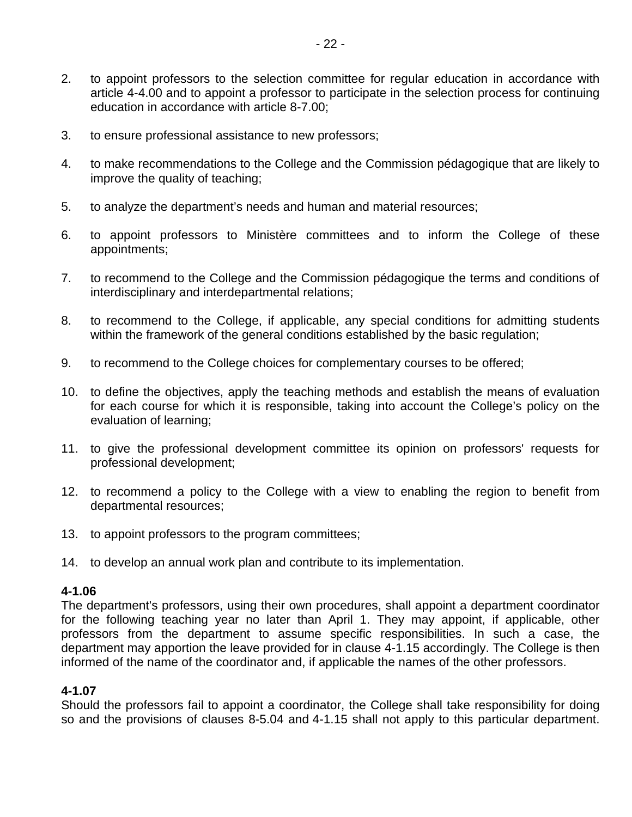- 3. to ensure professional assistance to new professors;
- 4. to make recommendations to the College and the Commission pédagogique that are likely to improve the quality of teaching;
- 5. to analyze the department's needs and human and material resources;
- 6. to appoint professors to Ministère committees and to inform the College of these appointments;
- 7. to recommend to the College and the Commission pédagogique the terms and conditions of interdisciplinary and interdepartmental relations;
- 8. to recommend to the College, if applicable, any special conditions for admitting students within the framework of the general conditions established by the basic regulation;
- 9. to recommend to the College choices for complementary courses to be offered;
- 10. to define the objectives, apply the teaching methods and establish the means of evaluation for each course for which it is responsible, taking into account the College's policy on the evaluation of learning;
- 11. to give the professional development committee its opinion on professors' requests for professional development;
- 12. to recommend a policy to the College with a view to enabling the region to benefit from departmental resources;
- 13. to appoint professors to the program committees;
- 14. to develop an annual work plan and contribute to its implementation.

The department's professors, using their own procedures, shall appoint a department coordinator for the following teaching year no later than April 1. They may appoint, if applicable, other professors from the department to assume specific responsibilities. In such a case, the department may apportion the leave provided for in clause 4-1.15 accordingly. The College is then informed of the name of the coordinator and, if applicable the names of the other professors.

#### **4-1.07**

Should the professors fail to appoint a coordinator, the College shall take responsibility for doing so and the provisions of clauses 8-5.04 and 4-1.15 shall not apply to this particular department.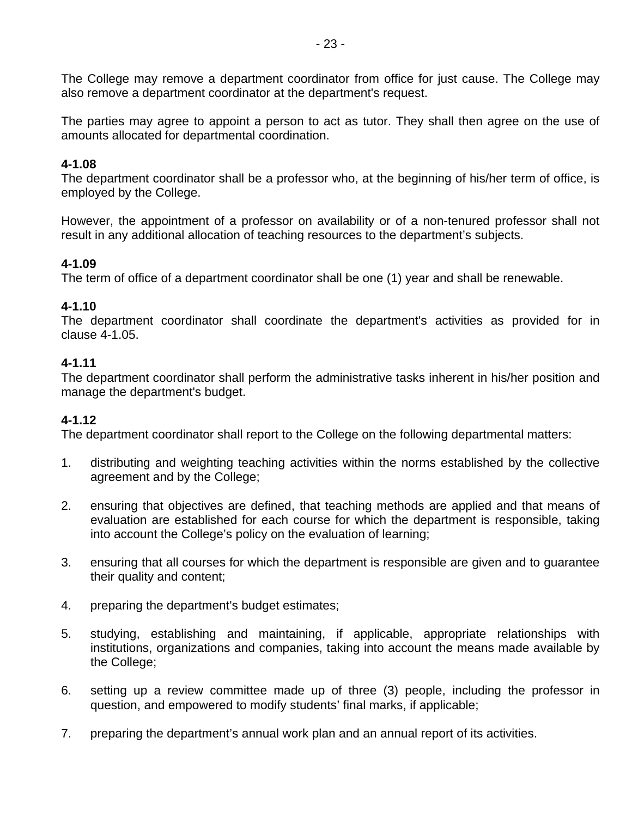The College may remove a department coordinator from office for just cause. The College may also remove a department coordinator at the department's request.

The parties may agree to appoint a person to act as tutor. They shall then agree on the use of amounts allocated for departmental coordination.

### **4-1.08**

The department coordinator shall be a professor who, at the beginning of his/her term of office, is employed by the College.

However, the appointment of a professor on availability or of a non-tenured professor shall not result in any additional allocation of teaching resources to the department's subjects.

### **4-1.09**

The term of office of a department coordinator shall be one (1) year and shall be renewable.

### **4-1.10**

The department coordinator shall coordinate the department's activities as provided for in clause 4-1.05.

## **4-1.11**

The department coordinator shall perform the administrative tasks inherent in his/her position and manage the department's budget.

## **4-1.12**

The department coordinator shall report to the College on the following departmental matters:

- 1. distributing and weighting teaching activities within the norms established by the collective agreement and by the College;
- 2. ensuring that objectives are defined, that teaching methods are applied and that means of evaluation are established for each course for which the department is responsible, taking into account the College's policy on the evaluation of learning;
- 3. ensuring that all courses for which the department is responsible are given and to guarantee their quality and content;
- 4. preparing the department's budget estimates;
- 5. studying, establishing and maintaining, if applicable, appropriate relationships with institutions, organizations and companies, taking into account the means made available by the College;
- 6. setting up a review committee made up of three (3) people, including the professor in question, and empowered to modify students' final marks, if applicable;
- 7. preparing the department's annual work plan and an annual report of its activities.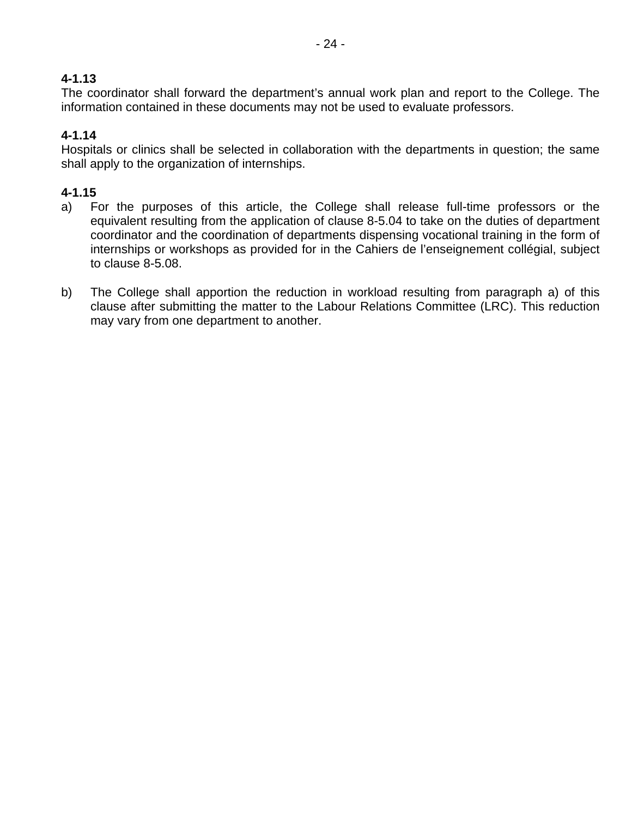The coordinator shall forward the department's annual work plan and report to the College. The information contained in these documents may not be used to evaluate professors.

## **4-1.14**

Hospitals or clinics shall be selected in collaboration with the departments in question; the same shall apply to the organization of internships.

## **4-1.15**

- a) For the purposes of this article, the College shall release full-time professors or the equivalent resulting from the application of clause 8-5.04 to take on the duties of department coordinator and the coordination of departments dispensing vocational training in the form of internships or workshops as provided for in the Cahiers de l'enseignement collégial, subject to clause 8-5.08.
- b) The College shall apportion the reduction in workload resulting from paragraph a) of this clause after submitting the matter to the Labour Relations Committee (LRC). This reduction may vary from one department to another.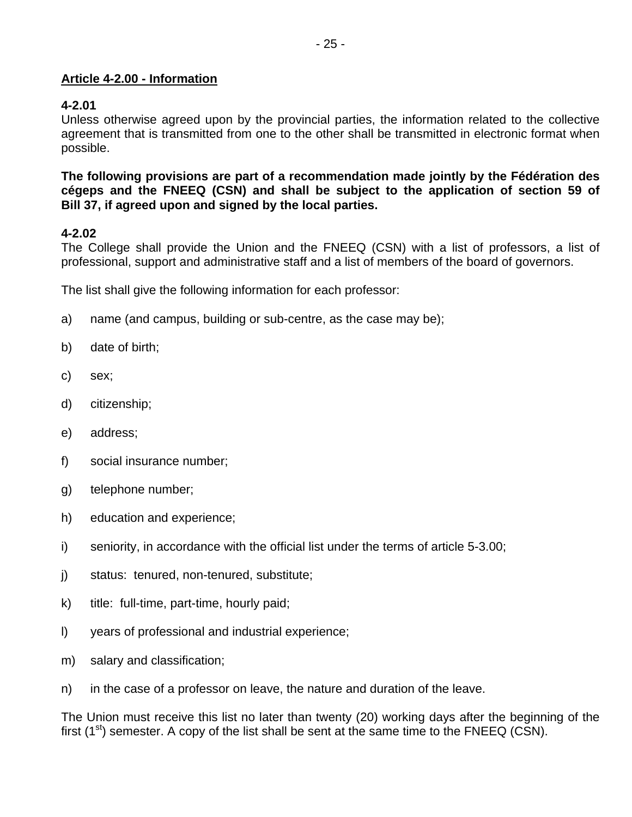### **Article 4-2.00 - Information**

### **4-2.01**

Unless otherwise agreed upon by the provincial parties, the information related to the collective agreement that is transmitted from one to the other shall be transmitted in electronic format when possible.

**The following provisions are part of a recommendation made jointly by the Fédération des cégeps and the FNEEQ (CSN) and shall be subject to the application of section 59 of Bill 37, if agreed upon and signed by the local parties.** 

## **4-2.02**

The College shall provide the Union and the FNEEQ (CSN) with a list of professors, a list of professional, support and administrative staff and a list of members of the board of governors.

The list shall give the following information for each professor:

- a) name (and campus, building or sub-centre, as the case may be);
- b) date of birth;
- c) sex;
- d) citizenship;
- e) address;
- f) social insurance number;
- g) telephone number;
- h) education and experience;
- i) seniority, in accordance with the official list under the terms of article 5-3.00;
- j) status: tenured, non-tenured, substitute;
- k) title: full-time, part-time, hourly paid;
- l) years of professional and industrial experience;
- m) salary and classification;
- n) in the case of a professor on leave, the nature and duration of the leave.

The Union must receive this list no later than twenty (20) working days after the beginning of the first  $(1^{st})$  semester. A copy of the list shall be sent at the same time to the FNEEQ (CSN).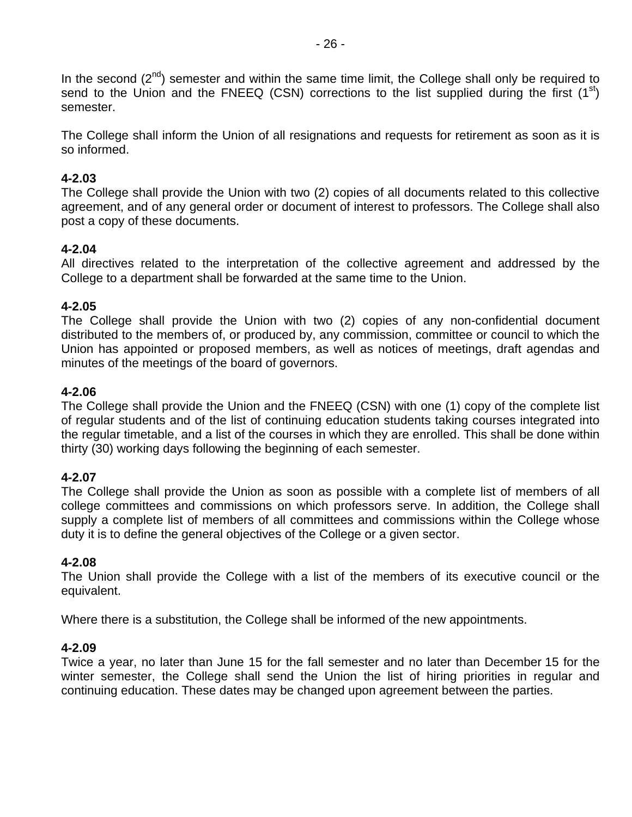In the second  $(2^{nd})$  semester and within the same time limit, the College shall only be required to send to the Union and the FNEEQ (CSN) corrections to the list supplied during the first  $(1^{st})$ semester.

The College shall inform the Union of all resignations and requests for retirement as soon as it is so informed.

#### **4-2.03**

The College shall provide the Union with two (2) copies of all documents related to this collective agreement, and of any general order or document of interest to professors. The College shall also post a copy of these documents.

#### **4-2.04**

All directives related to the interpretation of the collective agreement and addressed by the College to a department shall be forwarded at the same time to the Union.

#### **4-2.05**

The College shall provide the Union with two (2) copies of any non-confidential document distributed to the members of, or produced by, any commission, committee or council to which the Union has appointed or proposed members, as well as notices of meetings, draft agendas and minutes of the meetings of the board of governors.

#### **4-2.06**

The College shall provide the Union and the FNEEQ (CSN) with one (1) copy of the complete list of regular students and of the list of continuing education students taking courses integrated into the regular timetable, and a list of the courses in which they are enrolled. This shall be done within thirty (30) working days following the beginning of each semester.

#### **4-2.07**

The College shall provide the Union as soon as possible with a complete list of members of all college committees and commissions on which professors serve. In addition, the College shall supply a complete list of members of all committees and commissions within the College whose duty it is to define the general objectives of the College or a given sector.

#### **4-2.08**

The Union shall provide the College with a list of the members of its executive council or the equivalent.

Where there is a substitution, the College shall be informed of the new appointments.

#### **4-2.09**

Twice a year, no later than June 15 for the fall semester and no later than December 15 for the winter semester, the College shall send the Union the list of hiring priorities in regular and continuing education. These dates may be changed upon agreement between the parties.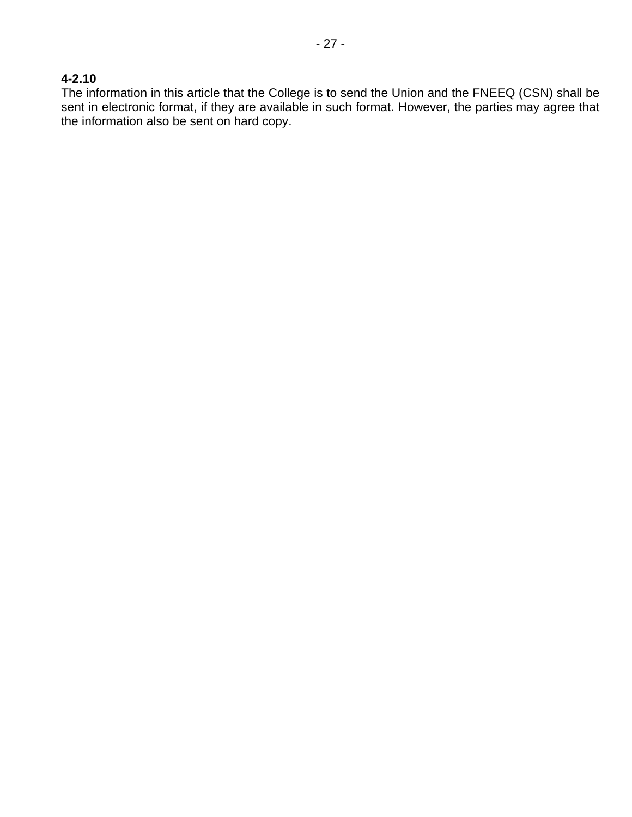### **4-2.10**

The information in this article that the College is to send the Union and the FNEEQ (CSN) shall be sent in electronic format, if they are available in such format. However, the parties may agree that the information also be sent on hard copy.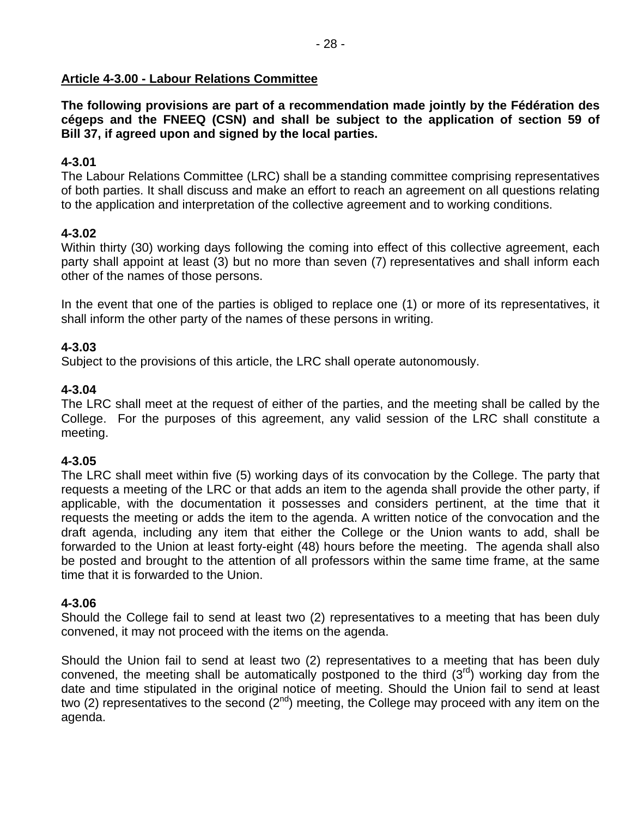### **Article 4-3.00 - Labour Relations Committee**

**The following provisions are part of a recommendation made jointly by the Fédération des cégeps and the FNEEQ (CSN) and shall be subject to the application of section 59 of Bill 37, if agreed upon and signed by the local parties.** 

### **4-3.01**

The Labour Relations Committee (LRC) shall be a standing committee comprising representatives of both parties. It shall discuss and make an effort to reach an agreement on all questions relating to the application and interpretation of the collective agreement and to working conditions.

### **4-3.02**

Within thirty (30) working days following the coming into effect of this collective agreement, each party shall appoint at least (3) but no more than seven (7) representatives and shall inform each other of the names of those persons.

In the event that one of the parties is obliged to replace one (1) or more of its representatives, it shall inform the other party of the names of these persons in writing.

### **4-3.03**

Subject to the provisions of this article, the LRC shall operate autonomously.

### **4-3.04**

The LRC shall meet at the request of either of the parties, and the meeting shall be called by the College. For the purposes of this agreement, any valid session of the LRC shall constitute a meeting.

### **4-3.05**

The LRC shall meet within five (5) working days of its convocation by the College. The party that requests a meeting of the LRC or that adds an item to the agenda shall provide the other party, if applicable, with the documentation it possesses and considers pertinent, at the time that it requests the meeting or adds the item to the agenda. A written notice of the convocation and the draft agenda, including any item that either the College or the Union wants to add, shall be forwarded to the Union at least forty-eight (48) hours before the meeting. The agenda shall also be posted and brought to the attention of all professors within the same time frame, at the same time that it is forwarded to the Union.

### **4-3.06**

Should the College fail to send at least two (2) representatives to a meeting that has been duly convened, it may not proceed with the items on the agenda.

Should the Union fail to send at least two (2) representatives to a meeting that has been duly convened, the meeting shall be automatically postponed to the third  $(3<sup>rd</sup>)$  working day from the date and time stipulated in the original notice of meeting. Should the Union fail to send at least two (2) representatives to the second ( $2^{nd}$ ) meeting, the College may proceed with any item on the agenda.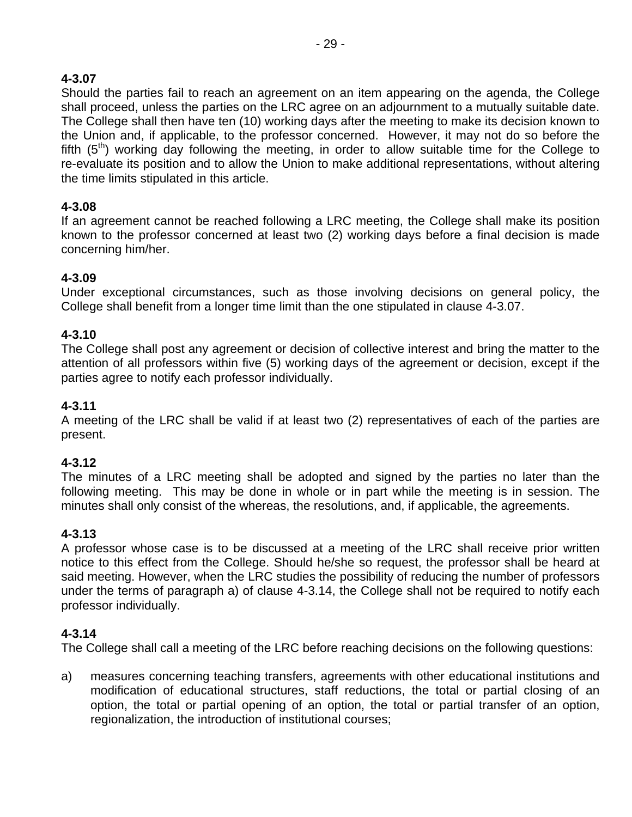Should the parties fail to reach an agreement on an item appearing on the agenda, the College shall proceed, unless the parties on the LRC agree on an adjournment to a mutually suitable date. The College shall then have ten (10) working days after the meeting to make its decision known to the Union and, if applicable, to the professor concerned. However, it may not do so before the fifth  $(5<sup>th</sup>)$  working day following the meeting, in order to allow suitable time for the College to re-evaluate its position and to allow the Union to make additional representations, without altering the time limits stipulated in this article.

# **4-3.08**

If an agreement cannot be reached following a LRC meeting, the College shall make its position known to the professor concerned at least two (2) working days before a final decision is made concerning him/her.

# **4-3.09**

Under exceptional circumstances, such as those involving decisions on general policy, the College shall benefit from a longer time limit than the one stipulated in clause 4-3.07.

# **4-3.10**

The College shall post any agreement or decision of collective interest and bring the matter to the attention of all professors within five (5) working days of the agreement or decision, except if the parties agree to notify each professor individually.

# **4-3.11**

A meeting of the LRC shall be valid if at least two (2) representatives of each of the parties are present.

# **4-3.12**

The minutes of a LRC meeting shall be adopted and signed by the parties no later than the following meeting. This may be done in whole or in part while the meeting is in session. The minutes shall only consist of the whereas, the resolutions, and, if applicable, the agreements.

# **4-3.13**

A professor whose case is to be discussed at a meeting of the LRC shall receive prior written notice to this effect from the College. Should he/she so request, the professor shall be heard at said meeting. However, when the LRC studies the possibility of reducing the number of professors under the terms of paragraph a) of clause 4-3.14, the College shall not be required to notify each professor individually.

# **4-3.14**

The College shall call a meeting of the LRC before reaching decisions on the following questions:

a) measures concerning teaching transfers, agreements with other educational institutions and modification of educational structures, staff reductions, the total or partial closing of an option, the total or partial opening of an option, the total or partial transfer of an option, regionalization, the introduction of institutional courses;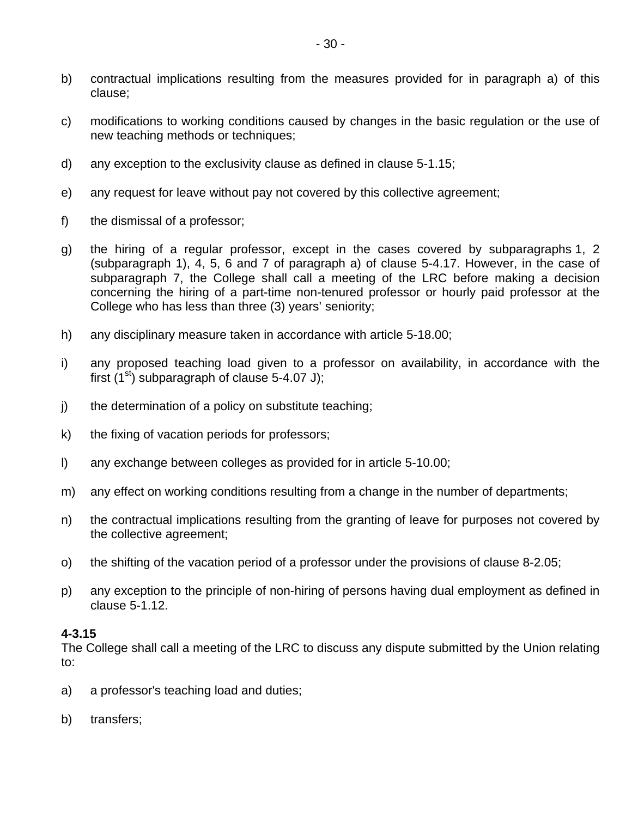- b) contractual implications resulting from the measures provided for in paragraph a) of this clause;
- c) modifications to working conditions caused by changes in the basic regulation or the use of new teaching methods or techniques;
- d) any exception to the exclusivity clause as defined in clause 5-1.15;
- e) any request for leave without pay not covered by this collective agreement;
- f) the dismissal of a professor;
- g) the hiring of a regular professor, except in the cases covered by subparagraphs 1, 2 (subparagraph 1), 4, 5, 6 and 7 of paragraph a) of clause 5-4.17. However, in the case of subparagraph 7, the College shall call a meeting of the LRC before making a decision concerning the hiring of a part-time non-tenured professor or hourly paid professor at the College who has less than three (3) years' seniority;
- h) any disciplinary measure taken in accordance with article 5-18.00;
- i) any proposed teaching load given to a professor on availability, in accordance with the first (1<sup>st</sup>) subparagraph of clause 5-4.07 J);
- j) the determination of a policy on substitute teaching;
- k) the fixing of vacation periods for professors;
- l) any exchange between colleges as provided for in article 5-10.00;
- m) any effect on working conditions resulting from a change in the number of departments;
- n) the contractual implications resulting from the granting of leave for purposes not covered by the collective agreement;
- o) the shifting of the vacation period of a professor under the provisions of clause 8-2.05;
- p) any exception to the principle of non-hiring of persons having dual employment as defined in clause 5-1.12.

The College shall call a meeting of the LRC to discuss any dispute submitted by the Union relating to:

- a) a professor's teaching load and duties;
- b) transfers;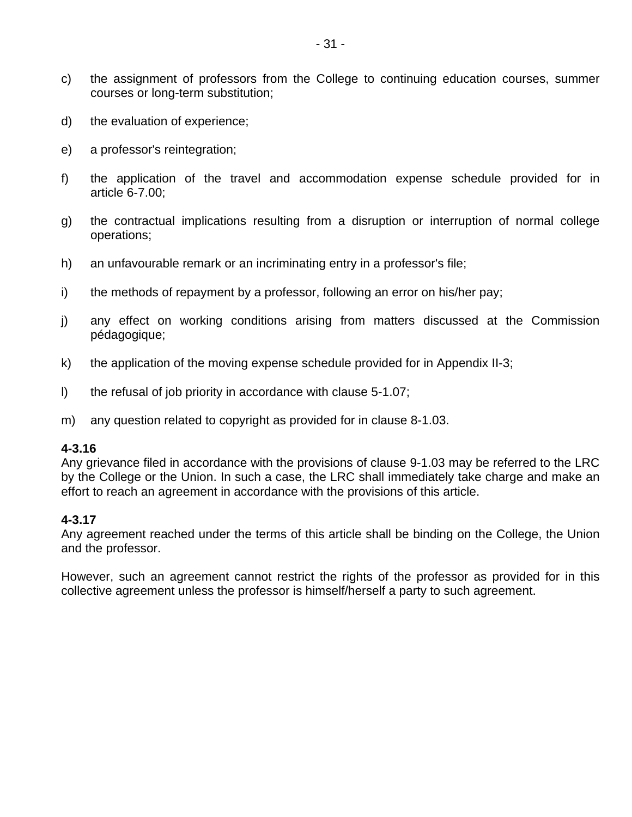- c) the assignment of professors from the College to continuing education courses, summer courses or long-term substitution;
- d) the evaluation of experience;
- e) a professor's reintegration;
- f) the application of the travel and accommodation expense schedule provided for in article 6-7.00;
- g) the contractual implications resulting from a disruption or interruption of normal college operations;
- h) an unfavourable remark or an incriminating entry in a professor's file;
- i) the methods of repayment by a professor, following an error on his/her pay;
- j) any effect on working conditions arising from matters discussed at the Commission pédagogique;
- k) the application of the moving expense schedule provided for in Appendix II-3;
- l) the refusal of job priority in accordance with clause 5-1.07;
- m) any question related to copyright as provided for in clause 8-1.03.

Any grievance filed in accordance with the provisions of clause 9-1.03 may be referred to the LRC by the College or the Union. In such a case, the LRC shall immediately take charge and make an effort to reach an agreement in accordance with the provisions of this article.

#### **4-3.17**

Any agreement reached under the terms of this article shall be binding on the College, the Union and the professor.

However, such an agreement cannot restrict the rights of the professor as provided for in this collective agreement unless the professor is himself/herself a party to such agreement.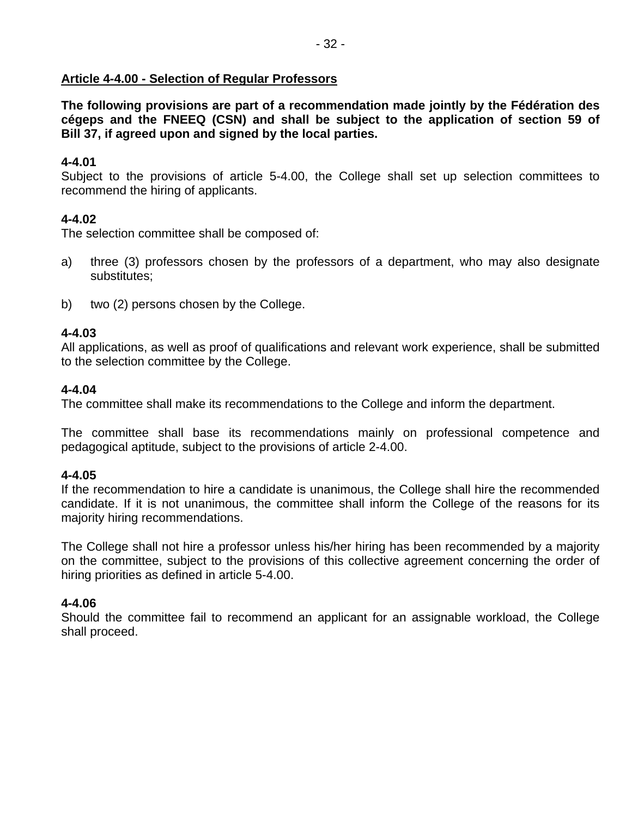### **Article 4-4.00 - Selection of Regular Professors**

**The following provisions are part of a recommendation made jointly by the Fédération des cégeps and the FNEEQ (CSN) and shall be subject to the application of section 59 of Bill 37, if agreed upon and signed by the local parties.** 

### **4-4.01**

Subject to the provisions of article 5-4.00, the College shall set up selection committees to recommend the hiring of applicants.

### **4-4.02**

The selection committee shall be composed of:

- a) three (3) professors chosen by the professors of a department, who may also designate substitutes;
- b) two (2) persons chosen by the College.

### **4-4.03**

All applications, as well as proof of qualifications and relevant work experience, shall be submitted to the selection committee by the College.

#### **4-4.04**

The committee shall make its recommendations to the College and inform the department.

The committee shall base its recommendations mainly on professional competence and pedagogical aptitude, subject to the provisions of article 2-4.00.

### **4-4.05**

If the recommendation to hire a candidate is unanimous, the College shall hire the recommended candidate. If it is not unanimous, the committee shall inform the College of the reasons for its majority hiring recommendations.

The College shall not hire a professor unless his/her hiring has been recommended by a majority on the committee, subject to the provisions of this collective agreement concerning the order of hiring priorities as defined in article 5-4.00.

### **4-4.06**

Should the committee fail to recommend an applicant for an assignable workload, the College shall proceed.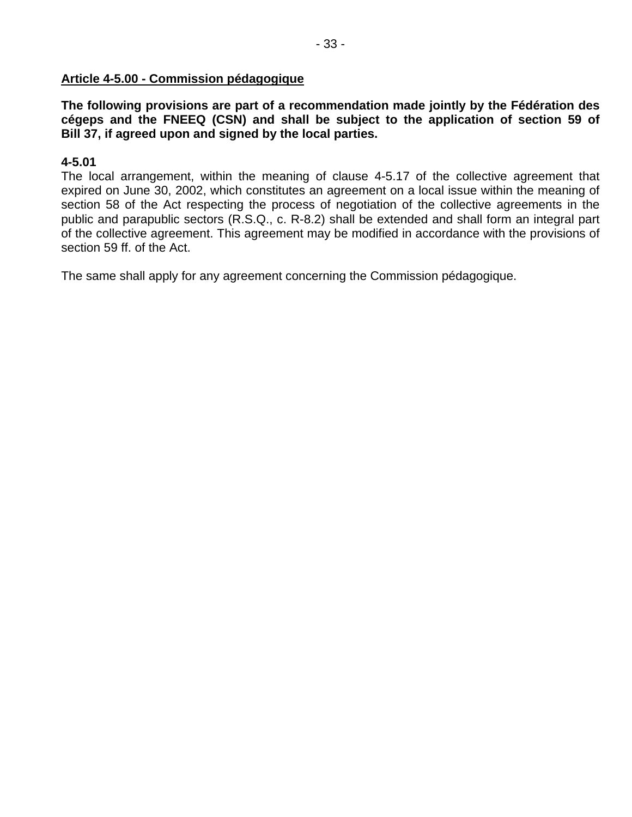### **Article 4-5.00 - Commission pédagogique**

**The following provisions are part of a recommendation made jointly by the Fédération des cégeps and the FNEEQ (CSN) and shall be subject to the application of section 59 of Bill 37, if agreed upon and signed by the local parties.** 

### **4-5.01**

The local arrangement, within the meaning of clause 4-5.17 of the collective agreement that expired on June 30, 2002, which constitutes an agreement on a local issue within the meaning of section 58 of the Act respecting the process of negotiation of the collective agreements in the public and parapublic sectors (R.S.Q., c. R-8.2) shall be extended and shall form an integral part of the collective agreement. This agreement may be modified in accordance with the provisions of section 59 ff. of the Act.

The same shall apply for any agreement concerning the Commission pédagogique.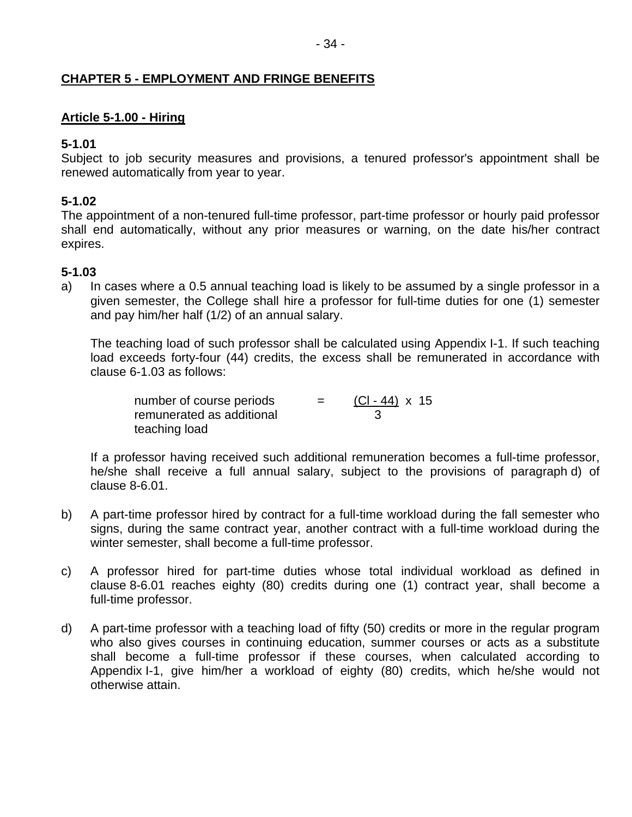### **CHAPTER 5 - EMPLOYMENT AND FRINGE BENEFITS**

### **Article 5-1.00 - Hiring**

### **5-1.01**

Subject to job security measures and provisions, a tenured professor's appointment shall be renewed automatically from year to year.

### **5-1.02**

The appointment of a non-tenured full-time professor, part-time professor or hourly paid professor shall end automatically, without any prior measures or warning, on the date his/her contract expires.

### **5-1.03**

a) In cases where a 0.5 annual teaching load is likely to be assumed by a single professor in a given semester, the College shall hire a professor for full-time duties for one (1) semester and pay him/her half (1/2) of an annual salary.

The teaching load of such professor shall be calculated using Appendix I-1. If such teaching load exceeds forty-four (44) credits, the excess shall be remunerated in accordance with clause 6-1.03 as follows:

| number of course periods  | $=$ | $(CI - 44) \times 15$ |
|---------------------------|-----|-----------------------|
| remunerated as additional |     |                       |
| teaching load             |     |                       |

 If a professor having received such additional remuneration becomes a full-time professor, he/she shall receive a full annual salary, subject to the provisions of paragraph d) of clause 8-6.01.

- b) A part-time professor hired by contract for a full-time workload during the fall semester who signs, during the same contract year, another contract with a full-time workload during the winter semester, shall become a full-time professor.
- c) A professor hired for part-time duties whose total individual workload as defined in clause 8-6.01 reaches eighty (80) credits during one (1) contract year, shall become a full-time professor.
- d) A part-time professor with a teaching load of fifty (50) credits or more in the regular program who also gives courses in continuing education, summer courses or acts as a substitute shall become a full-time professor if these courses, when calculated according to Appendix I-1, give him/her a workload of eighty (80) credits, which he/she would not otherwise attain.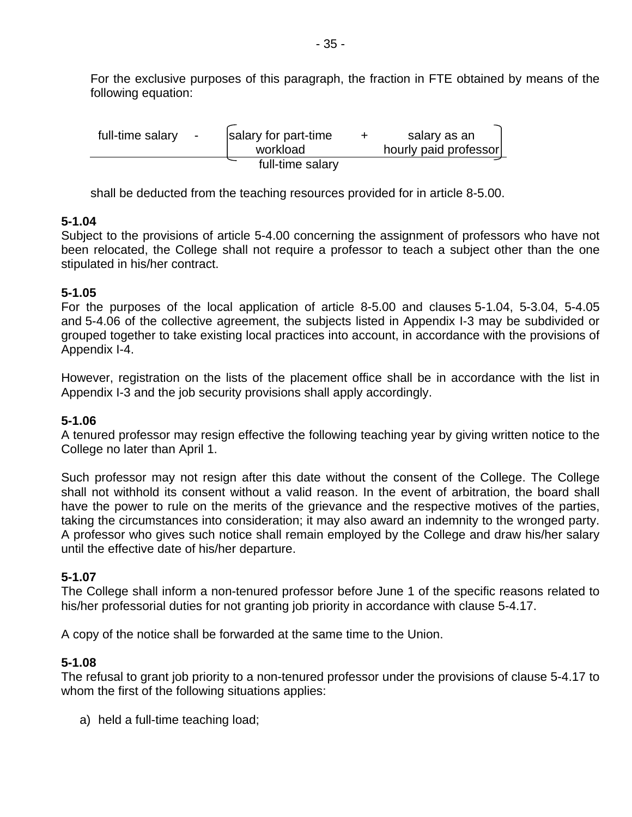For the exclusive purposes of this paragraph, the fraction in FTE obtained by means of the following equation:

| full-time salary | $\blacksquare$ | salary for part-time<br>workload | salary as an<br>hourly paid professor |  |
|------------------|----------------|----------------------------------|---------------------------------------|--|
|                  |                | full-time salary                 |                                       |  |

shall be deducted from the teaching resources provided for in article 8-5.00.

### **5-1.04**

Subject to the provisions of article 5-4.00 concerning the assignment of professors who have not been relocated, the College shall not require a professor to teach a subject other than the one stipulated in his/her contract.

### **5-1.05**

For the purposes of the local application of article 8-5.00 and clauses 5-1.04, 5-3.04, 5-4.05 and 5-4.06 of the collective agreement, the subjects listed in Appendix I-3 may be subdivided or grouped together to take existing local practices into account, in accordance with the provisions of Appendix I-4.

However, registration on the lists of the placement office shall be in accordance with the list in Appendix I-3 and the job security provisions shall apply accordingly.

### **5-1.06**

A tenured professor may resign effective the following teaching year by giving written notice to the College no later than April 1.

Such professor may not resign after this date without the consent of the College. The College shall not withhold its consent without a valid reason. In the event of arbitration, the board shall have the power to rule on the merits of the grievance and the respective motives of the parties, taking the circumstances into consideration; it may also award an indemnity to the wronged party. A professor who gives such notice shall remain employed by the College and draw his/her salary until the effective date of his/her departure.

# **5-1.07**

The College shall inform a non-tenured professor before June 1 of the specific reasons related to his/her professorial duties for not granting job priority in accordance with clause 5-4.17.

A copy of the notice shall be forwarded at the same time to the Union.

### **5-1.08**

The refusal to grant job priority to a non-tenured professor under the provisions of clause 5-4.17 to whom the first of the following situations applies:

a) held a full-time teaching load;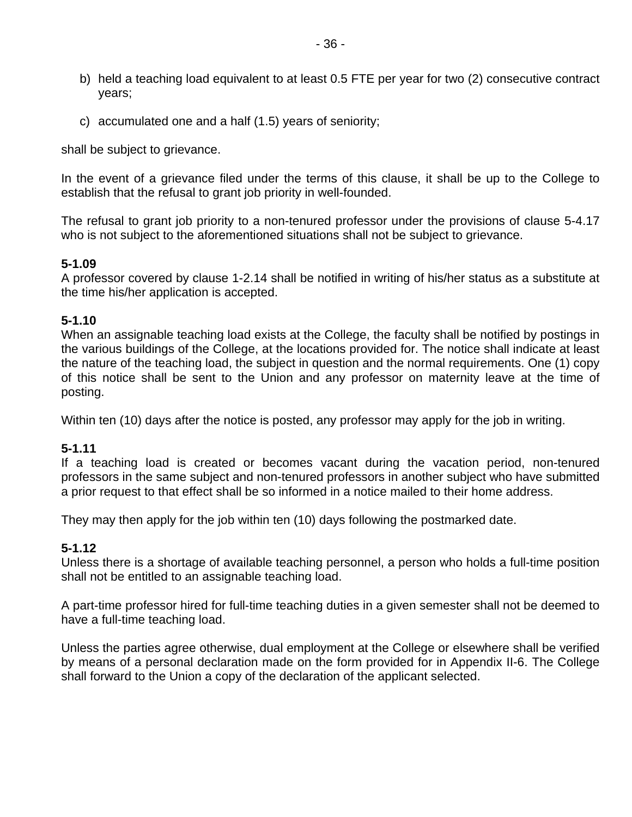- b) held a teaching load equivalent to at least 0.5 FTE per year for two (2) consecutive contract years;
- c) accumulated one and a half (1.5) years of seniority;

shall be subject to grievance.

In the event of a grievance filed under the terms of this clause, it shall be up to the College to establish that the refusal to grant job priority in well-founded.

The refusal to grant job priority to a non-tenured professor under the provisions of clause 5-4.17 who is not subject to the aforementioned situations shall not be subject to grievance.

### **5-1.09**

A professor covered by clause 1-2.14 shall be notified in writing of his/her status as a substitute at the time his/her application is accepted.

### **5-1.10**

When an assignable teaching load exists at the College, the faculty shall be notified by postings in the various buildings of the College, at the locations provided for. The notice shall indicate at least the nature of the teaching load, the subject in question and the normal requirements. One (1) copy of this notice shall be sent to the Union and any professor on maternity leave at the time of posting.

Within ten (10) days after the notice is posted, any professor may apply for the job in writing.

### **5-1.11**

If a teaching load is created or becomes vacant during the vacation period, non-tenured professors in the same subject and non-tenured professors in another subject who have submitted a prior request to that effect shall be so informed in a notice mailed to their home address.

They may then apply for the job within ten (10) days following the postmarked date.

### **5-1.12**

Unless there is a shortage of available teaching personnel, a person who holds a full-time position shall not be entitled to an assignable teaching load.

A part-time professor hired for full-time teaching duties in a given semester shall not be deemed to have a full-time teaching load.

Unless the parties agree otherwise, dual employment at the College or elsewhere shall be verified by means of a personal declaration made on the form provided for in Appendix II-6. The College shall forward to the Union a copy of the declaration of the applicant selected.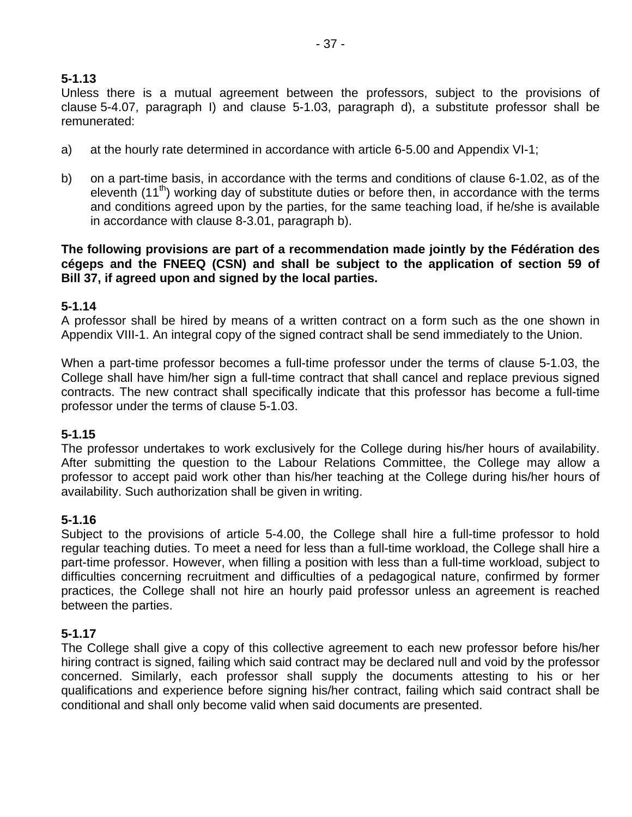# **5-1.13**

Unless there is a mutual agreement between the professors, subject to the provisions of clause 5-4.07, paragraph I) and clause 5-1.03, paragraph d), a substitute professor shall be remunerated:

- a) at the hourly rate determined in accordance with article 6-5.00 and Appendix VI-1;
- b) on a part-time basis, in accordance with the terms and conditions of clause 6-1.02, as of the eleventh (11<sup>th</sup>) working day of substitute duties or before then, in accordance with the terms and conditions agreed upon by the parties, for the same teaching load, if he/she is available in accordance with clause 8-3.01, paragraph b).

**The following provisions are part of a recommendation made jointly by the Fédération des cégeps and the FNEEQ (CSN) and shall be subject to the application of section 59 of Bill 37, if agreed upon and signed by the local parties.** 

### **5-1.14**

A professor shall be hired by means of a written contract on a form such as the one shown in Appendix VIII-1. An integral copy of the signed contract shall be send immediately to the Union.

When a part-time professor becomes a full-time professor under the terms of clause 5-1.03, the College shall have him/her sign a full-time contract that shall cancel and replace previous signed contracts. The new contract shall specifically indicate that this professor has become a full-time professor under the terms of clause 5-1.03.

### **5-1.15**

The professor undertakes to work exclusively for the College during his/her hours of availability. After submitting the question to the Labour Relations Committee, the College may allow a professor to accept paid work other than his/her teaching at the College during his/her hours of availability. Such authorization shall be given in writing.

### **5-1.16**

Subject to the provisions of article 5-4.00, the College shall hire a full-time professor to hold regular teaching duties. To meet a need for less than a full-time workload, the College shall hire a part-time professor. However, when filling a position with less than a full-time workload, subject to difficulties concerning recruitment and difficulties of a pedagogical nature, confirmed by former practices, the College shall not hire an hourly paid professor unless an agreement is reached between the parties.

# **5-1.17**

The College shall give a copy of this collective agreement to each new professor before his/her hiring contract is signed, failing which said contract may be declared null and void by the professor concerned. Similarly, each professor shall supply the documents attesting to his or her qualifications and experience before signing his/her contract, failing which said contract shall be conditional and shall only become valid when said documents are presented.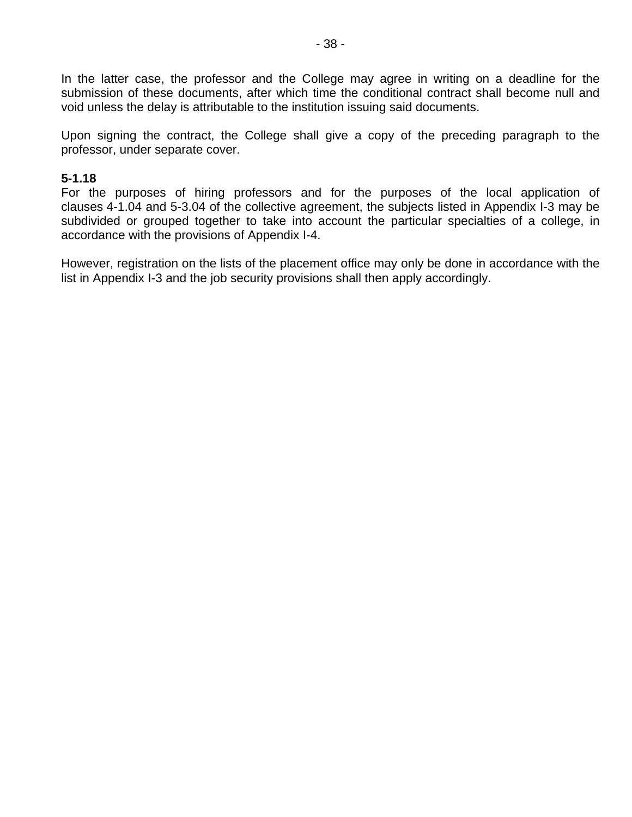In the latter case, the professor and the College may agree in writing on a deadline for the submission of these documents, after which time the conditional contract shall become null and void unless the delay is attributable to the institution issuing said documents.

Upon signing the contract, the College shall give a copy of the preceding paragraph to the professor, under separate cover.

#### **5-1.18**

For the purposes of hiring professors and for the purposes of the local application of clauses 4-1.04 and 5-3.04 of the collective agreement, the subjects listed in Appendix I-3 may be subdivided or grouped together to take into account the particular specialties of a college, in accordance with the provisions of Appendix I-4.

However, registration on the lists of the placement office may only be done in accordance with the list in Appendix I-3 and the job security provisions shall then apply accordingly.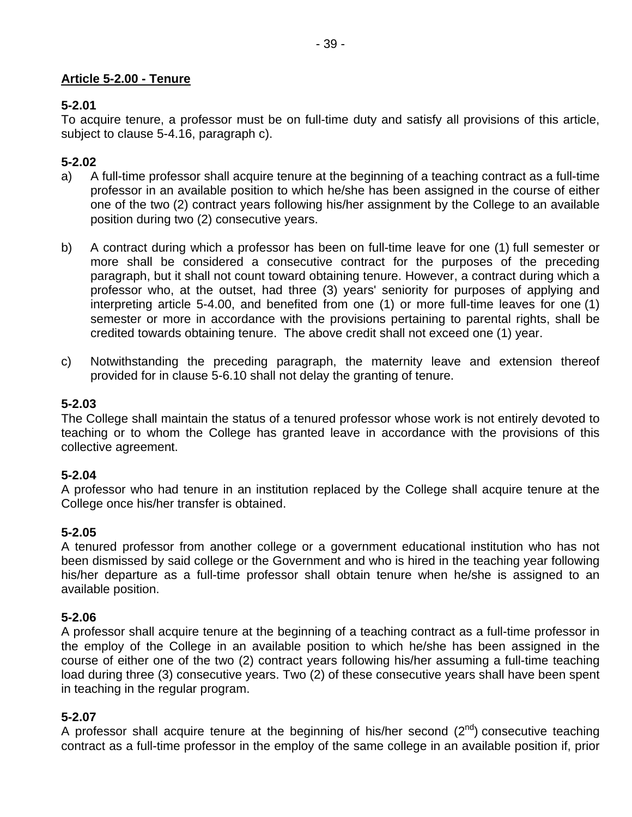# **Article 5-2.00 - Tenure**

# **5-2.01**

To acquire tenure, a professor must be on full-time duty and satisfy all provisions of this article, subject to clause 5-4.16, paragraph c).

# **5-2.02**

- a) A full-time professor shall acquire tenure at the beginning of a teaching contract as a full-time professor in an available position to which he/she has been assigned in the course of either one of the two (2) contract years following his/her assignment by the College to an available position during two (2) consecutive years.
- b) A contract during which a professor has been on full-time leave for one (1) full semester or more shall be considered a consecutive contract for the purposes of the preceding paragraph, but it shall not count toward obtaining tenure. However, a contract during which a professor who, at the outset, had three (3) years' seniority for purposes of applying and interpreting article 5-4.00, and benefited from one (1) or more full-time leaves for one (1) semester or more in accordance with the provisions pertaining to parental rights, shall be credited towards obtaining tenure. The above credit shall not exceed one (1) year.
- c) Notwithstanding the preceding paragraph, the maternity leave and extension thereof provided for in clause 5-6.10 shall not delay the granting of tenure.

# **5-2.03**

The College shall maintain the status of a tenured professor whose work is not entirely devoted to teaching or to whom the College has granted leave in accordance with the provisions of this collective agreement.

# **5-2.04**

A professor who had tenure in an institution replaced by the College shall acquire tenure at the College once his/her transfer is obtained.

# **5-2.05**

A tenured professor from another college or a government educational institution who has not been dismissed by said college or the Government and who is hired in the teaching year following his/her departure as a full-time professor shall obtain tenure when he/she is assigned to an available position.

# **5-2.06**

A professor shall acquire tenure at the beginning of a teaching contract as a full-time professor in the employ of the College in an available position to which he/she has been assigned in the course of either one of the two (2) contract years following his/her assuming a full-time teaching load during three (3) consecutive years. Two (2) of these consecutive years shall have been spent in teaching in the regular program.

# **5-2.07**

A professor shall acquire tenure at the beginning of his/her second  $(2^{nd})$  consecutive teaching contract as a full-time professor in the employ of the same college in an available position if, prior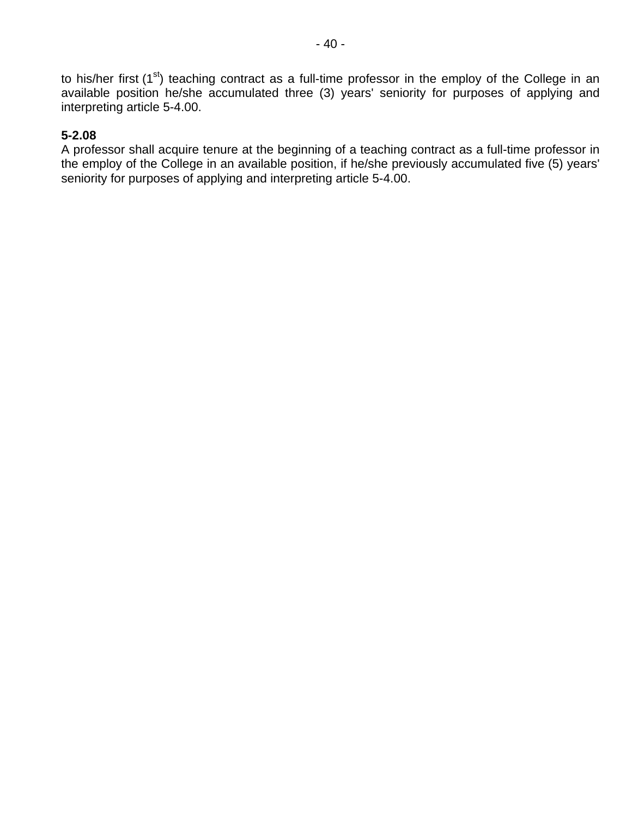to his/her first  $(1<sup>st</sup>)$  teaching contract as a full-time professor in the employ of the College in an available position he/she accumulated three (3) years' seniority for purposes of applying and interpreting article 5-4.00.

### **5-2.08**

A professor shall acquire tenure at the beginning of a teaching contract as a full-time professor in the employ of the College in an available position, if he/she previously accumulated five (5) years' seniority for purposes of applying and interpreting article 5-4.00.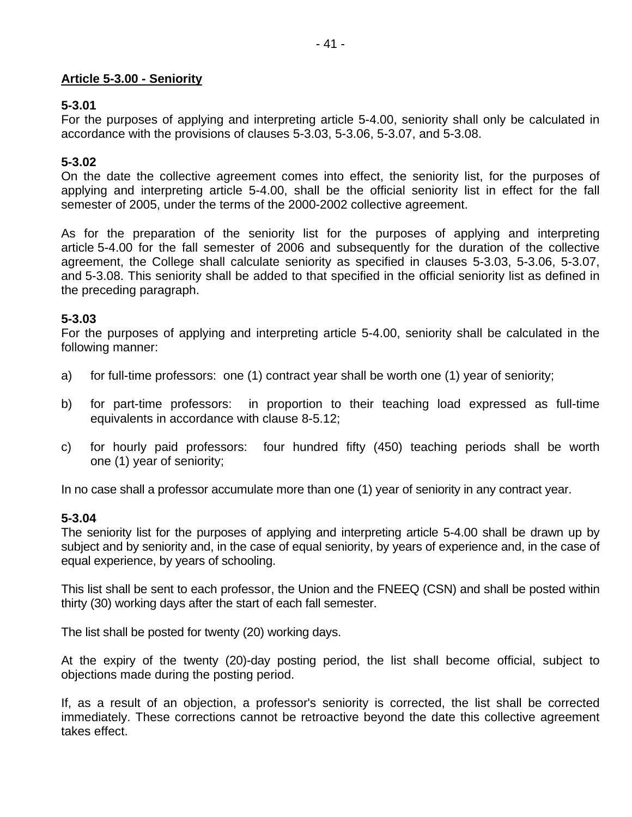### **Article 5-3.00 - Seniority**

### **5-3.01**

For the purposes of applying and interpreting article 5-4.00, seniority shall only be calculated in accordance with the provisions of clauses 5-3.03, 5-3.06, 5-3.07, and 5-3.08.

### **5-3.02**

On the date the collective agreement comes into effect, the seniority list, for the purposes of applying and interpreting article 5-4.00, shall be the official seniority list in effect for the fall semester of 2005, under the terms of the 2000-2002 collective agreement.

As for the preparation of the seniority list for the purposes of applying and interpreting article 5-4.00 for the fall semester of 2006 and subsequently for the duration of the collective agreement, the College shall calculate seniority as specified in clauses 5-3.03, 5-3.06, 5-3.07, and 5-3.08. This seniority shall be added to that specified in the official seniority list as defined in the preceding paragraph.

### **5-3.03**

For the purposes of applying and interpreting article 5-4.00, seniority shall be calculated in the following manner:

- a) for full-time professors: one (1) contract year shall be worth one (1) year of seniority;
- b) for part-time professors: in proportion to their teaching load expressed as full-time equivalents in accordance with clause 8-5.12;
- c) for hourly paid professors: four hundred fifty (450) teaching periods shall be worth one (1) year of seniority;

In no case shall a professor accumulate more than one (1) year of seniority in any contract year.

### **5-3.04**

The seniority list for the purposes of applying and interpreting article 5-4.00 shall be drawn up by subject and by seniority and, in the case of equal seniority, by years of experience and, in the case of equal experience, by years of schooling.

This list shall be sent to each professor, the Union and the FNEEQ (CSN) and shall be posted within thirty (30) working days after the start of each fall semester.

The list shall be posted for twenty (20) working days.

At the expiry of the twenty (20)-day posting period, the list shall become official, subject to objections made during the posting period.

If, as a result of an objection, a professor's seniority is corrected, the list shall be corrected immediately. These corrections cannot be retroactive beyond the date this collective agreement takes effect.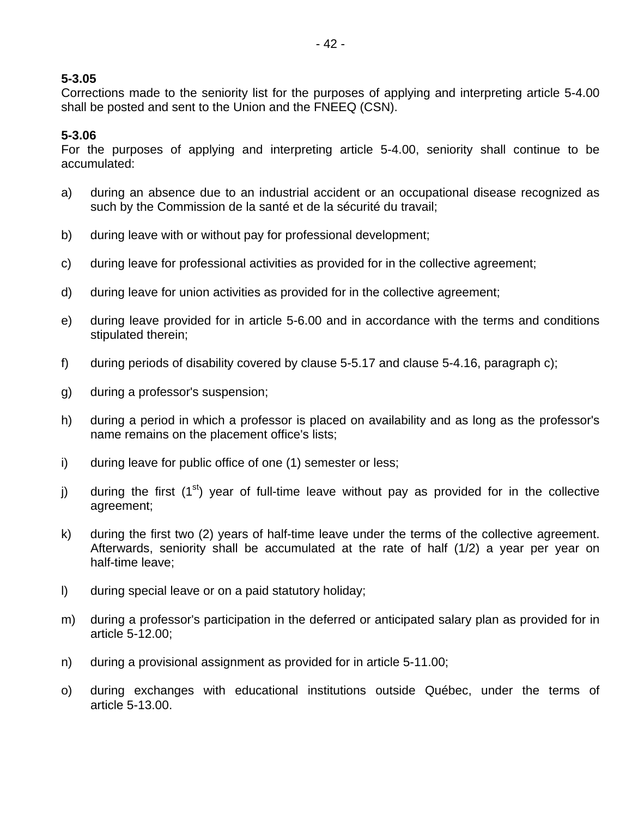Corrections made to the seniority list for the purposes of applying and interpreting article 5-4.00 shall be posted and sent to the Union and the FNEEQ (CSN).

### **5-3.06**

For the purposes of applying and interpreting article 5-4.00, seniority shall continue to be accumulated:

- a) during an absence due to an industrial accident or an occupational disease recognized as such by the Commission de la santé et de la sécurité du travail;
- b) during leave with or without pay for professional development;
- c) during leave for professional activities as provided for in the collective agreement;
- d) during leave for union activities as provided for in the collective agreement;
- e) during leave provided for in article 5-6.00 and in accordance with the terms and conditions stipulated therein;
- f) during periods of disability covered by clause 5-5.17 and clause 5-4.16, paragraph c);
- g) during a professor's suspension;
- h) during a period in which a professor is placed on availability and as long as the professor's name remains on the placement office's lists;
- i) during leave for public office of one (1) semester or less;
- j) during the first  $(1<sup>st</sup>)$  year of full-time leave without pay as provided for in the collective agreement;
- k) during the first two (2) years of half-time leave under the terms of the collective agreement. Afterwards, seniority shall be accumulated at the rate of half (1/2) a year per year on half-time leave;
- l) during special leave or on a paid statutory holiday;
- m) during a professor's participation in the deferred or anticipated salary plan as provided for in article 5-12.00;
- n) during a provisional assignment as provided for in article 5-11.00;
- o) during exchanges with educational institutions outside Québec, under the terms of article 5-13.00.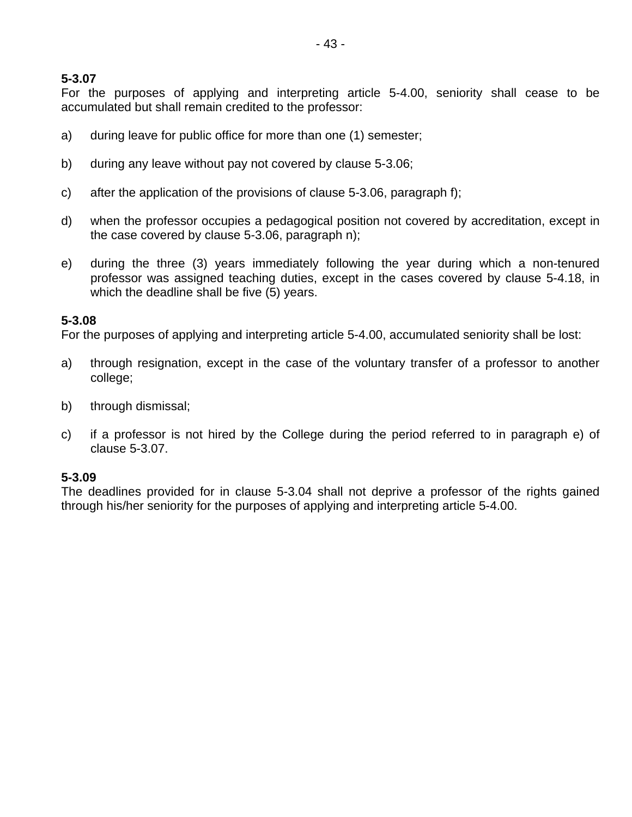For the purposes of applying and interpreting article 5-4.00, seniority shall cease to be accumulated but shall remain credited to the professor:

- a) during leave for public office for more than one (1) semester;
- b) during any leave without pay not covered by clause 5-3.06;
- c) after the application of the provisions of clause 5-3.06, paragraph f);
- d) when the professor occupies a pedagogical position not covered by accreditation, except in the case covered by clause 5-3.06, paragraph n);
- e) during the three (3) years immediately following the year during which a non-tenured professor was assigned teaching duties, except in the cases covered by clause 5-4.18, in which the deadline shall be five (5) years.

#### **5-3.08**

For the purposes of applying and interpreting article 5-4.00, accumulated seniority shall be lost:

- a) through resignation, except in the case of the voluntary transfer of a professor to another college;
- b) through dismissal;
- c) if a professor is not hired by the College during the period referred to in paragraph e) of clause 5-3.07.

#### **5-3.09**

The deadlines provided for in clause 5-3.04 shall not deprive a professor of the rights gained through his/her seniority for the purposes of applying and interpreting article 5-4.00.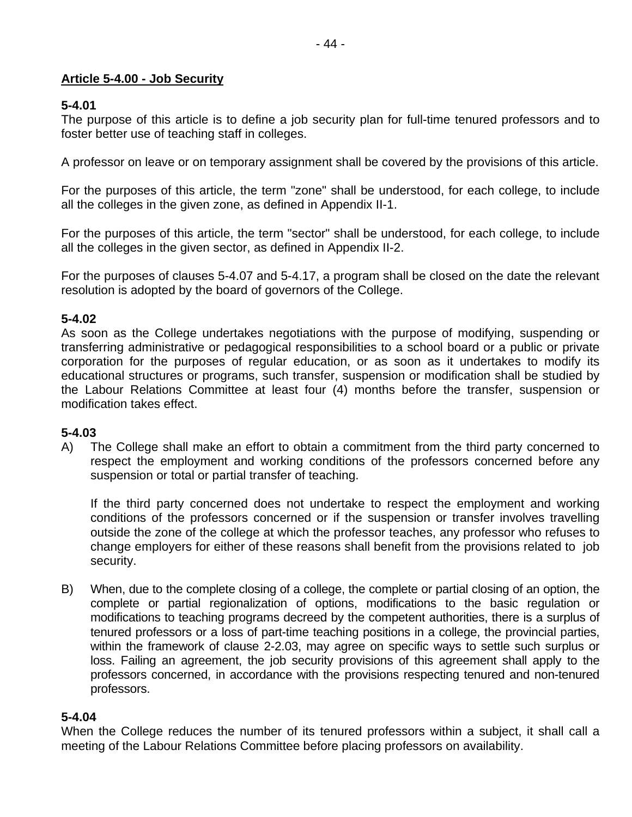### **Article 5-4.00 - Job Security**

### **5-4.01**

The purpose of this article is to define a job security plan for full-time tenured professors and to foster better use of teaching staff in colleges.

A professor on leave or on temporary assignment shall be covered by the provisions of this article.

For the purposes of this article, the term "zone" shall be understood, for each college, to include all the colleges in the given zone, as defined in Appendix II-1.

For the purposes of this article, the term "sector" shall be understood, for each college, to include all the colleges in the given sector, as defined in Appendix II-2.

For the purposes of clauses 5-4.07 and 5-4.17, a program shall be closed on the date the relevant resolution is adopted by the board of governors of the College.

### **5-4.02**

As soon as the College undertakes negotiations with the purpose of modifying, suspending or transferring administrative or pedagogical responsibilities to a school board or a public or private corporation for the purposes of regular education, or as soon as it undertakes to modify its educational structures or programs, such transfer, suspension or modification shall be studied by the Labour Relations Committee at least four (4) months before the transfer, suspension or modification takes effect.

# **5-4.03**

A) The College shall make an effort to obtain a commitment from the third party concerned to respect the employment and working conditions of the professors concerned before any suspension or total or partial transfer of teaching.

If the third party concerned does not undertake to respect the employment and working conditions of the professors concerned or if the suspension or transfer involves travelling outside the zone of the college at which the professor teaches, any professor who refuses to change employers for either of these reasons shall benefit from the provisions related to job security.

B) When, due to the complete closing of a college, the complete or partial closing of an option, the complete or partial regionalization of options, modifications to the basic regulation or modifications to teaching programs decreed by the competent authorities, there is a surplus of tenured professors or a loss of part-time teaching positions in a college, the provincial parties, within the framework of clause 2-2.03, may agree on specific ways to settle such surplus or loss. Failing an agreement, the job security provisions of this agreement shall apply to the professors concerned, in accordance with the provisions respecting tenured and non-tenured professors.

### **5-4.04**

When the College reduces the number of its tenured professors within a subject, it shall call a meeting of the Labour Relations Committee before placing professors on availability.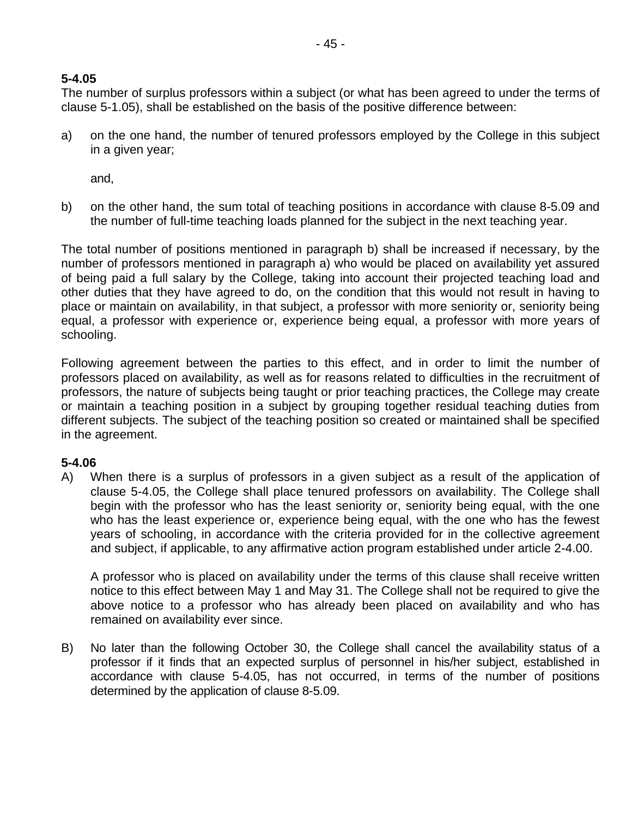### **5-4.05**

The number of surplus professors within a subject (or what has been agreed to under the terms of clause 5-1.05), shall be established on the basis of the positive difference between:

a) on the one hand, the number of tenured professors employed by the College in this subject in a given year;

and,

b) on the other hand, the sum total of teaching positions in accordance with clause 8-5.09 and the number of full-time teaching loads planned for the subject in the next teaching year.

The total number of positions mentioned in paragraph b) shall be increased if necessary, by the number of professors mentioned in paragraph a) who would be placed on availability yet assured of being paid a full salary by the College, taking into account their projected teaching load and other duties that they have agreed to do, on the condition that this would not result in having to place or maintain on availability, in that subject, a professor with more seniority or, seniority being equal, a professor with experience or, experience being equal, a professor with more years of schooling.

Following agreement between the parties to this effect, and in order to limit the number of professors placed on availability, as well as for reasons related to difficulties in the recruitment of professors, the nature of subjects being taught or prior teaching practices, the College may create or maintain a teaching position in a subject by grouping together residual teaching duties from different subjects. The subject of the teaching position so created or maintained shall be specified in the agreement.

### **5-4.06**

A) When there is a surplus of professors in a given subject as a result of the application of clause 5-4.05, the College shall place tenured professors on availability. The College shall begin with the professor who has the least seniority or, seniority being equal, with the one who has the least experience or, experience being equal, with the one who has the fewest years of schooling, in accordance with the criteria provided for in the collective agreement and subject, if applicable, to any affirmative action program established under article 2-4.00.

A professor who is placed on availability under the terms of this clause shall receive written notice to this effect between May 1 and May 31. The College shall not be required to give the above notice to a professor who has already been placed on availability and who has remained on availability ever since.

B) No later than the following October 30, the College shall cancel the availability status of a professor if it finds that an expected surplus of personnel in his/her subject, established in accordance with clause 5-4.05, has not occurred, in terms of the number of positions determined by the application of clause 8-5.09.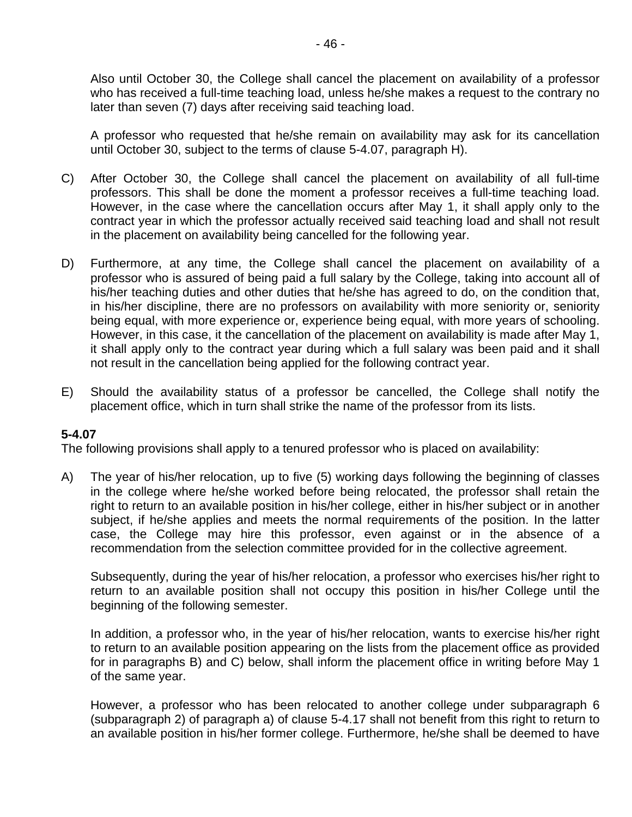Also until October 30, the College shall cancel the placement on availability of a professor who has received a full-time teaching load, unless he/she makes a request to the contrary no later than seven (7) days after receiving said teaching load.

A professor who requested that he/she remain on availability may ask for its cancellation until October 30, subject to the terms of clause 5-4.07, paragraph H).

- C) After October 30, the College shall cancel the placement on availability of all full-time professors. This shall be done the moment a professor receives a full-time teaching load. However, in the case where the cancellation occurs after May 1, it shall apply only to the contract year in which the professor actually received said teaching load and shall not result in the placement on availability being cancelled for the following year.
- D) Furthermore, at any time, the College shall cancel the placement on availability of a professor who is assured of being paid a full salary by the College, taking into account all of his/her teaching duties and other duties that he/she has agreed to do, on the condition that, in his/her discipline, there are no professors on availability with more seniority or, seniority being equal, with more experience or, experience being equal, with more years of schooling. However, in this case, it the cancellation of the placement on availability is made after May 1, it shall apply only to the contract year during which a full salary was been paid and it shall not result in the cancellation being applied for the following contract year.
- E) Should the availability status of a professor be cancelled, the College shall notify the placement office, which in turn shall strike the name of the professor from its lists.

#### **5-4.07**

The following provisions shall apply to a tenured professor who is placed on availability:

A) The year of his/her relocation, up to five (5) working days following the beginning of classes in the college where he/she worked before being relocated, the professor shall retain the right to return to an available position in his/her college, either in his/her subject or in another subject, if he/she applies and meets the normal requirements of the position. In the latter case, the College may hire this professor, even against or in the absence of a recommendation from the selection committee provided for in the collective agreement.

Subsequently, during the year of his/her relocation, a professor who exercises his/her right to return to an available position shall not occupy this position in his/her College until the beginning of the following semester.

In addition, a professor who, in the year of his/her relocation, wants to exercise his/her right to return to an available position appearing on the lists from the placement office as provided for in paragraphs B) and C) below, shall inform the placement office in writing before May 1 of the same year.

However, a professor who has been relocated to another college under subparagraph 6 (subparagraph 2) of paragraph a) of clause 5-4.17 shall not benefit from this right to return to an available position in his/her former college. Furthermore, he/she shall be deemed to have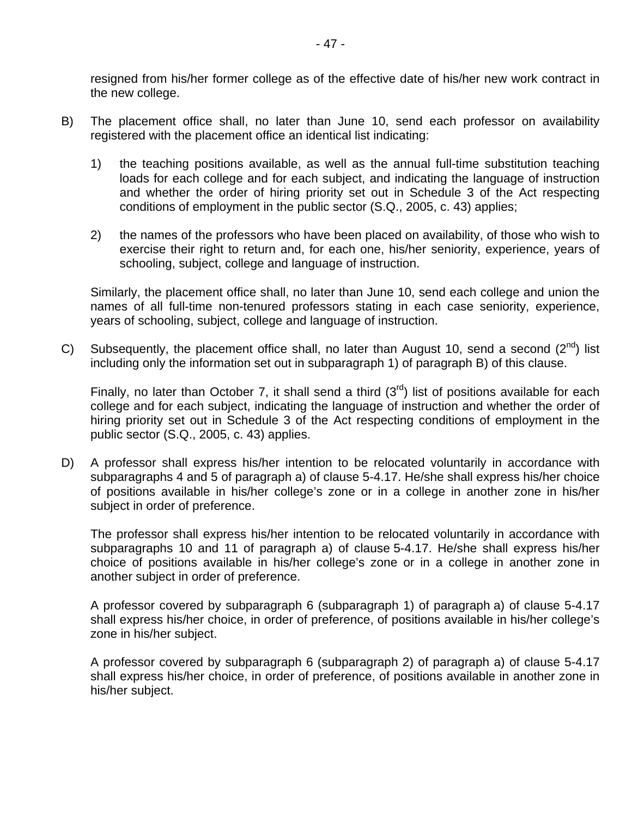resigned from his/her former college as of the effective date of his/her new work contract in the new college.

- B) The placement office shall, no later than June 10, send each professor on availability registered with the placement office an identical list indicating:
	- 1) the teaching positions available, as well as the annual full-time substitution teaching loads for each college and for each subject, and indicating the language of instruction and whether the order of hiring priority set out in Schedule 3 of the Act respecting conditions of employment in the public sector (S.Q., 2005, c. 43) applies;
	- 2) the names of the professors who have been placed on availability, of those who wish to exercise their right to return and, for each one, his/her seniority, experience, years of schooling, subject, college and language of instruction.

Similarly, the placement office shall, no later than June 10, send each college and union the names of all full-time non-tenured professors stating in each case seniority, experience, years of schooling, subject, college and language of instruction.

C) Subsequently, the placement office shall, no later than August 10, send a second  $(2^{nd})$  list including only the information set out in subparagraph 1) of paragraph B) of this clause.

Finally, no later than October 7, it shall send a third  $(3<sup>rd</sup>)$  list of positions available for each college and for each subject, indicating the language of instruction and whether the order of hiring priority set out in Schedule 3 of the Act respecting conditions of employment in the public sector (S.Q., 2005, c. 43) applies.

D) A professor shall express his/her intention to be relocated voluntarily in accordance with subparagraphs 4 and 5 of paragraph a) of clause 5-4.17. He/she shall express his/her choice of positions available in his/her college's zone or in a college in another zone in his/her subject in order of preference.

The professor shall express his/her intention to be relocated voluntarily in accordance with subparagraphs 10 and 11 of paragraph a) of clause 5-4.17. He/she shall express his/her choice of positions available in his/her college's zone or in a college in another zone in another subject in order of preference.

A professor covered by subparagraph 6 (subparagraph 1) of paragraph a) of clause 5-4.17 shall express his/her choice, in order of preference, of positions available in his/her college's zone in his/her subject.

A professor covered by subparagraph 6 (subparagraph 2) of paragraph a) of clause 5-4.17 shall express his/her choice, in order of preference, of positions available in another zone in his/her subject.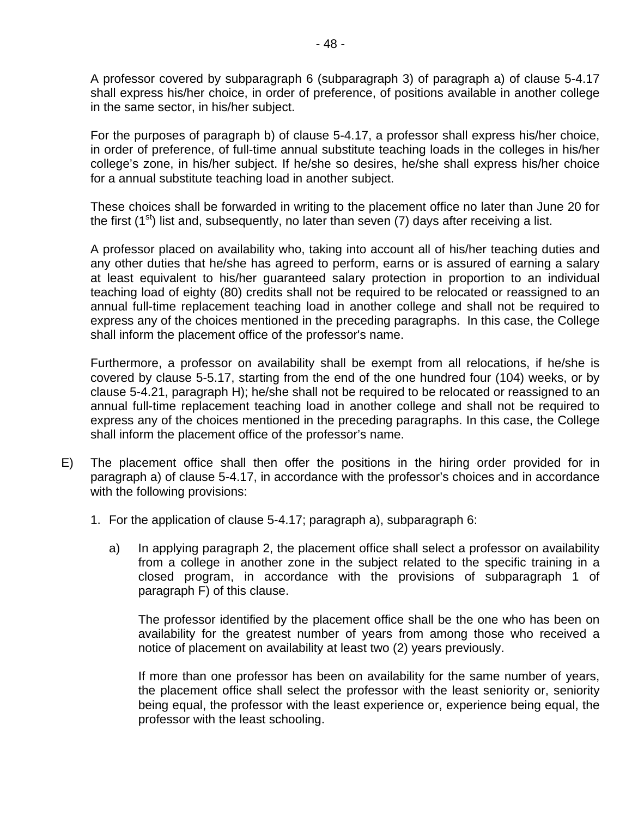A professor covered by subparagraph 6 (subparagraph 3) of paragraph a) of clause 5-4.17 shall express his/her choice, in order of preference, of positions available in another college in the same sector, in his/her subject.

For the purposes of paragraph b) of clause 5-4.17, a professor shall express his/her choice, in order of preference, of full-time annual substitute teaching loads in the colleges in his/her college's zone, in his/her subject. If he/she so desires, he/she shall express his/her choice for a annual substitute teaching load in another subject.

These choices shall be forwarded in writing to the placement office no later than June 20 for the first  $(1<sup>st</sup>)$  list and, subsequently, no later than seven  $(7)$  days after receiving a list.

A professor placed on availability who, taking into account all of his/her teaching duties and any other duties that he/she has agreed to perform, earns or is assured of earning a salary at least equivalent to his/her guaranteed salary protection in proportion to an individual teaching load of eighty (80) credits shall not be required to be relocated or reassigned to an annual full-time replacement teaching load in another college and shall not be required to express any of the choices mentioned in the preceding paragraphs. In this case, the College shall inform the placement office of the professor's name.

Furthermore, a professor on availability shall be exempt from all relocations, if he/she is covered by clause 5-5.17, starting from the end of the one hundred four (104) weeks, or by clause 5-4.21, paragraph H); he/she shall not be required to be relocated or reassigned to an annual full-time replacement teaching load in another college and shall not be required to express any of the choices mentioned in the preceding paragraphs. In this case, the College shall inform the placement office of the professor's name.

- E) The placement office shall then offer the positions in the hiring order provided for in paragraph a) of clause 5-4.17, in accordance with the professor's choices and in accordance with the following provisions:
	- 1. For the application of clause 5-4.17; paragraph a), subparagraph 6:
		- a) In applying paragraph 2, the placement office shall select a professor on availability from a college in another zone in the subject related to the specific training in a closed program, in accordance with the provisions of subparagraph 1 of paragraph F) of this clause.

The professor identified by the placement office shall be the one who has been on availability for the greatest number of years from among those who received a notice of placement on availability at least two (2) years previously.

If more than one professor has been on availability for the same number of years, the placement office shall select the professor with the least seniority or, seniority being equal, the professor with the least experience or, experience being equal, the professor with the least schooling.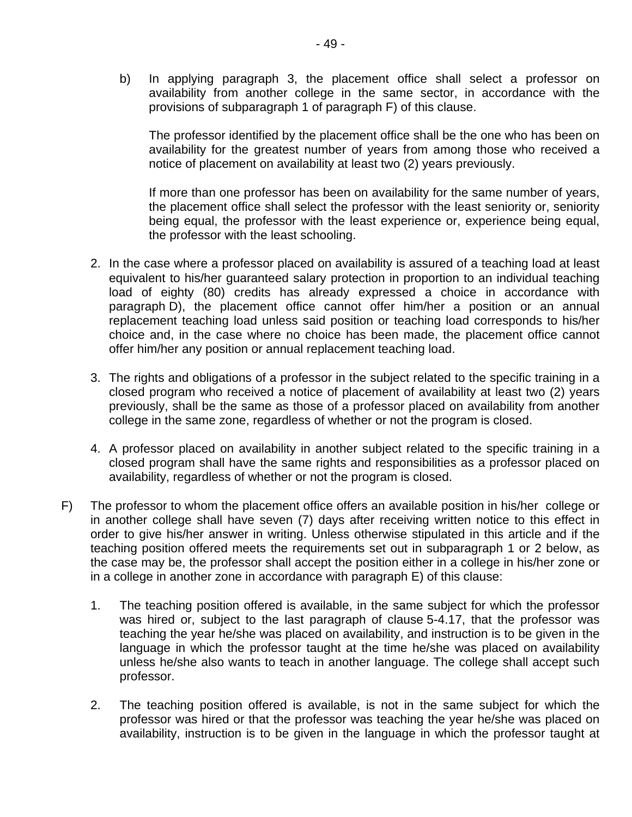b) In applying paragraph 3, the placement office shall select a professor on availability from another college in the same sector, in accordance with the provisions of subparagraph 1 of paragraph F) of this clause.

The professor identified by the placement office shall be the one who has been on availability for the greatest number of years from among those who received a notice of placement on availability at least two (2) years previously.

If more than one professor has been on availability for the same number of years, the placement office shall select the professor with the least seniority or, seniority being equal, the professor with the least experience or, experience being equal, the professor with the least schooling.

- 2. In the case where a professor placed on availability is assured of a teaching load at least equivalent to his/her guaranteed salary protection in proportion to an individual teaching load of eighty (80) credits has already expressed a choice in accordance with paragraph D), the placement office cannot offer him/her a position or an annual replacement teaching load unless said position or teaching load corresponds to his/her choice and, in the case where no choice has been made, the placement office cannot offer him/her any position or annual replacement teaching load.
- 3. The rights and obligations of a professor in the subject related to the specific training in a closed program who received a notice of placement of availability at least two (2) years previously, shall be the same as those of a professor placed on availability from another college in the same zone, regardless of whether or not the program is closed.
- 4. A professor placed on availability in another subject related to the specific training in a closed program shall have the same rights and responsibilities as a professor placed on availability, regardless of whether or not the program is closed.
- F) The professor to whom the placement office offers an available position in his/her college or in another college shall have seven (7) days after receiving written notice to this effect in order to give his/her answer in writing. Unless otherwise stipulated in this article and if the teaching position offered meets the requirements set out in subparagraph 1 or 2 below, as the case may be, the professor shall accept the position either in a college in his/her zone or in a college in another zone in accordance with paragraph E) of this clause:
	- 1. The teaching position offered is available, in the same subject for which the professor was hired or, subject to the last paragraph of clause 5-4.17, that the professor was teaching the year he/she was placed on availability, and instruction is to be given in the language in which the professor taught at the time he/she was placed on availability unless he/she also wants to teach in another language. The college shall accept such professor.
	- 2. The teaching position offered is available, is not in the same subject for which the professor was hired or that the professor was teaching the year he/she was placed on availability, instruction is to be given in the language in which the professor taught at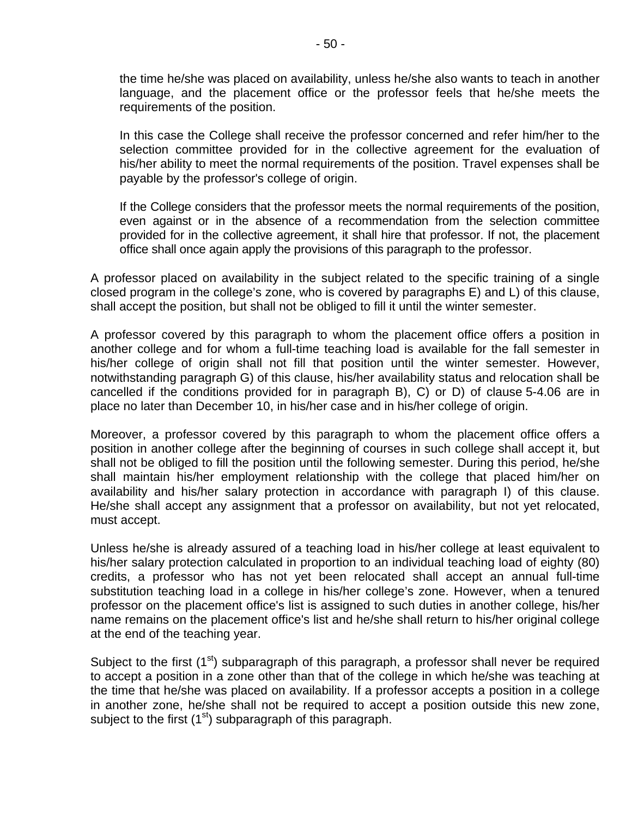the time he/she was placed on availability, unless he/she also wants to teach in another language, and the placement office or the professor feels that he/she meets the requirements of the position.

In this case the College shall receive the professor concerned and refer him/her to the selection committee provided for in the collective agreement for the evaluation of his/her ability to meet the normal requirements of the position. Travel expenses shall be payable by the professor's college of origin.

If the College considers that the professor meets the normal requirements of the position, even against or in the absence of a recommendation from the selection committee provided for in the collective agreement, it shall hire that professor. If not, the placement office shall once again apply the provisions of this paragraph to the professor.

A professor placed on availability in the subject related to the specific training of a single closed program in the college's zone, who is covered by paragraphs E) and L) of this clause, shall accept the position, but shall not be obliged to fill it until the winter semester.

A professor covered by this paragraph to whom the placement office offers a position in another college and for whom a full-time teaching load is available for the fall semester in his/her college of origin shall not fill that position until the winter semester. However, notwithstanding paragraph G) of this clause, his/her availability status and relocation shall be cancelled if the conditions provided for in paragraph B), C) or D) of clause 5-4.06 are in place no later than December 10, in his/her case and in his/her college of origin.

Moreover, a professor covered by this paragraph to whom the placement office offers a position in another college after the beginning of courses in such college shall accept it, but shall not be obliged to fill the position until the following semester. During this period, he/she shall maintain his/her employment relationship with the college that placed him/her on availability and his/her salary protection in accordance with paragraph I) of this clause. He/she shall accept any assignment that a professor on availability, but not yet relocated, must accept.

Unless he/she is already assured of a teaching load in his/her college at least equivalent to his/her salary protection calculated in proportion to an individual teaching load of eighty (80) credits, a professor who has not yet been relocated shall accept an annual full-time substitution teaching load in a college in his/her college's zone. However, when a tenured professor on the placement office's list is assigned to such duties in another college, his/her name remains on the placement office's list and he/she shall return to his/her original college at the end of the teaching year.

Subject to the first  $(1^{st})$  subparagraph of this paragraph, a professor shall never be required to accept a position in a zone other than that of the college in which he/she was teaching at the time that he/she was placed on availability. If a professor accepts a position in a college in another zone, he/she shall not be required to accept a position outside this new zone, subject to the first  $(1<sup>st</sup>)$  subparagraph of this paragraph.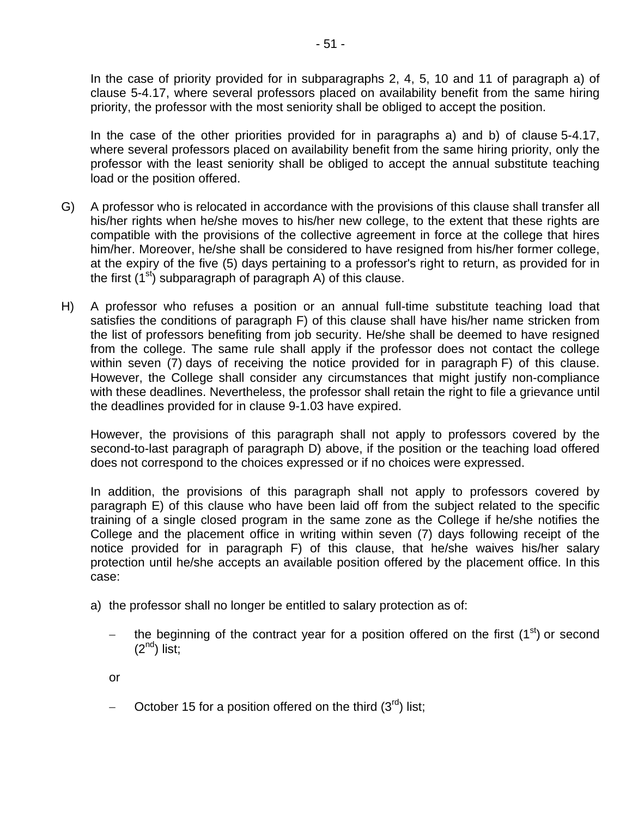In the case of priority provided for in subparagraphs 2, 4, 5, 10 and 11 of paragraph a) of clause 5-4.17, where several professors placed on availability benefit from the same hiring priority, the professor with the most seniority shall be obliged to accept the position.

In the case of the other priorities provided for in paragraphs a) and b) of clause 5-4.17, where several professors placed on availability benefit from the same hiring priority, only the professor with the least seniority shall be obliged to accept the annual substitute teaching load or the position offered.

- G) A professor who is relocated in accordance with the provisions of this clause shall transfer all his/her rights when he/she moves to his/her new college, to the extent that these rights are compatible with the provisions of the collective agreement in force at the college that hires him/her. Moreover, he/she shall be considered to have resigned from his/her former college, at the expiry of the five (5) days pertaining to a professor's right to return, as provided for in the first  $(1^{st})$  subparagraph of paragraph A) of this clause.
- H) A professor who refuses a position or an annual full-time substitute teaching load that satisfies the conditions of paragraph F) of this clause shall have his/her name stricken from the list of professors benefiting from job security. He/she shall be deemed to have resigned from the college. The same rule shall apply if the professor does not contact the college within seven (7) days of receiving the notice provided for in paragraph F) of this clause. However, the College shall consider any circumstances that might justify non-compliance with these deadlines. Nevertheless, the professor shall retain the right to file a grievance until the deadlines provided for in clause 9-1.03 have expired.

However, the provisions of this paragraph shall not apply to professors covered by the second-to-last paragraph of paragraph D) above, if the position or the teaching load offered does not correspond to the choices expressed or if no choices were expressed.

In addition, the provisions of this paragraph shall not apply to professors covered by paragraph E) of this clause who have been laid off from the subject related to the specific training of a single closed program in the same zone as the College if he/she notifies the College and the placement office in writing within seven (7) days following receipt of the notice provided for in paragraph F) of this clause, that he/she waives his/her salary protection until he/she accepts an available position offered by the placement office. In this case:

- a) the professor shall no longer be entitled to salary protection as of:
	- the beginning of the contract year for a position offered on the first (1<sup>st</sup>) or second  $(2<sup>nd</sup>)$  list;
	- or
	- October 15 for a position offered on the third  $(3<sup>rd</sup>)$  list;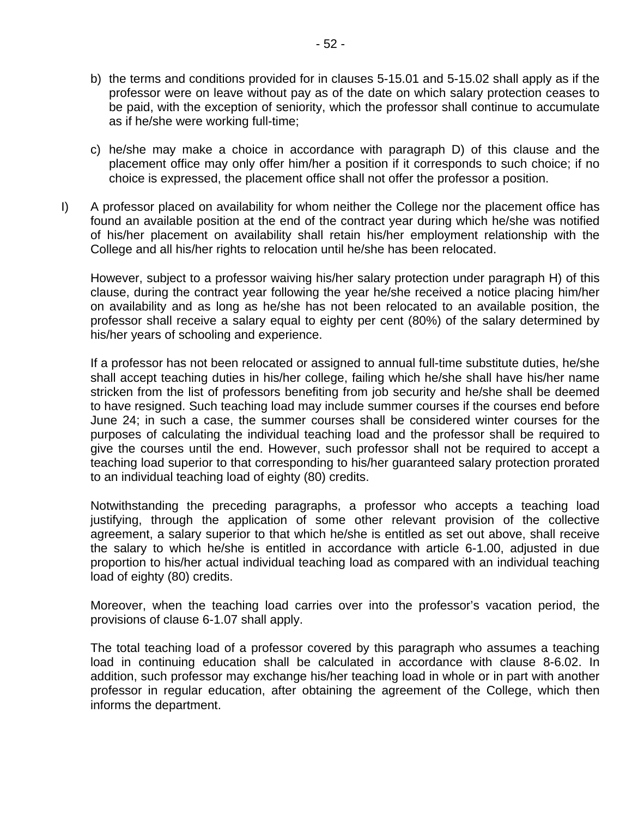- b) the terms and conditions provided for in clauses 5-15.01 and 5-15.02 shall apply as if the professor were on leave without pay as of the date on which salary protection ceases to be paid, with the exception of seniority, which the professor shall continue to accumulate as if he/she were working full-time;
- c) he/she may make a choice in accordance with paragraph D) of this clause and the placement office may only offer him/her a position if it corresponds to such choice; if no choice is expressed, the placement office shall not offer the professor a position.
- I) A professor placed on availability for whom neither the College nor the placement office has found an available position at the end of the contract year during which he/she was notified of his/her placement on availability shall retain his/her employment relationship with the College and all his/her rights to relocation until he/she has been relocated.

However, subject to a professor waiving his/her salary protection under paragraph H) of this clause, during the contract year following the year he/she received a notice placing him/her on availability and as long as he/she has not been relocated to an available position, the professor shall receive a salary equal to eighty per cent (80%) of the salary determined by his/her years of schooling and experience.

If a professor has not been relocated or assigned to annual full-time substitute duties, he/she shall accept teaching duties in his/her college, failing which he/she shall have his/her name stricken from the list of professors benefiting from job security and he/she shall be deemed to have resigned. Such teaching load may include summer courses if the courses end before June 24; in such a case, the summer courses shall be considered winter courses for the purposes of calculating the individual teaching load and the professor shall be required to give the courses until the end. However, such professor shall not be required to accept a teaching load superior to that corresponding to his/her guaranteed salary protection prorated to an individual teaching load of eighty (80) credits.

Notwithstanding the preceding paragraphs, a professor who accepts a teaching load justifying, through the application of some other relevant provision of the collective agreement, a salary superior to that which he/she is entitled as set out above, shall receive the salary to which he/she is entitled in accordance with article 6-1.00, adjusted in due proportion to his/her actual individual teaching load as compared with an individual teaching load of eighty (80) credits.

Moreover, when the teaching load carries over into the professor's vacation period, the provisions of clause 6-1.07 shall apply.

The total teaching load of a professor covered by this paragraph who assumes a teaching load in continuing education shall be calculated in accordance with clause 8-6.02. In addition, such professor may exchange his/her teaching load in whole or in part with another professor in regular education, after obtaining the agreement of the College, which then informs the department.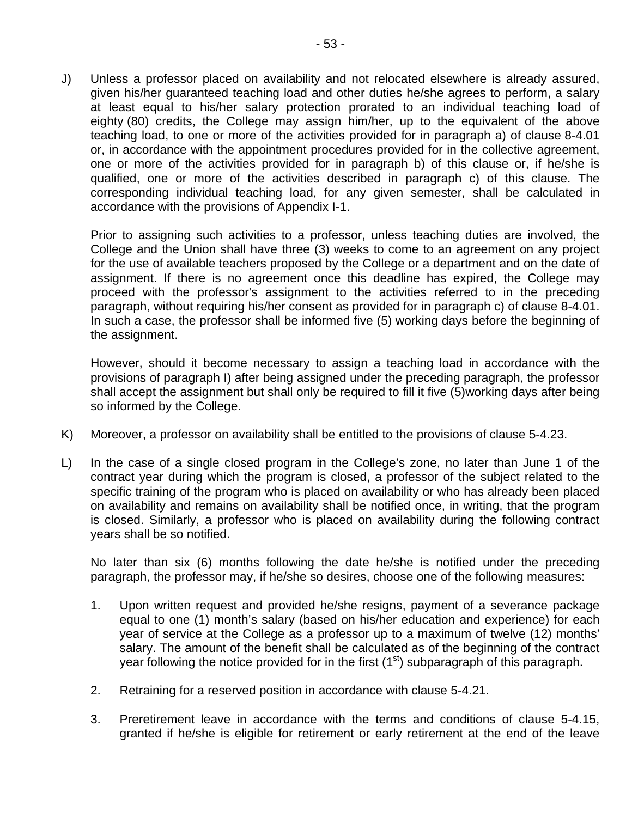J) Unless a professor placed on availability and not relocated elsewhere is already assured, given his/her guaranteed teaching load and other duties he/she agrees to perform, a salary at least equal to his/her salary protection prorated to an individual teaching load of eighty (80) credits, the College may assign him/her, up to the equivalent of the above teaching load, to one or more of the activities provided for in paragraph a) of clause 8-4.01 or, in accordance with the appointment procedures provided for in the collective agreement, one or more of the activities provided for in paragraph b) of this clause or, if he/she is qualified, one or more of the activities described in paragraph c) of this clause. The corresponding individual teaching load, for any given semester, shall be calculated in accordance with the provisions of Appendix I-1.

Prior to assigning such activities to a professor, unless teaching duties are involved, the College and the Union shall have three (3) weeks to come to an agreement on any project for the use of available teachers proposed by the College or a department and on the date of assignment. If there is no agreement once this deadline has expired, the College may proceed with the professor's assignment to the activities referred to in the preceding paragraph, without requiring his/her consent as provided for in paragraph c) of clause 8-4.01. In such a case, the professor shall be informed five (5) working days before the beginning of the assignment.

However, should it become necessary to assign a teaching load in accordance with the provisions of paragraph I) after being assigned under the preceding paragraph, the professor shall accept the assignment but shall only be required to fill it five (5)working days after being so informed by the College.

- K) Moreover, a professor on availability shall be entitled to the provisions of clause 5-4.23.
- L) In the case of a single closed program in the College's zone, no later than June 1 of the contract year during which the program is closed, a professor of the subject related to the specific training of the program who is placed on availability or who has already been placed on availability and remains on availability shall be notified once, in writing, that the program is closed. Similarly, a professor who is placed on availability during the following contract years shall be so notified.

No later than six (6) months following the date he/she is notified under the preceding paragraph, the professor may, if he/she so desires, choose one of the following measures:

- 1. Upon written request and provided he/she resigns, payment of a severance package equal to one (1) month's salary (based on his/her education and experience) for each year of service at the College as a professor up to a maximum of twelve (12) months' salary. The amount of the benefit shall be calculated as of the beginning of the contract year following the notice provided for in the first  $(1<sup>st</sup>)$  subparagraph of this paragraph.
- 2. Retraining for a reserved position in accordance with clause 5-4.21.
- 3. Preretirement leave in accordance with the terms and conditions of clause 5-4.15, granted if he/she is eligible for retirement or early retirement at the end of the leave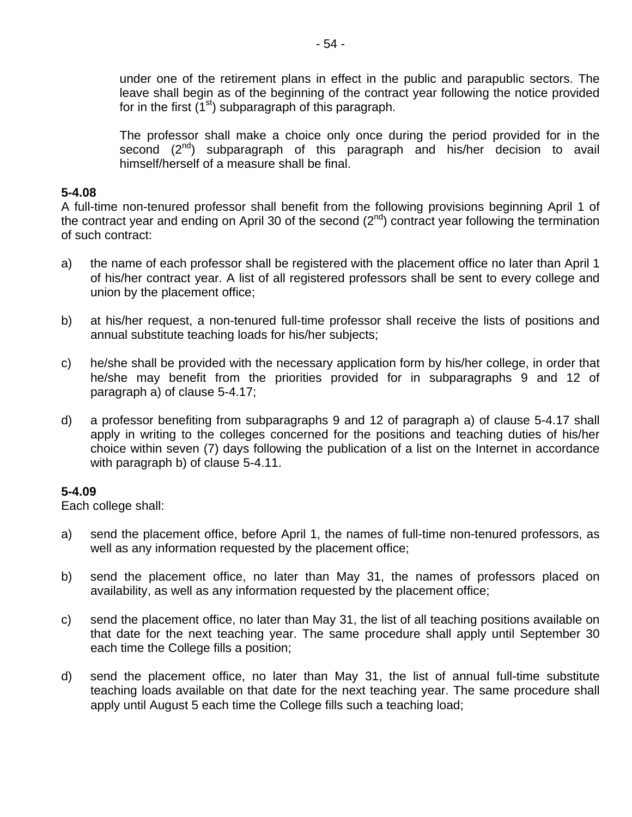under one of the retirement plans in effect in the public and parapublic sectors. The leave shall begin as of the beginning of the contract year following the notice provided for in the first  $(1^{st})$  subparagraph of this paragraph.

The professor shall make a choice only once during the period provided for in the second (2<sup>nd</sup>) subparagraph of this paragraph and his/her decision to avail himself/herself of a measure shall be final.

### **5-4.08**

A full-time non-tenured professor shall benefit from the following provisions beginning April 1 of the contract year and ending on April 30 of the second  $(2^{nd})$  contract year following the termination of such contract:

- a) the name of each professor shall be registered with the placement office no later than April 1 of his/her contract year. A list of all registered professors shall be sent to every college and union by the placement office;
- b) at his/her request, a non-tenured full-time professor shall receive the lists of positions and annual substitute teaching loads for his/her subjects;
- c) he/she shall be provided with the necessary application form by his/her college, in order that he/she may benefit from the priorities provided for in subparagraphs 9 and 12 of paragraph a) of clause 5-4.17;
- d) a professor benefiting from subparagraphs 9 and 12 of paragraph a) of clause 5-4.17 shall apply in writing to the colleges concerned for the positions and teaching duties of his/her choice within seven (7) days following the publication of a list on the Internet in accordance with paragraph b) of clause 5-4.11.

### **5-4.09**

Each college shall:

- a) send the placement office, before April 1, the names of full-time non-tenured professors, as well as any information requested by the placement office;
- b) send the placement office, no later than May 31, the names of professors placed on availability, as well as any information requested by the placement office;
- c) send the placement office, no later than May 31, the list of all teaching positions available on that date for the next teaching year. The same procedure shall apply until September 30 each time the College fills a position;
- d) send the placement office, no later than May 31, the list of annual full-time substitute teaching loads available on that date for the next teaching year. The same procedure shall apply until August 5 each time the College fills such a teaching load;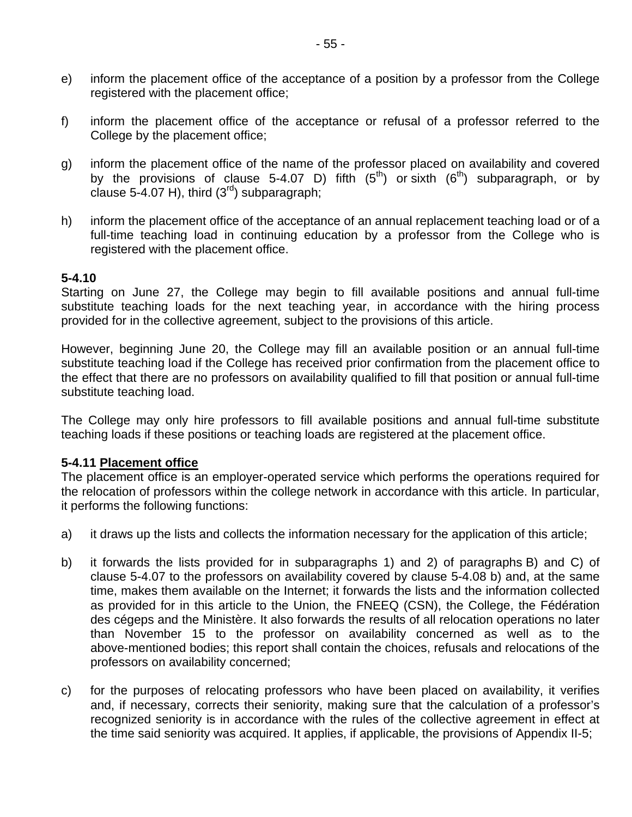- e) inform the placement office of the acceptance of a position by a professor from the College registered with the placement office;
- f) inform the placement office of the acceptance or refusal of a professor referred to the College by the placement office;
- g) inform the placement office of the name of the professor placed on availability and covered by the provisions of clause 5-4.07 D) fifth  $(5<sup>th</sup>)$  or sixth  $(6<sup>th</sup>)$  subparagraph, or by clause 5-4.07 H), third  $(3<sup>rd</sup>)$  subparagraph;
- h) inform the placement office of the acceptance of an annual replacement teaching load or of a full-time teaching load in continuing education by a professor from the College who is registered with the placement office.

#### **5-4.10**

Starting on June 27, the College may begin to fill available positions and annual full-time substitute teaching loads for the next teaching year, in accordance with the hiring process provided for in the collective agreement, subject to the provisions of this article.

However, beginning June 20, the College may fill an available position or an annual full-time substitute teaching load if the College has received prior confirmation from the placement office to the effect that there are no professors on availability qualified to fill that position or annual full-time substitute teaching load.

The College may only hire professors to fill available positions and annual full-time substitute teaching loads if these positions or teaching loads are registered at the placement office.

### **5-4.11 Placement office**

The placement office is an employer-operated service which performs the operations required for the relocation of professors within the college network in accordance with this article. In particular, it performs the following functions:

- a) it draws up the lists and collects the information necessary for the application of this article;
- b) it forwards the lists provided for in subparagraphs 1) and 2) of paragraphs B) and C) of clause 5-4.07 to the professors on availability covered by clause 5-4.08 b) and, at the same time, makes them available on the Internet; it forwards the lists and the information collected as provided for in this article to the Union, the FNEEQ (CSN), the College, the Fédération des cégeps and the Ministère. It also forwards the results of all relocation operations no later than November 15 to the professor on availability concerned as well as to the above-mentioned bodies; this report shall contain the choices, refusals and relocations of the professors on availability concerned;
- c) for the purposes of relocating professors who have been placed on availability, it verifies and, if necessary, corrects their seniority, making sure that the calculation of a professor's recognized seniority is in accordance with the rules of the collective agreement in effect at the time said seniority was acquired. It applies, if applicable, the provisions of Appendix II-5;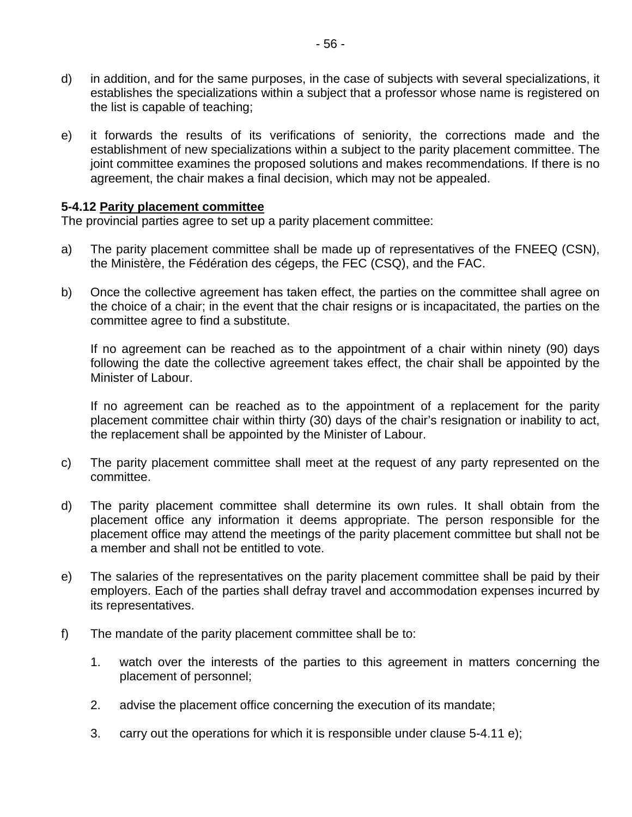- d) in addition, and for the same purposes, in the case of subjects with several specializations, it establishes the specializations within a subject that a professor whose name is registered on the list is capable of teaching;
- e) it forwards the results of its verifications of seniority, the corrections made and the establishment of new specializations within a subject to the parity placement committee. The joint committee examines the proposed solutions and makes recommendations. If there is no agreement, the chair makes a final decision, which may not be appealed.

#### **5-4.12 Parity placement committee**

The provincial parties agree to set up a parity placement committee:

- a) The parity placement committee shall be made up of representatives of the FNEEQ (CSN), the Ministère, the Fédération des cégeps, the FEC (CSQ), and the FAC.
- b) Once the collective agreement has taken effect, the parties on the committee shall agree on the choice of a chair; in the event that the chair resigns or is incapacitated, the parties on the committee agree to find a substitute.

If no agreement can be reached as to the appointment of a chair within ninety (90) days following the date the collective agreement takes effect, the chair shall be appointed by the Minister of Labour.

If no agreement can be reached as to the appointment of a replacement for the parity placement committee chair within thirty (30) days of the chair's resignation or inability to act, the replacement shall be appointed by the Minister of Labour.

- c) The parity placement committee shall meet at the request of any party represented on the committee.
- d) The parity placement committee shall determine its own rules. It shall obtain from the placement office any information it deems appropriate. The person responsible for the placement office may attend the meetings of the parity placement committee but shall not be a member and shall not be entitled to vote.
- e) The salaries of the representatives on the parity placement committee shall be paid by their employers. Each of the parties shall defray travel and accommodation expenses incurred by its representatives.
- f) The mandate of the parity placement committee shall be to:
	- 1. watch over the interests of the parties to this agreement in matters concerning the placement of personnel;
	- 2. advise the placement office concerning the execution of its mandate;
	- 3. carry out the operations for which it is responsible under clause 5-4.11 e);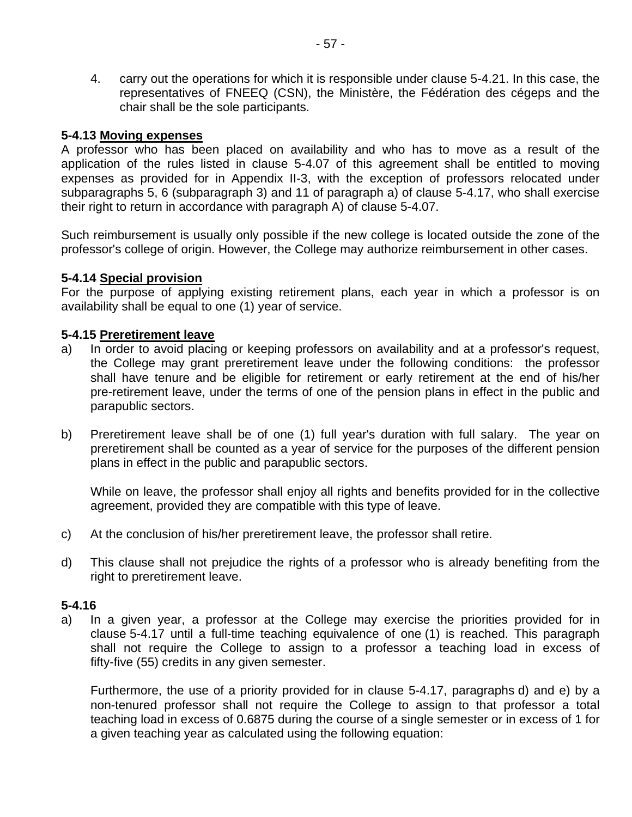4. carry out the operations for which it is responsible under clause 5-4.21. In this case, the representatives of FNEEQ (CSN), the Ministère, the Fédération des cégeps and the chair shall be the sole participants.

#### **5-4.13 Moving expenses**

A professor who has been placed on availability and who has to move as a result of the application of the rules listed in clause 5-4.07 of this agreement shall be entitled to moving expenses as provided for in Appendix II-3, with the exception of professors relocated under subparagraphs 5, 6 (subparagraph 3) and 11 of paragraph a) of clause 5-4.17, who shall exercise their right to return in accordance with paragraph A) of clause 5-4.07.

Such reimbursement is usually only possible if the new college is located outside the zone of the professor's college of origin. However, the College may authorize reimbursement in other cases.

#### **5-4.14 Special provision**

For the purpose of applying existing retirement plans, each year in which a professor is on availability shall be equal to one (1) year of service.

#### **5-4.15 Preretirement leave**

- a) In order to avoid placing or keeping professors on availability and at a professor's request, the College may grant preretirement leave under the following conditions: the professor shall have tenure and be eligible for retirement or early retirement at the end of his/her pre-retirement leave, under the terms of one of the pension plans in effect in the public and parapublic sectors.
- b) Preretirement leave shall be of one (1) full year's duration with full salary. The year on preretirement shall be counted as a year of service for the purposes of the different pension plans in effect in the public and parapublic sectors.

While on leave, the professor shall enjoy all rights and benefits provided for in the collective agreement, provided they are compatible with this type of leave.

- c) At the conclusion of his/her preretirement leave, the professor shall retire.
- d) This clause shall not prejudice the rights of a professor who is already benefiting from the right to preretirement leave.

#### **5-4.16**

a) In a given year, a professor at the College may exercise the priorities provided for in clause 5-4.17 until a full-time teaching equivalence of one (1) is reached. This paragraph shall not require the College to assign to a professor a teaching load in excess of fifty-five (55) credits in any given semester.

Furthermore, the use of a priority provided for in clause 5-4.17, paragraphs d) and e) by a non-tenured professor shall not require the College to assign to that professor a total teaching load in excess of 0.6875 during the course of a single semester or in excess of 1 for a given teaching year as calculated using the following equation: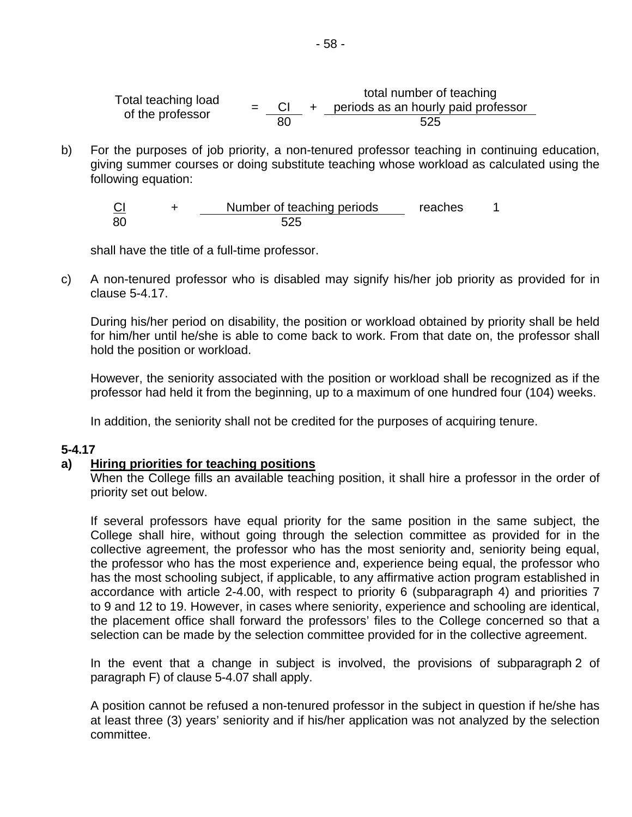Total teaching load  $\begin{array}{rcl} \text{Total number of occurring} \\ = & \text{CI} + \text{ periods as an hourly paid professor} \end{array}$ total number of teaching of the professor  $\frac{-80}{80}$   $\frac{9 \times 100}{25}$ 

b) For the purposes of job priority, a non-tenured professor teaching in continuing education, giving summer courses or doing substitute teaching whose workload as calculated using the following equation:

CI + Number of teaching periods reaches 1 80 525

shall have the title of a full-time professor.

c) A non-tenured professor who is disabled may signify his/her job priority as provided for in clause 5-4.17.

During his/her period on disability, the position or workload obtained by priority shall be held for him/her until he/she is able to come back to work. From that date on, the professor shall hold the position or workload.

However, the seniority associated with the position or workload shall be recognized as if the professor had held it from the beginning, up to a maximum of one hundred four (104) weeks.

In addition, the seniority shall not be credited for the purposes of acquiring tenure.

#### **5-4.17**

#### **a) Hiring priorities for teaching positions**

When the College fills an available teaching position, it shall hire a professor in the order of priority set out below.

If several professors have equal priority for the same position in the same subject, the College shall hire, without going through the selection committee as provided for in the collective agreement, the professor who has the most seniority and, seniority being equal, the professor who has the most experience and, experience being equal, the professor who has the most schooling subject, if applicable, to any affirmative action program established in accordance with article 2-4.00, with respect to priority 6 (subparagraph 4) and priorities 7 to 9 and 12 to 19. However, in cases where seniority, experience and schooling are identical, the placement office shall forward the professors' files to the College concerned so that a selection can be made by the selection committee provided for in the collective agreement.

In the event that a change in subject is involved, the provisions of subparagraph 2 of paragraph F) of clause 5-4.07 shall apply.

A position cannot be refused a non-tenured professor in the subject in question if he/she has at least three (3) years' seniority and if his/her application was not analyzed by the selection committee.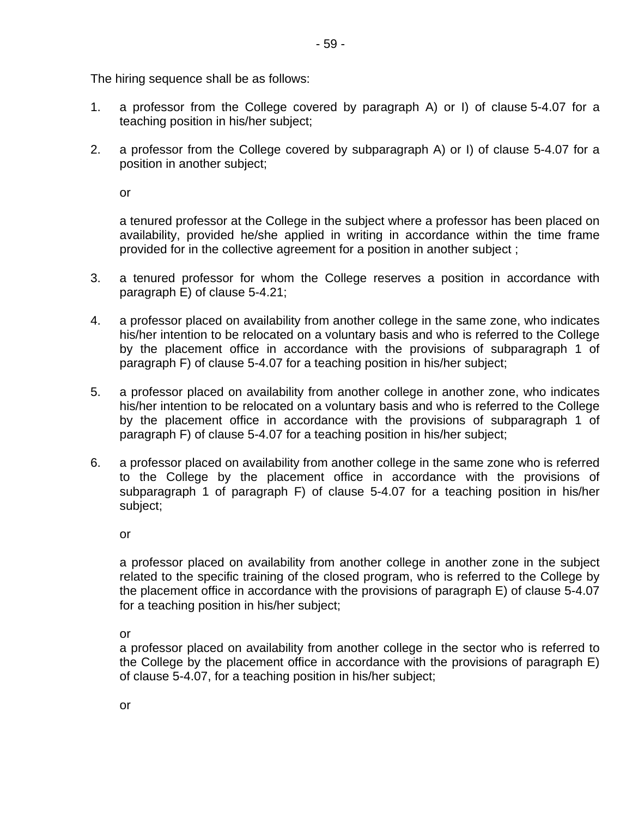The hiring sequence shall be as follows:

- 1. a professor from the College covered by paragraph A) or I) of clause 5-4.07 for a teaching position in his/her subject;
- 2. a professor from the College covered by subparagraph A) or I) of clause 5-4.07 for a position in another subject;

or

a tenured professor at the College in the subject where a professor has been placed on availability, provided he/she applied in writing in accordance within the time frame provided for in the collective agreement for a position in another subject ;

- 3. a tenured professor for whom the College reserves a position in accordance with paragraph E) of clause 5-4.21;
- 4. a professor placed on availability from another college in the same zone, who indicates his/her intention to be relocated on a voluntary basis and who is referred to the College by the placement office in accordance with the provisions of subparagraph 1 of paragraph F) of clause 5-4.07 for a teaching position in his/her subject;
- 5. a professor placed on availability from another college in another zone, who indicates his/her intention to be relocated on a voluntary basis and who is referred to the College by the placement office in accordance with the provisions of subparagraph 1 of paragraph F) of clause 5-4.07 for a teaching position in his/her subject;
- 6. a professor placed on availability from another college in the same zone who is referred to the College by the placement office in accordance with the provisions of subparagraph 1 of paragraph F) of clause 5-4.07 for a teaching position in his/her subject;

or

a professor placed on availability from another college in another zone in the subject related to the specific training of the closed program, who is referred to the College by the placement office in accordance with the provisions of paragraph E) of clause 5-4.07 for a teaching position in his/her subject;

or

a professor placed on availability from another college in the sector who is referred to the College by the placement office in accordance with the provisions of paragraph E) of clause 5-4.07, for a teaching position in his/her subject;

or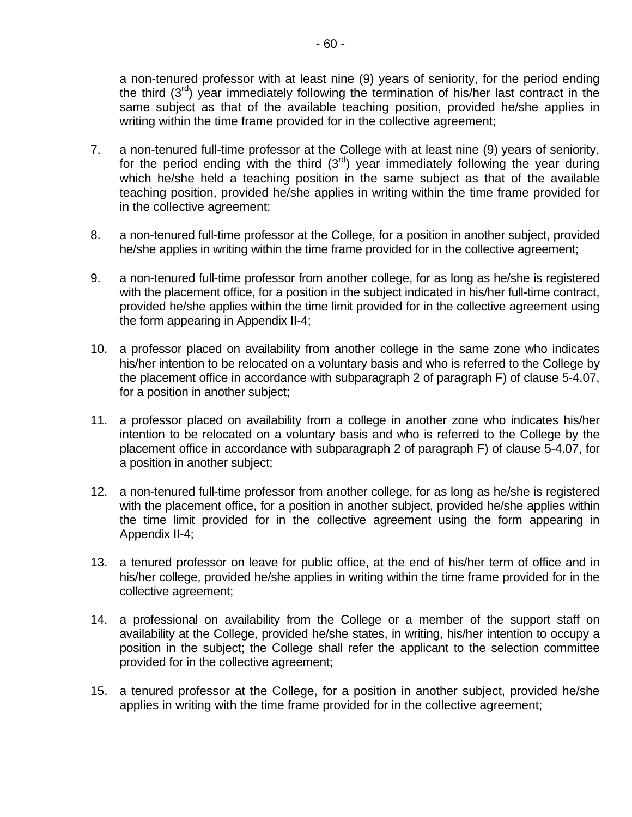a non-tenured professor with at least nine (9) years of seniority, for the period ending the third  $(3<sup>rd</sup>)$  year immediately following the termination of his/her last contract in the same subject as that of the available teaching position, provided he/she applies in writing within the time frame provided for in the collective agreement;

- 7. a non-tenured full-time professor at the College with at least nine (9) years of seniority, for the period ending with the third  $(3<sup>rd</sup>)$  year immediately following the year during which he/she held a teaching position in the same subject as that of the available teaching position, provided he/she applies in writing within the time frame provided for in the collective agreement;
- 8. a non-tenured full-time professor at the College, for a position in another subject, provided he/she applies in writing within the time frame provided for in the collective agreement;
- 9. a non-tenured full-time professor from another college, for as long as he/she is registered with the placement office, for a position in the subject indicated in his/her full-time contract, provided he/she applies within the time limit provided for in the collective agreement using the form appearing in Appendix II-4;
- 10. a professor placed on availability from another college in the same zone who indicates his/her intention to be relocated on a voluntary basis and who is referred to the College by the placement office in accordance with subparagraph 2 of paragraph F) of clause 5-4.07, for a position in another subject;
- 11. a professor placed on availability from a college in another zone who indicates his/her intention to be relocated on a voluntary basis and who is referred to the College by the placement office in accordance with subparagraph 2 of paragraph F) of clause 5-4.07, for a position in another subject;
- 12. a non-tenured full-time professor from another college, for as long as he/she is registered with the placement office, for a position in another subject, provided he/she applies within the time limit provided for in the collective agreement using the form appearing in Appendix II-4;
- 13. a tenured professor on leave for public office, at the end of his/her term of office and in his/her college, provided he/she applies in writing within the time frame provided for in the collective agreement;
- 14. a professional on availability from the College or a member of the support staff on availability at the College, provided he/she states, in writing, his/her intention to occupy a position in the subject; the College shall refer the applicant to the selection committee provided for in the collective agreement;
- 15. a tenured professor at the College, for a position in another subject, provided he/she applies in writing with the time frame provided for in the collective agreement;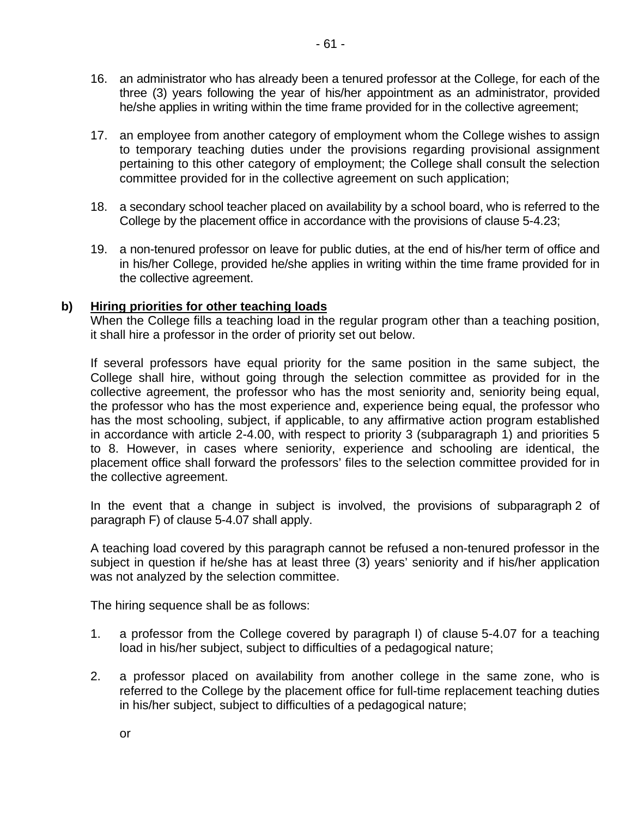- 16. an administrator who has already been a tenured professor at the College, for each of the three (3) years following the year of his/her appointment as an administrator, provided he/she applies in writing within the time frame provided for in the collective agreement;
- 17. an employee from another category of employment whom the College wishes to assign to temporary teaching duties under the provisions regarding provisional assignment pertaining to this other category of employment; the College shall consult the selection committee provided for in the collective agreement on such application;
- 18. a secondary school teacher placed on availability by a school board, who is referred to the College by the placement office in accordance with the provisions of clause 5-4.23;
- 19. a non-tenured professor on leave for public duties, at the end of his/her term of office and in his/her College, provided he/she applies in writing within the time frame provided for in the collective agreement.

#### **b) Hiring priorities for other teaching loads**

When the College fills a teaching load in the regular program other than a teaching position, it shall hire a professor in the order of priority set out below.

If several professors have equal priority for the same position in the same subject, the College shall hire, without going through the selection committee as provided for in the collective agreement, the professor who has the most seniority and, seniority being equal, the professor who has the most experience and, experience being equal, the professor who has the most schooling, subject, if applicable, to any affirmative action program established in accordance with article 2-4.00, with respect to priority 3 (subparagraph 1) and priorities 5 to 8. However, in cases where seniority, experience and schooling are identical, the placement office shall forward the professors' files to the selection committee provided for in the collective agreement.

In the event that a change in subject is involved, the provisions of subparagraph 2 of paragraph F) of clause 5-4.07 shall apply.

A teaching load covered by this paragraph cannot be refused a non-tenured professor in the subject in question if he/she has at least three (3) years' seniority and if his/her application was not analyzed by the selection committee.

The hiring sequence shall be as follows:

- 1. a professor from the College covered by paragraph I) of clause 5-4.07 for a teaching load in his/her subject, subject to difficulties of a pedagogical nature;
- 2. a professor placed on availability from another college in the same zone, who is referred to the College by the placement office for full-time replacement teaching duties in his/her subject, subject to difficulties of a pedagogical nature;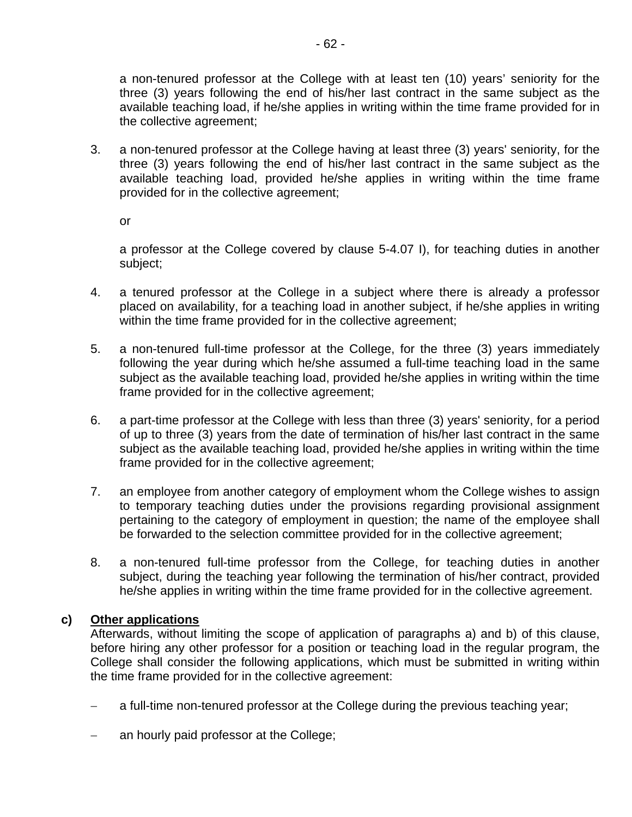a non-tenured professor at the College with at least ten (10) years' seniority for the three (3) years following the end of his/her last contract in the same subject as the available teaching load, if he/she applies in writing within the time frame provided for in the collective agreement;

3. a non-tenured professor at the College having at least three (3) years' seniority, for the three (3) years following the end of his/her last contract in the same subject as the available teaching load, provided he/she applies in writing within the time frame provided for in the collective agreement;

or

a professor at the College covered by clause 5-4.07 I), for teaching duties in another subject;

- 4. a tenured professor at the College in a subject where there is already a professor placed on availability, for a teaching load in another subject, if he/she applies in writing within the time frame provided for in the collective agreement;
- 5. a non-tenured full-time professor at the College, for the three (3) years immediately following the year during which he/she assumed a full-time teaching load in the same subject as the available teaching load, provided he/she applies in writing within the time frame provided for in the collective agreement;
- 6. a part-time professor at the College with less than three (3) years' seniority, for a period of up to three (3) years from the date of termination of his/her last contract in the same subject as the available teaching load, provided he/she applies in writing within the time frame provided for in the collective agreement;
- 7. an employee from another category of employment whom the College wishes to assign to temporary teaching duties under the provisions regarding provisional assignment pertaining to the category of employment in question; the name of the employee shall be forwarded to the selection committee provided for in the collective agreement;
- 8. a non-tenured full-time professor from the College, for teaching duties in another subject, during the teaching year following the termination of his/her contract, provided he/she applies in writing within the time frame provided for in the collective agreement.

### **c) Other applications**

Afterwards, without limiting the scope of application of paragraphs a) and b) of this clause, before hiring any other professor for a position or teaching load in the regular program, the College shall consider the following applications, which must be submitted in writing within the time frame provided for in the collective agreement:

- a full-time non-tenured professor at the College during the previous teaching year;
- an hourly paid professor at the College;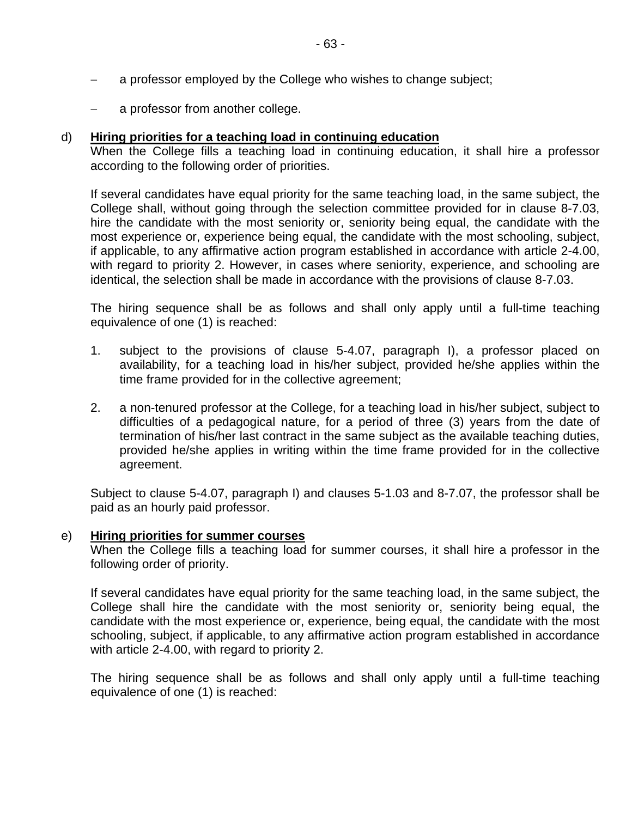- a professor employed by the College who wishes to change subject;
- a professor from another college.

#### d) **Hiring priorities for a teaching load in continuing education**

When the College fills a teaching load in continuing education, it shall hire a professor according to the following order of priorities.

If several candidates have equal priority for the same teaching load, in the same subject, the College shall, without going through the selection committee provided for in clause 8-7.03, hire the candidate with the most seniority or, seniority being equal, the candidate with the most experience or, experience being equal, the candidate with the most schooling, subject, if applicable, to any affirmative action program established in accordance with article 2-4.00, with regard to priority 2. However, in cases where seniority, experience, and schooling are identical, the selection shall be made in accordance with the provisions of clause 8-7.03.

The hiring sequence shall be as follows and shall only apply until a full-time teaching equivalence of one (1) is reached:

- 1. subject to the provisions of clause 5-4.07, paragraph I), a professor placed on availability, for a teaching load in his/her subject, provided he/she applies within the time frame provided for in the collective agreement;
- 2. a non-tenured professor at the College, for a teaching load in his/her subject, subject to difficulties of a pedagogical nature, for a period of three (3) years from the date of termination of his/her last contract in the same subject as the available teaching duties, provided he/she applies in writing within the time frame provided for in the collective agreement.

Subject to clause 5-4.07, paragraph I) and clauses 5-1.03 and 8-7.07, the professor shall be paid as an hourly paid professor.

#### e) **Hiring priorities for summer courses**

When the College fills a teaching load for summer courses, it shall hire a professor in the following order of priority.

If several candidates have equal priority for the same teaching load, in the same subject, the College shall hire the candidate with the most seniority or, seniority being equal, the candidate with the most experience or, experience, being equal, the candidate with the most schooling, subject, if applicable, to any affirmative action program established in accordance with article 2-4.00, with regard to priority 2.

The hiring sequence shall be as follows and shall only apply until a full-time teaching equivalence of one (1) is reached: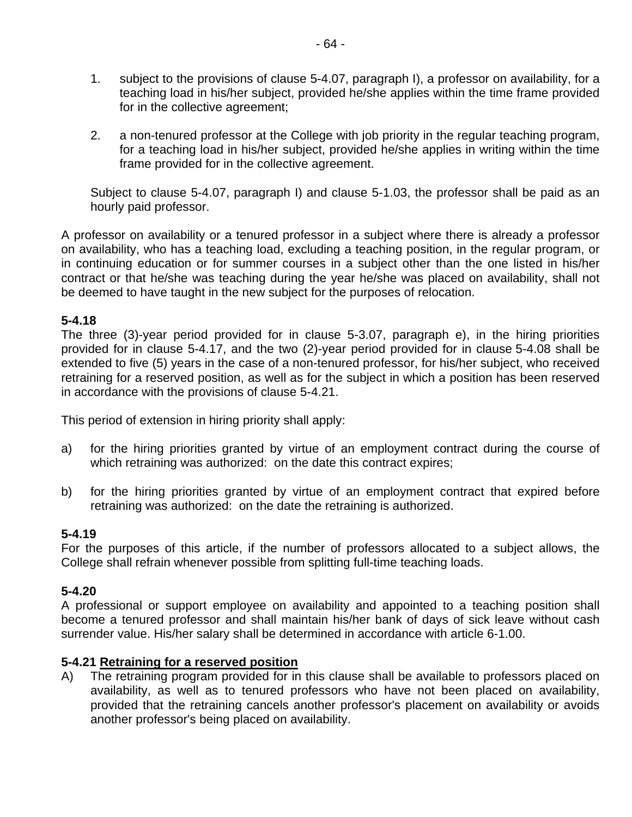- 1. subject to the provisions of clause 5-4.07, paragraph I), a professor on availability, for a teaching load in his/her subject, provided he/she applies within the time frame provided for in the collective agreement;
- 2. a non-tenured professor at the College with job priority in the regular teaching program, for a teaching load in his/her subject, provided he/she applies in writing within the time frame provided for in the collective agreement.

Subject to clause 5-4.07, paragraph I) and clause 5-1.03, the professor shall be paid as an hourly paid professor.

A professor on availability or a tenured professor in a subject where there is already a professor on availability, who has a teaching load, excluding a teaching position, in the regular program, or in continuing education or for summer courses in a subject other than the one listed in his/her contract or that he/she was teaching during the year he/she was placed on availability, shall not be deemed to have taught in the new subject for the purposes of relocation.

### **5-4.18**

The three (3)-year period provided for in clause 5-3.07, paragraph e), in the hiring priorities provided for in clause 5-4.17, and the two (2)-year period provided for in clause 5-4.08 shall be extended to five (5) years in the case of a non-tenured professor, for his/her subject, who received retraining for a reserved position, as well as for the subject in which a position has been reserved in accordance with the provisions of clause 5-4.21.

This period of extension in hiring priority shall apply:

- a) for the hiring priorities granted by virtue of an employment contract during the course of which retraining was authorized: on the date this contract expires;
- b) for the hiring priorities granted by virtue of an employment contract that expired before retraining was authorized: on the date the retraining is authorized.

# **5-4.19**

For the purposes of this article, if the number of professors allocated to a subject allows, the College shall refrain whenever possible from splitting full-time teaching loads.

### **5-4.20**

A professional or support employee on availability and appointed to a teaching position shall become a tenured professor and shall maintain his/her bank of days of sick leave without cash surrender value. His/her salary shall be determined in accordance with article 6-1.00.

### **5-4.21 Retraining for a reserved position**

A) The retraining program provided for in this clause shall be available to professors placed on availability, as well as to tenured professors who have not been placed on availability, provided that the retraining cancels another professor's placement on availability or avoids another professor's being placed on availability.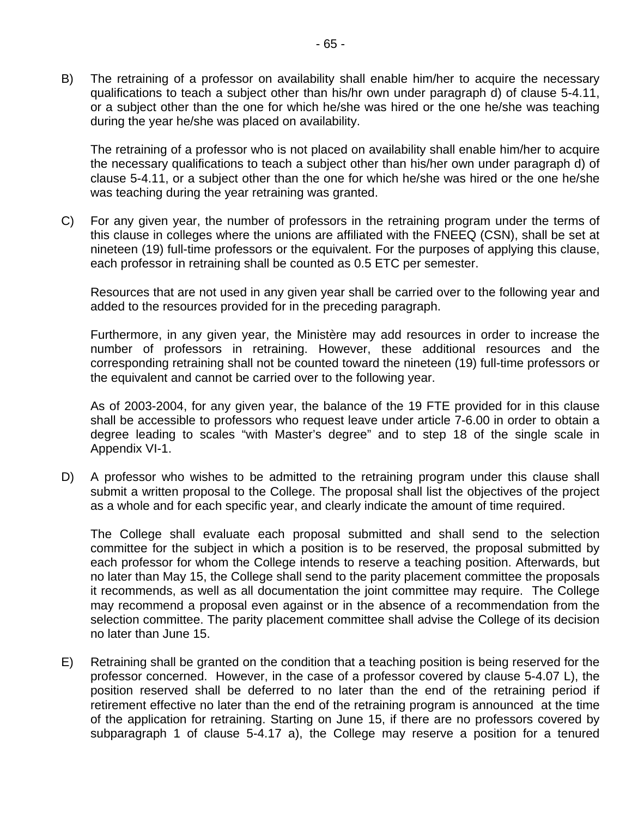B) The retraining of a professor on availability shall enable him/her to acquire the necessary qualifications to teach a subject other than his/hr own under paragraph d) of clause 5-4.11, or a subject other than the one for which he/she was hired or the one he/she was teaching during the year he/she was placed on availability.

The retraining of a professor who is not placed on availability shall enable him/her to acquire the necessary qualifications to teach a subject other than his/her own under paragraph d) of clause 5-4.11, or a subject other than the one for which he/she was hired or the one he/she was teaching during the year retraining was granted.

C) For any given year, the number of professors in the retraining program under the terms of this clause in colleges where the unions are affiliated with the FNEEQ (CSN), shall be set at nineteen (19) full-time professors or the equivalent. For the purposes of applying this clause, each professor in retraining shall be counted as 0.5 ETC per semester.

Resources that are not used in any given year shall be carried over to the following year and added to the resources provided for in the preceding paragraph.

Furthermore, in any given year, the Ministère may add resources in order to increase the number of professors in retraining. However, these additional resources and the corresponding retraining shall not be counted toward the nineteen (19) full-time professors or the equivalent and cannot be carried over to the following year.

As of 2003-2004, for any given year, the balance of the 19 FTE provided for in this clause shall be accessible to professors who request leave under article 7-6.00 in order to obtain a degree leading to scales "with Master's degree" and to step 18 of the single scale in Appendix VI-1.

D) A professor who wishes to be admitted to the retraining program under this clause shall submit a written proposal to the College. The proposal shall list the objectives of the project as a whole and for each specific year, and clearly indicate the amount of time required.

The College shall evaluate each proposal submitted and shall send to the selection committee for the subject in which a position is to be reserved, the proposal submitted by each professor for whom the College intends to reserve a teaching position. Afterwards, but no later than May 15, the College shall send to the parity placement committee the proposals it recommends, as well as all documentation the joint committee may require. The College may recommend a proposal even against or in the absence of a recommendation from the selection committee. The parity placement committee shall advise the College of its decision no later than June 15.

E) Retraining shall be granted on the condition that a teaching position is being reserved for the professor concerned. However, in the case of a professor covered by clause 5-4.07 L), the position reserved shall be deferred to no later than the end of the retraining period if retirement effective no later than the end of the retraining program is announced at the time of the application for retraining. Starting on June 15, if there are no professors covered by subparagraph 1 of clause 5-4.17 a), the College may reserve a position for a tenured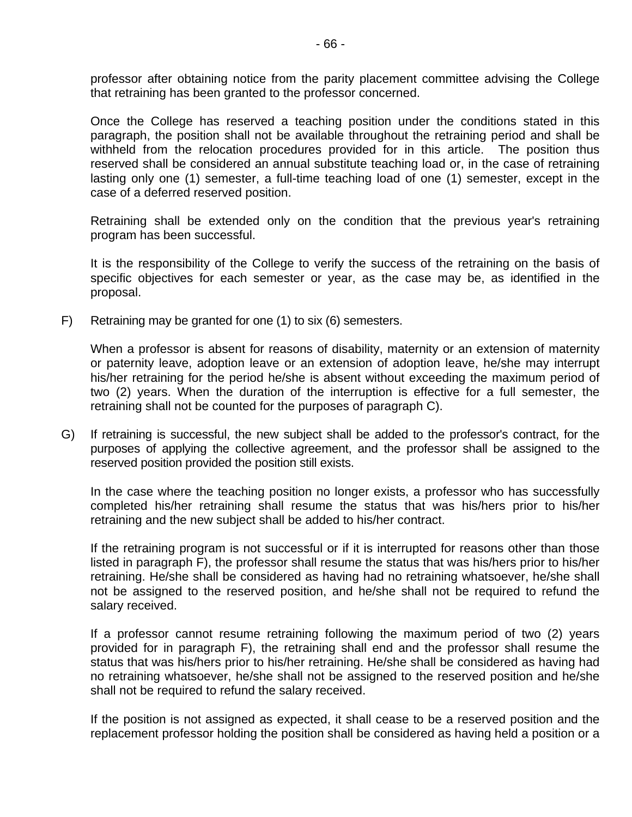professor after obtaining notice from the parity placement committee advising the College that retraining has been granted to the professor concerned.

Once the College has reserved a teaching position under the conditions stated in this paragraph, the position shall not be available throughout the retraining period and shall be withheld from the relocation procedures provided for in this article. The position thus reserved shall be considered an annual substitute teaching load or, in the case of retraining lasting only one (1) semester, a full-time teaching load of one (1) semester, except in the case of a deferred reserved position.

Retraining shall be extended only on the condition that the previous year's retraining program has been successful.

It is the responsibility of the College to verify the success of the retraining on the basis of specific objectives for each semester or year, as the case may be, as identified in the proposal.

F) Retraining may be granted for one (1) to six (6) semesters.

When a professor is absent for reasons of disability, maternity or an extension of maternity or paternity leave, adoption leave or an extension of adoption leave, he/she may interrupt his/her retraining for the period he/she is absent without exceeding the maximum period of two (2) years. When the duration of the interruption is effective for a full semester, the retraining shall not be counted for the purposes of paragraph C).

G) If retraining is successful, the new subject shall be added to the professor's contract, for the purposes of applying the collective agreement, and the professor shall be assigned to the reserved position provided the position still exists.

In the case where the teaching position no longer exists, a professor who has successfully completed his/her retraining shall resume the status that was his/hers prior to his/her retraining and the new subject shall be added to his/her contract.

If the retraining program is not successful or if it is interrupted for reasons other than those listed in paragraph F), the professor shall resume the status that was his/hers prior to his/her retraining. He/she shall be considered as having had no retraining whatsoever, he/she shall not be assigned to the reserved position, and he/she shall not be required to refund the salary received.

If a professor cannot resume retraining following the maximum period of two (2) years provided for in paragraph F), the retraining shall end and the professor shall resume the status that was his/hers prior to his/her retraining. He/she shall be considered as having had no retraining whatsoever, he/she shall not be assigned to the reserved position and he/she shall not be required to refund the salary received.

If the position is not assigned as expected, it shall cease to be a reserved position and the replacement professor holding the position shall be considered as having held a position or a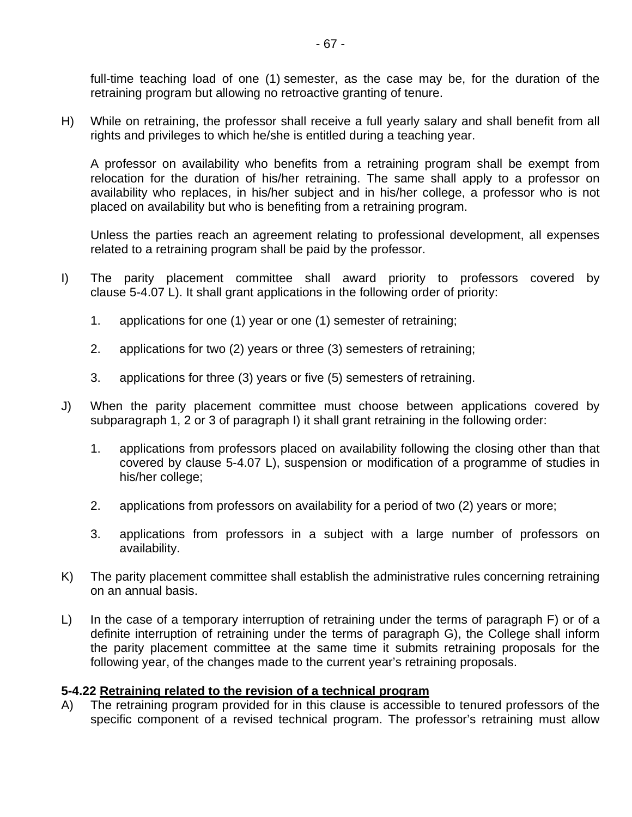full-time teaching load of one (1) semester, as the case may be, for the duration of the retraining program but allowing no retroactive granting of tenure.

H) While on retraining, the professor shall receive a full yearly salary and shall benefit from all rights and privileges to which he/she is entitled during a teaching year.

A professor on availability who benefits from a retraining program shall be exempt from relocation for the duration of his/her retraining. The same shall apply to a professor on availability who replaces, in his/her subject and in his/her college, a professor who is not placed on availability but who is benefiting from a retraining program.

Unless the parties reach an agreement relating to professional development, all expenses related to a retraining program shall be paid by the professor.

- I) The parity placement committee shall award priority to professors covered by clause 5-4.07 L). It shall grant applications in the following order of priority:
	- 1. applications for one (1) year or one (1) semester of retraining;
	- 2. applications for two (2) years or three (3) semesters of retraining;
	- 3. applications for three (3) years or five (5) semesters of retraining.
- J) When the parity placement committee must choose between applications covered by subparagraph 1, 2 or 3 of paragraph I) it shall grant retraining in the following order:
	- 1. applications from professors placed on availability following the closing other than that covered by clause 5-4.07 L), suspension or modification of a programme of studies in his/her college;
	- 2. applications from professors on availability for a period of two (2) years or more;
	- 3. applications from professors in a subject with a large number of professors on availability.
- K) The parity placement committee shall establish the administrative rules concerning retraining on an annual basis.
- L) In the case of a temporary interruption of retraining under the terms of paragraph F) or of a definite interruption of retraining under the terms of paragraph G), the College shall inform the parity placement committee at the same time it submits retraining proposals for the following year, of the changes made to the current year's retraining proposals.

#### **5-4.22 Retraining related to the revision of a technical program**

A) The retraining program provided for in this clause is accessible to tenured professors of the specific component of a revised technical program. The professor's retraining must allow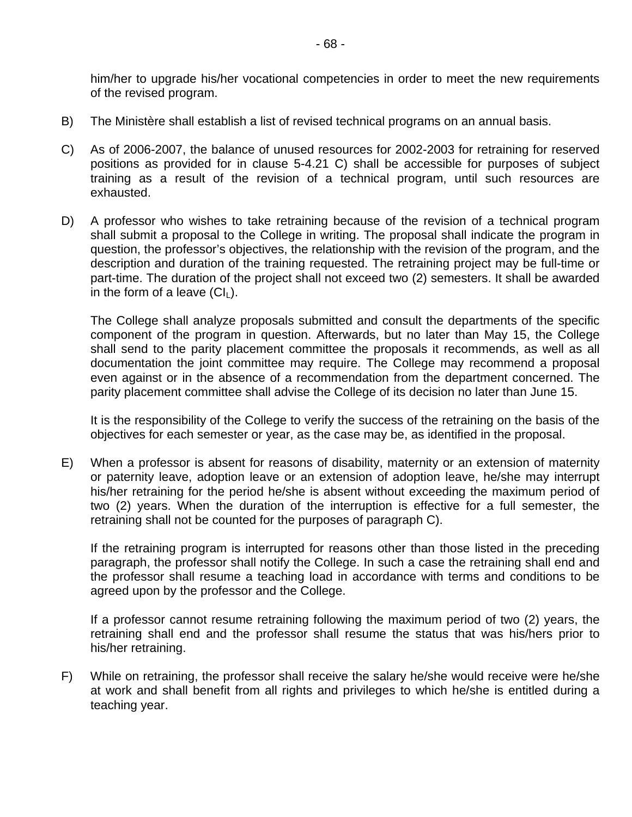him/her to upgrade his/her vocational competencies in order to meet the new requirements of the revised program.

- B) The Ministère shall establish a list of revised technical programs on an annual basis.
- C) As of 2006-2007, the balance of unused resources for 2002-2003 for retraining for reserved positions as provided for in clause 5-4.21 C) shall be accessible for purposes of subject training as a result of the revision of a technical program, until such resources are exhausted.
- D) A professor who wishes to take retraining because of the revision of a technical program shall submit a proposal to the College in writing. The proposal shall indicate the program in question, the professor's objectives, the relationship with the revision of the program, and the description and duration of the training requested. The retraining project may be full-time or part-time. The duration of the project shall not exceed two (2) semesters. It shall be awarded in the form of a leave  $(Cl<sub>1</sub>)$ .

The College shall analyze proposals submitted and consult the departments of the specific component of the program in question. Afterwards, but no later than May 15, the College shall send to the parity placement committee the proposals it recommends, as well as all documentation the joint committee may require. The College may recommend a proposal even against or in the absence of a recommendation from the department concerned. The parity placement committee shall advise the College of its decision no later than June 15.

It is the responsibility of the College to verify the success of the retraining on the basis of the objectives for each semester or year, as the case may be, as identified in the proposal.

E) When a professor is absent for reasons of disability, maternity or an extension of maternity or paternity leave, adoption leave or an extension of adoption leave, he/she may interrupt his/her retraining for the period he/she is absent without exceeding the maximum period of two (2) years. When the duration of the interruption is effective for a full semester, the retraining shall not be counted for the purposes of paragraph C).

If the retraining program is interrupted for reasons other than those listed in the preceding paragraph, the professor shall notify the College. In such a case the retraining shall end and the professor shall resume a teaching load in accordance with terms and conditions to be agreed upon by the professor and the College.

If a professor cannot resume retraining following the maximum period of two (2) years, the retraining shall end and the professor shall resume the status that was his/hers prior to his/her retraining.

F) While on retraining, the professor shall receive the salary he/she would receive were he/she at work and shall benefit from all rights and privileges to which he/she is entitled during a teaching year.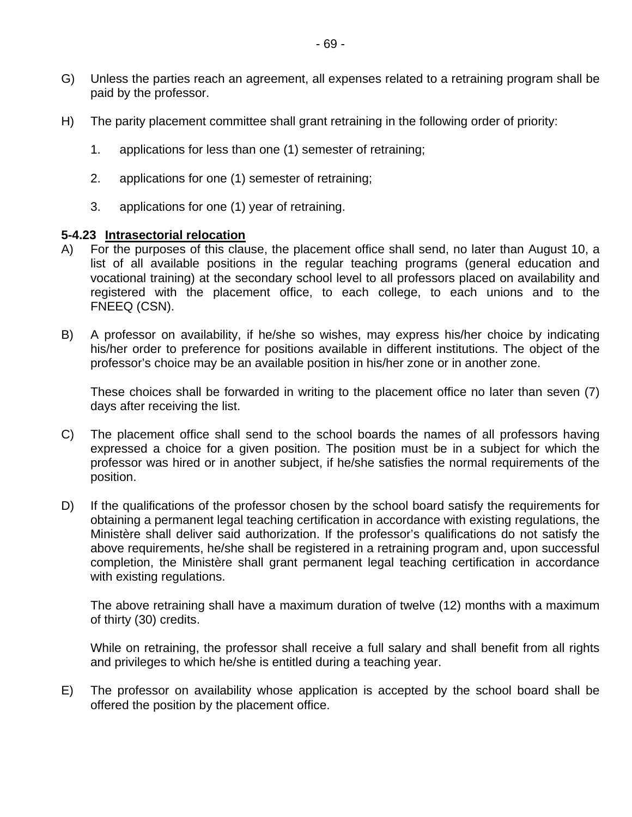- G) Unless the parties reach an agreement, all expenses related to a retraining program shall be paid by the professor.
- H) The parity placement committee shall grant retraining in the following order of priority:
	- 1. applications for less than one (1) semester of retraining;
	- 2. applications for one (1) semester of retraining;
	- 3. applications for one (1) year of retraining.

#### **5-4.23 Intrasectorial relocation**

- A) For the purposes of this clause, the placement office shall send, no later than August 10, a list of all available positions in the regular teaching programs (general education and vocational training) at the secondary school level to all professors placed on availability and registered with the placement office, to each college, to each unions and to the FNEEQ (CSN).
- B) A professor on availability, if he/she so wishes, may express his/her choice by indicating his/her order to preference for positions available in different institutions. The object of the professor's choice may be an available position in his/her zone or in another zone.

These choices shall be forwarded in writing to the placement office no later than seven (7) days after receiving the list.

- C) The placement office shall send to the school boards the names of all professors having expressed a choice for a given position. The position must be in a subject for which the professor was hired or in another subject, if he/she satisfies the normal requirements of the position.
- D) If the qualifications of the professor chosen by the school board satisfy the requirements for obtaining a permanent legal teaching certification in accordance with existing regulations, the Ministère shall deliver said authorization. If the professor's qualifications do not satisfy the above requirements, he/she shall be registered in a retraining program and, upon successful completion, the Ministère shall grant permanent legal teaching certification in accordance with existing regulations.

The above retraining shall have a maximum duration of twelve (12) months with a maximum of thirty (30) credits.

While on retraining, the professor shall receive a full salary and shall benefit from all rights and privileges to which he/she is entitled during a teaching year.

E) The professor on availability whose application is accepted by the school board shall be offered the position by the placement office.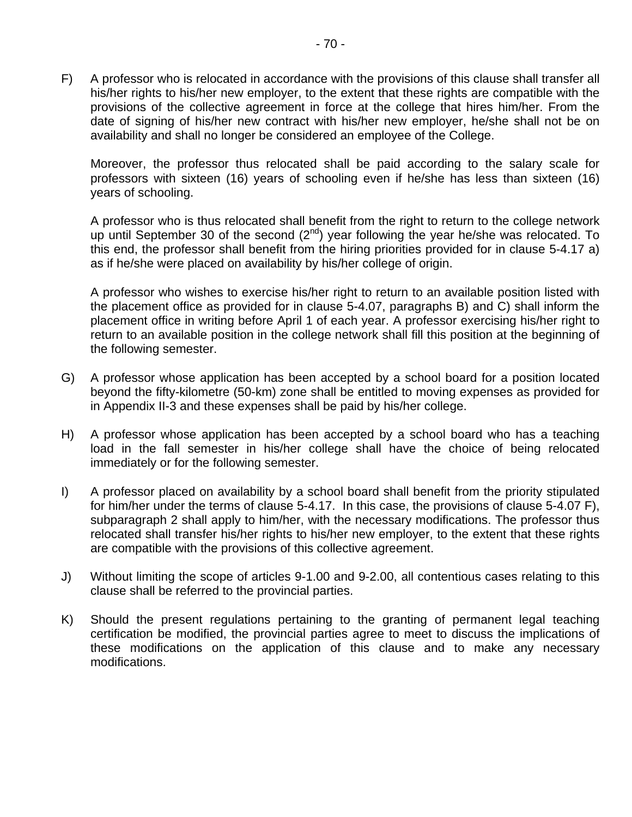F) A professor who is relocated in accordance with the provisions of this clause shall transfer all his/her rights to his/her new employer, to the extent that these rights are compatible with the provisions of the collective agreement in force at the college that hires him/her. From the date of signing of his/her new contract with his/her new employer, he/she shall not be on availability and shall no longer be considered an employee of the College.

Moreover, the professor thus relocated shall be paid according to the salary scale for professors with sixteen (16) years of schooling even if he/she has less than sixteen (16) years of schooling.

A professor who is thus relocated shall benefit from the right to return to the college network up until September 30 of the second  $(2^{nd})$  year following the year he/she was relocated. To this end, the professor shall benefit from the hiring priorities provided for in clause 5-4.17 a) as if he/she were placed on availability by his/her college of origin.

A professor who wishes to exercise his/her right to return to an available position listed with the placement office as provided for in clause 5-4.07, paragraphs B) and C) shall inform the placement office in writing before April 1 of each year. A professor exercising his/her right to return to an available position in the college network shall fill this position at the beginning of the following semester.

- G) A professor whose application has been accepted by a school board for a position located beyond the fifty-kilometre (50-km) zone shall be entitled to moving expenses as provided for in Appendix II-3 and these expenses shall be paid by his/her college.
- H) A professor whose application has been accepted by a school board who has a teaching load in the fall semester in his/her college shall have the choice of being relocated immediately or for the following semester.
- I) A professor placed on availability by a school board shall benefit from the priority stipulated for him/her under the terms of clause 5-4.17. In this case, the provisions of clause 5-4.07 F), subparagraph 2 shall apply to him/her, with the necessary modifications. The professor thus relocated shall transfer his/her rights to his/her new employer, to the extent that these rights are compatible with the provisions of this collective agreement.
- J) Without limiting the scope of articles 9-1.00 and 9-2.00, all contentious cases relating to this clause shall be referred to the provincial parties.
- K) Should the present regulations pertaining to the granting of permanent legal teaching certification be modified, the provincial parties agree to meet to discuss the implications of these modifications on the application of this clause and to make any necessary modifications.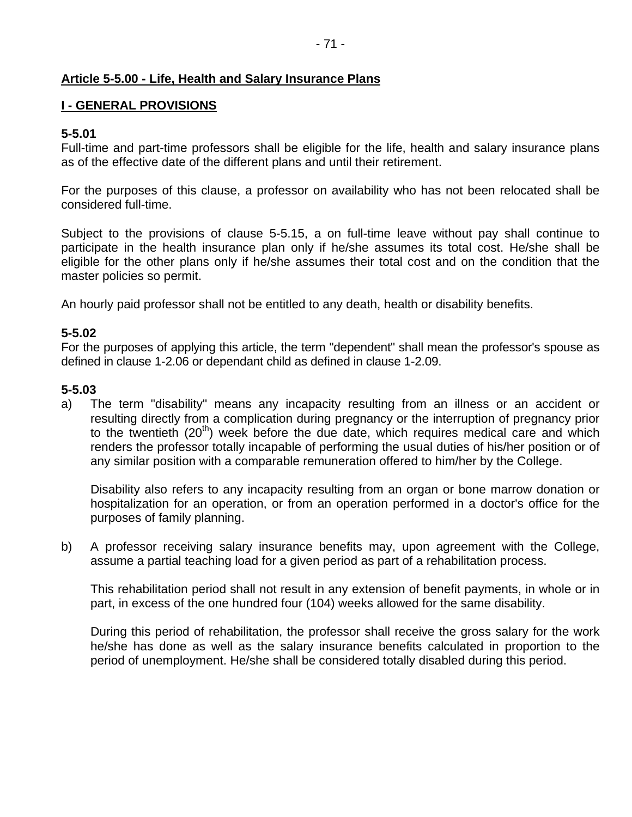# **Article 5-5.00 - Life, Health and Salary Insurance Plans**

### **I - GENERAL PROVISIONS**

# **5-5.01**

Full-time and part-time professors shall be eligible for the life, health and salary insurance plans as of the effective date of the different plans and until their retirement.

For the purposes of this clause, a professor on availability who has not been relocated shall be considered full-time.

Subject to the provisions of clause 5-5.15, a on full-time leave without pay shall continue to participate in the health insurance plan only if he/she assumes its total cost. He/she shall be eligible for the other plans only if he/she assumes their total cost and on the condition that the master policies so permit.

An hourly paid professor shall not be entitled to any death, health or disability benefits.

# **5-5.02**

For the purposes of applying this article, the term "dependent" shall mean the professor's spouse as defined in clause 1-2.06 or dependant child as defined in clause 1-2.09.

# **5-5.03**

a) The term "disability" means any incapacity resulting from an illness or an accident or resulting directly from a complication during pregnancy or the interruption of pregnancy prior to the twentieth  $(20<sup>th</sup>)$  week before the due date, which requires medical care and which renders the professor totally incapable of performing the usual duties of his/her position or of any similar position with a comparable remuneration offered to him/her by the College.

Disability also refers to any incapacity resulting from an organ or bone marrow donation or hospitalization for an operation, or from an operation performed in a doctor's office for the purposes of family planning.

b) A professor receiving salary insurance benefits may, upon agreement with the College, assume a partial teaching load for a given period as part of a rehabilitation process.

This rehabilitation period shall not result in any extension of benefit payments, in whole or in part, in excess of the one hundred four (104) weeks allowed for the same disability.

During this period of rehabilitation, the professor shall receive the gross salary for the work he/she has done as well as the salary insurance benefits calculated in proportion to the period of unemployment. He/she shall be considered totally disabled during this period.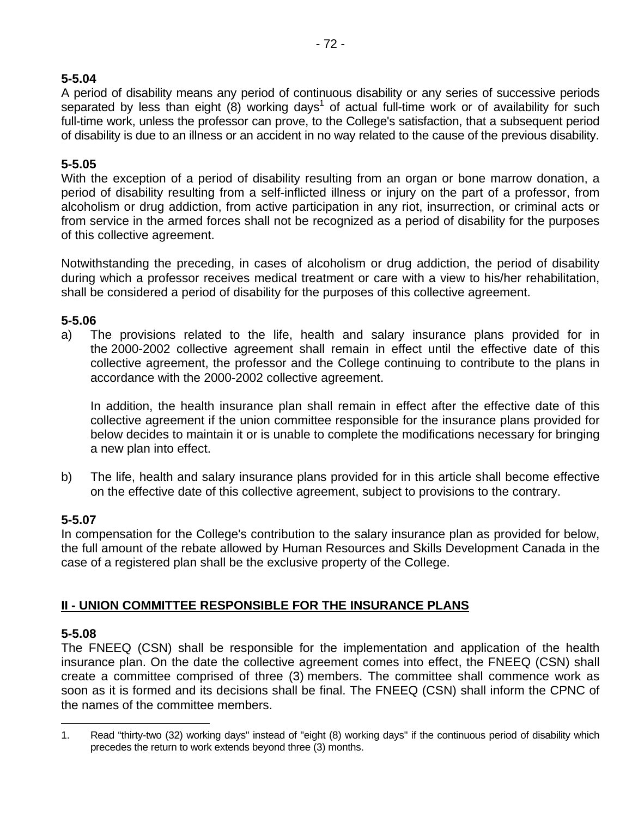# **5-5.04**

A period of disability means any period of continuous disability or any series of successive periods separated by less than eight (8) working days<sup>1</sup> of actual full-time work or of availability for such full-time work, unless the professor can prove, to the College's satisfaction, that a subsequent period of disability is due to an illness or an accident in no way related to the cause of the previous disability.

# **5-5.05**

With the exception of a period of disability resulting from an organ or bone marrow donation, a period of disability resulting from a self-inflicted illness or injury on the part of a professor, from alcoholism or drug addiction, from active participation in any riot, insurrection, or criminal acts or from service in the armed forces shall not be recognized as a period of disability for the purposes of this collective agreement.

Notwithstanding the preceding, in cases of alcoholism or drug addiction, the period of disability during which a professor receives medical treatment or care with a view to his/her rehabilitation, shall be considered a period of disability for the purposes of this collective agreement.

# **5-5.06**

a) The provisions related to the life, health and salary insurance plans provided for in the 2000-2002 collective agreement shall remain in effect until the effective date of this collective agreement, the professor and the College continuing to contribute to the plans in accordance with the 2000-2002 collective agreement.

In addition, the health insurance plan shall remain in effect after the effective date of this collective agreement if the union committee responsible for the insurance plans provided for below decides to maintain it or is unable to complete the modifications necessary for bringing a new plan into effect.

b) The life, health and salary insurance plans provided for in this article shall become effective on the effective date of this collective agreement, subject to provisions to the contrary.

### **5-5.07**

In compensation for the College's contribution to the salary insurance plan as provided for below, the full amount of the rebate allowed by Human Resources and Skills Development Canada in the case of a registered plan shall be the exclusive property of the College.

# **II - UNION COMMITTEE RESPONSIBLE FOR THE INSURANCE PLANS**

### **5-5.08**

The FNEEQ (CSN) shall be responsible for the implementation and application of the health insurance plan. On the date the collective agreement comes into effect, the FNEEQ (CSN) shall create a committee comprised of three (3) members. The committee shall commence work as soon as it is formed and its decisions shall be final. The FNEEQ (CSN) shall inform the CPNC of the names of the committee members.

 $\overline{a}$ 1. Read "thirty-two (32) working days" instead of "eight (8) working days" if the continuous period of disability which precedes the return to work extends beyond three (3) months.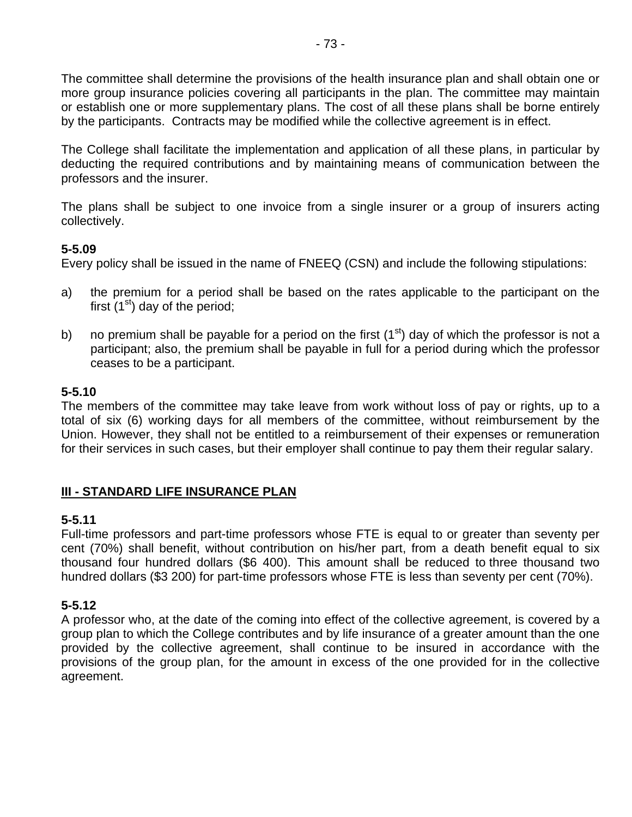The committee shall determine the provisions of the health insurance plan and shall obtain one or more group insurance policies covering all participants in the plan. The committee may maintain or establish one or more supplementary plans. The cost of all these plans shall be borne entirely by the participants. Contracts may be modified while the collective agreement is in effect.

The College shall facilitate the implementation and application of all these plans, in particular by deducting the required contributions and by maintaining means of communication between the professors and the insurer.

The plans shall be subject to one invoice from a single insurer or a group of insurers acting collectively.

# **5-5.09**

Every policy shall be issued in the name of FNEEQ (CSN) and include the following stipulations:

- a) the premium for a period shall be based on the rates applicable to the participant on the first  $(1<sup>st</sup>)$  day of the period;
- b) no premium shall be payable for a period on the first  $(1<sup>st</sup>)$  day of which the professor is not a participant; also, the premium shall be payable in full for a period during which the professor ceases to be a participant.

# **5-5.10**

The members of the committee may take leave from work without loss of pay or rights, up to a total of six (6) working days for all members of the committee, without reimbursement by the Union. However, they shall not be entitled to a reimbursement of their expenses or remuneration for their services in such cases, but their employer shall continue to pay them their regular salary.

# **III - STANDARD LIFE INSURANCE PLAN**

### **5-5.11**

Full-time professors and part-time professors whose FTE is equal to or greater than seventy per cent (70%) shall benefit, without contribution on his/her part, from a death benefit equal to six thousand four hundred dollars (\$6 400). This amount shall be reduced to three thousand two hundred dollars (\$3 200) for part-time professors whose FTE is less than seventy per cent (70%).

# **5-5.12**

A professor who, at the date of the coming into effect of the collective agreement, is covered by a group plan to which the College contributes and by life insurance of a greater amount than the one provided by the collective agreement, shall continue to be insured in accordance with the provisions of the group plan, for the amount in excess of the one provided for in the collective agreement.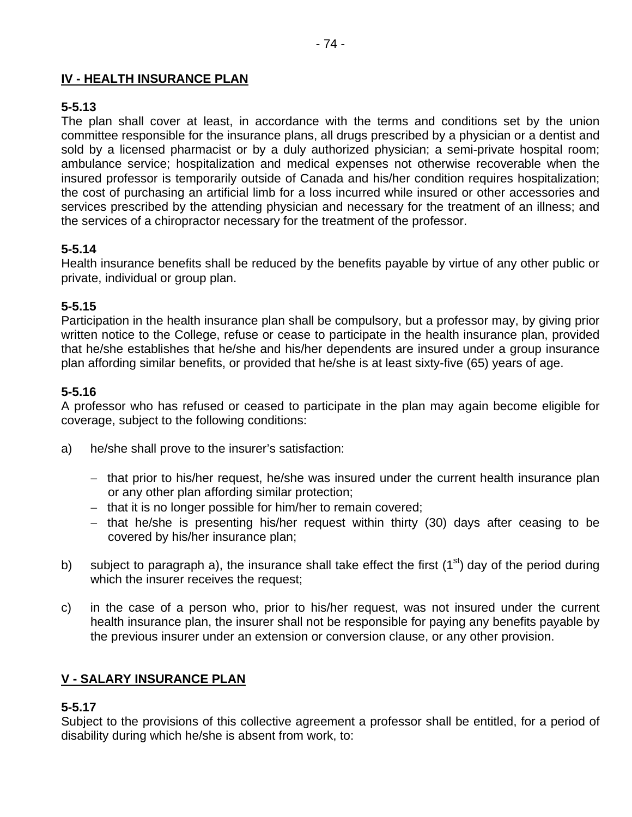# **IV - HEALTH INSURANCE PLAN**

# **5-5.13**

The plan shall cover at least, in accordance with the terms and conditions set by the union committee responsible for the insurance plans, all drugs prescribed by a physician or a dentist and sold by a licensed pharmacist or by a duly authorized physician; a semi-private hospital room; ambulance service; hospitalization and medical expenses not otherwise recoverable when the insured professor is temporarily outside of Canada and his/her condition requires hospitalization; the cost of purchasing an artificial limb for a loss incurred while insured or other accessories and services prescribed by the attending physician and necessary for the treatment of an illness; and the services of a chiropractor necessary for the treatment of the professor.

# **5-5.14**

Health insurance benefits shall be reduced by the benefits payable by virtue of any other public or private, individual or group plan.

### **5-5.15**

Participation in the health insurance plan shall be compulsory, but a professor may, by giving prior written notice to the College, refuse or cease to participate in the health insurance plan, provided that he/she establishes that he/she and his/her dependents are insured under a group insurance plan affording similar benefits, or provided that he/she is at least sixty-five (65) years of age.

# **5-5.16**

A professor who has refused or ceased to participate in the plan may again become eligible for coverage, subject to the following conditions:

- a) he/she shall prove to the insurer's satisfaction:
	- − that prior to his/her request, he/she was insured under the current health insurance plan or any other plan affording similar protection;
	- − that it is no longer possible for him/her to remain covered;
	- − that he/she is presenting his/her request within thirty (30) days after ceasing to be covered by his/her insurance plan;
- b) subject to paragraph a), the insurance shall take effect the first  $(1<sup>st</sup>)$  day of the period during which the insurer receives the request;
- c) in the case of a person who, prior to his/her request, was not insured under the current health insurance plan, the insurer shall not be responsible for paying any benefits payable by the previous insurer under an extension or conversion clause, or any other provision.

### **V - SALARY INSURANCE PLAN**

### **5-5.17**

Subject to the provisions of this collective agreement a professor shall be entitled, for a period of disability during which he/she is absent from work, to: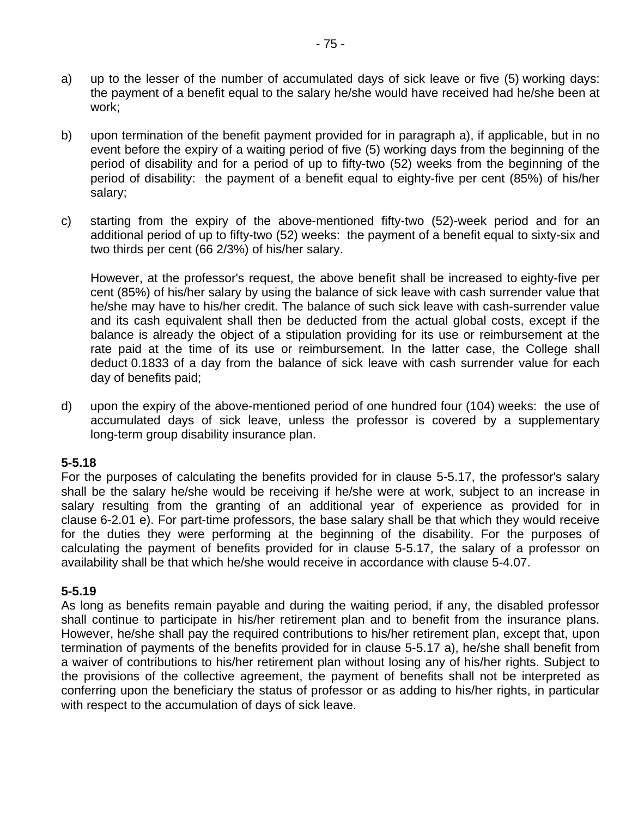- a) up to the lesser of the number of accumulated days of sick leave or five (5) working days: the payment of a benefit equal to the salary he/she would have received had he/she been at work;
- b) upon termination of the benefit payment provided for in paragraph a), if applicable, but in no event before the expiry of a waiting period of five (5) working days from the beginning of the period of disability and for a period of up to fifty-two (52) weeks from the beginning of the period of disability: the payment of a benefit equal to eighty-five per cent (85%) of his/her salary;
- c) starting from the expiry of the above-mentioned fifty-two (52)-week period and for an additional period of up to fifty-two (52) weeks: the payment of a benefit equal to sixty-six and two thirds per cent (66 2/3%) of his/her salary.

However, at the professor's request, the above benefit shall be increased to eighty-five per cent (85%) of his/her salary by using the balance of sick leave with cash surrender value that he/she may have to his/her credit. The balance of such sick leave with cash-surrender value and its cash equivalent shall then be deducted from the actual global costs, except if the balance is already the object of a stipulation providing for its use or reimbursement at the rate paid at the time of its use or reimbursement. In the latter case, the College shall deduct 0.1833 of a day from the balance of sick leave with cash surrender value for each day of benefits paid;

d) upon the expiry of the above-mentioned period of one hundred four (104) weeks: the use of accumulated days of sick leave, unless the professor is covered by a supplementary long-term group disability insurance plan.

### **5-5.18**

For the purposes of calculating the benefits provided for in clause 5-5.17, the professor's salary shall be the salary he/she would be receiving if he/she were at work, subject to an increase in salary resulting from the granting of an additional year of experience as provided for in clause 6-2.01 e). For part-time professors, the base salary shall be that which they would receive for the duties they were performing at the beginning of the disability. For the purposes of calculating the payment of benefits provided for in clause 5-5.17, the salary of a professor on availability shall be that which he/she would receive in accordance with clause 5-4.07.

### **5-5.19**

As long as benefits remain payable and during the waiting period, if any, the disabled professor shall continue to participate in his/her retirement plan and to benefit from the insurance plans. However, he/she shall pay the required contributions to his/her retirement plan, except that, upon termination of payments of the benefits provided for in clause 5-5.17 a), he/she shall benefit from a waiver of contributions to his/her retirement plan without losing any of his/her rights. Subject to the provisions of the collective agreement, the payment of benefits shall not be interpreted as conferring upon the beneficiary the status of professor or as adding to his/her rights, in particular with respect to the accumulation of days of sick leave.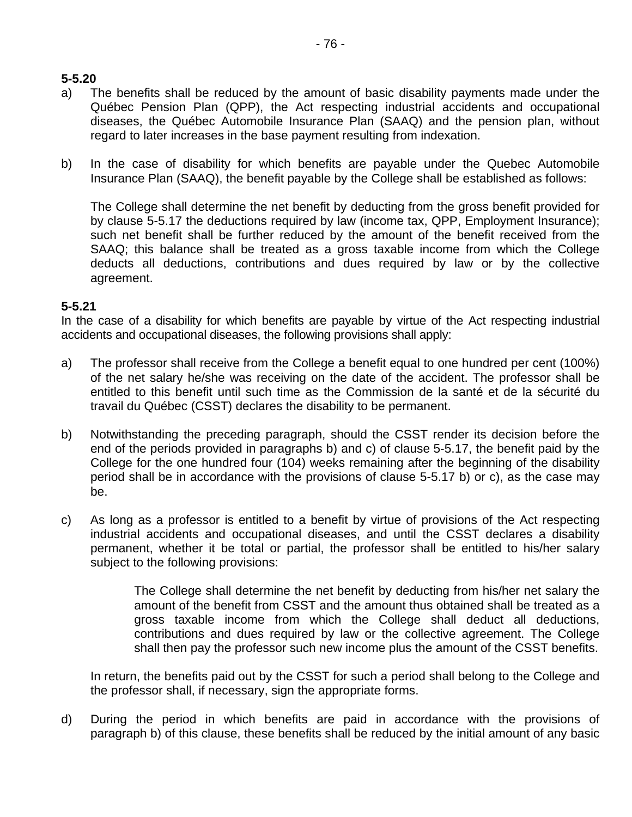# **5-5.20**

- a) The benefits shall be reduced by the amount of basic disability payments made under the Québec Pension Plan (QPP), the Act respecting industrial accidents and occupational diseases, the Québec Automobile Insurance Plan (SAAQ) and the pension plan, without regard to later increases in the base payment resulting from indexation.
- b) In the case of disability for which benefits are payable under the Quebec Automobile Insurance Plan (SAAQ), the benefit payable by the College shall be established as follows:

The College shall determine the net benefit by deducting from the gross benefit provided for by clause 5-5.17 the deductions required by law (income tax, QPP, Employment Insurance); such net benefit shall be further reduced by the amount of the benefit received from the SAAQ; this balance shall be treated as a gross taxable income from which the College deducts all deductions, contributions and dues required by law or by the collective agreement.

#### **5-5.21**

In the case of a disability for which benefits are payable by virtue of the Act respecting industrial accidents and occupational diseases, the following provisions shall apply:

- a) The professor shall receive from the College a benefit equal to one hundred per cent (100%) of the net salary he/she was receiving on the date of the accident. The professor shall be entitled to this benefit until such time as the Commission de la santé et de la sécurité du travail du Québec (CSST) declares the disability to be permanent.
- b) Notwithstanding the preceding paragraph, should the CSST render its decision before the end of the periods provided in paragraphs b) and c) of clause 5-5.17, the benefit paid by the College for the one hundred four (104) weeks remaining after the beginning of the disability period shall be in accordance with the provisions of clause 5-5.17 b) or c), as the case may be.
- c) As long as a professor is entitled to a benefit by virtue of provisions of the Act respecting industrial accidents and occupational diseases, and until the CSST declares a disability permanent, whether it be total or partial, the professor shall be entitled to his/her salary subject to the following provisions:

The College shall determine the net benefit by deducting from his/her net salary the amount of the benefit from CSST and the amount thus obtained shall be treated as a gross taxable income from which the College shall deduct all deductions, contributions and dues required by law or the collective agreement. The College shall then pay the professor such new income plus the amount of the CSST benefits.

In return, the benefits paid out by the CSST for such a period shall belong to the College and the professor shall, if necessary, sign the appropriate forms.

d) During the period in which benefits are paid in accordance with the provisions of paragraph b) of this clause, these benefits shall be reduced by the initial amount of any basic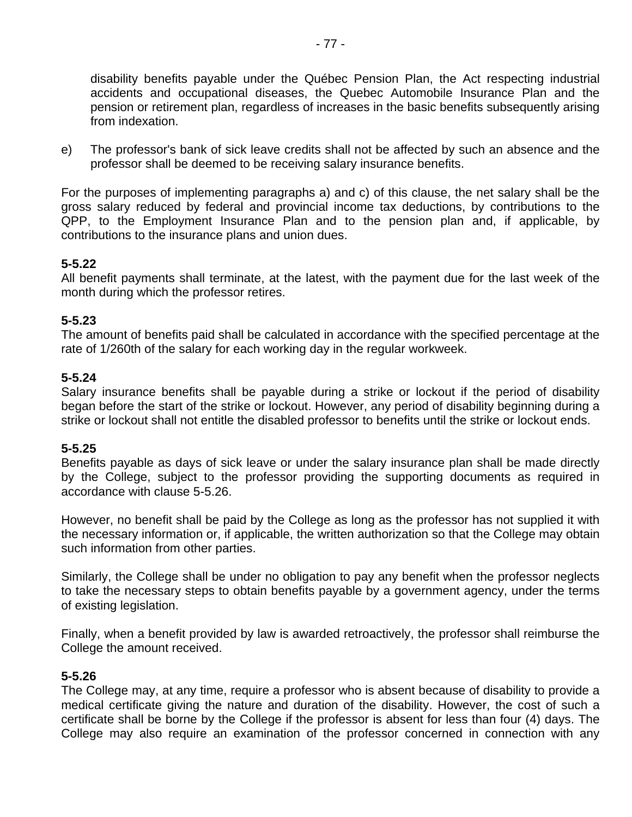disability benefits payable under the Québec Pension Plan, the Act respecting industrial accidents and occupational diseases, the Quebec Automobile Insurance Plan and the pension or retirement plan, regardless of increases in the basic benefits subsequently arising from indexation.

e) The professor's bank of sick leave credits shall not be affected by such an absence and the professor shall be deemed to be receiving salary insurance benefits.

For the purposes of implementing paragraphs a) and c) of this clause, the net salary shall be the gross salary reduced by federal and provincial income tax deductions, by contributions to the QPP, to the Employment Insurance Plan and to the pension plan and, if applicable, by contributions to the insurance plans and union dues.

# **5-5.22**

All benefit payments shall terminate, at the latest, with the payment due for the last week of the month during which the professor retires.

# **5-5.23**

The amount of benefits paid shall be calculated in accordance with the specified percentage at the rate of 1/260th of the salary for each working day in the regular workweek.

# **5-5.24**

Salary insurance benefits shall be payable during a strike or lockout if the period of disability began before the start of the strike or lockout. However, any period of disability beginning during a strike or lockout shall not entitle the disabled professor to benefits until the strike or lockout ends.

# **5-5.25**

Benefits payable as days of sick leave or under the salary insurance plan shall be made directly by the College, subject to the professor providing the supporting documents as required in accordance with clause 5-5.26.

However, no benefit shall be paid by the College as long as the professor has not supplied it with the necessary information or, if applicable, the written authorization so that the College may obtain such information from other parties.

Similarly, the College shall be under no obligation to pay any benefit when the professor neglects to take the necessary steps to obtain benefits payable by a government agency, under the terms of existing legislation.

Finally, when a benefit provided by law is awarded retroactively, the professor shall reimburse the College the amount received.

### **5-5.26**

The College may, at any time, require a professor who is absent because of disability to provide a medical certificate giving the nature and duration of the disability. However, the cost of such a certificate shall be borne by the College if the professor is absent for less than four (4) days. The College may also require an examination of the professor concerned in connection with any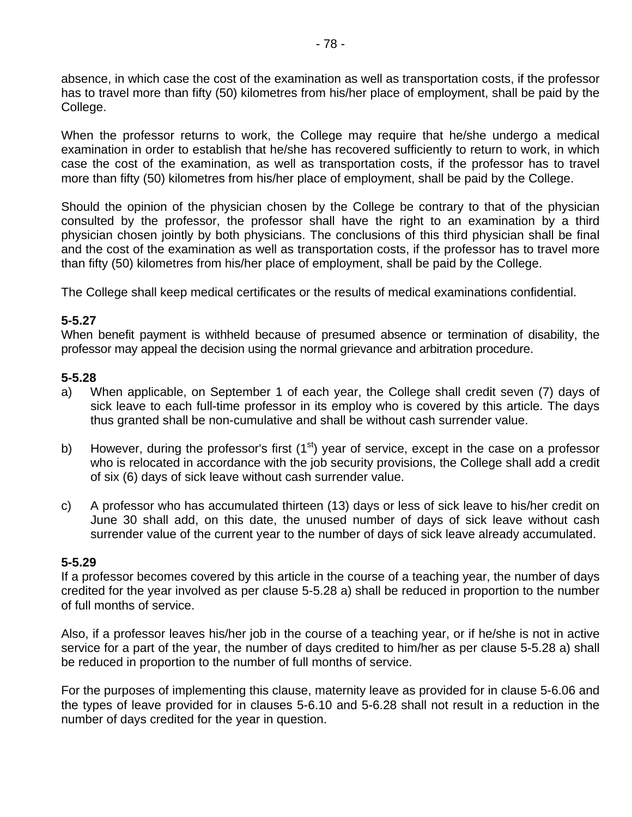absence, in which case the cost of the examination as well as transportation costs, if the professor has to travel more than fifty (50) kilometres from his/her place of employment, shall be paid by the College.

When the professor returns to work, the College may require that he/she undergo a medical examination in order to establish that he/she has recovered sufficiently to return to work, in which case the cost of the examination, as well as transportation costs, if the professor has to travel more than fifty (50) kilometres from his/her place of employment, shall be paid by the College.

Should the opinion of the physician chosen by the College be contrary to that of the physician consulted by the professor, the professor shall have the right to an examination by a third physician chosen jointly by both physicians. The conclusions of this third physician shall be final and the cost of the examination as well as transportation costs, if the professor has to travel more than fifty (50) kilometres from his/her place of employment, shall be paid by the College.

The College shall keep medical certificates or the results of medical examinations confidential.

### **5-5.27**

When benefit payment is withheld because of presumed absence or termination of disability, the professor may appeal the decision using the normal grievance and arbitration procedure.

### **5-5.28**

- a) When applicable, on September 1 of each year, the College shall credit seven (7) days of sick leave to each full-time professor in its employ who is covered by this article. The days thus granted shall be non-cumulative and shall be without cash surrender value.
- b) However, during the professor's first  $(1<sup>st</sup>)$  year of service, except in the case on a professor who is relocated in accordance with the job security provisions, the College shall add a credit of six (6) days of sick leave without cash surrender value.
- c) A professor who has accumulated thirteen (13) days or less of sick leave to his/her credit on June 30 shall add, on this date, the unused number of days of sick leave without cash surrender value of the current year to the number of days of sick leave already accumulated.

### **5-5.29**

If a professor becomes covered by this article in the course of a teaching year, the number of days credited for the year involved as per clause 5-5.28 a) shall be reduced in proportion to the number of full months of service.

Also, if a professor leaves his/her job in the course of a teaching year, or if he/she is not in active service for a part of the year, the number of days credited to him/her as per clause 5-5.28 a) shall be reduced in proportion to the number of full months of service.

For the purposes of implementing this clause, maternity leave as provided for in clause 5-6.06 and the types of leave provided for in clauses 5-6.10 and 5-6.28 shall not result in a reduction in the number of days credited for the year in question.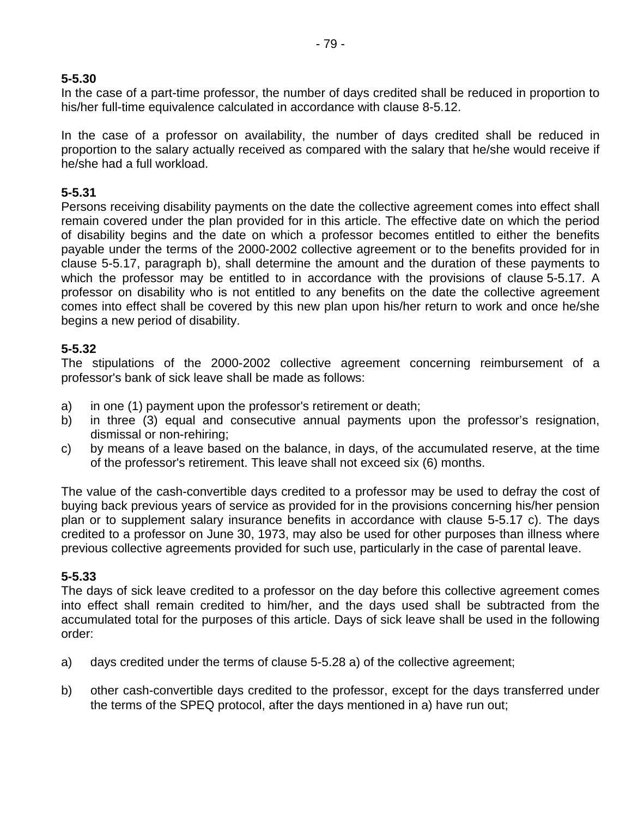# **5-5.30**

In the case of a part-time professor, the number of days credited shall be reduced in proportion to his/her full-time equivalence calculated in accordance with clause 8-5.12.

In the case of a professor on availability, the number of days credited shall be reduced in proportion to the salary actually received as compared with the salary that he/she would receive if he/she had a full workload.

# **5-5.31**

Persons receiving disability payments on the date the collective agreement comes into effect shall remain covered under the plan provided for in this article. The effective date on which the period of disability begins and the date on which a professor becomes entitled to either the benefits payable under the terms of the 2000-2002 collective agreement or to the benefits provided for in clause 5-5.17, paragraph b), shall determine the amount and the duration of these payments to which the professor may be entitled to in accordance with the provisions of clause 5-5.17. A professor on disability who is not entitled to any benefits on the date the collective agreement comes into effect shall be covered by this new plan upon his/her return to work and once he/she begins a new period of disability.

# **5-5.32**

The stipulations of the 2000-2002 collective agreement concerning reimbursement of a professor's bank of sick leave shall be made as follows:

- a) in one (1) payment upon the professor's retirement or death;
- b) in three (3) equal and consecutive annual payments upon the professor's resignation, dismissal or non-rehiring;
- c) by means of a leave based on the balance, in days, of the accumulated reserve, at the time of the professor's retirement. This leave shall not exceed six (6) months.

The value of the cash-convertible days credited to a professor may be used to defray the cost of buying back previous years of service as provided for in the provisions concerning his/her pension plan or to supplement salary insurance benefits in accordance with clause 5-5.17 c). The days credited to a professor on June 30, 1973, may also be used for other purposes than illness where previous collective agreements provided for such use, particularly in the case of parental leave.

# **5-5.33**

The days of sick leave credited to a professor on the day before this collective agreement comes into effect shall remain credited to him/her, and the days used shall be subtracted from the accumulated total for the purposes of this article. Days of sick leave shall be used in the following order:

- a) days credited under the terms of clause 5-5.28 a) of the collective agreement;
- b) other cash-convertible days credited to the professor, except for the days transferred under the terms of the SPEQ protocol, after the days mentioned in a) have run out;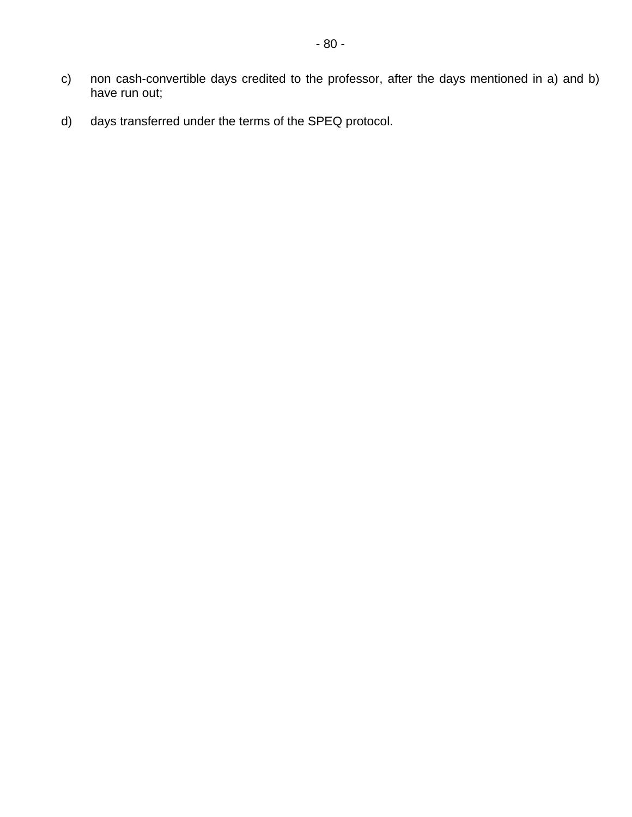- c) non cash-convertible days credited to the professor, after the days mentioned in a) and b) have run out;
- d) days transferred under the terms of the SPEQ protocol.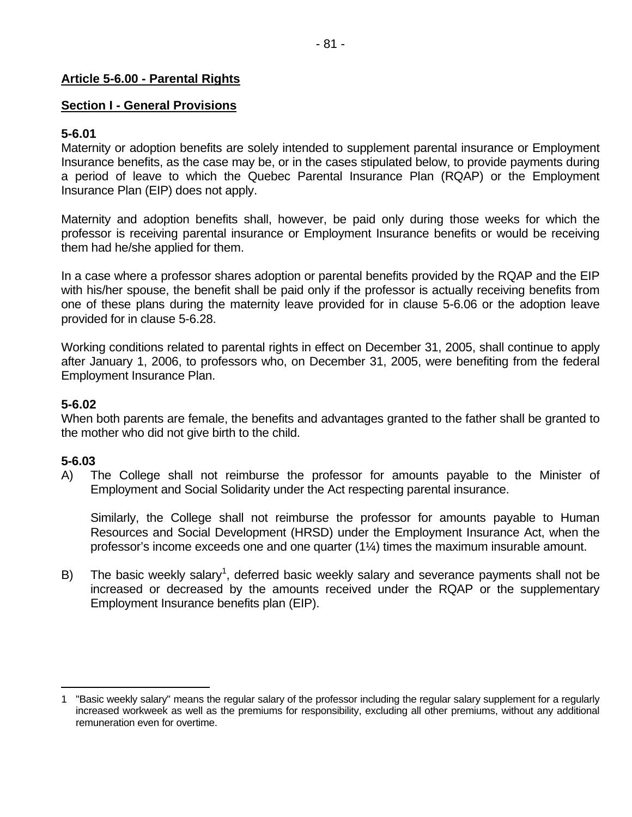### **Article 5-6.00 - Parental Rights**

### **Section I - General Provisions**

# **5-6.01**

Maternity or adoption benefits are solely intended to supplement parental insurance or Employment Insurance benefits, as the case may be, or in the cases stipulated below, to provide payments during a period of leave to which the Quebec Parental Insurance Plan (RQAP) or the Employment Insurance Plan (EIP) does not apply.

Maternity and adoption benefits shall, however, be paid only during those weeks for which the professor is receiving parental insurance or Employment Insurance benefits or would be receiving them had he/she applied for them.

In a case where a professor shares adoption or parental benefits provided by the RQAP and the EIP with his/her spouse, the benefit shall be paid only if the professor is actually receiving benefits from one of these plans during the maternity leave provided for in clause 5-6.06 or the adoption leave provided for in clause 5-6.28.

Working conditions related to parental rights in effect on December 31, 2005, shall continue to apply after January 1, 2006, to professors who, on December 31, 2005, were benefiting from the federal Employment Insurance Plan.

### **5-6.02**

When both parents are female, the benefits and advantages granted to the father shall be granted to the mother who did not give birth to the child.

### **5-6.03**

A) The College shall not reimburse the professor for amounts payable to the Minister of Employment and Social Solidarity under the Act respecting parental insurance.

Similarly, the College shall not reimburse the professor for amounts payable to Human Resources and Social Development (HRSD) under the Employment Insurance Act, when the professor's income exceeds one and one quarter (1¼) times the maximum insurable amount.

B) The basic weekly salary<sup>1</sup>, deferred basic weekly salary and severance payments shall not be increased or decreased by the amounts received under the RQAP or the supplementary Employment Insurance benefits plan (EIP).

 $\overline{a}$ 1 "Basic weekly salary" means the regular salary of the professor including the regular salary supplement for a regularly increased workweek as well as the premiums for responsibility, excluding all other premiums, without any additional remuneration even for overtime.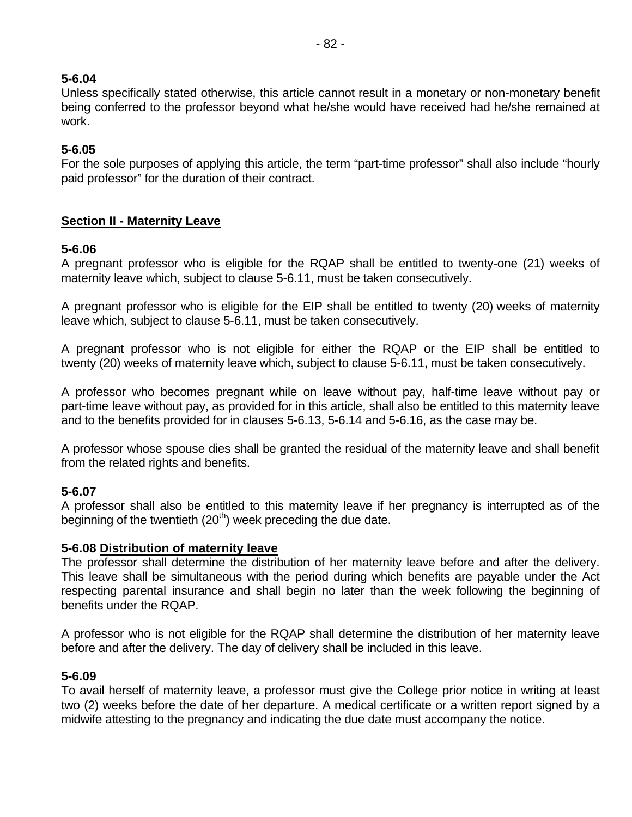### **5-6.04**

Unless specifically stated otherwise, this article cannot result in a monetary or non-monetary benefit being conferred to the professor beyond what he/she would have received had he/she remained at work.

### **5-6.05**

For the sole purposes of applying this article, the term "part-time professor" shall also include "hourly paid professor" for the duration of their contract.

# **Section II - Maternity Leave**

# **5-6.06**

A pregnant professor who is eligible for the RQAP shall be entitled to twenty-one (21) weeks of maternity leave which, subject to clause 5-6.11, must be taken consecutively.

A pregnant professor who is eligible for the EIP shall be entitled to twenty (20) weeks of maternity leave which, subject to clause 5-6.11, must be taken consecutively.

A pregnant professor who is not eligible for either the RQAP or the EIP shall be entitled to twenty (20) weeks of maternity leave which, subject to clause 5-6.11, must be taken consecutively.

A professor who becomes pregnant while on leave without pay, half-time leave without pay or part-time leave without pay, as provided for in this article, shall also be entitled to this maternity leave and to the benefits provided for in clauses 5-6.13, 5-6.14 and 5-6.16, as the case may be.

A professor whose spouse dies shall be granted the residual of the maternity leave and shall benefit from the related rights and benefits.

### **5-6.07**

A professor shall also be entitled to this maternity leave if her pregnancy is interrupted as of the beginning of the twentieth  $(20<sup>th</sup>)$  week preceding the due date.

### **5-6.08 Distribution of maternity leave**

The professor shall determine the distribution of her maternity leave before and after the delivery. This leave shall be simultaneous with the period during which benefits are payable under the Act respecting parental insurance and shall begin no later than the week following the beginning of benefits under the RQAP.

A professor who is not eligible for the RQAP shall determine the distribution of her maternity leave before and after the delivery. The day of delivery shall be included in this leave.

### **5-6.09**

To avail herself of maternity leave, a professor must give the College prior notice in writing at least two (2) weeks before the date of her departure. A medical certificate or a written report signed by a midwife attesting to the pregnancy and indicating the due date must accompany the notice.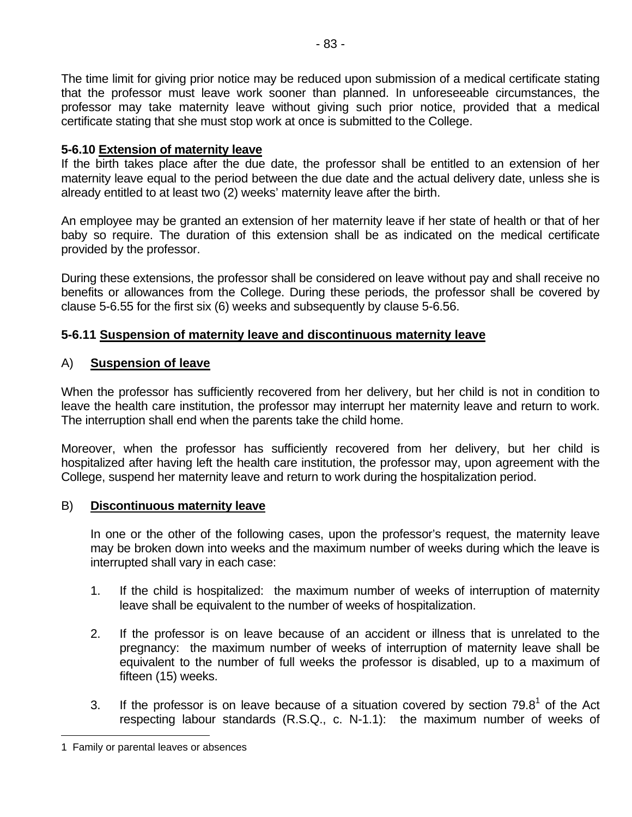The time limit for giving prior notice may be reduced upon submission of a medical certificate stating that the professor must leave work sooner than planned. In unforeseeable circumstances, the professor may take maternity leave without giving such prior notice, provided that a medical certificate stating that she must stop work at once is submitted to the College.

### **5-6.10 Extension of maternity leave**

If the birth takes place after the due date, the professor shall be entitled to an extension of her maternity leave equal to the period between the due date and the actual delivery date, unless she is already entitled to at least two (2) weeks' maternity leave after the birth.

An employee may be granted an extension of her maternity leave if her state of health or that of her baby so require. The duration of this extension shall be as indicated on the medical certificate provided by the professor.

During these extensions, the professor shall be considered on leave without pay and shall receive no benefits or allowances from the College. During these periods, the professor shall be covered by clause 5-6.55 for the first six (6) weeks and subsequently by clause 5-6.56.

# **5-6.11 Suspension of maternity leave and discontinuous maternity leave**

# A) **Suspension of leave**

When the professor has sufficiently recovered from her delivery, but her child is not in condition to leave the health care institution, the professor may interrupt her maternity leave and return to work. The interruption shall end when the parents take the child home.

Moreover, when the professor has sufficiently recovered from her delivery, but her child is hospitalized after having left the health care institution, the professor may, upon agreement with the College, suspend her maternity leave and return to work during the hospitalization period.

### B) **Discontinuous maternity leave**

In one or the other of the following cases, upon the professor's request, the maternity leave may be broken down into weeks and the maximum number of weeks during which the leave is interrupted shall vary in each case:

- 1. If the child is hospitalized: the maximum number of weeks of interruption of maternity leave shall be equivalent to the number of weeks of hospitalization.
- 2. If the professor is on leave because of an accident or illness that is unrelated to the pregnancy: the maximum number of weeks of interruption of maternity leave shall be equivalent to the number of full weeks the professor is disabled, up to a maximum of fifteen (15) weeks.
- 3. If the professor is on leave because of a situation covered by section  $79.8<sup>1</sup>$  of the Act respecting labour standards (R.S.Q., c. N-1.1): the maximum number of weeks of

 $\overline{a}$ 

<sup>1</sup> Family or parental leaves or absences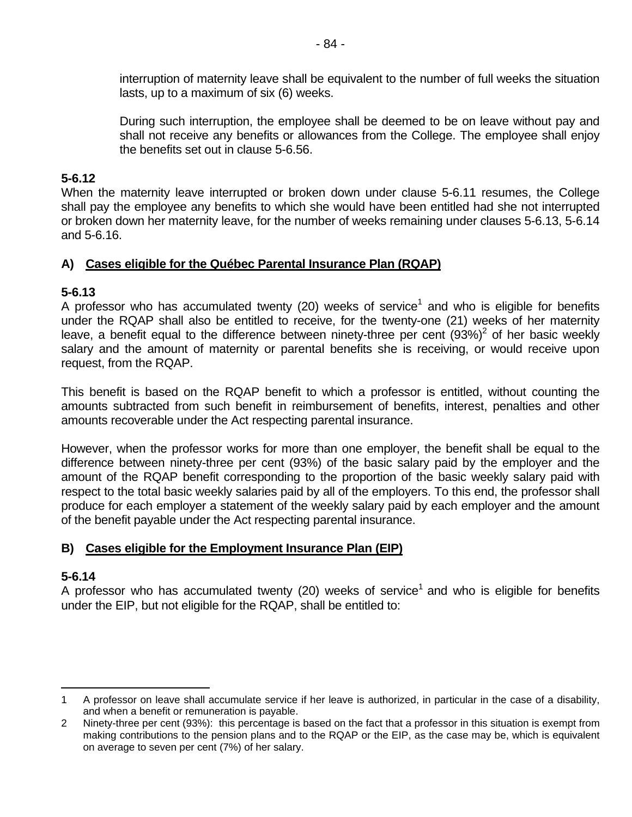interruption of maternity leave shall be equivalent to the number of full weeks the situation lasts, up to a maximum of six (6) weeks.

During such interruption, the employee shall be deemed to be on leave without pay and shall not receive any benefits or allowances from the College. The employee shall enjoy the benefits set out in clause 5-6.56.

# **5-6.12**

When the maternity leave interrupted or broken down under clause 5-6.11 resumes, the College shall pay the employee any benefits to which she would have been entitled had she not interrupted or broken down her maternity leave, for the number of weeks remaining under clauses 5-6.13, 5-6.14 and 5-6.16.

# **A) Cases eligible for the Québec Parental Insurance Plan (RQAP)**

# **5-6.13**

A professor who has accumulated twenty (20) weeks of service<sup>1</sup> and who is eligible for benefits under the RQAP shall also be entitled to receive, for the twenty-one (21) weeks of her maternity leave, a benefit equal to the difference between ninety-three per cent  $(93%)^2$  of her basic weekly salary and the amount of maternity or parental benefits she is receiving, or would receive upon request, from the RQAP.

This benefit is based on the RQAP benefit to which a professor is entitled, without counting the amounts subtracted from such benefit in reimbursement of benefits, interest, penalties and other amounts recoverable under the Act respecting parental insurance.

However, when the professor works for more than one employer, the benefit shall be equal to the difference between ninety-three per cent (93%) of the basic salary paid by the employer and the amount of the RQAP benefit corresponding to the proportion of the basic weekly salary paid with respect to the total basic weekly salaries paid by all of the employers. To this end, the professor shall produce for each employer a statement of the weekly salary paid by each employer and the amount of the benefit payable under the Act respecting parental insurance.

# **B) Cases eligible for the Employment Insurance Plan (EIP)**

# **5-6.14**

A professor who has accumulated twenty (20) weeks of service<sup>1</sup> and who is eligible for benefits under the EIP, but not eligible for the RQAP, shall be entitled to:

 $\overline{a}$ 1 A professor on leave shall accumulate service if her leave is authorized, in particular in the case of a disability, and when a benefit or remuneration is payable.

<sup>2</sup> Ninety-three per cent (93%): this percentage is based on the fact that a professor in this situation is exempt from making contributions to the pension plans and to the RQAP or the EIP, as the case may be, which is equivalent on average to seven per cent (7%) of her salary.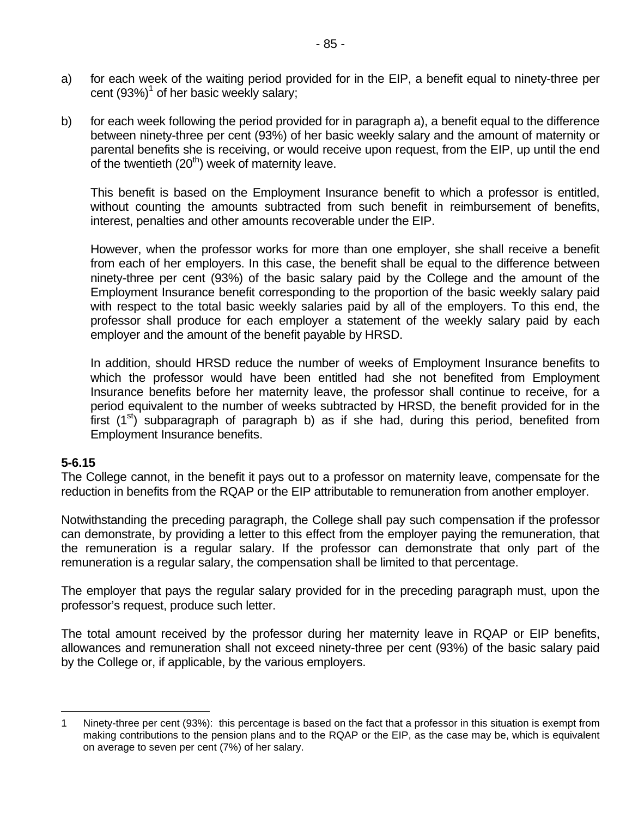- a) for each week of the waiting period provided for in the EIP, a benefit equal to ninety-three per cent  $(93%)<sup>1</sup>$  of her basic weekly salary;
- b) for each week following the period provided for in paragraph a), a benefit equal to the difference between ninety-three per cent (93%) of her basic weekly salary and the amount of maternity or parental benefits she is receiving, or would receive upon request, from the EIP, up until the end of the twentieth  $(20<sup>th</sup>)$  week of maternity leave.

This benefit is based on the Employment Insurance benefit to which a professor is entitled, without counting the amounts subtracted from such benefit in reimbursement of benefits, interest, penalties and other amounts recoverable under the EIP.

However, when the professor works for more than one employer, she shall receive a benefit from each of her employers. In this case, the benefit shall be equal to the difference between ninety-three per cent (93%) of the basic salary paid by the College and the amount of the Employment Insurance benefit corresponding to the proportion of the basic weekly salary paid with respect to the total basic weekly salaries paid by all of the employers. To this end, the professor shall produce for each employer a statement of the weekly salary paid by each employer and the amount of the benefit payable by HRSD.

In addition, should HRSD reduce the number of weeks of Employment Insurance benefits to which the professor would have been entitled had she not benefited from Employment Insurance benefits before her maternity leave, the professor shall continue to receive, for a period equivalent to the number of weeks subtracted by HRSD, the benefit provided for in the first  $(1<sup>st</sup>)$  subparagraph of paragraph b) as if she had, during this period, benefited from Employment Insurance benefits.

### **5-6.15**

 $\overline{a}$ 

The College cannot, in the benefit it pays out to a professor on maternity leave, compensate for the reduction in benefits from the RQAP or the EIP attributable to remuneration from another employer.

Notwithstanding the preceding paragraph, the College shall pay such compensation if the professor can demonstrate, by providing a letter to this effect from the employer paying the remuneration, that the remuneration is a regular salary. If the professor can demonstrate that only part of the remuneration is a regular salary, the compensation shall be limited to that percentage.

The employer that pays the regular salary provided for in the preceding paragraph must, upon the professor's request, produce such letter.

The total amount received by the professor during her maternity leave in RQAP or EIP benefits, allowances and remuneration shall not exceed ninety-three per cent (93%) of the basic salary paid by the College or, if applicable, by the various employers.

<sup>1</sup> Ninety-three per cent (93%): this percentage is based on the fact that a professor in this situation is exempt from making contributions to the pension plans and to the RQAP or the EIP, as the case may be, which is equivalent on average to seven per cent (7%) of her salary.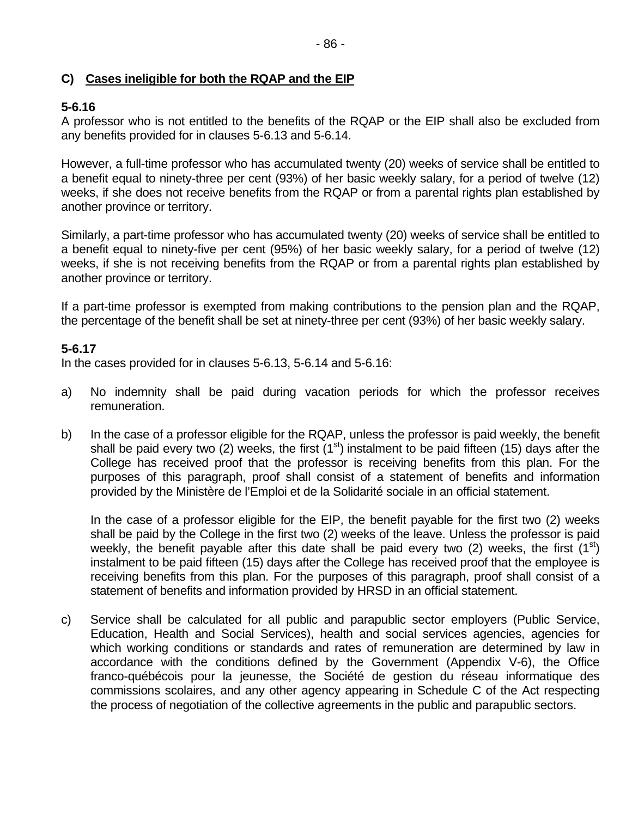# **C) Cases ineligible for both the RQAP and the EIP**

# **5-6.16**

A professor who is not entitled to the benefits of the RQAP or the EIP shall also be excluded from any benefits provided for in clauses 5-6.13 and 5-6.14.

However, a full-time professor who has accumulated twenty (20) weeks of service shall be entitled to a benefit equal to ninety-three per cent (93%) of her basic weekly salary, for a period of twelve (12) weeks, if she does not receive benefits from the RQAP or from a parental rights plan established by another province or territory.

Similarly, a part-time professor who has accumulated twenty (20) weeks of service shall be entitled to a benefit equal to ninety-five per cent (95%) of her basic weekly salary, for a period of twelve (12) weeks, if she is not receiving benefits from the RQAP or from a parental rights plan established by another province or territory.

If a part-time professor is exempted from making contributions to the pension plan and the RQAP, the percentage of the benefit shall be set at ninety-three per cent (93%) of her basic weekly salary.

# **5-6.17**

In the cases provided for in clauses 5-6.13, 5-6.14 and 5-6.16:

- a) No indemnity shall be paid during vacation periods for which the professor receives remuneration.
- b) In the case of a professor eligible for the RQAP, unless the professor is paid weekly, the benefit shall be paid every two (2) weeks, the first ( $1<sup>st</sup>$ ) instalment to be paid fifteen (15) days after the College has received proof that the professor is receiving benefits from this plan. For the purposes of this paragraph, proof shall consist of a statement of benefits and information provided by the Ministère de l'Emploi et de la Solidarité sociale in an official statement.

In the case of a professor eligible for the EIP, the benefit payable for the first two (2) weeks shall be paid by the College in the first two (2) weeks of the leave. Unless the professor is paid weekly, the benefit payable after this date shall be paid every two (2) weeks, the first  $(1^{st})$ instalment to be paid fifteen (15) days after the College has received proof that the employee is receiving benefits from this plan. For the purposes of this paragraph, proof shall consist of a statement of benefits and information provided by HRSD in an official statement.

c) Service shall be calculated for all public and parapublic sector employers (Public Service, Education, Health and Social Services), health and social services agencies, agencies for which working conditions or standards and rates of remuneration are determined by law in accordance with the conditions defined by the Government (Appendix V-6), the Office franco-québécois pour la jeunesse, the Société de gestion du réseau informatique des commissions scolaires, and any other agency appearing in Schedule C of the Act respecting the process of negotiation of the collective agreements in the public and parapublic sectors.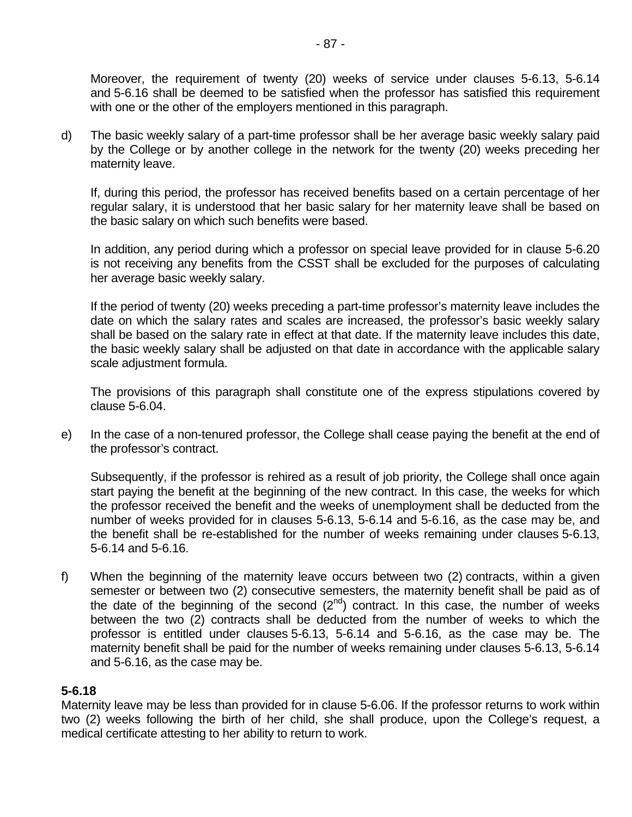Moreover, the requirement of twenty (20) weeks of service under clauses 5-6.13, 5-6.14 and 5-6.16 shall be deemed to be satisfied when the professor has satisfied this requirement with one or the other of the employers mentioned in this paragraph.

d) The basic weekly salary of a part-time professor shall be her average basic weekly salary paid by the College or by another college in the network for the twenty (20) weeks preceding her maternity leave.

If, during this period, the professor has received benefits based on a certain percentage of her regular salary, it is understood that her basic salary for her maternity leave shall be based on the basic salary on which such benefits were based.

In addition, any period during which a professor on special leave provided for in clause 5-6.20 is not receiving any benefits from the CSST shall be excluded for the purposes of calculating her average basic weekly salary.

If the period of twenty (20) weeks preceding a part-time professor's maternity leave includes the date on which the salary rates and scales are increased, the professor's basic weekly salary shall be based on the salary rate in effect at that date. If the maternity leave includes this date, the basic weekly salary shall be adjusted on that date in accordance with the applicable salary scale adjustment formula.

The provisions of this paragraph shall constitute one of the express stipulations covered by clause 5-6.04.

e) In the case of a non-tenured professor, the College shall cease paying the benefit at the end of the professor's contract.

Subsequently, if the professor is rehired as a result of job priority, the College shall once again start paying the benefit at the beginning of the new contract. In this case, the weeks for which the professor received the benefit and the weeks of unemployment shall be deducted from the number of weeks provided for in clauses 5-6.13, 5-6.14 and 5-6.16, as the case may be, and the benefit shall be re-established for the number of weeks remaining under clauses 5-6.13, 5-6.14 and 5-6.16.

f) When the beginning of the maternity leave occurs between two (2) contracts, within a given semester or between two (2) consecutive semesters, the maternity benefit shall be paid as of the date of the beginning of the second  $(2^{nd})$  contract. In this case, the number of weeks between the two (2) contracts shall be deducted from the number of weeks to which the professor is entitled under clauses 5-6.13, 5-6.14 and 5-6.16, as the case may be. The maternity benefit shall be paid for the number of weeks remaining under clauses 5-6.13, 5-6.14 and 5-6.16, as the case may be.

### **5-6.18**

Maternity leave may be less than provided for in clause 5-6.06. If the professor returns to work within two (2) weeks following the birth of her child, she shall produce, upon the College's request, a medical certificate attesting to her ability to return to work.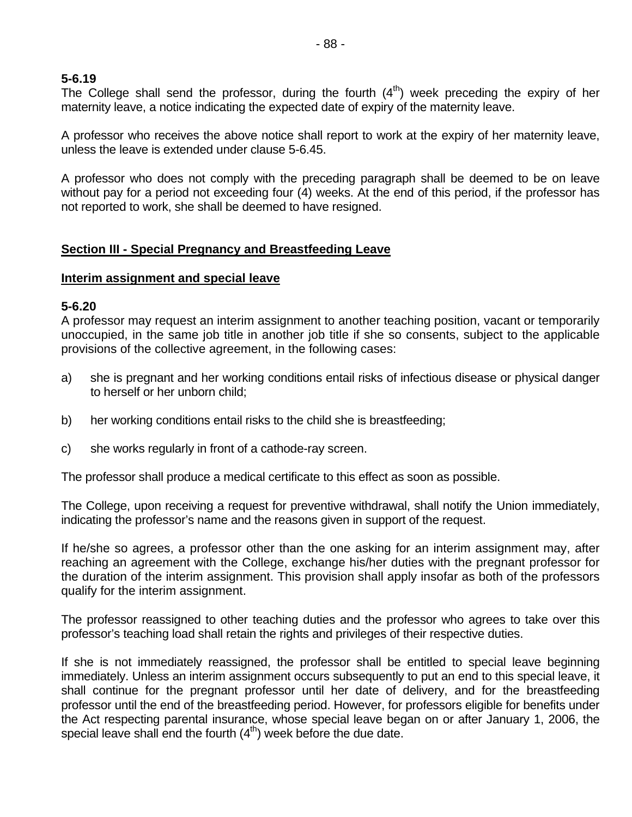### **5-6.19**

The College shall send the professor, during the fourth  $(4<sup>th</sup>)$  week preceding the expiry of her maternity leave, a notice indicating the expected date of expiry of the maternity leave.

A professor who receives the above notice shall report to work at the expiry of her maternity leave, unless the leave is extended under clause 5-6.45.

A professor who does not comply with the preceding paragraph shall be deemed to be on leave without pay for a period not exceeding four (4) weeks. At the end of this period, if the professor has not reported to work, she shall be deemed to have resigned.

# **Section III - Special Pregnancy and Breastfeeding Leave**

#### **Interim assignment and special leave**

# **5-6.20**

A professor may request an interim assignment to another teaching position, vacant or temporarily unoccupied, in the same job title in another job title if she so consents, subject to the applicable provisions of the collective agreement, in the following cases:

- a) she is pregnant and her working conditions entail risks of infectious disease or physical danger to herself or her unborn child;
- b) her working conditions entail risks to the child she is breastfeeding;
- c) she works regularly in front of a cathode-ray screen.

The professor shall produce a medical certificate to this effect as soon as possible.

The College, upon receiving a request for preventive withdrawal, shall notify the Union immediately, indicating the professor's name and the reasons given in support of the request.

If he/she so agrees, a professor other than the one asking for an interim assignment may, after reaching an agreement with the College, exchange his/her duties with the pregnant professor for the duration of the interim assignment. This provision shall apply insofar as both of the professors qualify for the interim assignment.

The professor reassigned to other teaching duties and the professor who agrees to take over this professor's teaching load shall retain the rights and privileges of their respective duties.

If she is not immediately reassigned, the professor shall be entitled to special leave beginning immediately. Unless an interim assignment occurs subsequently to put an end to this special leave, it shall continue for the pregnant professor until her date of delivery, and for the breastfeeding professor until the end of the breastfeeding period. However, for professors eligible for benefits under the Act respecting parental insurance, whose special leave began on or after January 1, 2006, the special leave shall end the fourth  $(4<sup>th</sup>)$  week before the due date.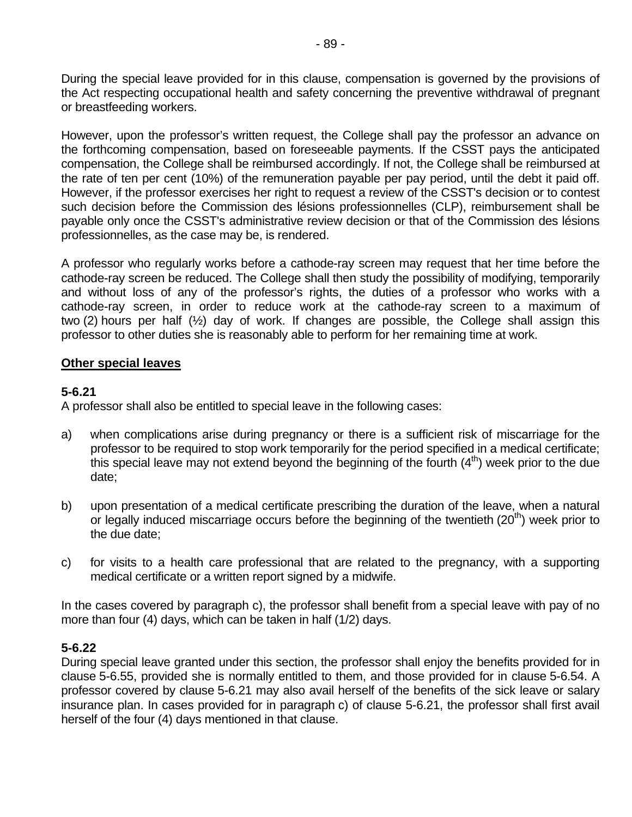During the special leave provided for in this clause, compensation is governed by the provisions of the Act respecting occupational health and safety concerning the preventive withdrawal of pregnant or breastfeeding workers.

However, upon the professor's written request, the College shall pay the professor an advance on the forthcoming compensation, based on foreseeable payments. If the CSST pays the anticipated compensation, the College shall be reimbursed accordingly. If not, the College shall be reimbursed at the rate of ten per cent (10%) of the remuneration payable per pay period, until the debt it paid off. However, if the professor exercises her right to request a review of the CSST's decision or to contest such decision before the Commission des lésions professionnelles (CLP), reimbursement shall be payable only once the CSST's administrative review decision or that of the Commission des lésions professionnelles, as the case may be, is rendered.

A professor who regularly works before a cathode-ray screen may request that her time before the cathode-ray screen be reduced. The College shall then study the possibility of modifying, temporarily and without loss of any of the professor's rights, the duties of a professor who works with a cathode-ray screen, in order to reduce work at the cathode-ray screen to a maximum of two (2) hours per half (½) day of work. If changes are possible, the College shall assign this professor to other duties she is reasonably able to perform for her remaining time at work.

#### **Other special leaves**

#### **5-6.21**

A professor shall also be entitled to special leave in the following cases:

- a) when complications arise during pregnancy or there is a sufficient risk of miscarriage for the professor to be required to stop work temporarily for the period specified in a medical certificate; this special leave may not extend beyond the beginning of the fourth  $(4<sup>th</sup>)$  week prior to the due date;
- b) upon presentation of a medical certificate prescribing the duration of the leave, when a natural or legally induced miscarriage occurs before the beginning of the twentieth  $(20<sup>th</sup>)$  week prior to the due date;
- c) for visits to a health care professional that are related to the pregnancy, with a supporting medical certificate or a written report signed by a midwife.

In the cases covered by paragraph c), the professor shall benefit from a special leave with pay of no more than four (4) days, which can be taken in half (1/2) days.

### **5-6.22**

During special leave granted under this section, the professor shall enjoy the benefits provided for in clause 5-6.55, provided she is normally entitled to them, and those provided for in clause 5-6.54. A professor covered by clause 5-6.21 may also avail herself of the benefits of the sick leave or salary insurance plan. In cases provided for in paragraph c) of clause 5-6.21, the professor shall first avail herself of the four (4) days mentioned in that clause.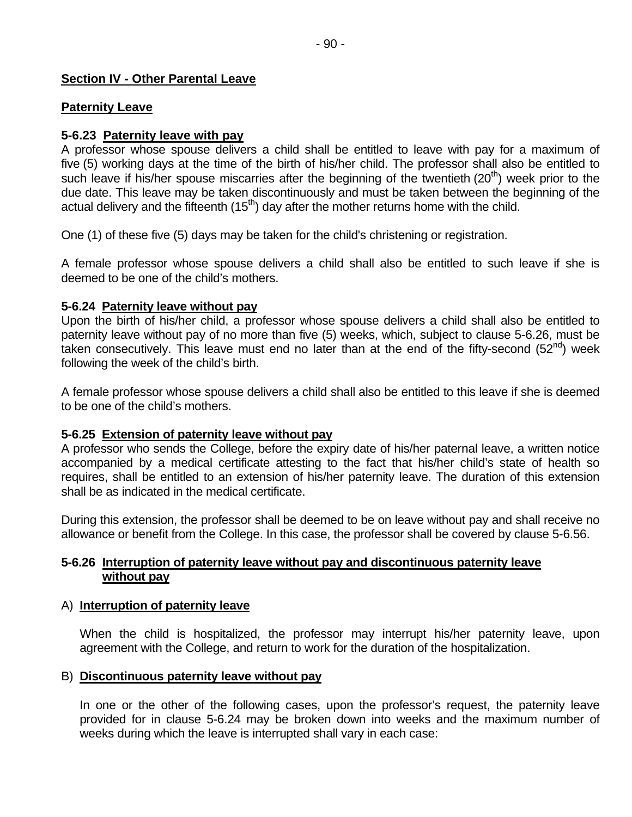### **Section IV - Other Parental Leave**

#### **Paternity Leave**

#### **5-6.23 Paternity leave with pay**

A professor whose spouse delivers a child shall be entitled to leave with pay for a maximum of five (5) working days at the time of the birth of his/her child. The professor shall also be entitled to such leave if his/her spouse miscarries after the beginning of the twentieth  $(20<sup>th</sup>)$  week prior to the due date. This leave may be taken discontinuously and must be taken between the beginning of the actual delivery and the fifteenth  $(15<sup>th</sup>)$  day after the mother returns home with the child.

One (1) of these five (5) days may be taken for the child's christening or registration.

A female professor whose spouse delivers a child shall also be entitled to such leave if she is deemed to be one of the child's mothers.

#### **5-6.24 Paternity leave without pay**

Upon the birth of his/her child, a professor whose spouse delivers a child shall also be entitled to paternity leave without pay of no more than five (5) weeks, which, subject to clause 5-6.26, must be taken consecutively. This leave must end no later than at the end of the fifty-second (52<sup>nd</sup>) week following the week of the child's birth.

A female professor whose spouse delivers a child shall also be entitled to this leave if she is deemed to be one of the child's mothers.

### **5-6.25 Extension of paternity leave without pay**

A professor who sends the College, before the expiry date of his/her paternal leave, a written notice accompanied by a medical certificate attesting to the fact that his/her child's state of health so requires, shall be entitled to an extension of his/her paternity leave. The duration of this extension shall be as indicated in the medical certificate.

During this extension, the professor shall be deemed to be on leave without pay and shall receive no allowance or benefit from the College. In this case, the professor shall be covered by clause 5-6.56.

#### **5-6.26 Interruption of paternity leave without pay and discontinuous paternity leave without pay**

#### A) **Interruption of paternity leave**

When the child is hospitalized, the professor may interrupt his/her paternity leave, upon agreement with the College, and return to work for the duration of the hospitalization.

#### B) **Discontinuous paternity leave without pay**

In one or the other of the following cases, upon the professor's request, the paternity leave provided for in clause 5-6.24 may be broken down into weeks and the maximum number of weeks during which the leave is interrupted shall vary in each case: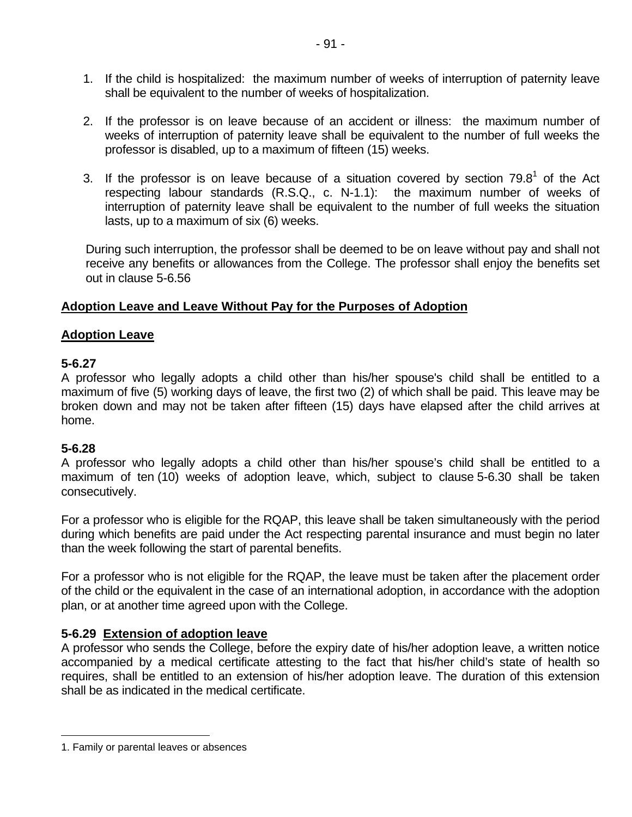- 1. If the child is hospitalized: the maximum number of weeks of interruption of paternity leave shall be equivalent to the number of weeks of hospitalization.
- 2. If the professor is on leave because of an accident or illness: the maximum number of weeks of interruption of paternity leave shall be equivalent to the number of full weeks the professor is disabled, up to a maximum of fifteen (15) weeks.
- 3. If the professor is on leave because of a situation covered by section  $79.8<sup>1</sup>$  of the Act respecting labour standards (R.S.Q., c. N-1.1): the maximum number of weeks of interruption of paternity leave shall be equivalent to the number of full weeks the situation lasts, up to a maximum of six (6) weeks.

During such interruption, the professor shall be deemed to be on leave without pay and shall not receive any benefits or allowances from the College. The professor shall enjoy the benefits set out in clause 5-6.56

### **Adoption Leave and Leave Without Pay for the Purposes of Adoption**

# **Adoption Leave**

# **5-6.27**

A professor who legally adopts a child other than his/her spouse's child shall be entitled to a maximum of five (5) working days of leave, the first two (2) of which shall be paid. This leave may be broken down and may not be taken after fifteen (15) days have elapsed after the child arrives at home.

### **5-6.28**

 $\overline{a}$ 

A professor who legally adopts a child other than his/her spouse's child shall be entitled to a maximum of ten (10) weeks of adoption leave, which, subject to clause 5-6.30 shall be taken consecutively.

For a professor who is eligible for the RQAP, this leave shall be taken simultaneously with the period during which benefits are paid under the Act respecting parental insurance and must begin no later than the week following the start of parental benefits.

For a professor who is not eligible for the RQAP, the leave must be taken after the placement order of the child or the equivalent in the case of an international adoption, in accordance with the adoption plan, or at another time agreed upon with the College.

### **5-6.29 Extension of adoption leave**

A professor who sends the College, before the expiry date of his/her adoption leave, a written notice accompanied by a medical certificate attesting to the fact that his/her child's state of health so requires, shall be entitled to an extension of his/her adoption leave. The duration of this extension shall be as indicated in the medical certificate.

<sup>1.</sup> Family or parental leaves or absences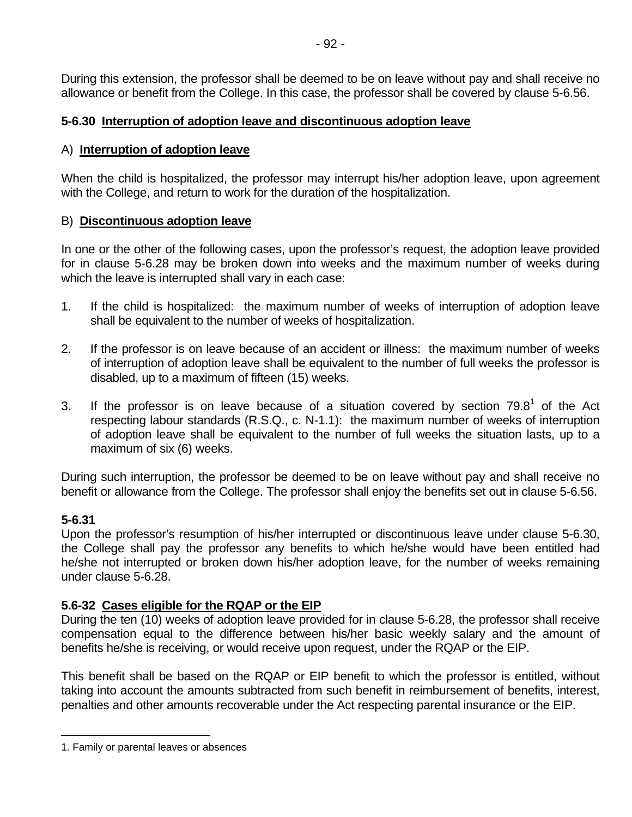During this extension, the professor shall be deemed to be on leave without pay and shall receive no allowance or benefit from the College. In this case, the professor shall be covered by clause 5-6.56.

# **5-6.30 Interruption of adoption leave and discontinuous adoption leave**

# A) **Interruption of adoption leave**

When the child is hospitalized, the professor may interrupt his/her adoption leave, upon agreement with the College, and return to work for the duration of the hospitalization.

# B) **Discontinuous adoption leave**

In one or the other of the following cases, upon the professor's request, the adoption leave provided for in clause 5-6.28 may be broken down into weeks and the maximum number of weeks during which the leave is interrupted shall vary in each case:

- 1. If the child is hospitalized: the maximum number of weeks of interruption of adoption leave shall be equivalent to the number of weeks of hospitalization.
- 2. If the professor is on leave because of an accident or illness: the maximum number of weeks of interruption of adoption leave shall be equivalent to the number of full weeks the professor is disabled, up to a maximum of fifteen (15) weeks.
- 3. If the professor is on leave because of a situation covered by section  $79.8<sup>1</sup>$  of the Act respecting labour standards (R.S.Q., c. N-1.1): the maximum number of weeks of interruption of adoption leave shall be equivalent to the number of full weeks the situation lasts, up to a maximum of six (6) weeks.

During such interruption, the professor be deemed to be on leave without pay and shall receive no benefit or allowance from the College. The professor shall enjoy the benefits set out in clause 5-6.56.

# **5-6.31**

 $\overline{a}$ 

Upon the professor's resumption of his/her interrupted or discontinuous leave under clause 5-6.30, the College shall pay the professor any benefits to which he/she would have been entitled had he/she not interrupted or broken down his/her adoption leave, for the number of weeks remaining under clause 5-6.28.

# **5.6-32 Cases eligible for the RQAP or the EIP**

During the ten (10) weeks of adoption leave provided for in clause 5-6.28, the professor shall receive compensation equal to the difference between his/her basic weekly salary and the amount of benefits he/she is receiving, or would receive upon request, under the RQAP or the EIP.

This benefit shall be based on the RQAP or EIP benefit to which the professor is entitled, without taking into account the amounts subtracted from such benefit in reimbursement of benefits, interest, penalties and other amounts recoverable under the Act respecting parental insurance or the EIP.

<sup>1.</sup> Family or parental leaves or absences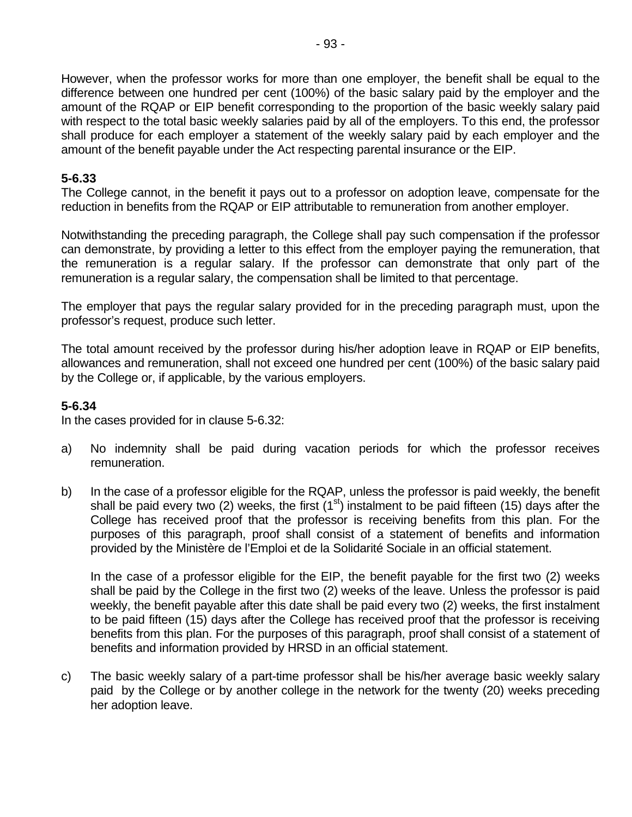However, when the professor works for more than one employer, the benefit shall be equal to the difference between one hundred per cent (100%) of the basic salary paid by the employer and the amount of the RQAP or EIP benefit corresponding to the proportion of the basic weekly salary paid with respect to the total basic weekly salaries paid by all of the employers. To this end, the professor shall produce for each employer a statement of the weekly salary paid by each employer and the amount of the benefit payable under the Act respecting parental insurance or the EIP.

### **5-6.33**

The College cannot, in the benefit it pays out to a professor on adoption leave, compensate for the reduction in benefits from the RQAP or EIP attributable to remuneration from another employer.

Notwithstanding the preceding paragraph, the College shall pay such compensation if the professor can demonstrate, by providing a letter to this effect from the employer paying the remuneration, that the remuneration is a regular salary. If the professor can demonstrate that only part of the remuneration is a regular salary, the compensation shall be limited to that percentage.

The employer that pays the regular salary provided for in the preceding paragraph must, upon the professor's request, produce such letter.

The total amount received by the professor during his/her adoption leave in RQAP or EIP benefits, allowances and remuneration, shall not exceed one hundred per cent (100%) of the basic salary paid by the College or, if applicable, by the various employers.

# **5-6.34**

In the cases provided for in clause 5-6.32:

- a) No indemnity shall be paid during vacation periods for which the professor receives remuneration.
- b) In the case of a professor eligible for the RQAP, unless the professor is paid weekly, the benefit shall be paid every two (2) weeks, the first ( $1<sup>st</sup>$ ) instalment to be paid fifteen (15) days after the College has received proof that the professor is receiving benefits from this plan. For the purposes of this paragraph, proof shall consist of a statement of benefits and information provided by the Ministère de l'Emploi et de la Solidarité Sociale in an official statement.

In the case of a professor eligible for the EIP, the benefit payable for the first two (2) weeks shall be paid by the College in the first two (2) weeks of the leave. Unless the professor is paid weekly, the benefit payable after this date shall be paid every two (2) weeks, the first instalment to be paid fifteen (15) days after the College has received proof that the professor is receiving benefits from this plan. For the purposes of this paragraph, proof shall consist of a statement of benefits and information provided by HRSD in an official statement.

c) The basic weekly salary of a part-time professor shall be his/her average basic weekly salary paid by the College or by another college in the network for the twenty (20) weeks preceding her adoption leave.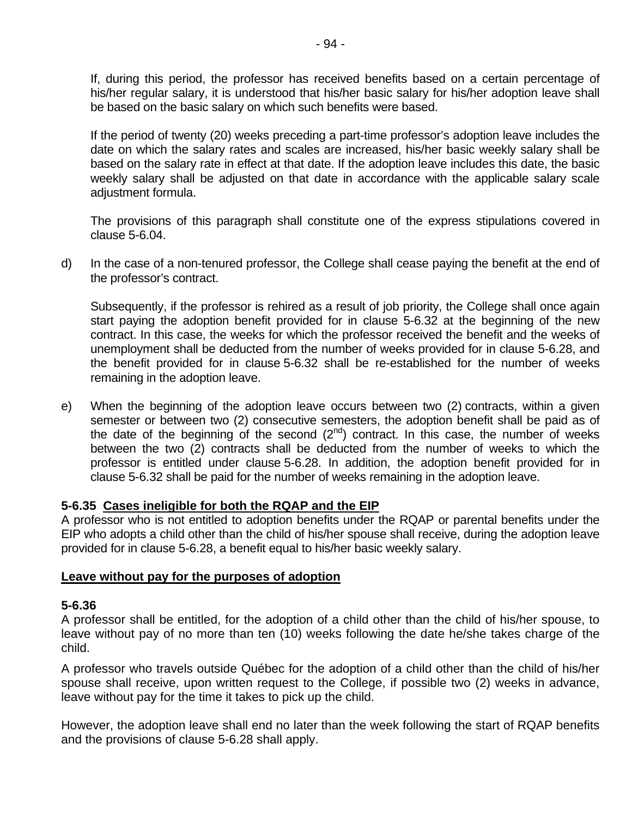If, during this period, the professor has received benefits based on a certain percentage of his/her regular salary, it is understood that his/her basic salary for his/her adoption leave shall be based on the basic salary on which such benefits were based.

If the period of twenty (20) weeks preceding a part-time professor's adoption leave includes the date on which the salary rates and scales are increased, his/her basic weekly salary shall be based on the salary rate in effect at that date. If the adoption leave includes this date, the basic weekly salary shall be adjusted on that date in accordance with the applicable salary scale adjustment formula.

The provisions of this paragraph shall constitute one of the express stipulations covered in clause 5-6.04.

d) In the case of a non-tenured professor, the College shall cease paying the benefit at the end of the professor's contract.

Subsequently, if the professor is rehired as a result of job priority, the College shall once again start paying the adoption benefit provided for in clause 5-6.32 at the beginning of the new contract. In this case, the weeks for which the professor received the benefit and the weeks of unemployment shall be deducted from the number of weeks provided for in clause 5-6.28, and the benefit provided for in clause 5-6.32 shall be re-established for the number of weeks remaining in the adoption leave.

e) When the beginning of the adoption leave occurs between two (2) contracts, within a given semester or between two (2) consecutive semesters, the adoption benefit shall be paid as of the date of the beginning of the second  $(2^{nd})$  contract. In this case, the number of weeks between the two (2) contracts shall be deducted from the number of weeks to which the professor is entitled under clause 5-6.28. In addition, the adoption benefit provided for in clause 5-6.32 shall be paid for the number of weeks remaining in the adoption leave.

### **5-6.35 Cases ineligible for both the RQAP and the EIP**

A professor who is not entitled to adoption benefits under the RQAP or parental benefits under the EIP who adopts a child other than the child of his/her spouse shall receive, during the adoption leave provided for in clause 5-6.28, a benefit equal to his/her basic weekly salary.

#### **Leave without pay for the purposes of adoption**

#### **5-6.36**

A professor shall be entitled, for the adoption of a child other than the child of his/her spouse, to leave without pay of no more than ten (10) weeks following the date he/she takes charge of the child.

A professor who travels outside Québec for the adoption of a child other than the child of his/her spouse shall receive, upon written request to the College, if possible two (2) weeks in advance, leave without pay for the time it takes to pick up the child.

However, the adoption leave shall end no later than the week following the start of RQAP benefits and the provisions of clause 5-6.28 shall apply.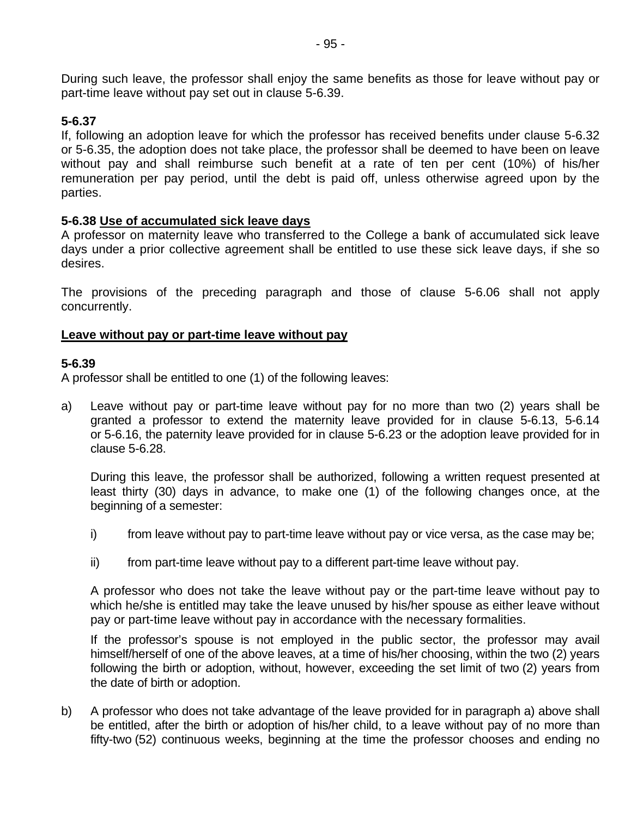During such leave, the professor shall enjoy the same benefits as those for leave without pay or part-time leave without pay set out in clause 5-6.39.

### **5-6.37**

If, following an adoption leave for which the professor has received benefits under clause 5-6.32 or 5-6.35, the adoption does not take place, the professor shall be deemed to have been on leave without pay and shall reimburse such benefit at a rate of ten per cent (10%) of his/her remuneration per pay period, until the debt is paid off, unless otherwise agreed upon by the parties.

# **5-6.38 Use of accumulated sick leave days**

A professor on maternity leave who transferred to the College a bank of accumulated sick leave days under a prior collective agreement shall be entitled to use these sick leave days, if she so desires.

The provisions of the preceding paragraph and those of clause 5-6.06 shall not apply concurrently.

### **Leave without pay or part-time leave without pay**

### **5-6.39**

A professor shall be entitled to one (1) of the following leaves:

a) Leave without pay or part-time leave without pay for no more than two (2) years shall be granted a professor to extend the maternity leave provided for in clause 5-6.13, 5-6.14 or 5-6.16, the paternity leave provided for in clause 5-6.23 or the adoption leave provided for in clause 5-6.28.

During this leave, the professor shall be authorized, following a written request presented at least thirty (30) days in advance, to make one (1) of the following changes once, at the beginning of a semester:

- i) from leave without pay to part-time leave without pay or vice versa, as the case may be;
- ii) from part-time leave without pay to a different part-time leave without pay.

A professor who does not take the leave without pay or the part-time leave without pay to which he/she is entitled may take the leave unused by his/her spouse as either leave without pay or part-time leave without pay in accordance with the necessary formalities.

If the professor's spouse is not employed in the public sector, the professor may avail himself/herself of one of the above leaves, at a time of his/her choosing, within the two (2) years following the birth or adoption, without, however, exceeding the set limit of two (2) years from the date of birth or adoption.

b) A professor who does not take advantage of the leave provided for in paragraph a) above shall be entitled, after the birth or adoption of his/her child, to a leave without pay of no more than fifty-two (52) continuous weeks, beginning at the time the professor chooses and ending no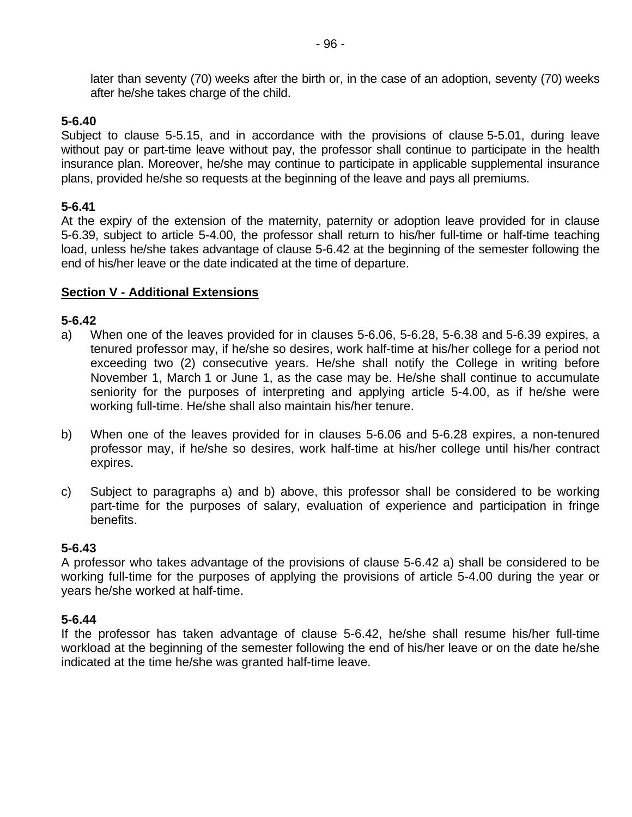later than seventy (70) weeks after the birth or, in the case of an adoption, seventy (70) weeks after he/she takes charge of the child.

#### **5-6.40**

Subject to clause 5-5.15, and in accordance with the provisions of clause 5-5.01, during leave without pay or part-time leave without pay, the professor shall continue to participate in the health insurance plan. Moreover, he/she may continue to participate in applicable supplemental insurance plans, provided he/she so requests at the beginning of the leave and pays all premiums.

#### **5-6.41**

At the expiry of the extension of the maternity, paternity or adoption leave provided for in clause 5-6.39, subject to article 5-4.00, the professor shall return to his/her full-time or half-time teaching load, unless he/she takes advantage of clause 5-6.42 at the beginning of the semester following the end of his/her leave or the date indicated at the time of departure.

#### **Section V - Additional Extensions**

#### **5-6.42**

- a) When one of the leaves provided for in clauses 5-6.06, 5-6.28, 5-6.38 and 5-6.39 expires, a tenured professor may, if he/she so desires, work half-time at his/her college for a period not exceeding two (2) consecutive years. He/she shall notify the College in writing before November 1, March 1 or June 1, as the case may be. He/she shall continue to accumulate seniority for the purposes of interpreting and applying article 5-4.00, as if he/she were working full-time. He/she shall also maintain his/her tenure.
- b) When one of the leaves provided for in clauses 5-6.06 and 5-6.28 expires, a non-tenured professor may, if he/she so desires, work half-time at his/her college until his/her contract expires.
- c) Subject to paragraphs a) and b) above, this professor shall be considered to be working part-time for the purposes of salary, evaluation of experience and participation in fringe benefits.

#### **5-6.43**

A professor who takes advantage of the provisions of clause 5-6.42 a) shall be considered to be working full-time for the purposes of applying the provisions of article 5-4.00 during the year or years he/she worked at half-time.

### **5-6.44**

If the professor has taken advantage of clause 5-6.42, he/she shall resume his/her full-time workload at the beginning of the semester following the end of his/her leave or on the date he/she indicated at the time he/she was granted half-time leave.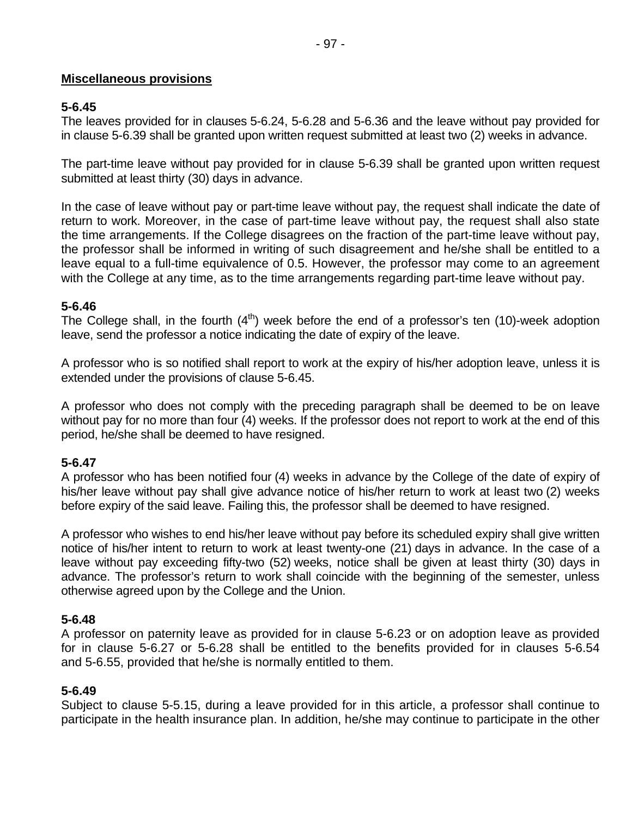### **Miscellaneous provisions**

# **5-6.45**

The leaves provided for in clauses 5-6.24, 5-6.28 and 5-6.36 and the leave without pay provided for in clause 5-6.39 shall be granted upon written request submitted at least two (2) weeks in advance.

The part-time leave without pay provided for in clause 5-6.39 shall be granted upon written request submitted at least thirty (30) days in advance.

In the case of leave without pay or part-time leave without pay, the request shall indicate the date of return to work. Moreover, in the case of part-time leave without pay, the request shall also state the time arrangements. If the College disagrees on the fraction of the part-time leave without pay, the professor shall be informed in writing of such disagreement and he/she shall be entitled to a leave equal to a full-time equivalence of 0.5. However, the professor may come to an agreement with the College at any time, as to the time arrangements regarding part-time leave without pay.

# **5-6.46**

The College shall, in the fourth  $(4<sup>th</sup>)$  week before the end of a professor's ten (10)-week adoption leave, send the professor a notice indicating the date of expiry of the leave.

A professor who is so notified shall report to work at the expiry of his/her adoption leave, unless it is extended under the provisions of clause 5-6.45.

A professor who does not comply with the preceding paragraph shall be deemed to be on leave without pay for no more than four (4) weeks. If the professor does not report to work at the end of this period, he/she shall be deemed to have resigned.

# **5-6.47**

A professor who has been notified four (4) weeks in advance by the College of the date of expiry of his/her leave without pay shall give advance notice of his/her return to work at least two (2) weeks before expiry of the said leave. Failing this, the professor shall be deemed to have resigned.

A professor who wishes to end his/her leave without pay before its scheduled expiry shall give written notice of his/her intent to return to work at least twenty-one (21) days in advance. In the case of a leave without pay exceeding fifty-two (52) weeks, notice shall be given at least thirty (30) days in advance. The professor's return to work shall coincide with the beginning of the semester, unless otherwise agreed upon by the College and the Union.

# **5-6.48**

A professor on paternity leave as provided for in clause 5-6.23 or on adoption leave as provided for in clause 5-6.27 or 5-6.28 shall be entitled to the benefits provided for in clauses 5-6.54 and 5-6.55, provided that he/she is normally entitled to them.

### **5-6.49**

Subject to clause 5-5.15, during a leave provided for in this article, a professor shall continue to participate in the health insurance plan. In addition, he/she may continue to participate in the other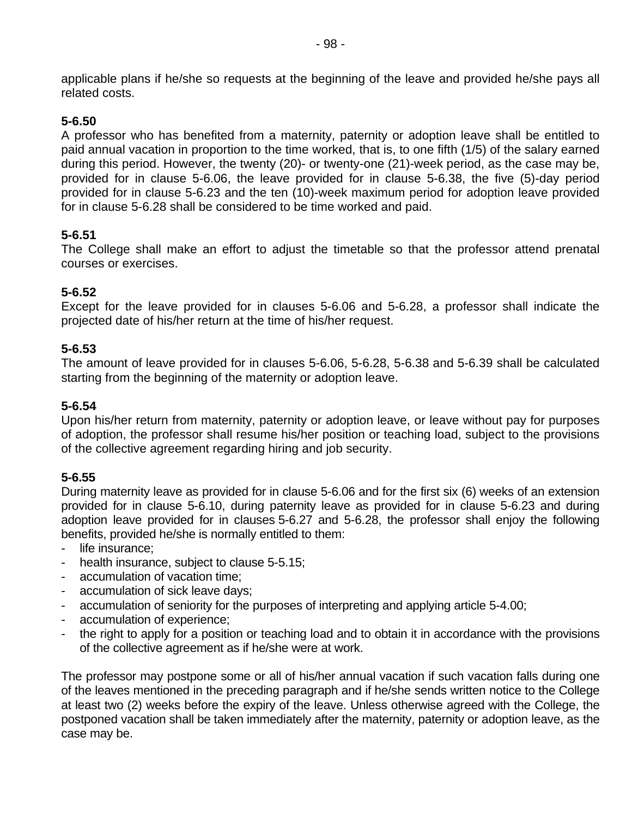applicable plans if he/she so requests at the beginning of the leave and provided he/she pays all related costs.

# **5-6.50**

A professor who has benefited from a maternity, paternity or adoption leave shall be entitled to paid annual vacation in proportion to the time worked, that is, to one fifth (1/5) of the salary earned during this period. However, the twenty (20)- or twenty-one (21)-week period, as the case may be, provided for in clause 5-6.06, the leave provided for in clause 5-6.38, the five (5)-day period provided for in clause 5-6.23 and the ten (10)-week maximum period for adoption leave provided for in clause 5-6.28 shall be considered to be time worked and paid.

# **5-6.51**

The College shall make an effort to adjust the timetable so that the professor attend prenatal courses or exercises.

### **5-6.52**

Except for the leave provided for in clauses 5-6.06 and 5-6.28, a professor shall indicate the projected date of his/her return at the time of his/her request.

### **5-6.53**

The amount of leave provided for in clauses 5-6.06, 5-6.28, 5-6.38 and 5-6.39 shall be calculated starting from the beginning of the maternity or adoption leave.

# **5-6.54**

Upon his/her return from maternity, paternity or adoption leave, or leave without pay for purposes of adoption, the professor shall resume his/her position or teaching load, subject to the provisions of the collective agreement regarding hiring and job security.

### **5-6.55**

During maternity leave as provided for in clause 5-6.06 and for the first six (6) weeks of an extension provided for in clause 5-6.10, during paternity leave as provided for in clause 5-6.23 and during adoption leave provided for in clauses 5-6.27 and 5-6.28, the professor shall enjoy the following benefits, provided he/she is normally entitled to them:

- life insurance;
- health insurance, subject to clause 5-5.15;
- accumulation of vacation time;
- accumulation of sick leave days;
- accumulation of seniority for the purposes of interpreting and applying article 5-4.00;
- accumulation of experience;
- the right to apply for a position or teaching load and to obtain it in accordance with the provisions of the collective agreement as if he/she were at work.

The professor may postpone some or all of his/her annual vacation if such vacation falls during one of the leaves mentioned in the preceding paragraph and if he/she sends written notice to the College at least two (2) weeks before the expiry of the leave. Unless otherwise agreed with the College, the postponed vacation shall be taken immediately after the maternity, paternity or adoption leave, as the case may be.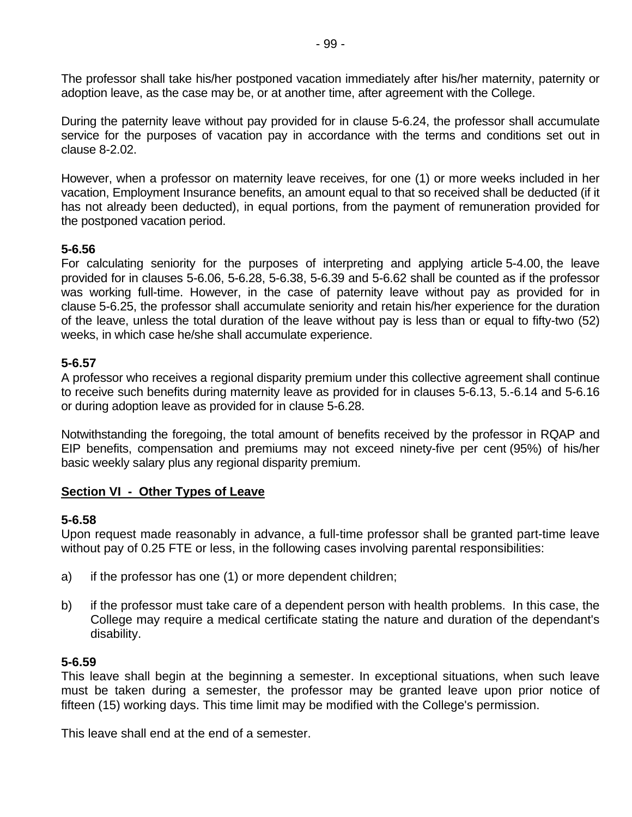The professor shall take his/her postponed vacation immediately after his/her maternity, paternity or adoption leave, as the case may be, or at another time, after agreement with the College.

During the paternity leave without pay provided for in clause 5-6.24, the professor shall accumulate service for the purposes of vacation pay in accordance with the terms and conditions set out in clause 8-2.02.

However, when a professor on maternity leave receives, for one (1) or more weeks included in her vacation, Employment Insurance benefits, an amount equal to that so received shall be deducted (if it has not already been deducted), in equal portions, from the payment of remuneration provided for the postponed vacation period.

### **5-6.56**

For calculating seniority for the purposes of interpreting and applying article 5-4.00, the leave provided for in clauses 5-6.06, 5-6.28, 5-6.38, 5-6.39 and 5-6.62 shall be counted as if the professor was working full-time. However, in the case of paternity leave without pay as provided for in clause 5-6.25, the professor shall accumulate seniority and retain his/her experience for the duration of the leave, unless the total duration of the leave without pay is less than or equal to fifty-two (52) weeks, in which case he/she shall accumulate experience.

## **5-6.57**

A professor who receives a regional disparity premium under this collective agreement shall continue to receive such benefits during maternity leave as provided for in clauses 5-6.13, 5.-6.14 and 5-6.16 or during adoption leave as provided for in clause 5-6.28.

Notwithstanding the foregoing, the total amount of benefits received by the professor in RQAP and EIP benefits, compensation and premiums may not exceed ninety-five per cent (95%) of his/her basic weekly salary plus any regional disparity premium.

### **Section VI - Other Types of Leave**

### **5-6.58**

Upon request made reasonably in advance, a full-time professor shall be granted part-time leave without pay of 0.25 FTE or less, in the following cases involving parental responsibilities:

- a) if the professor has one (1) or more dependent children;
- b) if the professor must take care of a dependent person with health problems. In this case, the College may require a medical certificate stating the nature and duration of the dependant's disability.

### **5-6.59**

This leave shall begin at the beginning a semester. In exceptional situations, when such leave must be taken during a semester, the professor may be granted leave upon prior notice of fifteen (15) working days. This time limit may be modified with the College's permission.

This leave shall end at the end of a semester.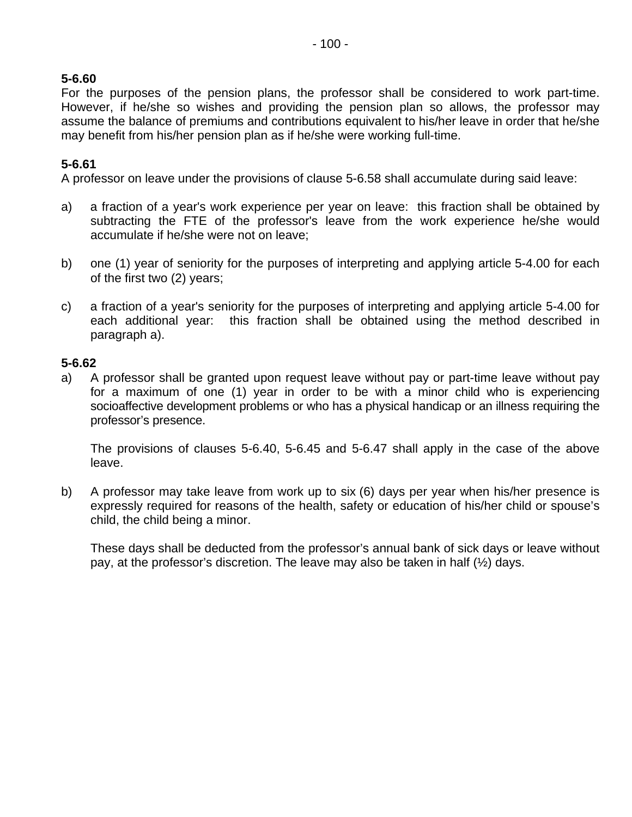# **5-6.60**

For the purposes of the pension plans, the professor shall be considered to work part-time. However, if he/she so wishes and providing the pension plan so allows, the professor may assume the balance of premiums and contributions equivalent to his/her leave in order that he/she may benefit from his/her pension plan as if he/she were working full-time.

# **5-6.61**

A professor on leave under the provisions of clause 5-6.58 shall accumulate during said leave:

- a) a fraction of a year's work experience per year on leave: this fraction shall be obtained by subtracting the FTE of the professor's leave from the work experience he/she would accumulate if he/she were not on leave;
- b) one (1) year of seniority for the purposes of interpreting and applying article 5-4.00 for each of the first two (2) years;
- c) a fraction of a year's seniority for the purposes of interpreting and applying article 5-4.00 for each additional year: this fraction shall be obtained using the method described in paragraph a).

## **5-6.62**

a) A professor shall be granted upon request leave without pay or part-time leave without pay for a maximum of one (1) year in order to be with a minor child who is experiencing socioaffective development problems or who has a physical handicap or an illness requiring the professor's presence.

The provisions of clauses 5-6.40, 5-6.45 and 5-6.47 shall apply in the case of the above leave.

b) A professor may take leave from work up to six (6) days per year when his/her presence is expressly required for reasons of the health, safety or education of his/her child or spouse's child, the child being a minor.

These days shall be deducted from the professor's annual bank of sick days or leave without pay, at the professor's discretion. The leave may also be taken in half (½) days.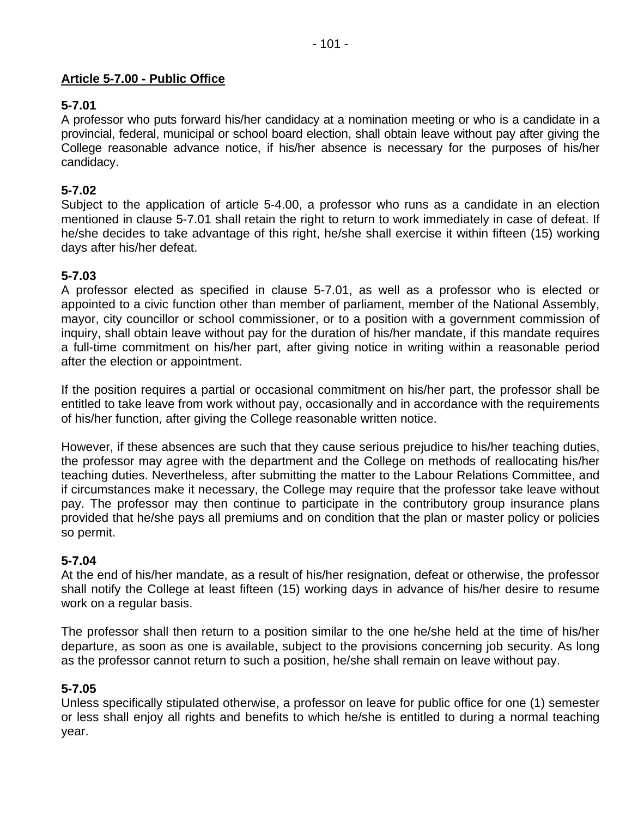## **Article 5-7.00 - Public Office**

## **5-7.01**

A professor who puts forward his/her candidacy at a nomination meeting or who is a candidate in a provincial, federal, municipal or school board election, shall obtain leave without pay after giving the College reasonable advance notice, if his/her absence is necessary for the purposes of his/her candidacy.

### **5-7.02**

Subject to the application of article 5-4.00, a professor who runs as a candidate in an election mentioned in clause 5-7.01 shall retain the right to return to work immediately in case of defeat. If he/she decides to take advantage of this right, he/she shall exercise it within fifteen (15) working days after his/her defeat.

## **5-7.03**

A professor elected as specified in clause 5-7.01, as well as a professor who is elected or appointed to a civic function other than member of parliament, member of the National Assembly, mayor, city councillor or school commissioner, or to a position with a government commission of inquiry, shall obtain leave without pay for the duration of his/her mandate, if this mandate requires a full-time commitment on his/her part, after giving notice in writing within a reasonable period after the election or appointment.

If the position requires a partial or occasional commitment on his/her part, the professor shall be entitled to take leave from work without pay, occasionally and in accordance with the requirements of his/her function, after giving the College reasonable written notice.

However, if these absences are such that they cause serious prejudice to his/her teaching duties, the professor may agree with the department and the College on methods of reallocating his/her teaching duties. Nevertheless, after submitting the matter to the Labour Relations Committee, and if circumstances make it necessary, the College may require that the professor take leave without pay. The professor may then continue to participate in the contributory group insurance plans provided that he/she pays all premiums and on condition that the plan or master policy or policies so permit.

## **5-7.04**

At the end of his/her mandate, as a result of his/her resignation, defeat or otherwise, the professor shall notify the College at least fifteen (15) working days in advance of his/her desire to resume work on a regular basis.

The professor shall then return to a position similar to the one he/she held at the time of his/her departure, as soon as one is available, subject to the provisions concerning job security. As long as the professor cannot return to such a position, he/she shall remain on leave without pay.

## **5-7.05**

Unless specifically stipulated otherwise, a professor on leave for public office for one (1) semester or less shall enjoy all rights and benefits to which he/she is entitled to during a normal teaching year.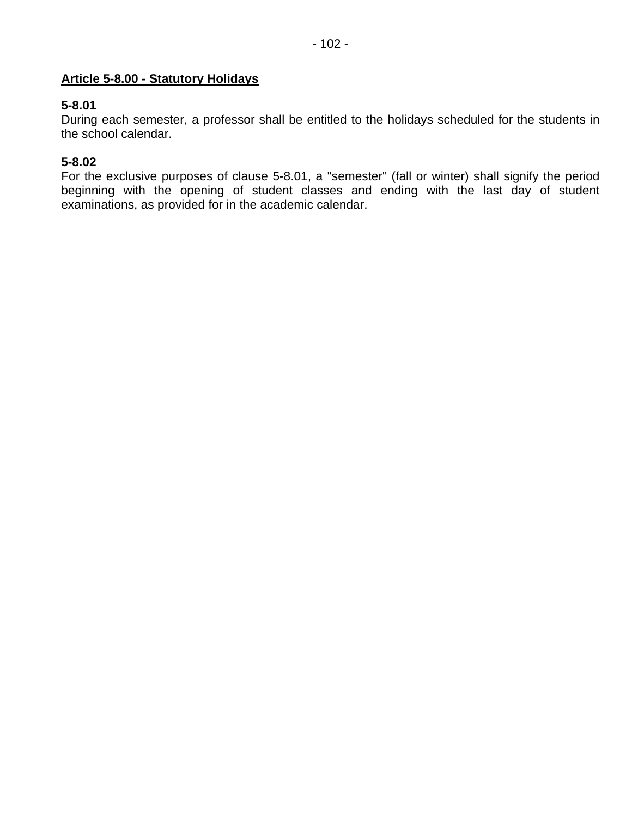## **Article 5-8.00 - Statutory Holidays**

## **5-8.01**

During each semester, a professor shall be entitled to the holidays scheduled for the students in the school calendar.

## **5-8.02**

For the exclusive purposes of clause 5-8.01, a "semester" (fall or winter) shall signify the period beginning with the opening of student classes and ending with the last day of student examinations, as provided for in the academic calendar.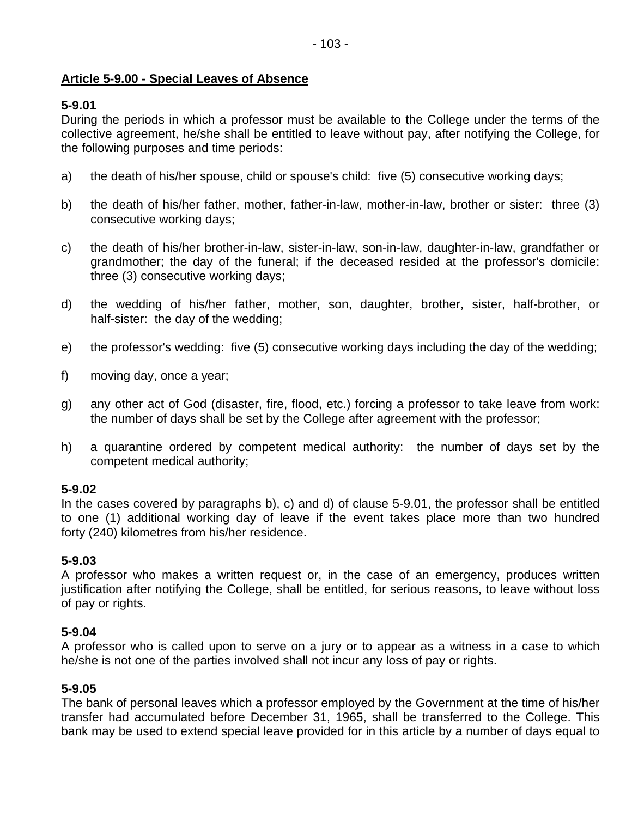## **Article 5-9.00 - Special Leaves of Absence**

## **5-9.01**

During the periods in which a professor must be available to the College under the terms of the collective agreement, he/she shall be entitled to leave without pay, after notifying the College, for the following purposes and time periods:

- a) the death of his/her spouse, child or spouse's child: five (5) consecutive working days;
- b) the death of his/her father, mother, father-in-law, mother-in-law, brother or sister: three (3) consecutive working days;
- c) the death of his/her brother-in-law, sister-in-law, son-in-law, daughter-in-law, grandfather or grandmother; the day of the funeral; if the deceased resided at the professor's domicile: three (3) consecutive working days;
- d) the wedding of his/her father, mother, son, daughter, brother, sister, half-brother, or half-sister: the day of the wedding;
- e) the professor's wedding: five (5) consecutive working days including the day of the wedding;
- f) moving day, once a year;
- g) any other act of God (disaster, fire, flood, etc.) forcing a professor to take leave from work: the number of days shall be set by the College after agreement with the professor;
- h) a quarantine ordered by competent medical authority: the number of days set by the competent medical authority;

### **5-9.02**

In the cases covered by paragraphs b), c) and d) of clause 5-9.01, the professor shall be entitled to one (1) additional working day of leave if the event takes place more than two hundred forty (240) kilometres from his/her residence.

## **5-9.03**

A professor who makes a written request or, in the case of an emergency, produces written justification after notifying the College, shall be entitled, for serious reasons, to leave without loss of pay or rights.

### **5-9.04**

A professor who is called upon to serve on a jury or to appear as a witness in a case to which he/she is not one of the parties involved shall not incur any loss of pay or rights.

### **5-9.05**

The bank of personal leaves which a professor employed by the Government at the time of his/her transfer had accumulated before December 31, 1965, shall be transferred to the College. This bank may be used to extend special leave provided for in this article by a number of days equal to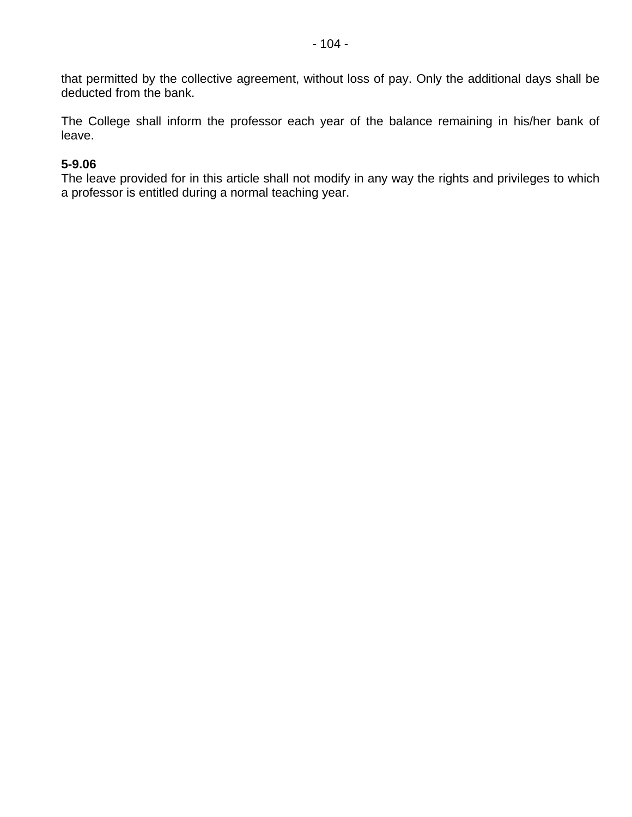that permitted by the collective agreement, without loss of pay. Only the additional days shall be deducted from the bank.

The College shall inform the professor each year of the balance remaining in his/her bank of leave.

### **5-9.06**

The leave provided for in this article shall not modify in any way the rights and privileges to which a professor is entitled during a normal teaching year.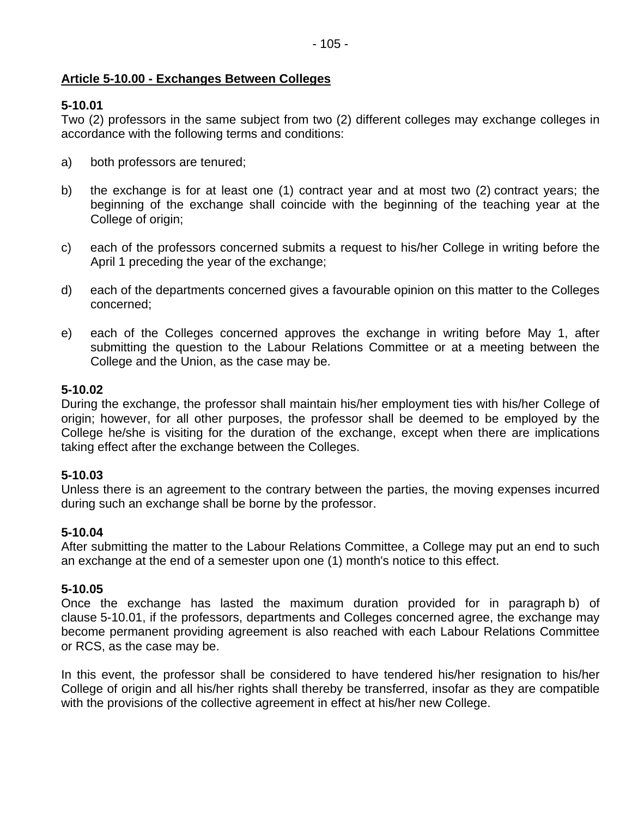## **Article 5-10.00 - Exchanges Between Colleges**

# **5-10.01**

Two (2) professors in the same subject from two (2) different colleges may exchange colleges in accordance with the following terms and conditions:

- a) both professors are tenured;
- b) the exchange is for at least one (1) contract year and at most two (2) contract years; the beginning of the exchange shall coincide with the beginning of the teaching year at the College of origin;
- c) each of the professors concerned submits a request to his/her College in writing before the April 1 preceding the year of the exchange;
- d) each of the departments concerned gives a favourable opinion on this matter to the Colleges concerned;
- e) each of the Colleges concerned approves the exchange in writing before May 1, after submitting the question to the Labour Relations Committee or at a meeting between the College and the Union, as the case may be.

## **5-10.02**

During the exchange, the professor shall maintain his/her employment ties with his/her College of origin; however, for all other purposes, the professor shall be deemed to be employed by the College he/she is visiting for the duration of the exchange, except when there are implications taking effect after the exchange between the Colleges.

# **5-10.03**

Unless there is an agreement to the contrary between the parties, the moving expenses incurred during such an exchange shall be borne by the professor.

## **5-10.04**

After submitting the matter to the Labour Relations Committee, a College may put an end to such an exchange at the end of a semester upon one (1) month's notice to this effect.

## **5-10.05**

Once the exchange has lasted the maximum duration provided for in paragraph b) of clause 5-10.01, if the professors, departments and Colleges concerned agree, the exchange may become permanent providing agreement is also reached with each Labour Relations Committee or RCS, as the case may be.

In this event, the professor shall be considered to have tendered his/her resignation to his/her College of origin and all his/her rights shall thereby be transferred, insofar as they are compatible with the provisions of the collective agreement in effect at his/her new College.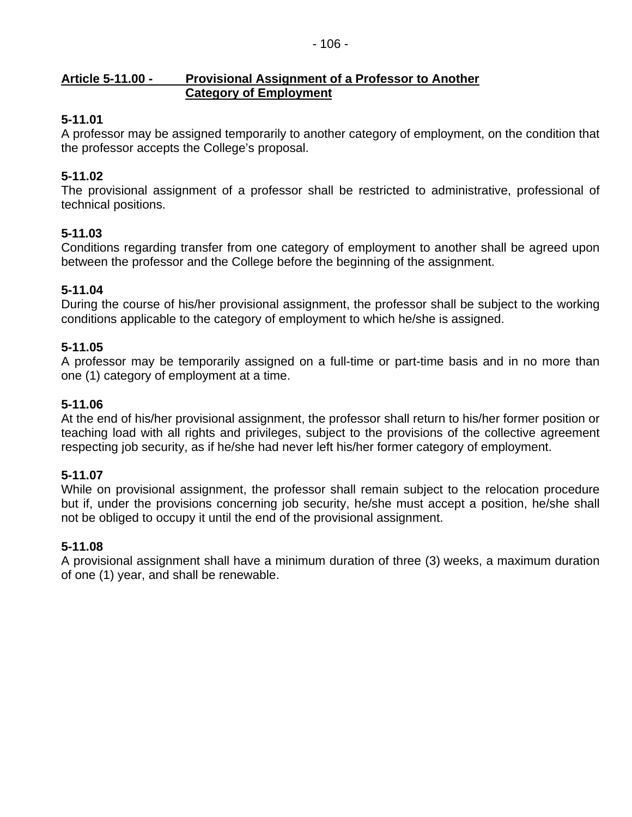### **Article 5-11.00 - Provisional Assignment of a Professor to Another Category of Employment**

# **5-11.01**

A professor may be assigned temporarily to another category of employment, on the condition that the professor accepts the College's proposal.

# **5-11.02**

The provisional assignment of a professor shall be restricted to administrative, professional of technical positions.

## **5-11.03**

Conditions regarding transfer from one category of employment to another shall be agreed upon between the professor and the College before the beginning of the assignment.

## **5-11.04**

During the course of his/her provisional assignment, the professor shall be subject to the working conditions applicable to the category of employment to which he/she is assigned.

## **5-11.05**

A professor may be temporarily assigned on a full-time or part-time basis and in no more than one (1) category of employment at a time.

## **5-11.06**

At the end of his/her provisional assignment, the professor shall return to his/her former position or teaching load with all rights and privileges, subject to the provisions of the collective agreement respecting job security, as if he/she had never left his/her former category of employment.

## **5-11.07**

While on provisional assignment, the professor shall remain subject to the relocation procedure but if, under the provisions concerning job security, he/she must accept a position, he/she shall not be obliged to occupy it until the end of the provisional assignment.

## **5-11.08**

A provisional assignment shall have a minimum duration of three (3) weeks, a maximum duration of one (1) year, and shall be renewable.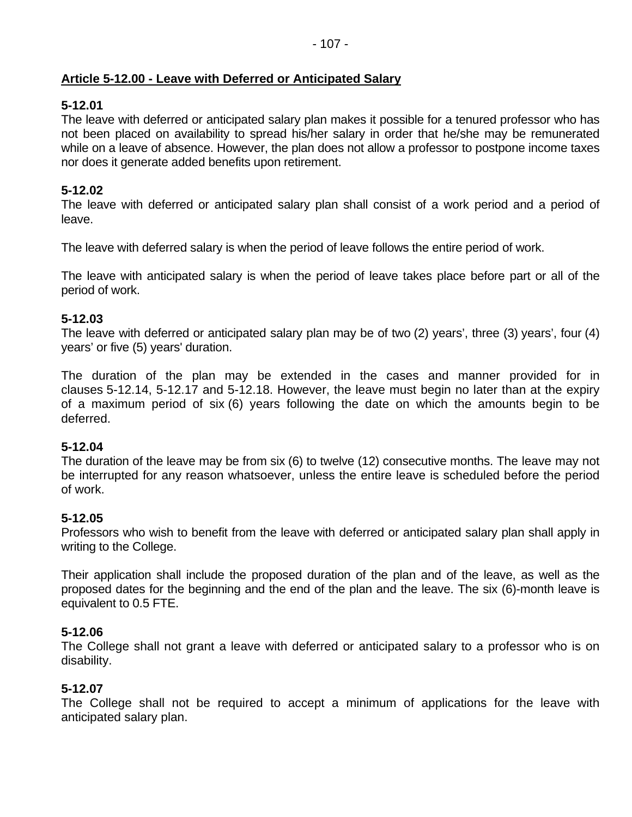# **Article 5-12.00 - Leave with Deferred or Anticipated Salary**

## **5-12.01**

The leave with deferred or anticipated salary plan makes it possible for a tenured professor who has not been placed on availability to spread his/her salary in order that he/she may be remunerated while on a leave of absence. However, the plan does not allow a professor to postpone income taxes nor does it generate added benefits upon retirement.

## **5-12.02**

The leave with deferred or anticipated salary plan shall consist of a work period and a period of leave.

The leave with deferred salary is when the period of leave follows the entire period of work.

The leave with anticipated salary is when the period of leave takes place before part or all of the period of work.

## **5-12.03**

The leave with deferred or anticipated salary plan may be of two (2) years', three (3) years', four (4) years' or five (5) years' duration.

The duration of the plan may be extended in the cases and manner provided for in clauses 5-12.14, 5-12.17 and 5-12.18. However, the leave must begin no later than at the expiry of a maximum period of six (6) years following the date on which the amounts begin to be deferred.

## **5-12.04**

The duration of the leave may be from six (6) to twelve (12) consecutive months. The leave may not be interrupted for any reason whatsoever, unless the entire leave is scheduled before the period of work.

## **5-12.05**

Professors who wish to benefit from the leave with deferred or anticipated salary plan shall apply in writing to the College.

Their application shall include the proposed duration of the plan and of the leave, as well as the proposed dates for the beginning and the end of the plan and the leave. The six (6)-month leave is equivalent to 0.5 FTE.

## **5-12.06**

The College shall not grant a leave with deferred or anticipated salary to a professor who is on disability.

## **5-12.07**

The College shall not be required to accept a minimum of applications for the leave with anticipated salary plan.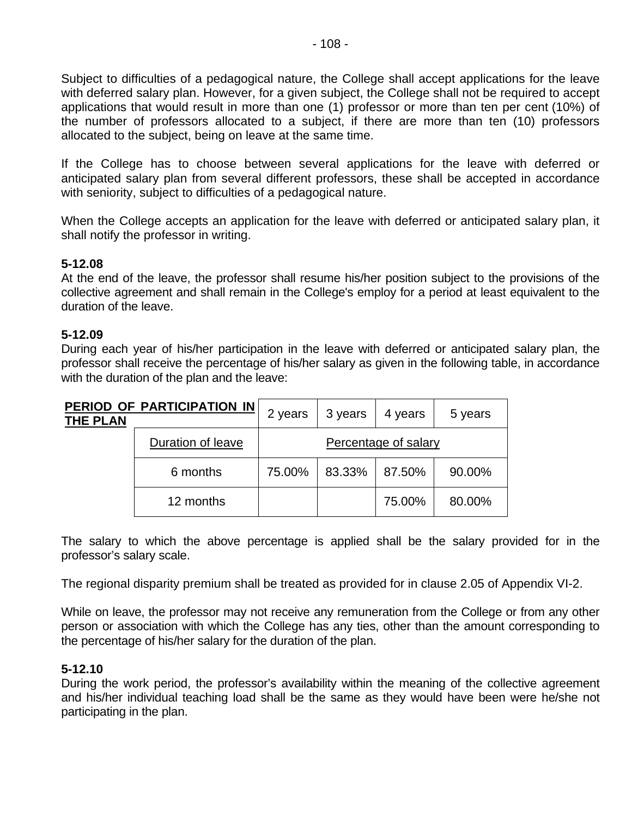Subject to difficulties of a pedagogical nature, the College shall accept applications for the leave with deferred salary plan. However, for a given subject, the College shall not be required to accept applications that would result in more than one (1) professor or more than ten per cent (10%) of the number of professors allocated to a subject, if there are more than ten (10) professors allocated to the subject, being on leave at the same time.

If the College has to choose between several applications for the leave with deferred or anticipated salary plan from several different professors, these shall be accepted in accordance with seniority, subject to difficulties of a pedagogical nature.

When the College accepts an application for the leave with deferred or anticipated salary plan, it shall notify the professor in writing.

## **5-12.08**

At the end of the leave, the professor shall resume his/her position subject to the provisions of the collective agreement and shall remain in the College's employ for a period at least equivalent to the duration of the leave.

### **5-12.09**

During each year of his/her participation in the leave with deferred or anticipated salary plan, the professor shall receive the percentage of his/her salary as given in the following table, in accordance with the duration of the plan and the leave:

| <b>THE PLAN</b>   | PERIOD OF PARTICIPATION IN | 2 years | 3 years | 4 years | 5 years |
|-------------------|----------------------------|---------|---------|---------|---------|
| Duration of leave | Percentage of salary       |         |         |         |         |
|                   | 6 months                   | 75.00%  | 83.33%  | 87.50%  | 90.00%  |
|                   | 12 months                  |         |         | 75.00%  | 80.00%  |

The salary to which the above percentage is applied shall be the salary provided for in the professor's salary scale.

The regional disparity premium shall be treated as provided for in clause 2.05 of Appendix VI-2.

While on leave, the professor may not receive any remuneration from the College or from any other person or association with which the College has any ties, other than the amount corresponding to the percentage of his/her salary for the duration of the plan.

### **5-12.10**

During the work period, the professor's availability within the meaning of the collective agreement and his/her individual teaching load shall be the same as they would have been were he/she not participating in the plan.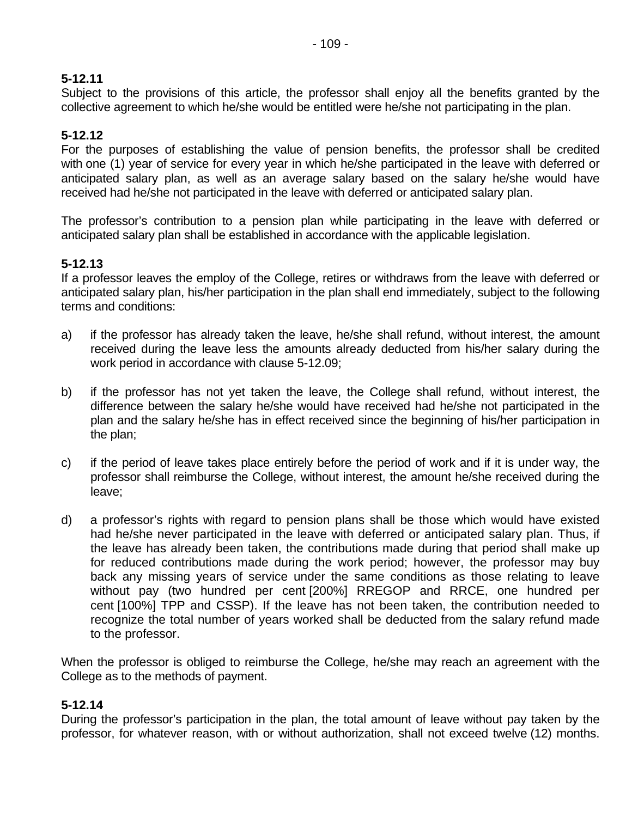## **5-12.11**

Subject to the provisions of this article, the professor shall enjoy all the benefits granted by the collective agreement to which he/she would be entitled were he/she not participating in the plan.

## **5-12.12**

For the purposes of establishing the value of pension benefits, the professor shall be credited with one (1) year of service for every year in which he/she participated in the leave with deferred or anticipated salary plan, as well as an average salary based on the salary he/she would have received had he/she not participated in the leave with deferred or anticipated salary plan.

The professor's contribution to a pension plan while participating in the leave with deferred or anticipated salary plan shall be established in accordance with the applicable legislation.

## **5-12.13**

If a professor leaves the employ of the College, retires or withdraws from the leave with deferred or anticipated salary plan, his/her participation in the plan shall end immediately, subject to the following terms and conditions:

- a) if the professor has already taken the leave, he/she shall refund, without interest, the amount received during the leave less the amounts already deducted from his/her salary during the work period in accordance with clause 5-12.09;
- b) if the professor has not yet taken the leave, the College shall refund, without interest, the difference between the salary he/she would have received had he/she not participated in the plan and the salary he/she has in effect received since the beginning of his/her participation in the plan;
- c) if the period of leave takes place entirely before the period of work and if it is under way, the professor shall reimburse the College, without interest, the amount he/she received during the leave;
- d) a professor's rights with regard to pension plans shall be those which would have existed had he/she never participated in the leave with deferred or anticipated salary plan. Thus, if the leave has already been taken, the contributions made during that period shall make up for reduced contributions made during the work period; however, the professor may buy back any missing years of service under the same conditions as those relating to leave without pay (two hundred per cent [200%] RREGOP and RRCE, one hundred per cent [100%] TPP and CSSP). If the leave has not been taken, the contribution needed to recognize the total number of years worked shall be deducted from the salary refund made to the professor.

When the professor is obliged to reimburse the College, he/she may reach an agreement with the College as to the methods of payment.

### **5-12.14**

During the professor's participation in the plan, the total amount of leave without pay taken by the professor, for whatever reason, with or without authorization, shall not exceed twelve (12) months.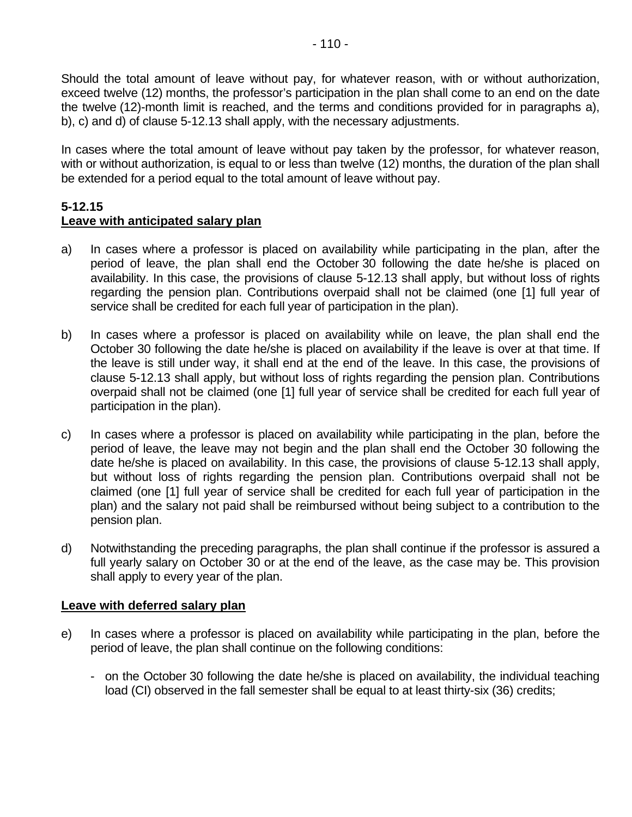Should the total amount of leave without pay, for whatever reason, with or without authorization, exceed twelve (12) months, the professor's participation in the plan shall come to an end on the date the twelve (12)-month limit is reached, and the terms and conditions provided for in paragraphs a), b), c) and d) of clause 5-12.13 shall apply, with the necessary adjustments.

In cases where the total amount of leave without pay taken by the professor, for whatever reason, with or without authorization, is equal to or less than twelve (12) months, the duration of the plan shall be extended for a period equal to the total amount of leave without pay.

#### **5-12.15 Leave with anticipated salary plan**

- a) In cases where a professor is placed on availability while participating in the plan, after the period of leave, the plan shall end the October 30 following the date he/she is placed on availability. In this case, the provisions of clause 5-12.13 shall apply, but without loss of rights regarding the pension plan. Contributions overpaid shall not be claimed (one [1] full year of service shall be credited for each full year of participation in the plan).
- b) In cases where a professor is placed on availability while on leave, the plan shall end the October 30 following the date he/she is placed on availability if the leave is over at that time. If the leave is still under way, it shall end at the end of the leave. In this case, the provisions of clause 5-12.13 shall apply, but without loss of rights regarding the pension plan. Contributions overpaid shall not be claimed (one [1] full year of service shall be credited for each full year of participation in the plan).
- c) In cases where a professor is placed on availability while participating in the plan, before the period of leave, the leave may not begin and the plan shall end the October 30 following the date he/she is placed on availability. In this case, the provisions of clause 5-12.13 shall apply, but without loss of rights regarding the pension plan. Contributions overpaid shall not be claimed (one [1] full year of service shall be credited for each full year of participation in the plan) and the salary not paid shall be reimbursed without being subject to a contribution to the pension plan.
- d) Notwithstanding the preceding paragraphs, the plan shall continue if the professor is assured a full yearly salary on October 30 or at the end of the leave, as the case may be. This provision shall apply to every year of the plan.

### **Leave with deferred salary plan**

- e) In cases where a professor is placed on availability while participating in the plan, before the period of leave, the plan shall continue on the following conditions:
	- on the October 30 following the date he/she is placed on availability, the individual teaching load (CI) observed in the fall semester shall be equal to at least thirty-six (36) credits;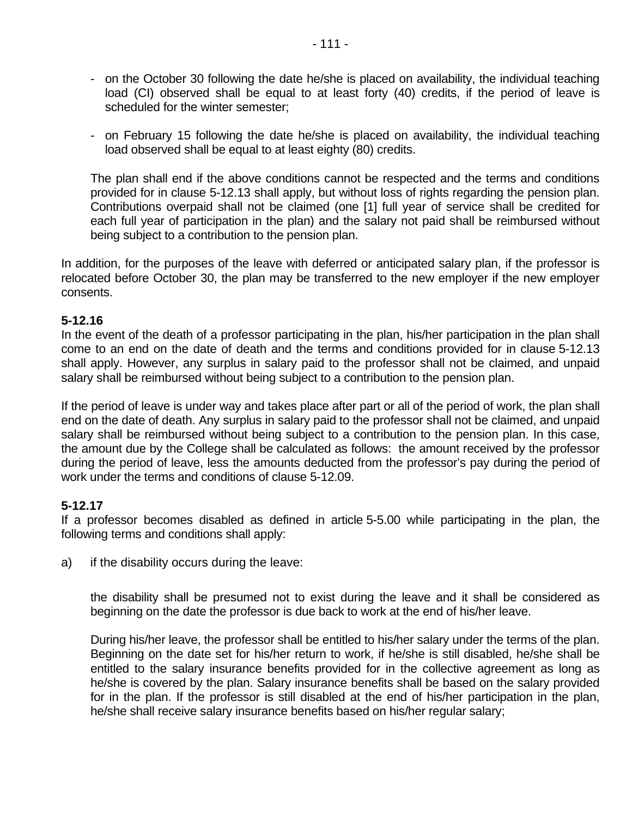- on the October 30 following the date he/she is placed on availability, the individual teaching load (CI) observed shall be equal to at least forty (40) credits, if the period of leave is scheduled for the winter semester;
- on February 15 following the date he/she is placed on availability, the individual teaching load observed shall be equal to at least eighty (80) credits.

The plan shall end if the above conditions cannot be respected and the terms and conditions provided for in clause 5-12.13 shall apply, but without loss of rights regarding the pension plan. Contributions overpaid shall not be claimed (one [1] full year of service shall be credited for each full year of participation in the plan) and the salary not paid shall be reimbursed without being subject to a contribution to the pension plan.

In addition, for the purposes of the leave with deferred or anticipated salary plan, if the professor is relocated before October 30, the plan may be transferred to the new employer if the new employer consents.

### **5-12.16**

In the event of the death of a professor participating in the plan, his/her participation in the plan shall come to an end on the date of death and the terms and conditions provided for in clause 5-12.13 shall apply. However, any surplus in salary paid to the professor shall not be claimed, and unpaid salary shall be reimbursed without being subject to a contribution to the pension plan.

If the period of leave is under way and takes place after part or all of the period of work, the plan shall end on the date of death. Any surplus in salary paid to the professor shall not be claimed, and unpaid salary shall be reimbursed without being subject to a contribution to the pension plan. In this case, the amount due by the College shall be calculated as follows: the amount received by the professor during the period of leave, less the amounts deducted from the professor's pay during the period of work under the terms and conditions of clause 5-12.09.

### **5-12.17**

If a professor becomes disabled as defined in article 5-5.00 while participating in the plan, the following terms and conditions shall apply:

a) if the disability occurs during the leave:

the disability shall be presumed not to exist during the leave and it shall be considered as beginning on the date the professor is due back to work at the end of his/her leave.

During his/her leave, the professor shall be entitled to his/her salary under the terms of the plan. Beginning on the date set for his/her return to work, if he/she is still disabled, he/she shall be entitled to the salary insurance benefits provided for in the collective agreement as long as he/she is covered by the plan. Salary insurance benefits shall be based on the salary provided for in the plan. If the professor is still disabled at the end of his/her participation in the plan, he/she shall receive salary insurance benefits based on his/her regular salary;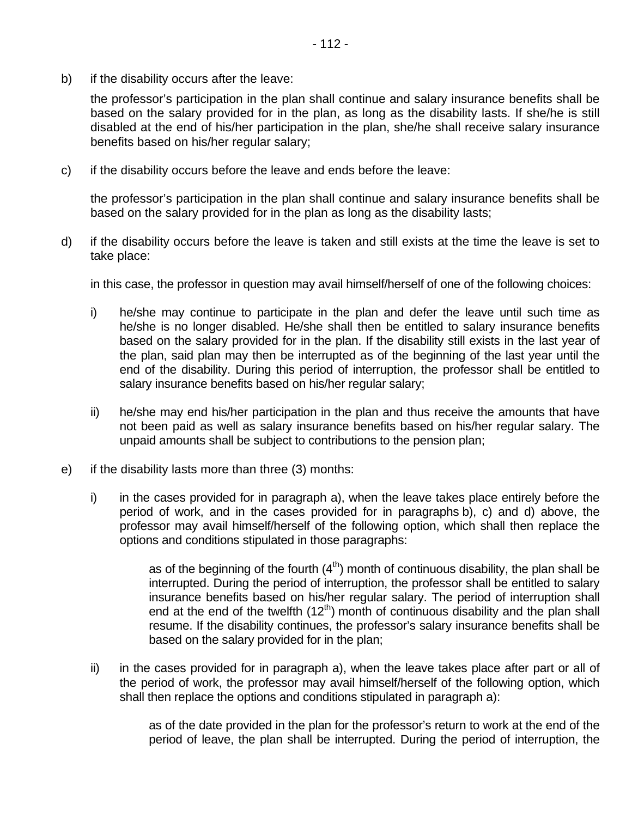b) if the disability occurs after the leave:

the professor's participation in the plan shall continue and salary insurance benefits shall be based on the salary provided for in the plan, as long as the disability lasts. If she/he is still disabled at the end of his/her participation in the plan, she/he shall receive salary insurance benefits based on his/her regular salary;

c) if the disability occurs before the leave and ends before the leave:

the professor's participation in the plan shall continue and salary insurance benefits shall be based on the salary provided for in the plan as long as the disability lasts;

d) if the disability occurs before the leave is taken and still exists at the time the leave is set to take place:

in this case, the professor in question may avail himself/herself of one of the following choices:

- i) he/she may continue to participate in the plan and defer the leave until such time as he/she is no longer disabled. He/she shall then be entitled to salary insurance benefits based on the salary provided for in the plan. If the disability still exists in the last year of the plan, said plan may then be interrupted as of the beginning of the last year until the end of the disability. During this period of interruption, the professor shall be entitled to salary insurance benefits based on his/her regular salary;
- ii) he/she may end his/her participation in the plan and thus receive the amounts that have not been paid as well as salary insurance benefits based on his/her regular salary. The unpaid amounts shall be subject to contributions to the pension plan;
- e) if the disability lasts more than three (3) months:
	- i) in the cases provided for in paragraph a), when the leave takes place entirely before the period of work, and in the cases provided for in paragraphs b), c) and d) above, the professor may avail himself/herself of the following option, which shall then replace the options and conditions stipulated in those paragraphs:

as of the beginning of the fourth  $(4<sup>th</sup>)$  month of continuous disability, the plan shall be interrupted. During the period of interruption, the professor shall be entitled to salary insurance benefits based on his/her regular salary. The period of interruption shall end at the end of the twelfth  $(12<sup>th</sup>)$  month of continuous disability and the plan shall resume. If the disability continues, the professor's salary insurance benefits shall be based on the salary provided for in the plan;

ii) in the cases provided for in paragraph a), when the leave takes place after part or all of the period of work, the professor may avail himself/herself of the following option, which shall then replace the options and conditions stipulated in paragraph a):

> as of the date provided in the plan for the professor's return to work at the end of the period of leave, the plan shall be interrupted. During the period of interruption, the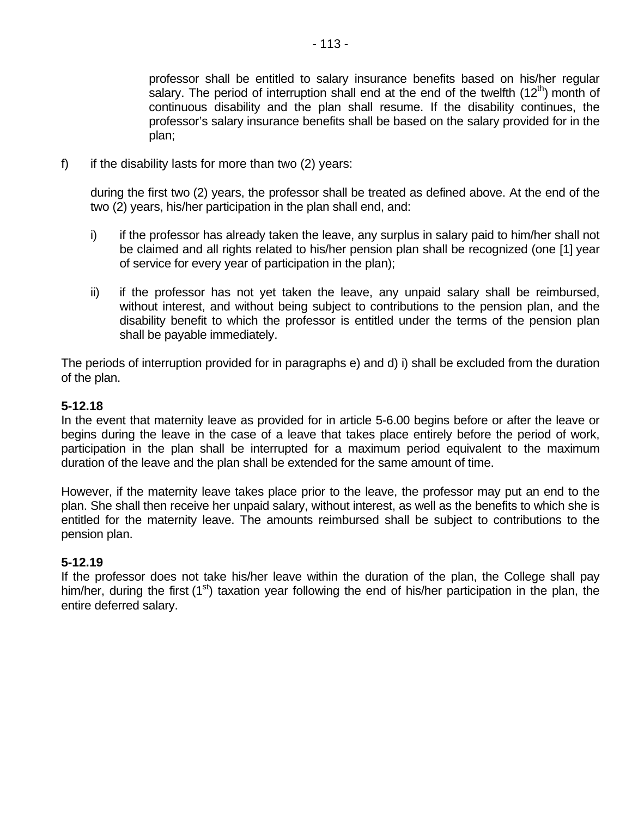professor shall be entitled to salary insurance benefits based on his/her regular salary. The period of interruption shall end at the end of the twelfth  $(12<sup>th</sup>)$  month of continuous disability and the plan shall resume. If the disability continues, the professor's salary insurance benefits shall be based on the salary provided for in the plan;

f) if the disability lasts for more than two  $(2)$  years:

during the first two (2) years, the professor shall be treated as defined above. At the end of the two (2) years, his/her participation in the plan shall end, and:

- i) if the professor has already taken the leave, any surplus in salary paid to him/her shall not be claimed and all rights related to his/her pension plan shall be recognized (one [1] year of service for every year of participation in the plan);
- ii) if the professor has not yet taken the leave, any unpaid salary shall be reimbursed, without interest, and without being subject to contributions to the pension plan, and the disability benefit to which the professor is entitled under the terms of the pension plan shall be payable immediately.

The periods of interruption provided for in paragraphs e) and d) i) shall be excluded from the duration of the plan.

## **5-12.18**

In the event that maternity leave as provided for in article 5-6.00 begins before or after the leave or begins during the leave in the case of a leave that takes place entirely before the period of work, participation in the plan shall be interrupted for a maximum period equivalent to the maximum duration of the leave and the plan shall be extended for the same amount of time.

However, if the maternity leave takes place prior to the leave, the professor may put an end to the plan. She shall then receive her unpaid salary, without interest, as well as the benefits to which she is entitled for the maternity leave. The amounts reimbursed shall be subject to contributions to the pension plan.

### **5-12.19**

If the professor does not take his/her leave within the duration of the plan, the College shall pay him/her, during the first  $(1<sup>st</sup>)$  taxation year following the end of his/her participation in the plan, the entire deferred salary.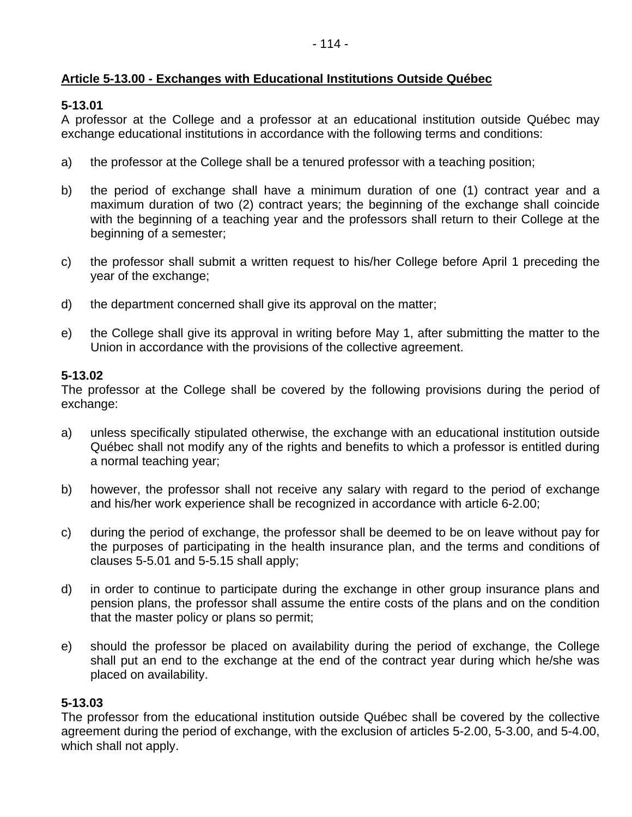# **Article 5-13.00 - Exchanges with Educational Institutions Outside Québec**

# **5-13.01**

A professor at the College and a professor at an educational institution outside Québec may exchange educational institutions in accordance with the following terms and conditions:

- a) the professor at the College shall be a tenured professor with a teaching position;
- b) the period of exchange shall have a minimum duration of one (1) contract year and a maximum duration of two (2) contract years; the beginning of the exchange shall coincide with the beginning of a teaching year and the professors shall return to their College at the beginning of a semester;
- c) the professor shall submit a written request to his/her College before April 1 preceding the year of the exchange;
- d) the department concerned shall give its approval on the matter;
- e) the College shall give its approval in writing before May 1, after submitting the matter to the Union in accordance with the provisions of the collective agreement.

# **5-13.02**

The professor at the College shall be covered by the following provisions during the period of exchange:

- a) unless specifically stipulated otherwise, the exchange with an educational institution outside Québec shall not modify any of the rights and benefits to which a professor is entitled during a normal teaching year;
- b) however, the professor shall not receive any salary with regard to the period of exchange and his/her work experience shall be recognized in accordance with article 6-2.00;
- c) during the period of exchange, the professor shall be deemed to be on leave without pay for the purposes of participating in the health insurance plan, and the terms and conditions of clauses 5-5.01 and 5-5.15 shall apply;
- d) in order to continue to participate during the exchange in other group insurance plans and pension plans, the professor shall assume the entire costs of the plans and on the condition that the master policy or plans so permit;
- e) should the professor be placed on availability during the period of exchange, the College shall put an end to the exchange at the end of the contract year during which he/she was placed on availability.

## **5-13.03**

The professor from the educational institution outside Québec shall be covered by the collective agreement during the period of exchange, with the exclusion of articles 5-2.00, 5-3.00, and 5-4.00, which shall not apply.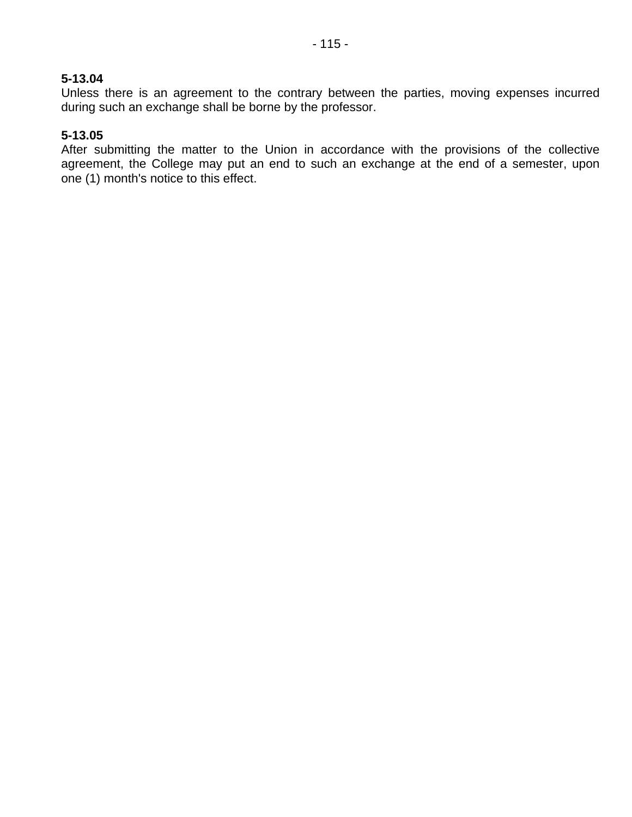### **5-13.04**

Unless there is an agreement to the contrary between the parties, moving expenses incurred during such an exchange shall be borne by the professor.

### **5-13.05**

After submitting the matter to the Union in accordance with the provisions of the collective agreement, the College may put an end to such an exchange at the end of a semester, upon one (1) month's notice to this effect.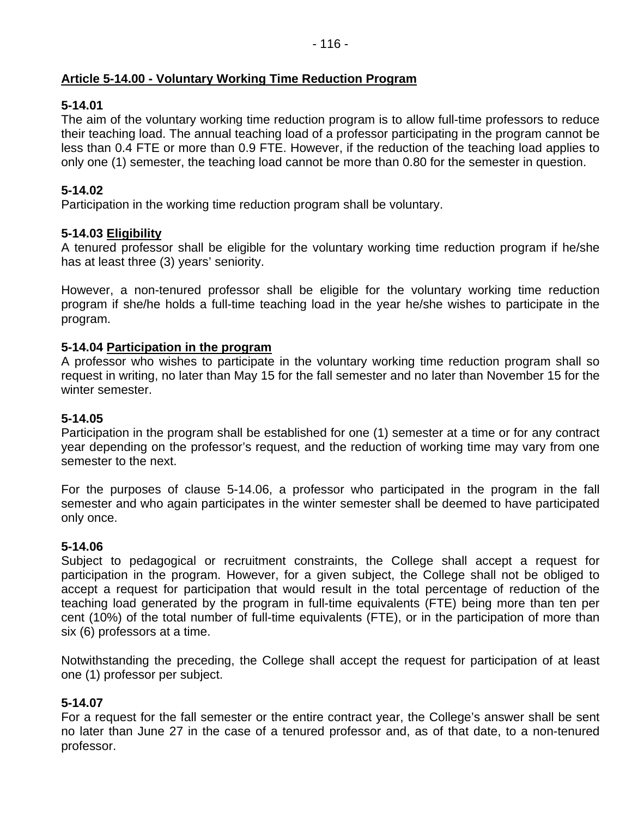# **Article 5-14.00 - Voluntary Working Time Reduction Program**

# **5-14.01**

The aim of the voluntary working time reduction program is to allow full-time professors to reduce their teaching load. The annual teaching load of a professor participating in the program cannot be less than 0.4 FTE or more than 0.9 FTE. However, if the reduction of the teaching load applies to only one (1) semester, the teaching load cannot be more than 0.80 for the semester in question.

## **5-14.02**

Participation in the working time reduction program shall be voluntary.

# **5-14.03 Eligibility**

A tenured professor shall be eligible for the voluntary working time reduction program if he/she has at least three (3) years' seniority.

However, a non-tenured professor shall be eligible for the voluntary working time reduction program if she/he holds a full-time teaching load in the year he/she wishes to participate in the program.

## **5-14.04 Participation in the program**

A professor who wishes to participate in the voluntary working time reduction program shall so request in writing, no later than May 15 for the fall semester and no later than November 15 for the winter semester.

## **5-14.05**

Participation in the program shall be established for one (1) semester at a time or for any contract year depending on the professor's request, and the reduction of working time may vary from one semester to the next.

For the purposes of clause 5-14.06, a professor who participated in the program in the fall semester and who again participates in the winter semester shall be deemed to have participated only once.

## **5-14.06**

Subject to pedagogical or recruitment constraints, the College shall accept a request for participation in the program. However, for a given subject, the College shall not be obliged to accept a request for participation that would result in the total percentage of reduction of the teaching load generated by the program in full-time equivalents (FTE) being more than ten per cent (10%) of the total number of full-time equivalents (FTE), or in the participation of more than six (6) professors at a time.

Notwithstanding the preceding, the College shall accept the request for participation of at least one (1) professor per subject.

## **5-14.07**

For a request for the fall semester or the entire contract year, the College's answer shall be sent no later than June 27 in the case of a tenured professor and, as of that date, to a non-tenured professor.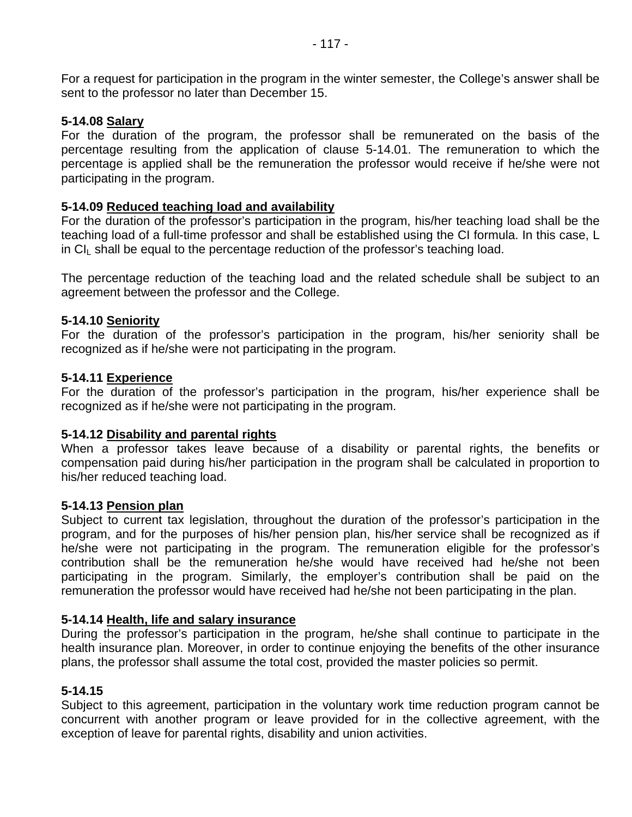For a request for participation in the program in the winter semester, the College's answer shall be sent to the professor no later than December 15.

### **5-14.08 Salary**

For the duration of the program, the professor shall be remunerated on the basis of the percentage resulting from the application of clause 5-14.01. The remuneration to which the percentage is applied shall be the remuneration the professor would receive if he/she were not participating in the program.

### **5-14.09 Reduced teaching load and availability**

For the duration of the professor's participation in the program, his/her teaching load shall be the teaching load of a full-time professor and shall be established using the CI formula. In this case, L  $\overline{C}$  colusts be equal to the percentage reduction of the professor's teaching load.

The percentage reduction of the teaching load and the related schedule shall be subject to an agreement between the professor and the College.

### **5-14.10 Seniority**

For the duration of the professor's participation in the program, his/her seniority shall be recognized as if he/she were not participating in the program.

### **5-14.11 Experience**

For the duration of the professor's participation in the program, his/her experience shall be recognized as if he/she were not participating in the program.

#### **5-14.12 Disability and parental rights**

When a professor takes leave because of a disability or parental rights, the benefits or compensation paid during his/her participation in the program shall be calculated in proportion to his/her reduced teaching load.

#### **5-14.13 Pension plan**

Subject to current tax legislation, throughout the duration of the professor's participation in the program, and for the purposes of his/her pension plan, his/her service shall be recognized as if he/she were not participating in the program. The remuneration eligible for the professor's contribution shall be the remuneration he/she would have received had he/she not been participating in the program. Similarly, the employer's contribution shall be paid on the remuneration the professor would have received had he/she not been participating in the plan.

#### **5-14.14 Health, life and salary insurance**

During the professor's participation in the program, he/she shall continue to participate in the health insurance plan. Moreover, in order to continue enjoying the benefits of the other insurance plans, the professor shall assume the total cost, provided the master policies so permit.

#### **5-14.15**

Subject to this agreement, participation in the voluntary work time reduction program cannot be concurrent with another program or leave provided for in the collective agreement, with the exception of leave for parental rights, disability and union activities.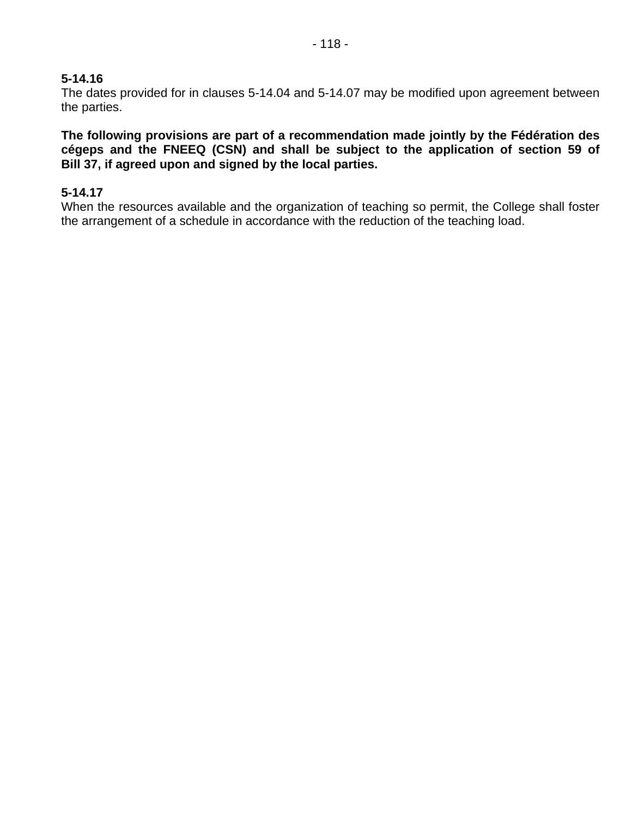### **5-14.16**

The dates provided for in clauses 5-14.04 and 5-14.07 may be modified upon agreement between the parties.

**The following provisions are part of a recommendation made jointly by the Fédération des cégeps and the FNEEQ (CSN) and shall be subject to the application of section 59 of Bill 37, if agreed upon and signed by the local parties.** 

#### **5-14.17**

When the resources available and the organization of teaching so permit, the College shall foster the arrangement of a schedule in accordance with the reduction of the teaching load.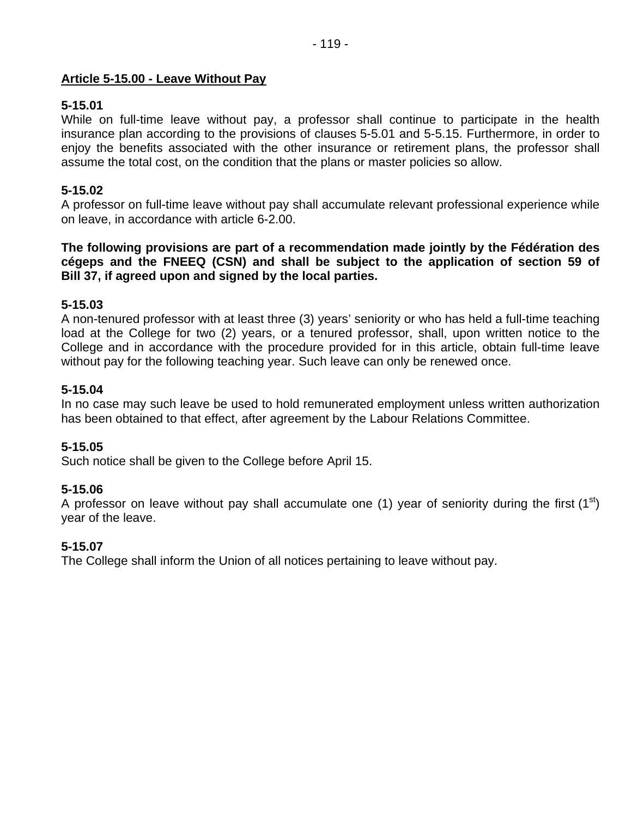### **Article 5-15.00 - Leave Without Pay**

## **5-15.01**

While on full-time leave without pay, a professor shall continue to participate in the health insurance plan according to the provisions of clauses 5-5.01 and 5-5.15. Furthermore, in order to enjoy the benefits associated with the other insurance or retirement plans, the professor shall assume the total cost, on the condition that the plans or master policies so allow.

## **5-15.02**

A professor on full-time leave without pay shall accumulate relevant professional experience while on leave, in accordance with article 6-2.00.

### **The following provisions are part of a recommendation made jointly by the Fédération des cégeps and the FNEEQ (CSN) and shall be subject to the application of section 59 of Bill 37, if agreed upon and signed by the local parties.**

## **5-15.03**

A non-tenured professor with at least three (3) years' seniority or who has held a full-time teaching load at the College for two (2) years, or a tenured professor, shall, upon written notice to the College and in accordance with the procedure provided for in this article, obtain full-time leave without pay for the following teaching year. Such leave can only be renewed once.

### **5-15.04**

In no case may such leave be used to hold remunerated employment unless written authorization has been obtained to that effect, after agreement by the Labour Relations Committee.

### **5-15.05**

Such notice shall be given to the College before April 15.

### **5-15.06**

A professor on leave without pay shall accumulate one (1) year of seniority during the first (1<sup>st</sup>) year of the leave.

### **5-15.07**

The College shall inform the Union of all notices pertaining to leave without pay.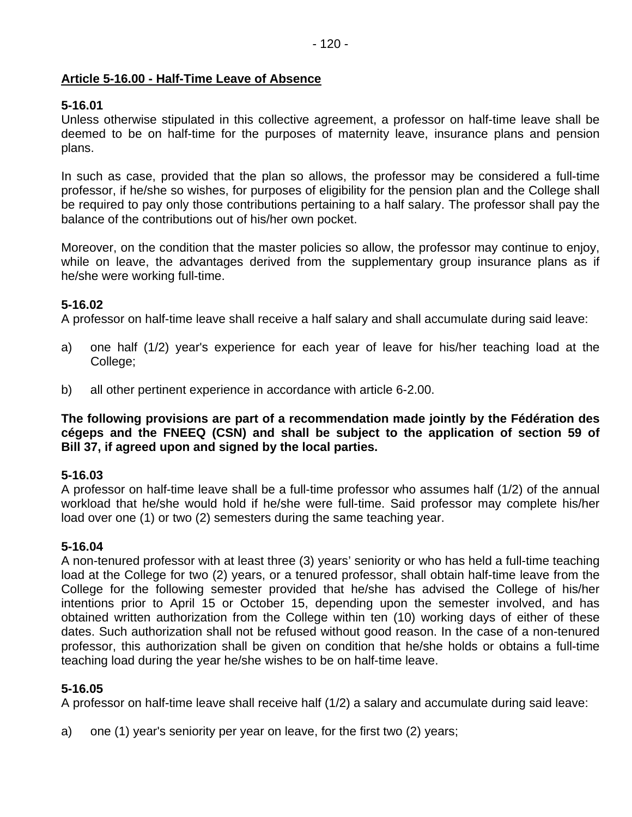# **Article 5-16.00 - Half-Time Leave of Absence**

# **5-16.01**

Unless otherwise stipulated in this collective agreement, a professor on half-time leave shall be deemed to be on half-time for the purposes of maternity leave, insurance plans and pension plans.

In such as case, provided that the plan so allows, the professor may be considered a full-time professor, if he/she so wishes, for purposes of eligibility for the pension plan and the College shall be required to pay only those contributions pertaining to a half salary. The professor shall pay the balance of the contributions out of his/her own pocket.

Moreover, on the condition that the master policies so allow, the professor may continue to enjoy, while on leave, the advantages derived from the supplementary group insurance plans as if he/she were working full-time.

# **5-16.02**

A professor on half-time leave shall receive a half salary and shall accumulate during said leave:

- a) one half (1/2) year's experience for each year of leave for his/her teaching load at the College;
- b) all other pertinent experience in accordance with article 6-2.00.

**The following provisions are part of a recommendation made jointly by the Fédération des cégeps and the FNEEQ (CSN) and shall be subject to the application of section 59 of Bill 37, if agreed upon and signed by the local parties.** 

## **5-16.03**

A professor on half-time leave shall be a full-time professor who assumes half (1/2) of the annual workload that he/she would hold if he/she were full-time. Said professor may complete his/her load over one (1) or two (2) semesters during the same teaching year.

## **5-16.04**

A non-tenured professor with at least three (3) years' seniority or who has held a full-time teaching load at the College for two (2) years, or a tenured professor, shall obtain half-time leave from the College for the following semester provided that he/she has advised the College of his/her intentions prior to April 15 or October 15, depending upon the semester involved, and has obtained written authorization from the College within ten (10) working days of either of these dates. Such authorization shall not be refused without good reason. In the case of a non-tenured professor, this authorization shall be given on condition that he/she holds or obtains a full-time teaching load during the year he/she wishes to be on half-time leave.

## **5-16.05**

A professor on half-time leave shall receive half (1/2) a salary and accumulate during said leave:

a) one (1) year's seniority per year on leave, for the first two (2) years;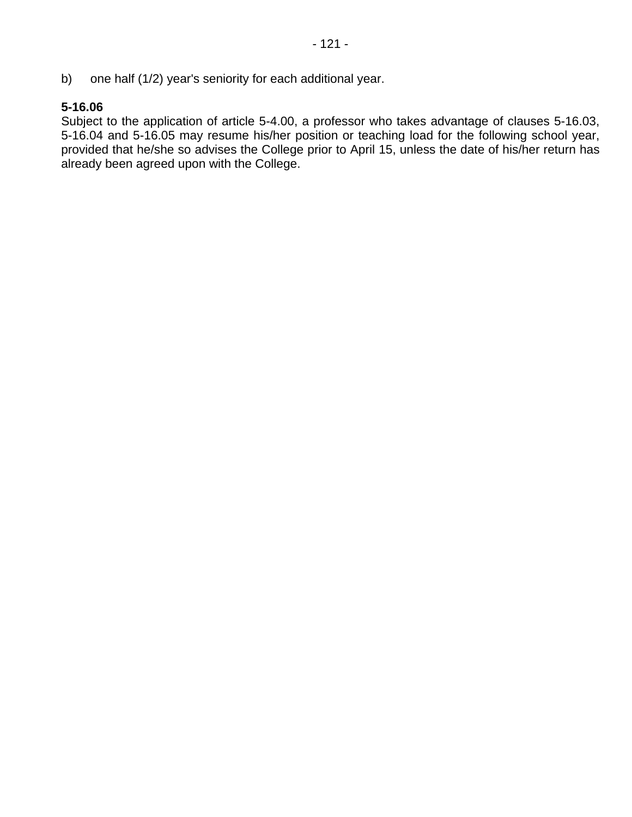b) one half (1/2) year's seniority for each additional year.

# **5-16.06**

Subject to the application of article 5-4.00, a professor who takes advantage of clauses 5-16.03, 5-16.04 and 5-16.05 may resume his/her position or teaching load for the following school year, provided that he/she so advises the College prior to April 15, unless the date of his/her return has already been agreed upon with the College.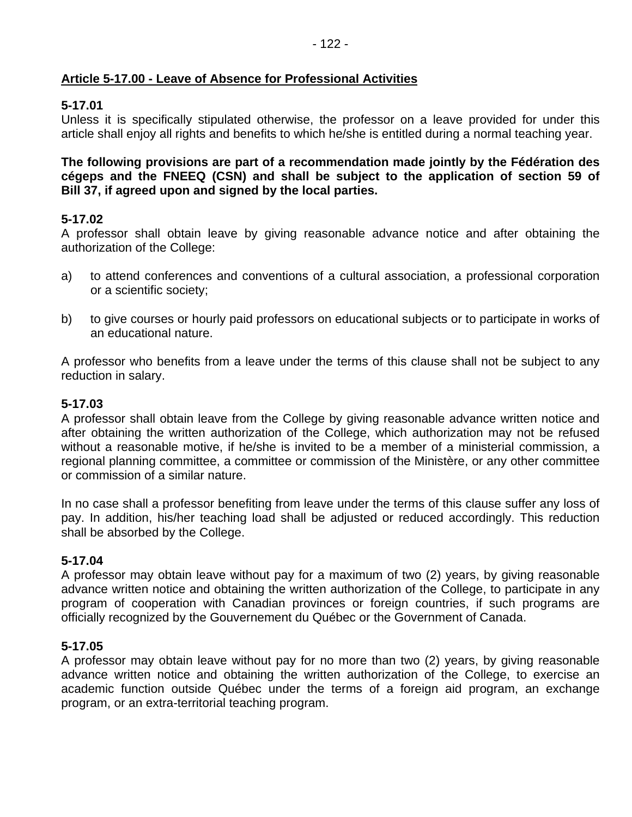## **Article 5-17.00 - Leave of Absence for Professional Activities**

## **5-17.01**

Unless it is specifically stipulated otherwise, the professor on a leave provided for under this article shall enjoy all rights and benefits to which he/she is entitled during a normal teaching year.

### **The following provisions are part of a recommendation made jointly by the Fédération des cégeps and the FNEEQ (CSN) and shall be subject to the application of section 59 of Bill 37, if agreed upon and signed by the local parties.**

## **5-17.02**

A professor shall obtain leave by giving reasonable advance notice and after obtaining the authorization of the College:

- a) to attend conferences and conventions of a cultural association, a professional corporation or a scientific society;
- b) to give courses or hourly paid professors on educational subjects or to participate in works of an educational nature.

A professor who benefits from a leave under the terms of this clause shall not be subject to any reduction in salary.

# **5-17.03**

A professor shall obtain leave from the College by giving reasonable advance written notice and after obtaining the written authorization of the College, which authorization may not be refused without a reasonable motive, if he/she is invited to be a member of a ministerial commission, a regional planning committee, a committee or commission of the Ministère, or any other committee or commission of a similar nature.

In no case shall a professor benefiting from leave under the terms of this clause suffer any loss of pay. In addition, his/her teaching load shall be adjusted or reduced accordingly. This reduction shall be absorbed by the College.

## **5-17.04**

A professor may obtain leave without pay for a maximum of two (2) years, by giving reasonable advance written notice and obtaining the written authorization of the College, to participate in any program of cooperation with Canadian provinces or foreign countries, if such programs are officially recognized by the Gouvernement du Québec or the Government of Canada.

## **5-17.05**

A professor may obtain leave without pay for no more than two (2) years, by giving reasonable advance written notice and obtaining the written authorization of the College, to exercise an academic function outside Québec under the terms of a foreign aid program, an exchange program, or an extra-territorial teaching program.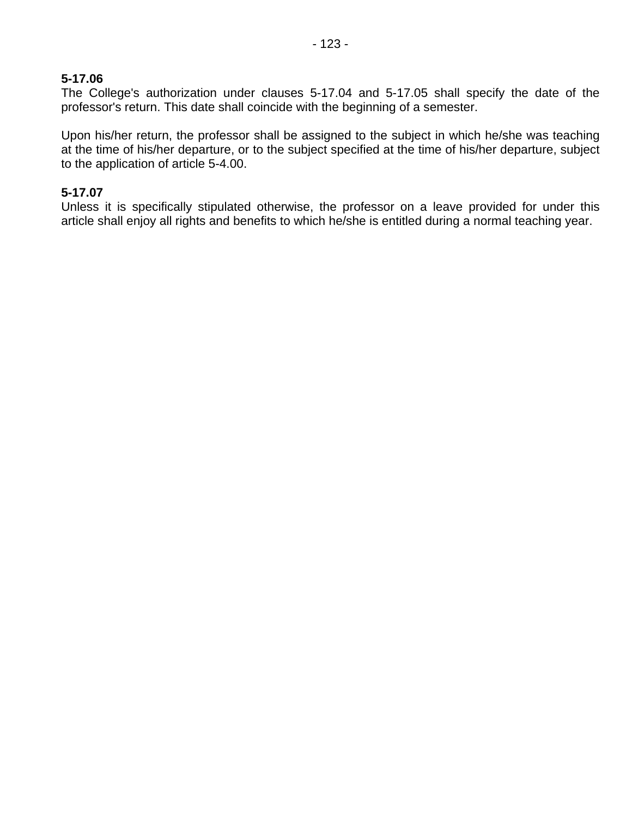## **5-17.06**

The College's authorization under clauses 5-17.04 and 5-17.05 shall specify the date of the professor's return. This date shall coincide with the beginning of a semester.

Upon his/her return, the professor shall be assigned to the subject in which he/she was teaching at the time of his/her departure, or to the subject specified at the time of his/her departure, subject to the application of article 5-4.00.

## **5-17.07**

Unless it is specifically stipulated otherwise, the professor on a leave provided for under this article shall enjoy all rights and benefits to which he/she is entitled during a normal teaching year.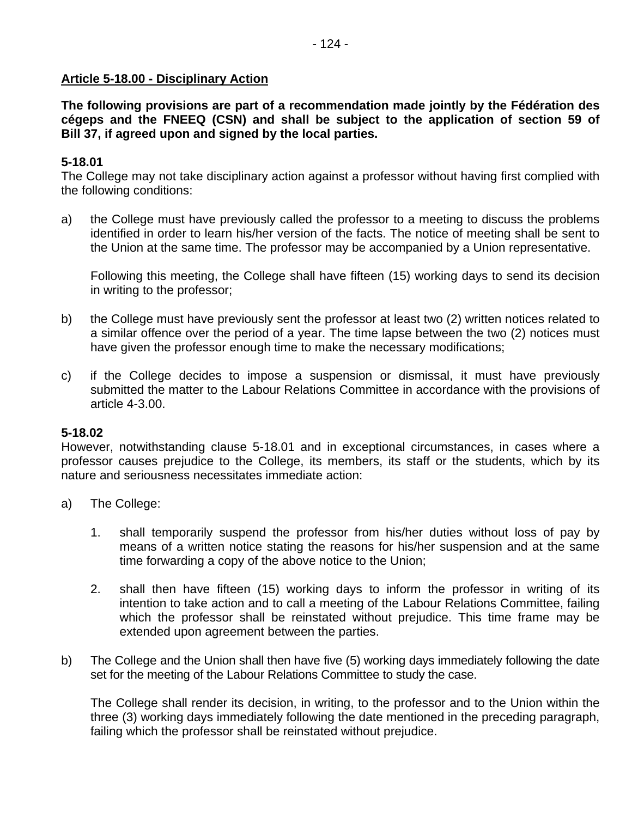### **Article 5-18.00 - Disciplinary Action**

**The following provisions are part of a recommendation made jointly by the Fédération des cégeps and the FNEEQ (CSN) and shall be subject to the application of section 59 of Bill 37, if agreed upon and signed by the local parties.** 

## **5-18.01**

The College may not take disciplinary action against a professor without having first complied with the following conditions:

a) the College must have previously called the professor to a meeting to discuss the problems identified in order to learn his/her version of the facts. The notice of meeting shall be sent to the Union at the same time. The professor may be accompanied by a Union representative.

Following this meeting, the College shall have fifteen (15) working days to send its decision in writing to the professor;

- b) the College must have previously sent the professor at least two (2) written notices related to a similar offence over the period of a year. The time lapse between the two (2) notices must have given the professor enough time to make the necessary modifications;
- c) if the College decides to impose a suspension or dismissal, it must have previously submitted the matter to the Labour Relations Committee in accordance with the provisions of article 4-3.00.

### **5-18.02**

However, notwithstanding clause 5-18.01 and in exceptional circumstances, in cases where a professor causes prejudice to the College, its members, its staff or the students, which by its nature and seriousness necessitates immediate action:

- a) The College:
	- 1. shall temporarily suspend the professor from his/her duties without loss of pay by means of a written notice stating the reasons for his/her suspension and at the same time forwarding a copy of the above notice to the Union;
	- 2. shall then have fifteen (15) working days to inform the professor in writing of its intention to take action and to call a meeting of the Labour Relations Committee, failing which the professor shall be reinstated without prejudice. This time frame may be extended upon agreement between the parties.
- b) The College and the Union shall then have five (5) working days immediately following the date set for the meeting of the Labour Relations Committee to study the case.

The College shall render its decision, in writing, to the professor and to the Union within the three (3) working days immediately following the date mentioned in the preceding paragraph, failing which the professor shall be reinstated without prejudice.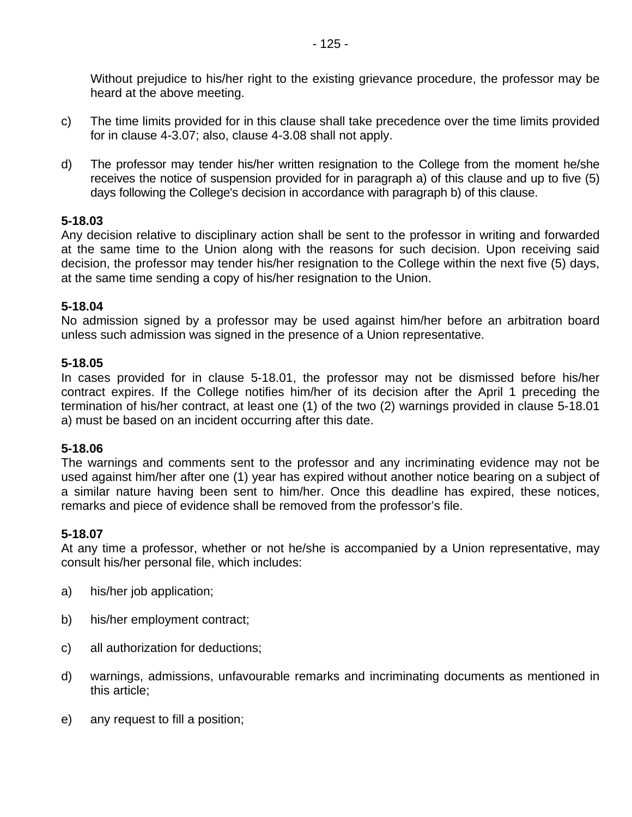Without prejudice to his/her right to the existing grievance procedure, the professor may be heard at the above meeting.

- c) The time limits provided for in this clause shall take precedence over the time limits provided for in clause 4-3.07; also, clause 4-3.08 shall not apply.
- d) The professor may tender his/her written resignation to the College from the moment he/she receives the notice of suspension provided for in paragraph a) of this clause and up to five (5) days following the College's decision in accordance with paragraph b) of this clause.

### **5-18.03**

Any decision relative to disciplinary action shall be sent to the professor in writing and forwarded at the same time to the Union along with the reasons for such decision. Upon receiving said decision, the professor may tender his/her resignation to the College within the next five (5) days, at the same time sending a copy of his/her resignation to the Union.

### **5-18.04**

No admission signed by a professor may be used against him/her before an arbitration board unless such admission was signed in the presence of a Union representative.

### **5-18.05**

In cases provided for in clause 5-18.01, the professor may not be dismissed before his/her contract expires. If the College notifies him/her of its decision after the April 1 preceding the termination of his/her contract, at least one (1) of the two (2) warnings provided in clause 5-18.01 a) must be based on an incident occurring after this date.

#### **5-18.06**

The warnings and comments sent to the professor and any incriminating evidence may not be used against him/her after one (1) year has expired without another notice bearing on a subject of a similar nature having been sent to him/her. Once this deadline has expired, these notices, remarks and piece of evidence shall be removed from the professor's file.

#### **5-18.07**

At any time a professor, whether or not he/she is accompanied by a Union representative, may consult his/her personal file, which includes:

- a) his/her job application;
- b) his/her employment contract;
- c) all authorization for deductions;
- d) warnings, admissions, unfavourable remarks and incriminating documents as mentioned in this article;
- e) any request to fill a position;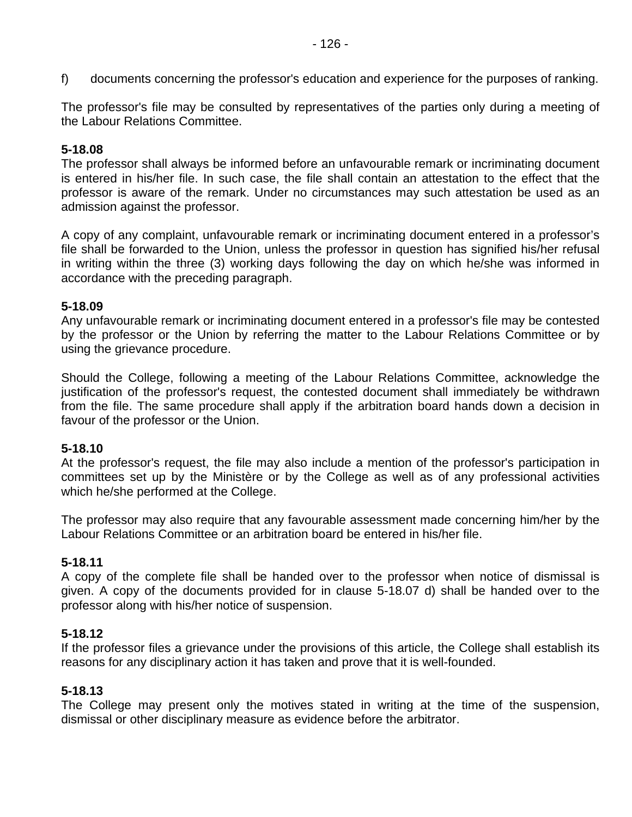f) documents concerning the professor's education and experience for the purposes of ranking.

The professor's file may be consulted by representatives of the parties only during a meeting of the Labour Relations Committee.

### **5-18.08**

The professor shall always be informed before an unfavourable remark or incriminating document is entered in his/her file. In such case, the file shall contain an attestation to the effect that the professor is aware of the remark. Under no circumstances may such attestation be used as an admission against the professor.

A copy of any complaint, unfavourable remark or incriminating document entered in a professor's file shall be forwarded to the Union, unless the professor in question has signified his/her refusal in writing within the three (3) working days following the day on which he/she was informed in accordance with the preceding paragraph.

#### **5-18.09**

Any unfavourable remark or incriminating document entered in a professor's file may be contested by the professor or the Union by referring the matter to the Labour Relations Committee or by using the grievance procedure.

Should the College, following a meeting of the Labour Relations Committee, acknowledge the justification of the professor's request, the contested document shall immediately be withdrawn from the file. The same procedure shall apply if the arbitration board hands down a decision in favour of the professor or the Union.

#### **5-18.10**

At the professor's request, the file may also include a mention of the professor's participation in committees set up by the Ministère or by the College as well as of any professional activities which he/she performed at the College.

The professor may also require that any favourable assessment made concerning him/her by the Labour Relations Committee or an arbitration board be entered in his/her file.

#### **5-18.11**

A copy of the complete file shall be handed over to the professor when notice of dismissal is given. A copy of the documents provided for in clause 5-18.07 d) shall be handed over to the professor along with his/her notice of suspension.

#### **5-18.12**

If the professor files a grievance under the provisions of this article, the College shall establish its reasons for any disciplinary action it has taken and prove that it is well-founded.

#### **5-18.13**

The College may present only the motives stated in writing at the time of the suspension, dismissal or other disciplinary measure as evidence before the arbitrator.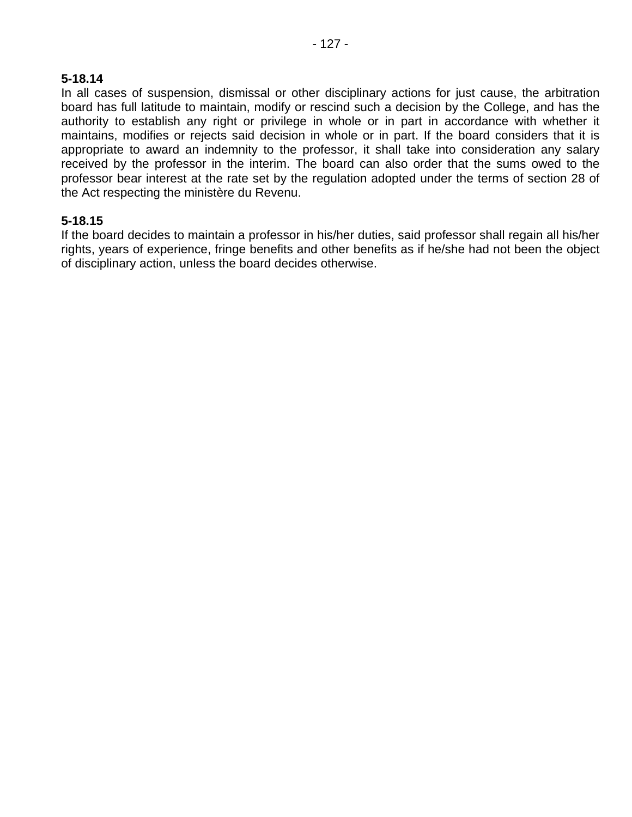### **5-18.14**

In all cases of suspension, dismissal or other disciplinary actions for just cause, the arbitration board has full latitude to maintain, modify or rescind such a decision by the College, and has the authority to establish any right or privilege in whole or in part in accordance with whether it maintains, modifies or rejects said decision in whole or in part. If the board considers that it is appropriate to award an indemnity to the professor, it shall take into consideration any salary received by the professor in the interim. The board can also order that the sums owed to the professor bear interest at the rate set by the regulation adopted under the terms of section 28 of the Act respecting the ministère du Revenu.

### **5-18.15**

If the board decides to maintain a professor in his/her duties, said professor shall regain all his/her rights, years of experience, fringe benefits and other benefits as if he/she had not been the object of disciplinary action, unless the board decides otherwise.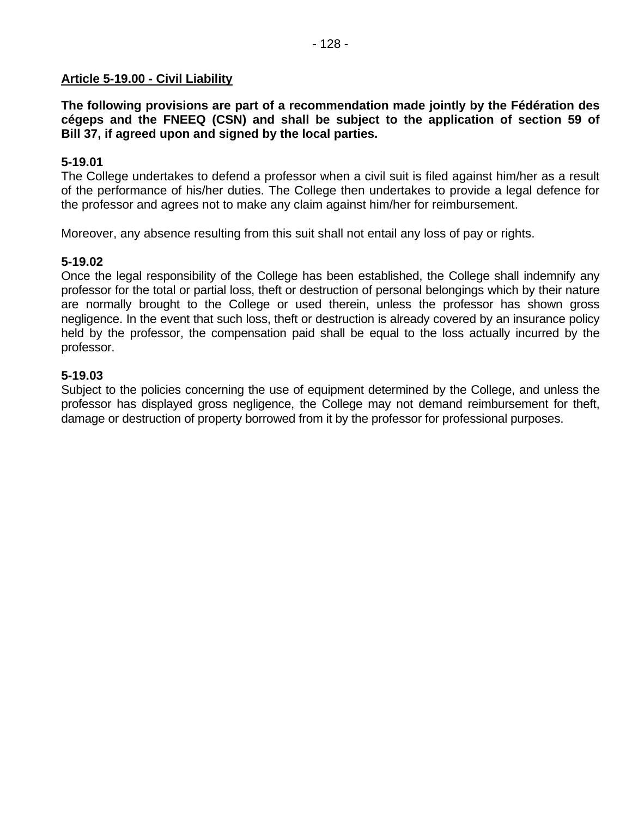### **Article 5-19.00 - Civil Liability**

**The following provisions are part of a recommendation made jointly by the Fédération des cégeps and the FNEEQ (CSN) and shall be subject to the application of section 59 of Bill 37, if agreed upon and signed by the local parties.** 

### **5-19.01**

The College undertakes to defend a professor when a civil suit is filed against him/her as a result of the performance of his/her duties. The College then undertakes to provide a legal defence for the professor and agrees not to make any claim against him/her for reimbursement.

Moreover, any absence resulting from this suit shall not entail any loss of pay or rights.

### **5-19.02**

Once the legal responsibility of the College has been established, the College shall indemnify any professor for the total or partial loss, theft or destruction of personal belongings which by their nature are normally brought to the College or used therein, unless the professor has shown gross negligence. In the event that such loss, theft or destruction is already covered by an insurance policy held by the professor, the compensation paid shall be equal to the loss actually incurred by the professor.

### **5-19.03**

Subject to the policies concerning the use of equipment determined by the College, and unless the professor has displayed gross negligence, the College may not demand reimbursement for theft, damage or destruction of property borrowed from it by the professor for professional purposes.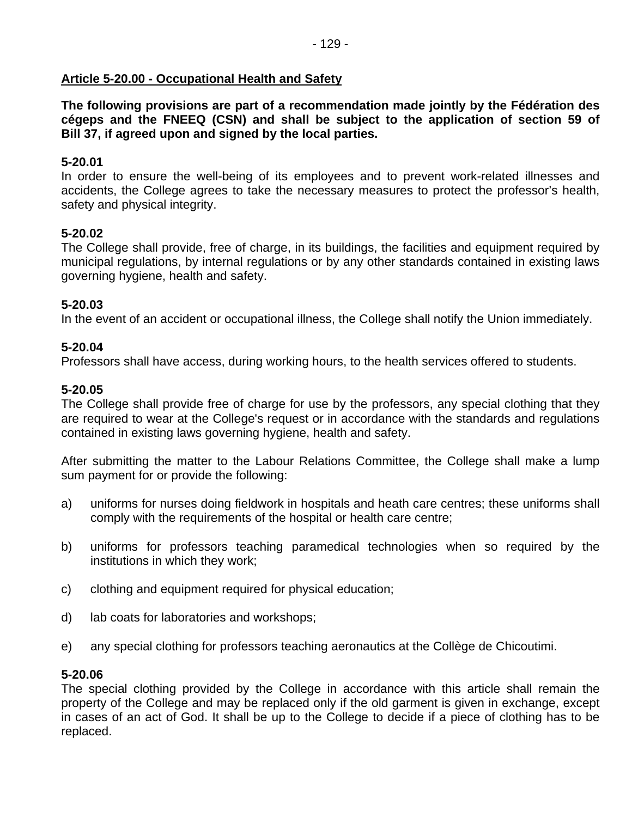## **Article 5-20.00 - Occupational Health and Safety**

**The following provisions are part of a recommendation made jointly by the Fédération des cégeps and the FNEEQ (CSN) and shall be subject to the application of section 59 of Bill 37, if agreed upon and signed by the local parties.** 

### **5-20.01**

In order to ensure the well-being of its employees and to prevent work-related illnesses and accidents, the College agrees to take the necessary measures to protect the professor's health, safety and physical integrity.

## **5-20.02**

The College shall provide, free of charge, in its buildings, the facilities and equipment required by municipal regulations, by internal regulations or by any other standards contained in existing laws governing hygiene, health and safety.

## **5-20.03**

In the event of an accident or occupational illness, the College shall notify the Union immediately.

## **5-20.04**

Professors shall have access, during working hours, to the health services offered to students.

### **5-20.05**

The College shall provide free of charge for use by the professors, any special clothing that they are required to wear at the College's request or in accordance with the standards and regulations contained in existing laws governing hygiene, health and safety.

After submitting the matter to the Labour Relations Committee, the College shall make a lump sum payment for or provide the following:

- a) uniforms for nurses doing fieldwork in hospitals and heath care centres; these uniforms shall comply with the requirements of the hospital or health care centre;
- b) uniforms for professors teaching paramedical technologies when so required by the institutions in which they work;
- c) clothing and equipment required for physical education;
- d) lab coats for laboratories and workshops;
- e) any special clothing for professors teaching aeronautics at the Collège de Chicoutimi.

### **5-20.06**

The special clothing provided by the College in accordance with this article shall remain the property of the College and may be replaced only if the old garment is given in exchange, except in cases of an act of God. It shall be up to the College to decide if a piece of clothing has to be replaced.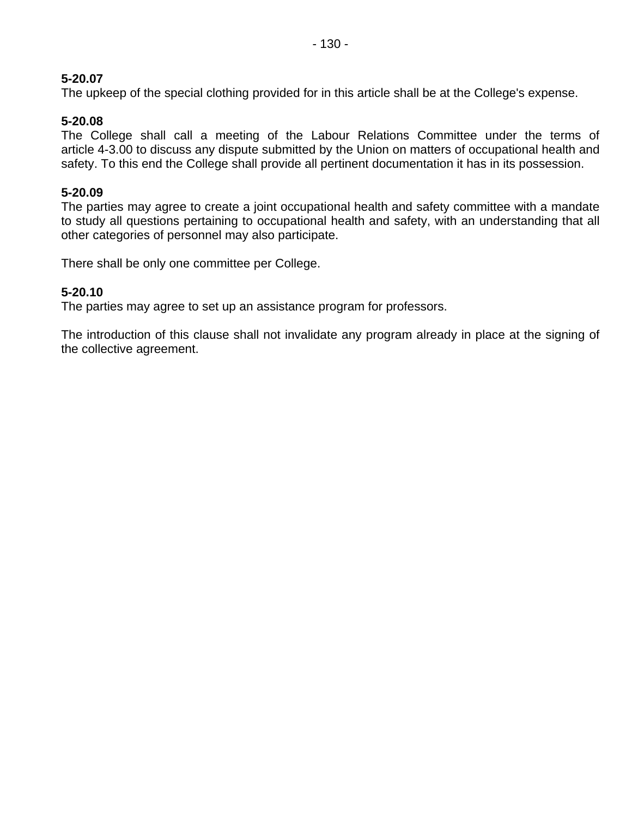## **5-20.07**

The upkeep of the special clothing provided for in this article shall be at the College's expense.

## **5-20.08**

The College shall call a meeting of the Labour Relations Committee under the terms of article 4-3.00 to discuss any dispute submitted by the Union on matters of occupational health and safety. To this end the College shall provide all pertinent documentation it has in its possession.

### **5-20.09**

The parties may agree to create a joint occupational health and safety committee with a mandate to study all questions pertaining to occupational health and safety, with an understanding that all other categories of personnel may also participate.

There shall be only one committee per College.

### **5-20.10**

The parties may agree to set up an assistance program for professors.

The introduction of this clause shall not invalidate any program already in place at the signing of the collective agreement.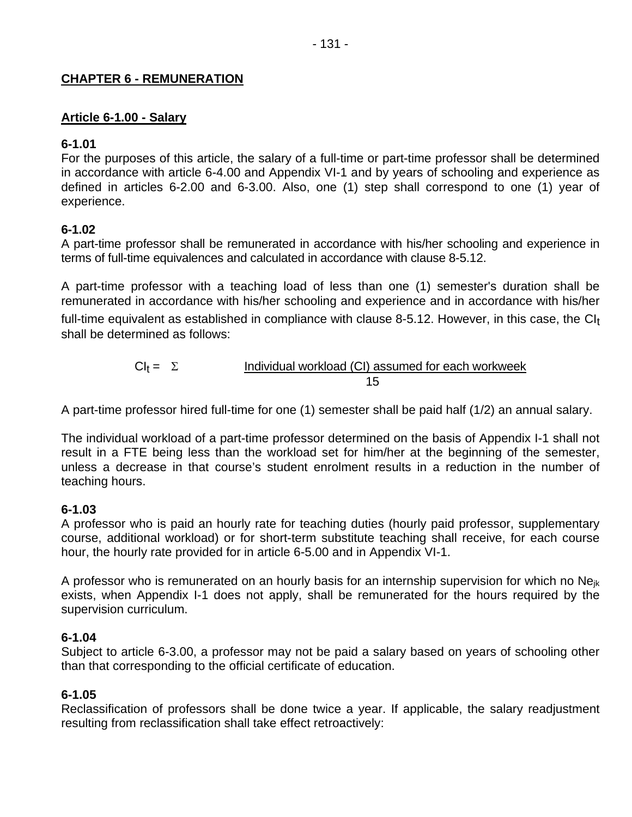## **CHAPTER 6 - REMUNERATION**

## **Article 6-1.00 - Salary**

## **6-1.01**

For the purposes of this article, the salary of a full-time or part-time professor shall be determined in accordance with article 6-4.00 and Appendix VI-1 and by years of schooling and experience as defined in articles 6-2.00 and 6-3.00. Also, one (1) step shall correspond to one (1) year of experience.

## **6-1.02**

A part-time professor shall be remunerated in accordance with his/her schooling and experience in terms of full-time equivalences and calculated in accordance with clause 8-5.12.

A part-time professor with a teaching load of less than one (1) semester's duration shall be remunerated in accordance with his/her schooling and experience and in accordance with his/her

full-time equivalent as established in compliance with clause 8-5.12. However, in this case, the  $Cl<sub>t</sub>$ shall be determined as follows:

$$
CI_t = \Sigma
$$
 Individual workload (CI) assumed for each workweek

A part-time professor hired full-time for one (1) semester shall be paid half (1/2) an annual salary.

The individual workload of a part-time professor determined on the basis of Appendix I-1 shall not result in a FTE being less than the workload set for him/her at the beginning of the semester, unless a decrease in that course's student enrolment results in a reduction in the number of teaching hours.

### **6-1.03**

A professor who is paid an hourly rate for teaching duties (hourly paid professor, supplementary course, additional workload) or for short-term substitute teaching shall receive, for each course hour, the hourly rate provided for in article 6-5.00 and in Appendix VI-1.

A professor who is remunerated on an hourly basis for an internship supervision for which no Ne $_{ik}$ exists, when Appendix I-1 does not apply, shall be remunerated for the hours required by the supervision curriculum.

### **6-1.04**

Subject to article 6-3.00, a professor may not be paid a salary based on years of schooling other than that corresponding to the official certificate of education.

### **6-1.05**

Reclassification of professors shall be done twice a year. If applicable, the salary readjustment resulting from reclassification shall take effect retroactively: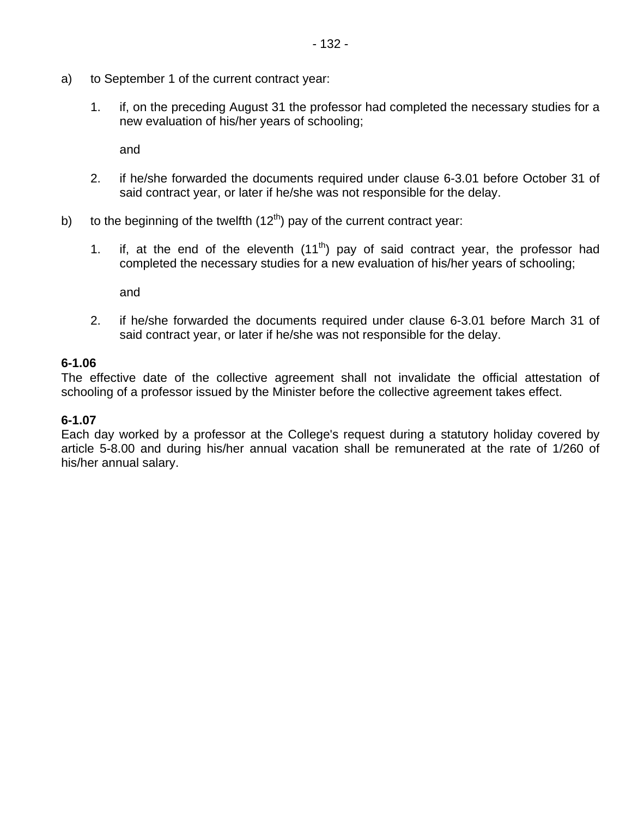- a) to September 1 of the current contract year:
	- 1. if, on the preceding August 31 the professor had completed the necessary studies for a new evaluation of his/her years of schooling;

and

- 2. if he/she forwarded the documents required under clause 6-3.01 before October 31 of said contract year, or later if he/she was not responsible for the delay.
- b) to the beginning of the twelfth  $(12<sup>th</sup>)$  pay of the current contract year:
	- 1. if, at the end of the eleventh  $(11<sup>th</sup>)$  pay of said contract year, the professor had completed the necessary studies for a new evaluation of his/her years of schooling;

and

2. if he/she forwarded the documents required under clause 6-3.01 before March 31 of said contract year, or later if he/she was not responsible for the delay.

### **6-1.06**

The effective date of the collective agreement shall not invalidate the official attestation of schooling of a professor issued by the Minister before the collective agreement takes effect.

### **6-1.07**

Each day worked by a professor at the College's request during a statutory holiday covered by article 5-8.00 and during his/her annual vacation shall be remunerated at the rate of 1/260 of his/her annual salary.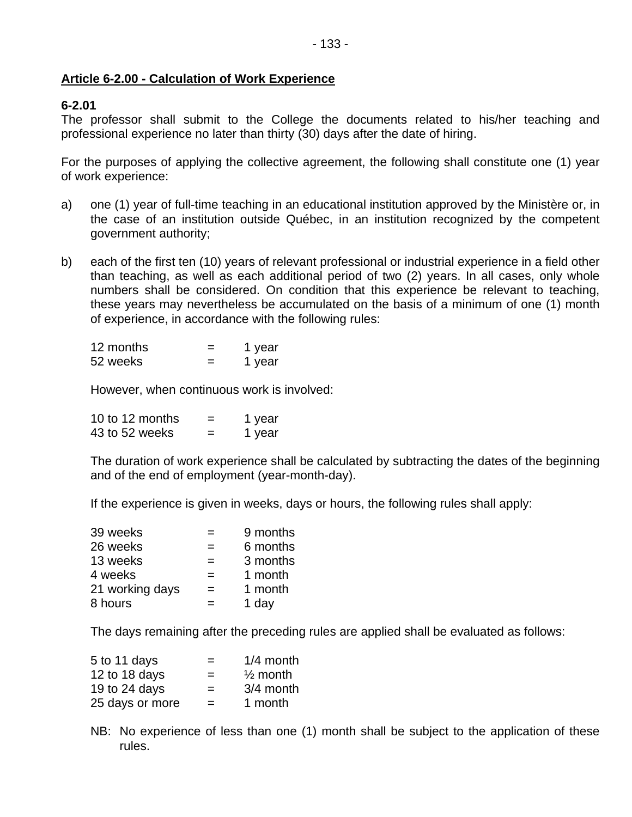### **Article 6-2.00 - Calculation of Work Experience**

### **6-2.01**

The professor shall submit to the College the documents related to his/her teaching and professional experience no later than thirty (30) days after the date of hiring.

For the purposes of applying the collective agreement, the following shall constitute one (1) year of work experience:

- a) one (1) year of full-time teaching in an educational institution approved by the Ministère or, in the case of an institution outside Québec, in an institution recognized by the competent government authority;
- b) each of the first ten (10) years of relevant professional or industrial experience in a field other than teaching, as well as each additional period of two (2) years. In all cases, only whole numbers shall be considered. On condition that this experience be relevant to teaching, these years may nevertheless be accumulated on the basis of a minimum of one (1) month of experience, in accordance with the following rules:

| 12 months | 1 year |
|-----------|--------|
| 52 weeks  | 1 year |

However, when continuous work is involved:

| 10 to 12 months | -<br>= | 1 year |
|-----------------|--------|--------|
| 43 to 52 weeks  | -      | 1 year |

The duration of work experience shall be calculated by subtracting the dates of the beginning and of the end of employment (year-month-day).

If the experience is given in weeks, days or hours, the following rules shall apply:

| 39 weeks        |                   | 9 months |
|-----------------|-------------------|----------|
| 26 weeks        | $\qquad \qquad =$ | 6 months |
| 13 weeks        | $=$               | 3 months |
| 4 weeks         | $=$               | 1 month  |
| 21 working days | $=$               | 1 month  |
| 8 hours         |                   | 1 day    |

The days remaining after the preceding rules are applied shall be evaluated as follows:

| 5 to 11 days    | $=$ | $1/4$ month         |
|-----------------|-----|---------------------|
| 12 to 18 days   | $=$ | $\frac{1}{2}$ month |
| 19 to 24 days   | $=$ | 3/4 month           |
| 25 days or more | $=$ | 1 month             |

NB: No experience of less than one (1) month shall be subject to the application of these rules.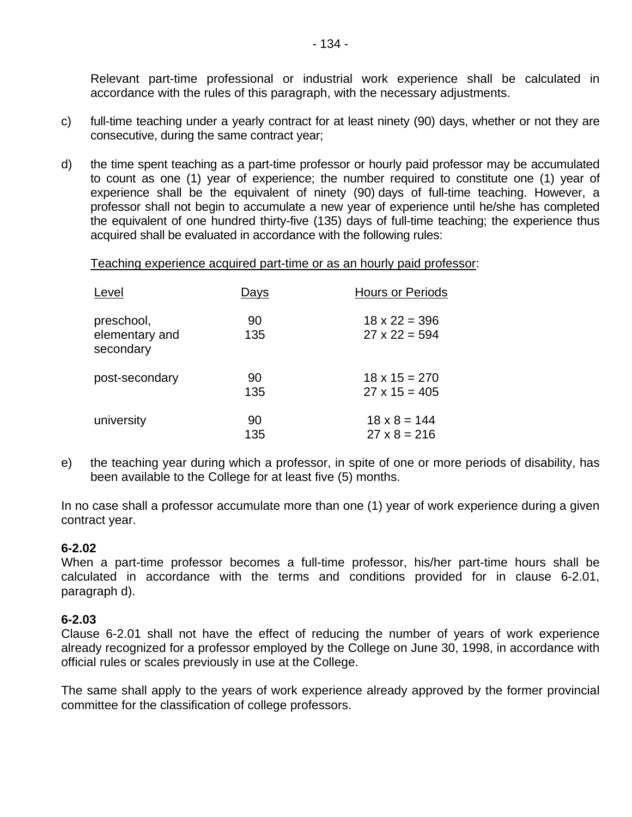Relevant part-time professional or industrial work experience shall be calculated in accordance with the rules of this paragraph, with the necessary adjustments.

- c) full-time teaching under a yearly contract for at least ninety (90) days, whether or not they are consecutive, during the same contract year;
- d) the time spent teaching as a part-time professor or hourly paid professor may be accumulated to count as one (1) year of experience; the number required to constitute one (1) year of experience shall be the equivalent of ninety (90) days of full-time teaching. However, a professor shall not begin to accumulate a new year of experience until he/she has completed the equivalent of one hundred thirty-five (135) days of full-time teaching; the experience thus acquired shall be evaluated in accordance with the following rules:

Teaching experience acquired part-time or as an hourly paid professor:

| Level                                     | Days      | <b>Hours or Periods</b>                      |
|-------------------------------------------|-----------|----------------------------------------------|
| preschool,<br>elementary and<br>secondary | 90<br>135 | $18 \times 22 = 396$<br>$27 \times 22 = 594$ |
| post-secondary                            | 90<br>135 | $18 \times 15 = 270$<br>$27 \times 15 = 405$ |
| university                                | 90<br>135 | $18 \times 8 = 144$<br>$27 \times 8 = 216$   |

e) the teaching year during which a professor, in spite of one or more periods of disability, has been available to the College for at least five (5) months.

In no case shall a professor accumulate more than one (1) year of work experience during a given contract year.

#### **6-2.02**

When a part-time professor becomes a full-time professor, his/her part-time hours shall be calculated in accordance with the terms and conditions provided for in clause 6-2.01, paragraph d).

### **6-2.03**

Clause 6-2.01 shall not have the effect of reducing the number of years of work experience already recognized for a professor employed by the College on June 30, 1998, in accordance with official rules or scales previously in use at the College.

The same shall apply to the years of work experience already approved by the former provincial committee for the classification of college professors.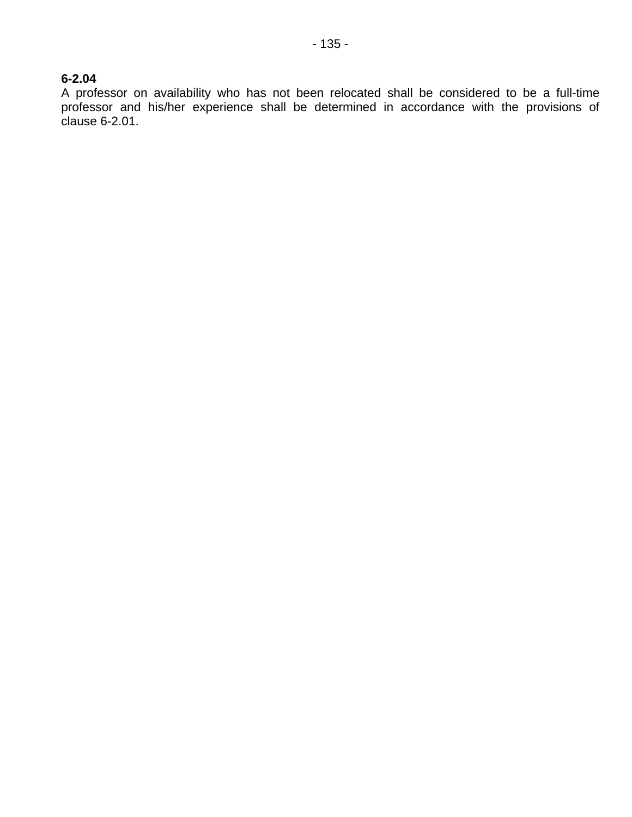#### **6-2.04**

A professor on availability who has not been relocated shall be considered to be a full-time professor and his/her experience shall be determined in accordance with the provisions of clause 6-2.01.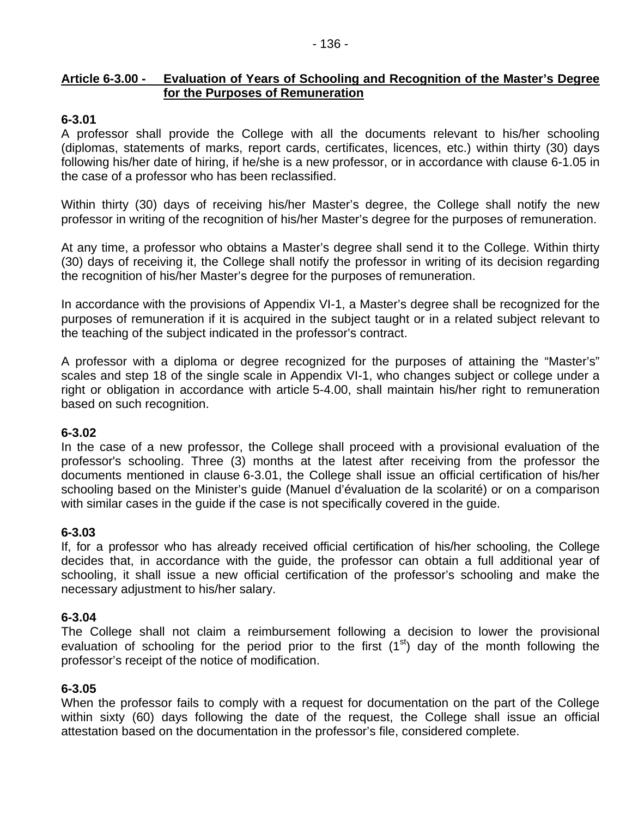### **Article 6-3.00 - Evaluation of Years of Schooling and Recognition of the Master's Degree for the Purposes of Remuneration**

#### **6-3.01**

A professor shall provide the College with all the documents relevant to his/her schooling (diplomas, statements of marks, report cards, certificates, licences, etc.) within thirty (30) days following his/her date of hiring, if he/she is a new professor, or in accordance with clause 6-1.05 in the case of a professor who has been reclassified.

Within thirty (30) days of receiving his/her Master's degree, the College shall notify the new professor in writing of the recognition of his/her Master's degree for the purposes of remuneration.

At any time, a professor who obtains a Master's degree shall send it to the College. Within thirty (30) days of receiving it, the College shall notify the professor in writing of its decision regarding the recognition of his/her Master's degree for the purposes of remuneration.

In accordance with the provisions of Appendix VI-1, a Master's degree shall be recognized for the purposes of remuneration if it is acquired in the subject taught or in a related subject relevant to the teaching of the subject indicated in the professor's contract.

A professor with a diploma or degree recognized for the purposes of attaining the "Master's" scales and step 18 of the single scale in Appendix VI-1, who changes subject or college under a right or obligation in accordance with article 5-4.00, shall maintain his/her right to remuneration based on such recognition.

#### **6-3.02**

In the case of a new professor, the College shall proceed with a provisional evaluation of the professor's schooling. Three (3) months at the latest after receiving from the professor the documents mentioned in clause 6-3.01, the College shall issue an official certification of his/her schooling based on the Minister's guide (Manuel d'évaluation de la scolarité) or on a comparison with similar cases in the guide if the case is not specifically covered in the guide.

#### **6-3.03**

If, for a professor who has already received official certification of his/her schooling, the College decides that, in accordance with the guide, the professor can obtain a full additional year of schooling, it shall issue a new official certification of the professor's schooling and make the necessary adjustment to his/her salary.

#### **6-3.04**

The College shall not claim a reimbursement following a decision to lower the provisional evaluation of schooling for the period prior to the first  $(1<sup>st</sup>)$  day of the month following the professor's receipt of the notice of modification.

#### **6-3.05**

When the professor fails to comply with a request for documentation on the part of the College within sixty (60) days following the date of the request, the College shall issue an official attestation based on the documentation in the professor's file, considered complete.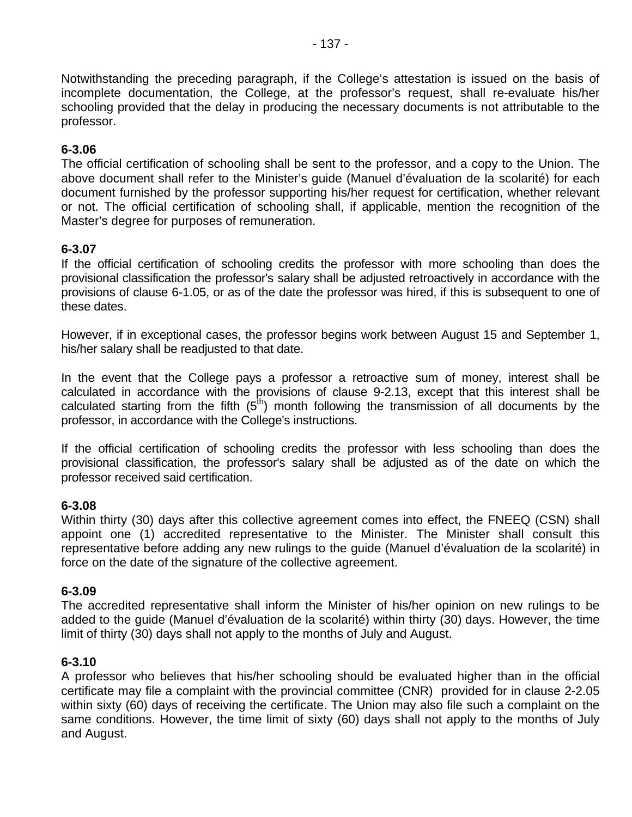Notwithstanding the preceding paragraph, if the College's attestation is issued on the basis of incomplete documentation, the College, at the professor's request, shall re-evaluate his/her schooling provided that the delay in producing the necessary documents is not attributable to the professor.

#### **6-3.06**

The official certification of schooling shall be sent to the professor, and a copy to the Union. The above document shall refer to the Minister's guide (Manuel d'évaluation de la scolarité) for each document furnished by the professor supporting his/her request for certification, whether relevant or not. The official certification of schooling shall, if applicable, mention the recognition of the Master's degree for purposes of remuneration.

### **6-3.07**

If the official certification of schooling credits the professor with more schooling than does the provisional classification the professor's salary shall be adjusted retroactively in accordance with the provisions of clause 6-1.05, or as of the date the professor was hired, if this is subsequent to one of these dates.

However, if in exceptional cases, the professor begins work between August 15 and September 1, his/her salary shall be readjusted to that date.

In the event that the College pays a professor a retroactive sum of money, interest shall be calculated in accordance with the provisions of clause 9-2.13, except that this interest shall be calculated starting from the fifth  $(5<sup>th</sup>)$  month following the transmission of all documents by the professor, in accordance with the College's instructions.

If the official certification of schooling credits the professor with less schooling than does the provisional classification, the professor's salary shall be adjusted as of the date on which the professor received said certification.

#### **6-3.08**

Within thirty (30) days after this collective agreement comes into effect, the FNEEQ (CSN) shall appoint one (1) accredited representative to the Minister. The Minister shall consult this representative before adding any new rulings to the guide (Manuel d'évaluation de la scolarité) in force on the date of the signature of the collective agreement.

#### **6-3.09**

The accredited representative shall inform the Minister of his/her opinion on new rulings to be added to the guide (Manuel d'évaluation de la scolarité) within thirty (30) days. However, the time limit of thirty (30) days shall not apply to the months of July and August.

#### **6-3.10**

A professor who believes that his/her schooling should be evaluated higher than in the official certificate may file a complaint with the provincial committee (CNR) provided for in clause 2-2.05 within sixty (60) days of receiving the certificate. The Union may also file such a complaint on the same conditions. However, the time limit of sixty (60) days shall not apply to the months of July and August.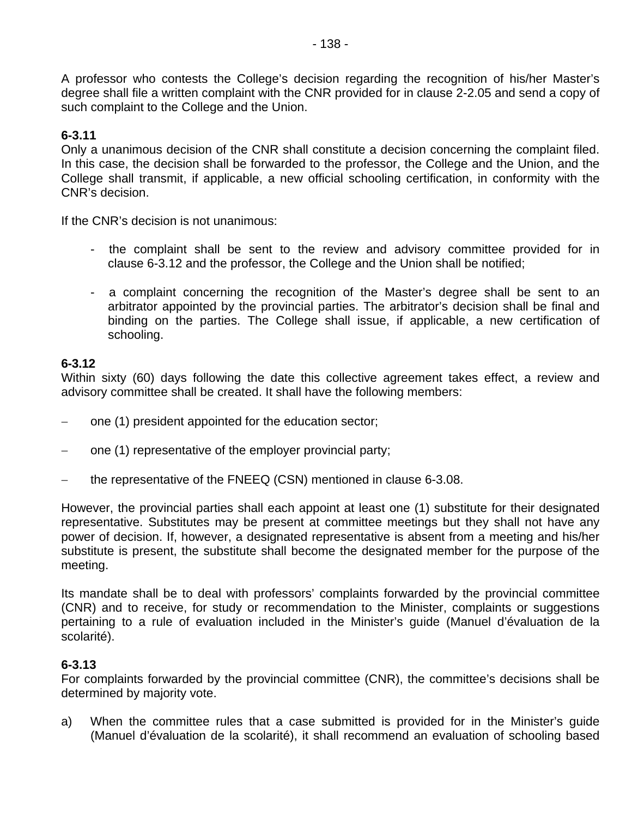A professor who contests the College's decision regarding the recognition of his/her Master's degree shall file a written complaint with the CNR provided for in clause 2-2.05 and send a copy of such complaint to the College and the Union.

#### **6-3.11**

Only a unanimous decision of the CNR shall constitute a decision concerning the complaint filed. In this case, the decision shall be forwarded to the professor, the College and the Union, and the College shall transmit, if applicable, a new official schooling certification, in conformity with the CNR's decision.

If the CNR's decision is not unanimous:

- the complaint shall be sent to the review and advisory committee provided for in clause 6-3.12 and the professor, the College and the Union shall be notified;
- a complaint concerning the recognition of the Master's degree shall be sent to an arbitrator appointed by the provincial parties. The arbitrator's decision shall be final and binding on the parties. The College shall issue, if applicable, a new certification of schooling.

### **6-3.12**

Within sixty (60) days following the date this collective agreement takes effect, a review and advisory committee shall be created. It shall have the following members:

- − one (1) president appointed for the education sector;
- one (1) representative of the employer provincial party;
- − the representative of the FNEEQ (CSN) mentioned in clause 6-3.08.

However, the provincial parties shall each appoint at least one (1) substitute for their designated representative. Substitutes may be present at committee meetings but they shall not have any power of decision. If, however, a designated representative is absent from a meeting and his/her substitute is present, the substitute shall become the designated member for the purpose of the meeting.

Its mandate shall be to deal with professors' complaints forwarded by the provincial committee (CNR) and to receive, for study or recommendation to the Minister, complaints or suggestions pertaining to a rule of evaluation included in the Minister's guide (Manuel d'évaluation de la scolarité).

#### **6-3.13**

For complaints forwarded by the provincial committee (CNR), the committee's decisions shall be determined by majority vote.

a) When the committee rules that a case submitted is provided for in the Minister's guide (Manuel d'évaluation de la scolarité), it shall recommend an evaluation of schooling based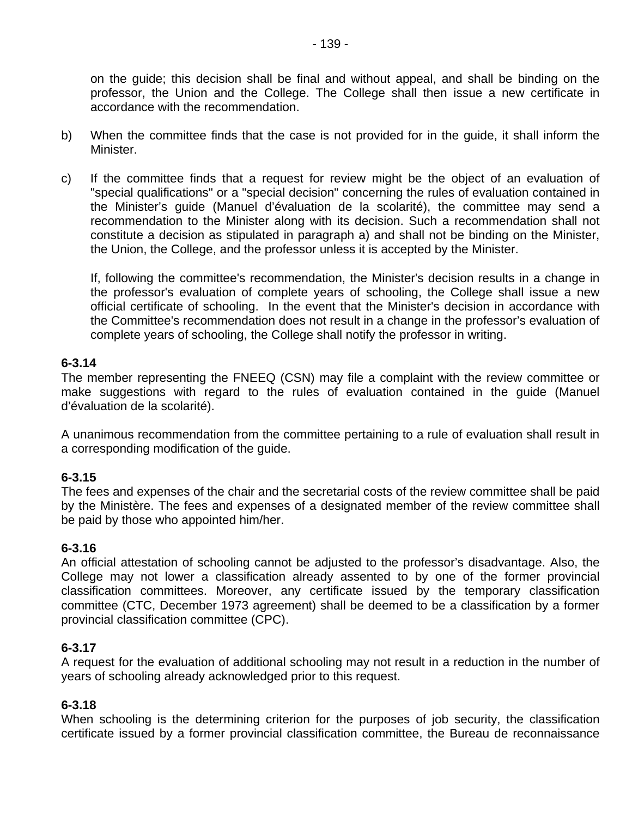on the guide; this decision shall be final and without appeal, and shall be binding on the professor, the Union and the College. The College shall then issue a new certificate in accordance with the recommendation.

- b) When the committee finds that the case is not provided for in the guide, it shall inform the Minister.
- c) If the committee finds that a request for review might be the object of an evaluation of "special qualifications" or a "special decision" concerning the rules of evaluation contained in the Minister's guide (Manuel d'évaluation de la scolarité), the committee may send a recommendation to the Minister along with its decision. Such a recommendation shall not constitute a decision as stipulated in paragraph a) and shall not be binding on the Minister, the Union, the College, and the professor unless it is accepted by the Minister.

If, following the committee's recommendation, the Minister's decision results in a change in the professor's evaluation of complete years of schooling, the College shall issue a new official certificate of schooling. In the event that the Minister's decision in accordance with the Committee's recommendation does not result in a change in the professor's evaluation of complete years of schooling, the College shall notify the professor in writing.

#### **6-3.14**

The member representing the FNEEQ (CSN) may file a complaint with the review committee or make suggestions with regard to the rules of evaluation contained in the guide (Manuel d'évaluation de la scolarité).

A unanimous recommendation from the committee pertaining to a rule of evaluation shall result in a corresponding modification of the guide.

#### **6-3.15**

The fees and expenses of the chair and the secretarial costs of the review committee shall be paid by the Ministère. The fees and expenses of a designated member of the review committee shall be paid by those who appointed him/her.

#### **6-3.16**

An official attestation of schooling cannot be adjusted to the professor's disadvantage. Also, the College may not lower a classification already assented to by one of the former provincial classification committees. Moreover, any certificate issued by the temporary classification committee (CTC, December 1973 agreement) shall be deemed to be a classification by a former provincial classification committee (CPC).

#### **6-3.17**

A request for the evaluation of additional schooling may not result in a reduction in the number of years of schooling already acknowledged prior to this request.

### **6-3.18**

When schooling is the determining criterion for the purposes of job security, the classification certificate issued by a former provincial classification committee, the Bureau de reconnaissance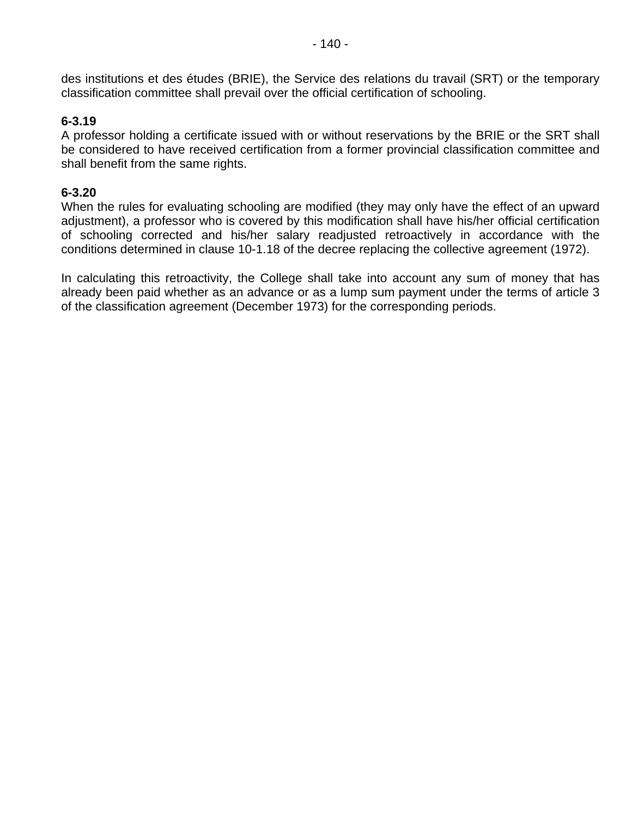des institutions et des études (BRIE), the Service des relations du travail (SRT) or the temporary classification committee shall prevail over the official certification of schooling.

#### **6-3.19**

A professor holding a certificate issued with or without reservations by the BRIE or the SRT shall be considered to have received certification from a former provincial classification committee and shall benefit from the same rights.

### **6-3.20**

When the rules for evaluating schooling are modified (they may only have the effect of an upward adjustment), a professor who is covered by this modification shall have his/her official certification of schooling corrected and his/her salary readjusted retroactively in accordance with the conditions determined in clause 10-1.18 of the decree replacing the collective agreement (1972).

In calculating this retroactivity, the College shall take into account any sum of money that has already been paid whether as an advance or as a lump sum payment under the terms of article 3 of the classification agreement (December 1973) for the corresponding periods.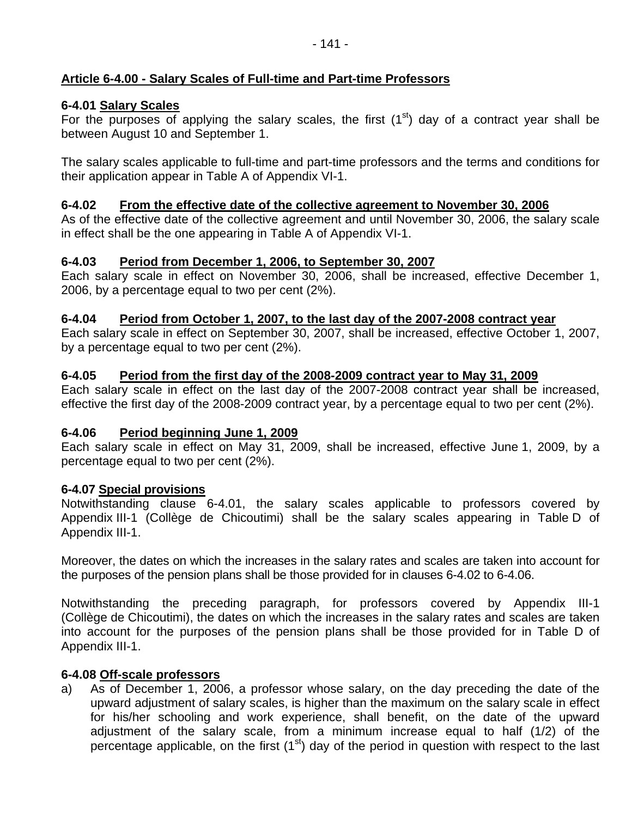# **Article 6-4.00 - Salary Scales of Full-time and Part-time Professors**

# **6-4.01 Salary Scales**

For the purposes of applying the salary scales, the first  $(1<sup>st</sup>)$  day of a contract year shall be between August 10 and September 1.

The salary scales applicable to full-time and part-time professors and the terms and conditions for their application appear in Table A of Appendix VI-1.

## **6-4.02 From the effective date of the collective agreement to November 30, 2006**

As of the effective date of the collective agreement and until November 30, 2006, the salary scale in effect shall be the one appearing in Table A of Appendix VI-1.

# **6-4.03 Period from December 1, 2006, to September 30, 2007**

Each salary scale in effect on November 30, 2006, shall be increased, effective December 1, 2006, by a percentage equal to two per cent (2%).

# **6-4.04 Period from October 1, 2007, to the last day of the 2007-2008 contract year**

Each salary scale in effect on September 30, 2007, shall be increased, effective October 1, 2007, by a percentage equal to two per cent (2%).

# **6-4.05 Period from the first day of the 2008-2009 contract year to May 31, 2009**

Each salary scale in effect on the last day of the 2007-2008 contract year shall be increased, effective the first day of the 2008-2009 contract year, by a percentage equal to two per cent (2%).

### **6-4.06 Period beginning June 1, 2009**

Each salary scale in effect on May 31, 2009, shall be increased, effective June 1, 2009, by a percentage equal to two per cent (2%).

### **6-4.07 Special provisions**

Notwithstanding clause 6-4.01, the salary scales applicable to professors covered by Appendix III-1 (Collège de Chicoutimi) shall be the salary scales appearing in Table D of Appendix III-1.

Moreover, the dates on which the increases in the salary rates and scales are taken into account for the purposes of the pension plans shall be those provided for in clauses 6-4.02 to 6-4.06.

Notwithstanding the preceding paragraph, for professors covered by Appendix III-1 (Collège de Chicoutimi), the dates on which the increases in the salary rates and scales are taken into account for the purposes of the pension plans shall be those provided for in Table D of Appendix III-1.

### **6-4.08 Off-scale professors**

a) As of December 1, 2006, a professor whose salary, on the day preceding the date of the upward adjustment of salary scales, is higher than the maximum on the salary scale in effect for his/her schooling and work experience, shall benefit, on the date of the upward adjustment of the salary scale, from a minimum increase equal to half (1/2) of the percentage applicable, on the first  $(1<sup>st</sup>)$  day of the period in question with respect to the last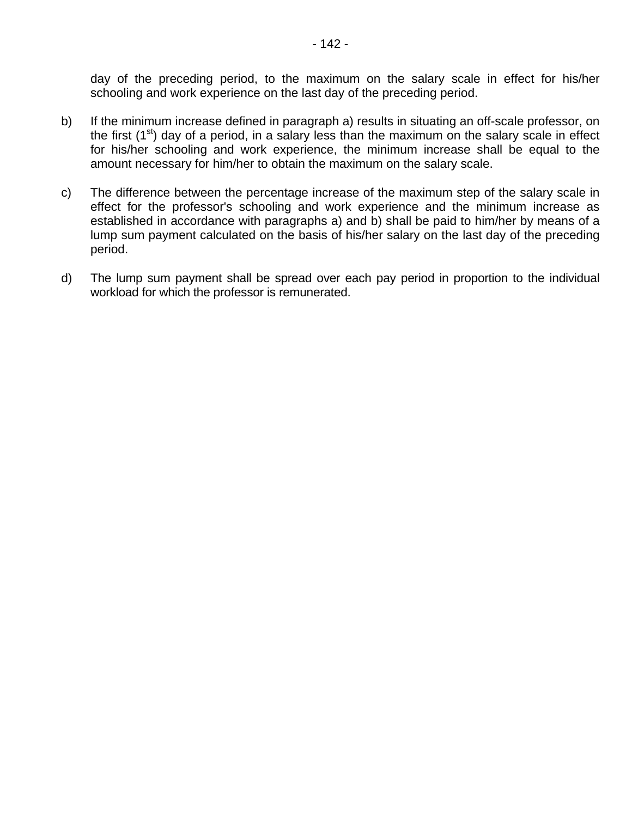day of the preceding period, to the maximum on the salary scale in effect for his/her schooling and work experience on the last day of the preceding period.

- b) If the minimum increase defined in paragraph a) results in situating an off-scale professor, on the first  $(1<sup>st</sup>)$  day of a period, in a salary less than the maximum on the salary scale in effect for his/her schooling and work experience, the minimum increase shall be equal to the amount necessary for him/her to obtain the maximum on the salary scale.
- c) The difference between the percentage increase of the maximum step of the salary scale in effect for the professor's schooling and work experience and the minimum increase as established in accordance with paragraphs a) and b) shall be paid to him/her by means of a lump sum payment calculated on the basis of his/her salary on the last day of the preceding period.
- d) The lump sum payment shall be spread over each pay period in proportion to the individual workload for which the professor is remunerated.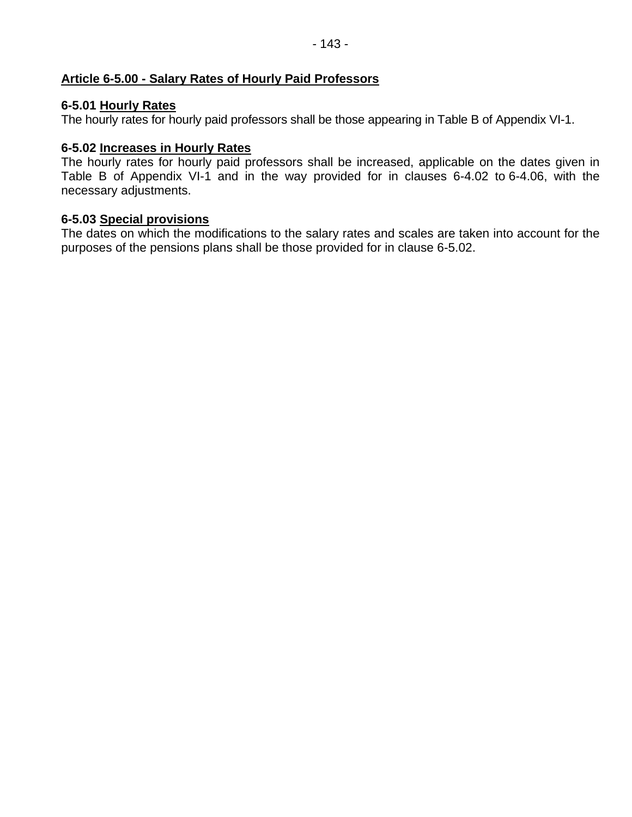## **Article 6-5.00 - Salary Rates of Hourly Paid Professors**

## **6-5.01 Hourly Rates**

The hourly rates for hourly paid professors shall be those appearing in Table B of Appendix VI-1.

## **6-5.02 Increases in Hourly Rates**

The hourly rates for hourly paid professors shall be increased, applicable on the dates given in Table B of Appendix VI-1 and in the way provided for in clauses 6-4.02 to 6-4.06, with the necessary adjustments.

### **6-5.03 Special provisions**

The dates on which the modifications to the salary rates and scales are taken into account for the purposes of the pensions plans shall be those provided for in clause 6-5.02.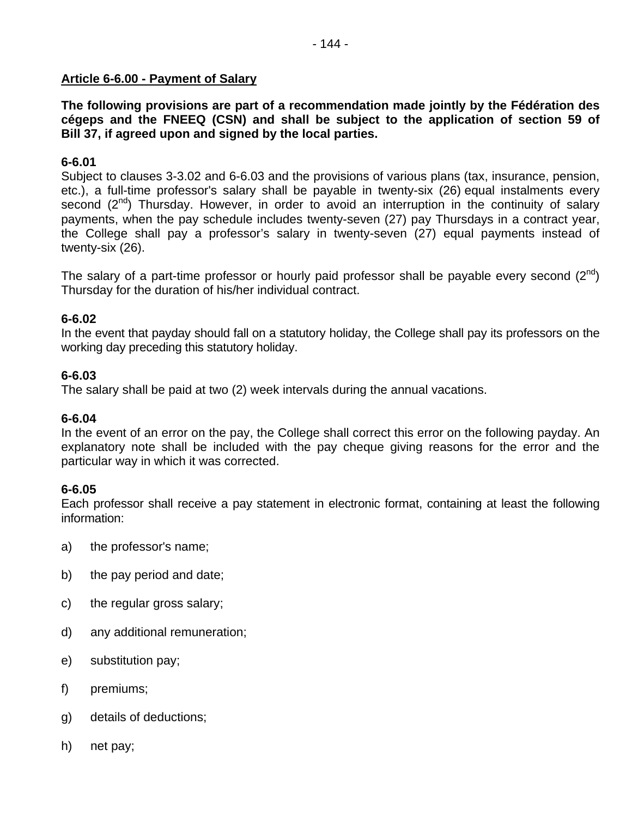#### **Article 6-6.00 - Payment of Salary**

**The following provisions are part of a recommendation made jointly by the Fédération des cégeps and the FNEEQ (CSN) and shall be subject to the application of section 59 of Bill 37, if agreed upon and signed by the local parties.** 

#### **6-6.01**

Subject to clauses 3-3.02 and 6-6.03 and the provisions of various plans (tax, insurance, pension, etc.), a full-time professor's salary shall be payable in twenty-six (26) equal instalments every second  $(2^{nd})$  Thursday. However, in order to avoid an interruption in the continuity of salary payments, when the pay schedule includes twenty-seven (27) pay Thursdays in a contract year, the College shall pay a professor's salary in twenty-seven (27) equal payments instead of twenty-six (26).

The salary of a part-time professor or hourly paid professor shall be payable every second  $(2^{nd})$ Thursday for the duration of his/her individual contract.

#### **6-6.02**

In the event that payday should fall on a statutory holiday, the College shall pay its professors on the working day preceding this statutory holiday.

#### **6-6.03**

The salary shall be paid at two (2) week intervals during the annual vacations.

#### **6-6.04**

In the event of an error on the pay, the College shall correct this error on the following payday. An explanatory note shall be included with the pay cheque giving reasons for the error and the particular way in which it was corrected.

#### **6-6.05**

Each professor shall receive a pay statement in electronic format, containing at least the following information:

- a) the professor's name;
- b) the pay period and date;
- c) the regular gross salary;
- d) any additional remuneration;
- e) substitution pay;
- f) premiums;
- g) details of deductions;
- h) net pay;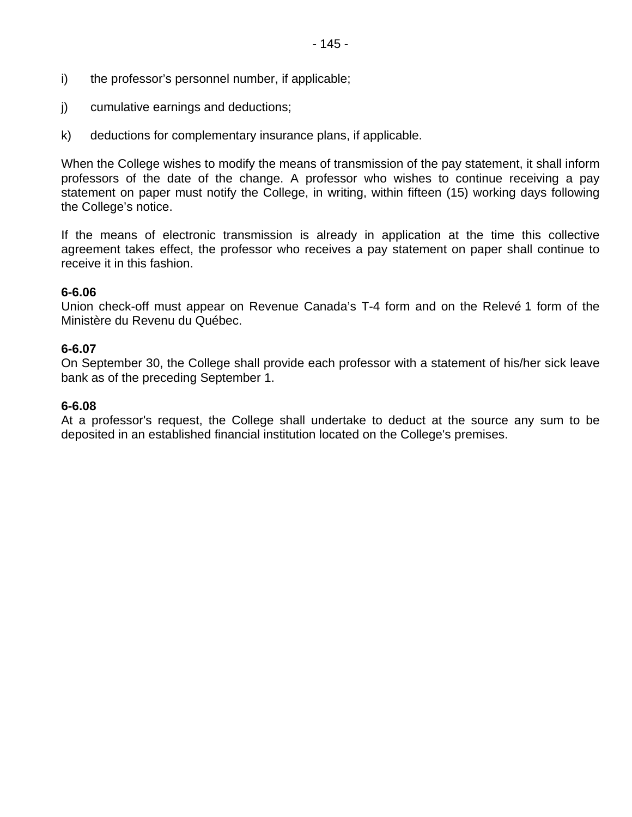- i) the professor's personnel number, if applicable;
- j) cumulative earnings and deductions;
- k) deductions for complementary insurance plans, if applicable.

When the College wishes to modify the means of transmission of the pay statement, it shall inform professors of the date of the change. A professor who wishes to continue receiving a pay statement on paper must notify the College, in writing, within fifteen (15) working days following the College's notice.

If the means of electronic transmission is already in application at the time this collective agreement takes effect, the professor who receives a pay statement on paper shall continue to receive it in this fashion.

#### **6-6.06**

Union check-off must appear on Revenue Canada's T-4 form and on the Relevé 1 form of the Ministère du Revenu du Québec.

#### **6-6.07**

On September 30, the College shall provide each professor with a statement of his/her sick leave bank as of the preceding September 1.

#### **6-6.08**

At a professor's request, the College shall undertake to deduct at the source any sum to be deposited in an established financial institution located on the College's premises.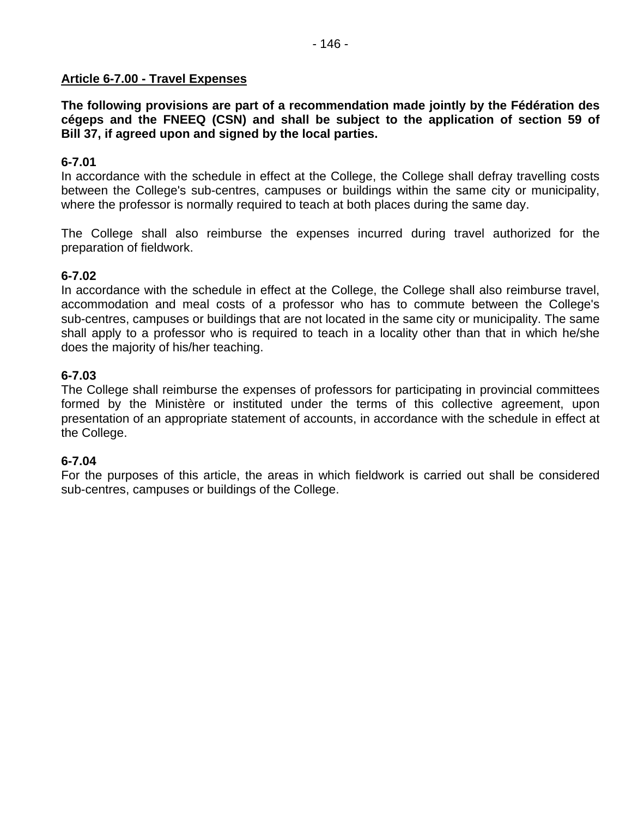#### **Article 6-7.00 - Travel Expenses**

**The following provisions are part of a recommendation made jointly by the Fédération des cégeps and the FNEEQ (CSN) and shall be subject to the application of section 59 of Bill 37, if agreed upon and signed by the local parties.** 

#### **6-7.01**

In accordance with the schedule in effect at the College, the College shall defray travelling costs between the College's sub-centres, campuses or buildings within the same city or municipality, where the professor is normally required to teach at both places during the same day.

The College shall also reimburse the expenses incurred during travel authorized for the preparation of fieldwork.

### **6-7.02**

In accordance with the schedule in effect at the College, the College shall also reimburse travel, accommodation and meal costs of a professor who has to commute between the College's sub-centres, campuses or buildings that are not located in the same city or municipality. The same shall apply to a professor who is required to teach in a locality other than that in which he/she does the majority of his/her teaching.

### **6-7.03**

The College shall reimburse the expenses of professors for participating in provincial committees formed by the Ministère or instituted under the terms of this collective agreement, upon presentation of an appropriate statement of accounts, in accordance with the schedule in effect at the College.

#### **6-7.04**

For the purposes of this article, the areas in which fieldwork is carried out shall be considered sub-centres, campuses or buildings of the College.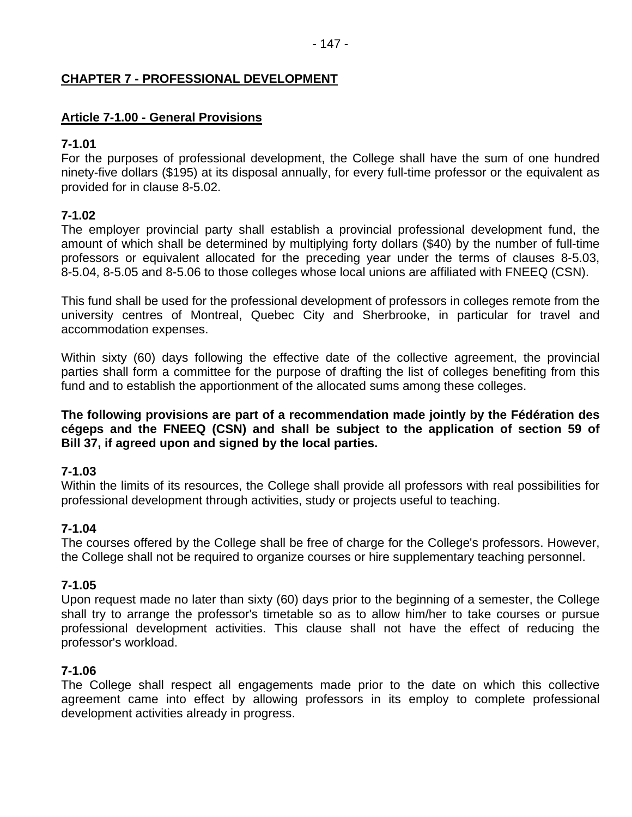### **CHAPTER 7 - PROFESSIONAL DEVELOPMENT**

#### **Article 7-1.00 - General Provisions**

#### **7-1.01**

For the purposes of professional development, the College shall have the sum of one hundred ninety-five dollars (\$195) at its disposal annually, for every full-time professor or the equivalent as provided for in clause 8-5.02.

### **7-1.02**

The employer provincial party shall establish a provincial professional development fund, the amount of which shall be determined by multiplying forty dollars (\$40) by the number of full-time professors or equivalent allocated for the preceding year under the terms of clauses 8-5.03, 8-5.04, 8-5.05 and 8-5.06 to those colleges whose local unions are affiliated with FNEEQ (CSN).

This fund shall be used for the professional development of professors in colleges remote from the university centres of Montreal, Quebec City and Sherbrooke, in particular for travel and accommodation expenses.

Within sixty (60) days following the effective date of the collective agreement, the provincial parties shall form a committee for the purpose of drafting the list of colleges benefiting from this fund and to establish the apportionment of the allocated sums among these colleges.

**The following provisions are part of a recommendation made jointly by the Fédération des cégeps and the FNEEQ (CSN) and shall be subject to the application of section 59 of Bill 37, if agreed upon and signed by the local parties.** 

### **7-1.03**

Within the limits of its resources, the College shall provide all professors with real possibilities for professional development through activities, study or projects useful to teaching.

#### **7-1.04**

The courses offered by the College shall be free of charge for the College's professors. However, the College shall not be required to organize courses or hire supplementary teaching personnel.

#### **7-1.05**

Upon request made no later than sixty (60) days prior to the beginning of a semester, the College shall try to arrange the professor's timetable so as to allow him/her to take courses or pursue professional development activities. This clause shall not have the effect of reducing the professor's workload.

#### **7-1.06**

The College shall respect all engagements made prior to the date on which this collective agreement came into effect by allowing professors in its employ to complete professional development activities already in progress.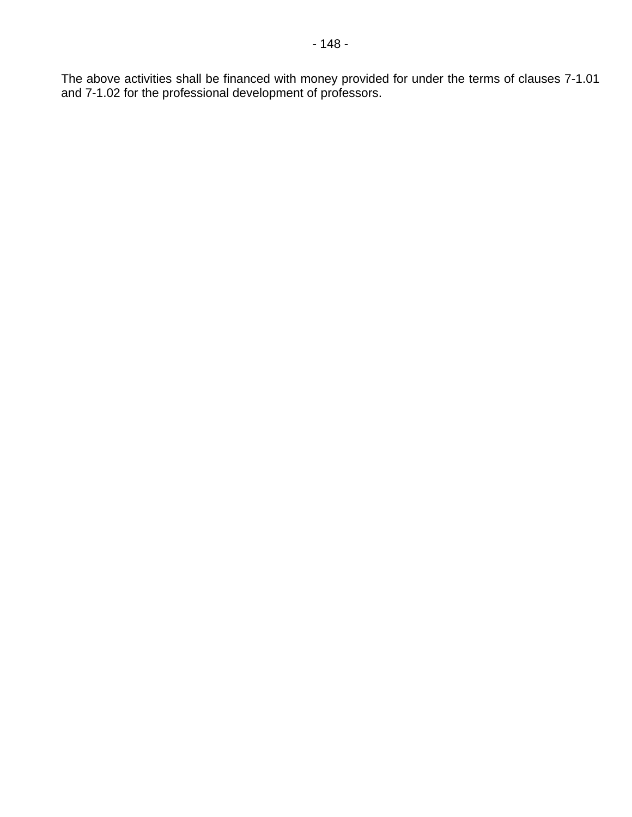The above activities shall be financed with money provided for under the terms of clauses 7-1.01 and 7-1.02 for the professional development of professors.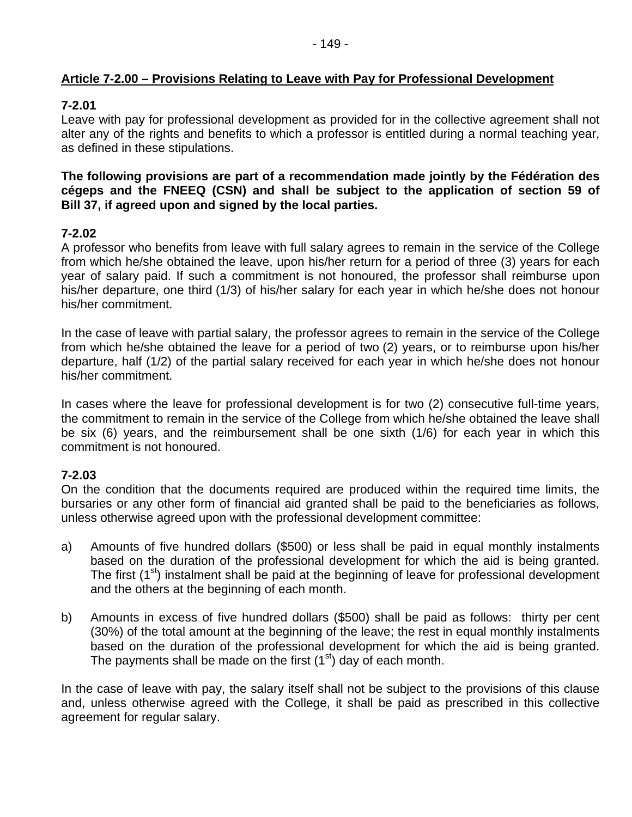### **Article 7-2.00 – Provisions Relating to Leave with Pay for Professional Development**

### **7-2.01**

Leave with pay for professional development as provided for in the collective agreement shall not alter any of the rights and benefits to which a professor is entitled during a normal teaching year, as defined in these stipulations.

**The following provisions are part of a recommendation made jointly by the Fédération des cégeps and the FNEEQ (CSN) and shall be subject to the application of section 59 of Bill 37, if agreed upon and signed by the local parties.** 

### **7-2.02**

A professor who benefits from leave with full salary agrees to remain in the service of the College from which he/she obtained the leave, upon his/her return for a period of three (3) years for each year of salary paid. If such a commitment is not honoured, the professor shall reimburse upon his/her departure, one third (1/3) of his/her salary for each year in which he/she does not honour his/her commitment.

In the case of leave with partial salary, the professor agrees to remain in the service of the College from which he/she obtained the leave for a period of two (2) years, or to reimburse upon his/her departure, half (1/2) of the partial salary received for each year in which he/she does not honour his/her commitment.

In cases where the leave for professional development is for two (2) consecutive full-time years, the commitment to remain in the service of the College from which he/she obtained the leave shall be six (6) years, and the reimbursement shall be one sixth (1/6) for each year in which this commitment is not honoured.

### **7-2.03**

On the condition that the documents required are produced within the required time limits, the bursaries or any other form of financial aid granted shall be paid to the beneficiaries as follows, unless otherwise agreed upon with the professional development committee:

- a) Amounts of five hundred dollars (\$500) or less shall be paid in equal monthly instalments based on the duration of the professional development for which the aid is being granted. The first (1<sup>st</sup>) instalment shall be paid at the beginning of leave for professional development and the others at the beginning of each month.
- b) Amounts in excess of five hundred dollars (\$500) shall be paid as follows: thirty per cent (30%) of the total amount at the beginning of the leave; the rest in equal monthly instalments based on the duration of the professional development for which the aid is being granted. The payments shall be made on the first  $(1<sup>st</sup>)$  day of each month.

In the case of leave with pay, the salary itself shall not be subject to the provisions of this clause and, unless otherwise agreed with the College, it shall be paid as prescribed in this collective agreement for regular salary.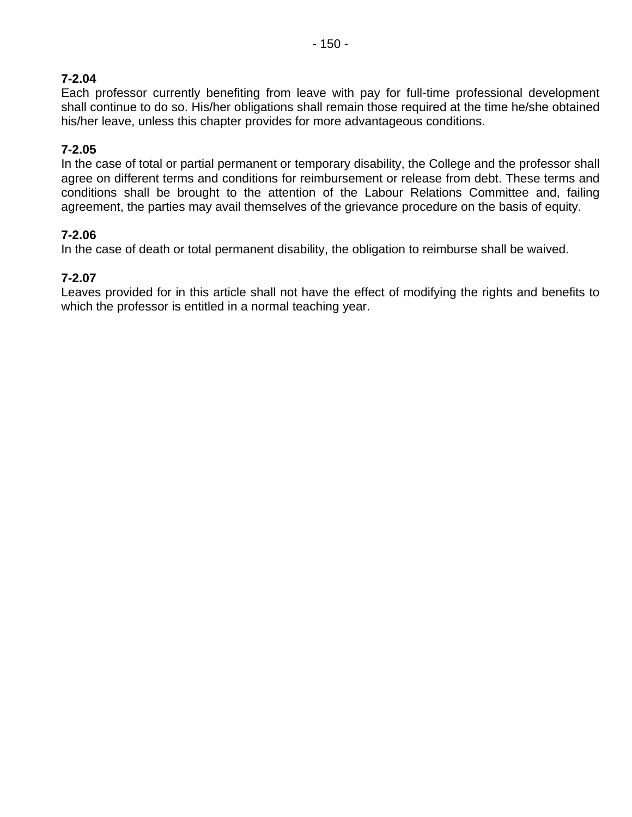# **7-2.04**

Each professor currently benefiting from leave with pay for full-time professional development shall continue to do so. His/her obligations shall remain those required at the time he/she obtained his/her leave, unless this chapter provides for more advantageous conditions.

### **7-2.05**

In the case of total or partial permanent or temporary disability, the College and the professor shall agree on different terms and conditions for reimbursement or release from debt. These terms and conditions shall be brought to the attention of the Labour Relations Committee and, failing agreement, the parties may avail themselves of the grievance procedure on the basis of equity.

### **7-2.06**

In the case of death or total permanent disability, the obligation to reimburse shall be waived.

### **7-2.07**

Leaves provided for in this article shall not have the effect of modifying the rights and benefits to which the professor is entitled in a normal teaching year.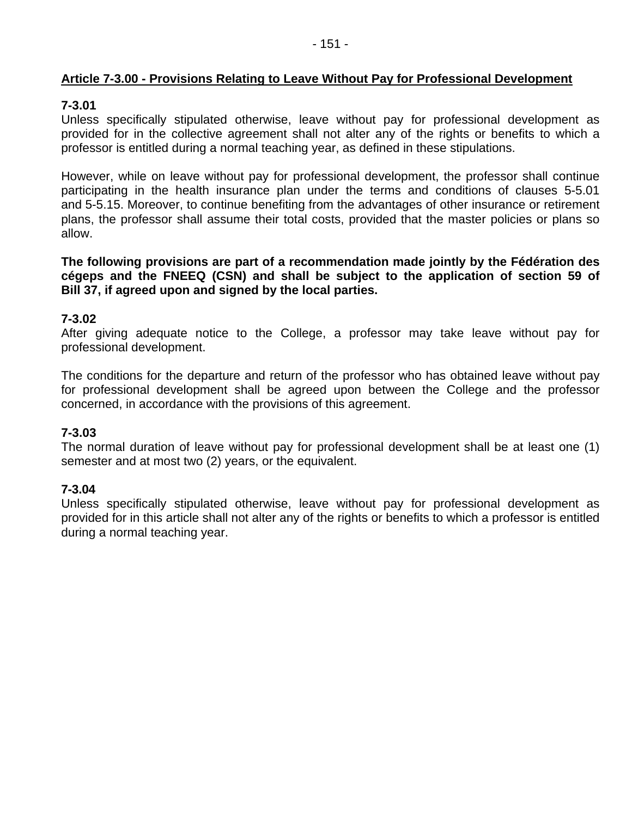### **Article 7-3.00 - Provisions Relating to Leave Without Pay for Professional Development**

### **7-3.01**

Unless specifically stipulated otherwise, leave without pay for professional development as provided for in the collective agreement shall not alter any of the rights or benefits to which a professor is entitled during a normal teaching year, as defined in these stipulations.

However, while on leave without pay for professional development, the professor shall continue participating in the health insurance plan under the terms and conditions of clauses 5-5.01 and 5-5.15. Moreover, to continue benefiting from the advantages of other insurance or retirement plans, the professor shall assume their total costs, provided that the master policies or plans so allow.

**The following provisions are part of a recommendation made jointly by the Fédération des cégeps and the FNEEQ (CSN) and shall be subject to the application of section 59 of Bill 37, if agreed upon and signed by the local parties.** 

#### **7-3.02**

After giving adequate notice to the College, a professor may take leave without pay for professional development.

The conditions for the departure and return of the professor who has obtained leave without pay for professional development shall be agreed upon between the College and the professor concerned, in accordance with the provisions of this agreement.

#### **7-3.03**

The normal duration of leave without pay for professional development shall be at least one (1) semester and at most two (2) years, or the equivalent.

#### **7-3.04**

Unless specifically stipulated otherwise, leave without pay for professional development as provided for in this article shall not alter any of the rights or benefits to which a professor is entitled during a normal teaching year.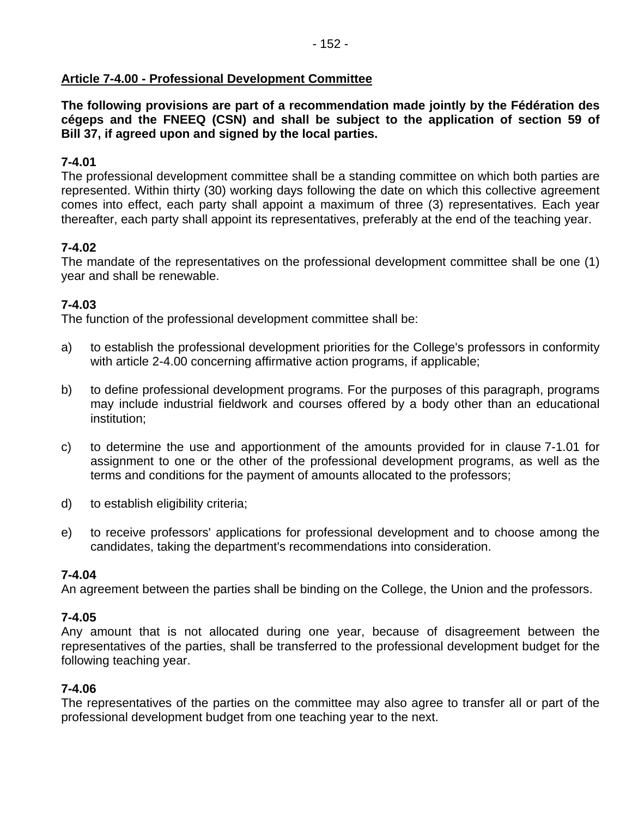### **Article 7-4.00 - Professional Development Committee**

**The following provisions are part of a recommendation made jointly by the Fédération des cégeps and the FNEEQ (CSN) and shall be subject to the application of section 59 of Bill 37, if agreed upon and signed by the local parties.** 

### **7-4.01**

The professional development committee shall be a standing committee on which both parties are represented. Within thirty (30) working days following the date on which this collective agreement comes into effect, each party shall appoint a maximum of three (3) representatives. Each year thereafter, each party shall appoint its representatives, preferably at the end of the teaching year.

### **7-4.02**

The mandate of the representatives on the professional development committee shall be one (1) year and shall be renewable.

### **7-4.03**

The function of the professional development committee shall be:

- a) to establish the professional development priorities for the College's professors in conformity with article 2-4.00 concerning affirmative action programs, if applicable;
- b) to define professional development programs. For the purposes of this paragraph, programs may include industrial fieldwork and courses offered by a body other than an educational institution;
- c) to determine the use and apportionment of the amounts provided for in clause 7-1.01 for assignment to one or the other of the professional development programs, as well as the terms and conditions for the payment of amounts allocated to the professors;
- d) to establish eligibility criteria;
- e) to receive professors' applications for professional development and to choose among the candidates, taking the department's recommendations into consideration.

#### **7-4.04**

An agreement between the parties shall be binding on the College, the Union and the professors.

#### **7-4.05**

Any amount that is not allocated during one year, because of disagreement between the representatives of the parties, shall be transferred to the professional development budget for the following teaching year.

#### **7-4.06**

The representatives of the parties on the committee may also agree to transfer all or part of the professional development budget from one teaching year to the next.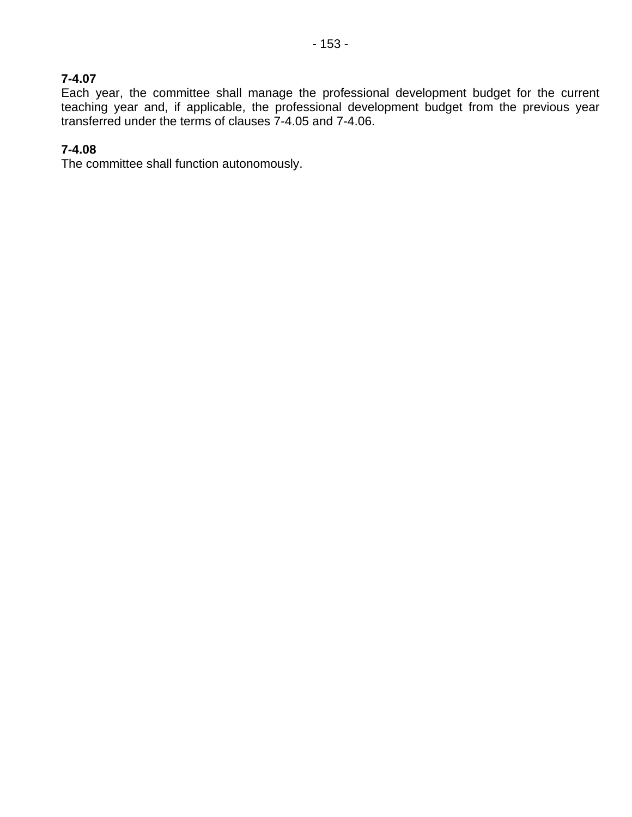#### **7-4.07**

Each year, the committee shall manage the professional development budget for the current teaching year and, if applicable, the professional development budget from the previous year transferred under the terms of clauses 7-4.05 and 7-4.06.

### **7-4.08**

The committee shall function autonomously.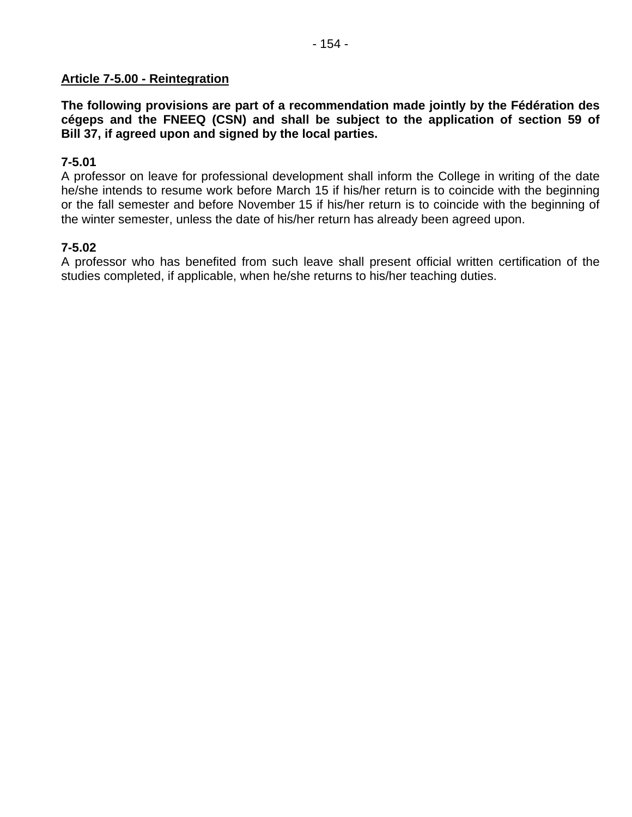#### **Article 7-5.00 - Reintegration**

**The following provisions are part of a recommendation made jointly by the Fédération des cégeps and the FNEEQ (CSN) and shall be subject to the application of section 59 of Bill 37, if agreed upon and signed by the local parties.** 

#### **7-5.01**

A professor on leave for professional development shall inform the College in writing of the date he/she intends to resume work before March 15 if his/her return is to coincide with the beginning or the fall semester and before November 15 if his/her return is to coincide with the beginning of the winter semester, unless the date of his/her return has already been agreed upon.

#### **7-5.02**

A professor who has benefited from such leave shall present official written certification of the studies completed, if applicable, when he/she returns to his/her teaching duties.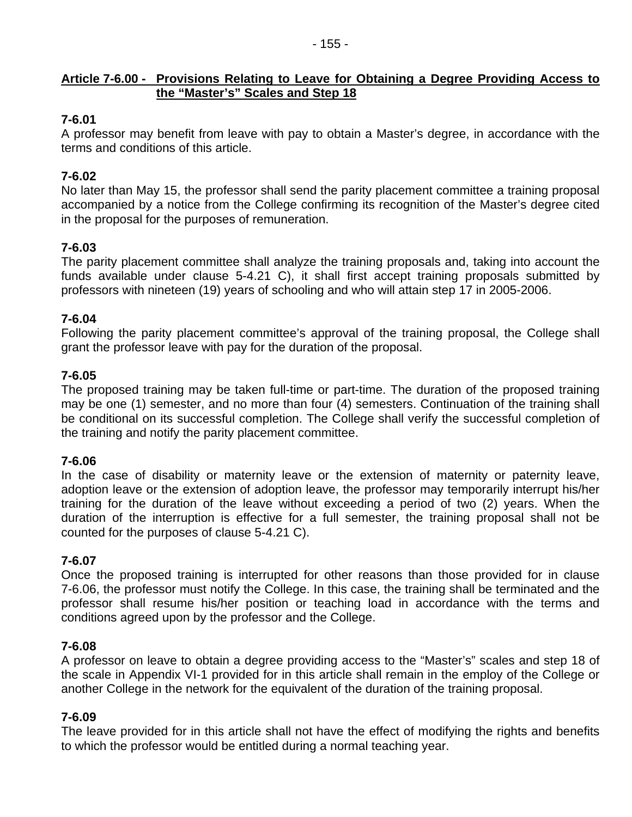### **Article 7-6.00 - Provisions Relating to Leave for Obtaining a Degree Providing Access to the "Master's" Scales and Step 18**

- 155 -

# **7-6.01**

A professor may benefit from leave with pay to obtain a Master's degree, in accordance with the terms and conditions of this article.

# **7-6.02**

No later than May 15, the professor shall send the parity placement committee a training proposal accompanied by a notice from the College confirming its recognition of the Master's degree cited in the proposal for the purposes of remuneration.

# **7-6.03**

The parity placement committee shall analyze the training proposals and, taking into account the funds available under clause 5-4.21 C), it shall first accept training proposals submitted by professors with nineteen (19) years of schooling and who will attain step 17 in 2005-2006.

### **7-6.04**

Following the parity placement committee's approval of the training proposal, the College shall grant the professor leave with pay for the duration of the proposal.

# **7-6.05**

The proposed training may be taken full-time or part-time. The duration of the proposed training may be one (1) semester, and no more than four (4) semesters. Continuation of the training shall be conditional on its successful completion. The College shall verify the successful completion of the training and notify the parity placement committee.

### **7-6.06**

In the case of disability or maternity leave or the extension of maternity or paternity leave, adoption leave or the extension of adoption leave, the professor may temporarily interrupt his/her training for the duration of the leave without exceeding a period of two (2) years. When the duration of the interruption is effective for a full semester, the training proposal shall not be counted for the purposes of clause 5-4.21 C).

# **7-6.07**

Once the proposed training is interrupted for other reasons than those provided for in clause 7-6.06, the professor must notify the College. In this case, the training shall be terminated and the professor shall resume his/her position or teaching load in accordance with the terms and conditions agreed upon by the professor and the College.

### **7-6.08**

A professor on leave to obtain a degree providing access to the "Master's" scales and step 18 of the scale in Appendix VI-1 provided for in this article shall remain in the employ of the College or another College in the network for the equivalent of the duration of the training proposal.

### **7-6.09**

The leave provided for in this article shall not have the effect of modifying the rights and benefits to which the professor would be entitled during a normal teaching year.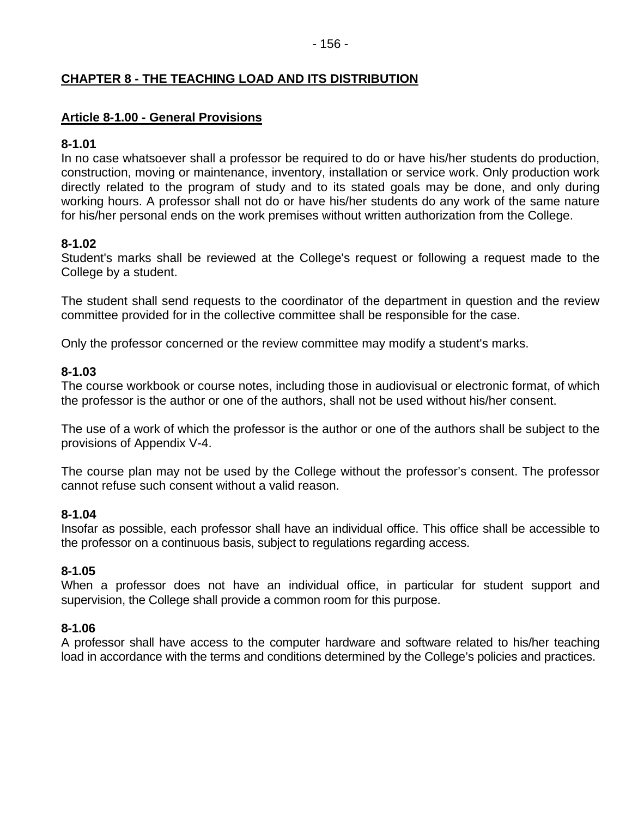### **CHAPTER 8 - THE TEACHING LOAD AND ITS DISTRIBUTION**

### **Article 8-1.00 - General Provisions**

#### **8-1.01**

In no case whatsoever shall a professor be required to do or have his/her students do production, construction, moving or maintenance, inventory, installation or service work. Only production work directly related to the program of study and to its stated goals may be done, and only during working hours. A professor shall not do or have his/her students do any work of the same nature for his/her personal ends on the work premises without written authorization from the College.

### **8-1.02**

Student's marks shall be reviewed at the College's request or following a request made to the College by a student.

The student shall send requests to the coordinator of the department in question and the review committee provided for in the collective committee shall be responsible for the case.

Only the professor concerned or the review committee may modify a student's marks.

### **8-1.03**

The course workbook or course notes, including those in audiovisual or electronic format, of which the professor is the author or one of the authors, shall not be used without his/her consent.

The use of a work of which the professor is the author or one of the authors shall be subject to the provisions of Appendix V-4.

The course plan may not be used by the College without the professor's consent. The professor cannot refuse such consent without a valid reason.

#### **8-1.04**

Insofar as possible, each professor shall have an individual office. This office shall be accessible to the professor on a continuous basis, subject to regulations regarding access.

### **8-1.05**

When a professor does not have an individual office, in particular for student support and supervision, the College shall provide a common room for this purpose.

#### **8-1.06**

A professor shall have access to the computer hardware and software related to his/her teaching load in accordance with the terms and conditions determined by the College's policies and practices.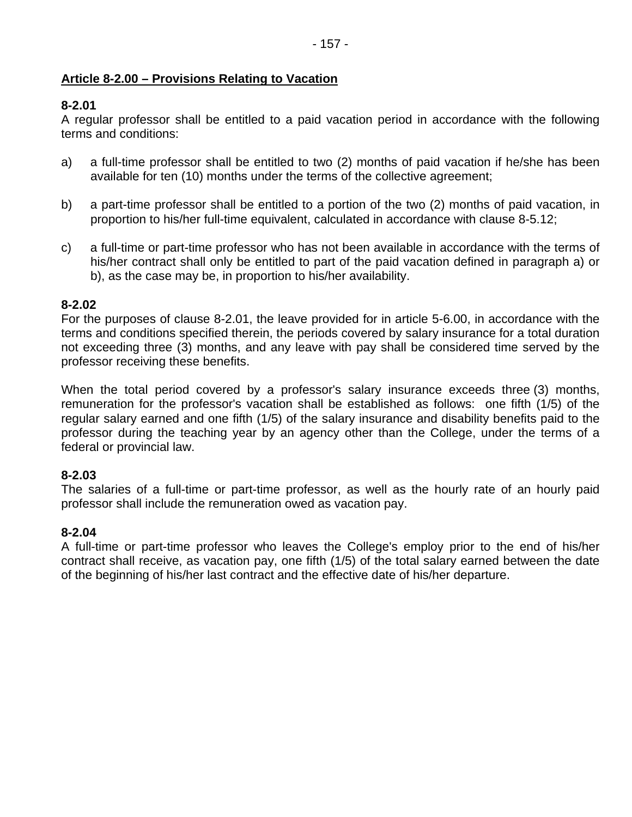## **Article 8-2.00 – Provisions Relating to Vacation**

# **8-2.01**

A regular professor shall be entitled to a paid vacation period in accordance with the following terms and conditions:

- a) a full-time professor shall be entitled to two (2) months of paid vacation if he/she has been available for ten (10) months under the terms of the collective agreement;
- b) a part-time professor shall be entitled to a portion of the two (2) months of paid vacation, in proportion to his/her full-time equivalent, calculated in accordance with clause 8-5.12;
- c) a full-time or part-time professor who has not been available in accordance with the terms of his/her contract shall only be entitled to part of the paid vacation defined in paragraph a) or b), as the case may be, in proportion to his/her availability.

# **8-2.02**

For the purposes of clause 8-2.01, the leave provided for in article 5-6.00, in accordance with the terms and conditions specified therein, the periods covered by salary insurance for a total duration not exceeding three (3) months, and any leave with pay shall be considered time served by the professor receiving these benefits.

When the total period covered by a professor's salary insurance exceeds three (3) months, remuneration for the professor's vacation shall be established as follows: one fifth (1/5) of the regular salary earned and one fifth (1/5) of the salary insurance and disability benefits paid to the professor during the teaching year by an agency other than the College, under the terms of a federal or provincial law.

### **8-2.03**

The salaries of a full-time or part-time professor, as well as the hourly rate of an hourly paid professor shall include the remuneration owed as vacation pay.

### **8-2.04**

A full-time or part-time professor who leaves the College's employ prior to the end of his/her contract shall receive, as vacation pay, one fifth (1/5) of the total salary earned between the date of the beginning of his/her last contract and the effective date of his/her departure.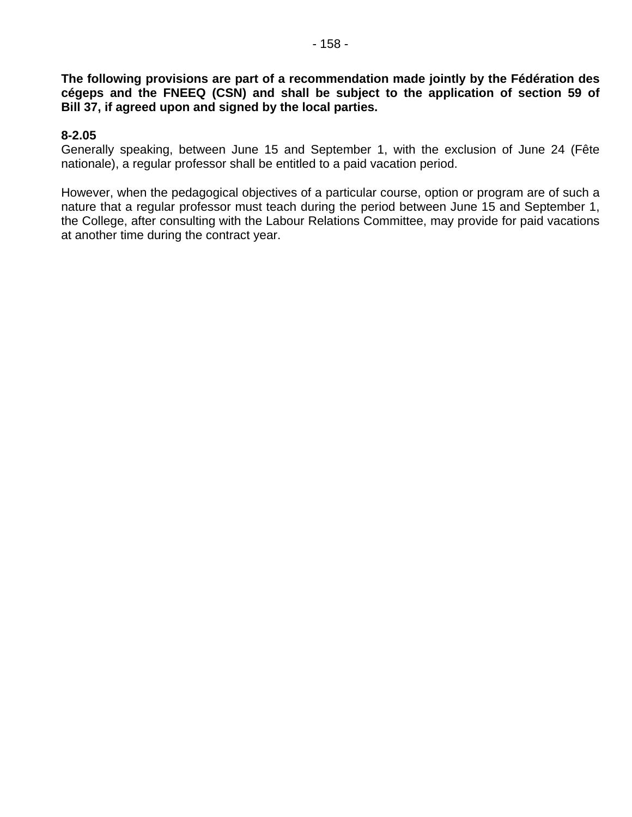**The following provisions are part of a recommendation made jointly by the Fédération des cégeps and the FNEEQ (CSN) and shall be subject to the application of section 59 of Bill 37, if agreed upon and signed by the local parties.** 

#### **8-2.05**

Generally speaking, between June 15 and September 1, with the exclusion of June 24 (Fête nationale), a regular professor shall be entitled to a paid vacation period.

However, when the pedagogical objectives of a particular course, option or program are of such a nature that a regular professor must teach during the period between June 15 and September 1, the College, after consulting with the Labour Relations Committee, may provide for paid vacations at another time during the contract year.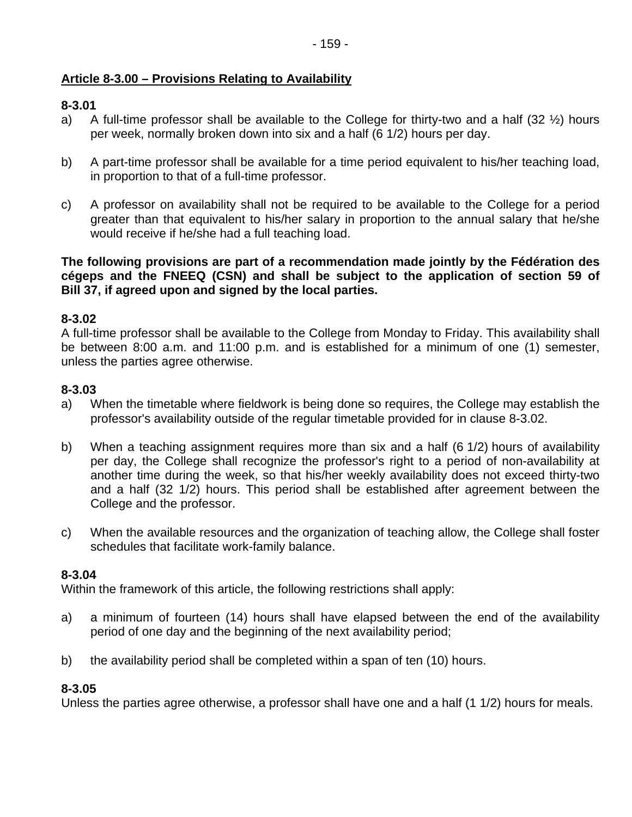# **Article 8-3.00 – Provisions Relating to Availability**

### **8-3.01**

- a) A full-time professor shall be available to the College for thirty-two and a half  $(32 \frac{1}{2})$  hours per week, normally broken down into six and a half (6 1/2) hours per day.
- b) A part-time professor shall be available for a time period equivalent to his/her teaching load, in proportion to that of a full-time professor.
- c) A professor on availability shall not be required to be available to the College for a period greater than that equivalent to his/her salary in proportion to the annual salary that he/she would receive if he/she had a full teaching load.

**The following provisions are part of a recommendation made jointly by the Fédération des cégeps and the FNEEQ (CSN) and shall be subject to the application of section 59 of Bill 37, if agreed upon and signed by the local parties.** 

### **8-3.02**

A full-time professor shall be available to the College from Monday to Friday. This availability shall be between 8:00 a.m. and 11:00 p.m. and is established for a minimum of one (1) semester, unless the parties agree otherwise.

### **8-3.03**

- a) When the timetable where fieldwork is being done so requires, the College may establish the professor's availability outside of the regular timetable provided for in clause 8-3.02.
- b) When a teaching assignment requires more than six and a half (6 1/2) hours of availability per day, the College shall recognize the professor's right to a period of non-availability at another time during the week, so that his/her weekly availability does not exceed thirty-two and a half (32 1/2) hours. This period shall be established after agreement between the College and the professor.
- c) When the available resources and the organization of teaching allow, the College shall foster schedules that facilitate work-family balance.

### **8-3.04**

Within the framework of this article, the following restrictions shall apply:

- a) a minimum of fourteen (14) hours shall have elapsed between the end of the availability period of one day and the beginning of the next availability period;
- b) the availability period shall be completed within a span of ten (10) hours.

### **8-3.05**

Unless the parties agree otherwise, a professor shall have one and a half (1 1/2) hours for meals.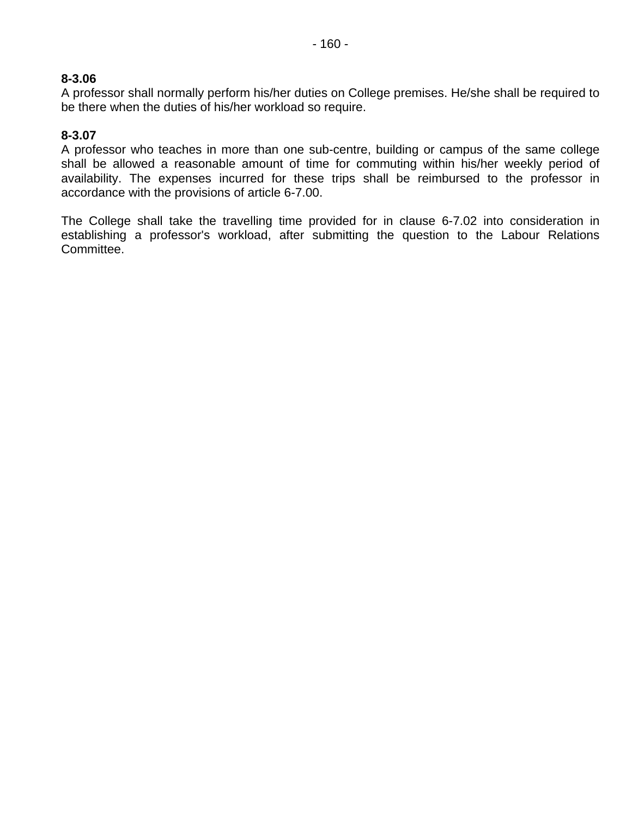A professor shall normally perform his/her duties on College premises. He/she shall be required to be there when the duties of his/her workload so require.

# **8-3.07**

A professor who teaches in more than one sub-centre, building or campus of the same college shall be allowed a reasonable amount of time for commuting within his/her weekly period of availability. The expenses incurred for these trips shall be reimbursed to the professor in accordance with the provisions of article 6-7.00.

The College shall take the travelling time provided for in clause 6-7.02 into consideration in establishing a professor's workload, after submitting the question to the Labour Relations Committee.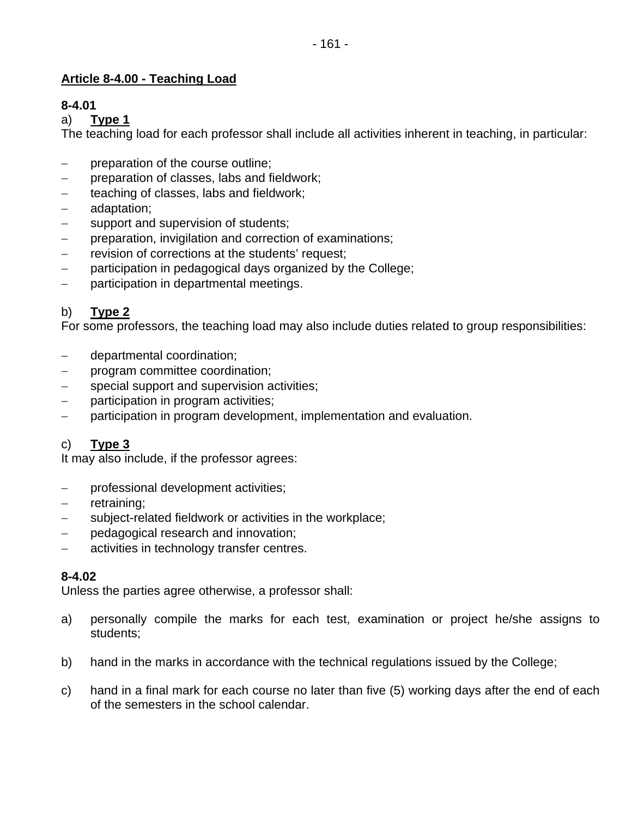# **Article 8-4.00 - Teaching Load**

# **8-4.01**

### a) **Type 1**

The teaching load for each professor shall include all activities inherent in teaching, in particular:

- − preparation of the course outline;
- − preparation of classes, labs and fieldwork;
- teaching of classes, labs and fieldwork;
- − adaptation;
- − support and supervision of students;
- preparation, invigilation and correction of examinations;
- − revision of corrections at the students' request;
- − participation in pedagogical days organized by the College;
- − participation in departmental meetings.

# b) **Type 2**

For some professors, the teaching load may also include duties related to group responsibilities:

- − departmental coordination;
- − program committee coordination;
- − special support and supervision activities;
- participation in program activities;
- − participation in program development, implementation and evaluation.

# c) **Type 3**

It may also include, if the professor agrees:

- − professional development activities;
- − retraining;
- − subject-related fieldwork or activities in the workplace;
- pedagogical research and innovation;
- − activities in technology transfer centres.

### **8-4.02**

Unless the parties agree otherwise, a professor shall:

- a) personally compile the marks for each test, examination or project he/she assigns to students;
- b) hand in the marks in accordance with the technical regulations issued by the College;
- c) hand in a final mark for each course no later than five (5) working days after the end of each of the semesters in the school calendar.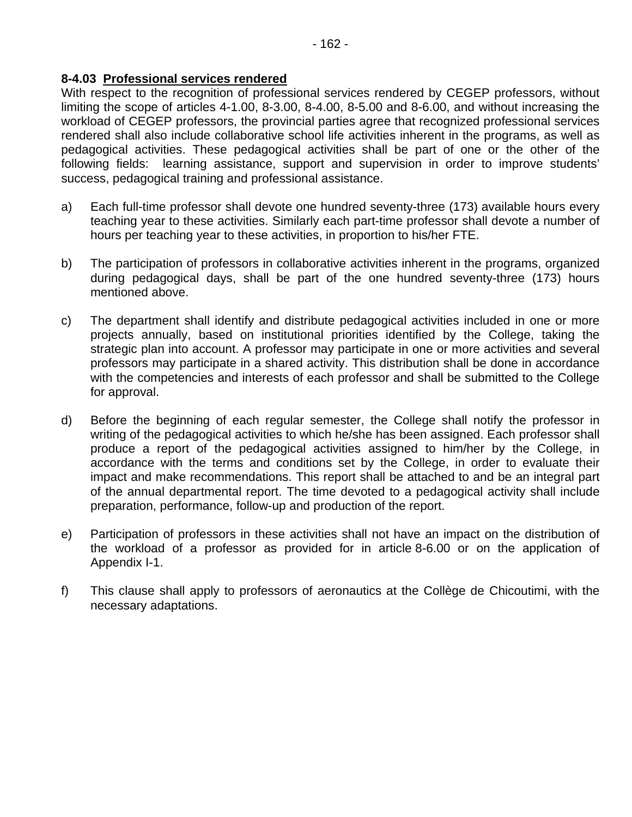#### **8-4.03 Professional services rendered**

With respect to the recognition of professional services rendered by CEGEP professors, without limiting the scope of articles 4-1.00, 8-3.00, 8-4.00, 8-5.00 and 8-6.00, and without increasing the workload of CEGEP professors, the provincial parties agree that recognized professional services rendered shall also include collaborative school life activities inherent in the programs, as well as pedagogical activities. These pedagogical activities shall be part of one or the other of the following fields: learning assistance, support and supervision in order to improve students' success, pedagogical training and professional assistance.

- a) Each full-time professor shall devote one hundred seventy-three (173) available hours every teaching year to these activities. Similarly each part-time professor shall devote a number of hours per teaching year to these activities, in proportion to his/her FTE.
- b) The participation of professors in collaborative activities inherent in the programs, organized during pedagogical days, shall be part of the one hundred seventy-three (173) hours mentioned above.
- c) The department shall identify and distribute pedagogical activities included in one or more projects annually, based on institutional priorities identified by the College, taking the strategic plan into account. A professor may participate in one or more activities and several professors may participate in a shared activity. This distribution shall be done in accordance with the competencies and interests of each professor and shall be submitted to the College for approval.
- d) Before the beginning of each regular semester, the College shall notify the professor in writing of the pedagogical activities to which he/she has been assigned. Each professor shall produce a report of the pedagogical activities assigned to him/her by the College, in accordance with the terms and conditions set by the College, in order to evaluate their impact and make recommendations. This report shall be attached to and be an integral part of the annual departmental report. The time devoted to a pedagogical activity shall include preparation, performance, follow-up and production of the report.
- e) Participation of professors in these activities shall not have an impact on the distribution of the workload of a professor as provided for in article 8-6.00 or on the application of Appendix I-1.
- f) This clause shall apply to professors of aeronautics at the Collège de Chicoutimi, with the necessary adaptations.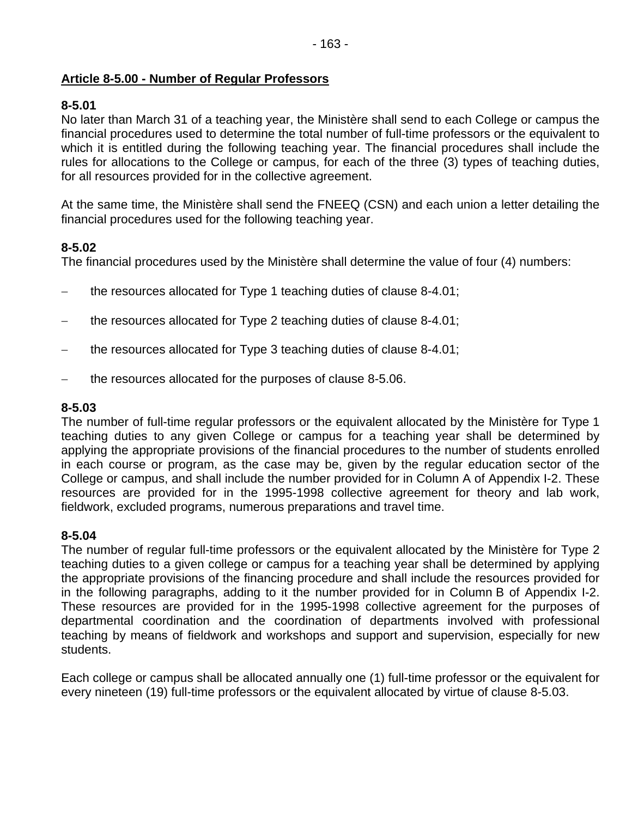### **Article 8-5.00 - Number of Regular Professors**

### **8-5.01**

No later than March 31 of a teaching year, the Ministère shall send to each College or campus the financial procedures used to determine the total number of full-time professors or the equivalent to which it is entitled during the following teaching year. The financial procedures shall include the rules for allocations to the College or campus, for each of the three (3) types of teaching duties, for all resources provided for in the collective agreement.

At the same time, the Ministère shall send the FNEEQ (CSN) and each union a letter detailing the financial procedures used for the following teaching year.

### **8-5.02**

The financial procedures used by the Ministère shall determine the value of four (4) numbers:

- − the resources allocated for Type 1 teaching duties of clause 8-4.01;
- − the resources allocated for Type 2 teaching duties of clause 8-4.01;
- − the resources allocated for Type 3 teaching duties of clause 8-4.01;
- − the resources allocated for the purposes of clause 8-5.06.

### **8-5.03**

The number of full-time regular professors or the equivalent allocated by the Ministère for Type 1 teaching duties to any given College or campus for a teaching year shall be determined by applying the appropriate provisions of the financial procedures to the number of students enrolled in each course or program, as the case may be, given by the regular education sector of the College or campus, and shall include the number provided for in Column A of Appendix I-2. These resources are provided for in the 1995-1998 collective agreement for theory and lab work, fieldwork, excluded programs, numerous preparations and travel time.

#### **8-5.04**

The number of regular full-time professors or the equivalent allocated by the Ministère for Type 2 teaching duties to a given college or campus for a teaching year shall be determined by applying the appropriate provisions of the financing procedure and shall include the resources provided for in the following paragraphs, adding to it the number provided for in Column B of Appendix I-2. These resources are provided for in the 1995-1998 collective agreement for the purposes of departmental coordination and the coordination of departments involved with professional teaching by means of fieldwork and workshops and support and supervision, especially for new students.

Each college or campus shall be allocated annually one (1) full-time professor or the equivalent for every nineteen (19) full-time professors or the equivalent allocated by virtue of clause 8-5.03.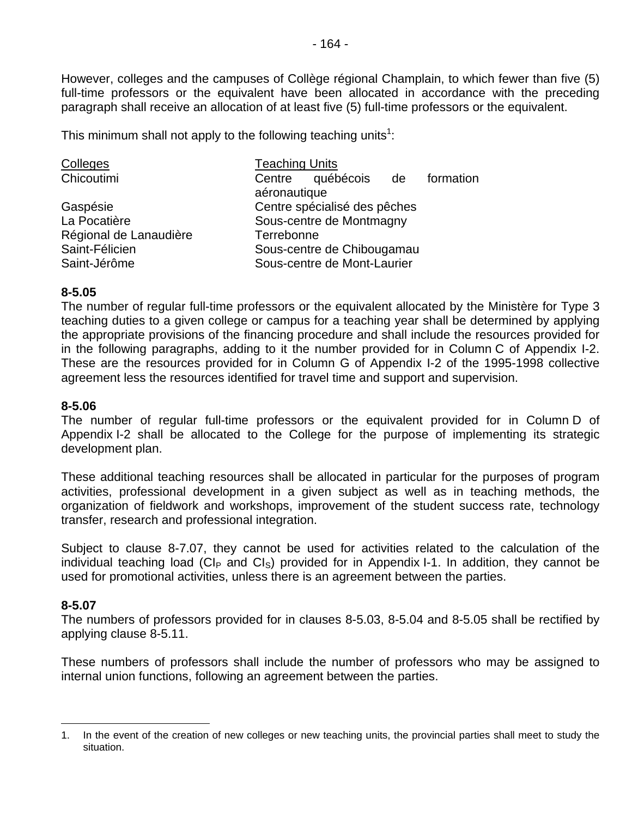However, colleges and the campuses of Collège régional Champlain, to which fewer than five (5) full-time professors or the equivalent have been allocated in accordance with the preceding paragraph shall receive an allocation of at least five (5) full-time professors or the equivalent.

This minimum shall not apply to the following teaching units<sup>1</sup>:

| Colleges               | <b>Teaching Units</b>            |  |  |
|------------------------|----------------------------------|--|--|
| Chicoutimi             | Centre québécois de<br>formation |  |  |
|                        | aéronautique                     |  |  |
| Gaspésie               | Centre spécialisé des pêches     |  |  |
| La Pocatière           | Sous-centre de Montmagny         |  |  |
| Régional de Lanaudière | Terrebonne                       |  |  |
| Saint-Félicien         | Sous-centre de Chibougamau       |  |  |
| Saint-Jérôme           | Sous-centre de Mont-Laurier      |  |  |

#### **8-5.05**

The number of regular full-time professors or the equivalent allocated by the Ministère for Type 3 teaching duties to a given college or campus for a teaching year shall be determined by applying the appropriate provisions of the financing procedure and shall include the resources provided for in the following paragraphs, adding to it the number provided for in Column C of Appendix I-2. These are the resources provided for in Column G of Appendix I-2 of the 1995-1998 collective agreement less the resources identified for travel time and support and supervision.

### **8-5.06**

The number of regular full-time professors or the equivalent provided for in Column D of Appendix I-2 shall be allocated to the College for the purpose of implementing its strategic development plan.

These additional teaching resources shall be allocated in particular for the purposes of program activities, professional development in a given subject as well as in teaching methods, the organization of fieldwork and workshops, improvement of the student success rate, technology transfer, research and professional integration.

Subject to clause 8-7.07, they cannot be used for activities related to the calculation of the individual teaching load (CI<sub>P</sub> and CI<sub>S</sub>) provided for in Appendix I-1. In addition, they cannot be used for promotional activities, unless there is an agreement between the parties.

### **8-5.07**

 $\overline{a}$ 

The numbers of professors provided for in clauses 8-5.03, 8-5.04 and 8-5.05 shall be rectified by applying clause 8-5.11.

These numbers of professors shall include the number of professors who may be assigned to internal union functions, following an agreement between the parties.

<sup>1.</sup> In the event of the creation of new colleges or new teaching units, the provincial parties shall meet to study the situation.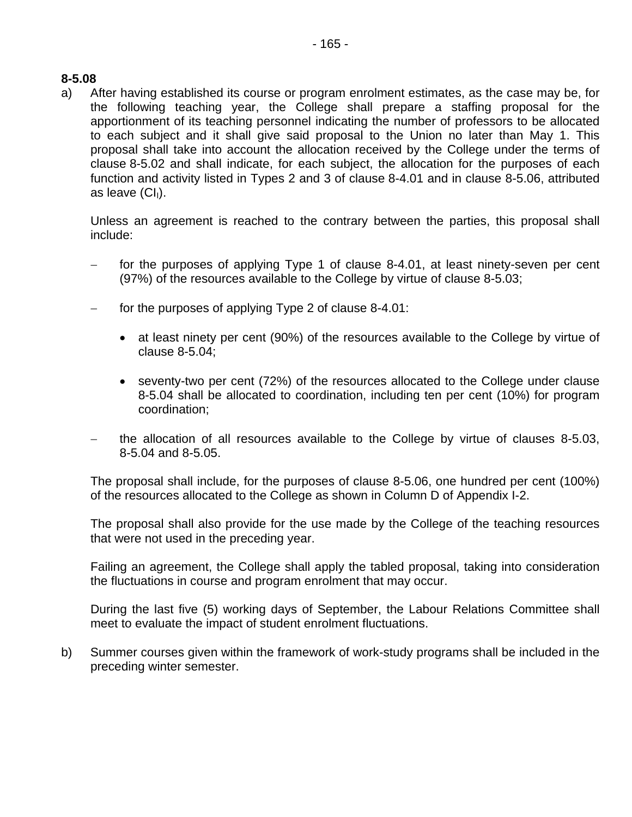a) After having established its course or program enrolment estimates, as the case may be, for the following teaching year, the College shall prepare a staffing proposal for the apportionment of its teaching personnel indicating the number of professors to be allocated to each subject and it shall give said proposal to the Union no later than May 1. This proposal shall take into account the allocation received by the College under the terms of clause 8-5.02 and shall indicate, for each subject, the allocation for the purposes of each function and activity listed in Types 2 and 3 of clause 8-4.01 and in clause 8-5.06, attributed as leave  $(Cl<sub>1</sub>)$ .

Unless an agreement is reached to the contrary between the parties, this proposal shall include:

- for the purposes of applying Type 1 of clause 8-4.01, at least ninety-seven per cent (97%) of the resources available to the College by virtue of clause 8-5.03;
- for the purposes of applying Type 2 of clause 8-4.01:
	- at least ninety per cent (90%) of the resources available to the College by virtue of clause 8-5.04;
	- seventy-two per cent (72%) of the resources allocated to the College under clause 8-5.04 shall be allocated to coordination, including ten per cent (10%) for program coordination;
- − the allocation of all resources available to the College by virtue of clauses 8-5.03, 8-5.04 and 8-5.05.

The proposal shall include, for the purposes of clause 8-5.06, one hundred per cent (100%) of the resources allocated to the College as shown in Column D of Appendix I-2.

The proposal shall also provide for the use made by the College of the teaching resources that were not used in the preceding year.

Failing an agreement, the College shall apply the tabled proposal, taking into consideration the fluctuations in course and program enrolment that may occur.

During the last five (5) working days of September, the Labour Relations Committee shall meet to evaluate the impact of student enrolment fluctuations.

b) Summer courses given within the framework of work-study programs shall be included in the preceding winter semester.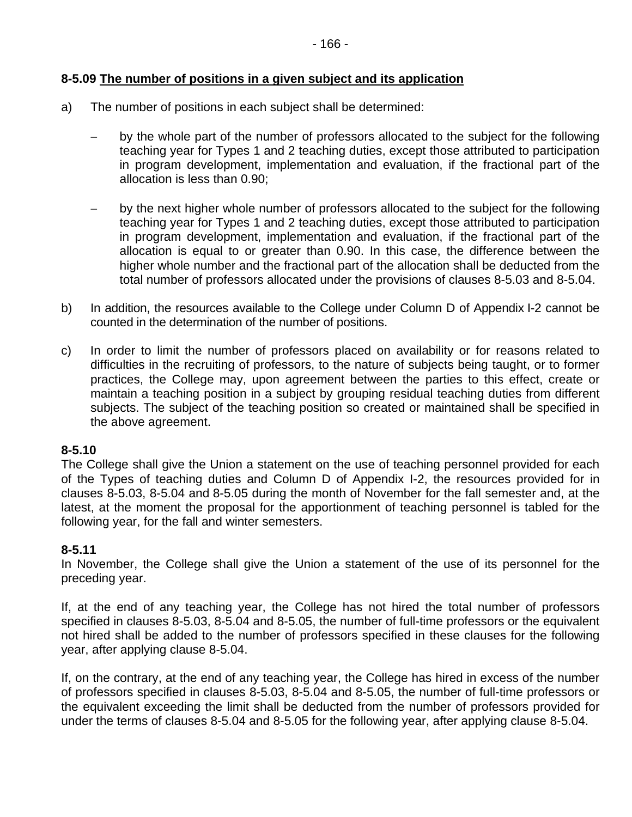### **8-5.09 The number of positions in a given subject and its application**

- a) The number of positions in each subject shall be determined:
	- by the whole part of the number of professors allocated to the subject for the following teaching year for Types 1 and 2 teaching duties, except those attributed to participation in program development, implementation and evaluation, if the fractional part of the allocation is less than 0.90;
	- − by the next higher whole number of professors allocated to the subject for the following teaching year for Types 1 and 2 teaching duties, except those attributed to participation in program development, implementation and evaluation, if the fractional part of the allocation is equal to or greater than 0.90. In this case, the difference between the higher whole number and the fractional part of the allocation shall be deducted from the total number of professors allocated under the provisions of clauses 8-5.03 and 8-5.04.
- b) In addition, the resources available to the College under Column D of Appendix I-2 cannot be counted in the determination of the number of positions.
- c) In order to limit the number of professors placed on availability or for reasons related to difficulties in the recruiting of professors, to the nature of subjects being taught, or to former practices, the College may, upon agreement between the parties to this effect, create or maintain a teaching position in a subject by grouping residual teaching duties from different subjects. The subject of the teaching position so created or maintained shall be specified in the above agreement.

#### **8-5.10**

The College shall give the Union a statement on the use of teaching personnel provided for each of the Types of teaching duties and Column D of Appendix I-2, the resources provided for in clauses 8-5.03, 8-5.04 and 8-5.05 during the month of November for the fall semester and, at the latest, at the moment the proposal for the apportionment of teaching personnel is tabled for the following year, for the fall and winter semesters.

### **8-5.11**

In November, the College shall give the Union a statement of the use of its personnel for the preceding year.

If, at the end of any teaching year, the College has not hired the total number of professors specified in clauses 8-5.03, 8-5.04 and 8-5.05, the number of full-time professors or the equivalent not hired shall be added to the number of professors specified in these clauses for the following year, after applying clause 8-5.04.

If, on the contrary, at the end of any teaching year, the College has hired in excess of the number of professors specified in clauses 8-5.03, 8-5.04 and 8-5.05, the number of full-time professors or the equivalent exceeding the limit shall be deducted from the number of professors provided for under the terms of clauses 8-5.04 and 8-5.05 for the following year, after applying clause 8-5.04.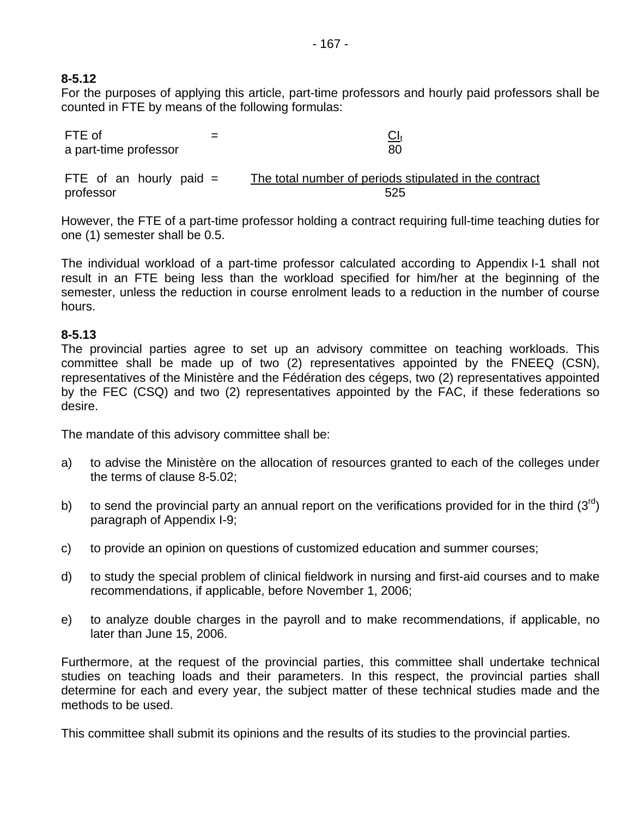# **8-5.12**

professor

For the purposes of applying this article, part-time professors and hourly paid professors shall be counted in FTE by means of the following formulas:

| FTE of<br>$=$<br>a part-time professor | $\underline{\text{Cl}}_{\text{t}}$<br>80               |
|----------------------------------------|--------------------------------------------------------|
| FTE of an hourly paid $=$              | The total number of periods stipulated in the contract |

However, the FTE of a part-time professor holding a contract requiring full-time teaching duties for one (1) semester shall be 0.5.

525

The individual workload of a part-time professor calculated according to Appendix I-1 shall not result in an FTE being less than the workload specified for him/her at the beginning of the semester, unless the reduction in course enrolment leads to a reduction in the number of course hours.

### **8-5.13**

The provincial parties agree to set up an advisory committee on teaching workloads. This committee shall be made up of two (2) representatives appointed by the FNEEQ (CSN), representatives of the Ministère and the Fédération des cégeps, two (2) representatives appointed by the FEC (CSQ) and two (2) representatives appointed by the FAC, if these federations so desire.

The mandate of this advisory committee shall be:

- a) to advise the Ministère on the allocation of resources granted to each of the colleges under the terms of clause 8-5.02;
- b) to send the provincial party an annual report on the verifications provided for in the third  $(3^{rd})$ paragraph of Appendix I-9;
- c) to provide an opinion on questions of customized education and summer courses;
- d) to study the special problem of clinical fieldwork in nursing and first-aid courses and to make recommendations, if applicable, before November 1, 2006;
- e) to analyze double charges in the payroll and to make recommendations, if applicable, no later than June 15, 2006.

Furthermore, at the request of the provincial parties, this committee shall undertake technical studies on teaching loads and their parameters. In this respect, the provincial parties shall determine for each and every year, the subject matter of these technical studies made and the methods to be used.

This committee shall submit its opinions and the results of its studies to the provincial parties.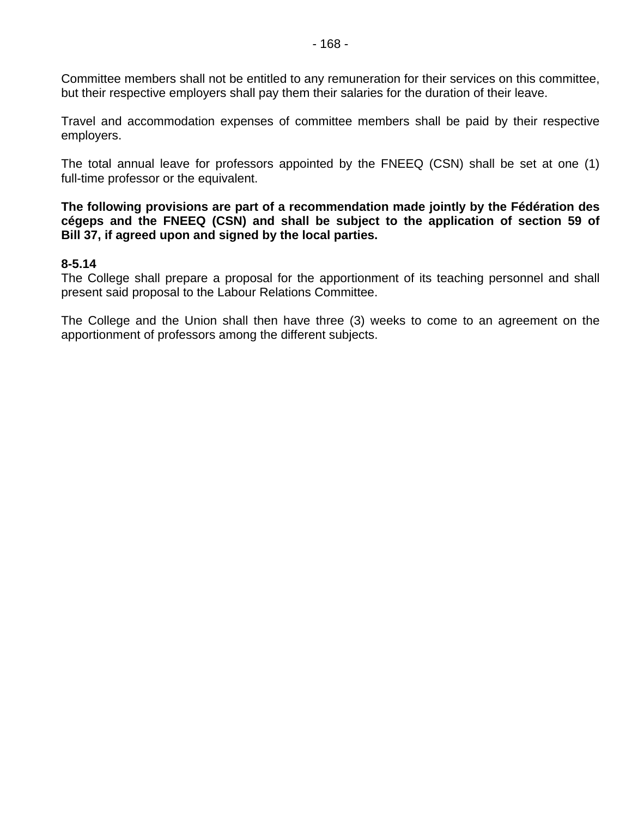Committee members shall not be entitled to any remuneration for their services on this committee, but their respective employers shall pay them their salaries for the duration of their leave.

Travel and accommodation expenses of committee members shall be paid by their respective employers.

The total annual leave for professors appointed by the FNEEQ (CSN) shall be set at one (1) full-time professor or the equivalent.

**The following provisions are part of a recommendation made jointly by the Fédération des cégeps and the FNEEQ (CSN) and shall be subject to the application of section 59 of Bill 37, if agreed upon and signed by the local parties.** 

#### **8-5.14**

The College shall prepare a proposal for the apportionment of its teaching personnel and shall present said proposal to the Labour Relations Committee.

The College and the Union shall then have three (3) weeks to come to an agreement on the apportionment of professors among the different subjects.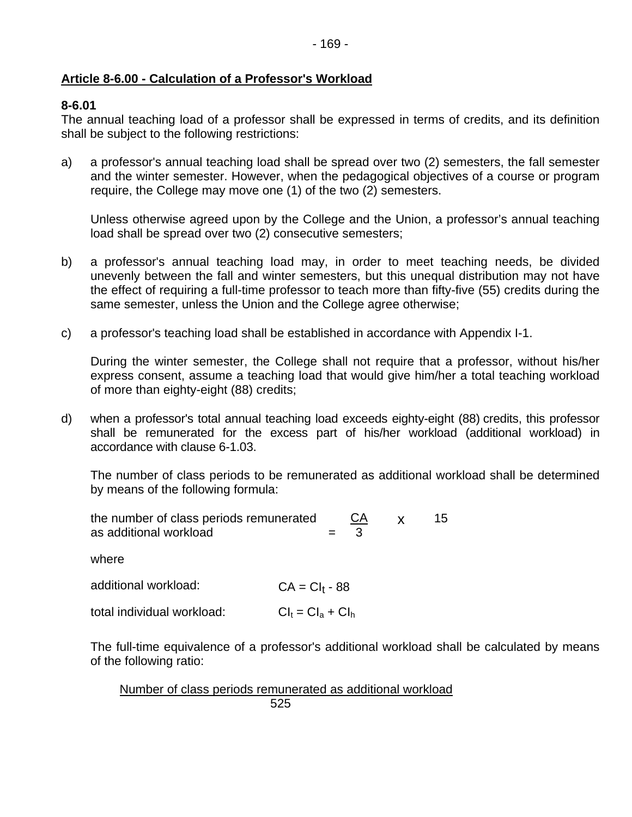### **Article 8-6.00 - Calculation of a Professor's Workload**

#### **8-6.01**

The annual teaching load of a professor shall be expressed in terms of credits, and its definition shall be subject to the following restrictions:

a) a professor's annual teaching load shall be spread over two (2) semesters, the fall semester and the winter semester. However, when the pedagogical objectives of a course or program require, the College may move one (1) of the two (2) semesters.

Unless otherwise agreed upon by the College and the Union, a professor's annual teaching load shall be spread over two (2) consecutive semesters;

- b) a professor's annual teaching load may, in order to meet teaching needs, be divided unevenly between the fall and winter semesters, but this unequal distribution may not have the effect of requiring a full-time professor to teach more than fifty-five (55) credits during the same semester, unless the Union and the College agree otherwise;
- c) a professor's teaching load shall be established in accordance with Appendix I-1.

During the winter semester, the College shall not require that a professor, without his/her express consent, assume a teaching load that would give him/her a total teaching workload of more than eighty-eight (88) credits;

d) when a professor's total annual teaching load exceeds eighty-eight (88) credits, this professor shall be remunerated for the excess part of his/her workload (additional workload) in accordance with clause 6-1.03.

The number of class periods to be remunerated as additional workload shall be determined by means of the following formula:

| the number of class periods remunerated<br>as additional workload | CА<br>X<br>3         | 15. |
|-------------------------------------------------------------------|----------------------|-----|
| where                                                             |                      |     |
| additional workload:                                              | $CA = CI_1 - 88$     |     |
| total individual workload:                                        | $Cl_t = Cl_a + Cl_h$ |     |

The full-time equivalence of a professor's additional workload shall be calculated by means of the following ratio:

Number of class periods remunerated as additional workload  $525$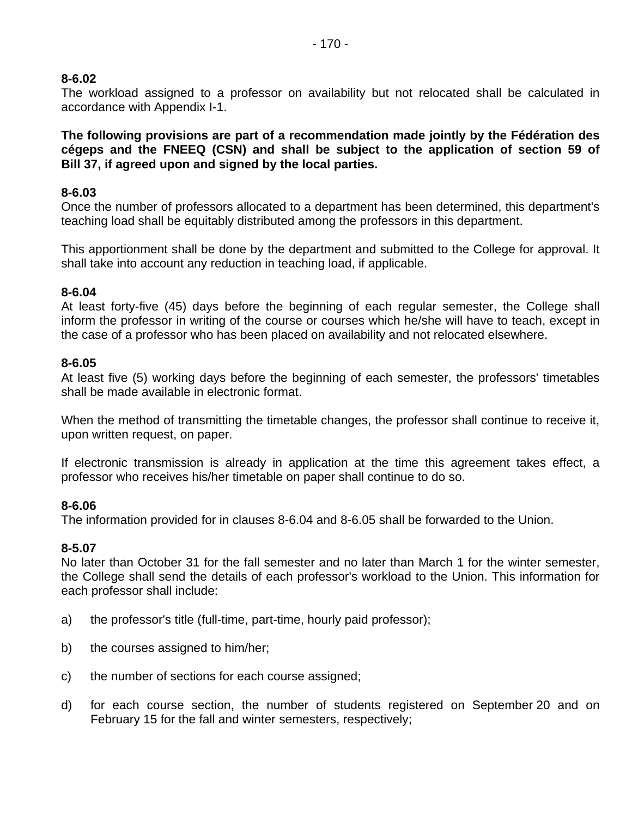#### **8-6.02**

The workload assigned to a professor on availability but not relocated shall be calculated in accordance with Appendix I-1.

**The following provisions are part of a recommendation made jointly by the Fédération des cégeps and the FNEEQ (CSN) and shall be subject to the application of section 59 of Bill 37, if agreed upon and signed by the local parties.** 

#### **8-6.03**

Once the number of professors allocated to a department has been determined, this department's teaching load shall be equitably distributed among the professors in this department.

This apportionment shall be done by the department and submitted to the College for approval. It shall take into account any reduction in teaching load, if applicable.

#### **8-6.04**

At least forty-five (45) days before the beginning of each regular semester, the College shall inform the professor in writing of the course or courses which he/she will have to teach, except in the case of a professor who has been placed on availability and not relocated elsewhere.

#### **8-6.05**

At least five (5) working days before the beginning of each semester, the professors' timetables shall be made available in electronic format.

When the method of transmitting the timetable changes, the professor shall continue to receive it, upon written request, on paper.

If electronic transmission is already in application at the time this agreement takes effect, a professor who receives his/her timetable on paper shall continue to do so.

#### **8-6.06**

The information provided for in clauses 8-6.04 and 8-6.05 shall be forwarded to the Union.

#### **8-5.07**

No later than October 31 for the fall semester and no later than March 1 for the winter semester, the College shall send the details of each professor's workload to the Union. This information for each professor shall include:

- a) the professor's title (full-time, part-time, hourly paid professor);
- b) the courses assigned to him/her;
- c) the number of sections for each course assigned;
- d) for each course section, the number of students registered on September 20 and on February 15 for the fall and winter semesters, respectively;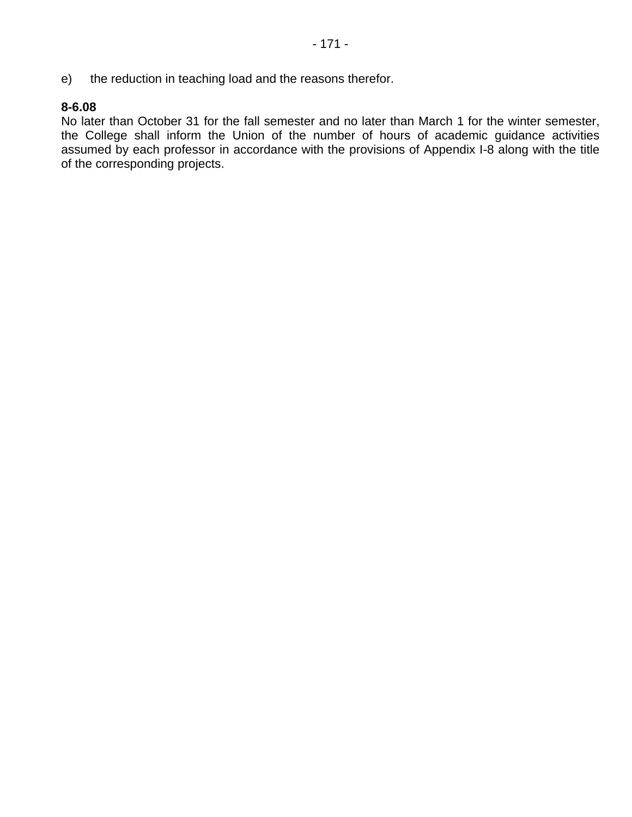e) the reduction in teaching load and the reasons therefor.

## **8-6.08**

No later than October 31 for the fall semester and no later than March 1 for the winter semester, the College shall inform the Union of the number of hours of academic guidance activities assumed by each professor in accordance with the provisions of Appendix I-8 along with the title of the corresponding projects.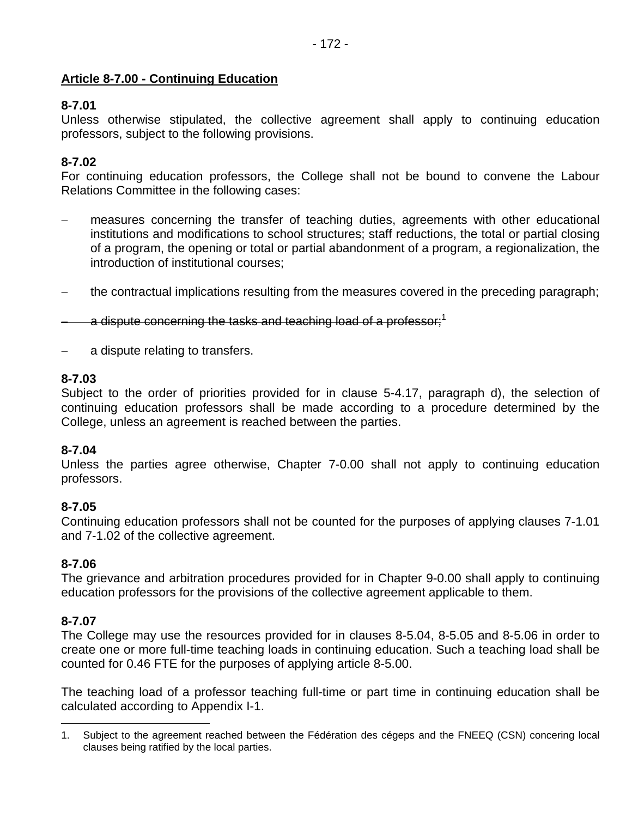## **Article 8-7.00 - Continuing Education**

## **8-7.01**

Unless otherwise stipulated, the collective agreement shall apply to continuing education professors, subject to the following provisions.

## **8-7.02**

For continuing education professors, the College shall not be bound to convene the Labour Relations Committee in the following cases:

- − measures concerning the transfer of teaching duties, agreements with other educational institutions and modifications to school structures; staff reductions, the total or partial closing of a program, the opening or total or partial abandonment of a program, a regionalization, the introduction of institutional courses;
- − the contractual implications resulting from the measures covered in the preceding paragraph;

a dispute concerning the tasks and teaching load of a professor;<sup>1</sup>

a dispute relating to transfers.

#### **8-7.03**

Subject to the order of priorities provided for in clause 5-4.17, paragraph d), the selection of continuing education professors shall be made according to a procedure determined by the College, unless an agreement is reached between the parties.

#### **8-7.04**

Unless the parties agree otherwise, Chapter 7-0.00 shall not apply to continuing education professors.

#### **8-7.05**

Continuing education professors shall not be counted for the purposes of applying clauses 7-1.01 and 7-1.02 of the collective agreement.

#### **8-7.06**

The grievance and arbitration procedures provided for in Chapter 9-0.00 shall apply to continuing education professors for the provisions of the collective agreement applicable to them.

#### **8-7.07**

 $\overline{a}$ 

The College may use the resources provided for in clauses 8-5.04, 8-5.05 and 8-5.06 in order to create one or more full-time teaching loads in continuing education. Such a teaching load shall be counted for 0.46 FTE for the purposes of applying article 8-5.00.

The teaching load of a professor teaching full-time or part time in continuing education shall be calculated according to Appendix I-1.

<sup>1.</sup> Subject to the agreement reached between the Fédération des cégeps and the FNEEQ (CSN) concering local clauses being ratified by the local parties.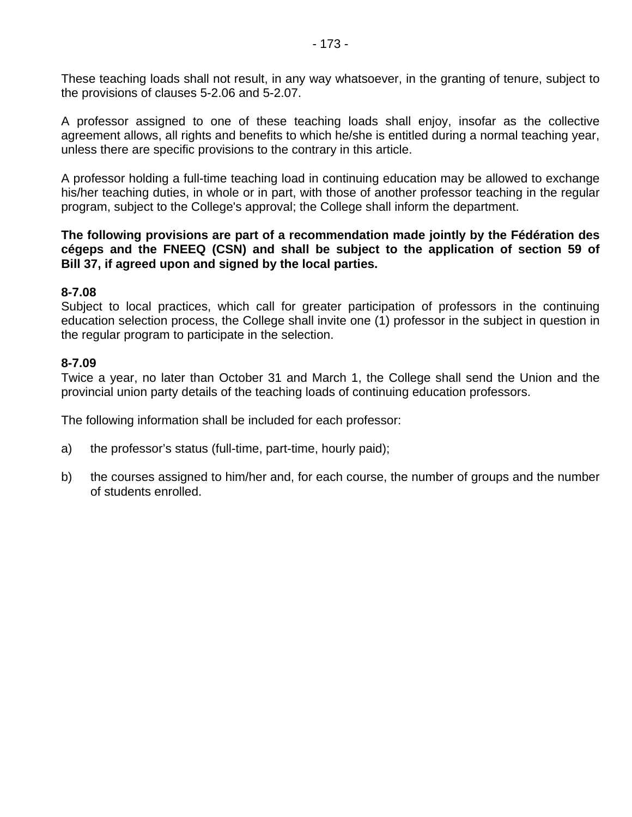These teaching loads shall not result, in any way whatsoever, in the granting of tenure, subject to the provisions of clauses 5-2.06 and 5-2.07.

A professor assigned to one of these teaching loads shall enjoy, insofar as the collective agreement allows, all rights and benefits to which he/she is entitled during a normal teaching year, unless there are specific provisions to the contrary in this article.

A professor holding a full-time teaching load in continuing education may be allowed to exchange his/her teaching duties, in whole or in part, with those of another professor teaching in the regular program, subject to the College's approval; the College shall inform the department.

#### **The following provisions are part of a recommendation made jointly by the Fédération des cégeps and the FNEEQ (CSN) and shall be subject to the application of section 59 of Bill 37, if agreed upon and signed by the local parties.**

#### **8-7.08**

Subject to local practices, which call for greater participation of professors in the continuing education selection process, the College shall invite one (1) professor in the subject in question in the regular program to participate in the selection.

#### **8-7.09**

Twice a year, no later than October 31 and March 1, the College shall send the Union and the provincial union party details of the teaching loads of continuing education professors.

The following information shall be included for each professor:

- a) the professor's status (full-time, part-time, hourly paid);
- b) the courses assigned to him/her and, for each course, the number of groups and the number of students enrolled.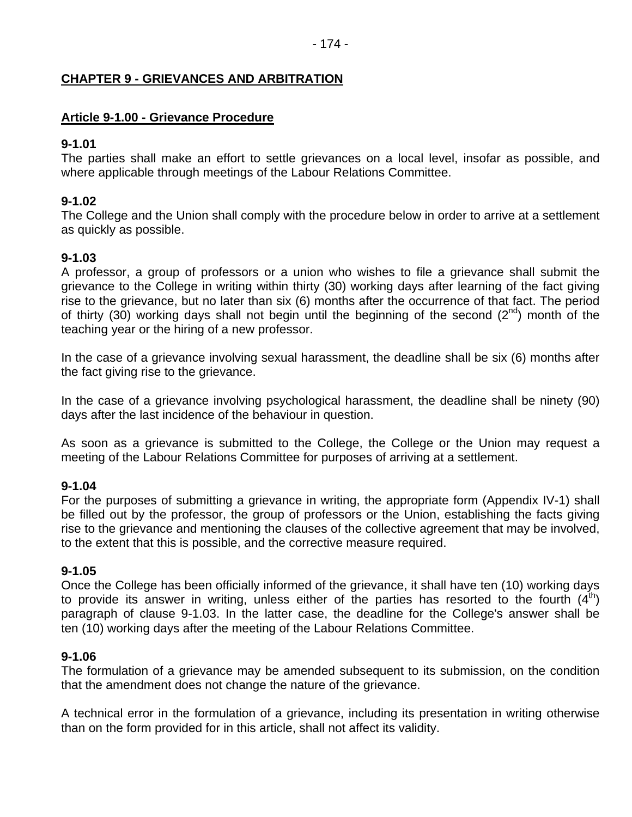## **CHAPTER 9 - GRIEVANCES AND ARBITRATION**

### **Article 9-1.00 - Grievance Procedure**

#### **9-1.01**

The parties shall make an effort to settle grievances on a local level, insofar as possible, and where applicable through meetings of the Labour Relations Committee.

## **9-1.02**

The College and the Union shall comply with the procedure below in order to arrive at a settlement as quickly as possible.

## **9-1.03**

A professor, a group of professors or a union who wishes to file a grievance shall submit the grievance to the College in writing within thirty (30) working days after learning of the fact giving rise to the grievance, but no later than six (6) months after the occurrence of that fact. The period of thirty (30) working days shall not begin until the beginning of the second ( $2^{nd}$ ) month of the teaching year or the hiring of a new professor.

In the case of a grievance involving sexual harassment, the deadline shall be six (6) months after the fact giving rise to the grievance.

In the case of a grievance involving psychological harassment, the deadline shall be ninety (90) days after the last incidence of the behaviour in question.

As soon as a grievance is submitted to the College, the College or the Union may request a meeting of the Labour Relations Committee for purposes of arriving at a settlement.

#### **9-1.04**

For the purposes of submitting a grievance in writing, the appropriate form (Appendix IV-1) shall be filled out by the professor, the group of professors or the Union, establishing the facts giving rise to the grievance and mentioning the clauses of the collective agreement that may be involved, to the extent that this is possible, and the corrective measure required.

#### **9-1.05**

Once the College has been officially informed of the grievance, it shall have ten (10) working days to provide its answer in writing, unless either of the parties has resorted to the fourth  $(4<sup>th</sup>)$ paragraph of clause 9-1.03. In the latter case, the deadline for the College's answer shall be ten (10) working days after the meeting of the Labour Relations Committee.

#### **9-1.06**

The formulation of a grievance may be amended subsequent to its submission, on the condition that the amendment does not change the nature of the grievance.

A technical error in the formulation of a grievance, including its presentation in writing otherwise than on the form provided for in this article, shall not affect its validity.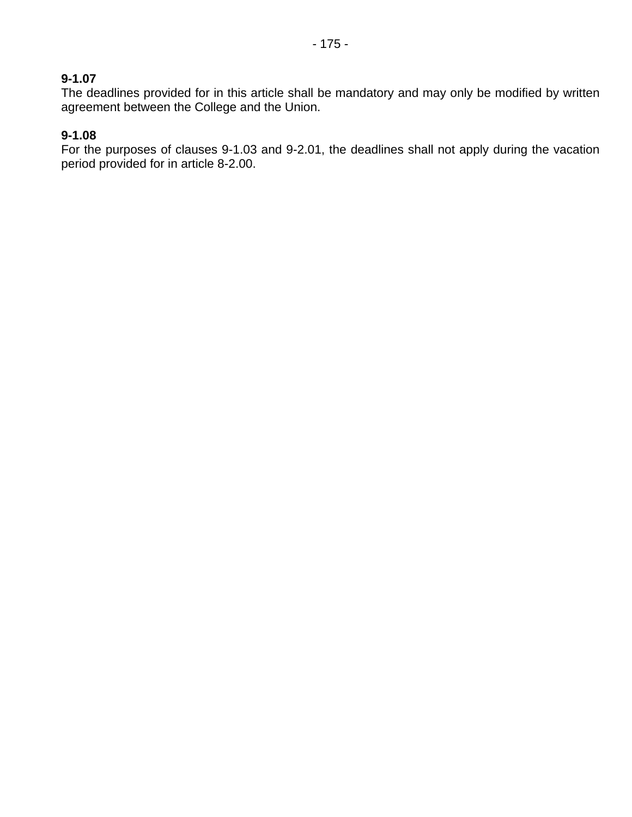## **9-1.07**

The deadlines provided for in this article shall be mandatory and may only be modified by written agreement between the College and the Union.

## **9-1.08**

For the purposes of clauses 9-1.03 and 9-2.01, the deadlines shall not apply during the vacation period provided for in article 8-2.00.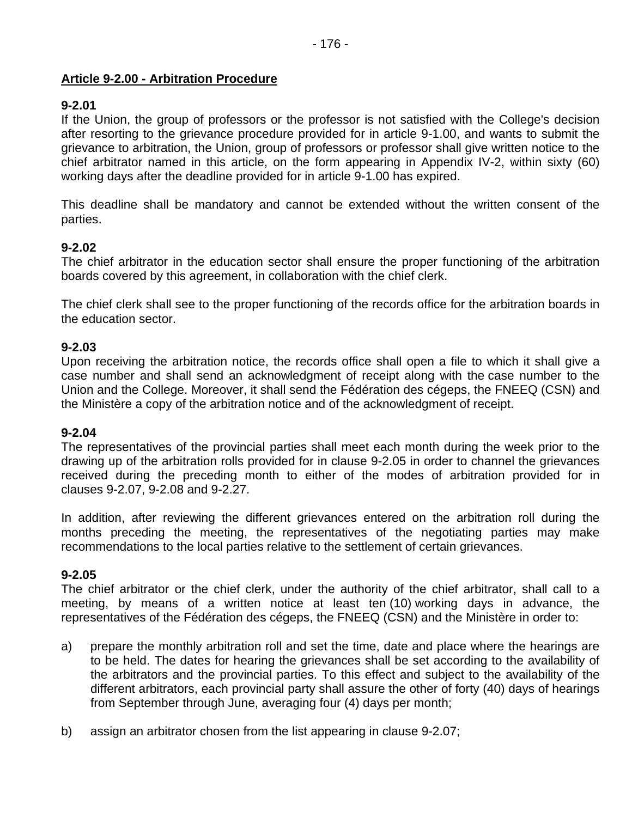## **Article 9-2.00 - Arbitration Procedure**

## **9-2.01**

If the Union, the group of professors or the professor is not satisfied with the College's decision after resorting to the grievance procedure provided for in article 9-1.00, and wants to submit the grievance to arbitration, the Union, group of professors or professor shall give written notice to the chief arbitrator named in this article, on the form appearing in Appendix IV-2, within sixty (60) working days after the deadline provided for in article 9-1.00 has expired.

This deadline shall be mandatory and cannot be extended without the written consent of the parties.

## **9-2.02**

The chief arbitrator in the education sector shall ensure the proper functioning of the arbitration boards covered by this agreement, in collaboration with the chief clerk.

The chief clerk shall see to the proper functioning of the records office for the arbitration boards in the education sector.

#### **9-2.03**

Upon receiving the arbitration notice, the records office shall open a file to which it shall give a case number and shall send an acknowledgment of receipt along with the case number to the Union and the College. Moreover, it shall send the Fédération des cégeps, the FNEEQ (CSN) and the Ministère a copy of the arbitration notice and of the acknowledgment of receipt.

#### **9-2.04**

The representatives of the provincial parties shall meet each month during the week prior to the drawing up of the arbitration rolls provided for in clause 9-2.05 in order to channel the grievances received during the preceding month to either of the modes of arbitration provided for in clauses 9-2.07, 9-2.08 and 9-2.27.

In addition, after reviewing the different grievances entered on the arbitration roll during the months preceding the meeting, the representatives of the negotiating parties may make recommendations to the local parties relative to the settlement of certain grievances.

#### **9-2.05**

The chief arbitrator or the chief clerk, under the authority of the chief arbitrator, shall call to a meeting, by means of a written notice at least ten (10) working days in advance, the representatives of the Fédération des cégeps, the FNEEQ (CSN) and the Ministère in order to:

- a) prepare the monthly arbitration roll and set the time, date and place where the hearings are to be held. The dates for hearing the grievances shall be set according to the availability of the arbitrators and the provincial parties. To this effect and subject to the availability of the different arbitrators, each provincial party shall assure the other of forty (40) days of hearings from September through June, averaging four (4) days per month;
- b) assign an arbitrator chosen from the list appearing in clause 9-2.07;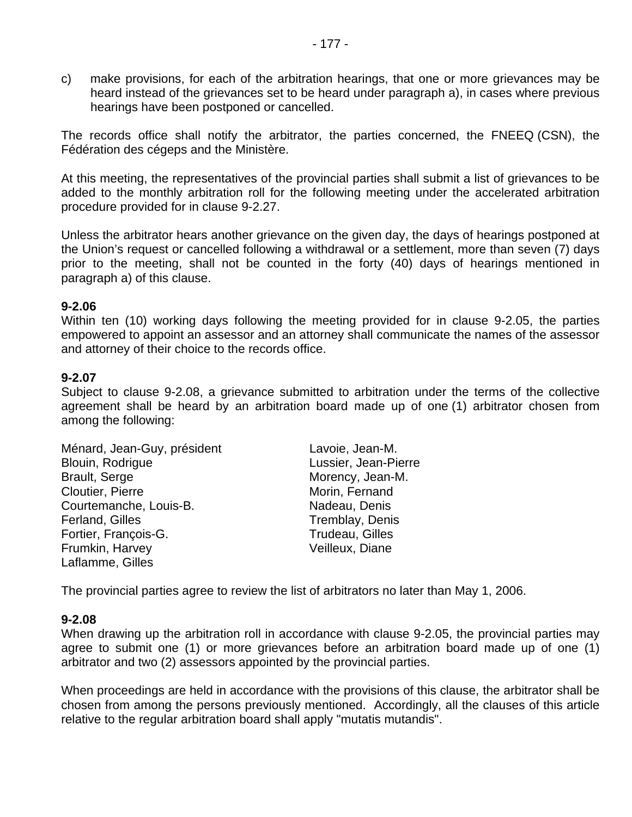c) make provisions, for each of the arbitration hearings, that one or more grievances may be heard instead of the grievances set to be heard under paragraph a), in cases where previous hearings have been postponed or cancelled.

The records office shall notify the arbitrator, the parties concerned, the FNEEQ (CSN), the Fédération des cégeps and the Ministère.

At this meeting, the representatives of the provincial parties shall submit a list of grievances to be added to the monthly arbitration roll for the following meeting under the accelerated arbitration procedure provided for in clause 9-2.27.

Unless the arbitrator hears another grievance on the given day, the days of hearings postponed at the Union's request or cancelled following a withdrawal or a settlement, more than seven (7) days prior to the meeting, shall not be counted in the forty (40) days of hearings mentioned in paragraph a) of this clause.

#### **9-2.06**

Within ten (10) working days following the meeting provided for in clause 9-2.05, the parties empowered to appoint an assessor and an attorney shall communicate the names of the assessor and attorney of their choice to the records office.

#### **9-2.07**

Subject to clause 9-2.08, a grievance submitted to arbitration under the terms of the collective agreement shall be heard by an arbitration board made up of one (1) arbitrator chosen from among the following:

| Ménard, Jean-Guy, président | Lavoie, Jean-M.      |
|-----------------------------|----------------------|
| Blouin, Rodrigue            | Lussier, Jean-Pierre |
| <b>Brault, Serge</b>        | Morency, Jean-M.     |
| Cloutier, Pierre            | Morin, Fernand       |
| Courtemanche, Louis-B.      | Nadeau, Denis        |
| Ferland, Gilles             | Tremblay, Denis      |
| Fortier, François-G.        | Trudeau, Gilles      |
| Frumkin, Harvey             | Veilleux, Diane      |
| Laflamme, Gilles            |                      |

The provincial parties agree to review the list of arbitrators no later than May 1, 2006.

#### **9-2.08**

When drawing up the arbitration roll in accordance with clause 9-2.05, the provincial parties may agree to submit one (1) or more grievances before an arbitration board made up of one (1) arbitrator and two (2) assessors appointed by the provincial parties.

When proceedings are held in accordance with the provisions of this clause, the arbitrator shall be chosen from among the persons previously mentioned. Accordingly, all the clauses of this article relative to the regular arbitration board shall apply "mutatis mutandis".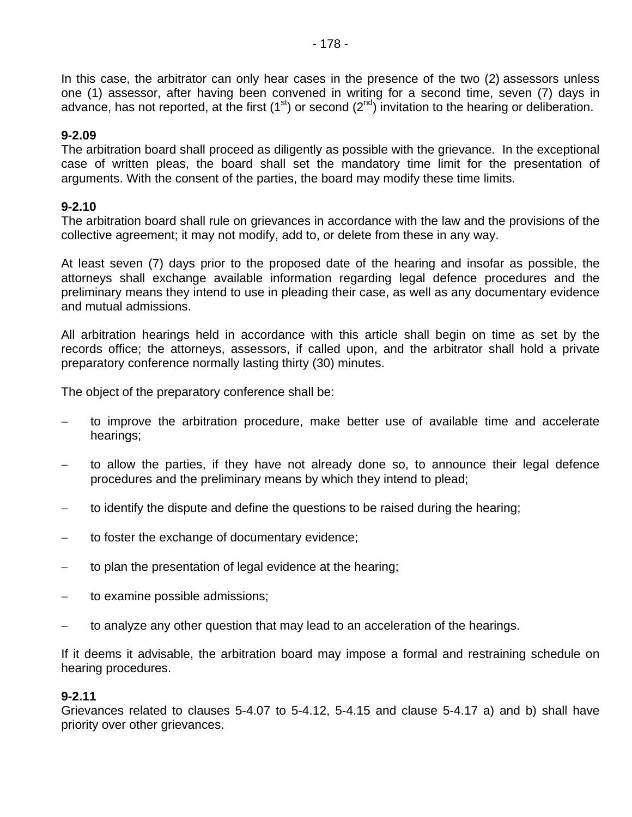In this case, the arbitrator can only hear cases in the presence of the two (2) assessors unless one (1) assessor, after having been convened in writing for a second time, seven (7) days in advance, has not reported, at the first  $(1<sup>st</sup>)$  or second  $(2<sup>nd</sup>)$  invitation to the hearing or deliberation.

## **9-2.09**

The arbitration board shall proceed as diligently as possible with the grievance. In the exceptional case of written pleas, the board shall set the mandatory time limit for the presentation of arguments. With the consent of the parties, the board may modify these time limits.

## **9-2.10**

The arbitration board shall rule on grievances in accordance with the law and the provisions of the collective agreement; it may not modify, add to, or delete from these in any way.

At least seven (7) days prior to the proposed date of the hearing and insofar as possible, the attorneys shall exchange available information regarding legal defence procedures and the preliminary means they intend to use in pleading their case, as well as any documentary evidence and mutual admissions.

All arbitration hearings held in accordance with this article shall begin on time as set by the records office; the attorneys, assessors, if called upon, and the arbitrator shall hold a private preparatory conference normally lasting thirty (30) minutes.

The object of the preparatory conference shall be:

- to improve the arbitration procedure, make better use of available time and accelerate hearings;
- − to allow the parties, if they have not already done so, to announce their legal defence procedures and the preliminary means by which they intend to plead;
- − to identify the dispute and define the questions to be raised during the hearing;
- to foster the exchange of documentary evidence;
- to plan the presentation of legal evidence at the hearing;
- to examine possible admissions;
- to analyze any other question that may lead to an acceleration of the hearings.

If it deems it advisable, the arbitration board may impose a formal and restraining schedule on hearing procedures.

## **9-2.11**

Grievances related to clauses 5-4.07 to 5-4.12, 5-4.15 and clause 5-4.17 a) and b) shall have priority over other grievances.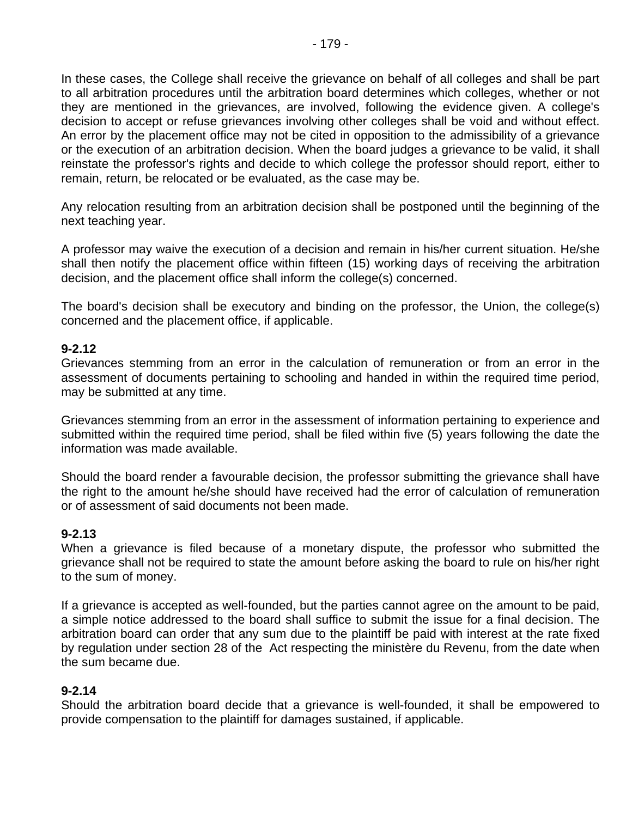In these cases, the College shall receive the grievance on behalf of all colleges and shall be part to all arbitration procedures until the arbitration board determines which colleges, whether or not they are mentioned in the grievances, are involved, following the evidence given. A college's decision to accept or refuse grievances involving other colleges shall be void and without effect. An error by the placement office may not be cited in opposition to the admissibility of a grievance or the execution of an arbitration decision. When the board judges a grievance to be valid, it shall reinstate the professor's rights and decide to which college the professor should report, either to remain, return, be relocated or be evaluated, as the case may be.

Any relocation resulting from an arbitration decision shall be postponed until the beginning of the next teaching year.

A professor may waive the execution of a decision and remain in his/her current situation. He/she shall then notify the placement office within fifteen (15) working days of receiving the arbitration decision, and the placement office shall inform the college(s) concerned.

The board's decision shall be executory and binding on the professor, the Union, the college(s) concerned and the placement office, if applicable.

#### **9-2.12**

Grievances stemming from an error in the calculation of remuneration or from an error in the assessment of documents pertaining to schooling and handed in within the required time period, may be submitted at any time.

Grievances stemming from an error in the assessment of information pertaining to experience and submitted within the required time period, shall be filed within five (5) years following the date the information was made available.

Should the board render a favourable decision, the professor submitting the grievance shall have the right to the amount he/she should have received had the error of calculation of remuneration or of assessment of said documents not been made.

#### **9-2.13**

When a grievance is filed because of a monetary dispute, the professor who submitted the grievance shall not be required to state the amount before asking the board to rule on his/her right to the sum of money.

If a grievance is accepted as well-founded, but the parties cannot agree on the amount to be paid, a simple notice addressed to the board shall suffice to submit the issue for a final decision. The arbitration board can order that any sum due to the plaintiff be paid with interest at the rate fixed by regulation under section 28 of the Act respecting the ministère du Revenu, from the date when the sum became due.

#### **9-2.14**

Should the arbitration board decide that a grievance is well-founded, it shall be empowered to provide compensation to the plaintiff for damages sustained, if applicable.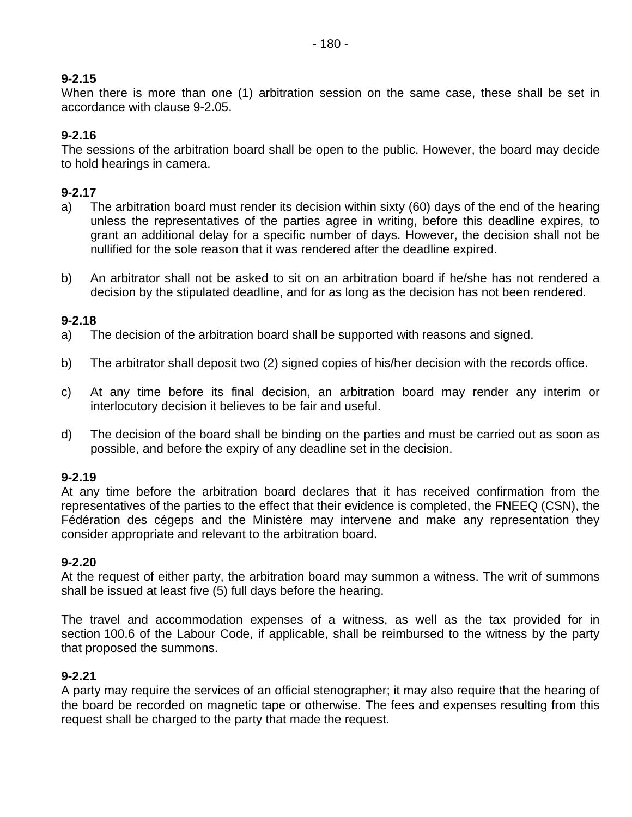## **9-2.15**

When there is more than one (1) arbitration session on the same case, these shall be set in accordance with clause 9-2.05.

## **9-2.16**

The sessions of the arbitration board shall be open to the public. However, the board may decide to hold hearings in camera.

## **9-2.17**

- a) The arbitration board must render its decision within sixty (60) days of the end of the hearing unless the representatives of the parties agree in writing, before this deadline expires, to grant an additional delay for a specific number of days. However, the decision shall not be nullified for the sole reason that it was rendered after the deadline expired.
- b) An arbitrator shall not be asked to sit on an arbitration board if he/she has not rendered a decision by the stipulated deadline, and for as long as the decision has not been rendered.

## **9-2.18**

- a) The decision of the arbitration board shall be supported with reasons and signed.
- b) The arbitrator shall deposit two (2) signed copies of his/her decision with the records office.
- c) At any time before its final decision, an arbitration board may render any interim or interlocutory decision it believes to be fair and useful.
- d) The decision of the board shall be binding on the parties and must be carried out as soon as possible, and before the expiry of any deadline set in the decision.

#### **9-2.19**

At any time before the arbitration board declares that it has received confirmation from the representatives of the parties to the effect that their evidence is completed, the FNEEQ (CSN), the Fédération des cégeps and the Ministère may intervene and make any representation they consider appropriate and relevant to the arbitration board.

### **9-2.20**

At the request of either party, the arbitration board may summon a witness. The writ of summons shall be issued at least five (5) full days before the hearing.

The travel and accommodation expenses of a witness, as well as the tax provided for in section 100.6 of the Labour Code, if applicable, shall be reimbursed to the witness by the party that proposed the summons.

## **9-2.21**

A party may require the services of an official stenographer; it may also require that the hearing of the board be recorded on magnetic tape or otherwise. The fees and expenses resulting from this request shall be charged to the party that made the request.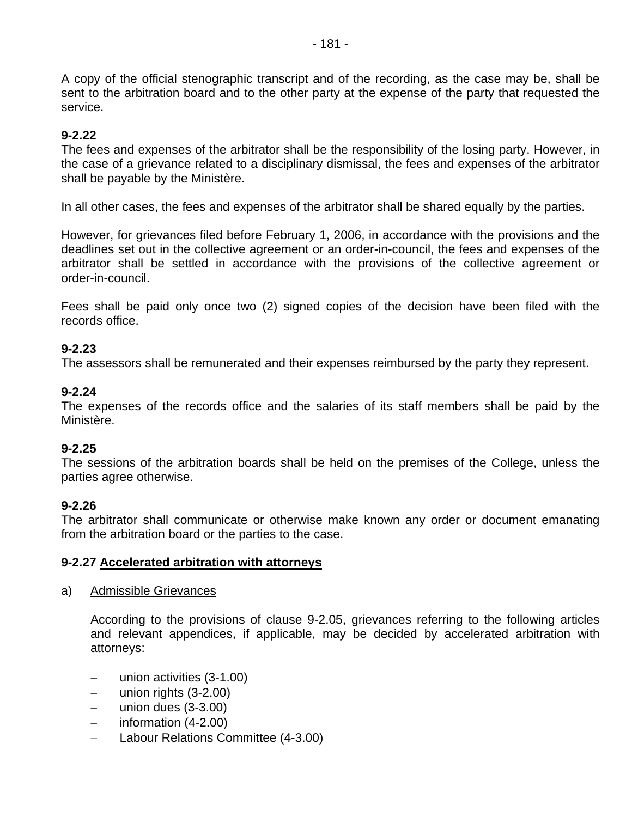A copy of the official stenographic transcript and of the recording, as the case may be, shall be sent to the arbitration board and to the other party at the expense of the party that requested the service.

## **9-2.22**

The fees and expenses of the arbitrator shall be the responsibility of the losing party. However, in the case of a grievance related to a disciplinary dismissal, the fees and expenses of the arbitrator shall be payable by the Ministère.

In all other cases, the fees and expenses of the arbitrator shall be shared equally by the parties.

However, for grievances filed before February 1, 2006, in accordance with the provisions and the deadlines set out in the collective agreement or an order-in-council, the fees and expenses of the arbitrator shall be settled in accordance with the provisions of the collective agreement or order-in-council.

Fees shall be paid only once two (2) signed copies of the decision have been filed with the records office.

#### **9-2.23**

The assessors shall be remunerated and their expenses reimbursed by the party they represent.

#### **9-2.24**

The expenses of the records office and the salaries of its staff members shall be paid by the Ministère.

#### **9-2.25**

The sessions of the arbitration boards shall be held on the premises of the College, unless the parties agree otherwise.

#### **9-2.26**

The arbitrator shall communicate or otherwise make known any order or document emanating from the arbitration board or the parties to the case.

#### **9-2.27 Accelerated arbitration with attorneys**

#### a) Admissible Grievances

According to the provisions of clause 9-2.05, grievances referring to the following articles and relevant appendices, if applicable, may be decided by accelerated arbitration with attorneys:

- − union activities (3-1.00)
- − union rights (3-2.00)
- − union dues (3-3.00)
- − information (4-2.00)
- − Labour Relations Committee (4-3.00)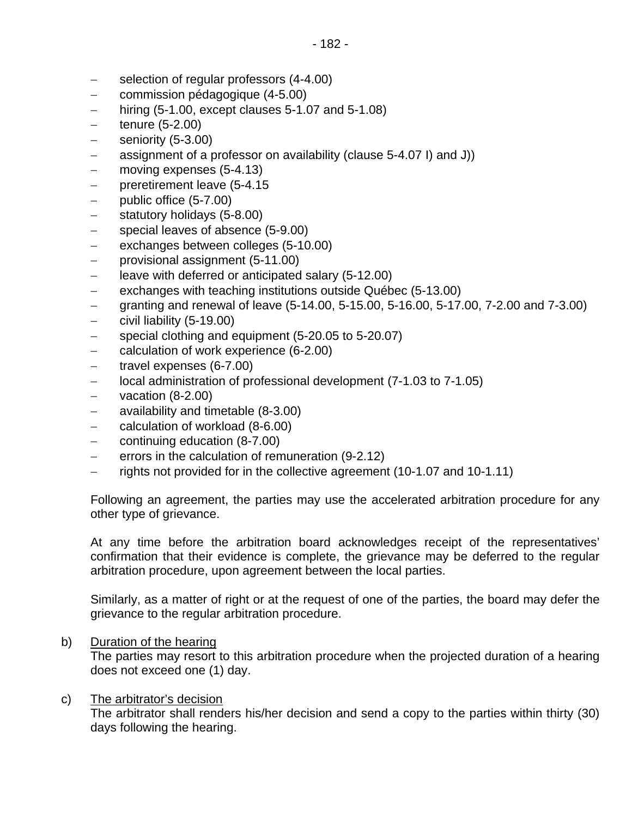- − selection of regular professors (4-4.00)
- − commission pédagogique (4-5.00)
- − hiring (5-1.00, except clauses 5-1.07 and 5-1.08)
- tenure (5-2.00)
- seniority (5-3.00)
- − assignment of a professor on availability (clause 5-4.07 I) and J))
- − moving expenses (5-4.13)
- − preretirement leave (5-4.15
- − public office (5-7.00)
- − statutory holidays (5-8.00)
- − special leaves of absence (5-9.00)
- exchanges between colleges (5-10.00)
- − provisional assignment (5-11.00)
- − leave with deferred or anticipated salary (5-12.00)
- − exchanges with teaching institutions outside Québec (5-13.00)
- − granting and renewal of leave (5-14.00, 5-15.00, 5-16.00, 5-17.00, 7-2.00 and 7-3.00)
- − civil liability (5-19.00)
- − special clothing and equipment (5-20.05 to 5-20.07)
- − calculation of work experience (6-2.00)
- − travel expenses (6-7.00)
- − local administration of professional development (7-1.03 to 7-1.05)
- − vacation (8-2.00)
- − availability and timetable (8-3.00)
- − calculation of workload (8-6.00)
- − continuing education (8-7.00)
- − errors in the calculation of remuneration (9-2.12)
- − rights not provided for in the collective agreement (10-1.07 and 10-1.11)

Following an agreement, the parties may use the accelerated arbitration procedure for any other type of grievance.

At any time before the arbitration board acknowledges receipt of the representatives' confirmation that their evidence is complete, the grievance may be deferred to the regular arbitration procedure, upon agreement between the local parties.

Similarly, as a matter of right or at the request of one of the parties, the board may defer the grievance to the regular arbitration procedure.

b) Duration of the hearing

The parties may resort to this arbitration procedure when the projected duration of a hearing does not exceed one (1) day.

#### c) The arbitrator's decision

The arbitrator shall renders his/her decision and send a copy to the parties within thirty (30) days following the hearing.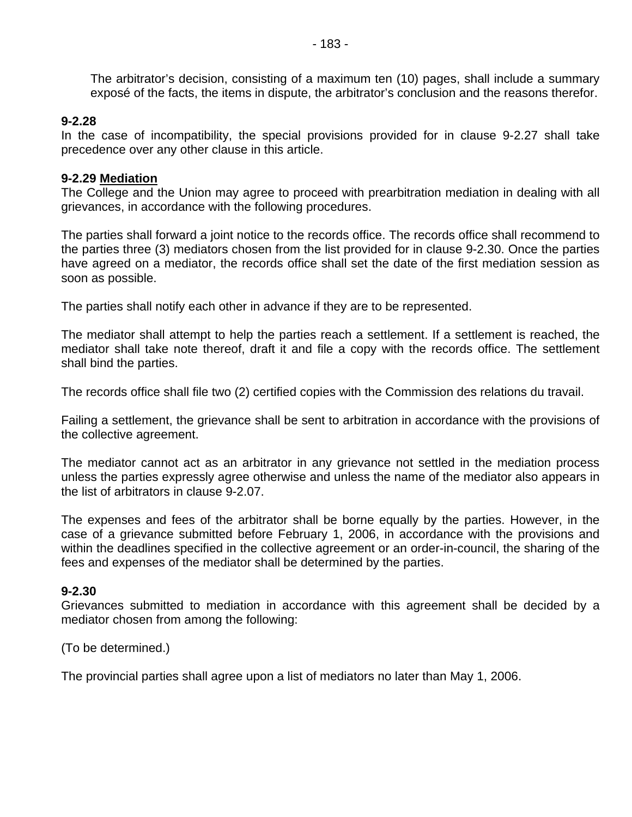The arbitrator's decision, consisting of a maximum ten (10) pages, shall include a summary exposé of the facts, the items in dispute, the arbitrator's conclusion and the reasons therefor.

#### **9-2.28**

In the case of incompatibility, the special provisions provided for in clause 9-2.27 shall take precedence over any other clause in this article.

#### **9-2.29 Mediation**

The College and the Union may agree to proceed with prearbitration mediation in dealing with all grievances, in accordance with the following procedures.

The parties shall forward a joint notice to the records office. The records office shall recommend to the parties three (3) mediators chosen from the list provided for in clause 9-2.30. Once the parties have agreed on a mediator, the records office shall set the date of the first mediation session as soon as possible.

The parties shall notify each other in advance if they are to be represented.

The mediator shall attempt to help the parties reach a settlement. If a settlement is reached, the mediator shall take note thereof, draft it and file a copy with the records office. The settlement shall bind the parties.

The records office shall file two (2) certified copies with the Commission des relations du travail.

Failing a settlement, the grievance shall be sent to arbitration in accordance with the provisions of the collective agreement.

The mediator cannot act as an arbitrator in any grievance not settled in the mediation process unless the parties expressly agree otherwise and unless the name of the mediator also appears in the list of arbitrators in clause 9-2.07.

The expenses and fees of the arbitrator shall be borne equally by the parties. However, in the case of a grievance submitted before February 1, 2006, in accordance with the provisions and within the deadlines specified in the collective agreement or an order-in-council, the sharing of the fees and expenses of the mediator shall be determined by the parties.

#### **9-2.30**

Grievances submitted to mediation in accordance with this agreement shall be decided by a mediator chosen from among the following:

(To be determined.)

The provincial parties shall agree upon a list of mediators no later than May 1, 2006.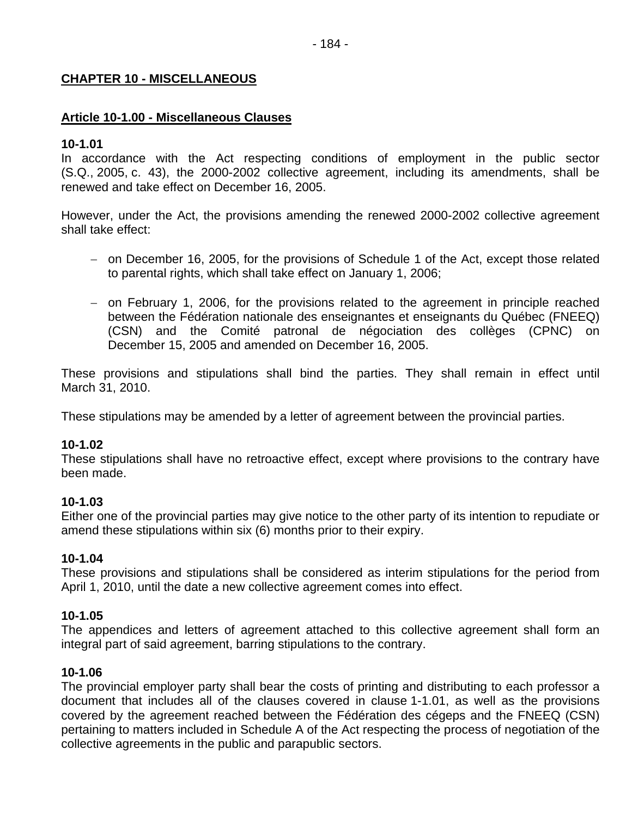#### **CHAPTER 10 - MISCELLANEOUS**

#### **Article 10-1.00 - Miscellaneous Clauses**

#### **10-1.01**

In accordance with the Act respecting conditions of employment in the public sector (S.Q., 2005, c. 43), the 2000-2002 collective agreement, including its amendments, shall be renewed and take effect on December 16, 2005.

However, under the Act, the provisions amending the renewed 2000-2002 collective agreement shall take effect:

- − on December 16, 2005, for the provisions of Schedule 1 of the Act, except those related to parental rights, which shall take effect on January 1, 2006;
- − on February 1, 2006, for the provisions related to the agreement in principle reached between the Fédération nationale des enseignantes et enseignants du Québec (FNEEQ) (CSN) and the Comité patronal de négociation des collèges (CPNC) on December 15, 2005 and amended on December 16, 2005.

These provisions and stipulations shall bind the parties. They shall remain in effect until March 31, 2010.

These stipulations may be amended by a letter of agreement between the provincial parties.

#### **10-1.02**

These stipulations shall have no retroactive effect, except where provisions to the contrary have been made.

#### **10-1.03**

Either one of the provincial parties may give notice to the other party of its intention to repudiate or amend these stipulations within six (6) months prior to their expiry.

### **10-1.04**

These provisions and stipulations shall be considered as interim stipulations for the period from April 1, 2010, until the date a new collective agreement comes into effect.

#### **10-1.05**

The appendices and letters of agreement attached to this collective agreement shall form an integral part of said agreement, barring stipulations to the contrary.

#### **10-1.06**

The provincial employer party shall bear the costs of printing and distributing to each professor a document that includes all of the clauses covered in clause 1-1.01, as well as the provisions covered by the agreement reached between the Fédération des cégeps and the FNEEQ (CSN) pertaining to matters included in Schedule A of the Act respecting the process of negotiation of the collective agreements in the public and parapublic sectors.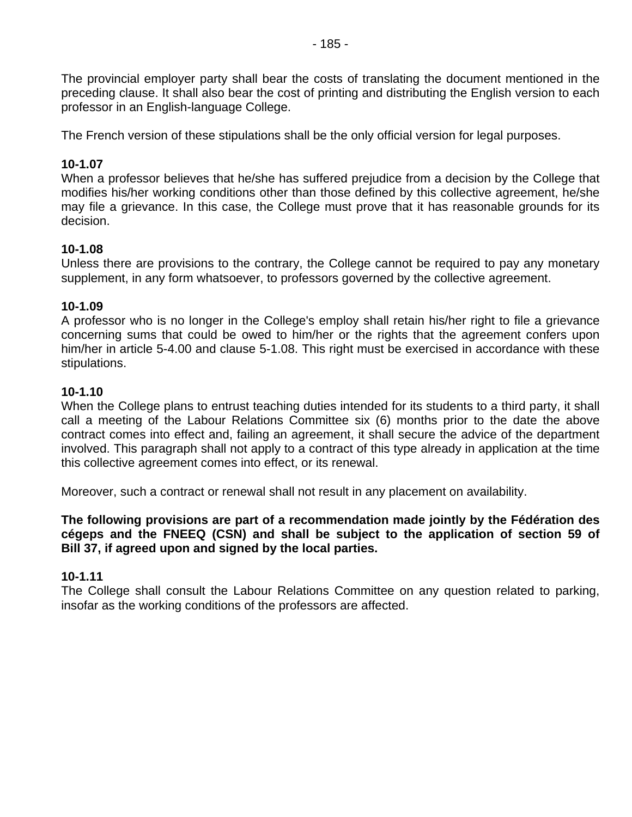The provincial employer party shall bear the costs of translating the document mentioned in the preceding clause. It shall also bear the cost of printing and distributing the English version to each professor in an English-language College.

The French version of these stipulations shall be the only official version for legal purposes.

## **10-1.07**

When a professor believes that he/she has suffered prejudice from a decision by the College that modifies his/her working conditions other than those defined by this collective agreement, he/she may file a grievance. In this case, the College must prove that it has reasonable grounds for its decision.

#### **10-1.08**

Unless there are provisions to the contrary, the College cannot be required to pay any monetary supplement, in any form whatsoever, to professors governed by the collective agreement.

#### **10-1.09**

A professor who is no longer in the College's employ shall retain his/her right to file a grievance concerning sums that could be owed to him/her or the rights that the agreement confers upon him/her in article 5-4.00 and clause 5-1.08. This right must be exercised in accordance with these stipulations.

#### **10-1.10**

When the College plans to entrust teaching duties intended for its students to a third party, it shall call a meeting of the Labour Relations Committee six (6) months prior to the date the above contract comes into effect and, failing an agreement, it shall secure the advice of the department involved. This paragraph shall not apply to a contract of this type already in application at the time this collective agreement comes into effect, or its renewal.

Moreover, such a contract or renewal shall not result in any placement on availability.

**The following provisions are part of a recommendation made jointly by the Fédération des cégeps and the FNEEQ (CSN) and shall be subject to the application of section 59 of Bill 37, if agreed upon and signed by the local parties.** 

#### **10-1.11**

The College shall consult the Labour Relations Committee on any question related to parking, insofar as the working conditions of the professors are affected.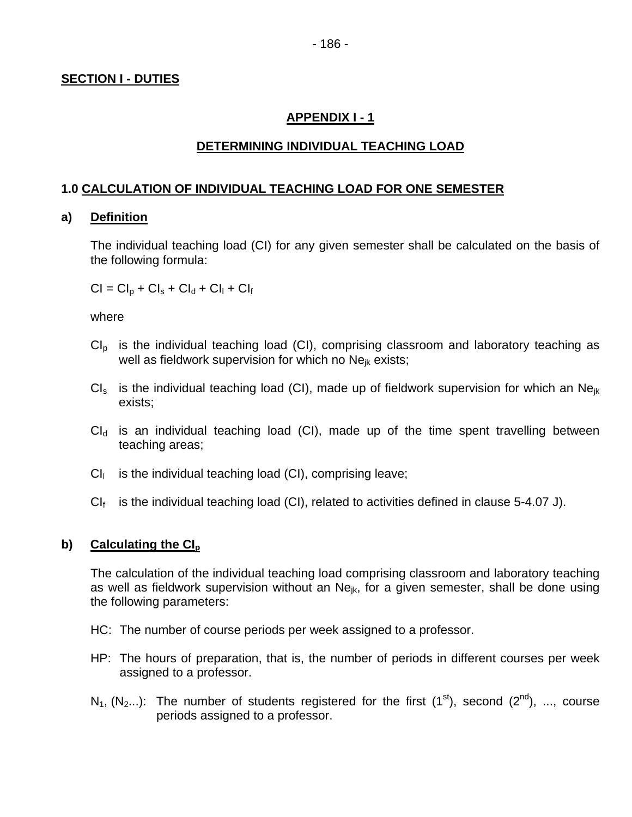## **SECTION I - DUTIES**

## **APPENDIX I - 1**

### **DETERMINING INDIVIDUAL TEACHING LOAD**

## **1.0 CALCULATION OF INDIVIDUAL TEACHING LOAD FOR ONE SEMESTER**

#### **a) Definition**

The individual teaching load (CI) for any given semester shall be calculated on the basis of the following formula:

 $Cl = Cl<sub>0</sub> + Cl<sub>s</sub> + Cl<sub>d</sub> + Cl<sub>1</sub> + Cl<sub>f</sub>$ 

where

- $Cl<sub>p</sub>$  is the individual teaching load (CI), comprising classroom and laboratory teaching as well as fieldwork supervision for which no Ne<sub>jk</sub> exists;
- $CI_s$  is the individual teaching load (CI), made up of fieldwork supervision for which an Ne<sub>ik</sub> exists;
- $Cl<sub>d</sub>$  is an individual teaching load (CI), made up of the time spent travelling between teaching areas;
- $Cl<sub>l</sub>$  is the individual teaching load (CI), comprising leave;
- $Cl_f$  is the individual teaching load (CI), related to activities defined in clause 5-4.07 J).

#### **b)** Calculating the CI<sub>p</sub>

The calculation of the individual teaching load comprising classroom and laboratory teaching as well as fieldwork supervision without an  $Ne_{ik}$ , for a given semester, shall be done using the following parameters:

- HC: The number of course periods per week assigned to a professor.
- HP: The hours of preparation, that is, the number of periods in different courses per week assigned to a professor.
- $N_1$ ,  $(N_2...)$ : The number of students registered for the first  $(1<sup>st</sup>)$ , second  $(2<sup>nd</sup>)$ , ..., course periods assigned to a professor.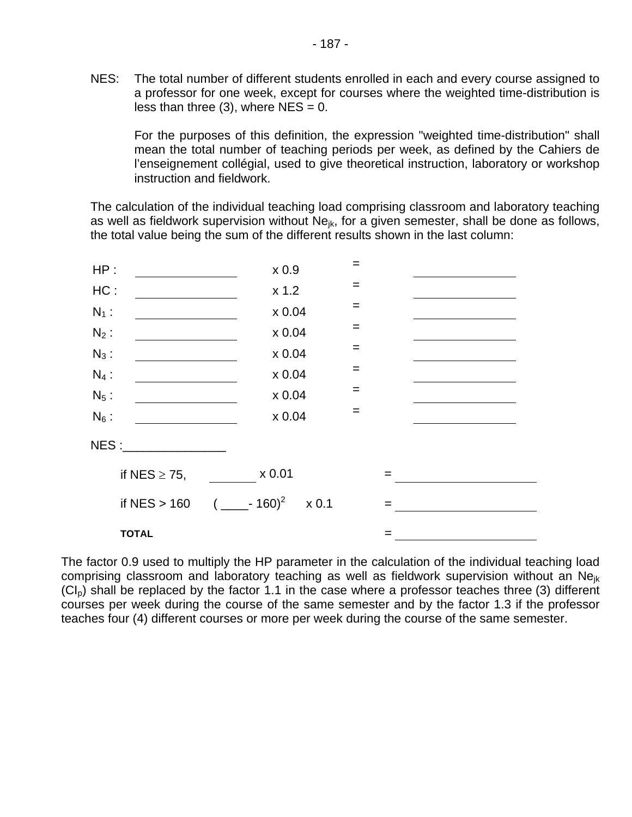NES: The total number of different students enrolled in each and every course assigned to a professor for one week, except for courses where the weighted time-distribution is less than three (3), where  $NES = 0$ .

For the purposes of this definition, the expression "weighted time-distribution" shall mean the total number of teaching periods per week, as defined by the Cahiers de l'enseignement collégial, used to give theoretical instruction, laboratory or workshop instruction and fieldwork.

The calculation of the individual teaching load comprising classroom and laboratory teaching as well as fieldwork supervision without  $Ne_{ik}$ , for a given semester, shall be done as follows, the total value being the sum of the different results shown in the last column:



The factor 0.9 used to multiply the HP parameter in the calculation of the individual teaching load comprising classroom and laboratory teaching as well as fieldwork supervision without an Nejk  $(Cl<sub>p</sub>)$  shall be replaced by the factor 1.1 in the case where a professor teaches three (3) different courses per week during the course of the same semester and by the factor 1.3 if the professor teaches four (4) different courses or more per week during the course of the same semester.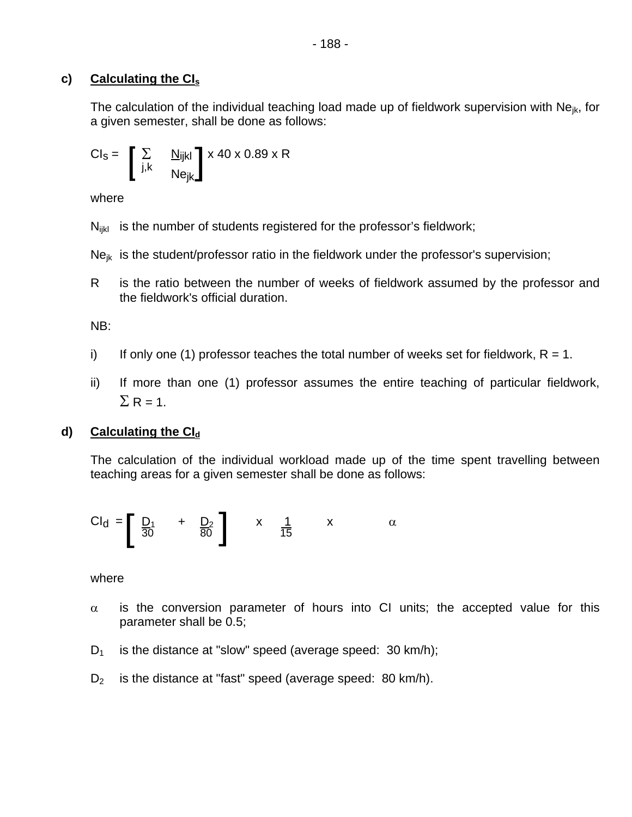## **c) Calculating the CIs**

The calculation of the individual teaching load made up of fieldwork supervision with  $Ne_{ik}$ , for a given semester, shall be done as follows:

$$
CI_{S} = \begin{bmatrix} \sum_{j,k} & \underline{N}_{ijkl} \\ i, k & Ne_{jk} \end{bmatrix} \times 40 \times 0.89 \times R
$$

where

 $N_{ijkl}$  is the number of students registered for the professor's fieldwork;

 $Ne_{ik}$  is the student/professor ratio in the fieldwork under the professor's supervision;

R is the ratio between the number of weeks of fieldwork assumed by the professor and the fieldwork's official duration.

NB:

- i) If only one (1) professor teaches the total number of weeks set for fieldwork,  $R = 1$ .
- ii) If more than one (1) professor assumes the entire teaching of particular fieldwork,  $\Sigma$  R = 1.

## **d)** Calculating the Cl<sub>d</sub>

The calculation of the individual workload made up of the time spent travelling between teaching areas for a given semester shall be done as follows:

$$
Cl_d = \left[\begin{array}{ccc} D_1 & + & D_2 \\ \frac{30}{50} & 0 & \frac{1}{15} \end{array}\right] \qquad \begin{array}{c} x & \frac{1}{15} & x \end{array} \qquad \alpha
$$

where

- $\alpha$  is the conversion parameter of hours into CI units; the accepted value for this parameter shall be 0.5;
- $D_1$  is the distance at "slow" speed (average speed: 30 km/h);
- $D_2$  is the distance at "fast" speed (average speed: 80 km/h).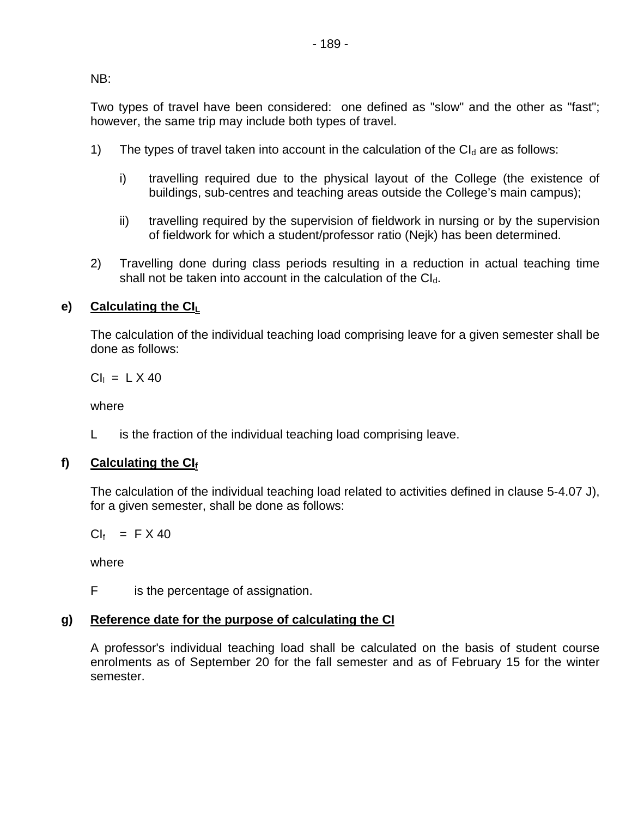NB:

Two types of travel have been considered: one defined as "slow" and the other as "fast"; however, the same trip may include both types of travel.

- 1) The types of travel taken into account in the calculation of the  $Cl<sub>d</sub>$  are as follows:
	- i) travelling required due to the physical layout of the College (the existence of buildings, sub-centres and teaching areas outside the College's main campus);
	- ii) travelling required by the supervision of fieldwork in nursing or by the supervision of fieldwork for which a student/professor ratio (Nejk) has been determined.
- 2) Travelling done during class periods resulting in a reduction in actual teaching time shall not be taken into account in the calculation of the  $Cl<sub>d</sub>$ .

# **e) Calculating the CIL**

The calculation of the individual teaching load comprising leave for a given semester shall be done as follows:

 $Cl<sub>1</sub> = L \times 40$ 

where

L is the fraction of the individual teaching load comprising leave.

# f) Calculating the CIf

The calculation of the individual teaching load related to activities defined in clause 5-4.07 J), for a given semester, shall be done as follows:

 $Cl_f$  = F X 40

where

F is the percentage of assignation.

# **g) Reference date for the purpose of calculating the CI**

A professor's individual teaching load shall be calculated on the basis of student course enrolments as of September 20 for the fall semester and as of February 15 for the winter semester.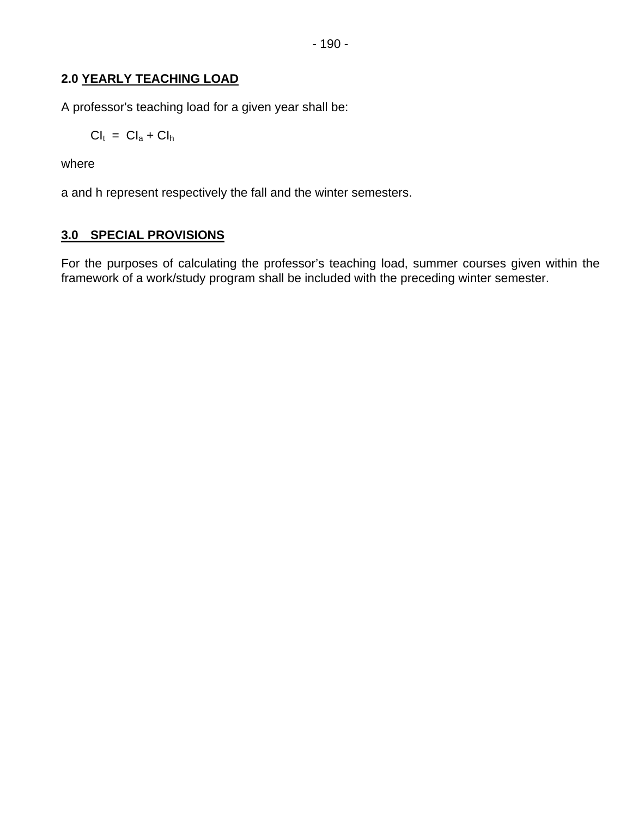# **2.0 YEARLY TEACHING LOAD**

A professor's teaching load for a given year shall be:

$$
Cl_t = Cl_a + Cl_h
$$

where

a and h represent respectively the fall and the winter semesters.

# **3.0 SPECIAL PROVISIONS**

For the purposes of calculating the professor's teaching load, summer courses given within the framework of a work/study program shall be included with the preceding winter semester.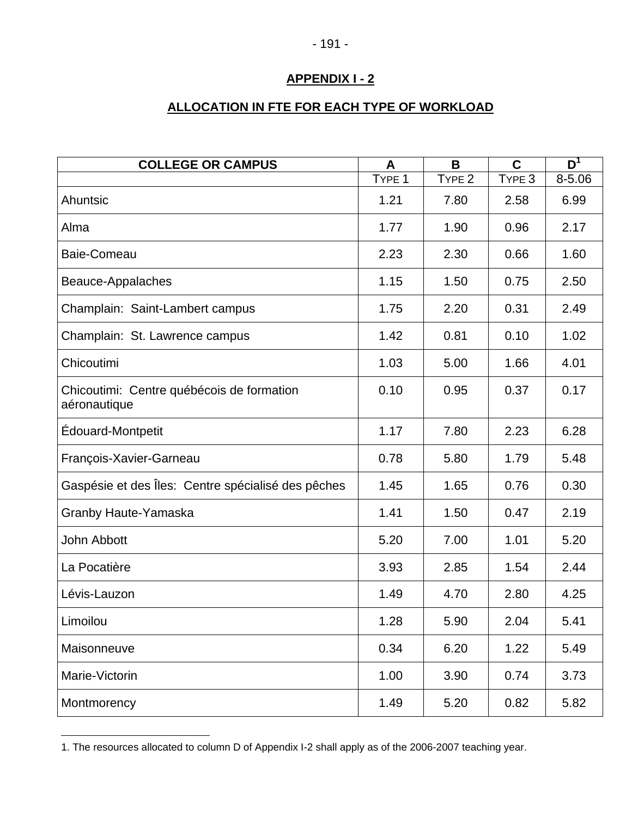# **ALLOCATION IN FTE FOR EACH TYPE OF WORKLOAD**

| <b>COLLEGE OR CAMPUS</b>                                  | A                 | B                 | $\mathbf C$       | $\overline{D}^1$ |
|-----------------------------------------------------------|-------------------|-------------------|-------------------|------------------|
|                                                           | TYPE <sub>1</sub> | TYPE <sub>2</sub> | TYPE <sub>3</sub> | $8 - 5.06$       |
| Ahuntsic                                                  | 1.21              | 7.80              | 2.58              | 6.99             |
| Alma                                                      | 1.77              | 1.90              | 0.96              | 2.17             |
| Baie-Comeau                                               | 2.23              | 2.30              | 0.66              | 1.60             |
| Beauce-Appalaches                                         | 1.15              | 1.50              | 0.75              | 2.50             |
| Champlain: Saint-Lambert campus                           | 1.75              | 2.20              | 0.31              | 2.49             |
| Champlain: St. Lawrence campus                            | 1.42              | 0.81              | 0.10              | 1.02             |
| Chicoutimi                                                | 1.03              | 5.00              | 1.66              | 4.01             |
| Chicoutimi: Centre québécois de formation<br>aéronautique | 0.10              | 0.95              | 0.37              | 0.17             |
| Édouard-Montpetit                                         | 1.17              | 7.80              | 2.23              | 6.28             |
| François-Xavier-Garneau                                   | 0.78              | 5.80              | 1.79              | 5.48             |
| Gaspésie et des Îles: Centre spécialisé des pêches        | 1.45              | 1.65              | 0.76              | 0.30             |
| Granby Haute-Yamaska                                      | 1.41              | 1.50              | 0.47              | 2.19             |
| John Abbott                                               | 5.20              | 7.00              | 1.01              | 5.20             |
| La Pocatière                                              | 3.93              | 2.85              | 1.54              | 2.44             |
| Lévis-Lauzon                                              | 1.49              | 4.70              | 2.80              | 4.25             |
| Limoilou                                                  | 1.28              | 5.90              | 2.04              | 5.41             |
| Maisonneuve                                               | 0.34              | 6.20              | 1.22              | 5.49             |
| Marie-Victorin                                            | 1.00              | 3.90              | 0.74              | 3.73             |
| Montmorency                                               | 1.49              | 5.20              | 0.82              | 5.82             |

<sup>1.</sup> The resources allocated to column D of Appendix I-2 shall apply as of the 2006-2007 teaching year.

 $\overline{a}$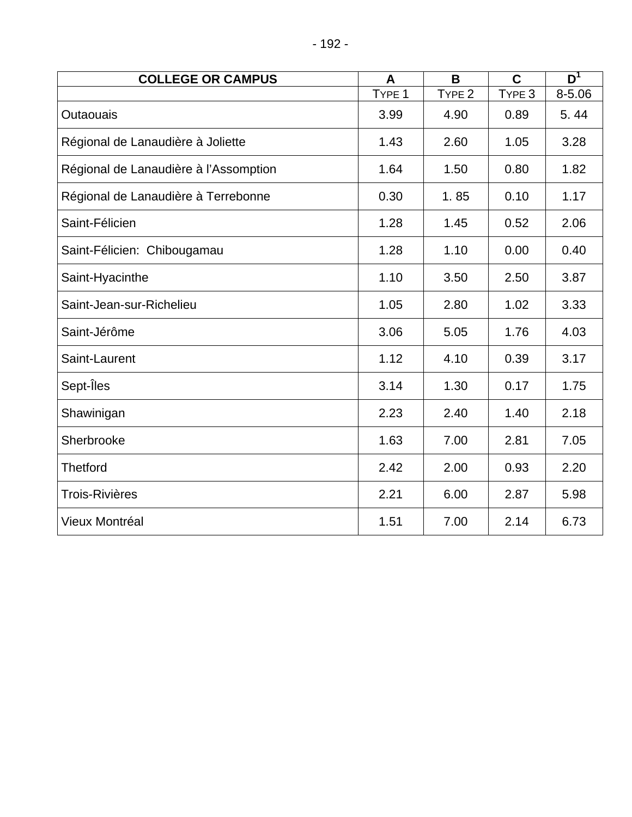| <b>COLLEGE OR CAMPUS</b>              | A                 | B                 | $\mathbf C$ | $\overline{\mathsf{D}}^1$ |
|---------------------------------------|-------------------|-------------------|-------------|---------------------------|
|                                       | TYPE <sub>1</sub> | TYPE <sub>2</sub> | TYPE 3      | 8-5.06                    |
| Outaouais                             | 3.99              | 4.90              | 0.89        | 5.44                      |
| Régional de Lanaudière à Joliette     | 1.43              | 2.60              | 1.05        | 3.28                      |
| Régional de Lanaudière à l'Assomption | 1.64              | 1.50              | 0.80        | 1.82                      |
| Régional de Lanaudière à Terrebonne   | 0.30              | 1.85              | 0.10        | 1.17                      |
| Saint-Félicien                        | 1.28              | 1.45              | 0.52        | 2.06                      |
| Saint-Félicien: Chibougamau           | 1.28              | 1.10              | 0.00        | 0.40                      |
| Saint-Hyacinthe                       | 1.10              | 3.50              | 2.50        | 3.87                      |
| Saint-Jean-sur-Richelieu              | 1.05              | 2.80              | 1.02        | 3.33                      |
| Saint-Jérôme                          | 3.06              | 5.05              | 1.76        | 4.03                      |
| Saint-Laurent                         | 1.12              | 4.10              | 0.39        | 3.17                      |
| Sept-Iles                             | 3.14              | 1.30              | 0.17        | 1.75                      |
| Shawinigan                            | 2.23              | 2.40              | 1.40        | 2.18                      |
| Sherbrooke                            | 1.63              | 7.00              | 2.81        | 7.05                      |
| <b>Thetford</b>                       | 2.42              | 2.00              | 0.93        | 2.20                      |
| <b>Trois-Rivières</b>                 | 2.21              | 6.00              | 2.87        | 5.98                      |
| Vieux Montréal                        | 1.51              | 7.00              | 2.14        | 6.73                      |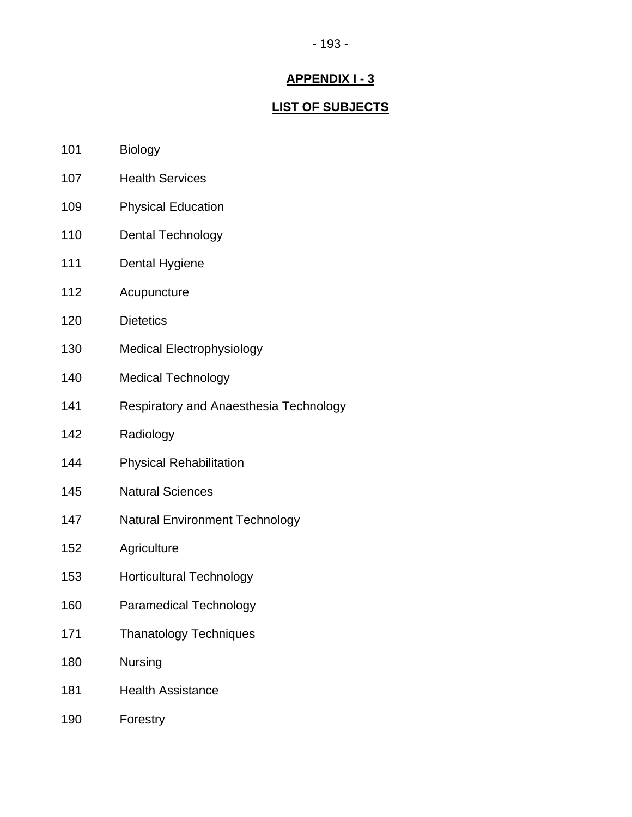#### - 193 -

## **APPENDIX I - 3**

### **LIST OF SUBJECTS**

- 101 Biology
- 107 Health Services
- 109 Physical Education
- 110 Dental Technology
- 111 Dental Hygiene
- 112 Acupuncture
- 120 Dietetics
- 130 Medical Electrophysiology
- 140 Medical Technology
- 141 Respiratory and Anaesthesia Technology
- 142 Radiology
- 144 Physical Rehabilitation
- 145 Natural Sciences
- 147 Natural Environment Technology
- 152 Agriculture
- 153 Horticultural Technology
- 160 Paramedical Technology
- 171 Thanatology Techniques
- 180 Nursing
- 181 Health Assistance
- 190 Forestry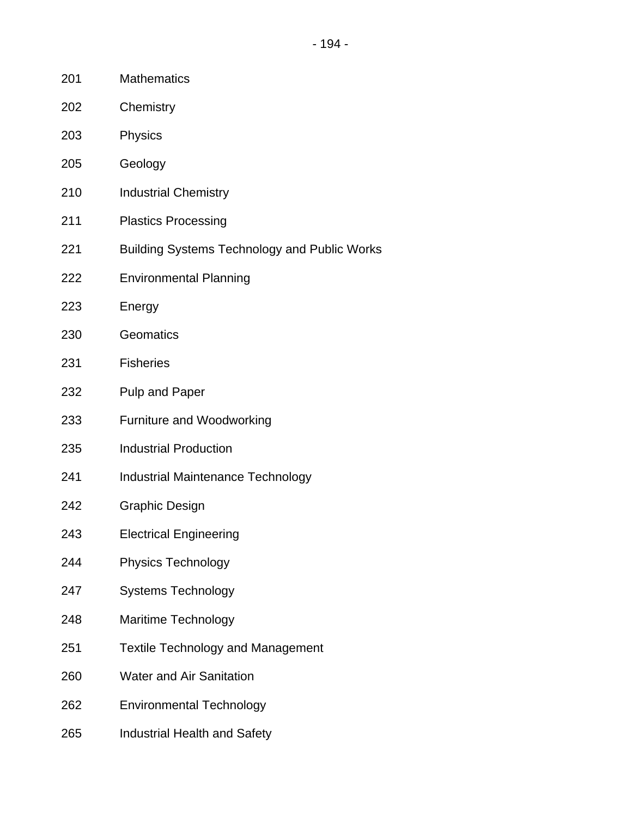- 201 Mathematics
- 202 Chemistry
- 203 Physics
- 205 Geology
- 210 Industrial Chemistry
- 211 Plastics Processing
- 221 Building Systems Technology and Public Works
- 222 Environmental Planning
- 223 Energy
- 230 Geomatics
- 231 Fisheries
- 232 Pulp and Paper
- 233 Furniture and Woodworking
- 235 Industrial Production
- 241 Industrial Maintenance Technology
- 242 Graphic Design
- 243 Electrical Engineering
- 244 Physics Technology
- 247 Systems Technology
- 248 Maritime Technology
- 251 Textile Technology and Management
- 260 Water and Air Sanitation
- 262 Environmental Technology
- 265 Industrial Health and Safety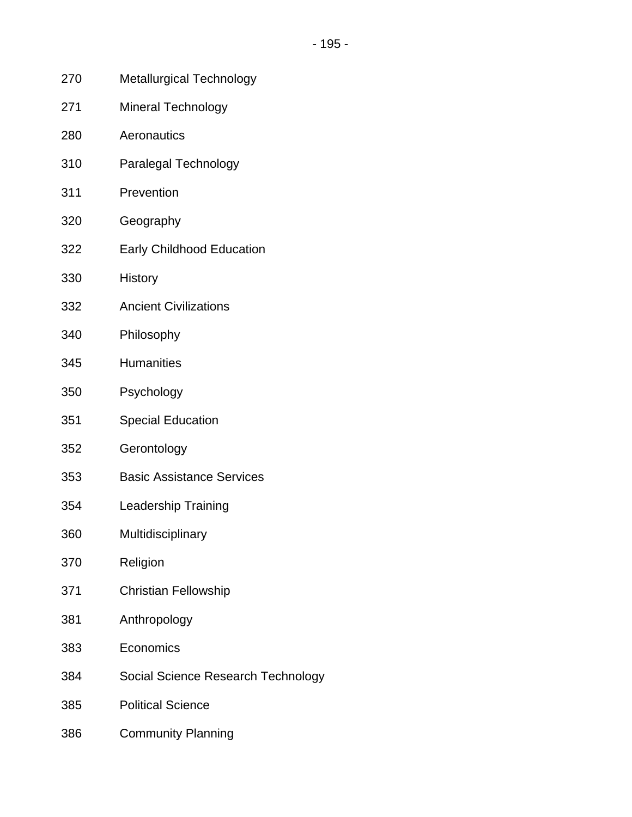- 270 Metallurgical Technology
- 271 Mineral Technology
- 280 Aeronautics
- 310 Paralegal Technology
- 311 Prevention
- 320 Geography
- 322 Early Childhood Education
- 330 History
- 332 Ancient Civilizations
- 340 Philosophy
- 345 Humanities
- 350 Psychology
- 351 Special Education
- 352 Gerontology
- 353 Basic Assistance Services
- 354 Leadership Training
- 360 Multidisciplinary
- 370 Religion
- 371 Christian Fellowship
- 381 Anthropology
- 383 Economics
- 384 Social Science Research Technology
- 385 Political Science
- 386 Community Planning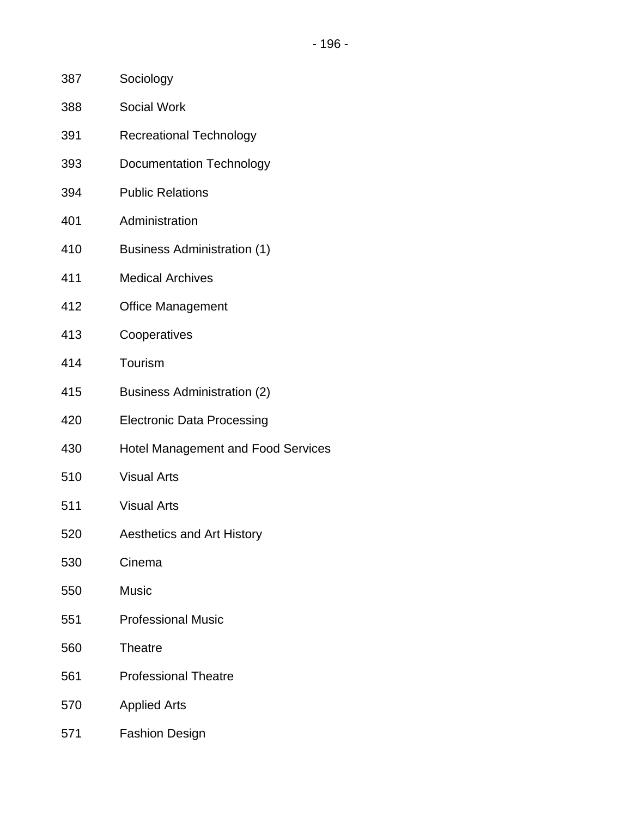- 387 Sociology
- 388 Social Work
- 391 Recreational Technology
- 393 Documentation Technology
- 394 Public Relations
- 401 Administration
- 410 Business Administration (1)
- 411 Medical Archives
- 412 Office Management
- 413 Cooperatives
- 414 Tourism
- 415 Business Administration (2)
- 420 Electronic Data Processing
- 430 Hotel Management and Food Services
- 510 Visual Arts
- 511 Visual Arts
- 520 Aesthetics and Art History
- 530 Cinema
- 550 Music
- 551 Professional Music
- 560 Theatre
- 561 Professional Theatre
- 570 Applied Arts
- 571 Fashion Design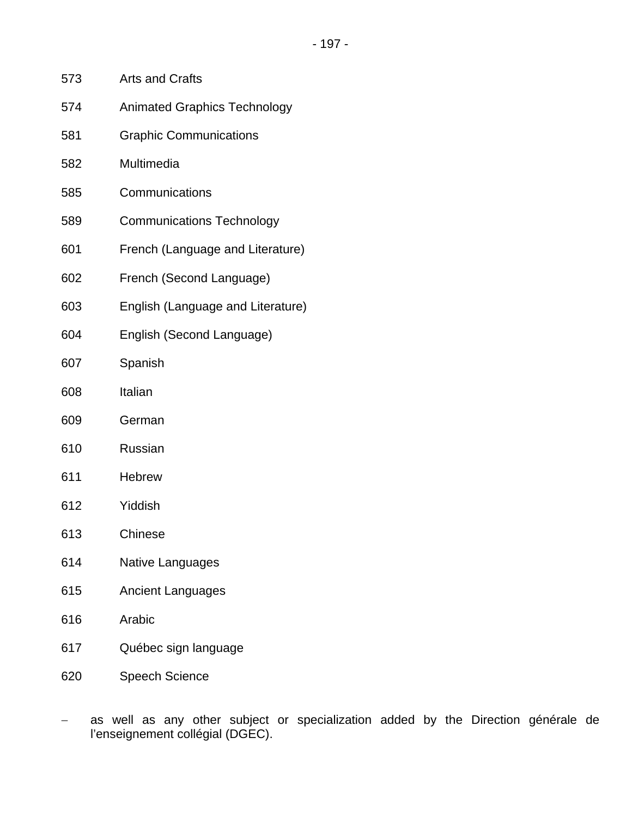- 573 Arts and Crafts
- 574 Animated Graphics Technology
- 581 Graphic Communications
- 582 Multimedia
- 585 Communications
- 589 Communications Technology
- 601 French (Language and Literature)
- 602 French (Second Language)
- 603 English (Language and Literature)
- 604 English (Second Language)
- 607 Spanish
- 608 Italian
- 609 German
- 610 Russian
- 611 Hebrew
- 612 Yiddish
- 613 Chinese
- 614 Native Languages
- 615 Ancient Languages
- 616 Arabic
- 617 Québec sign language
- 620 Speech Science
- as well as any other subject or specialization added by the Direction générale de l'enseignement collégial (DGEC).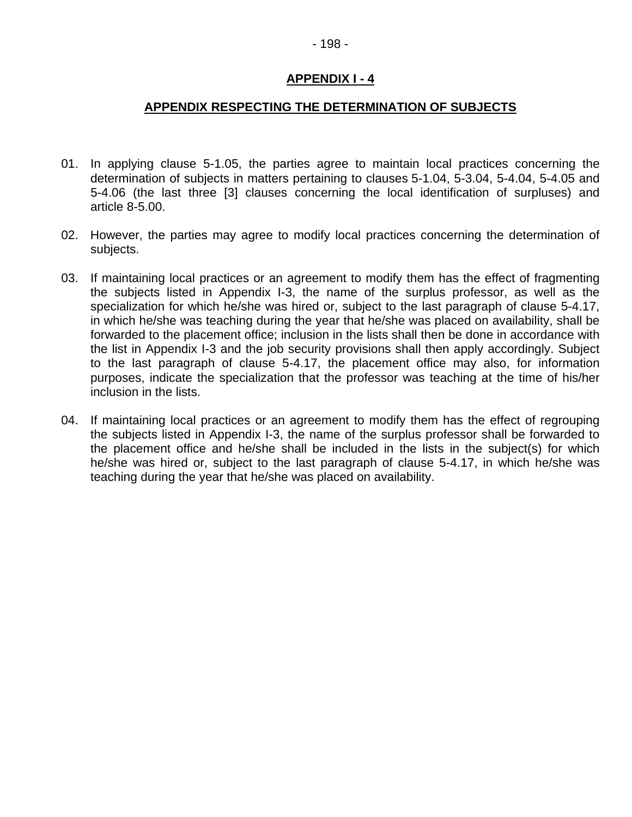#### **APPENDIX RESPECTING THE DETERMINATION OF SUBJECTS**

- 01. In applying clause 5-1.05, the parties agree to maintain local practices concerning the determination of subjects in matters pertaining to clauses 5-1.04, 5-3.04, 5-4.04, 5-4.05 and 5-4.06 (the last three [3] clauses concerning the local identification of surpluses) and article 8-5.00.
- 02. However, the parties may agree to modify local practices concerning the determination of subjects.
- 03. If maintaining local practices or an agreement to modify them has the effect of fragmenting the subjects listed in Appendix I-3, the name of the surplus professor, as well as the specialization for which he/she was hired or, subject to the last paragraph of clause 5-4.17, in which he/she was teaching during the year that he/she was placed on availability, shall be forwarded to the placement office; inclusion in the lists shall then be done in accordance with the list in Appendix I-3 and the job security provisions shall then apply accordingly. Subject to the last paragraph of clause 5-4.17, the placement office may also, for information purposes, indicate the specialization that the professor was teaching at the time of his/her inclusion in the lists.
- 04. If maintaining local practices or an agreement to modify them has the effect of regrouping the subjects listed in Appendix I-3, the name of the surplus professor shall be forwarded to the placement office and he/she shall be included in the lists in the subject(s) for which he/she was hired or, subject to the last paragraph of clause 5-4.17, in which he/she was teaching during the year that he/she was placed on availability.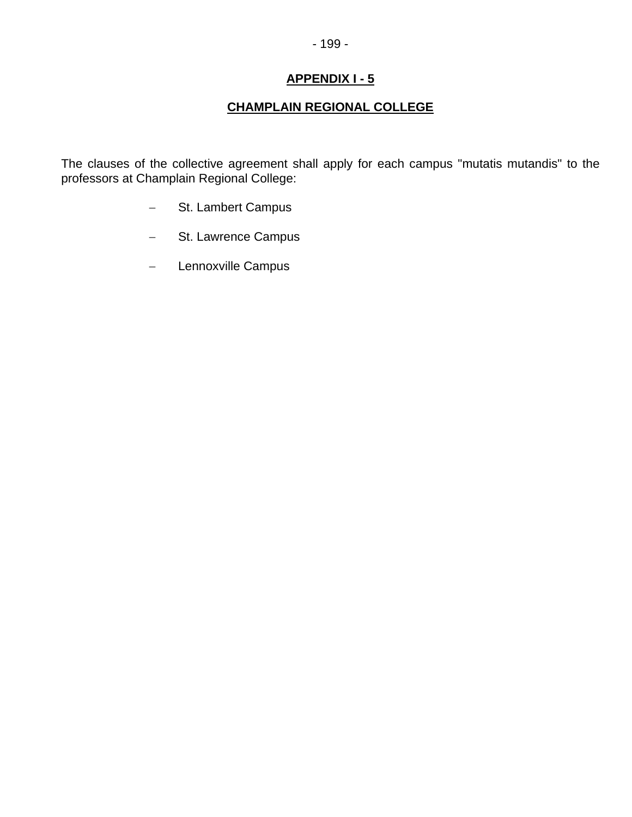# **CHAMPLAIN REGIONAL COLLEGE**

The clauses of the collective agreement shall apply for each campus "mutatis mutandis" to the professors at Champlain Regional College:

- − St. Lambert Campus
- − St. Lawrence Campus
- − Lennoxville Campus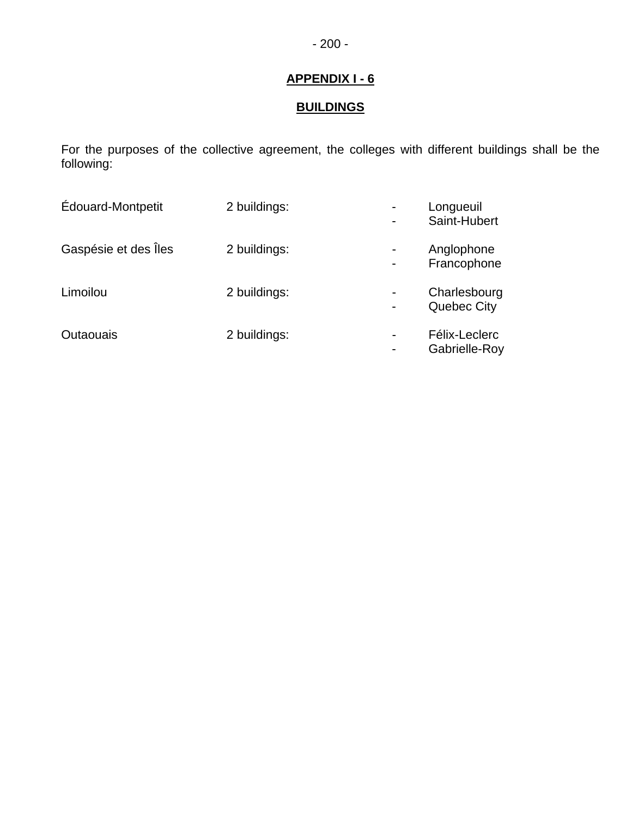# **BUILDINGS**

For the purposes of the collective agreement, the colleges with different buildings shall be the following:

| <b>Edouard-Montpetit</b> | 2 buildings: |                | Longueuil<br>Saint-Hubert      |
|--------------------------|--------------|----------------|--------------------------------|
| Gaspésie et des Îles     | 2 buildings: |                | Anglophone<br>Francophone      |
| Limoilou                 | 2 buildings: | $\blacksquare$ | Charlesbourg<br>Quebec City    |
| <b>Outaouais</b>         | 2 buildings: | $\blacksquare$ | Félix-Leclerc<br>Gabrielle-Roy |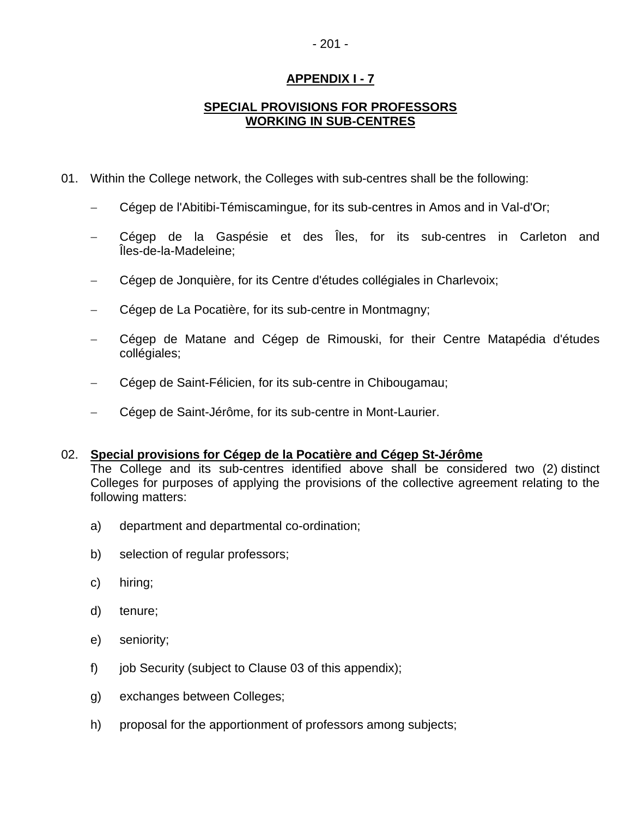# - 201 -

## **APPENDIX I - 7**

### **SPECIAL PROVISIONS FOR PROFESSORS WORKING IN SUB-CENTRES**

- 01. Within the College network, the Colleges with sub-centres shall be the following:
	- − Cégep de l'Abitibi-Témiscamingue, for its sub-centres in Amos and in Val-d'Or;
	- Cégep de la Gaspésie et des Îles, for its sub-centres in Carleton and Îles-de-la-Madeleine;
	- Cégep de Jonquière, for its Centre d'études collégiales in Charlevoix;
	- Cégep de La Pocatière, for its sub-centre in Montmagny;
	- Cégep de Matane and Cégep de Rimouski, for their Centre Matapédia d'études collégiales;
	- − Cégep de Saint-Félicien, for its sub-centre in Chibougamau;
	- Cégep de Saint-Jérôme, for its sub-centre in Mont-Laurier.

#### 02. **Special provisions for Cégep de la Pocatière and Cégep St-Jérôme**

The College and its sub-centres identified above shall be considered two (2) distinct Colleges for purposes of applying the provisions of the collective agreement relating to the following matters:

- a) department and departmental co-ordination;
- b) selection of regular professors;
- c) hiring;
- d) tenure;
- e) seniority;
- f) job Security (subject to Clause 03 of this appendix);
- g) exchanges between Colleges;
- h) proposal for the apportionment of professors among subjects;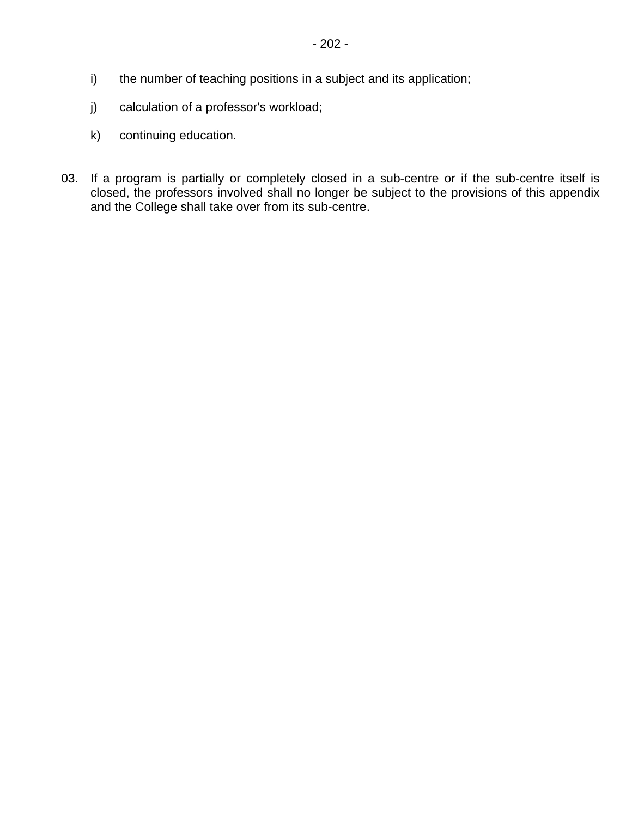- i) the number of teaching positions in a subject and its application;
- j) calculation of a professor's workload;
- k) continuing education.
- 03. If a program is partially or completely closed in a sub-centre or if the sub-centre itself is closed, the professors involved shall no longer be subject to the provisions of this appendix and the College shall take over from its sub-centre.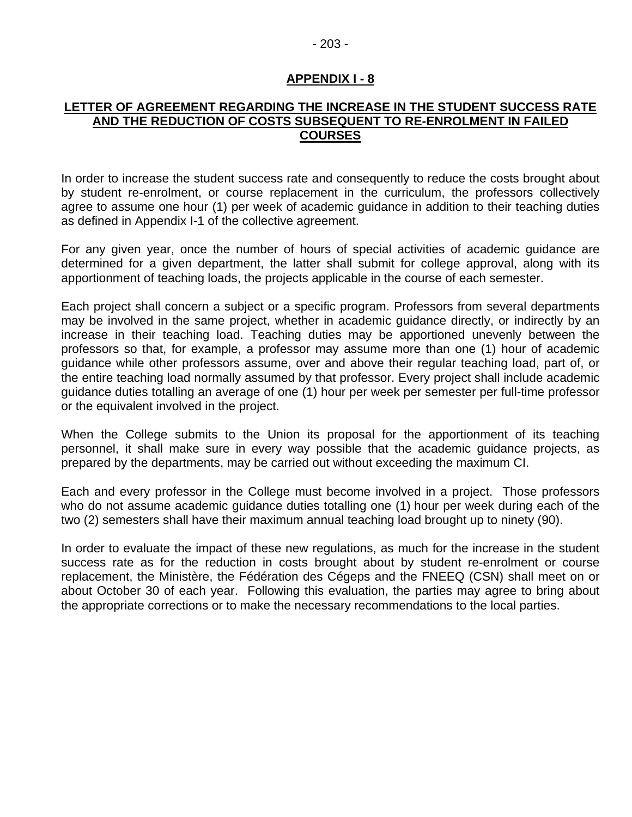#### - 203 -

#### **APPENDIX I - 8**

#### **LETTER OF AGREEMENT REGARDING THE INCREASE IN THE STUDENT SUCCESS RATE AND THE REDUCTION OF COSTS SUBSEQUENT TO RE-ENROLMENT IN FAILED COURSES**

In order to increase the student success rate and consequently to reduce the costs brought about by student re-enrolment, or course replacement in the curriculum, the professors collectively agree to assume one hour (1) per week of academic guidance in addition to their teaching duties as defined in Appendix I-1 of the collective agreement.

For any given year, once the number of hours of special activities of academic guidance are determined for a given department, the latter shall submit for college approval, along with its apportionment of teaching loads, the projects applicable in the course of each semester.

Each project shall concern a subject or a specific program. Professors from several departments may be involved in the same project, whether in academic guidance directly, or indirectly by an increase in their teaching load. Teaching duties may be apportioned unevenly between the professors so that, for example, a professor may assume more than one (1) hour of academic guidance while other professors assume, over and above their regular teaching load, part of, or the entire teaching load normally assumed by that professor. Every project shall include academic guidance duties totalling an average of one (1) hour per week per semester per full-time professor or the equivalent involved in the project.

When the College submits to the Union its proposal for the apportionment of its teaching personnel, it shall make sure in every way possible that the academic guidance projects, as prepared by the departments, may be carried out without exceeding the maximum CI.

Each and every professor in the College must become involved in a project. Those professors who do not assume academic guidance duties totalling one (1) hour per week during each of the two (2) semesters shall have their maximum annual teaching load brought up to ninety (90).

In order to evaluate the impact of these new regulations, as much for the increase in the student success rate as for the reduction in costs brought about by student re-enrolment or course replacement, the Ministère, the Fédération des Cégeps and the FNEEQ (CSN) shall meet on or about October 30 of each year. Following this evaluation, the parties may agree to bring about the appropriate corrections or to make the necessary recommendations to the local parties.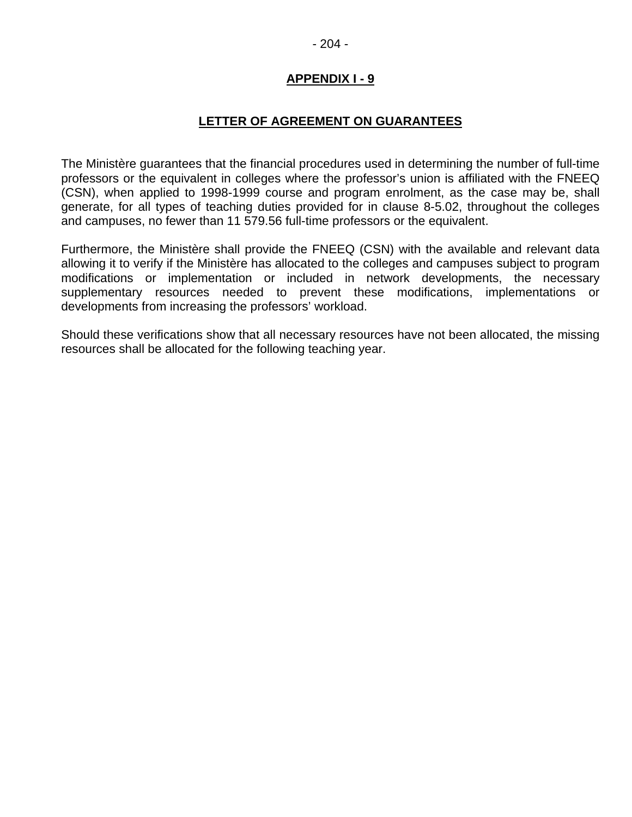#### **LETTER OF AGREEMENT ON GUARANTEES**

The Ministère guarantees that the financial procedures used in determining the number of full-time professors or the equivalent in colleges where the professor's union is affiliated with the FNEEQ (CSN), when applied to 1998-1999 course and program enrolment, as the case may be, shall generate, for all types of teaching duties provided for in clause 8-5.02, throughout the colleges and campuses, no fewer than 11 579.56 full-time professors or the equivalent.

Furthermore, the Ministère shall provide the FNEEQ (CSN) with the available and relevant data allowing it to verify if the Ministère has allocated to the colleges and campuses subject to program modifications or implementation or included in network developments, the necessary supplementary resources needed to prevent these modifications, implementations or developments from increasing the professors' workload.

Should these verifications show that all necessary resources have not been allocated, the missing resources shall be allocated for the following teaching year.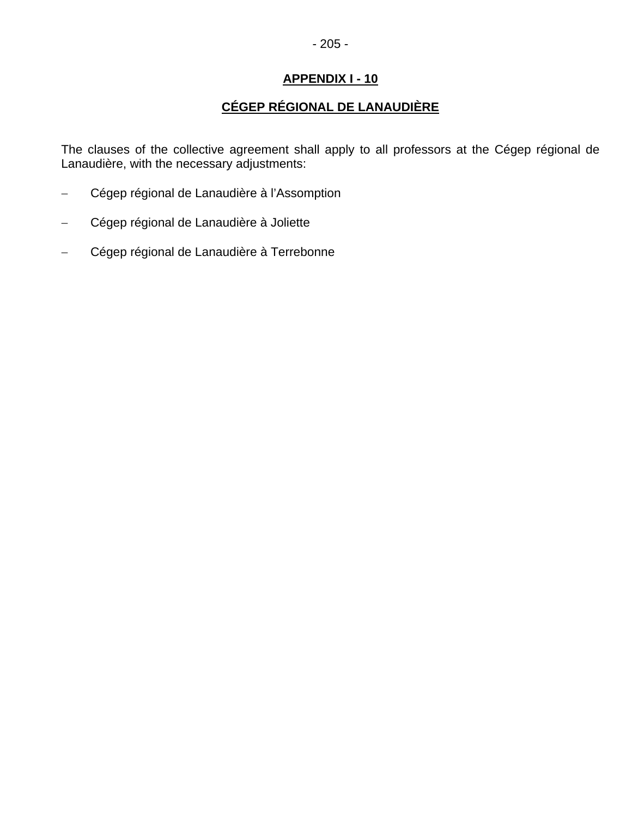# **CÉGEP RÉGIONAL DE LANAUDIÈRE**

The clauses of the collective agreement shall apply to all professors at the Cégep régional de Lanaudière, with the necessary adjustments:

- − Cégep régional de Lanaudière à l'Assomption
- − Cégep régional de Lanaudière à Joliette
- − Cégep régional de Lanaudière à Terrebonne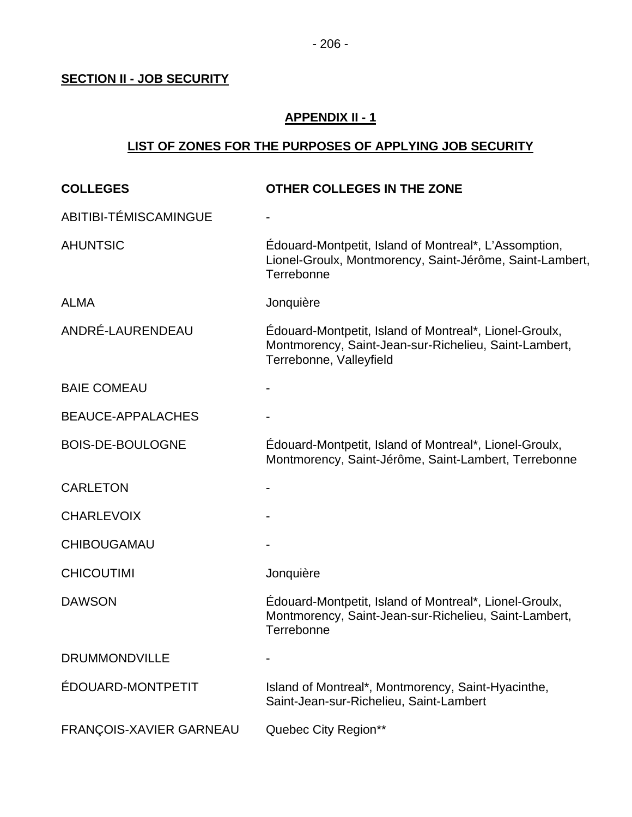# **SECTION II - JOB SECURITY**

### **APPENDIX II - 1**

# **LIST OF ZONES FOR THE PURPOSES OF APPLYING JOB SECURITY**

| <b>COLLEGES</b>          | OTHER COLLEGES IN THE ZONE                                                                                                                 |
|--------------------------|--------------------------------------------------------------------------------------------------------------------------------------------|
| ABITIBI-TÉMISCAMINGUE    |                                                                                                                                            |
| <b>AHUNTSIC</b>          | Édouard-Montpetit, Island of Montreal*, L'Assomption,<br>Lionel-Groulx, Montmorency, Saint-Jérôme, Saint-Lambert,<br>Terrebonne            |
| <b>ALMA</b>              | Jonquière                                                                                                                                  |
| ANDRÉ-LAURENDEAU         | Edouard-Montpetit, Island of Montreal*, Lionel-Groulx,<br>Montmorency, Saint-Jean-sur-Richelieu, Saint-Lambert,<br>Terrebonne, Valleyfield |
| <b>BAIE COMEAU</b>       |                                                                                                                                            |
| <b>BEAUCE-APPALACHES</b> |                                                                                                                                            |
| <b>BOIS-DE-BOULOGNE</b>  | Édouard-Montpetit, Island of Montreal*, Lionel-Groulx,<br>Montmorency, Saint-Jérôme, Saint-Lambert, Terrebonne                             |
| <b>CARLETON</b>          |                                                                                                                                            |
| <b>CHARLEVOIX</b>        |                                                                                                                                            |
| CHIBOUGAMAU              |                                                                                                                                            |
| <b>CHICOUTIMI</b>        | Jonquière                                                                                                                                  |
| <b>DAWSON</b>            | Edouard-Montpetit, Island of Montreal*, Lionel-Groulx,<br>Montmorency, Saint-Jean-sur-Richelieu, Saint-Lambert,<br>Terrebonne              |
| <b>DRUMMONDVILLE</b>     |                                                                                                                                            |
| ÉDOUARD-MONTPETIT        | Island of Montreal*, Montmorency, Saint-Hyacinthe,<br>Saint-Jean-sur-Richelieu, Saint-Lambert                                              |
| FRANÇOIS-XAVIER GARNEAU  | Quebec City Region**                                                                                                                       |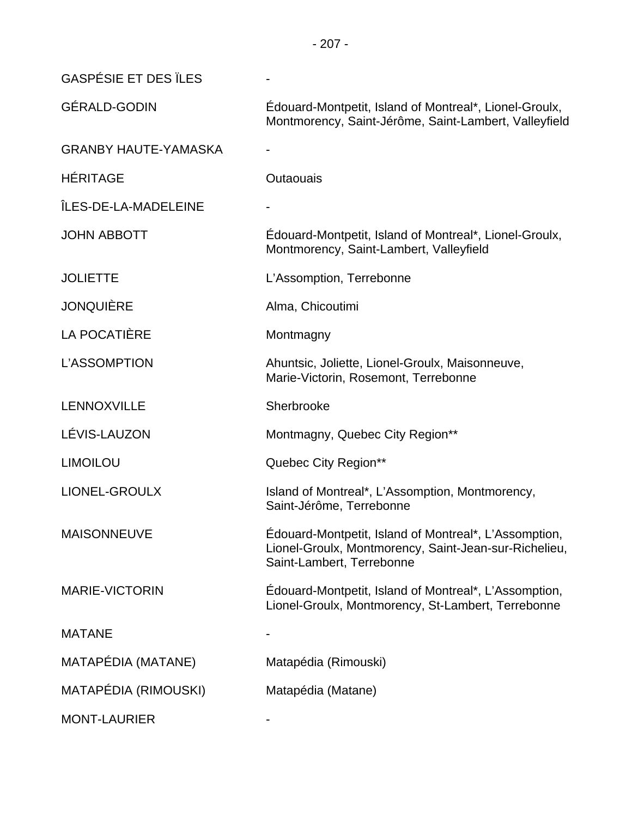| <b>GASPÉSIE ET DES ILES</b> |                                                                                                                                             |
|-----------------------------|---------------------------------------------------------------------------------------------------------------------------------------------|
| <b>GÉRALD-GODIN</b>         | Edouard-Montpetit, Island of Montreal*, Lionel-Groulx,<br>Montmorency, Saint-Jérôme, Saint-Lambert, Valleyfield                             |
| <b>GRANBY HAUTE-YAMASKA</b> |                                                                                                                                             |
| <b>HÉRITAGE</b>             | <b>Outaouais</b>                                                                                                                            |
| ÎLES-DE-LA-MADELEINE        |                                                                                                                                             |
| <b>JOHN ABBOTT</b>          | Edouard-Montpetit, Island of Montreal*, Lionel-Groulx,<br>Montmorency, Saint-Lambert, Valleyfield                                           |
| <b>JOLIETTE</b>             | L'Assomption, Terrebonne                                                                                                                    |
| <b>JONQUIÈRE</b>            | Alma, Chicoutimi                                                                                                                            |
| <b>LA POCATIÈRE</b>         | Montmagny                                                                                                                                   |
| L'ASSOMPTION                | Ahuntsic, Joliette, Lionel-Groulx, Maisonneuve,<br>Marie-Victorin, Rosemont, Terrebonne                                                     |
| LENNOXVILLE                 | Sherbrooke                                                                                                                                  |
| LÉVIS-LAUZON                | Montmagny, Quebec City Region**                                                                                                             |
| <b>LIMOILOU</b>             | Quebec City Region**                                                                                                                        |
| <b>LIONEL-GROULX</b>        | Island of Montreal*, L'Assomption, Montmorency,<br>Saint-Jérôme, Terrebonne                                                                 |
| <b>MAISONNEUVE</b>          | Édouard-Montpetit, Island of Montreal*, L'Assomption,<br>Lionel-Groulx, Montmorency, Saint-Jean-sur-Richelieu,<br>Saint-Lambert, Terrebonne |
| <b>MARIE-VICTORIN</b>       | Edouard-Montpetit, Island of Montreal*, L'Assomption,<br>Lionel-Groulx, Montmorency, St-Lambert, Terrebonne                                 |
| <b>MATANE</b>               |                                                                                                                                             |
| MATAPÉDIA (MATANE)          | Matapédia (Rimouski)                                                                                                                        |
| MATAPÉDIA (RIMOUSKI)        | Matapédia (Matane)                                                                                                                          |
| <b>MONT-LAURIER</b>         |                                                                                                                                             |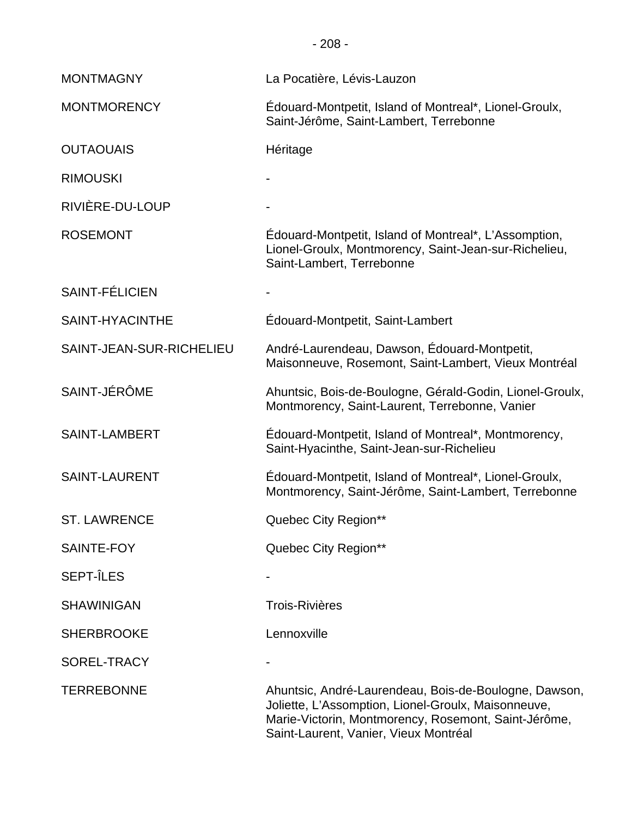- 208 -

| <b>MONTMAGNY</b>         | La Pocatière, Lévis-Lauzon                                                                                                                                                                                    |
|--------------------------|---------------------------------------------------------------------------------------------------------------------------------------------------------------------------------------------------------------|
| <b>MONTMORENCY</b>       | Edouard-Montpetit, Island of Montreal*, Lionel-Groulx,<br>Saint-Jérôme, Saint-Lambert, Terrebonne                                                                                                             |
| <b>OUTAOUAIS</b>         | Héritage                                                                                                                                                                                                      |
| <b>RIMOUSKI</b>          |                                                                                                                                                                                                               |
| RIVIÈRE-DU-LOUP          |                                                                                                                                                                                                               |
| <b>ROSEMONT</b>          | Édouard-Montpetit, Island of Montreal*, L'Assomption,<br>Lionel-Groulx, Montmorency, Saint-Jean-sur-Richelieu,<br>Saint-Lambert, Terrebonne                                                                   |
| SAINT-FÉLICIEN           |                                                                                                                                                                                                               |
| SAINT-HYACINTHE          | Édouard-Montpetit, Saint-Lambert                                                                                                                                                                              |
| SAINT-JEAN-SUR-RICHELIEU | André-Laurendeau, Dawson, Édouard-Montpetit,<br>Maisonneuve, Rosemont, Saint-Lambert, Vieux Montréal                                                                                                          |
| SAINT-JÉRÔME             | Ahuntsic, Bois-de-Boulogne, Gérald-Godin, Lionel-Groulx,<br>Montmorency, Saint-Laurent, Terrebonne, Vanier                                                                                                    |
| <b>SAINT-LAMBERT</b>     | Edouard-Montpetit, Island of Montreal*, Montmorency,<br>Saint-Hyacinthe, Saint-Jean-sur-Richelieu                                                                                                             |
| <b>SAINT-LAURENT</b>     | Édouard-Montpetit, Island of Montreal*, Lionel-Groulx,<br>Montmorency, Saint-Jérôme, Saint-Lambert, Terrebonne                                                                                                |
| <b>ST. LAWRENCE</b>      | Quebec City Region**                                                                                                                                                                                          |
| SAINTE-FOY               | Quebec City Region**                                                                                                                                                                                          |
| <b>SEPT-ÎLES</b>         |                                                                                                                                                                                                               |
| <b>SHAWINIGAN</b>        | <b>Trois-Rivières</b>                                                                                                                                                                                         |
| <b>SHERBROOKE</b>        | Lennoxville                                                                                                                                                                                                   |
| SOREL-TRACY              |                                                                                                                                                                                                               |
| <b>TERREBONNE</b>        | Ahuntsic, André-Laurendeau, Bois-de-Boulogne, Dawson,<br>Joliette, L'Assomption, Lionel-Groulx, Maisonneuve,<br>Marie-Victorin, Montmorency, Rosemont, Saint-Jérôme,<br>Saint-Laurent, Vanier, Vieux Montréal |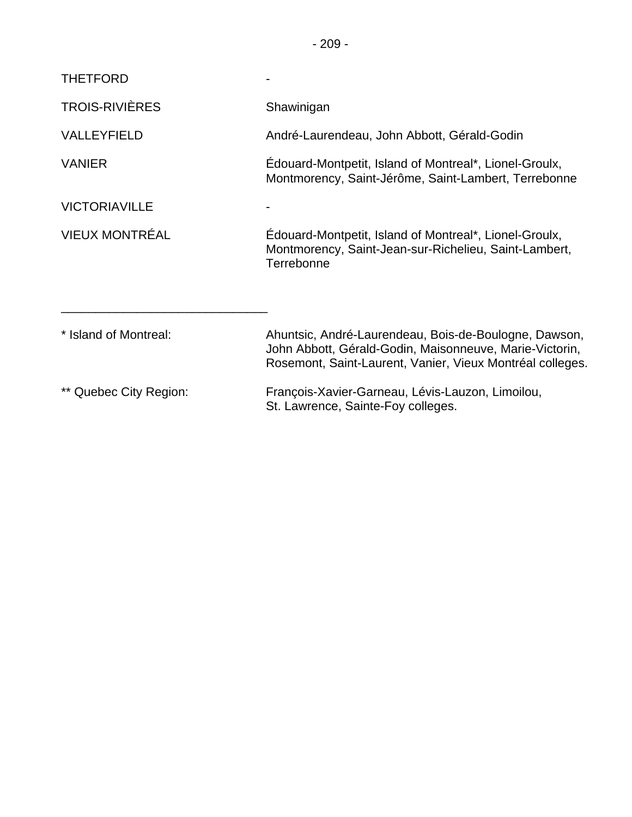| <b>THETFORD</b>        |                                                                                                                                                                               |
|------------------------|-------------------------------------------------------------------------------------------------------------------------------------------------------------------------------|
| <b>TROIS-RIVIÈRES</b>  | Shawinigan                                                                                                                                                                    |
| <b>VALLEYFIELD</b>     | André-Laurendeau, John Abbott, Gérald-Godin                                                                                                                                   |
| <b>VANIER</b>          | Edouard-Montpetit, Island of Montreal*, Lionel-Groulx,<br>Montmorency, Saint-Jérôme, Saint-Lambert, Terrebonne                                                                |
| <b>VICTORIAVILLE</b>   |                                                                                                                                                                               |
| VIEUX MONTRÉAL         | Edouard-Montpetit, Island of Montreal*, Lionel-Groulx,<br>Montmorency, Saint-Jean-sur-Richelieu, Saint-Lambert,<br>Terrebonne                                                 |
| * Island of Montreal:  | Ahuntsic, André-Laurendeau, Bois-de-Boulogne, Dawson,<br>John Abbott, Gérald-Godin, Maisonneuve, Marie-Victorin,<br>Rosemont, Saint-Laurent, Vanier, Vieux Montréal colleges. |
| ** Quebec City Region: | François-Xavier-Garneau, Lévis-Lauzon, Limoilou,<br>St. Lawrence, Sainte-Foy colleges.                                                                                        |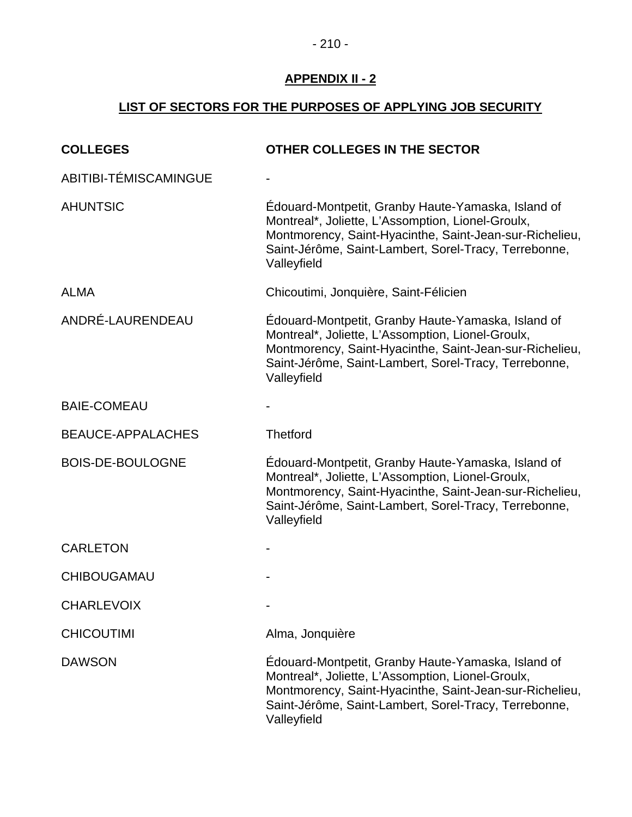# **LIST OF SECTORS FOR THE PURPOSES OF APPLYING JOB SECURITY**

| <b>COLLEGES</b>          | OTHER COLLEGES IN THE SECTOR                                                                                                                                                                                                               |
|--------------------------|--------------------------------------------------------------------------------------------------------------------------------------------------------------------------------------------------------------------------------------------|
| ABITIBI-TÉMISCAMINGUE    |                                                                                                                                                                                                                                            |
| <b>AHUNTSIC</b>          | Édouard-Montpetit, Granby Haute-Yamaska, Island of<br>Montreal*, Joliette, L'Assomption, Lionel-Groulx,<br>Montmorency, Saint-Hyacinthe, Saint-Jean-sur-Richelieu,<br>Saint-Jérôme, Saint-Lambert, Sorel-Tracy, Terrebonne,<br>Valleyfield |
| <b>ALMA</b>              | Chicoutimi, Jonquière, Saint-Félicien                                                                                                                                                                                                      |
| ANDRÉ-LAURENDEAU         | Édouard-Montpetit, Granby Haute-Yamaska, Island of<br>Montreal*, Joliette, L'Assomption, Lionel-Groulx,<br>Montmorency, Saint-Hyacinthe, Saint-Jean-sur-Richelieu,<br>Saint-Jérôme, Saint-Lambert, Sorel-Tracy, Terrebonne,<br>Valleyfield |
| <b>BAIE-COMEAU</b>       |                                                                                                                                                                                                                                            |
| <b>BEAUCE-APPALACHES</b> | <b>Thetford</b>                                                                                                                                                                                                                            |
| <b>BOIS-DE-BOULOGNE</b>  | Édouard-Montpetit, Granby Haute-Yamaska, Island of<br>Montreal*, Joliette, L'Assomption, Lionel-Groulx,<br>Montmorency, Saint-Hyacinthe, Saint-Jean-sur-Richelieu,<br>Saint-Jérôme, Saint-Lambert, Sorel-Tracy, Terrebonne,<br>Valleyfield |
| <b>CARLETON</b>          |                                                                                                                                                                                                                                            |
| <b>CHIBOUGAMAU</b>       |                                                                                                                                                                                                                                            |
| <b>CHARLEVOIX</b>        |                                                                                                                                                                                                                                            |
| <b>CHICOUTIMI</b>        | Alma, Jonquière                                                                                                                                                                                                                            |
| <b>DAWSON</b>            | Édouard-Montpetit, Granby Haute-Yamaska, Island of<br>Montreal*, Joliette, L'Assomption, Lionel-Groulx,<br>Montmorency, Saint-Hyacinthe, Saint-Jean-sur-Richelieu,<br>Saint-Jérôme, Saint-Lambert, Sorel-Tracy, Terrebonne,<br>Valleyfield |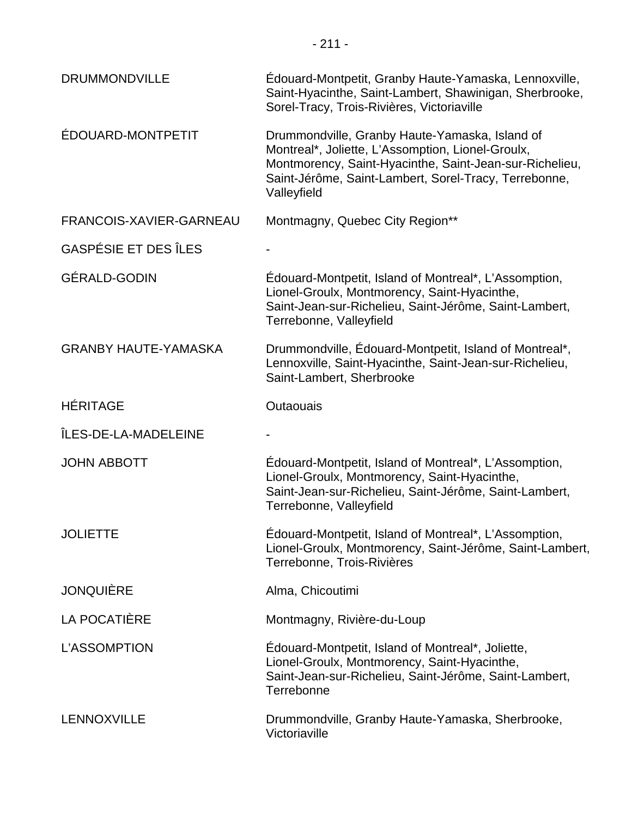| <b>DRUMMONDVILLE</b>        | Edouard-Montpetit, Granby Haute-Yamaska, Lennoxville,<br>Saint-Hyacinthe, Saint-Lambert, Shawinigan, Sherbrooke,<br>Sorel-Tracy, Trois-Rivières, Victoriaville                                                                         |
|-----------------------------|----------------------------------------------------------------------------------------------------------------------------------------------------------------------------------------------------------------------------------------|
| ÉDOUARD-MONTPETIT           | Drummondville, Granby Haute-Yamaska, Island of<br>Montreal*, Joliette, L'Assomption, Lionel-Groulx,<br>Montmorency, Saint-Hyacinthe, Saint-Jean-sur-Richelieu,<br>Saint-Jérôme, Saint-Lambert, Sorel-Tracy, Terrebonne,<br>Valleyfield |
| FRANCOIS-XAVIER-GARNEAU     | Montmagny, Quebec City Region**                                                                                                                                                                                                        |
| <b>GASPÉSIE ET DES ÎLES</b> |                                                                                                                                                                                                                                        |
| <b>GÉRALD-GODIN</b>         | Édouard-Montpetit, Island of Montreal*, L'Assomption,<br>Lionel-Groulx, Montmorency, Saint-Hyacinthe,<br>Saint-Jean-sur-Richelieu, Saint-Jérôme, Saint-Lambert,<br>Terrebonne, Valleyfield                                             |
| <b>GRANBY HAUTE-YAMASKA</b> | Drummondville, Édouard-Montpetit, Island of Montreal*,<br>Lennoxville, Saint-Hyacinthe, Saint-Jean-sur-Richelieu,<br>Saint-Lambert, Sherbrooke                                                                                         |
| <b>HÉRITAGE</b>             | Outaouais                                                                                                                                                                                                                              |
| ÎLES-DE-LA-MADELEINE        |                                                                                                                                                                                                                                        |
| <b>JOHN ABBOTT</b>          | Edouard-Montpetit, Island of Montreal*, L'Assomption,<br>Lionel-Groulx, Montmorency, Saint-Hyacinthe,<br>Saint-Jean-sur-Richelieu, Saint-Jérôme, Saint-Lambert,<br>Terrebonne, Valleyfield                                             |
| <b>JOLIETTE</b>             | Édouard-Montpetit, Island of Montreal*, L'Assomption,<br>Lionel-Groulx, Montmorency, Saint-Jérôme, Saint-Lambert,<br>Terrebonne, Trois-Rivières                                                                                        |
| <b>JONQUIÈRE</b>            | Alma, Chicoutimi                                                                                                                                                                                                                       |
| LA POCATIÈRE                | Montmagny, Rivière-du-Loup                                                                                                                                                                                                             |
| L'ASSOMPTION                | Edouard-Montpetit, Island of Montreal*, Joliette,<br>Lionel-Groulx, Montmorency, Saint-Hyacinthe,<br>Saint-Jean-sur-Richelieu, Saint-Jérôme, Saint-Lambert,<br>Terrebonne                                                              |
| LENNOXVILLE                 | Drummondville, Granby Haute-Yamaska, Sherbrooke,<br>Victoriaville                                                                                                                                                                      |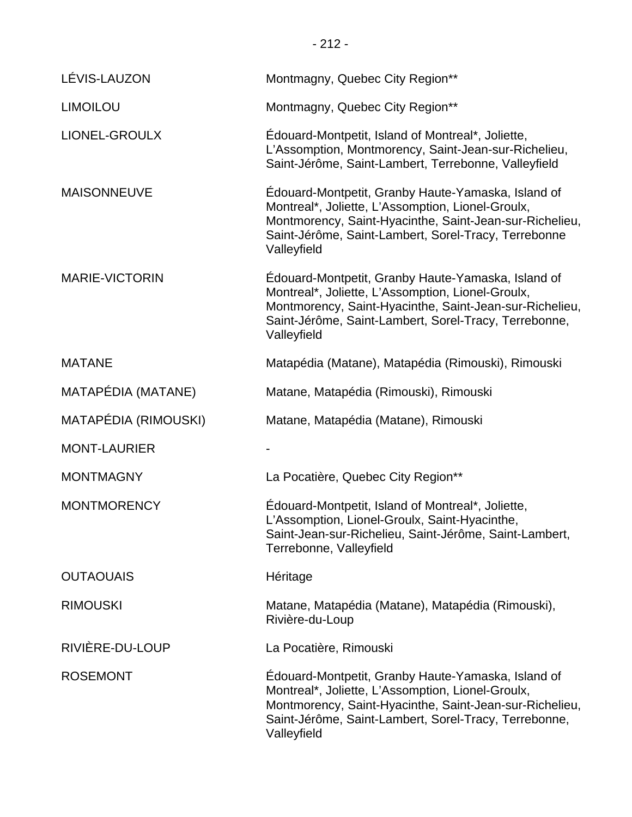| LÉVIS-LAUZON          | Montmagny, Quebec City Region**                                                                                                                                                                                                            |
|-----------------------|--------------------------------------------------------------------------------------------------------------------------------------------------------------------------------------------------------------------------------------------|
| <b>LIMOILOU</b>       | Montmagny, Quebec City Region**                                                                                                                                                                                                            |
| <b>LIONEL-GROULX</b>  | Édouard-Montpetit, Island of Montreal*, Joliette,<br>L'Assomption, Montmorency, Saint-Jean-sur-Richelieu,<br>Saint-Jérôme, Saint-Lambert, Terrebonne, Valleyfield                                                                          |
| <b>MAISONNEUVE</b>    | Édouard-Montpetit, Granby Haute-Yamaska, Island of<br>Montreal*, Joliette, L'Assomption, Lionel-Groulx,<br>Montmorency, Saint-Hyacinthe, Saint-Jean-sur-Richelieu,<br>Saint-Jérôme, Saint-Lambert, Sorel-Tracy, Terrebonne<br>Valleyfield  |
| <b>MARIE-VICTORIN</b> | Édouard-Montpetit, Granby Haute-Yamaska, Island of<br>Montreal*, Joliette, L'Assomption, Lionel-Groulx,<br>Montmorency, Saint-Hyacinthe, Saint-Jean-sur-Richelieu,<br>Saint-Jérôme, Saint-Lambert, Sorel-Tracy, Terrebonne,<br>Valleyfield |
| <b>MATANE</b>         | Matapédia (Matane), Matapédia (Rimouski), Rimouski                                                                                                                                                                                         |
| MATAPÉDIA (MATANE)    | Matane, Matapédia (Rimouski), Rimouski                                                                                                                                                                                                     |
| MATAPÉDIA (RIMOUSKI)  | Matane, Matapédia (Matane), Rimouski                                                                                                                                                                                                       |
| <b>MONT-LAURIER</b>   |                                                                                                                                                                                                                                            |
| <b>MONTMAGNY</b>      | La Pocatière, Quebec City Region**                                                                                                                                                                                                         |
| <b>MONTMORENCY</b>    | Édouard-Montpetit, Island of Montreal*, Joliette,<br>L'Assomption, Lionel-Groulx, Saint-Hyacinthe,<br>Saint-Jean-sur-Richelieu, Saint-Jérôme, Saint-Lambert,<br>Terrebonne, Valleyfield                                                    |
| <b>OUTAOUAIS</b>      | Héritage                                                                                                                                                                                                                                   |
| <b>RIMOUSKI</b>       | Matane, Matapédia (Matane), Matapédia (Rimouski),<br>Rivière-du-Loup                                                                                                                                                                       |
| RIVIÈRE-DU-LOUP       | La Pocatière, Rimouski                                                                                                                                                                                                                     |
| <b>ROSEMONT</b>       | Edouard-Montpetit, Granby Haute-Yamaska, Island of<br>Montreal*, Joliette, L'Assomption, Lionel-Groulx,<br>Montmorency, Saint-Hyacinthe, Saint-Jean-sur-Richelieu,<br>Saint-Jérôme, Saint-Lambert, Sorel-Tracy, Terrebonne,<br>Valleyfield |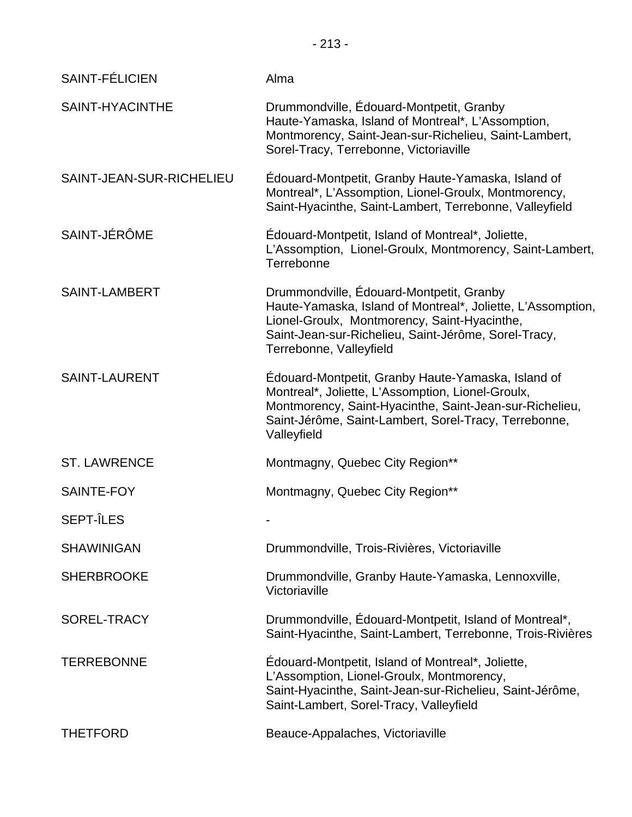- 213 -

| <b>SAINT-FÉLICIEN</b>    | Alma                                                                                                                                                                                                                                       |
|--------------------------|--------------------------------------------------------------------------------------------------------------------------------------------------------------------------------------------------------------------------------------------|
| SAINT-HYACINTHE          | Drummondville, Édouard-Montpetit, Granby<br>Haute-Yamaska, Island of Montreal*, L'Assomption,<br>Montmorency, Saint-Jean-sur-Richelieu, Saint-Lambert,<br>Sorel-Tracy, Terrebonne, Victoriaville                                           |
| SAINT-JEAN-SUR-RICHELIEU | Édouard-Montpetit, Granby Haute-Yamaska, Island of<br>Montreal*, L'Assomption, Lionel-Groulx, Montmorency,<br>Saint-Hyacinthe, Saint-Lambert, Terrebonne, Valleyfield                                                                      |
| SAINT-JÉRÔME             | Edouard-Montpetit, Island of Montreal*, Joliette,<br>L'Assomption, Lionel-Groulx, Montmorency, Saint-Lambert,<br>Terrebonne                                                                                                                |
| <b>SAINT-LAMBERT</b>     | Drummondville, Édouard-Montpetit, Granby<br>Haute-Yamaska, Island of Montreal*, Joliette, L'Assomption,<br>Lionel-Groulx, Montmorency, Saint-Hyacinthe,<br>Saint-Jean-sur-Richelieu, Saint-Jérôme, Sorel-Tracy,<br>Terrebonne, Valleyfield |
| <b>SAINT-LAURENT</b>     | Edouard-Montpetit, Granby Haute-Yamaska, Island of<br>Montreal*, Joliette, L'Assomption, Lionel-Groulx,<br>Montmorency, Saint-Hyacinthe, Saint-Jean-sur-Richelieu,<br>Saint-Jérôme, Saint-Lambert, Sorel-Tracy, Terrebonne,<br>Valleyfield |
| <b>ST. LAWRENCE</b>      | Montmagny, Quebec City Region**                                                                                                                                                                                                            |
| SAINTE-FOY               | Montmagny, Quebec City Region**                                                                                                                                                                                                            |
| <b>SEPT-ÎLES</b>         |                                                                                                                                                                                                                                            |
| <b>SHAWINIGAN</b>        | Drummondville, Trois-Rivières, Victoriaville                                                                                                                                                                                               |
| <b>SHERBROOKE</b>        | Drummondville, Granby Haute-Yamaska, Lennoxville,<br>Victoriaville                                                                                                                                                                         |
| SOREL-TRACY              | Drummondville, Édouard-Montpetit, Island of Montreal*,<br>Saint-Hyacinthe, Saint-Lambert, Terrebonne, Trois-Rivières                                                                                                                       |
| <b>TERREBONNE</b>        | Édouard-Montpetit, Island of Montreal*, Joliette,<br>L'Assomption, Lionel-Groulx, Montmorency,<br>Saint-Hyacinthe, Saint-Jean-sur-Richelieu, Saint-Jérôme,<br>Saint-Lambert, Sorel-Tracy, Valleyfield                                      |
| <b>THETFORD</b>          | Beauce-Appalaches, Victoriaville                                                                                                                                                                                                           |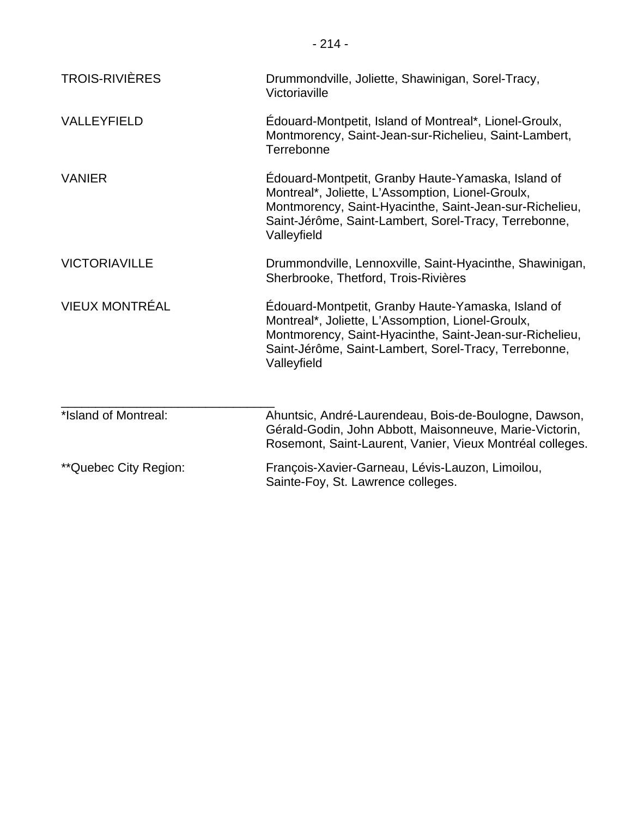| <b>TROIS-RIVIÈRES</b> | Drummondville, Joliette, Shawinigan, Sorel-Tracy,<br>Victoriaville                                                                                                                                                                         |
|-----------------------|--------------------------------------------------------------------------------------------------------------------------------------------------------------------------------------------------------------------------------------------|
| <b>VALLEYFIELD</b>    | Edouard-Montpetit, Island of Montreal*, Lionel-Groulx,<br>Montmorency, Saint-Jean-sur-Richelieu, Saint-Lambert,<br>Terrebonne                                                                                                              |
| <b>VANIER</b>         | Édouard-Montpetit, Granby Haute-Yamaska, Island of<br>Montreal*, Joliette, L'Assomption, Lionel-Groulx,<br>Montmorency, Saint-Hyacinthe, Saint-Jean-sur-Richelieu,<br>Saint-Jérôme, Saint-Lambert, Sorel-Tracy, Terrebonne,<br>Valleyfield |
| <b>VICTORIAVILLE</b>  | Drummondville, Lennoxville, Saint-Hyacinthe, Shawinigan,<br>Sherbrooke, Thetford, Trois-Rivières                                                                                                                                           |
| <b>VIEUX MONTRÉAL</b> | Edouard-Montpetit, Granby Haute-Yamaska, Island of<br>Montreal*, Joliette, L'Assomption, Lionel-Groulx,<br>Montmorency, Saint-Hyacinthe, Saint-Jean-sur-Richelieu,<br>Saint-Jérôme, Saint-Lambert, Sorel-Tracy, Terrebonne,<br>Valleyfield |
| *Island of Montreal:  | Ahuntsic, André-Laurendeau, Bois-de-Boulogne, Dawson,<br>Gérald-Godin, John Abbott, Maisonneuve, Marie-Victorin,<br>Rosemont, Saint-Laurent, Vanier, Vieux Montréal colleges.                                                              |
| **Quebec City Region: | François-Xavier-Garneau, Lévis-Lauzon, Limoilou,<br>Sainte-Foy, St. Lawrence colleges.                                                                                                                                                     |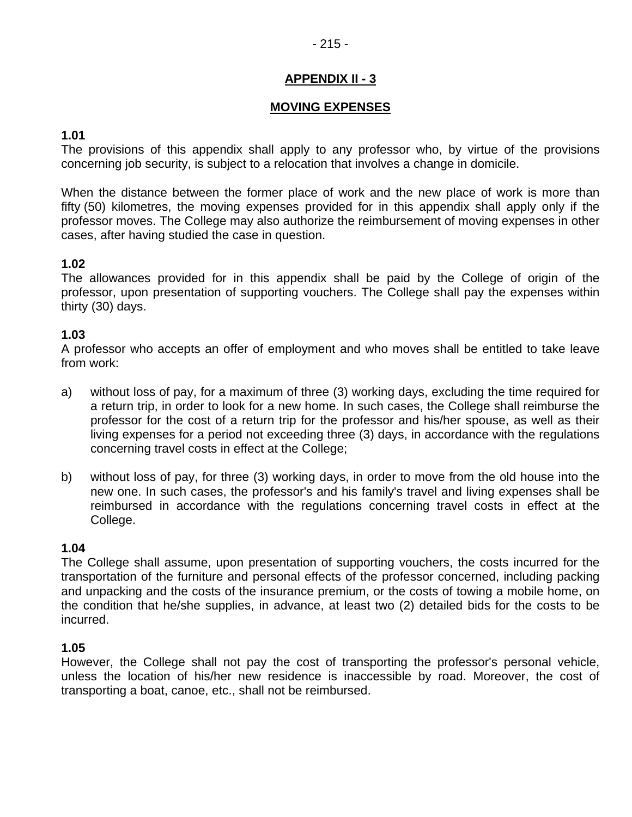# **MOVING EXPENSES**

# **1.01**

The provisions of this appendix shall apply to any professor who, by virtue of the provisions concerning job security, is subject to a relocation that involves a change in domicile.

When the distance between the former place of work and the new place of work is more than fifty (50) kilometres, the moving expenses provided for in this appendix shall apply only if the professor moves. The College may also authorize the reimbursement of moving expenses in other cases, after having studied the case in question.

# **1.02**

The allowances provided for in this appendix shall be paid by the College of origin of the professor, upon presentation of supporting vouchers. The College shall pay the expenses within thirty (30) days.

# **1.03**

A professor who accepts an offer of employment and who moves shall be entitled to take leave from work:

- a) without loss of pay, for a maximum of three (3) working days, excluding the time required for a return trip, in order to look for a new home. In such cases, the College shall reimburse the professor for the cost of a return trip for the professor and his/her spouse, as well as their living expenses for a period not exceeding three (3) days, in accordance with the regulations concerning travel costs in effect at the College;
- b) without loss of pay, for three (3) working days, in order to move from the old house into the new one. In such cases, the professor's and his family's travel and living expenses shall be reimbursed in accordance with the regulations concerning travel costs in effect at the College.

# **1.04**

The College shall assume, upon presentation of supporting vouchers, the costs incurred for the transportation of the furniture and personal effects of the professor concerned, including packing and unpacking and the costs of the insurance premium, or the costs of towing a mobile home, on the condition that he/she supplies, in advance, at least two (2) detailed bids for the costs to be incurred.

#### **1.05**

However, the College shall not pay the cost of transporting the professor's personal vehicle, unless the location of his/her new residence is inaccessible by road. Moreover, the cost of transporting a boat, canoe, etc., shall not be reimbursed.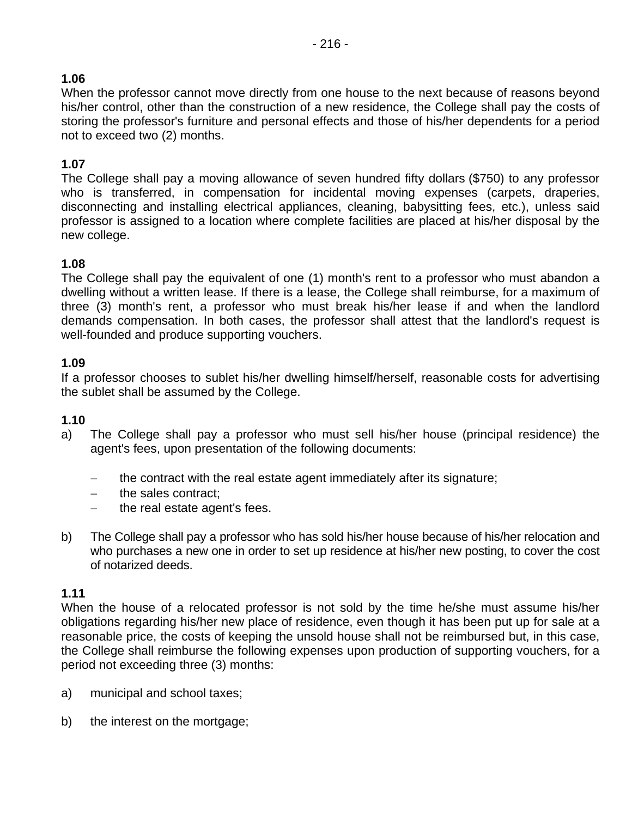# **1.06**

When the professor cannot move directly from one house to the next because of reasons beyond his/her control, other than the construction of a new residence, the College shall pay the costs of storing the professor's furniture and personal effects and those of his/her dependents for a period not to exceed two (2) months.

# **1.07**

The College shall pay a moving allowance of seven hundred fifty dollars (\$750) to any professor who is transferred, in compensation for incidental moving expenses (carpets, draperies, disconnecting and installing electrical appliances, cleaning, babysitting fees, etc.), unless said professor is assigned to a location where complete facilities are placed at his/her disposal by the new college.

# **1.08**

The College shall pay the equivalent of one (1) month's rent to a professor who must abandon a dwelling without a written lease. If there is a lease, the College shall reimburse, for a maximum of three (3) month's rent, a professor who must break his/her lease if and when the landlord demands compensation. In both cases, the professor shall attest that the landlord's request is well-founded and produce supporting vouchers.

#### **1.09**

If a professor chooses to sublet his/her dwelling himself/herself, reasonable costs for advertising the sublet shall be assumed by the College.

#### **1.10**

- a) The College shall pay a professor who must sell his/her house (principal residence) the agent's fees, upon presentation of the following documents:
	- − the contract with the real estate agent immediately after its signature;
	- − the sales contract;
	- − the real estate agent's fees.
- b) The College shall pay a professor who has sold his/her house because of his/her relocation and who purchases a new one in order to set up residence at his/her new posting, to cover the cost of notarized deeds.

#### **1.11**

When the house of a relocated professor is not sold by the time he/she must assume his/her obligations regarding his/her new place of residence, even though it has been put up for sale at a reasonable price, the costs of keeping the unsold house shall not be reimbursed but, in this case, the College shall reimburse the following expenses upon production of supporting vouchers, for a period not exceeding three (3) months:

- a) municipal and school taxes;
- b) the interest on the mortgage;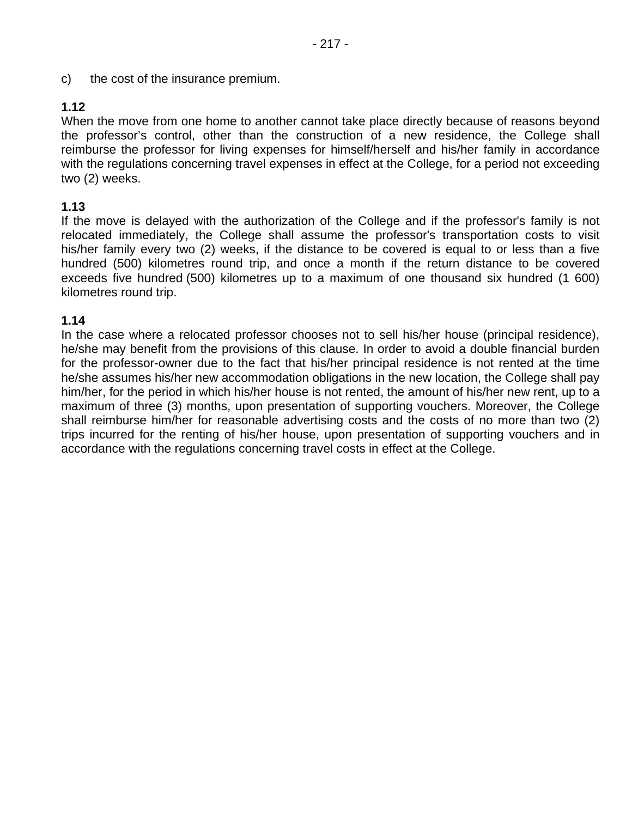c) the cost of the insurance premium.

# **1.12**

When the move from one home to another cannot take place directly because of reasons beyond the professor's control, other than the construction of a new residence, the College shall reimburse the professor for living expenses for himself/herself and his/her family in accordance with the regulations concerning travel expenses in effect at the College, for a period not exceeding two (2) weeks.

# **1.13**

If the move is delayed with the authorization of the College and if the professor's family is not relocated immediately, the College shall assume the professor's transportation costs to visit his/her family every two (2) weeks, if the distance to be covered is equal to or less than a five hundred (500) kilometres round trip, and once a month if the return distance to be covered exceeds five hundred (500) kilometres up to a maximum of one thousand six hundred (1 600) kilometres round trip.

# **1.14**

In the case where a relocated professor chooses not to sell his/her house (principal residence), he/she may benefit from the provisions of this clause. In order to avoid a double financial burden for the professor-owner due to the fact that his/her principal residence is not rented at the time he/she assumes his/her new accommodation obligations in the new location, the College shall pay him/her, for the period in which his/her house is not rented, the amount of his/her new rent, up to a maximum of three (3) months, upon presentation of supporting vouchers. Moreover, the College shall reimburse him/her for reasonable advertising costs and the costs of no more than two (2) trips incurred for the renting of his/her house, upon presentation of supporting vouchers and in accordance with the regulations concerning travel costs in effect at the College.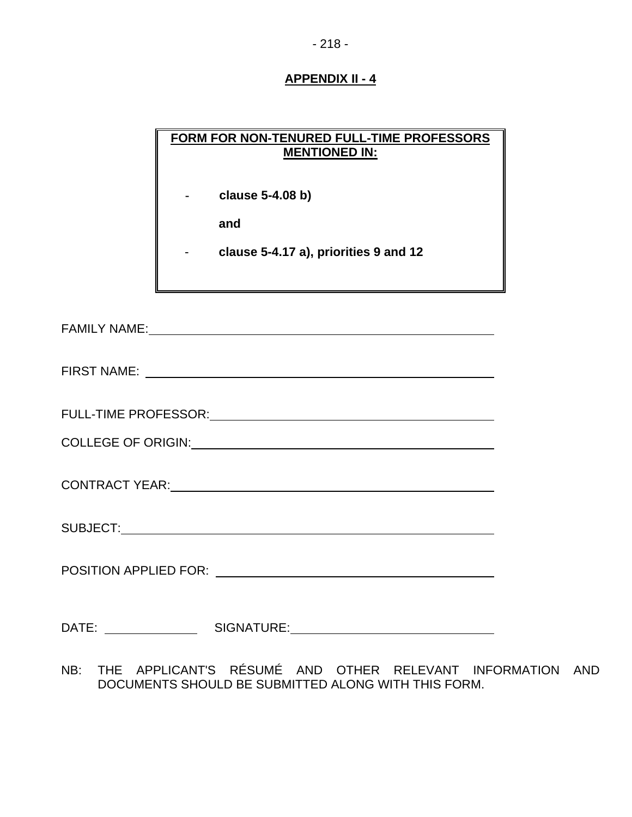# **FORM FOR NON-TENURED FULL-TIME PROFESSORS MENTIONED IN:**

**- clause 5-4.08 b)** 

 **and** 

- **clause 5-4.17 a), priorities 9 and 12** 

FAMILY NAME:

FIRST NAME:

FULL-TIME PROFESSOR:

COLLEGE OF ORIGIN:

CONTRACT YEAR:

SUBJECT: the contract of the contract of the contract of the contract of the contract of the contract of the contract of the contract of the contract of the contract of the contract of the contract of the contract of the c

POSITION APPLIED FOR:

DATE: SIGNATURE: SIGNATURE:

NB: THE APPLICANT'S RÉSUMÉ AND OTHER RELEVANT INFORMATION AND DOCUMENTS SHOULD BE SUBMITTED ALONG WITH THIS FORM.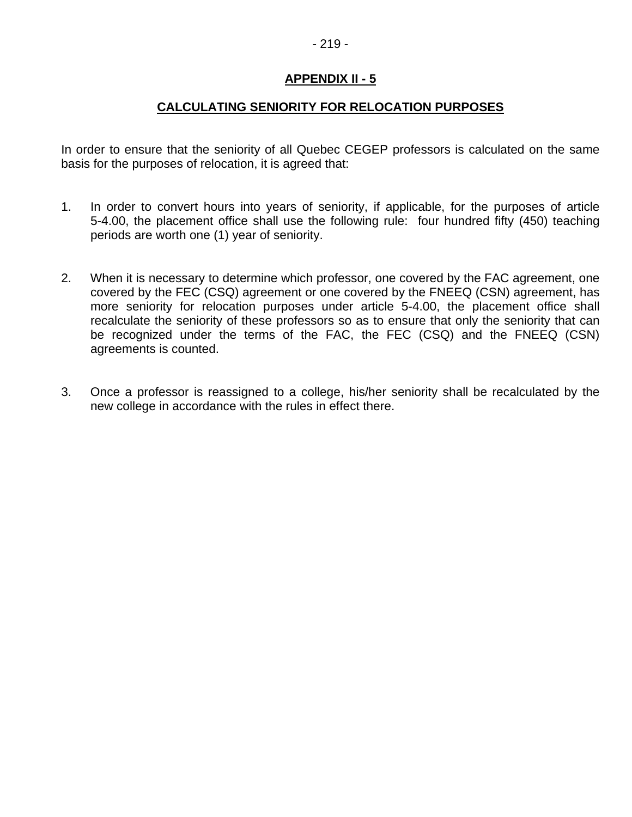# **CALCULATING SENIORITY FOR RELOCATION PURPOSES**

In order to ensure that the seniority of all Quebec CEGEP professors is calculated on the same basis for the purposes of relocation, it is agreed that:

- 1. In order to convert hours into years of seniority, if applicable, for the purposes of article 5-4.00, the placement office shall use the following rule: four hundred fifty (450) teaching periods are worth one (1) year of seniority.
- 2. When it is necessary to determine which professor, one covered by the FAC agreement, one covered by the FEC (CSQ) agreement or one covered by the FNEEQ (CSN) agreement, has more seniority for relocation purposes under article 5-4.00, the placement office shall recalculate the seniority of these professors so as to ensure that only the seniority that can be recognized under the terms of the FAC, the FEC (CSQ) and the FNEEQ (CSN) agreements is counted.
- 3. Once a professor is reassigned to a college, his/her seniority shall be recalculated by the new college in accordance with the rules in effect there.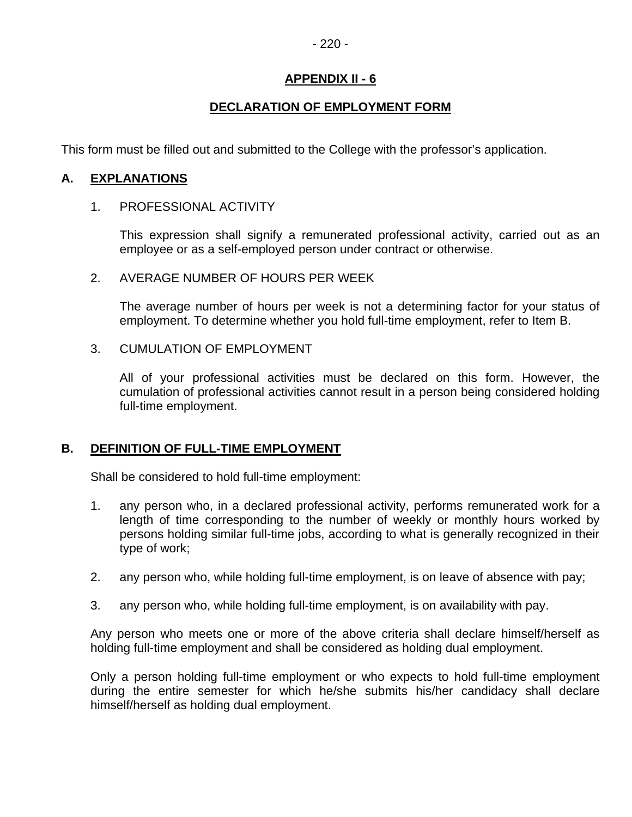# **DECLARATION OF EMPLOYMENT FORM**

This form must be filled out and submitted to the College with the professor's application.

# **A. EXPLANATIONS**

#### 1. PROFESSIONAL ACTIVITY

This expression shall signify a remunerated professional activity, carried out as an employee or as a self-employed person under contract or otherwise.

#### 2. AVERAGE NUMBER OF HOURS PER WEEK

The average number of hours per week is not a determining factor for your status of employment. To determine whether you hold full-time employment, refer to Item B.

#### 3. CUMULATION OF EMPLOYMENT

All of your professional activities must be declared on this form. However, the cumulation of professional activities cannot result in a person being considered holding full-time employment.

#### **B. DEFINITION OF FULL-TIME EMPLOYMENT**

Shall be considered to hold full-time employment:

- 1. any person who, in a declared professional activity, performs remunerated work for a length of time corresponding to the number of weekly or monthly hours worked by persons holding similar full-time jobs, according to what is generally recognized in their type of work;
- 2. any person who, while holding full-time employment, is on leave of absence with pay;
- 3. any person who, while holding full-time employment, is on availability with pay.

Any person who meets one or more of the above criteria shall declare himself/herself as holding full-time employment and shall be considered as holding dual employment.

Only a person holding full-time employment or who expects to hold full-time employment during the entire semester for which he/she submits his/her candidacy shall declare himself/herself as holding dual employment.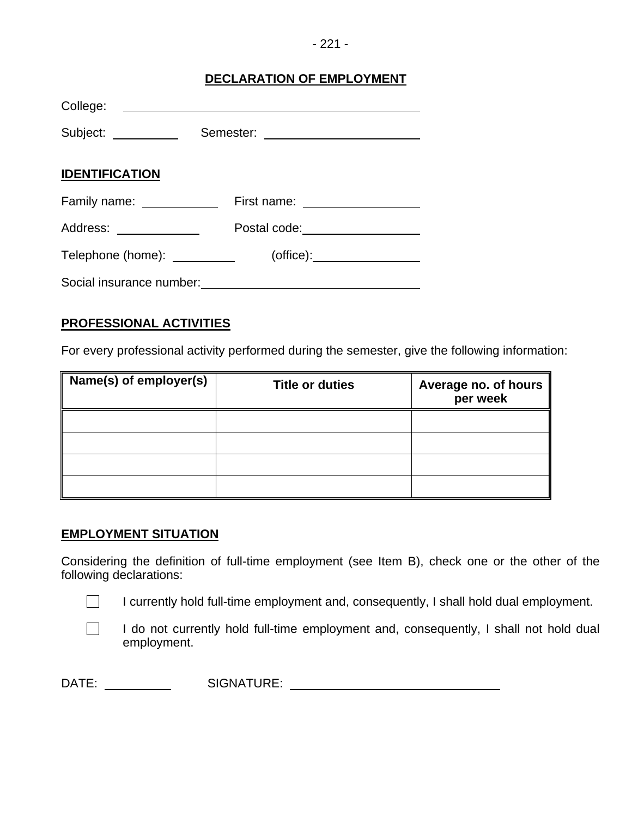#### - 221 -

# **DECLARATION OF EMPLOYMENT**

| College:                           |                                              |
|------------------------------------|----------------------------------------------|
| Subject: ___________               |                                              |
| <b>IDENTIFICATION</b>              |                                              |
| Family name: <u>______________</u> | First name: _________________                |
| Address: National Address:         | Postal code:<br><u>_____________________</u> |
| Telephone (home): __________       | $(offset)$ :                                 |
| Social insurance number:           |                                              |

# **PROFESSIONAL ACTIVITIES**

For every professional activity performed during the semester, give the following information:

| Name(s) of employer(s) | <b>Title or duties</b> | Average no. of hours<br>per week |
|------------------------|------------------------|----------------------------------|
|                        |                        |                                  |
|                        |                        |                                  |
|                        |                        |                                  |
|                        |                        |                                  |

#### **EMPLOYMENT SITUATION**

Considering the definition of full-time employment (see Item B), check one or the other of the following declarations:

 $\Box$  I currently hold full-time employment and, consequently, I shall hold dual employment.

 $\Box$  I do not currently hold full-time employment and, consequently, I shall not hold dual employment.

DATE: SIGNATURE: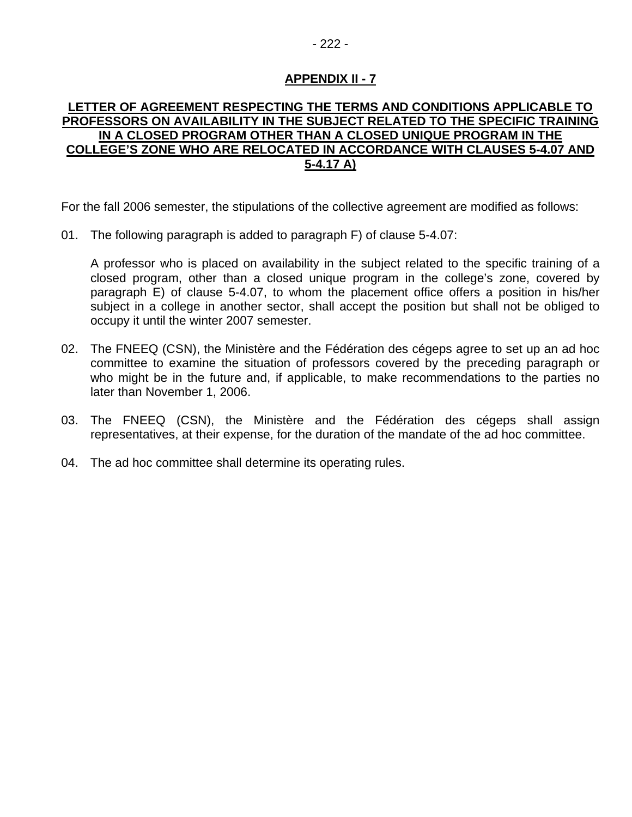### **LETTER OF AGREEMENT RESPECTING THE TERMS AND CONDITIONS APPLICABLE TO PROFESSORS ON AVAILABILITY IN THE SUBJECT RELATED TO THE SPECIFIC TRAINING IN A CLOSED PROGRAM OTHER THAN A CLOSED UNIQUE PROGRAM IN THE COLLEGE'S ZONE WHO ARE RELOCATED IN ACCORDANCE WITH CLAUSES 5-4.07 AND 5-4.17 A)**

For the fall 2006 semester, the stipulations of the collective agreement are modified as follows:

01. The following paragraph is added to paragraph F) of clause 5-4.07:

A professor who is placed on availability in the subject related to the specific training of a closed program, other than a closed unique program in the college's zone, covered by paragraph E) of clause 5-4.07, to whom the placement office offers a position in his/her subject in a college in another sector, shall accept the position but shall not be obliged to occupy it until the winter 2007 semester.

- 02. The FNEEQ (CSN), the Ministère and the Fédération des cégeps agree to set up an ad hoc committee to examine the situation of professors covered by the preceding paragraph or who might be in the future and, if applicable, to make recommendations to the parties no later than November 1, 2006.
- 03. The FNEEQ (CSN), the Ministère and the Fédération des cégeps shall assign representatives, at their expense, for the duration of the mandate of the ad hoc committee.
- 04. The ad hoc committee shall determine its operating rules.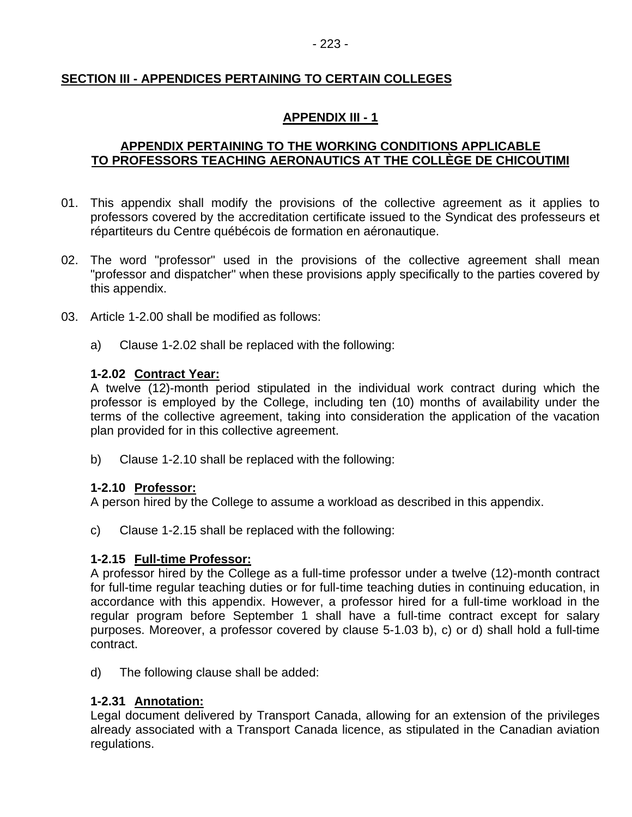# **SECTION III - APPENDICES PERTAINING TO CERTAIN COLLEGES**

# **APPENDIX III - 1**

# **APPENDIX PERTAINING TO THE WORKING CONDITIONS APPLICABLE TO PROFESSORS TEACHING AERONAUTICS AT THE COLLÈGE DE CHICOUTIMI**

- 01. This appendix shall modify the provisions of the collective agreement as it applies to professors covered by the accreditation certificate issued to the Syndicat des professeurs et répartiteurs du Centre québécois de formation en aéronautique.
- 02. The word "professor" used in the provisions of the collective agreement shall mean "professor and dispatcher" when these provisions apply specifically to the parties covered by this appendix.
- 03. Article 1-2.00 shall be modified as follows:
	- a) Clause 1-2.02 shall be replaced with the following:

#### **1-2.02 Contract Year:**

A twelve (12)-month period stipulated in the individual work contract during which the professor is employed by the College, including ten (10) months of availability under the terms of the collective agreement, taking into consideration the application of the vacation plan provided for in this collective agreement.

b) Clause 1-2.10 shall be replaced with the following:

#### **1-2.10 Professor:**

A person hired by the College to assume a workload as described in this appendix.

c) Clause 1-2.15 shall be replaced with the following:

#### **1-2.15 Full-time Professor:**

A professor hired by the College as a full-time professor under a twelve (12)-month contract for full-time regular teaching duties or for full-time teaching duties in continuing education, in accordance with this appendix. However, a professor hired for a full-time workload in the regular program before September 1 shall have a full-time contract except for salary purposes. Moreover, a professor covered by clause 5-1.03 b), c) or d) shall hold a full-time contract.

d) The following clause shall be added:

#### **1-2.31 Annotation:**

Legal document delivered by Transport Canada, allowing for an extension of the privileges already associated with a Transport Canada licence, as stipulated in the Canadian aviation regulations.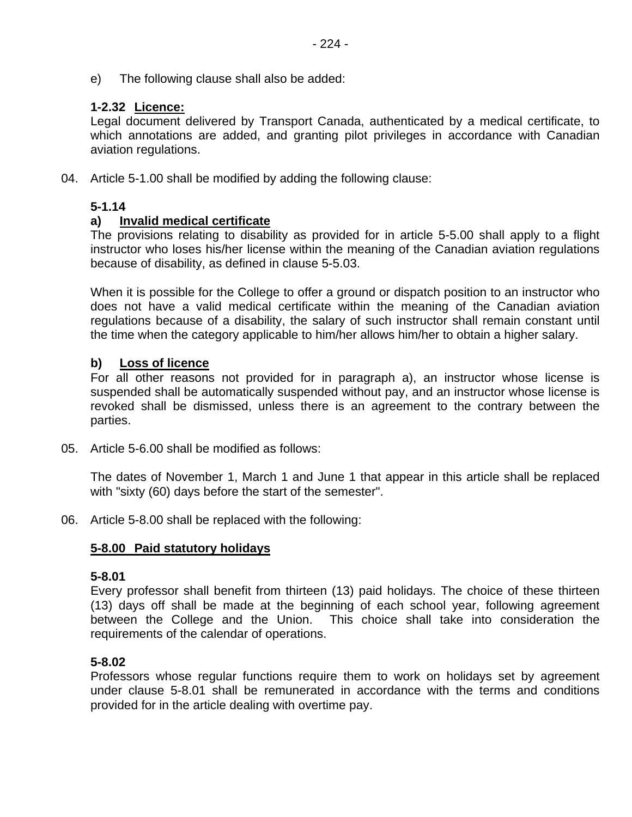e) The following clause shall also be added:

# **1-2.32 Licence:**

Legal document delivered by Transport Canada, authenticated by a medical certificate, to which annotations are added, and granting pilot privileges in accordance with Canadian aviation regulations.

04. Article 5-1.00 shall be modified by adding the following clause:

# **5-1.14**

# **a) Invalid medical certificate**

The provisions relating to disability as provided for in article 5-5.00 shall apply to a flight instructor who loses his/her license within the meaning of the Canadian aviation regulations because of disability, as defined in clause 5-5.03.

When it is possible for the College to offer a ground or dispatch position to an instructor who does not have a valid medical certificate within the meaning of the Canadian aviation regulations because of a disability, the salary of such instructor shall remain constant until the time when the category applicable to him/her allows him/her to obtain a higher salary.

# **b) Loss of licence**

For all other reasons not provided for in paragraph a), an instructor whose license is suspended shall be automatically suspended without pay, and an instructor whose license is revoked shall be dismissed, unless there is an agreement to the contrary between the parties.

05. Article 5-6.00 shall be modified as follows:

The dates of November 1, March 1 and June 1 that appear in this article shall be replaced with "sixty (60) days before the start of the semester".

06. Article 5-8.00 shall be replaced with the following:

# **5-8.00 Paid statutory holidays**

#### **5-8.01**

Every professor shall benefit from thirteen (13) paid holidays. The choice of these thirteen (13) days off shall be made at the beginning of each school year, following agreement between the College and the Union. This choice shall take into consideration the requirements of the calendar of operations.

# **5-8.02**

Professors whose regular functions require them to work on holidays set by agreement under clause 5-8.01 shall be remunerated in accordance with the terms and conditions provided for in the article dealing with overtime pay.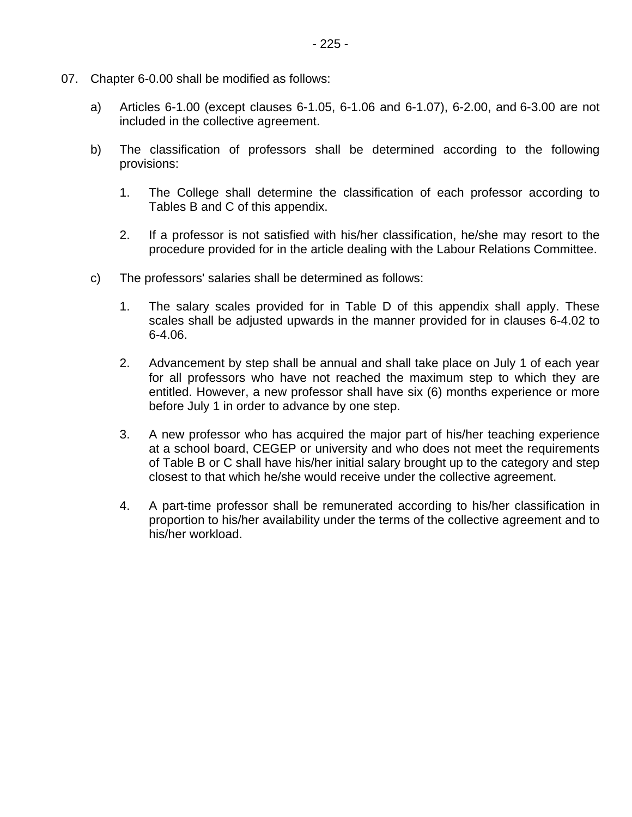- 07. Chapter 6-0.00 shall be modified as follows:
	- a) Articles 6-1.00 (except clauses 6-1.05, 6-1.06 and 6-1.07), 6-2.00, and 6-3.00 are not included in the collective agreement.
	- b) The classification of professors shall be determined according to the following provisions:
		- 1. The College shall determine the classification of each professor according to Tables B and C of this appendix.
		- 2. If a professor is not satisfied with his/her classification, he/she may resort to the procedure provided for in the article dealing with the Labour Relations Committee.
	- c) The professors' salaries shall be determined as follows:
		- 1. The salary scales provided for in Table D of this appendix shall apply. These scales shall be adjusted upwards in the manner provided for in clauses 6-4.02 to 6-4.06.
		- 2. Advancement by step shall be annual and shall take place on July 1 of each year for all professors who have not reached the maximum step to which they are entitled. However, a new professor shall have six (6) months experience or more before July 1 in order to advance by one step.
		- 3. A new professor who has acquired the major part of his/her teaching experience at a school board, CEGEP or university and who does not meet the requirements of Table B or C shall have his/her initial salary brought up to the category and step closest to that which he/she would receive under the collective agreement.
		- 4. A part-time professor shall be remunerated according to his/her classification in proportion to his/her availability under the terms of the collective agreement and to his/her workload.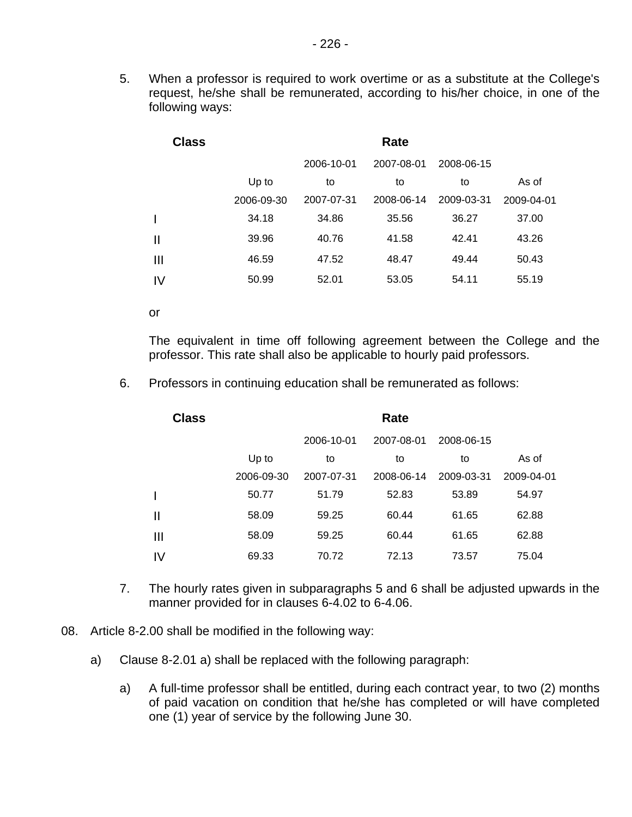5. When a professor is required to work overtime or as a substitute at the College's request, he/she shall be remunerated, according to his/her choice, in one of the following ways:

| <b>Class</b> |            |            | Rate       |            |            |
|--------------|------------|------------|------------|------------|------------|
|              |            | 2006-10-01 | 2007-08-01 | 2008-06-15 |            |
|              | Up to      | to         | to         | to         | As of      |
|              | 2006-09-30 | 2007-07-31 | 2008-06-14 | 2009-03-31 | 2009-04-01 |
|              | 34.18      | 34.86      | 35.56      | 36.27      | 37.00      |
| $\mathbf{I}$ | 39.96      | 40.76      | 41.58      | 42.41      | 43.26      |
| Ш            | 46.59      | 47.52      | 48.47      | 49.44      | 50.43      |
| IV           | 50.99      | 52.01      | 53.05      | 54.11      | 55.19      |

or

The equivalent in time off following agreement between the College and the professor. This rate shall also be applicable to hourly paid professors.

6. Professors in continuing education shall be remunerated as follows:

| <b>Class</b> |            |            | Rate       |            |            |
|--------------|------------|------------|------------|------------|------------|
|              |            | 2006-10-01 | 2007-08-01 | 2008-06-15 |            |
|              | Up to      | to         | to         | to         | As of      |
|              | 2006-09-30 | 2007-07-31 | 2008-06-14 | 2009-03-31 | 2009-04-01 |
|              | 50.77      | 51.79      | 52.83      | 53.89      | 54.97      |
| Ш            | 58.09      | 59.25      | 60.44      | 61.65      | 62.88      |
| Ш            | 58.09      | 59.25      | 60.44      | 61.65      | 62.88      |
| IV           | 69.33      | 70.72      | 72.13      | 73.57      | 75.04      |

- 7. The hourly rates given in subparagraphs 5 and 6 shall be adjusted upwards in the manner provided for in clauses 6-4.02 to 6-4.06.
- 08. Article 8-2.00 shall be modified in the following way:
	- a) Clause 8-2.01 a) shall be replaced with the following paragraph:
		- a) A full-time professor shall be entitled, during each contract year, to two (2) months of paid vacation on condition that he/she has completed or will have completed one (1) year of service by the following June 30.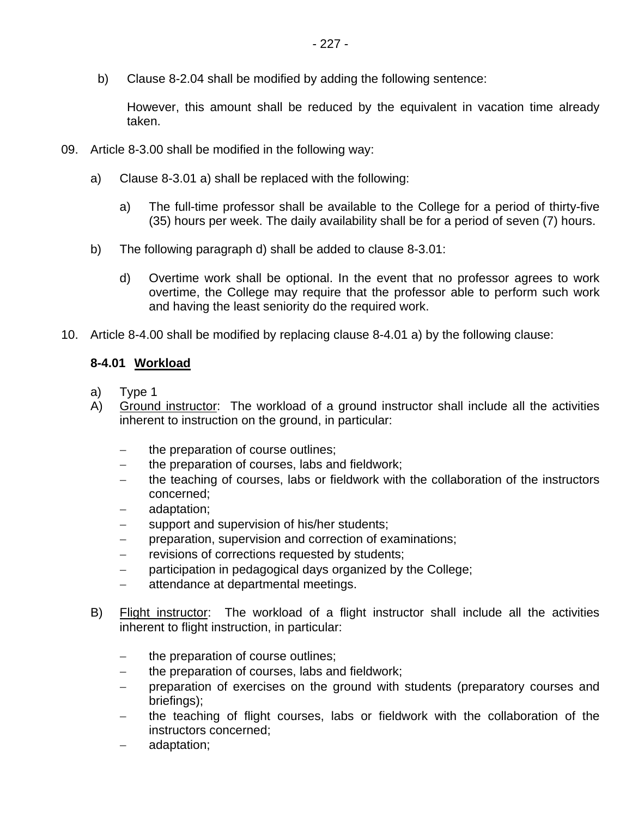b) Clause 8-2.04 shall be modified by adding the following sentence:

However, this amount shall be reduced by the equivalent in vacation time already taken.

- 09. Article 8-3.00 shall be modified in the following way:
	- a) Clause 8-3.01 a) shall be replaced with the following:
		- a) The full-time professor shall be available to the College for a period of thirty-five (35) hours per week. The daily availability shall be for a period of seven (7) hours.
	- b) The following paragraph d) shall be added to clause 8-3.01:
		- d) Overtime work shall be optional. In the event that no professor agrees to work overtime, the College may require that the professor able to perform such work and having the least seniority do the required work.
- 10. Article 8-4.00 shall be modified by replacing clause 8-4.01 a) by the following clause:

# **8-4.01 Workload**

- a) Type 1
- A) Ground instructor: The workload of a ground instructor shall include all the activities inherent to instruction on the ground, in particular:
	- the preparation of course outlines;
	- − the preparation of courses, labs and fieldwork;
	- the teaching of courses, labs or fieldwork with the collaboration of the instructors concerned;
	- − adaptation;
	- − support and supervision of his/her students;
	- preparation, supervision and correction of examinations;
	- revisions of corrections requested by students;
	- − participation in pedagogical days organized by the College;
	- − attendance at departmental meetings.
- B) Flight instructor: The workload of a flight instructor shall include all the activities inherent to flight instruction, in particular:
	- − the preparation of course outlines;
	- − the preparation of courses, labs and fieldwork;
	- preparation of exercises on the ground with students (preparatory courses and briefings);
	- the teaching of flight courses, labs or fieldwork with the collaboration of the instructors concerned;
	- − adaptation;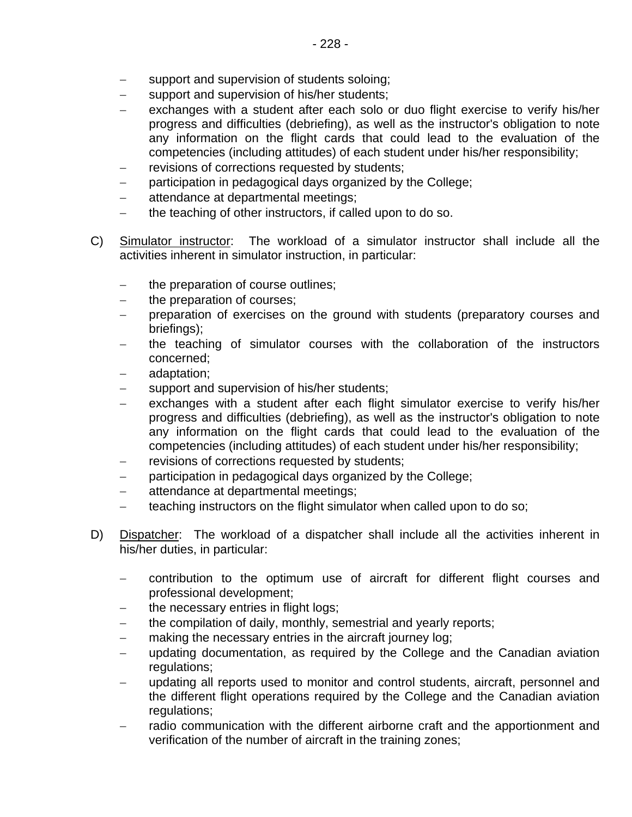- support and supervision of students soloing;
- − support and supervision of his/her students;
- exchanges with a student after each solo or duo flight exercise to verify his/her progress and difficulties (debriefing), as well as the instructor's obligation to note any information on the flight cards that could lead to the evaluation of the competencies (including attitudes) of each student under his/her responsibility;
- revisions of corrections requested by students;
- participation in pedagogical days organized by the College;
- − attendance at departmental meetings;
- the teaching of other instructors, if called upon to do so.
- C) Simulator instructor: The workload of a simulator instructor shall include all the activities inherent in simulator instruction, in particular:
	- the preparation of course outlines;
	- − the preparation of courses;
	- preparation of exercises on the ground with students (preparatory courses and briefings);
	- the teaching of simulator courses with the collaboration of the instructors concerned;
	- − adaptation;
	- support and supervision of his/her students;
	- exchanges with a student after each flight simulator exercise to verify his/her progress and difficulties (debriefing), as well as the instructor's obligation to note any information on the flight cards that could lead to the evaluation of the competencies (including attitudes) of each student under his/her responsibility;
	- revisions of corrections requested by students;
	- participation in pedagogical days organized by the College;
	- − attendance at departmental meetings;
	- teaching instructors on the flight simulator when called upon to do so;
- D) Dispatcher: The workload of a dispatcher shall include all the activities inherent in his/her duties, in particular:
	- − contribution to the optimum use of aircraft for different flight courses and professional development;
	- the necessary entries in flight logs;
	- the compilation of daily, monthly, semestrial and yearly reports;
	- making the necessary entries in the aircraft journey log;
	- updating documentation, as required by the College and the Canadian aviation regulations;
	- updating all reports used to monitor and control students, aircraft, personnel and the different flight operations required by the College and the Canadian aviation regulations;
	- − radio communication with the different airborne craft and the apportionment and verification of the number of aircraft in the training zones;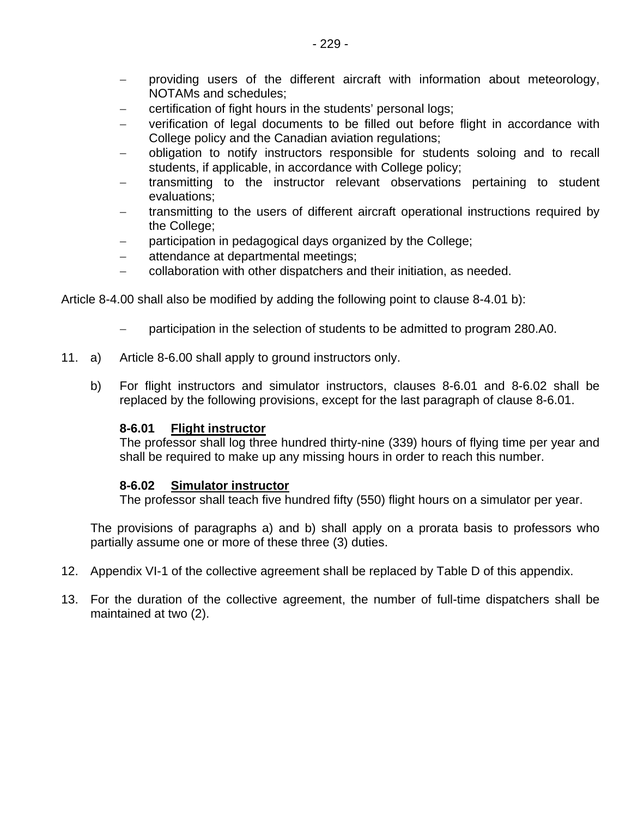- − providing users of the different aircraft with information about meteorology, NOTAMs and schedules;
- certification of fight hours in the students' personal logs;
- verification of legal documents to be filled out before flight in accordance with College policy and the Canadian aviation regulations;
- − obligation to notify instructors responsible for students soloing and to recall students, if applicable, in accordance with College policy;
- transmitting to the instructor relevant observations pertaining to student evaluations;
- transmitting to the users of different aircraft operational instructions required by the College;
- − participation in pedagogical days organized by the College;
- − attendance at departmental meetings;
- − collaboration with other dispatchers and their initiation, as needed.

Article 8-4.00 shall also be modified by adding the following point to clause 8-4.01 b):

- − participation in the selection of students to be admitted to program 280.A0.
- 11. a) Article 8-6.00 shall apply to ground instructors only.
	- b) For flight instructors and simulator instructors, clauses 8-6.01 and 8-6.02 shall be replaced by the following provisions, except for the last paragraph of clause 8-6.01.

#### **8-6.01 Flight instructor**

The professor shall log three hundred thirty-nine (339) hours of flying time per year and shall be required to make up any missing hours in order to reach this number.

#### **8-6.02 Simulator instructor**

The professor shall teach five hundred fifty (550) flight hours on a simulator per year.

The provisions of paragraphs a) and b) shall apply on a prorata basis to professors who partially assume one or more of these three (3) duties.

- 12. Appendix VI-1 of the collective agreement shall be replaced by Table D of this appendix.
- 13. For the duration of the collective agreement, the number of full-time dispatchers shall be maintained at two (2).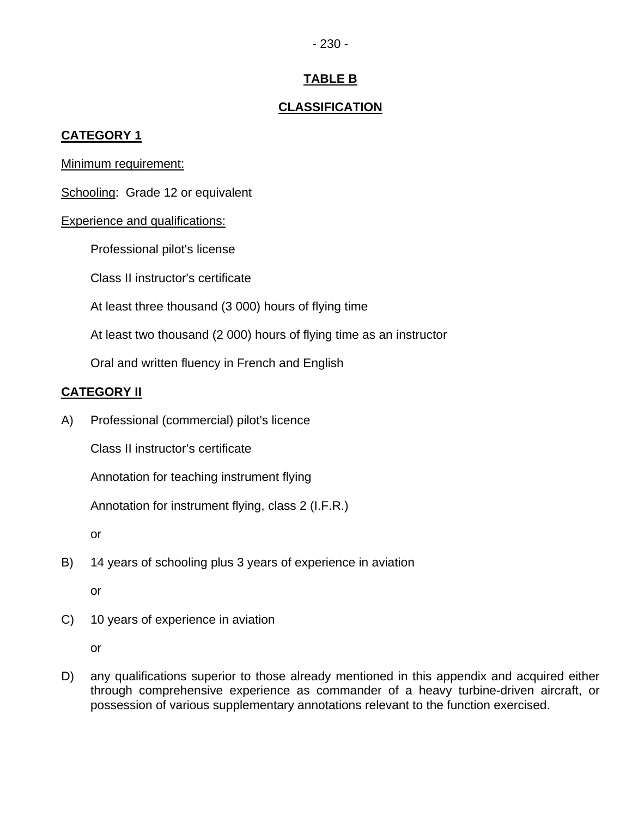#### - 230 -

# **TABLE B**

# **CLASSIFICATION**

# **CATEGORY 1**

Minimum requirement:

Schooling: Grade 12 or equivalent

# **Experience and qualifications:**

Professional pilot's license

Class II instructor's certificate

At least three thousand (3 000) hours of flying time

At least two thousand (2 000) hours of flying time as an instructor

Oral and written fluency in French and English

# **CATEGORY II**

A) Professional (commercial) pilot's licence

Class II instructor's certificate

Annotation for teaching instrument flying

Annotation for instrument flying, class 2 (I.F.R.)

or

B) 14 years of schooling plus 3 years of experience in aviation

or

C) 10 years of experience in aviation

or

D) any qualifications superior to those already mentioned in this appendix and acquired either through comprehensive experience as commander of a heavy turbine-driven aircraft, or possession of various supplementary annotations relevant to the function exercised.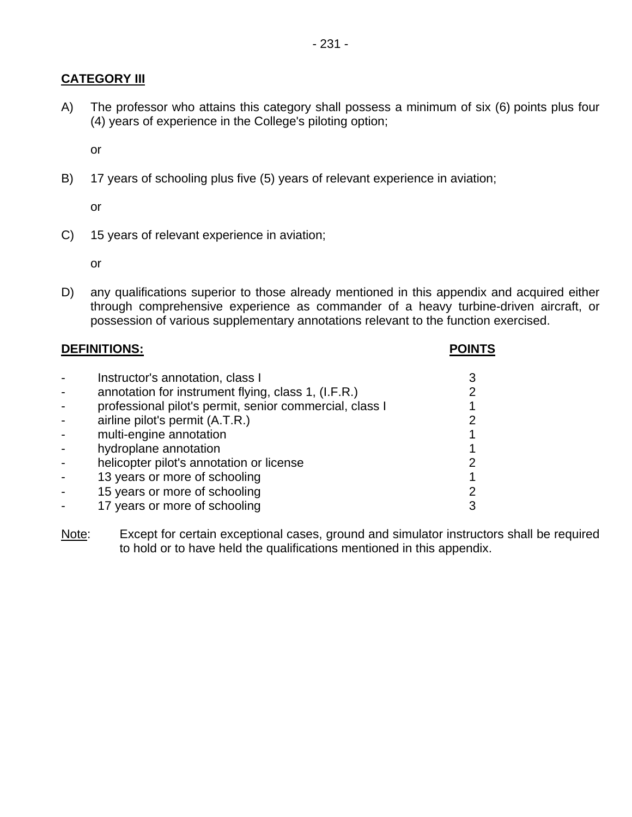# **CATEGORY III**

A) The professor who attains this category shall possess a minimum of six (6) points plus four (4) years of experience in the College's piloting option;

or

B) 17 years of schooling plus five (5) years of relevant experience in aviation;

or

C) 15 years of relevant experience in aviation;

or

D) any qualifications superior to those already mentioned in this appendix and acquired either through comprehensive experience as commander of a heavy turbine-driven aircraft, or possession of various supplementary annotations relevant to the function exercised.

| <b>DEFINITIONS:</b> |                                                         |   |
|---------------------|---------------------------------------------------------|---|
|                     | Instructor's annotation, class I                        |   |
|                     | annotation for instrument flying, class 1, (I.F.R.)     | 2 |
|                     | professional pilot's permit, senior commercial, class I |   |
|                     | airline pilot's permit (A.T.R.)                         |   |
|                     | multi-engine annotation                                 |   |
|                     | hydroplane annotation                                   |   |
|                     | helicopter pilot's annotation or license                |   |
|                     | 13 years or more of schooling                           |   |
|                     | 15 years or more of schooling                           |   |
|                     | 17 years or more of schooling                           |   |

Note: Except for certain exceptional cases, ground and simulator instructors shall be required to hold or to have held the qualifications mentioned in this appendix.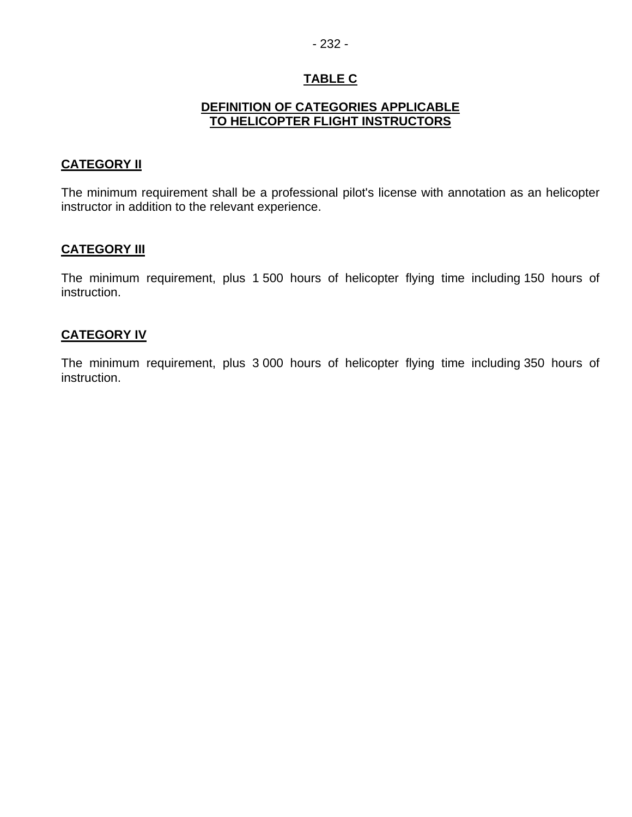# **TABLE C**

#### **DEFINITION OF CATEGORIES APPLICABLE TO HELICOPTER FLIGHT INSTRUCTORS**

#### **CATEGORY II**

The minimum requirement shall be a professional pilot's license with annotation as an helicopter instructor in addition to the relevant experience.

# **CATEGORY III**

The minimum requirement, plus 1 500 hours of helicopter flying time including 150 hours of instruction.

#### **CATEGORY IV**

The minimum requirement, plus 3 000 hours of helicopter flying time including 350 hours of instruction.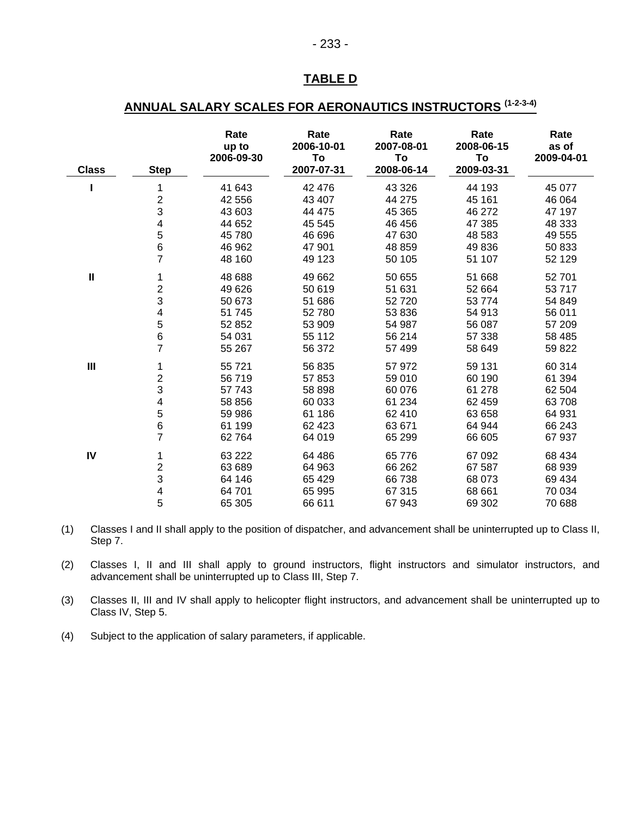# **TABLE D**

# **ANNUAL SALARY SCALES FOR AERONAUTICS INSTRUCTORS (1-2-3-4)**

| <b>Class</b>   | <b>Step</b>               | Rate<br>up to<br>2006-09-30 | Rate<br>2006-10-01<br>To<br>2007-07-31 | Rate<br>2007-08-01<br>To<br>2008-06-14 | Rate<br>2008-06-15<br>To<br>2009-03-31 | Rate<br>as of<br>2009-04-01 |
|----------------|---------------------------|-----------------------------|----------------------------------------|----------------------------------------|----------------------------------------|-----------------------------|
|                | 1                         | 41 643                      | 42 476                                 | 43 326                                 | 44 193                                 | 45 077                      |
|                | $\mathbf 2$               | 42 556                      | 43 407                                 | 44 275                                 | 45 161                                 | 46 064                      |
|                | 3                         | 43 603                      | 44 475                                 | 45 365                                 | 46 272                                 | 47 197                      |
|                | 4                         | 44 652                      | 45 545                                 | 46 456                                 | 47 385                                 | 48 333                      |
|                | 5                         | 45 780                      | 46 696                                 | 47 630                                 | 48 583                                 | 49 555                      |
|                | $\, 6$                    | 46 962                      | 47 901                                 | 48 859                                 | 49 836                                 | 50 833                      |
|                | $\overline{7}$            | 48 160                      | 49 123                                 | 50 105                                 | 51 107                                 | 52 129                      |
| $\mathbf{I}$   | 1                         | 48 688                      | 49 662                                 | 50 655                                 | 51 668                                 | 52 701                      |
|                | $\overline{c}$            | 49 626                      | 50 619                                 | 51 631                                 | 52 664                                 | 53717                       |
|                | 3                         | 50 673                      | 51 686                                 | 52720                                  | 53 774                                 | 54 849                      |
|                | 4                         | 51 745                      | 52780                                  | 53 836                                 | 54 913                                 | 56 011                      |
|                | 5                         | 52 852                      | 53 909                                 | 54 987                                 | 56 087                                 | 57 209                      |
|                | $\,6$                     | 54 031                      | 55 112                                 | 56 214                                 | 57 338                                 | 58 485                      |
|                | $\overline{7}$            | 55 267                      | 56 372                                 | 57 499                                 | 58 649                                 | 59 822                      |
| $\mathbf{III}$ | 1                         | 55 721                      | 56 835                                 | 57 972                                 | 59 131                                 | 60 314                      |
|                | 2                         | 56719                       | 57853                                  | 59 010                                 | 60 190                                 | 61 394                      |
|                | 3                         | 57 743                      | 58 898                                 | 60 076                                 | 61 278                                 | 62 504                      |
|                | 4                         | 58 856                      | 60 033                                 | 61 234                                 | 62 459                                 | 63708                       |
|                | 5                         | 59 986                      | 61 186                                 | 62 410                                 | 63 658                                 | 64 931                      |
|                | 6                         | 61 199                      | 62 4 23                                | 63 671                                 | 64 944                                 | 66 243                      |
|                | $\overline{7}$            | 62 7 64                     | 64 019                                 | 65 299                                 | 66 605                                 | 67 937                      |
| ${\sf IV}$     | 1                         | 63 222                      | 64 486                                 | 65 776                                 | 67 092                                 | 68 434                      |
|                | $\overline{\mathbf{c}}$   | 63 689                      | 64 963                                 | 66 262                                 | 67 587                                 | 68 939                      |
|                | $\ensuremath{\mathsf{3}}$ | 64 146                      | 65 4 29                                | 66738                                  | 68 073                                 | 69 434                      |
|                | 4                         | 64 701                      | 65 995                                 | 67 315                                 | 68 661                                 | 70 034                      |
|                | 5                         | 65 305                      | 66 611                                 | 67943                                  | 69 302                                 | 70 688                      |

(1) Classes I and II shall apply to the position of dispatcher, and advancement shall be uninterrupted up to Class II, Step 7.

(2) Classes I, II and III shall apply to ground instructors, flight instructors and simulator instructors, and advancement shall be uninterrupted up to Class III, Step 7.

(3) Classes II, III and IV shall apply to helicopter flight instructors, and advancement shall be uninterrupted up to Class IV, Step 5.

(4) Subject to the application of salary parameters, if applicable.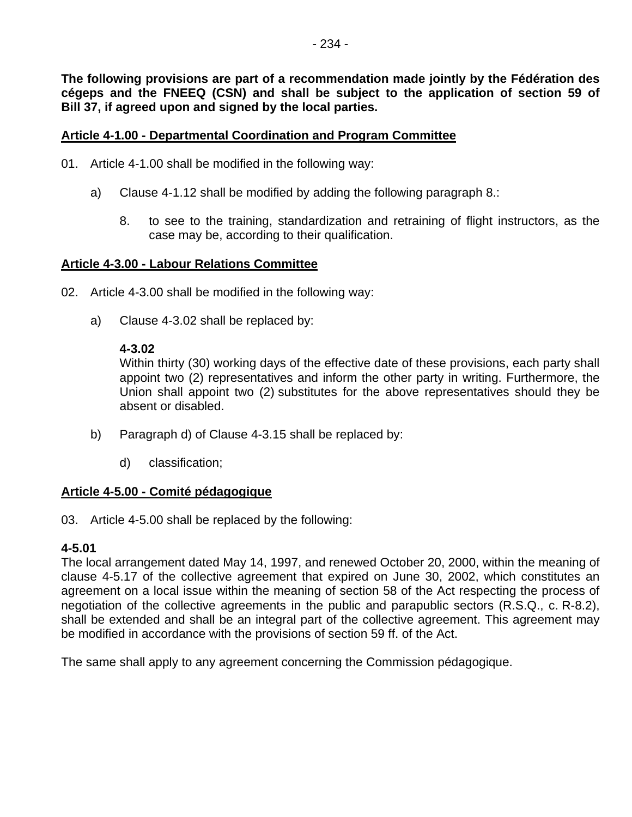**The following provisions are part of a recommendation made jointly by the Fédération des cégeps and the FNEEQ (CSN) and shall be subject to the application of section 59 of Bill 37, if agreed upon and signed by the local parties.** 

#### **Article 4-1.00 - Departmental Coordination and Program Committee**

- 01. Article 4-1.00 shall be modified in the following way:
	- a) Clause 4-1.12 shall be modified by adding the following paragraph 8.:
		- 8. to see to the training, standardization and retraining of flight instructors, as the case may be, according to their qualification.

#### **Article 4-3.00 - Labour Relations Committee**

- 02. Article 4-3.00 shall be modified in the following way:
	- a) Clause 4-3.02 shall be replaced by:

#### **4-3.02**

Within thirty (30) working days of the effective date of these provisions, each party shall appoint two (2) representatives and inform the other party in writing. Furthermore, the Union shall appoint two (2) substitutes for the above representatives should they be absent or disabled.

- b) Paragraph d) of Clause 4-3.15 shall be replaced by:
	- d) classification;

#### **Article 4-5.00 - Comité pédagogique**

03. Article 4-5.00 shall be replaced by the following:

#### **4-5.01**

The local arrangement dated May 14, 1997, and renewed October 20, 2000, within the meaning of clause 4-5.17 of the collective agreement that expired on June 30, 2002, which constitutes an agreement on a local issue within the meaning of section 58 of the Act respecting the process of negotiation of the collective agreements in the public and parapublic sectors (R.S.Q., c. R-8.2), shall be extended and shall be an integral part of the collective agreement. This agreement may be modified in accordance with the provisions of section 59 ff. of the Act.

The same shall apply to any agreement concerning the Commission pédagogique.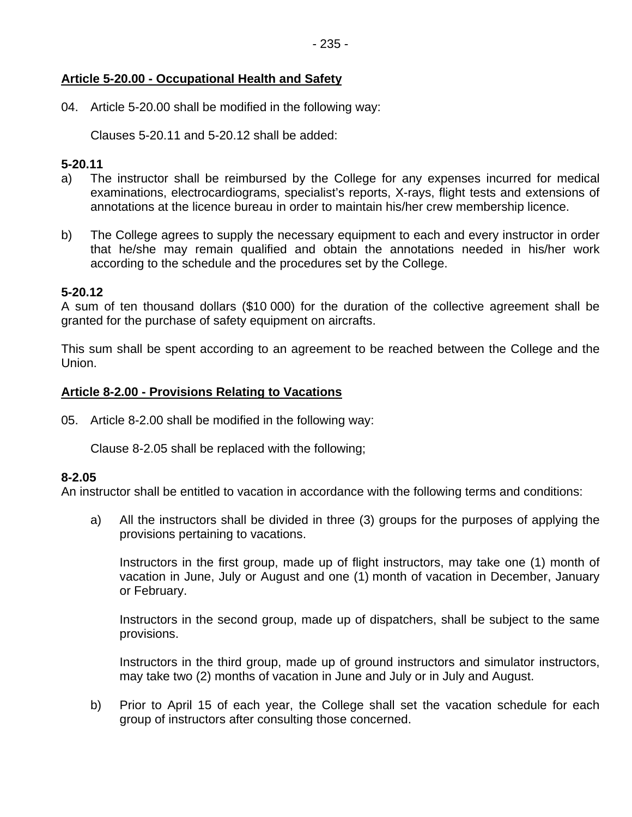# **Article 5-20.00 - Occupational Health and Safety**

04. Article 5-20.00 shall be modified in the following way:

Clauses 5-20.11 and 5-20.12 shall be added:

#### **5-20.11**

- a) The instructor shall be reimbursed by the College for any expenses incurred for medical examinations, electrocardiograms, specialist's reports, X-rays, flight tests and extensions of annotations at the licence bureau in order to maintain his/her crew membership licence.
- b) The College agrees to supply the necessary equipment to each and every instructor in order that he/she may remain qualified and obtain the annotations needed in his/her work according to the schedule and the procedures set by the College.

#### **5-20.12**

A sum of ten thousand dollars (\$10 000) for the duration of the collective agreement shall be granted for the purchase of safety equipment on aircrafts.

This sum shall be spent according to an agreement to be reached between the College and the Union.

#### **Article 8-2.00 - Provisions Relating to Vacations**

05. Article 8-2.00 shall be modified in the following way:

Clause 8-2.05 shall be replaced with the following;

#### **8-2.05**

An instructor shall be entitled to vacation in accordance with the following terms and conditions:

a) All the instructors shall be divided in three (3) groups for the purposes of applying the provisions pertaining to vacations.

Instructors in the first group, made up of flight instructors, may take one (1) month of vacation in June, July or August and one (1) month of vacation in December, January or February.

Instructors in the second group, made up of dispatchers, shall be subject to the same provisions.

Instructors in the third group, made up of ground instructors and simulator instructors, may take two (2) months of vacation in June and July or in July and August.

b) Prior to April 15 of each year, the College shall set the vacation schedule for each group of instructors after consulting those concerned.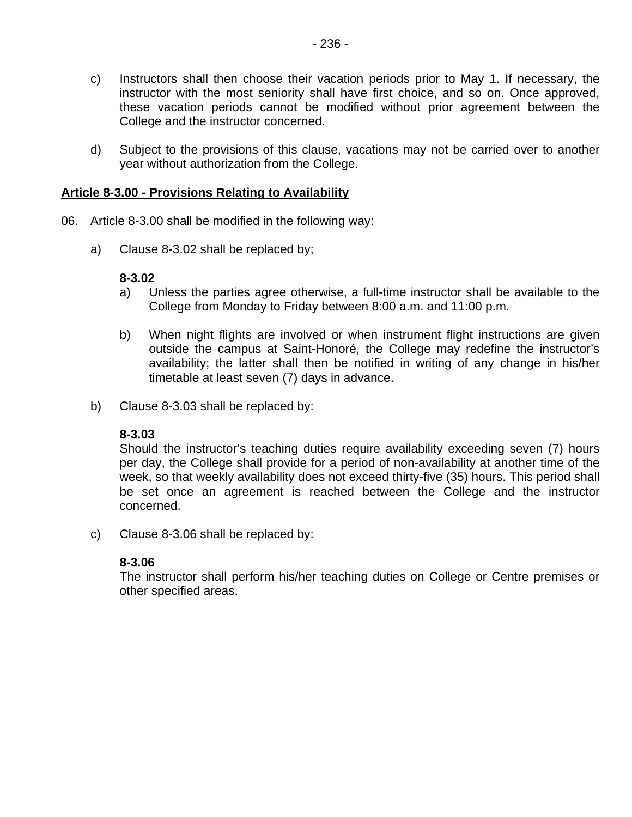- c) Instructors shall then choose their vacation periods prior to May 1. If necessary, the instructor with the most seniority shall have first choice, and so on. Once approved, these vacation periods cannot be modified without prior agreement between the College and the instructor concerned.
- d) Subject to the provisions of this clause, vacations may not be carried over to another year without authorization from the College.

#### **Article 8-3.00 - Provisions Relating to Availability**

- 06. Article 8-3.00 shall be modified in the following way:
	- a) Clause 8-3.02 shall be replaced by;

#### **8-3.02**

- a) Unless the parties agree otherwise, a full-time instructor shall be available to the College from Monday to Friday between 8:00 a.m. and 11:00 p.m.
- b) When night flights are involved or when instrument flight instructions are given outside the campus at Saint-Honoré, the College may redefine the instructor's availability; the latter shall then be notified in writing of any change in his/her timetable at least seven (7) days in advance.
- b) Clause 8-3.03 shall be replaced by:

#### **8-3.03**

Should the instructor's teaching duties require availability exceeding seven (7) hours per day, the College shall provide for a period of non-availability at another time of the week, so that weekly availability does not exceed thirty-five (35) hours. This period shall be set once an agreement is reached between the College and the instructor concerned.

c) Clause 8-3.06 shall be replaced by:

#### **8-3.06**

The instructor shall perform his/her teaching duties on College or Centre premises or other specified areas.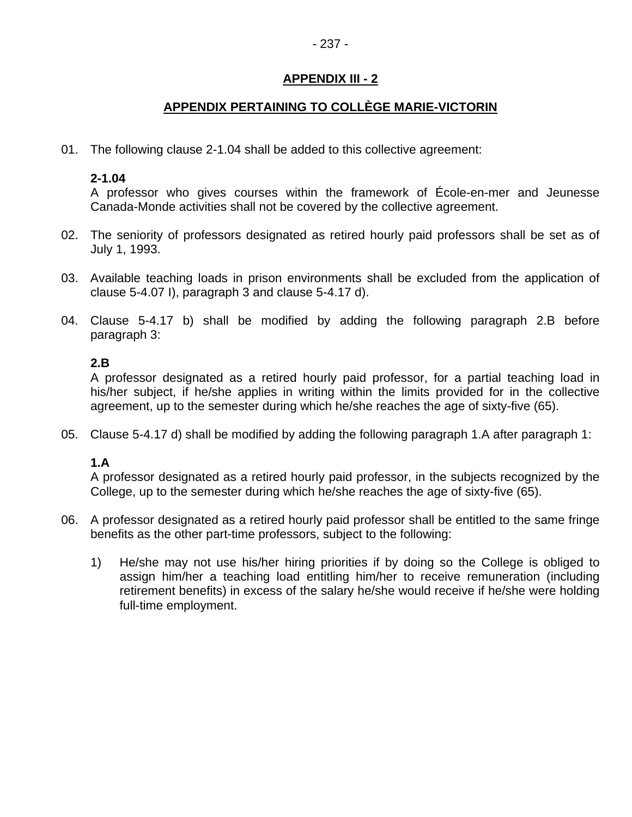# **APPENDIX PERTAINING TO COLLÈGE MARIE-VICTORIN**

01. The following clause 2-1.04 shall be added to this collective agreement:

#### **2-1.04**

A professor who gives courses within the framework of École-en-mer and Jeunesse Canada-Monde activities shall not be covered by the collective agreement.

- 02. The seniority of professors designated as retired hourly paid professors shall be set as of July 1, 1993.
- 03. Available teaching loads in prison environments shall be excluded from the application of clause 5-4.07 I), paragraph 3 and clause 5-4.17 d).
- 04. Clause 5-4.17 b) shall be modified by adding the following paragraph 2.B before paragraph 3:

#### **2.B**

A professor designated as a retired hourly paid professor, for a partial teaching load in his/her subject, if he/she applies in writing within the limits provided for in the collective agreement, up to the semester during which he/she reaches the age of sixty-five (65).

05. Clause 5-4.17 d) shall be modified by adding the following paragraph 1.A after paragraph 1:

#### **1.A**

A professor designated as a retired hourly paid professor, in the subjects recognized by the College, up to the semester during which he/she reaches the age of sixty-five (65).

- 06. A professor designated as a retired hourly paid professor shall be entitled to the same fringe benefits as the other part-time professors, subject to the following:
	- 1) He/she may not use his/her hiring priorities if by doing so the College is obliged to assign him/her a teaching load entitling him/her to receive remuneration (including retirement benefits) in excess of the salary he/she would receive if he/she were holding full-time employment.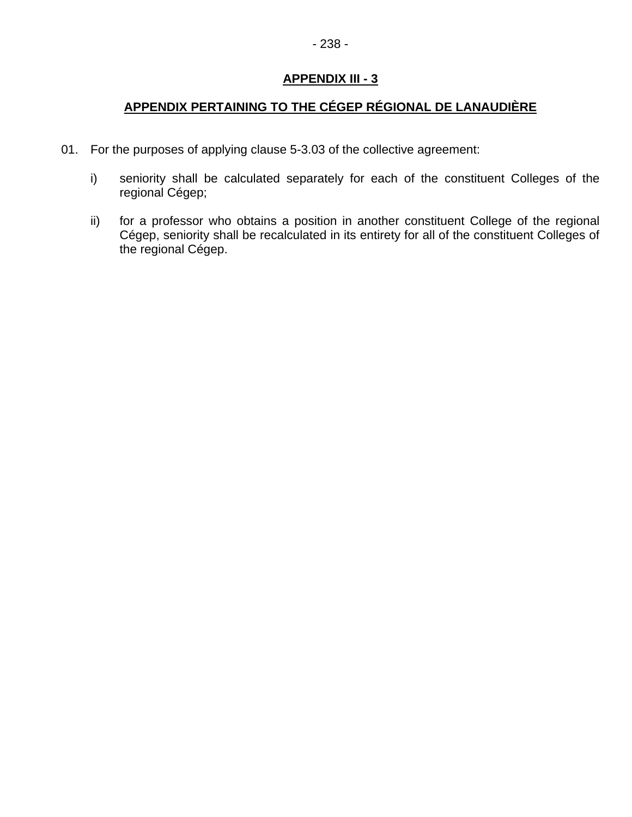# **APPENDIX PERTAINING TO THE CÉGEP RÉGIONAL DE LANAUDIÈRE**

- 01. For the purposes of applying clause 5-3.03 of the collective agreement:
	- i) seniority shall be calculated separately for each of the constituent Colleges of the regional Cégep;
	- ii) for a professor who obtains a position in another constituent College of the regional Cégep, seniority shall be recalculated in its entirety for all of the constituent Colleges of the regional Cégep.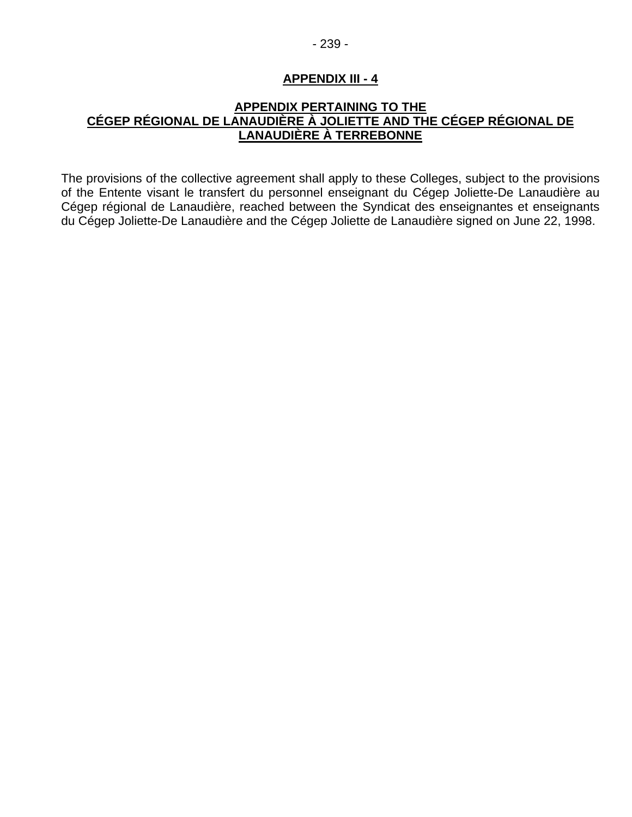# - 239 -

# **APPENDIX III - 4**

# **APPENDIX PERTAINING TO THE CÉGEP RÉGIONAL DE LANAUDIÈRE À JOLIETTE AND THE CÉGEP RÉGIONAL DE LANAUDIÈRE À TERREBONNE**

The provisions of the collective agreement shall apply to these Colleges, subject to the provisions of the Entente visant le transfert du personnel enseignant du Cégep Joliette-De Lanaudière au Cégep régional de Lanaudière, reached between the Syndicat des enseignantes et enseignants du Cégep Joliette-De Lanaudière and the Cégep Joliette de Lanaudière signed on June 22, 1998.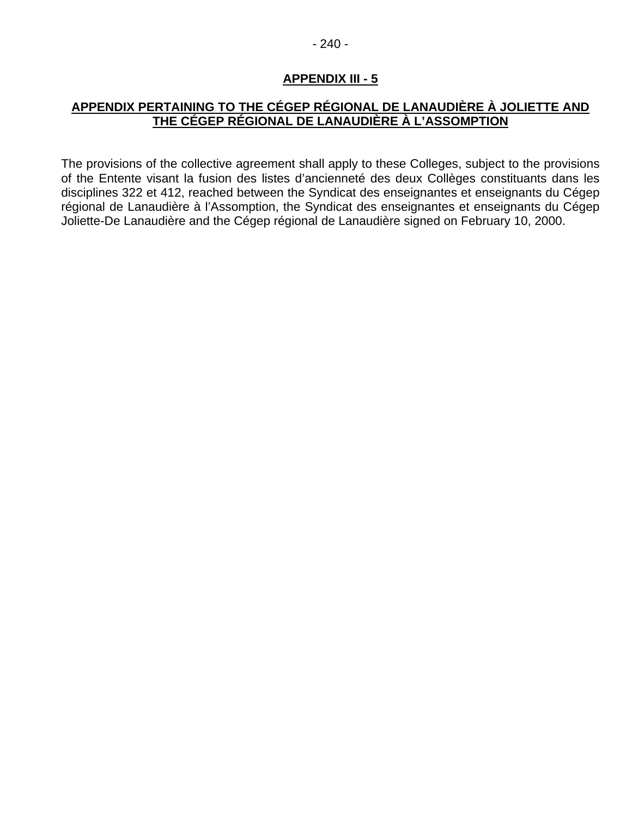#### - 240 -

# **APPENDIX III - 5**

# **APPENDIX PERTAINING TO THE CÉGEP RÉGIONAL DE LANAUDIÈRE À JOLIETTE AND THE CÉGEP RÉGIONAL DE LANAUDIÈRE À L'ASSOMPTION**

The provisions of the collective agreement shall apply to these Colleges, subject to the provisions of the Entente visant la fusion des listes d'ancienneté des deux Collèges constituants dans les disciplines 322 et 412, reached between the Syndicat des enseignantes et enseignants du Cégep régional de Lanaudière à l'Assomption, the Syndicat des enseignantes et enseignants du Cégep Joliette-De Lanaudière and the Cégep régional de Lanaudière signed on February 10, 2000.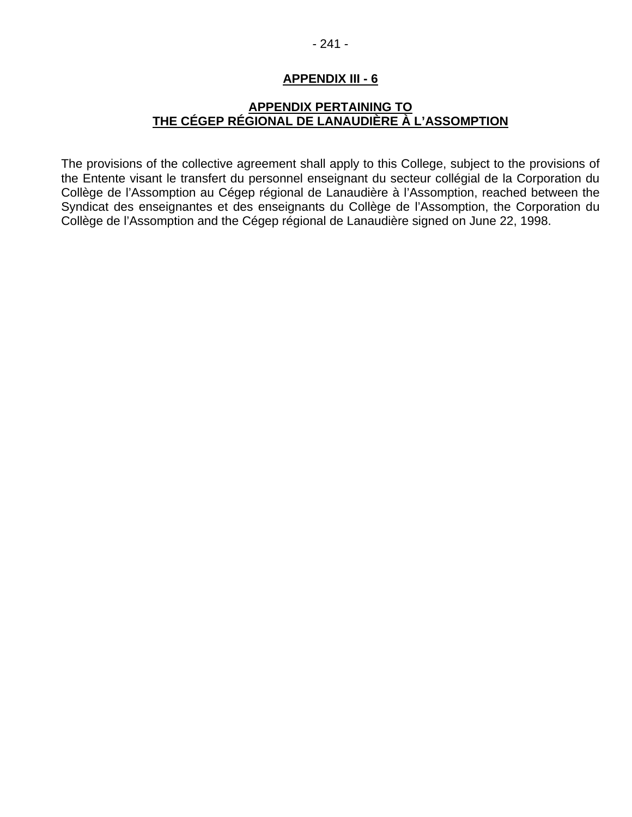- 241 -

# **APPENDIX III - 6**

# **APPENDIX PERTAINING TO THE CÉGEP RÉGIONAL DE LANAUDIÈRE À L'ASSOMPTION**

The provisions of the collective agreement shall apply to this College, subject to the provisions of the Entente visant le transfert du personnel enseignant du secteur collégial de la Corporation du Collège de l'Assomption au Cégep régional de Lanaudière à l'Assomption, reached between the Syndicat des enseignantes et des enseignants du Collège de l'Assomption, the Corporation du Collège de l'Assomption and the Cégep régional de Lanaudière signed on June 22, 1998.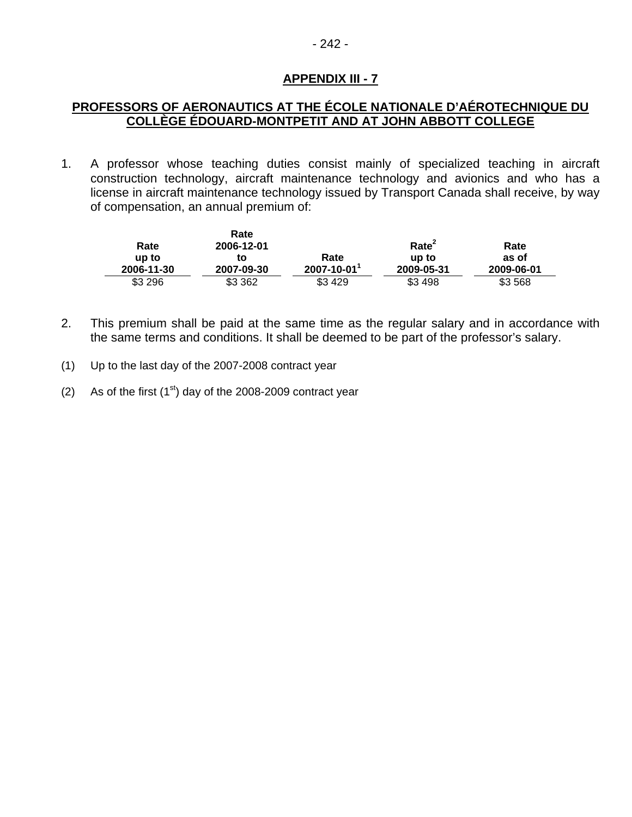# - 242 -

## **APPENDIX III - 7**

# **PROFESSORS OF AERONAUTICS AT THE ÉCOLE NATIONALE D'AÉROTECHNIQUE DU COLLÈGE ÉDOUARD-MONTPETIT AND AT JOHN ABBOTT COLLEGE**

1. A professor whose teaching duties consist mainly of specialized teaching in aircraft construction technology, aircraft maintenance technology and avionics and who has a license in aircraft maintenance technology issued by Transport Canada shall receive, by way of compensation, an annual premium of:

|            | Rate       |                  |                   |            |
|------------|------------|------------------|-------------------|------------|
| Rate       | 2006-12-01 |                  | Rate <sup>2</sup> | Rate       |
| up to      | to         | Rate             | up to             | as of      |
| 2006-11-30 | 2007-09-30 | $2007 - 10 - 01$ | 2009-05-31        | 2009-06-01 |
| \$3 296    | \$3 3 6 2  | \$3429           | \$3498            | \$3 568    |

- 2. This premium shall be paid at the same time as the regular salary and in accordance with the same terms and conditions. It shall be deemed to be part of the professor's salary.
- (1) Up to the last day of the 2007-2008 contract year
- (2) As of the first  $(1<sup>st</sup>)$  day of the 2008-2009 contract year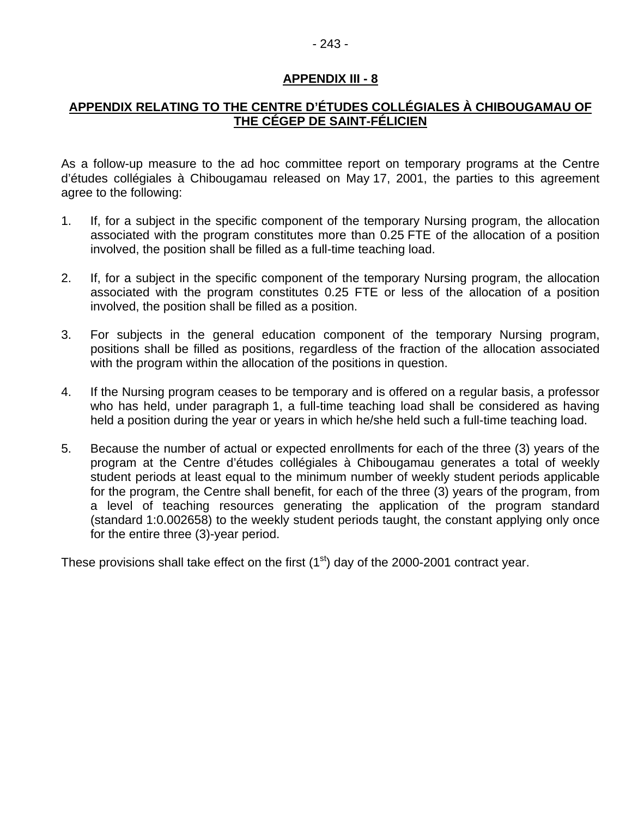#### - 243 -

#### **APPENDIX III - 8**

# **APPENDIX RELATING TO THE CENTRE D'ÉTUDES COLLÉGIALES À CHIBOUGAMAU OF THE CÉGEP DE SAINT-FÉLICIEN**

As a follow-up measure to the ad hoc committee report on temporary programs at the Centre d'études collégiales à Chibougamau released on May 17, 2001, the parties to this agreement agree to the following:

- 1. If, for a subject in the specific component of the temporary Nursing program, the allocation associated with the program constitutes more than 0.25 FTE of the allocation of a position involved, the position shall be filled as a full-time teaching load.
- 2. If, for a subject in the specific component of the temporary Nursing program, the allocation associated with the program constitutes 0.25 FTE or less of the allocation of a position involved, the position shall be filled as a position.
- 3. For subjects in the general education component of the temporary Nursing program, positions shall be filled as positions, regardless of the fraction of the allocation associated with the program within the allocation of the positions in question.
- 4. If the Nursing program ceases to be temporary and is offered on a regular basis, a professor who has held, under paragraph 1, a full-time teaching load shall be considered as having held a position during the year or years in which he/she held such a full-time teaching load.
- 5. Because the number of actual or expected enrollments for each of the three (3) years of the program at the Centre d'études collégiales à Chibougamau generates a total of weekly student periods at least equal to the minimum number of weekly student periods applicable for the program, the Centre shall benefit, for each of the three (3) years of the program, from a level of teaching resources generating the application of the program standard (standard 1:0.002658) to the weekly student periods taught, the constant applying only once for the entire three (3)-year period.

These provisions shall take effect on the first  $(1<sup>st</sup>)$  day of the 2000-2001 contract year.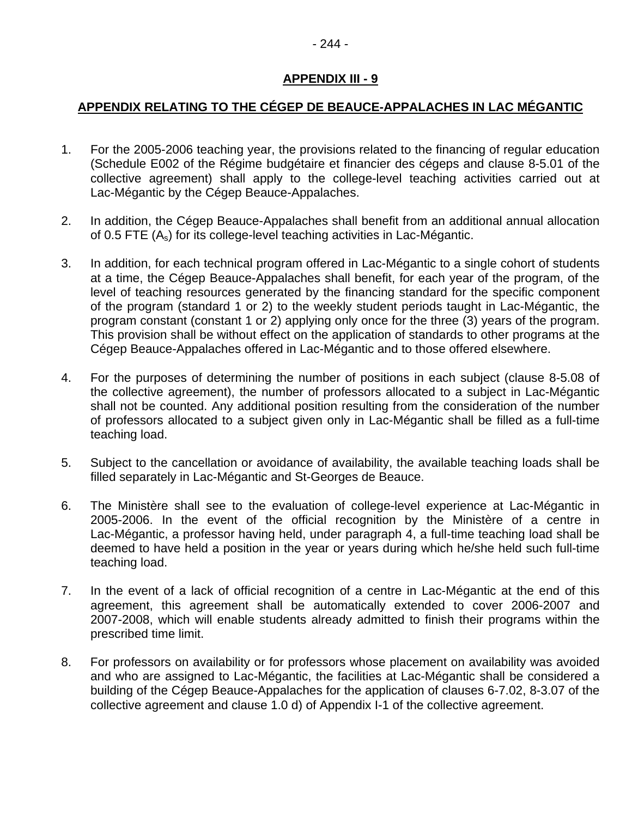# **APPENDIX III - 9**

# **APPENDIX RELATING TO THE CÉGEP DE BEAUCE-APPALACHES IN LAC MÉGANTIC**

- 1. For the 2005-2006 teaching year, the provisions related to the financing of regular education (Schedule E002 of the Régime budgétaire et financier des cégeps and clause 8-5.01 of the collective agreement) shall apply to the college-level teaching activities carried out at Lac-Mégantic by the Cégep Beauce-Appalaches.
- 2. In addition, the Cégep Beauce-Appalaches shall benefit from an additional annual allocation of 0.5 FTE (As) for its college-level teaching activities in Lac-Mégantic.
- 3. In addition, for each technical program offered in Lac-Mégantic to a single cohort of students at a time, the Cégep Beauce-Appalaches shall benefit, for each year of the program, of the level of teaching resources generated by the financing standard for the specific component of the program (standard 1 or 2) to the weekly student periods taught in Lac-Mégantic, the program constant (constant 1 or 2) applying only once for the three (3) years of the program. This provision shall be without effect on the application of standards to other programs at the Cégep Beauce-Appalaches offered in Lac-Mégantic and to those offered elsewhere.
- 4. For the purposes of determining the number of positions in each subject (clause 8-5.08 of the collective agreement), the number of professors allocated to a subject in Lac-Mégantic shall not be counted. Any additional position resulting from the consideration of the number of professors allocated to a subject given only in Lac-Mégantic shall be filled as a full-time teaching load.
- 5. Subject to the cancellation or avoidance of availability, the available teaching loads shall be filled separately in Lac-Mégantic and St-Georges de Beauce.
- 6. The Ministère shall see to the evaluation of college-level experience at Lac-Mégantic in 2005-2006. In the event of the official recognition by the Ministère of a centre in Lac-Mégantic, a professor having held, under paragraph 4, a full-time teaching load shall be deemed to have held a position in the year or years during which he/she held such full-time teaching load.
- 7. In the event of a lack of official recognition of a centre in Lac-Mégantic at the end of this agreement, this agreement shall be automatically extended to cover 2006-2007 and 2007-2008, which will enable students already admitted to finish their programs within the prescribed time limit.
- 8. For professors on availability or for professors whose placement on availability was avoided and who are assigned to Lac-Mégantic, the facilities at Lac-Mégantic shall be considered a building of the Cégep Beauce-Appalaches for the application of clauses 6-7.02, 8-3.07 of the collective agreement and clause 1.0 d) of Appendix I-1 of the collective agreement.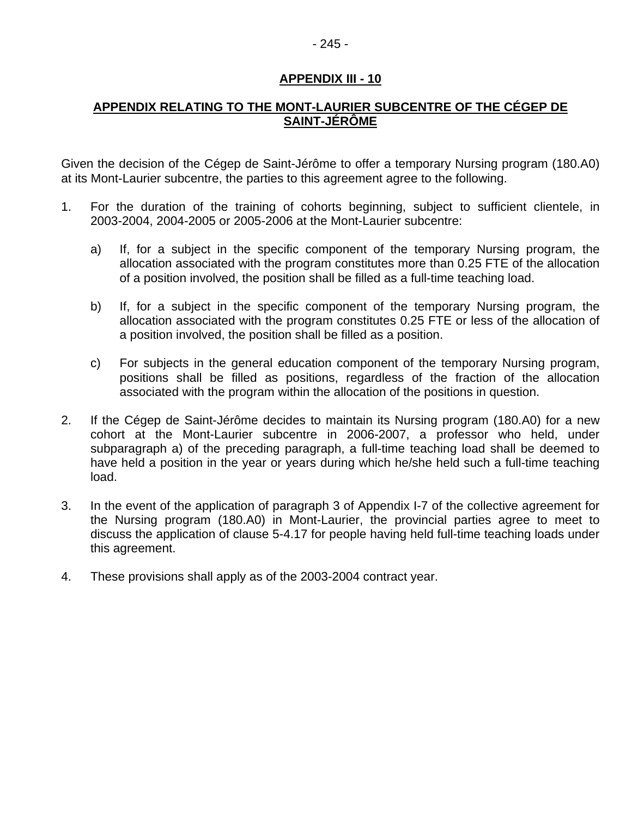# **APPENDIX III - 10**

# **APPENDIX RELATING TO THE MONT-LAURIER SUBCENTRE OF THE CÉGEP DE SAINT-JÉRÔME**

Given the decision of the Cégep de Saint-Jérôme to offer a temporary Nursing program (180.A0) at its Mont-Laurier subcentre, the parties to this agreement agree to the following.

- 1. For the duration of the training of cohorts beginning, subject to sufficient clientele, in 2003-2004, 2004-2005 or 2005-2006 at the Mont-Laurier subcentre:
	- a) If, for a subject in the specific component of the temporary Nursing program, the allocation associated with the program constitutes more than 0.25 FTE of the allocation of a position involved, the position shall be filled as a full-time teaching load.
	- b) If, for a subject in the specific component of the temporary Nursing program, the allocation associated with the program constitutes 0.25 FTE or less of the allocation of a position involved, the position shall be filled as a position.
	- c) For subjects in the general education component of the temporary Nursing program, positions shall be filled as positions, regardless of the fraction of the allocation associated with the program within the allocation of the positions in question.
- 2. If the Cégep de Saint-Jérôme decides to maintain its Nursing program (180.A0) for a new cohort at the Mont-Laurier subcentre in 2006-2007, a professor who held, under subparagraph a) of the preceding paragraph, a full-time teaching load shall be deemed to have held a position in the year or years during which he/she held such a full-time teaching load.
- 3. In the event of the application of paragraph 3 of Appendix I-7 of the collective agreement for the Nursing program (180.A0) in Mont-Laurier, the provincial parties agree to meet to discuss the application of clause 5-4.17 for people having held full-time teaching loads under this agreement.
- 4. These provisions shall apply as of the 2003-2004 contract year.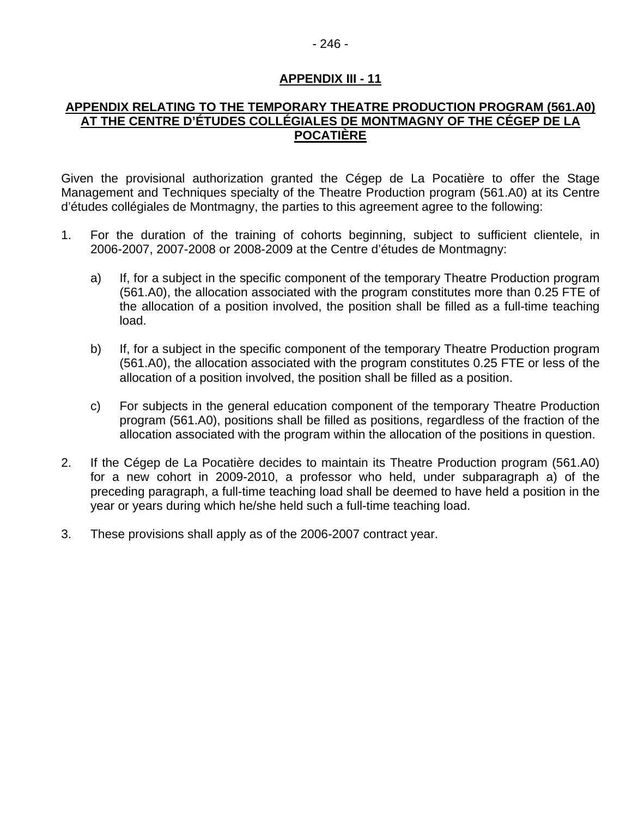#### - 246 -

#### **APPENDIX III - 11**

#### **APPENDIX RELATING TO THE TEMPORARY THEATRE PRODUCTION PROGRAM (561.A0) AT THE CENTRE D'ÉTUDES COLLÉGIALES DE MONTMAGNY OF THE CÉGEP DE LA POCATIÈRE**

Given the provisional authorization granted the Cégep de La Pocatière to offer the Stage Management and Techniques specialty of the Theatre Production program (561.A0) at its Centre d'études collégiales de Montmagny, the parties to this agreement agree to the following:

- 1. For the duration of the training of cohorts beginning, subject to sufficient clientele, in 2006-2007, 2007-2008 or 2008-2009 at the Centre d'études de Montmagny:
	- a) If, for a subject in the specific component of the temporary Theatre Production program (561.A0), the allocation associated with the program constitutes more than 0.25 FTE of the allocation of a position involved, the position shall be filled as a full-time teaching load.
	- b) If, for a subject in the specific component of the temporary Theatre Production program (561.A0), the allocation associated with the program constitutes 0.25 FTE or less of the allocation of a position involved, the position shall be filled as a position.
	- c) For subjects in the general education component of the temporary Theatre Production program (561.A0), positions shall be filled as positions, regardless of the fraction of the allocation associated with the program within the allocation of the positions in question.
- 2. If the Cégep de La Pocatière decides to maintain its Theatre Production program (561.A0) for a new cohort in 2009-2010, a professor who held, under subparagraph a) of the preceding paragraph, a full-time teaching load shall be deemed to have held a position in the year or years during which he/she held such a full-time teaching load.
- 3. These provisions shall apply as of the 2006-2007 contract year.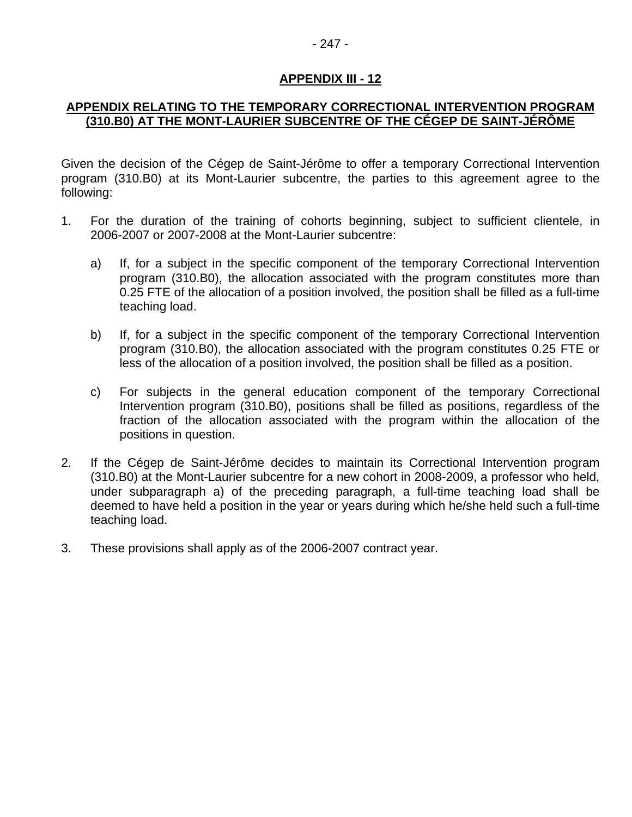#### - 247 -

#### **APPENDIX III - 12**

#### **APPENDIX RELATING TO THE TEMPORARY CORRECTIONAL INTERVENTION PROGRAM (310.B0) AT THE MONT-LAURIER SUBCENTRE OF THE CÉGEP DE SAINT-JÉRÔME**

Given the decision of the Cégep de Saint-Jérôme to offer a temporary Correctional Intervention program (310.B0) at its Mont-Laurier subcentre, the parties to this agreement agree to the following:

- 1. For the duration of the training of cohorts beginning, subject to sufficient clientele, in 2006-2007 or 2007-2008 at the Mont-Laurier subcentre:
	- a) If, for a subject in the specific component of the temporary Correctional Intervention program (310.B0), the allocation associated with the program constitutes more than 0.25 FTE of the allocation of a position involved, the position shall be filled as a full-time teaching load.
	- b) If, for a subject in the specific component of the temporary Correctional Intervention program (310.B0), the allocation associated with the program constitutes 0.25 FTE or less of the allocation of a position involved, the position shall be filled as a position.
	- c) For subjects in the general education component of the temporary Correctional Intervention program (310.B0), positions shall be filled as positions, regardless of the fraction of the allocation associated with the program within the allocation of the positions in question.
- 2. If the Cégep de Saint-Jérôme decides to maintain its Correctional Intervention program (310.B0) at the Mont-Laurier subcentre for a new cohort in 2008-2009, a professor who held, under subparagraph a) of the preceding paragraph, a full-time teaching load shall be deemed to have held a position in the year or years during which he/she held such a full-time teaching load.
- 3. These provisions shall apply as of the 2006-2007 contract year.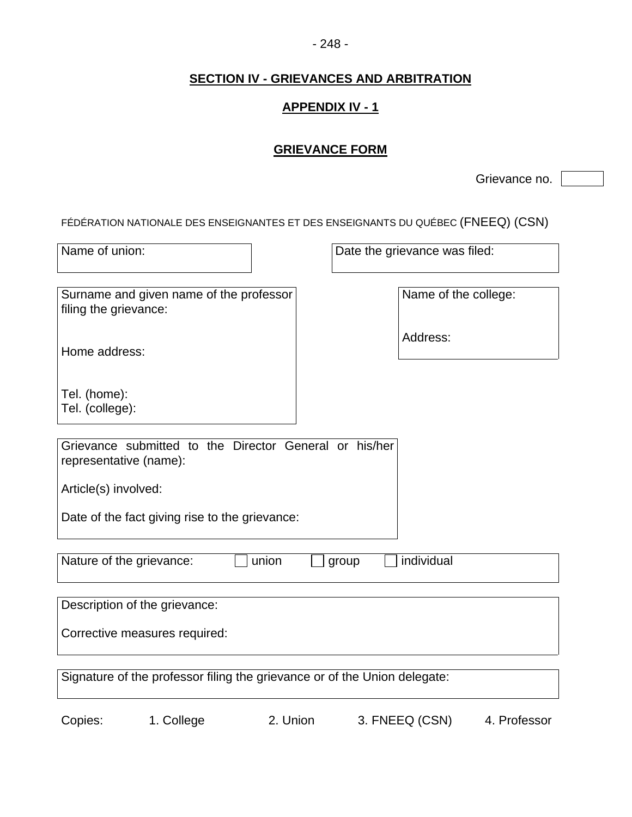#### - 248 -

# **SECTION IV - GRIEVANCES AND ARBITRATION**

# **APPENDIX IV - 1**

# **GRIEVANCE FORM**

Grievance no.

FÉDÉRATION NATIONALE DES ENSEIGNANTES ET DES ENSEIGNANTS DU QUÉBEC (FNEEQ) (CSN)

| Name of union:                                                                   | Date the grievance was filed: |  |  |  |
|----------------------------------------------------------------------------------|-------------------------------|--|--|--|
|                                                                                  |                               |  |  |  |
| Surname and given name of the professor<br>filing the grievance:                 | Name of the college:          |  |  |  |
| Home address:                                                                    | Address:                      |  |  |  |
| Tel. (home):<br>Tel. (college):                                                  |                               |  |  |  |
| Grievance submitted to the Director General or his/her<br>representative (name): |                               |  |  |  |
| Article(s) involved:                                                             |                               |  |  |  |
| Date of the fact giving rise to the grievance:                                   |                               |  |  |  |
| individual<br>Nature of the grievance:<br>union<br>group                         |                               |  |  |  |
| Description of the grievance:                                                    |                               |  |  |  |
| Corrective measures required:                                                    |                               |  |  |  |
| Signature of the professor filing the grievance or of the Union delegate:        |                               |  |  |  |

Copies: 1. College 2. Union 3. FNEEQ (CSN) 4. Professor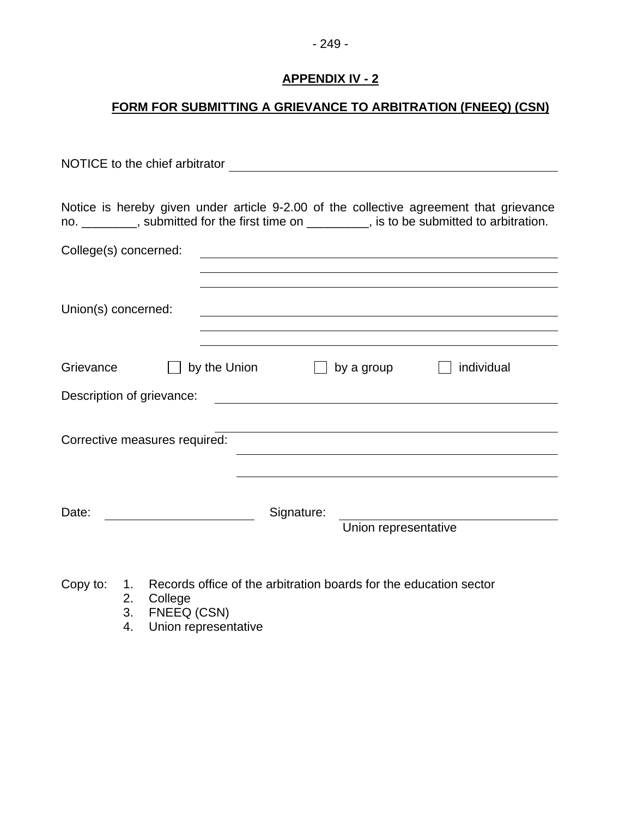# **FORM FOR SUBMITTING A GRIEVANCE TO ARBITRATION (FNEEQ) (CSN)**

| NOTICE to the chief arbitrator and the contract of the contract of the contract of the contract of the contract of the contract of the contract of the contract of the contract of the contract of the contract of the contrac |  |  |  |  |
|--------------------------------------------------------------------------------------------------------------------------------------------------------------------------------------------------------------------------------|--|--|--|--|
|                                                                                                                                                                                                                                |  |  |  |  |
| Notice is hereby given under article 9-2.00 of the collective agreement that grievance<br>no. ________, submitted for the first time on ________, is to be submitted to arbitration.                                           |  |  |  |  |
| College(s) concerned:<br><u> 1989 - Johann Stoff, deutscher Stoffen und der Stoffen und der Stoffen und der Stoffen und der Stoffen und de</u>                                                                                 |  |  |  |  |
|                                                                                                                                                                                                                                |  |  |  |  |
| Union(s) concerned:                                                                                                                                                                                                            |  |  |  |  |
|                                                                                                                                                                                                                                |  |  |  |  |
| Grievance<br>by the Union<br>individual<br>by a group                                                                                                                                                                          |  |  |  |  |
| Description of grievance:<br><u> 1980 - John Stein, Amerikaansk politiker (</u>                                                                                                                                                |  |  |  |  |
| Corrective measures required:                                                                                                                                                                                                  |  |  |  |  |
|                                                                                                                                                                                                                                |  |  |  |  |
| Date:<br>Signature:<br>Union representative                                                                                                                                                                                    |  |  |  |  |

- Copy to: 1. Records office of the arbitration boards for the education sector
	- 2. College
	- 3. FNEEQ (CSN)
	- 4. Union representative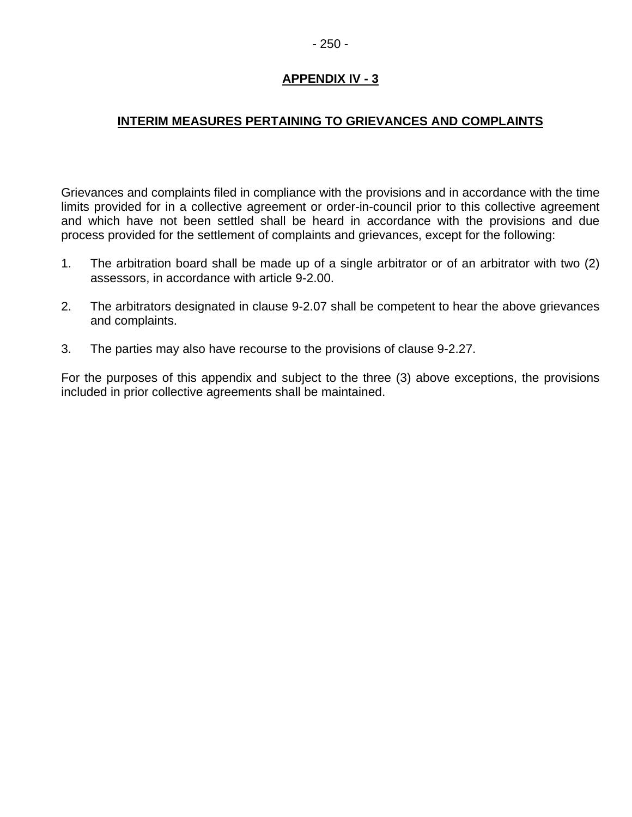# **INTERIM MEASURES PERTAINING TO GRIEVANCES AND COMPLAINTS**

Grievances and complaints filed in compliance with the provisions and in accordance with the time limits provided for in a collective agreement or order-in-council prior to this collective agreement and which have not been settled shall be heard in accordance with the provisions and due process provided for the settlement of complaints and grievances, except for the following:

- 1. The arbitration board shall be made up of a single arbitrator or of an arbitrator with two (2) assessors, in accordance with article 9-2.00.
- 2. The arbitrators designated in clause 9-2.07 shall be competent to hear the above grievances and complaints.
- 3. The parties may also have recourse to the provisions of clause 9-2.27.

For the purposes of this appendix and subject to the three (3) above exceptions, the provisions included in prior collective agreements shall be maintained.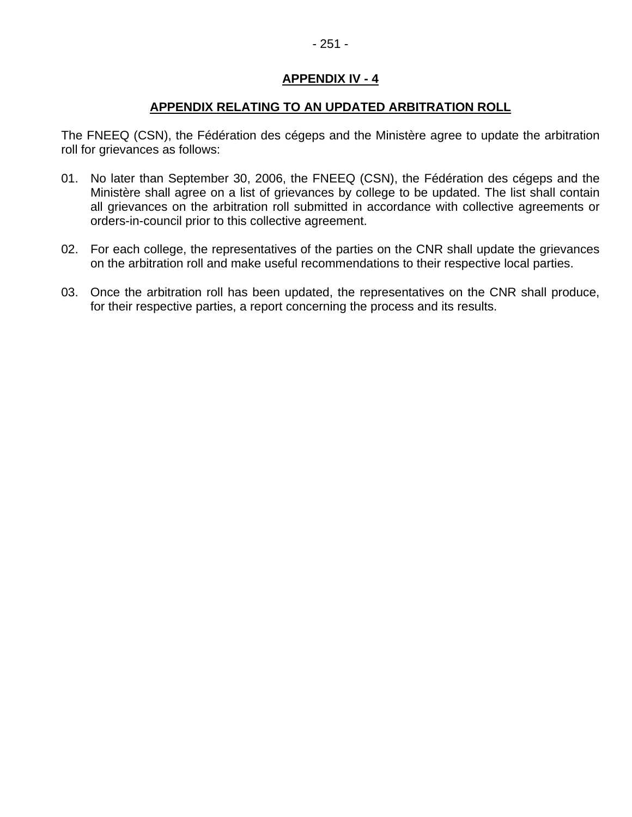#### **APPENDIX RELATING TO AN UPDATED ARBITRATION ROLL**

The FNEEQ (CSN), the Fédération des cégeps and the Ministère agree to update the arbitration roll for grievances as follows:

- 01. No later than September 30, 2006, the FNEEQ (CSN), the Fédération des cégeps and the Ministère shall agree on a list of grievances by college to be updated. The list shall contain all grievances on the arbitration roll submitted in accordance with collective agreements or orders-in-council prior to this collective agreement.
- 02. For each college, the representatives of the parties on the CNR shall update the grievances on the arbitration roll and make useful recommendations to their respective local parties.
- 03. Once the arbitration roll has been updated, the representatives on the CNR shall produce, for their respective parties, a report concerning the process and its results.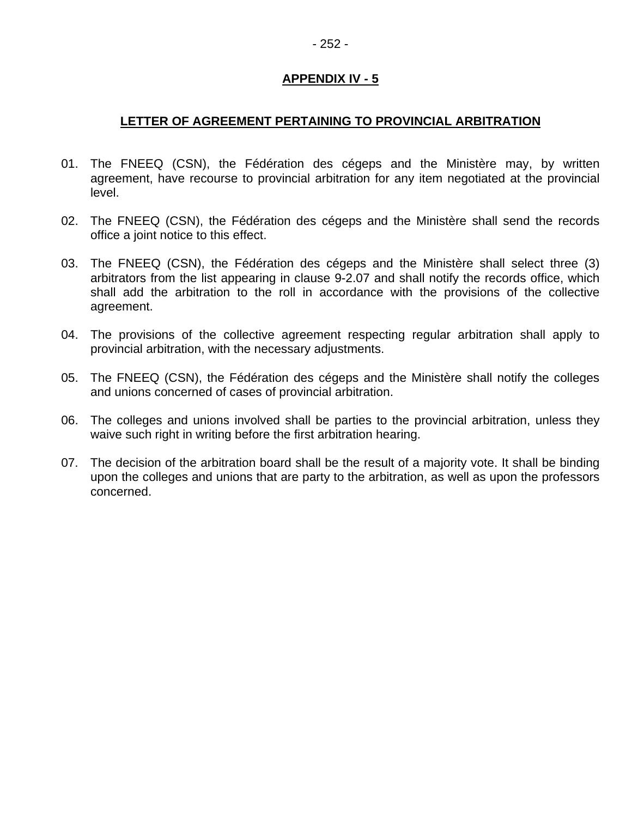# **LETTER OF AGREEMENT PERTAINING TO PROVINCIAL ARBITRATION**

- 01. The FNEEQ (CSN), the Fédération des cégeps and the Ministère may, by written agreement, have recourse to provincial arbitration for any item negotiated at the provincial level.
- 02. The FNEEQ (CSN), the Fédération des cégeps and the Ministère shall send the records office a joint notice to this effect.
- 03. The FNEEQ (CSN), the Fédération des cégeps and the Ministère shall select three (3) arbitrators from the list appearing in clause 9-2.07 and shall notify the records office, which shall add the arbitration to the roll in accordance with the provisions of the collective agreement.
- 04. The provisions of the collective agreement respecting regular arbitration shall apply to provincial arbitration, with the necessary adjustments.
- 05. The FNEEQ (CSN), the Fédération des cégeps and the Ministère shall notify the colleges and unions concerned of cases of provincial arbitration.
- 06. The colleges and unions involved shall be parties to the provincial arbitration, unless they waive such right in writing before the first arbitration hearing.
- 07. The decision of the arbitration board shall be the result of a majority vote. It shall be binding upon the colleges and unions that are party to the arbitration, as well as upon the professors concerned.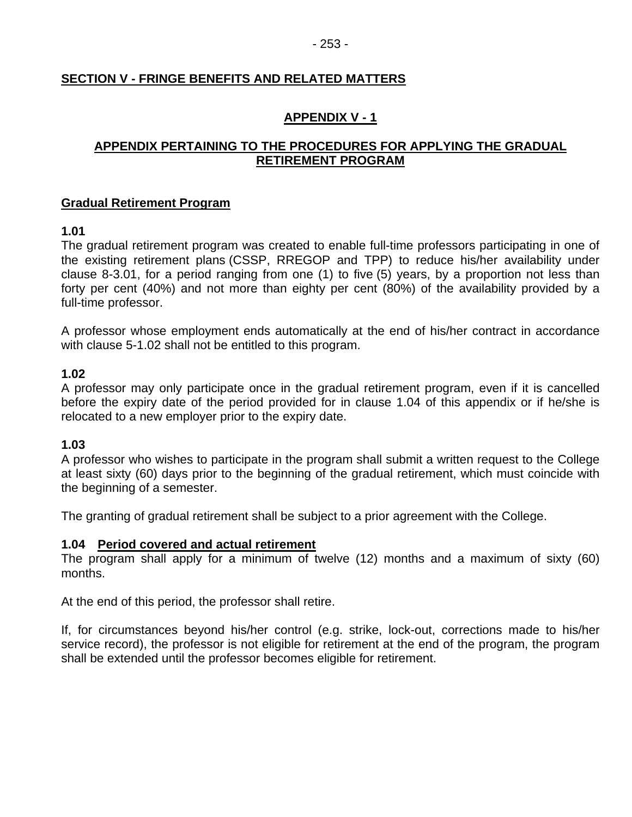# **SECTION V - FRINGE BENEFITS AND RELATED MATTERS**

# **APPENDIX V - 1**

# **APPENDIX PERTAINING TO THE PROCEDURES FOR APPLYING THE GRADUAL RETIREMENT PROGRAM**

#### **Gradual Retirement Program**

# **1.01**

The gradual retirement program was created to enable full-time professors participating in one of the existing retirement plans (CSSP, RREGOP and TPP) to reduce his/her availability under clause 8-3.01, for a period ranging from one (1) to five (5) years, by a proportion not less than forty per cent (40%) and not more than eighty per cent (80%) of the availability provided by a full-time professor.

A professor whose employment ends automatically at the end of his/her contract in accordance with clause 5-1.02 shall not be entitled to this program.

# **1.02**

A professor may only participate once in the gradual retirement program, even if it is cancelled before the expiry date of the period provided for in clause 1.04 of this appendix or if he/she is relocated to a new employer prior to the expiry date.

#### **1.03**

A professor who wishes to participate in the program shall submit a written request to the College at least sixty (60) days prior to the beginning of the gradual retirement, which must coincide with the beginning of a semester.

The granting of gradual retirement shall be subject to a prior agreement with the College.

#### **1.04 Period covered and actual retirement**

The program shall apply for a minimum of twelve (12) months and a maximum of sixty (60) months.

At the end of this period, the professor shall retire.

If, for circumstances beyond his/her control (e.g. strike, lock-out, corrections made to his/her service record), the professor is not eligible for retirement at the end of the program, the program shall be extended until the professor becomes eligible for retirement.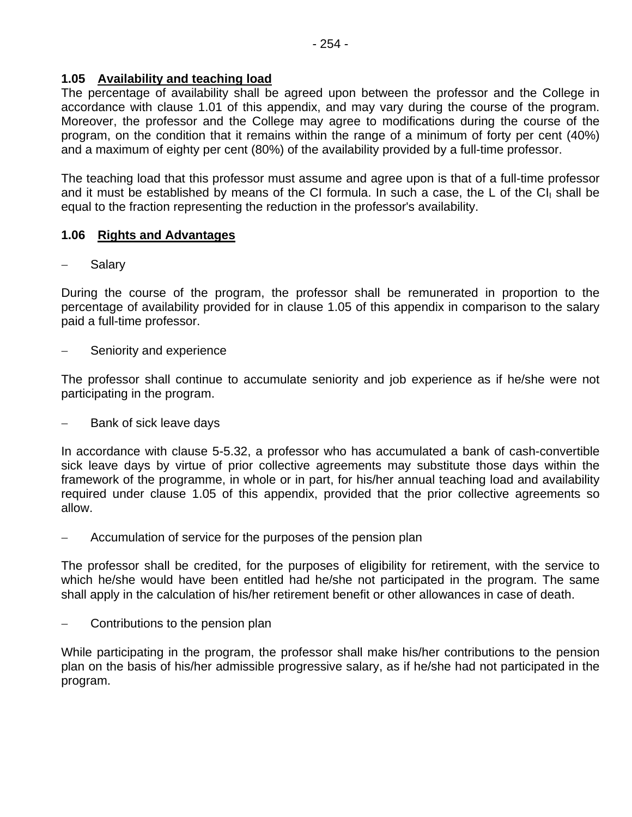# **1.05 Availability and teaching load**

The percentage of availability shall be agreed upon between the professor and the College in accordance with clause 1.01 of this appendix, and may vary during the course of the program. Moreover, the professor and the College may agree to modifications during the course of the program, on the condition that it remains within the range of a minimum of forty per cent (40%) and a maximum of eighty per cent (80%) of the availability provided by a full-time professor.

The teaching load that this professor must assume and agree upon is that of a full-time professor and it must be established by means of the CI formula. In such a case, the L of the CI $<sub>1</sub>$  shall be</sub> equal to the fraction representing the reduction in the professor's availability.

# **1.06 Rights and Advantages**

**Salary** 

During the course of the program, the professor shall be remunerated in proportion to the percentage of availability provided for in clause 1.05 of this appendix in comparison to the salary paid a full-time professor.

Seniority and experience

The professor shall continue to accumulate seniority and job experience as if he/she were not participating in the program.

Bank of sick leave days

In accordance with clause 5-5.32, a professor who has accumulated a bank of cash-convertible sick leave days by virtue of prior collective agreements may substitute those days within the framework of the programme, in whole or in part, for his/her annual teaching load and availability required under clause 1.05 of this appendix, provided that the prior collective agreements so allow.

Accumulation of service for the purposes of the pension plan

The professor shall be credited, for the purposes of eligibility for retirement, with the service to which he/she would have been entitled had he/she not participated in the program. The same shall apply in the calculation of his/her retirement benefit or other allowances in case of death.

− Contributions to the pension plan

While participating in the program, the professor shall make his/her contributions to the pension plan on the basis of his/her admissible progressive salary, as if he/she had not participated in the program.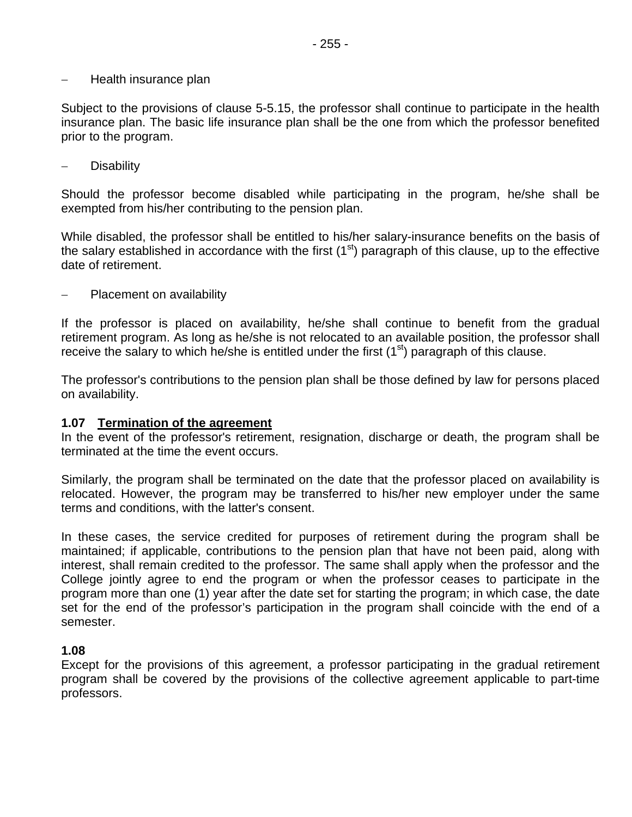#### − Health insurance plan

Subject to the provisions of clause 5-5.15, the professor shall continue to participate in the health insurance plan. The basic life insurance plan shall be the one from which the professor benefited prior to the program.

− Disability

Should the professor become disabled while participating in the program, he/she shall be exempted from his/her contributing to the pension plan.

While disabled, the professor shall be entitled to his/her salary-insurance benefits on the basis of the salary established in accordance with the first  $(1<sup>st</sup>)$  paragraph of this clause, up to the effective date of retirement.

Placement on availability

If the professor is placed on availability, he/she shall continue to benefit from the gradual retirement program. As long as he/she is not relocated to an available position, the professor shall receive the salary to which he/she is entitled under the first  $(1<sup>st</sup>)$  paragraph of this clause.

The professor's contributions to the pension plan shall be those defined by law for persons placed on availability.

#### **1.07 Termination of the agreement**

In the event of the professor's retirement, resignation, discharge or death, the program shall be terminated at the time the event occurs.

Similarly, the program shall be terminated on the date that the professor placed on availability is relocated. However, the program may be transferred to his/her new employer under the same terms and conditions, with the latter's consent.

In these cases, the service credited for purposes of retirement during the program shall be maintained; if applicable, contributions to the pension plan that have not been paid, along with interest, shall remain credited to the professor. The same shall apply when the professor and the College jointly agree to end the program or when the professor ceases to participate in the program more than one (1) year after the date set for starting the program; in which case, the date set for the end of the professor's participation in the program shall coincide with the end of a semester.

#### **1.08**

Except for the provisions of this agreement, a professor participating in the gradual retirement program shall be covered by the provisions of the collective agreement applicable to part-time professors.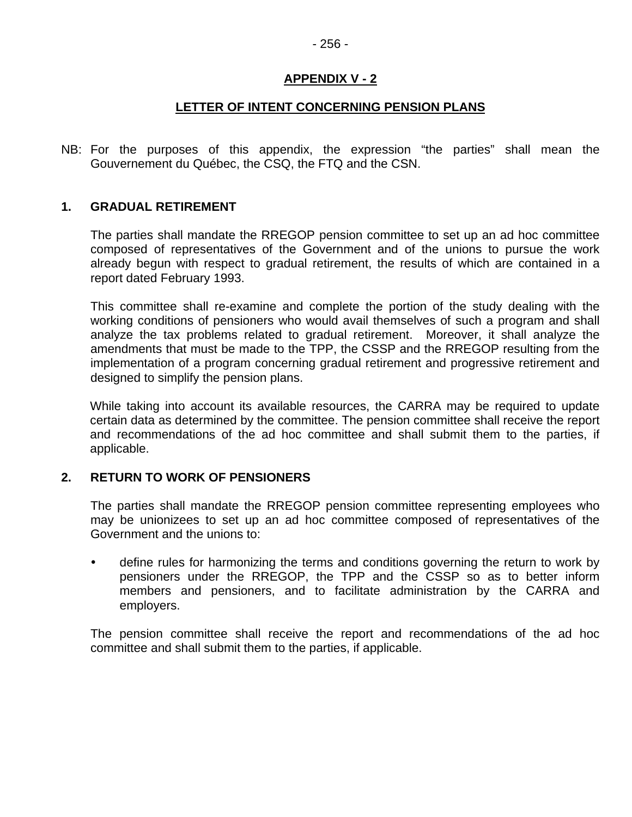#### **LETTER OF INTENT CONCERNING PENSION PLANS**

NB: For the purposes of this appendix, the expression "the parties" shall mean the Gouvernement du Québec, the CSQ, the FTQ and the CSN.

#### **1. GRADUAL RETIREMENT**

The parties shall mandate the RREGOP pension committee to set up an ad hoc committee composed of representatives of the Government and of the unions to pursue the work already begun with respect to gradual retirement, the results of which are contained in a report dated February 1993.

This committee shall re-examine and complete the portion of the study dealing with the working conditions of pensioners who would avail themselves of such a program and shall analyze the tax problems related to gradual retirement. Moreover, it shall analyze the amendments that must be made to the TPP, the CSSP and the RREGOP resulting from the implementation of a program concerning gradual retirement and progressive retirement and designed to simplify the pension plans.

While taking into account its available resources, the CARRA may be required to update certain data as determined by the committee. The pension committee shall receive the report and recommendations of the ad hoc committee and shall submit them to the parties, if applicable.

#### **2. RETURN TO WORK OF PENSIONERS**

The parties shall mandate the RREGOP pension committee representing employees who may be unionizees to set up an ad hoc committee composed of representatives of the Government and the unions to:

define rules for harmonizing the terms and conditions governing the return to work by pensioners under the RREGOP, the TPP and the CSSP so as to better inform members and pensioners, and to facilitate administration by the CARRA and employers.

The pension committee shall receive the report and recommendations of the ad hoc committee and shall submit them to the parties, if applicable.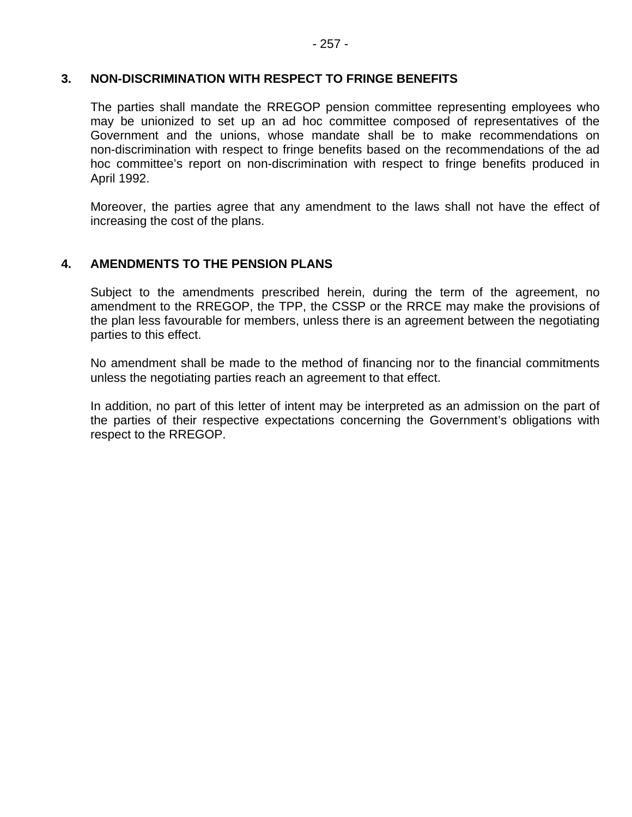#### **3. NON-DISCRIMINATION WITH RESPECT TO FRINGE BENEFITS**

The parties shall mandate the RREGOP pension committee representing employees who may be unionized to set up an ad hoc committee composed of representatives of the Government and the unions, whose mandate shall be to make recommendations on non-discrimination with respect to fringe benefits based on the recommendations of the ad hoc committee's report on non-discrimination with respect to fringe benefits produced in April 1992.

Moreover, the parties agree that any amendment to the laws shall not have the effect of increasing the cost of the plans.

#### **4. AMENDMENTS TO THE PENSION PLANS**

Subject to the amendments prescribed herein, during the term of the agreement, no amendment to the RREGOP, the TPP, the CSSP or the RRCE may make the provisions of the plan less favourable for members, unless there is an agreement between the negotiating parties to this effect.

No amendment shall be made to the method of financing nor to the financial commitments unless the negotiating parties reach an agreement to that effect.

In addition, no part of this letter of intent may be interpreted as an admission on the part of the parties of their respective expectations concerning the Government's obligations with respect to the RREGOP.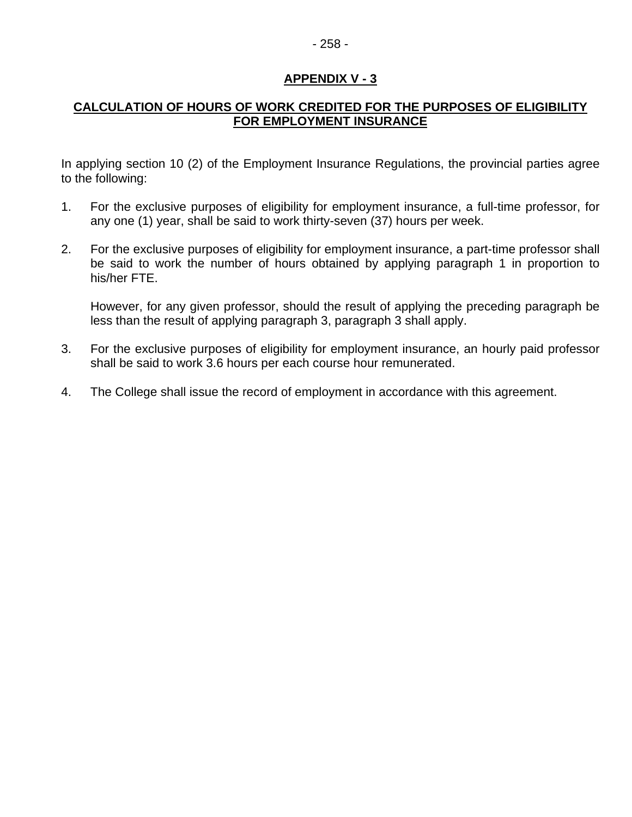# - 258 -

# **APPENDIX V - 3**

#### **CALCULATION OF HOURS OF WORK CREDITED FOR THE PURPOSES OF ELIGIBILITY FOR EMPLOYMENT INSURANCE**

In applying section 10 (2) of the Employment Insurance Regulations, the provincial parties agree to the following:

- 1. For the exclusive purposes of eligibility for employment insurance, a full-time professor, for any one (1) year, shall be said to work thirty-seven (37) hours per week.
- 2. For the exclusive purposes of eligibility for employment insurance, a part-time professor shall be said to work the number of hours obtained by applying paragraph 1 in proportion to his/her FTE.

However, for any given professor, should the result of applying the preceding paragraph be less than the result of applying paragraph 3, paragraph 3 shall apply.

- 3. For the exclusive purposes of eligibility for employment insurance, an hourly paid professor shall be said to work 3.6 hours per each course hour remunerated.
- 4. The College shall issue the record of employment in accordance with this agreement.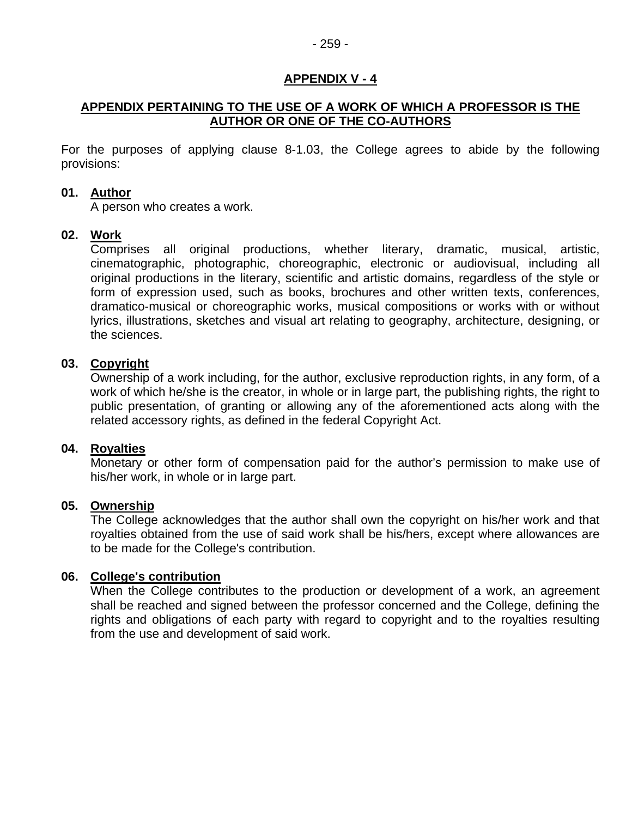#### **APPENDIX PERTAINING TO THE USE OF A WORK OF WHICH A PROFESSOR IS THE AUTHOR OR ONE OF THE CO-AUTHORS**

For the purposes of applying clause 8-1.03, the College agrees to abide by the following provisions:

#### **01. Author**

A person who creates a work.

#### **02. Work**

Comprises all original productions, whether literary, dramatic, musical, artistic, cinematographic, photographic, choreographic, electronic or audiovisual, including all original productions in the literary, scientific and artistic domains, regardless of the style or form of expression used, such as books, brochures and other written texts, conferences, dramatico-musical or choreographic works, musical compositions or works with or without lyrics, illustrations, sketches and visual art relating to geography, architecture, designing, or the sciences.

#### **03. Copyright**

Ownership of a work including, for the author, exclusive reproduction rights, in any form, of a work of which he/she is the creator, in whole or in large part, the publishing rights, the right to public presentation, of granting or allowing any of the aforementioned acts along with the related accessory rights, as defined in the federal Copyright Act.

#### **04. Royalties**

Monetary or other form of compensation paid for the author's permission to make use of his/her work, in whole or in large part.

#### **05. Ownership**

The College acknowledges that the author shall own the copyright on his/her work and that royalties obtained from the use of said work shall be his/hers, except where allowances are to be made for the College's contribution.

#### **06. College's contribution**

When the College contributes to the production or development of a work, an agreement shall be reached and signed between the professor concerned and the College, defining the rights and obligations of each party with regard to copyright and to the royalties resulting from the use and development of said work.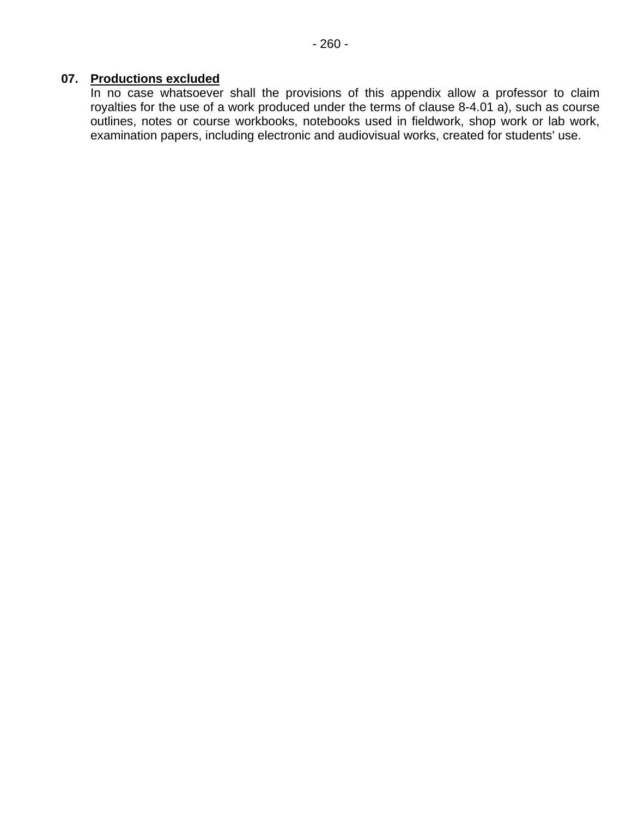# **07. Productions excluded**

In no case whatsoever shall the provisions of this appendix allow a professor to claim royalties for the use of a work produced under the terms of clause 8-4.01 a), such as course outlines, notes or course workbooks, notebooks used in fieldwork, shop work or lab work, examination papers, including electronic and audiovisual works, created for students' use.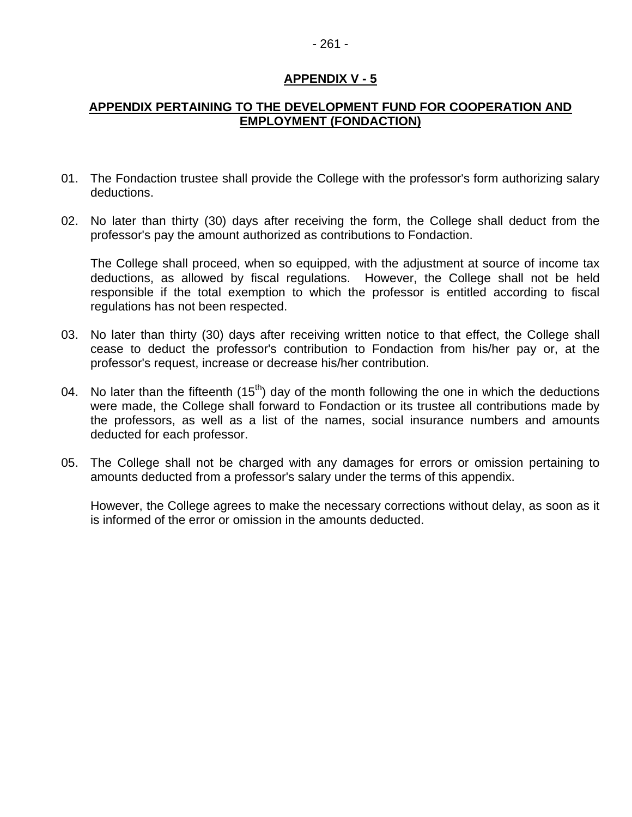#### - 261 -

#### **APPENDIX V - 5**

#### **APPENDIX PERTAINING TO THE DEVELOPMENT FUND FOR COOPERATION AND EMPLOYMENT (FONDACTION)**

- 01. The Fondaction trustee shall provide the College with the professor's form authorizing salary deductions.
- 02. No later than thirty (30) days after receiving the form, the College shall deduct from the professor's pay the amount authorized as contributions to Fondaction.

The College shall proceed, when so equipped, with the adjustment at source of income tax deductions, as allowed by fiscal regulations. However, the College shall not be held responsible if the total exemption to which the professor is entitled according to fiscal regulations has not been respected.

- 03. No later than thirty (30) days after receiving written notice to that effect, the College shall cease to deduct the professor's contribution to Fondaction from his/her pay or, at the professor's request, increase or decrease his/her contribution.
- 04. No later than the fifteenth  $(15<sup>th</sup>)$  day of the month following the one in which the deductions were made, the College shall forward to Fondaction or its trustee all contributions made by the professors, as well as a list of the names, social insurance numbers and amounts deducted for each professor.
- 05. The College shall not be charged with any damages for errors or omission pertaining to amounts deducted from a professor's salary under the terms of this appendix.

However, the College agrees to make the necessary corrections without delay, as soon as it is informed of the error or omission in the amounts deducted.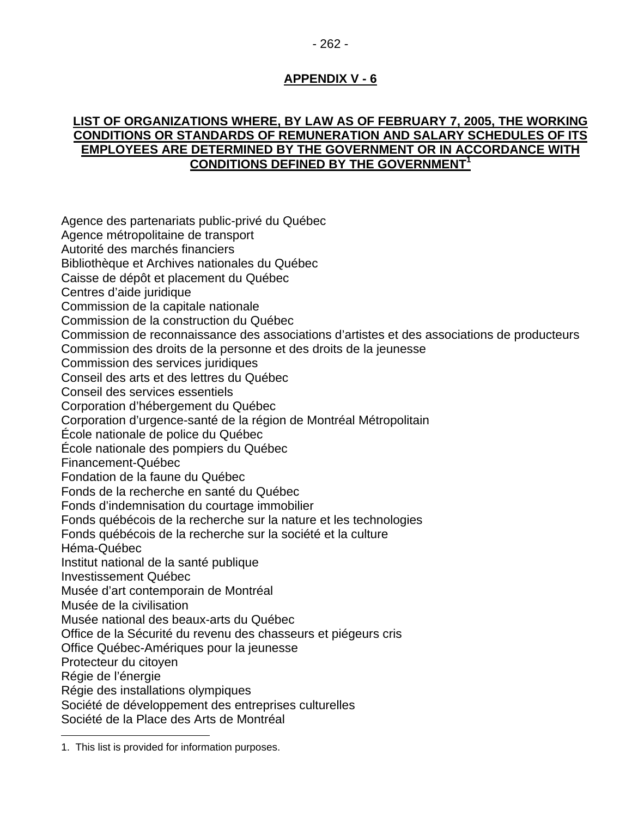# **LIST OF ORGANIZATIONS WHERE, BY LAW AS OF FEBRUARY 7, 2005, THE WORKING CONDITIONS OR STANDARDS OF REMUNERATION AND SALARY SCHEDULES OF ITS EMPLOYEES ARE DETERMINED BY THE GOVERNMENT OR IN ACCORDANCE WITH CONDITIONS DEFINED BY THE GOVERNMENT<sup>1</sup>**

Agence des partenariats public-privé du Québec Agence métropolitaine de transport Autorité des marchés financiers Bibliothèque et Archives nationales du Québec Caisse de dépôt et placement du Québec Centres d'aide juridique Commission de la capitale nationale Commission de la construction du Québec Commission de reconnaissance des associations d'artistes et des associations de producteurs Commission des droits de la personne et des droits de la jeunesse Commission des services juridiques Conseil des arts et des lettres du Québec Conseil des services essentiels Corporation d'hébergement du Québec Corporation d'urgence-santé de la région de Montréal Métropolitain École nationale de police du Québec École nationale des pompiers du Québec Financement-Québec Fondation de la faune du Québec Fonds de la recherche en santé du Québec Fonds d'indemnisation du courtage immobilier Fonds québécois de la recherche sur la nature et les technologies Fonds québécois de la recherche sur la société et la culture Héma-Québec Institut national de la santé publique Investissement Québec Musée d'art contemporain de Montréal Musée de la civilisation Musée national des beaux-arts du Québec Office de la Sécurité du revenu des chasseurs et piégeurs cris Office Québec-Amériques pour la jeunesse Protecteur du citoyen Régie de l'énergie Régie des installations olympiques Société de développement des entreprises culturelles Société de la Place des Arts de Montréal

 $\overline{a}$ 1. This list is provided for information purposes.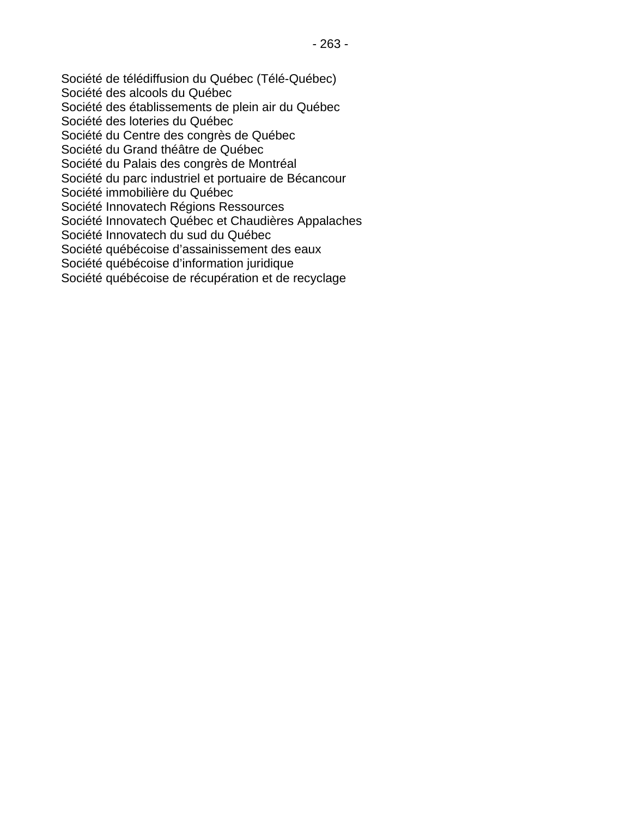Société de télédiffusion du Québec (Télé-Québec) Société des alcools du Québec Société des établissements de plein air du Québec Société des loteries du Québec Société du Centre des congrès de Québec Société du Grand théâtre de Québec Société du Palais des congrès de Montréal Société du parc industriel et portuaire de Bécancour Société immobilière du Québec Société Innovatech Régions Ressources Société Innovatech Québec et Chaudières Appalaches Société Innovatech du sud du Québec Société québécoise d'assainissement des eaux Société québécoise d'information juridique Société québécoise de récupération et de recyclage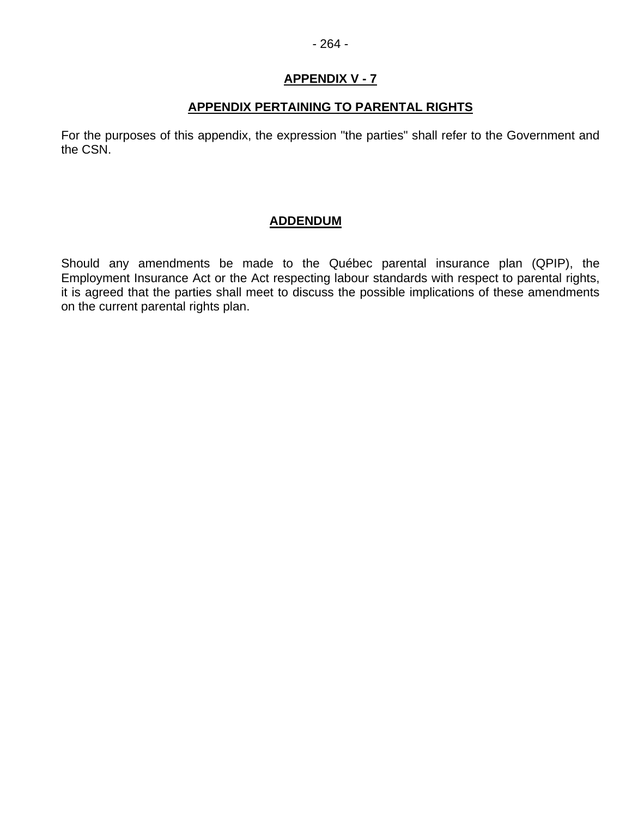# **APPENDIX PERTAINING TO PARENTAL RIGHTS**

For the purposes of this appendix, the expression "the parties" shall refer to the Government and the CSN.

# **ADDENDUM**

Should any amendments be made to the Québec parental insurance plan (QPIP), the Employment Insurance Act or the Act respecting labour standards with respect to parental rights, it is agreed that the parties shall meet to discuss the possible implications of these amendments on the current parental rights plan.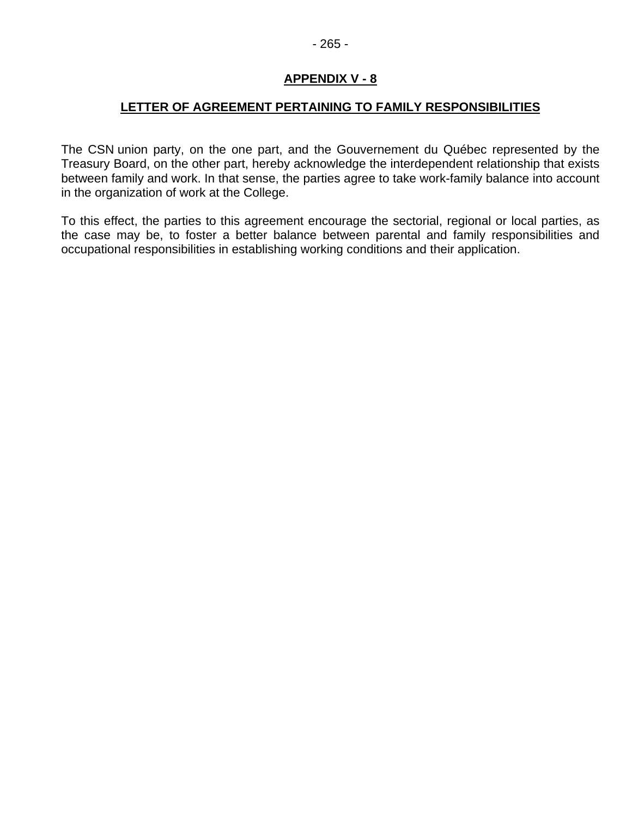#### **LETTER OF AGREEMENT PERTAINING TO FAMILY RESPONSIBILITIES**

The CSN union party, on the one part, and the Gouvernement du Québec represented by the Treasury Board, on the other part, hereby acknowledge the interdependent relationship that exists between family and work. In that sense, the parties agree to take work-family balance into account in the organization of work at the College.

To this effect, the parties to this agreement encourage the sectorial, regional or local parties, as the case may be, to foster a better balance between parental and family responsibilities and occupational responsibilities in establishing working conditions and their application.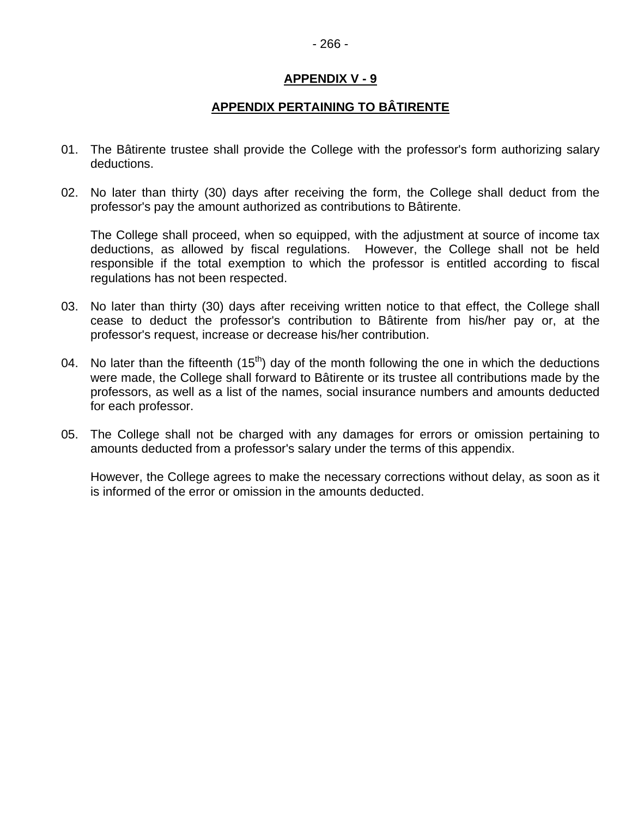#### - 266 -

# **APPENDIX V - 9**

# **APPENDIX PERTAINING TO BÂTIRENTE**

- 01. The Bâtirente trustee shall provide the College with the professor's form authorizing salary deductions.
- 02. No later than thirty (30) days after receiving the form, the College shall deduct from the professor's pay the amount authorized as contributions to Bâtirente.

The College shall proceed, when so equipped, with the adjustment at source of income tax deductions, as allowed by fiscal regulations. However, the College shall not be held responsible if the total exemption to which the professor is entitled according to fiscal regulations has not been respected.

- 03. No later than thirty (30) days after receiving written notice to that effect, the College shall cease to deduct the professor's contribution to Bâtirente from his/her pay or, at the professor's request, increase or decrease his/her contribution.
- 04. No later than the fifteenth  $(15<sup>th</sup>)$  day of the month following the one in which the deductions were made, the College shall forward to Bâtirente or its trustee all contributions made by the professors, as well as a list of the names, social insurance numbers and amounts deducted for each professor.
- 05. The College shall not be charged with any damages for errors or omission pertaining to amounts deducted from a professor's salary under the terms of this appendix.

However, the College agrees to make the necessary corrections without delay, as soon as it is informed of the error or omission in the amounts deducted.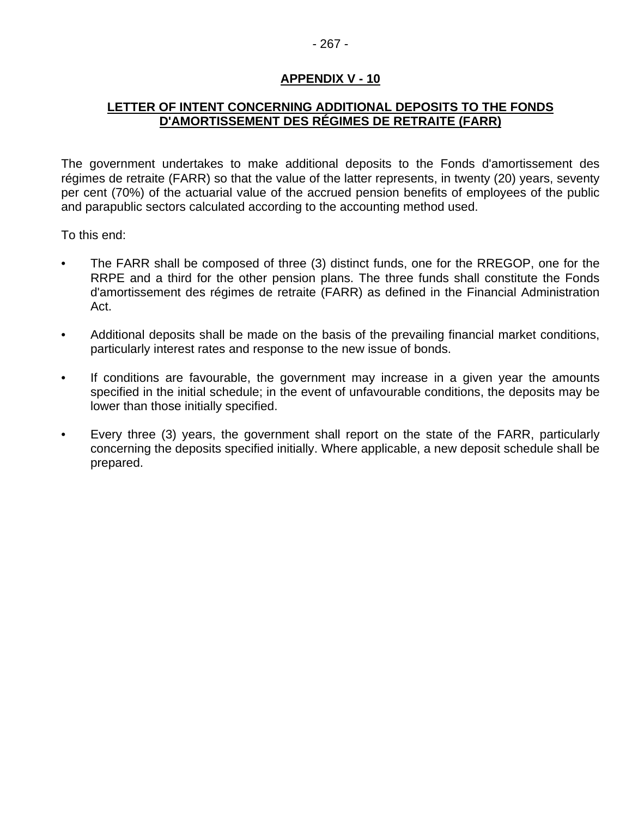# **LETTER OF INTENT CONCERNING ADDITIONAL DEPOSITS TO THE FONDS D'AMORTISSEMENT DES RÉGIMES DE RETRAITE (FARR)**

The government undertakes to make additional deposits to the Fonds d'amortissement des régimes de retraite (FARR) so that the value of the latter represents, in twenty (20) years, seventy per cent (70%) of the actuarial value of the accrued pension benefits of employees of the public and parapublic sectors calculated according to the accounting method used.

To this end:

- The FARR shall be composed of three (3) distinct funds, one for the RREGOP, one for the RRPE and a third for the other pension plans. The three funds shall constitute the Fonds d'amortissement des régimes de retraite (FARR) as defined in the Financial Administration Act.
- Additional deposits shall be made on the basis of the prevailing financial market conditions, particularly interest rates and response to the new issue of bonds.
- If conditions are favourable, the government may increase in a given year the amounts specified in the initial schedule; in the event of unfavourable conditions, the deposits may be lower than those initially specified.
- Every three (3) years, the government shall report on the state of the FARR, particularly concerning the deposits specified initially. Where applicable, a new deposit schedule shall be prepared.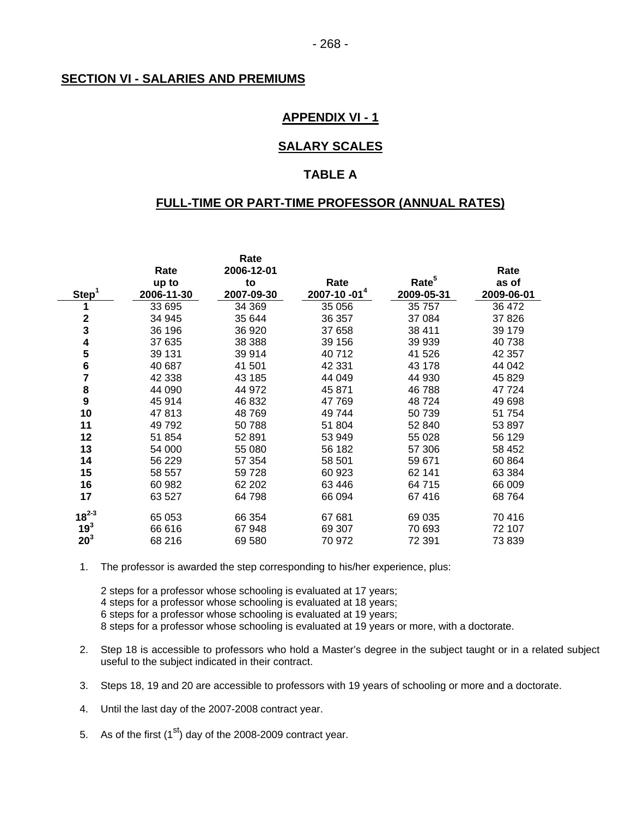#### **SECTION VI - SALARIES AND PREMIUMS**

#### **APPENDIX VI - 1**

#### **SALARY SCALES**

#### **TABLE A**

#### **FULL-TIME OR PART-TIME PROFESSOR (ANNUAL RATES)**

|                   |            | Rate       |                   |                   |            |
|-------------------|------------|------------|-------------------|-------------------|------------|
|                   | Rate       | 2006-12-01 |                   |                   | Rate       |
|                   | up to      | to         | Rate              | Rate <sup>5</sup> | as of      |
| Step <sup>1</sup> | 2006-11-30 | 2007-09-30 | $2007 - 10 - 014$ | 2009-05-31        | 2009-06-01 |
|                   | 33 695     | 34 369     | 35 056            | 35 757            | 36 472     |
| $\mathbf 2$       | 34 945     | 35 644     | 36 357            | 37 084            | 37826      |
| 3                 | 36 196     | 36 920     | 37 658            | 38 411            | 39 179     |
| 4                 | 37 635     | 38 388     | 39 156            | 39 939            | 40 738     |
| 5                 | 39 131     | 39 914     | 40712             | 41 526            | 42 357     |
| 6                 | 40 687     | 41 501     | 42 331            | 43 178            | 44 042     |
| 7                 | 42 338     | 43 185     | 44 049            | 44 930            | 45 829     |
| 8                 | 44 090     | 44 972     | 45 871            | 46788             | 47724      |
| 9                 | 45 914     | 46 832     | 47 769            | 48724             | 49 698     |
| 10                | 47813      | 48769      | 49 744            | 50739             | 51 754     |
| 11                | 49 792     | 50788      | 51 804            | 52 840            | 53 897     |
| 12                | 51 854     | 52 891     | 53 949            | 55 0 28           | 56 129     |
| 13                | 54 000     | 55 080     | 56 182            | 57 306            | 58 452     |
| 14                | 56 229     | 57 354     | 58 501            | 59 671            | 60 864     |
| 15                | 58 557     | 59 728     | 60 923            | 62 141            | 63 384     |
| 16                | 60 982     | 62 202     | 63 4 46           | 64 715            | 66 009     |
| 17                | 63 527     | 64798      | 66 094            | 67416             | 68764      |
| $18^{2-3}$        | 65 053     | 66 354     | 67 681            | 69 035            | 70 416     |
| 19 <sup>3</sup>   | 66 616     | 67 948     | 69 307            | 70 693            | 72 107     |
| $20^3$            | 68 216     | 69 580     | 70 972            | 72 391            | 73 839     |

1. The professor is awarded the step corresponding to his/her experience, plus:

2 steps for a professor whose schooling is evaluated at 17 years;

4 steps for a professor whose schooling is evaluated at 18 years;

6 steps for a professor whose schooling is evaluated at 19 years;

8 steps for a professor whose schooling is evaluated at 19 years or more, with a doctorate.

2. Step 18 is accessible to professors who hold a Master's degree in the subject taught or in a related subject useful to the subject indicated in their contract.

3. Steps 18, 19 and 20 are accessible to professors with 19 years of schooling or more and a doctorate.

4. Until the last day of the 2007-2008 contract year.

5. As of the first  $(1^{st})$  day of the 2008-2009 contract year.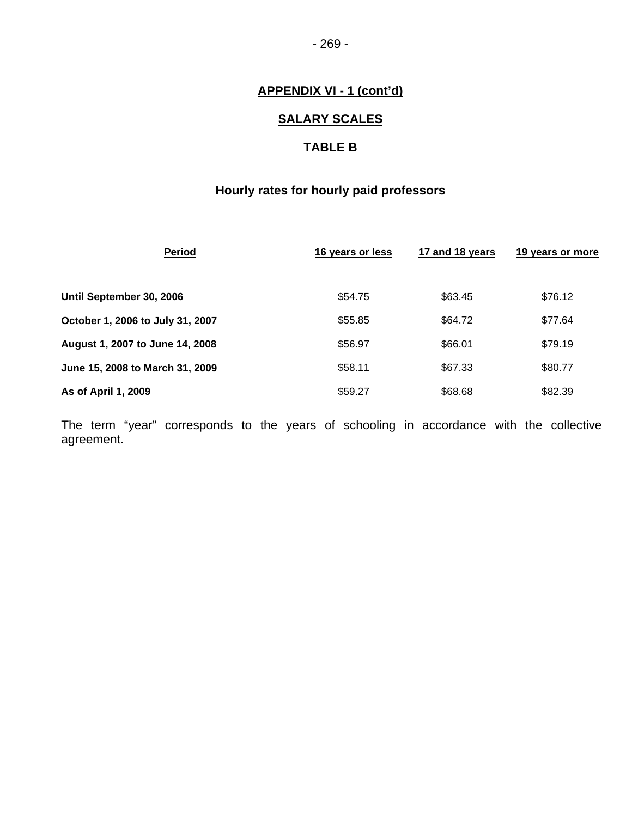- 269 -

# **APPENDIX VI - 1 (cont'd)**

# **SALARY SCALES**

# **TABLE B**

# **Hourly rates for hourly paid professors**

| <b>Period</b>                    | 16 years or less | 17 and 18 years | 19 years or more |
|----------------------------------|------------------|-----------------|------------------|
| Until September 30, 2006         | \$54.75          | \$63.45         | \$76.12          |
| October 1, 2006 to July 31, 2007 | \$55.85          | \$64.72         | \$77.64          |
| August 1, 2007 to June 14, 2008  | \$56.97          | \$66.01         | \$79.19          |
| June 15, 2008 to March 31, 2009  | \$58.11          | \$67.33         | \$80.77          |
| As of April 1, 2009              | \$59.27          | \$68.68         | \$82.39          |

The term "year" corresponds to the years of schooling in accordance with the collective agreement.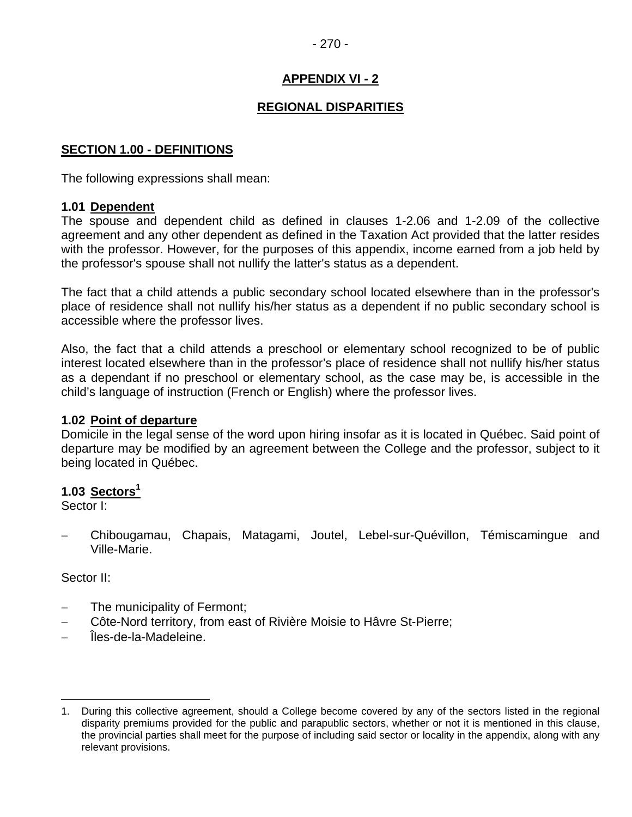#### - 270 -

# **APPENDIX VI - 2**

# **REGIONAL DISPARITIES**

#### **SECTION 1.00 - DEFINITIONS**

The following expressions shall mean:

#### **1.01 Dependent**

The spouse and dependent child as defined in clauses 1-2.06 and 1-2.09 of the collective agreement and any other dependent as defined in the Taxation Act provided that the latter resides with the professor. However, for the purposes of this appendix, income earned from a job held by the professor's spouse shall not nullify the latter's status as a dependent.

The fact that a child attends a public secondary school located elsewhere than in the professor's place of residence shall not nullify his/her status as a dependent if no public secondary school is accessible where the professor lives.

Also, the fact that a child attends a preschool or elementary school recognized to be of public interest located elsewhere than in the professor's place of residence shall not nullify his/her status as a dependant if no preschool or elementary school, as the case may be, is accessible in the child's language of instruction (French or English) where the professor lives.

#### **1.02 Point of departure**

Domicile in the legal sense of the word upon hiring insofar as it is located in Québec. Said point of departure may be modified by an agreement between the College and the professor, subject to it being located in Québec.

#### **1.03 Sectors<sup>1</sup>**

Sector I:

− Chibougamau, Chapais, Matagami, Joutel, Lebel-sur-Quévillon, Témiscamingue and Ville-Marie.

#### Sector II:

 $\overline{a}$ 

- The municipality of Fermont;
- − Côte-Nord territory, from east of Rivière Moisie to Hâvre St-Pierre;
- − Îles-de-la-Madeleine.

<sup>1.</sup> During this collective agreement, should a College become covered by any of the sectors listed in the regional disparity premiums provided for the public and parapublic sectors, whether or not it is mentioned in this clause, the provincial parties shall meet for the purpose of including said sector or locality in the appendix, along with any relevant provisions.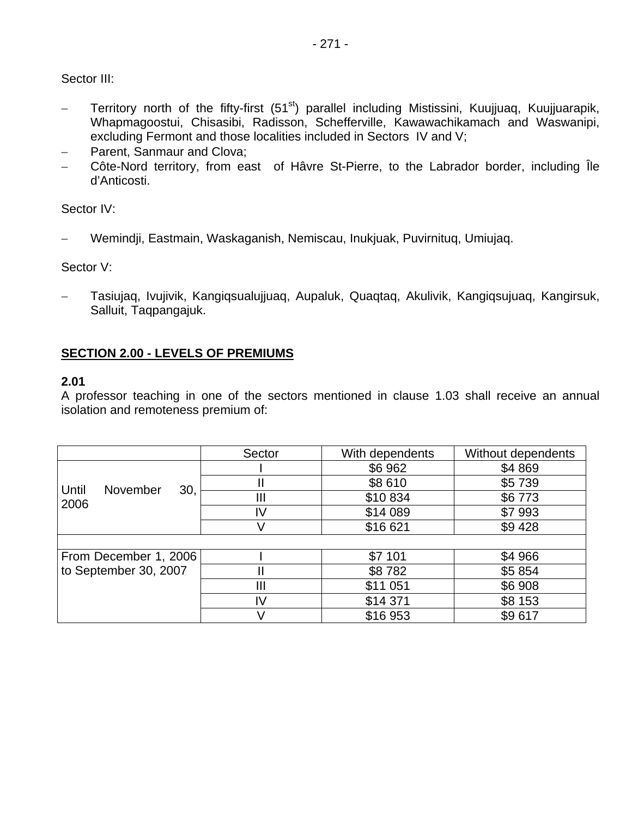Sector III:

- − Territory north of the fifty-first (51<sup>st</sup>) parallel including Mistissini, Kuujjuaq, Kuujjuarapik, Whapmagoostui, Chisasibi, Radisson, Schefferville, Kawawachikamach and Waswanipi, excluding Fermont and those localities included in Sectors IV and V;
- − Parent, Sanmaur and Clova;
- − Côte-Nord territory, from east of Hâvre St-Pierre, to the Labrador border, including Île d'Anticosti.

Sector IV:

− Wemindji, Eastmain, Waskaganish, Nemiscau, Inukjuak, Puvirnituq, Umiujaq.

Sector V:

− Tasiujaq, Ivujivik, Kangiqsualujjuaq, Aupaluk, Quaqtaq, Akulivik, Kangiqsujuaq, Kangirsuk, Salluit, Taqpangajuk.

# **SECTION 2.00 - LEVELS OF PREMIUMS**

#### **2.01**

A professor teaching in one of the sectors mentioned in clause 1.03 shall receive an annual isolation and remoteness premium of:

|                                         | Sector         | With dependents | Without dependents |
|-----------------------------------------|----------------|-----------------|--------------------|
| Until<br><b>November</b><br>30,<br>2006 |                | \$6962          | \$4869             |
|                                         |                | \$8610          | \$5739             |
|                                         | $\mathbf{III}$ | \$10834         | \$6773             |
|                                         | IV             | \$14 089        | \$7993             |
|                                         |                | \$16 621        | \$9428             |
|                                         |                |                 |                    |
| From December 1, 2006                   |                | \$7 101         | \$4 966            |
| to September 30, 2007                   |                | \$8782          | \$5 854            |
|                                         | Ш              | \$11 051        | \$6 908            |
|                                         | IV             | \$14 371        | \$8 153            |
|                                         |                | \$16953         | \$9617             |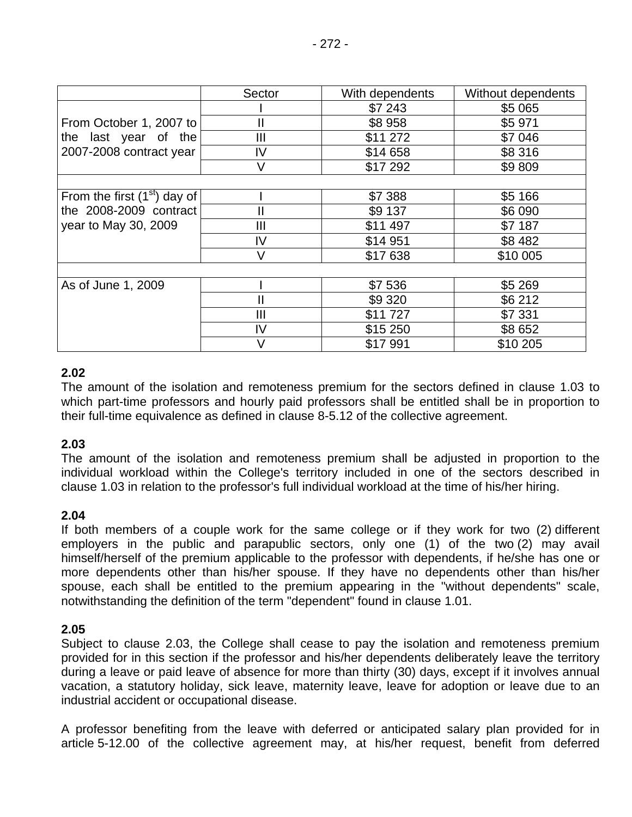|                               | Sector       | With dependents | Without dependents |
|-------------------------------|--------------|-----------------|--------------------|
|                               |              | \$7 243         | \$5 065            |
| From October 1, 2007 to       | $\mathbf{I}$ | \$8958          | \$5 971            |
| the last year of the          | Ш            | \$11 272        | \$7 046            |
| 2007-2008 contract year       | IV           | \$14 658        | \$8 316            |
|                               | V            | \$17 292        | \$9809             |
|                               |              |                 |                    |
| From the first $(1st)$ day of |              | \$7 388         | \$5 166            |
| the 2008-2009 contract        | Ш            | \$9 137         | \$6 090            |
| year to May 30, 2009          | Ш            | \$11 497        | \$7 187            |
|                               | IV           | \$14 951        | \$8 482            |
|                               | V            | \$17638         | \$10 005           |
|                               |              |                 |                    |
| As of June 1, 2009            |              | \$7536          | \$5 269            |
|                               | $\mathbf{I}$ | \$9 3 20        | \$6 212            |
|                               | Ш            | \$11727         | \$7 331            |
|                               | IV           | \$15 250        | \$8 652            |
|                               | $\vee$       | \$17991         | \$10 205           |

# **2.02**

The amount of the isolation and remoteness premium for the sectors defined in clause 1.03 to which part-time professors and hourly paid professors shall be entitled shall be in proportion to their full-time equivalence as defined in clause 8-5.12 of the collective agreement.

#### **2.03**

The amount of the isolation and remoteness premium shall be adjusted in proportion to the individual workload within the College's territory included in one of the sectors described in clause 1.03 in relation to the professor's full individual workload at the time of his/her hiring.

#### **2.04**

If both members of a couple work for the same college or if they work for two (2) different employers in the public and parapublic sectors, only one (1) of the two (2) may avail himself/herself of the premium applicable to the professor with dependents, if he/she has one or more dependents other than his/her spouse. If they have no dependents other than his/her spouse, each shall be entitled to the premium appearing in the "without dependents" scale, notwithstanding the definition of the term "dependent" found in clause 1.01.

#### **2.05**

Subject to clause 2.03, the College shall cease to pay the isolation and remoteness premium provided for in this section if the professor and his/her dependents deliberately leave the territory during a leave or paid leave of absence for more than thirty (30) days, except if it involves annual vacation, a statutory holiday, sick leave, maternity leave, leave for adoption or leave due to an industrial accident or occupational disease.

A professor benefiting from the leave with deferred or anticipated salary plan provided for in article 5-12.00 of the collective agreement may, at his/her request, benefit from deferred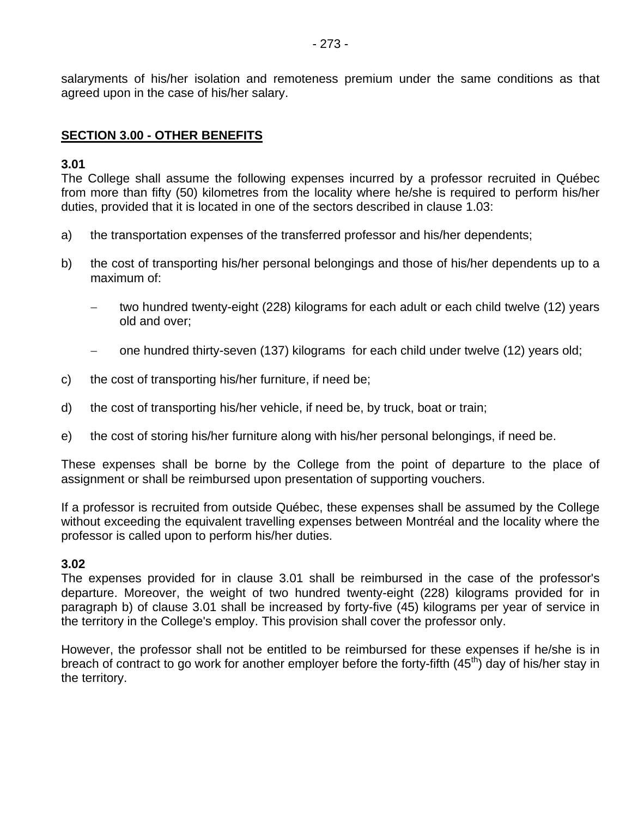salaryments of his/her isolation and remoteness premium under the same conditions as that agreed upon in the case of his/her salary.

# **SECTION 3.00 - OTHER BENEFITS**

#### **3.01**

The College shall assume the following expenses incurred by a professor recruited in Québec from more than fifty (50) kilometres from the locality where he/she is required to perform his/her duties, provided that it is located in one of the sectors described in clause 1.03:

- a) the transportation expenses of the transferred professor and his/her dependents;
- b) the cost of transporting his/her personal belongings and those of his/her dependents up to a maximum of:
	- − two hundred twenty-eight (228) kilograms for each adult or each child twelve (12) years old and over;
	- one hundred thirty-seven (137) kilograms for each child under twelve (12) years old;
- c) the cost of transporting his/her furniture, if need be;
- d) the cost of transporting his/her vehicle, if need be, by truck, boat or train;
- e) the cost of storing his/her furniture along with his/her personal belongings, if need be.

These expenses shall be borne by the College from the point of departure to the place of assignment or shall be reimbursed upon presentation of supporting vouchers.

If a professor is recruited from outside Québec, these expenses shall be assumed by the College without exceeding the equivalent travelling expenses between Montréal and the locality where the professor is called upon to perform his/her duties.

#### **3.02**

The expenses provided for in clause 3.01 shall be reimbursed in the case of the professor's departure. Moreover, the weight of two hundred twenty-eight (228) kilograms provided for in paragraph b) of clause 3.01 shall be increased by forty-five (45) kilograms per year of service in the territory in the College's employ. This provision shall cover the professor only.

However, the professor shall not be entitled to be reimbursed for these expenses if he/she is in breach of contract to go work for another employer before the forty-fifth  $(45<sup>th</sup>)$  day of his/her stay in the territory.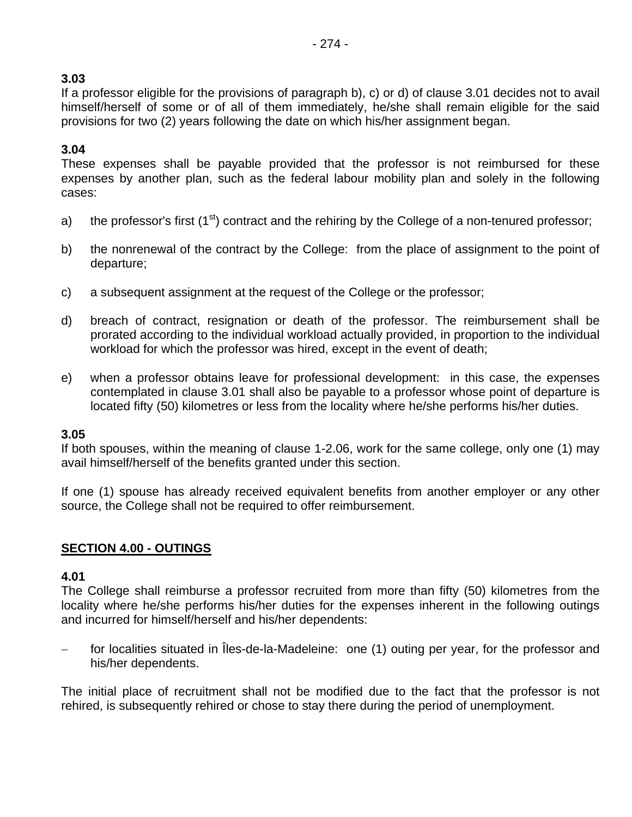# **3.03**

If a professor eligible for the provisions of paragraph b), c) or d) of clause 3.01 decides not to avail himself/herself of some or of all of them immediately, he/she shall remain eligible for the said provisions for two (2) years following the date on which his/her assignment began.

# **3.04**

These expenses shall be payable provided that the professor is not reimbursed for these expenses by another plan, such as the federal labour mobility plan and solely in the following cases:

- a) the professor's first  $(1<sup>st</sup>)$  contract and the rehiring by the College of a non-tenured professor;
- b) the nonrenewal of the contract by the College: from the place of assignment to the point of departure;
- c) a subsequent assignment at the request of the College or the professor;
- d) breach of contract, resignation or death of the professor. The reimbursement shall be prorated according to the individual workload actually provided, in proportion to the individual workload for which the professor was hired, except in the event of death;
- e) when a professor obtains leave for professional development: in this case, the expenses contemplated in clause 3.01 shall also be payable to a professor whose point of departure is located fifty (50) kilometres or less from the locality where he/she performs his/her duties.

# **3.05**

If both spouses, within the meaning of clause 1-2.06, work for the same college, only one (1) may avail himself/herself of the benefits granted under this section.

If one (1) spouse has already received equivalent benefits from another employer or any other source, the College shall not be required to offer reimbursement.

# **SECTION 4.00 - OUTINGS**

# **4.01**

The College shall reimburse a professor recruited from more than fifty (50) kilometres from the locality where he/she performs his/her duties for the expenses inherent in the following outings and incurred for himself/herself and his/her dependents:

for localities situated in Îles-de-la-Madeleine: one (1) outing per year, for the professor and his/her dependents.

The initial place of recruitment shall not be modified due to the fact that the professor is not rehired, is subsequently rehired or chose to stay there during the period of unemployment.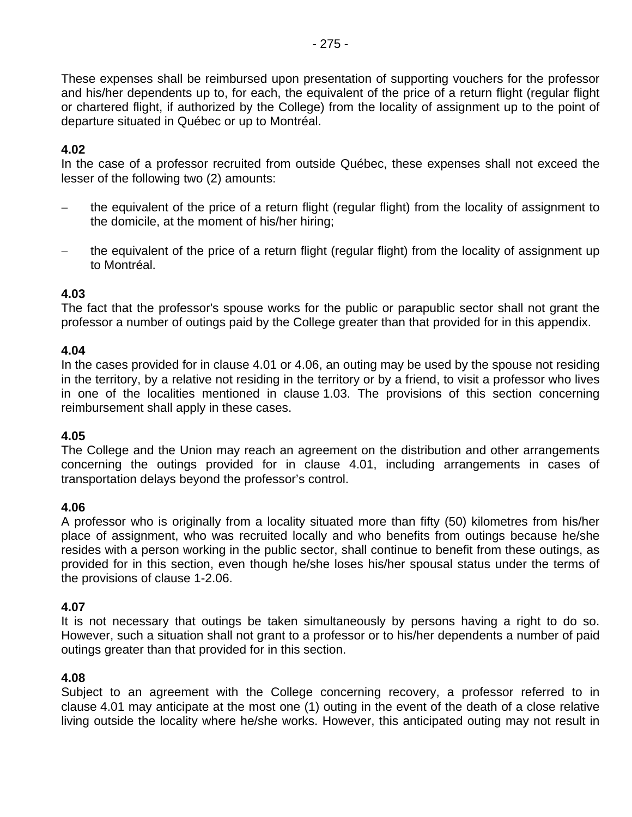These expenses shall be reimbursed upon presentation of supporting vouchers for the professor and his/her dependents up to, for each, the equivalent of the price of a return flight (regular flight or chartered flight, if authorized by the College) from the locality of assignment up to the point of departure situated in Québec or up to Montréal.

# **4.02**

In the case of a professor recruited from outside Québec, these expenses shall not exceed the lesser of the following two (2) amounts:

- the equivalent of the price of a return flight (regular flight) from the locality of assignment to the domicile, at the moment of his/her hiring;
- the equivalent of the price of a return flight (regular flight) from the locality of assignment up to Montréal.

#### **4.03**

The fact that the professor's spouse works for the public or parapublic sector shall not grant the professor a number of outings paid by the College greater than that provided for in this appendix.

#### **4.04**

In the cases provided for in clause 4.01 or 4.06, an outing may be used by the spouse not residing in the territory, by a relative not residing in the territory or by a friend, to visit a professor who lives in one of the localities mentioned in clause 1.03. The provisions of this section concerning reimbursement shall apply in these cases.

#### **4.05**

The College and the Union may reach an agreement on the distribution and other arrangements concerning the outings provided for in clause 4.01, including arrangements in cases of transportation delays beyond the professor's control.

#### **4.06**

A professor who is originally from a locality situated more than fifty (50) kilometres from his/her place of assignment, who was recruited locally and who benefits from outings because he/she resides with a person working in the public sector, shall continue to benefit from these outings, as provided for in this section, even though he/she loses his/her spousal status under the terms of the provisions of clause 1-2.06.

#### **4.07**

It is not necessary that outings be taken simultaneously by persons having a right to do so. However, such a situation shall not grant to a professor or to his/her dependents a number of paid outings greater than that provided for in this section.

#### **4.08**

Subject to an agreement with the College concerning recovery, a professor referred to in clause 4.01 may anticipate at the most one (1) outing in the event of the death of a close relative living outside the locality where he/she works. However, this anticipated outing may not result in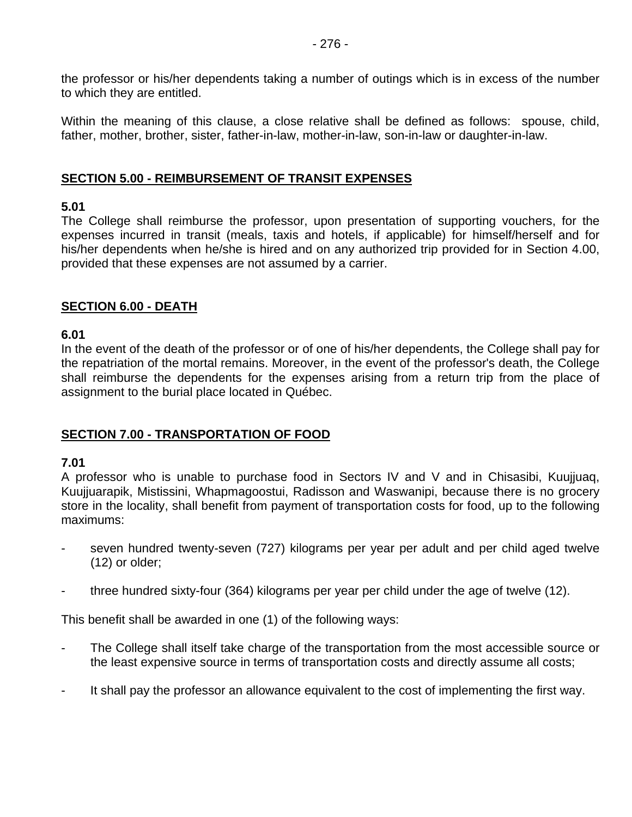the professor or his/her dependents taking a number of outings which is in excess of the number to which they are entitled.

Within the meaning of this clause, a close relative shall be defined as follows: spouse, child, father, mother, brother, sister, father-in-law, mother-in-law, son-in-law or daughter-in-law.

#### **SECTION 5.00 - REIMBURSEMENT OF TRANSIT EXPENSES**

#### **5.01**

The College shall reimburse the professor, upon presentation of supporting vouchers, for the expenses incurred in transit (meals, taxis and hotels, if applicable) for himself/herself and for his/her dependents when he/she is hired and on any authorized trip provided for in Section 4.00, provided that these expenses are not assumed by a carrier.

#### **SECTION 6.00 - DEATH**

#### **6.01**

In the event of the death of the professor or of one of his/her dependents, the College shall pay for the repatriation of the mortal remains. Moreover, in the event of the professor's death, the College shall reimburse the dependents for the expenses arising from a return trip from the place of assignment to the burial place located in Québec.

#### **SECTION 7.00 - TRANSPORTATION OF FOOD**

#### **7.01**

A professor who is unable to purchase food in Sectors IV and V and in Chisasibi, Kuujjuaq, Kuujjuarapik, Mistissini, Whapmagoostui, Radisson and Waswanipi, because there is no grocery store in the locality, shall benefit from payment of transportation costs for food, up to the following maximums:

- seven hundred twenty-seven (727) kilograms per year per adult and per child aged twelve (12) or older;
- three hundred sixty-four (364) kilograms per year per child under the age of twelve (12).

This benefit shall be awarded in one (1) of the following ways:

- The College shall itself take charge of the transportation from the most accessible source or the least expensive source in terms of transportation costs and directly assume all costs;
- It shall pay the professor an allowance equivalent to the cost of implementing the first way.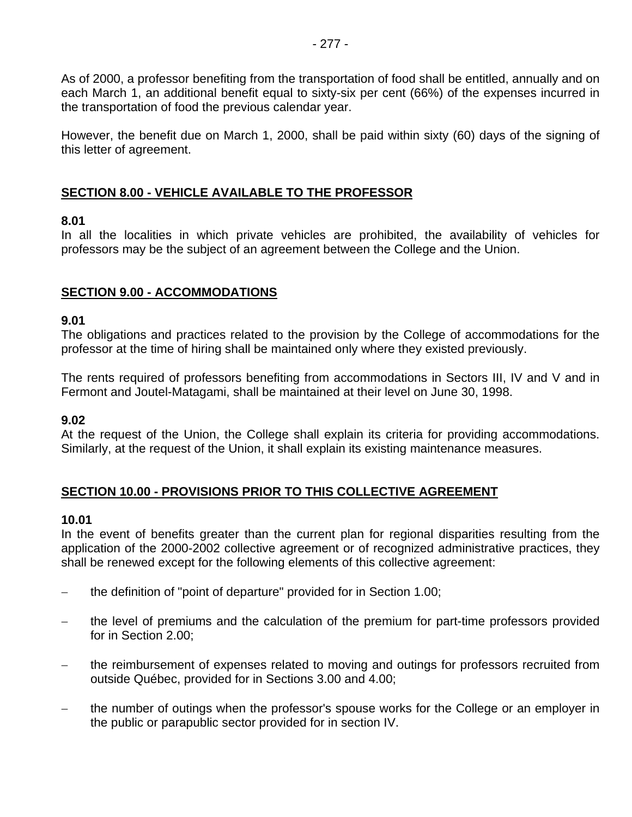As of 2000, a professor benefiting from the transportation of food shall be entitled, annually and on each March 1, an additional benefit equal to sixty-six per cent (66%) of the expenses incurred in the transportation of food the previous calendar year.

However, the benefit due on March 1, 2000, shall be paid within sixty (60) days of the signing of this letter of agreement.

# **SECTION 8.00 - VEHICLE AVAILABLE TO THE PROFESSOR**

#### **8.01**

In all the localities in which private vehicles are prohibited, the availability of vehicles for professors may be the subject of an agreement between the College and the Union.

# **SECTION 9.00 - ACCOMMODATIONS**

#### **9.01**

The obligations and practices related to the provision by the College of accommodations for the professor at the time of hiring shall be maintained only where they existed previously.

The rents required of professors benefiting from accommodations in Sectors III, IV and V and in Fermont and Joutel-Matagami, shall be maintained at their level on June 30, 1998.

#### **9.02**

At the request of the Union, the College shall explain its criteria for providing accommodations. Similarly, at the request of the Union, it shall explain its existing maintenance measures.

#### **SECTION 10.00 - PROVISIONS PRIOR TO THIS COLLECTIVE AGREEMENT**

#### **10.01**

In the event of benefits greater than the current plan for regional disparities resulting from the application of the 2000-2002 collective agreement or of recognized administrative practices, they shall be renewed except for the following elements of this collective agreement:

- − the definition of "point of departure" provided for in Section 1.00;
- the level of premiums and the calculation of the premium for part-time professors provided for in Section 2.00;
- the reimbursement of expenses related to moving and outings for professors recruited from outside Québec, provided for in Sections 3.00 and 4.00;
- the number of outings when the professor's spouse works for the College or an employer in the public or parapublic sector provided for in section IV.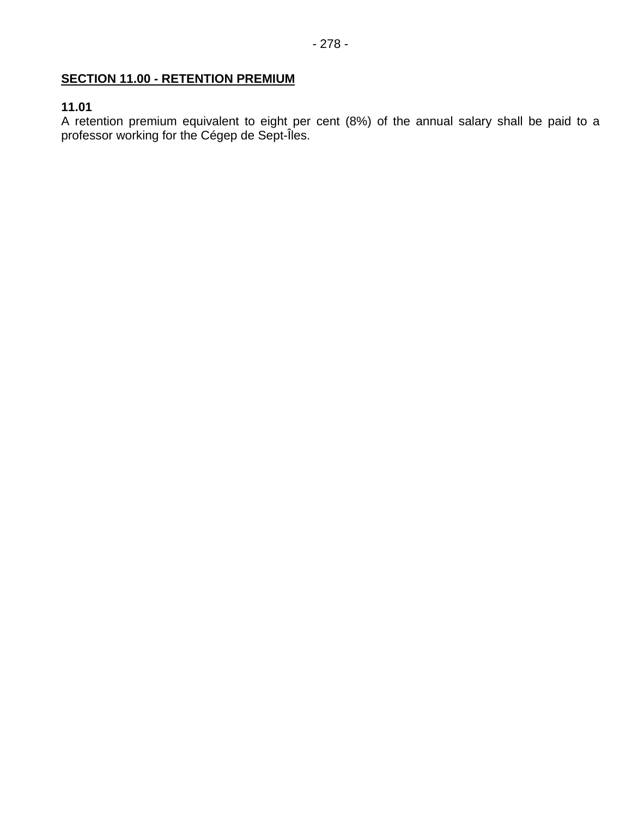# **SECTION 11.00 - RETENTION PREMIUM**

# **11.01**

A retention premium equivalent to eight per cent (8%) of the annual salary shall be paid to a professor working for the Cégep de Sept-Îles.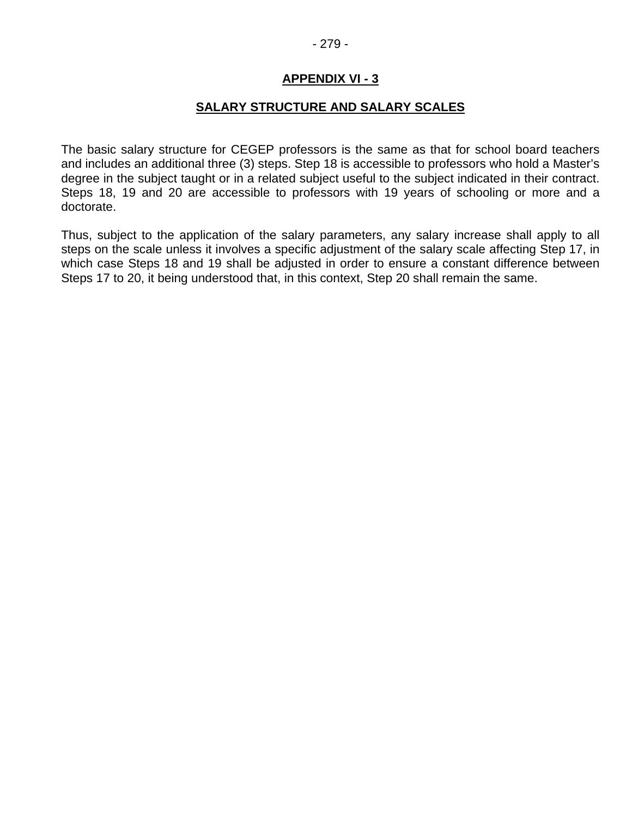#### **SALARY STRUCTURE AND SALARY SCALES**

The basic salary structure for CEGEP professors is the same as that for school board teachers and includes an additional three (3) steps. Step 18 is accessible to professors who hold a Master's degree in the subject taught or in a related subject useful to the subject indicated in their contract. Steps 18, 19 and 20 are accessible to professors with 19 years of schooling or more and a doctorate.

Thus, subject to the application of the salary parameters, any salary increase shall apply to all steps on the scale unless it involves a specific adjustment of the salary scale affecting Step 17, in which case Steps 18 and 19 shall be adjusted in order to ensure a constant difference between Steps 17 to 20, it being understood that, in this context, Step 20 shall remain the same.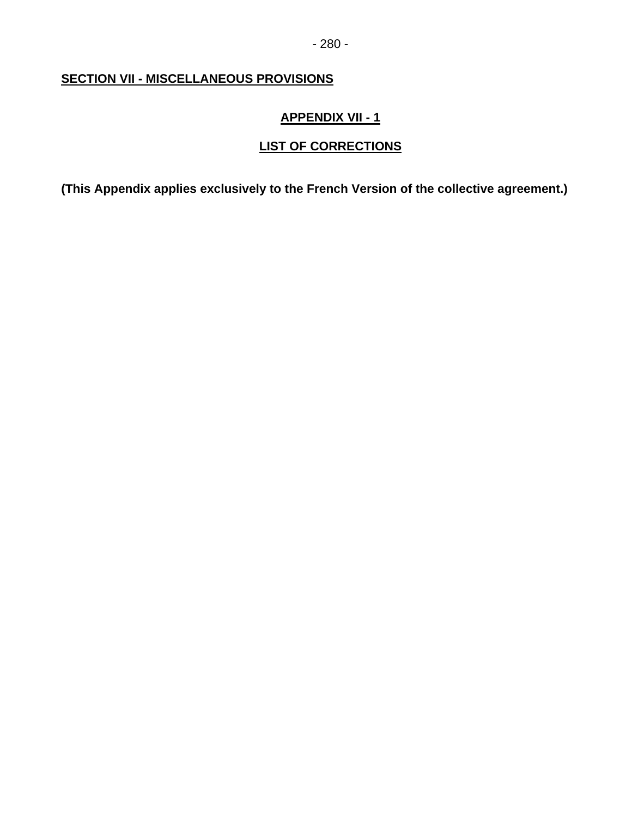# **SECTION VII - MISCELLANEOUS PROVISIONS**

# **APPENDIX VII - 1**

# **LIST OF CORRECTIONS**

**(This Appendix applies exclusively to the French Version of the collective agreement.)**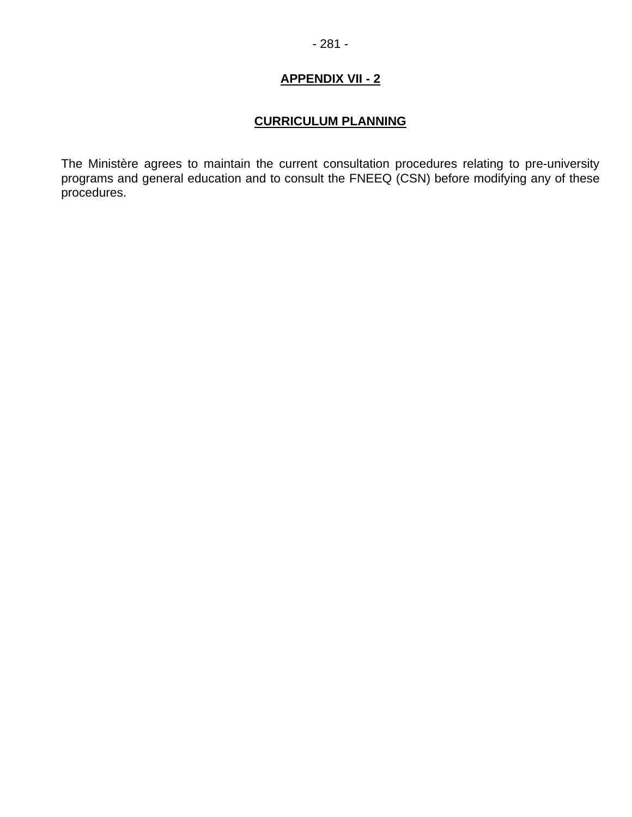## **CURRICULUM PLANNING**

The Ministère agrees to maintain the current consultation procedures relating to pre-university programs and general education and to consult the FNEEQ (CSN) before modifying any of these procedures.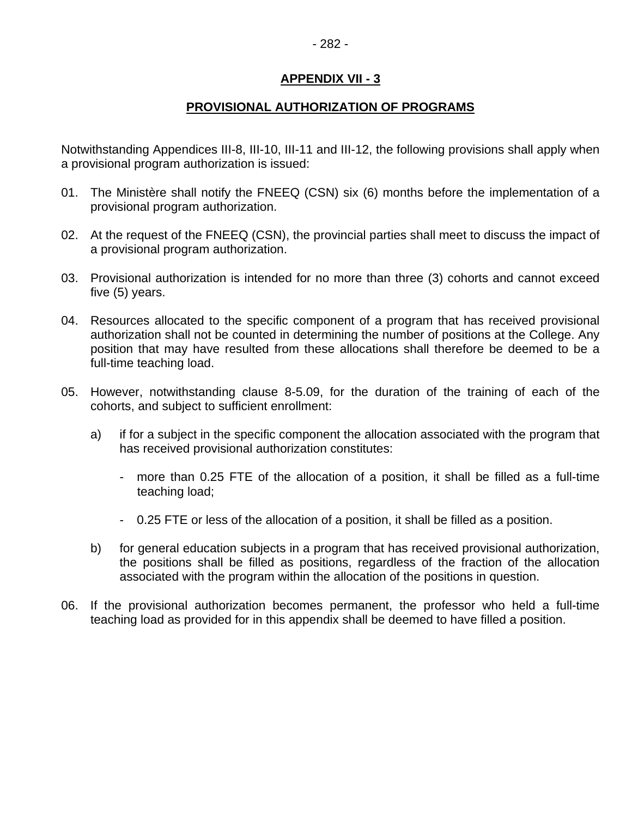## **PROVISIONAL AUTHORIZATION OF PROGRAMS**

Notwithstanding Appendices III-8, III-10, III-11 and III-12, the following provisions shall apply when a provisional program authorization is issued:

- 01. The Ministère shall notify the FNEEQ (CSN) six (6) months before the implementation of a provisional program authorization.
- 02. At the request of the FNEEQ (CSN), the provincial parties shall meet to discuss the impact of a provisional program authorization.
- 03. Provisional authorization is intended for no more than three (3) cohorts and cannot exceed five (5) years.
- 04. Resources allocated to the specific component of a program that has received provisional authorization shall not be counted in determining the number of positions at the College. Any position that may have resulted from these allocations shall therefore be deemed to be a full-time teaching load.
- 05. However, notwithstanding clause 8-5.09, for the duration of the training of each of the cohorts, and subject to sufficient enrollment:
	- a) if for a subject in the specific component the allocation associated with the program that has received provisional authorization constitutes:
		- more than 0.25 FTE of the allocation of a position, it shall be filled as a full-time teaching load;
		- 0.25 FTE or less of the allocation of a position, it shall be filled as a position.
	- b) for general education subjects in a program that has received provisional authorization, the positions shall be filled as positions, regardless of the fraction of the allocation associated with the program within the allocation of the positions in question.
- 06. If the provisional authorization becomes permanent, the professor who held a full-time teaching load as provided for in this appendix shall be deemed to have filled a position.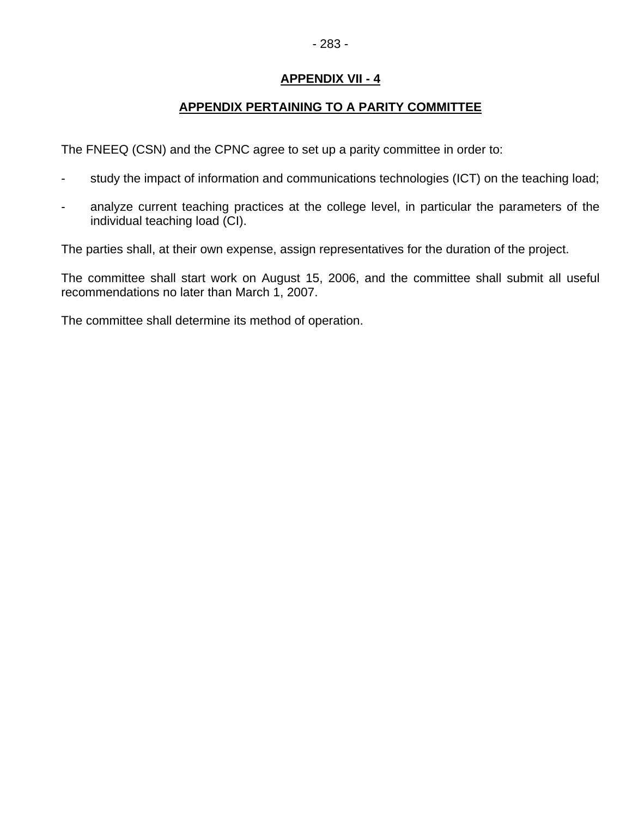# - 283 -

## **APPENDIX VII - 4**

## **APPENDIX PERTAINING TO A PARITY COMMITTEE**

The FNEEQ (CSN) and the CPNC agree to set up a parity committee in order to:

- study the impact of information and communications technologies (ICT) on the teaching load;
- analyze current teaching practices at the college level, in particular the parameters of the individual teaching load (CI).

The parties shall, at their own expense, assign representatives for the duration of the project.

The committee shall start work on August 15, 2006, and the committee shall submit all useful recommendations no later than March 1, 2007.

The committee shall determine its method of operation.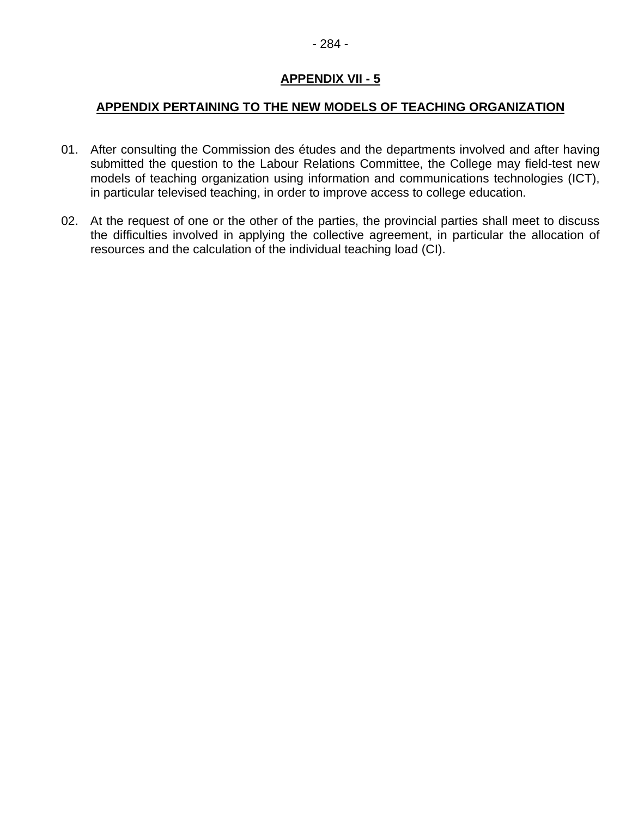#### **APPENDIX PERTAINING TO THE NEW MODELS OF TEACHING ORGANIZATION**

- 01. After consulting the Commission des études and the departments involved and after having submitted the question to the Labour Relations Committee, the College may field-test new models of teaching organization using information and communications technologies (ICT), in particular televised teaching, in order to improve access to college education.
- 02. At the request of one or the other of the parties, the provincial parties shall meet to discuss the difficulties involved in applying the collective agreement, in particular the allocation of resources and the calculation of the individual teaching load (CI).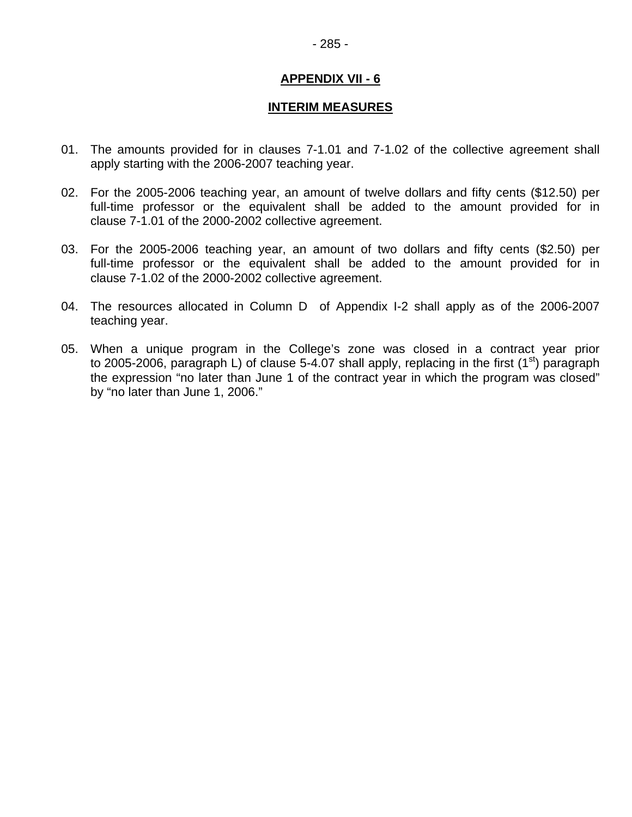#### **INTERIM MEASURES**

- 01. The amounts provided for in clauses 7-1.01 and 7-1.02 of the collective agreement shall apply starting with the 2006-2007 teaching year.
- 02. For the 2005-2006 teaching year, an amount of twelve dollars and fifty cents (\$12.50) per full-time professor or the equivalent shall be added to the amount provided for in clause 7-1.01 of the 2000-2002 collective agreement.
- 03. For the 2005-2006 teaching year, an amount of two dollars and fifty cents (\$2.50) per full-time professor or the equivalent shall be added to the amount provided for in clause 7-1.02 of the 2000-2002 collective agreement.
- 04. The resources allocated in Column D of Appendix I-2 shall apply as of the 2006-2007 teaching year.
- 05. When a unique program in the College's zone was closed in a contract year prior to 2005-2006, paragraph L) of clause 5-4.07 shall apply, replacing in the first  $(1<sup>st</sup>)$  paragraph the expression "no later than June 1 of the contract year in which the program was closed" by "no later than June 1, 2006."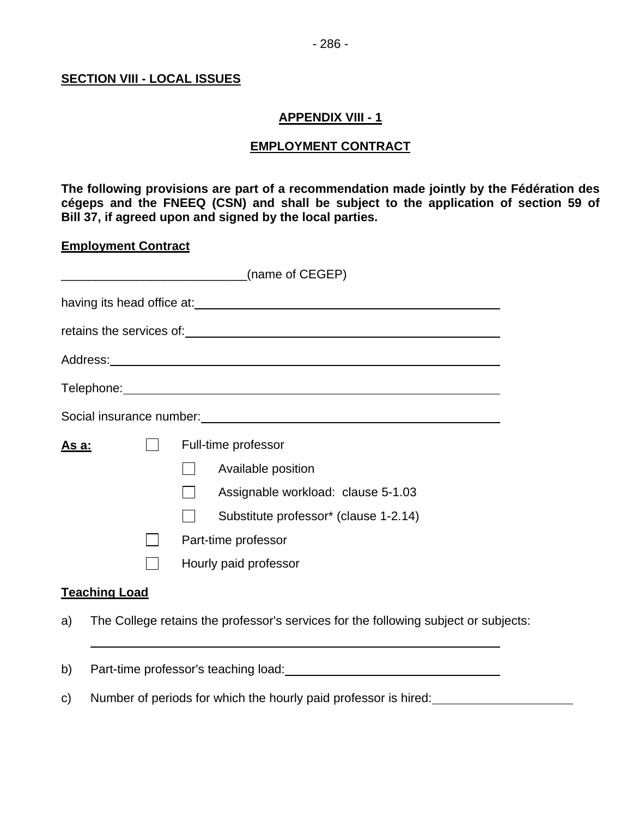#### **SECTION VIII - LOCAL ISSUES**

#### **APPENDIX VIII - 1**

#### **EMPLOYMENT CONTRACT**

**The following provisions are part of a recommendation made jointly by the Fédération des cégeps and the FNEEQ (CSN) and shall be subject to the application of section 59 of Bill 37, if agreed upon and signed by the local parties.** 

#### **Employment Contract**

| (name of CEGEP) |                      |  |                                                                                                                                                                                                                                      |  |  |  |
|-----------------|----------------------|--|--------------------------------------------------------------------------------------------------------------------------------------------------------------------------------------------------------------------------------------|--|--|--|
|                 |                      |  | having its head office at:<br><u> and its</u> head office at:                                                                                                                                                                        |  |  |  |
|                 |                      |  |                                                                                                                                                                                                                                      |  |  |  |
|                 |                      |  | Address: <u>with a series of the series of the series of the series of the series of the series of the series of the series of the series of the series of the series of the series of the series of the series of the series of</u> |  |  |  |
|                 |                      |  |                                                                                                                                                                                                                                      |  |  |  |
|                 |                      |  | Social insurance number:<br>Social insurance number:                                                                                                                                                                                 |  |  |  |
| <u>As a:</u>    |                      |  | Full-time professor                                                                                                                                                                                                                  |  |  |  |
|                 |                      |  | Available position                                                                                                                                                                                                                   |  |  |  |
|                 |                      |  | Assignable workload: clause 5-1.03                                                                                                                                                                                                   |  |  |  |
|                 |                      |  | Substitute professor* (clause 1-2.14)                                                                                                                                                                                                |  |  |  |
|                 |                      |  | Part-time professor                                                                                                                                                                                                                  |  |  |  |
|                 |                      |  | Hourly paid professor                                                                                                                                                                                                                |  |  |  |
|                 | <b>Teaching Load</b> |  |                                                                                                                                                                                                                                      |  |  |  |
| a)              |                      |  | The College retains the professor's services for the following subject or subjects:                                                                                                                                                  |  |  |  |

- b) Part-time professor's teaching load: Part-time professor's teaching load:
- c) Number of periods for which the hourly paid professor is hired: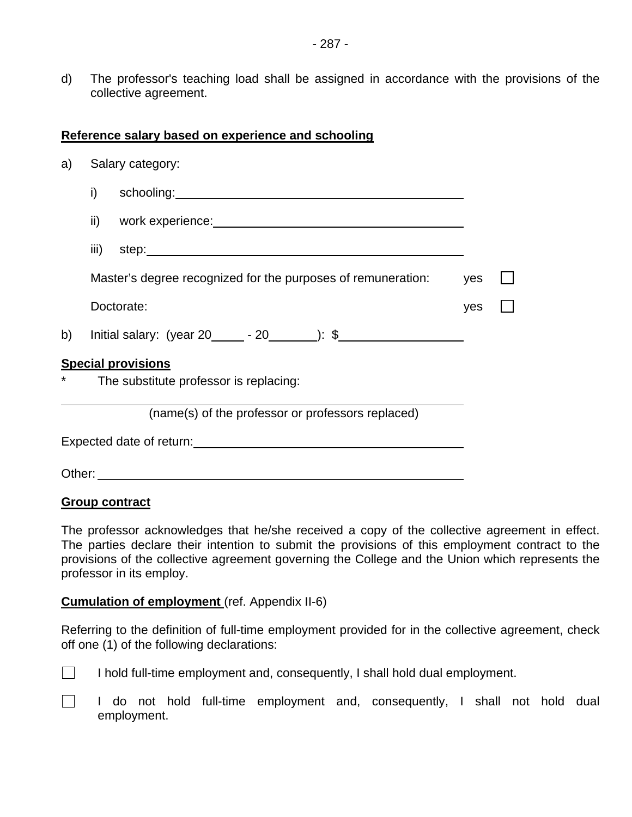d) The professor's teaching load shall be assigned in accordance with the provisions of the collective agreement.

#### **Reference salary based on experience and schooling**

| a)                                                                                                                                                                                                                             |                                                              | Salary category:                                  |  |  |  |  |  |
|--------------------------------------------------------------------------------------------------------------------------------------------------------------------------------------------------------------------------------|--------------------------------------------------------------|---------------------------------------------------|--|--|--|--|--|
|                                                                                                                                                                                                                                | i)                                                           |                                                   |  |  |  |  |  |
|                                                                                                                                                                                                                                | ii)                                                          |                                                   |  |  |  |  |  |
|                                                                                                                                                                                                                                |                                                              |                                                   |  |  |  |  |  |
|                                                                                                                                                                                                                                | Master's degree recognized for the purposes of remuneration: | yes                                               |  |  |  |  |  |
|                                                                                                                                                                                                                                | Doctorate:                                                   | yes                                               |  |  |  |  |  |
| b)                                                                                                                                                                                                                             |                                                              | Initial salary: $(year 20 \_ -20 \_ )$ : \$       |  |  |  |  |  |
| <b>Special provisions</b>                                                                                                                                                                                                      |                                                              |                                                   |  |  |  |  |  |
| *<br>The substitute professor is replacing:                                                                                                                                                                                    |                                                              |                                                   |  |  |  |  |  |
|                                                                                                                                                                                                                                |                                                              | (name(s) of the professor or professors replaced) |  |  |  |  |  |
| Expected date of return: Notified that the set of the set of the set of the set of the set of the set of the set of the set of the set of the set of the set of the set of the set of the set of the set of the set of the set |                                                              |                                                   |  |  |  |  |  |
| Other:                                                                                                                                                                                                                         |                                                              |                                                   |  |  |  |  |  |

#### **Group contract**

The professor acknowledges that he/she received a copy of the collective agreement in effect. The parties declare their intention to submit the provisions of this employment contract to the provisions of the collective agreement governing the College and the Union which represents the professor in its employ.

#### **Cumulation of employment** (ref. Appendix II-6)

Referring to the definition of full-time employment provided for in the collective agreement, check off one (1) of the following declarations:

- 
- $\Box$  I hold full-time employment and, consequently, I shall hold dual employment.

I do not hold full-time employment and, consequently, I shall not hold dual employment.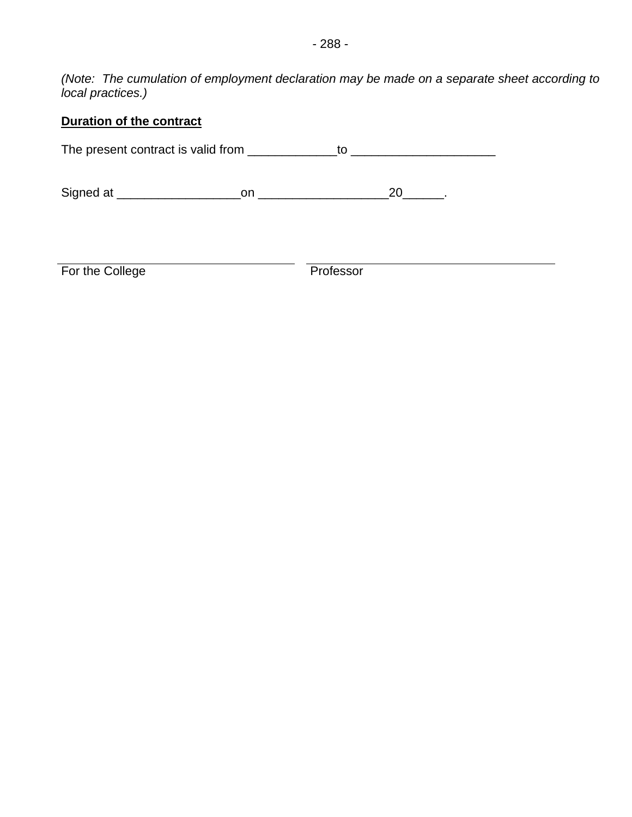*(Note: The cumulation of employment declaration may be made on a separate sheet according to local practices.)* 

## **Duration of the contract**

The present contract is valid from \_\_\_\_\_\_\_\_\_\_\_\_\_to \_\_\_\_\_\_\_\_\_\_\_\_\_\_\_\_\_\_\_\_\_

Signed at \_\_\_\_\_\_\_\_\_\_\_\_\_\_\_\_\_\_on \_\_\_\_\_\_\_\_\_\_\_\_\_\_\_\_\_\_\_20\_\_\_\_\_\_.

For the College **Professor**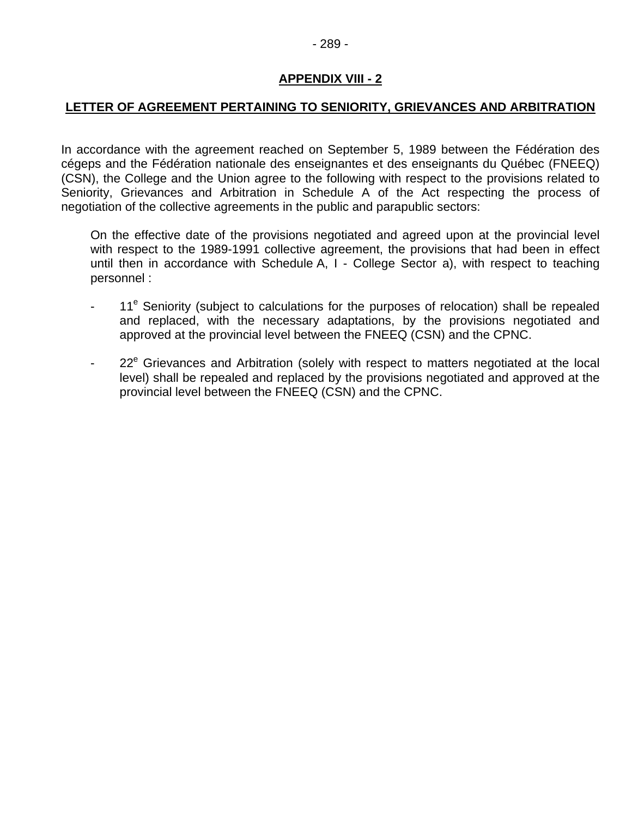#### **LETTER OF AGREEMENT PERTAINING TO SENIORITY, GRIEVANCES AND ARBITRATION**

In accordance with the agreement reached on September 5, 1989 between the Fédération des cégeps and the Fédération nationale des enseignantes et des enseignants du Québec (FNEEQ) (CSN), the College and the Union agree to the following with respect to the provisions related to Seniority, Grievances and Arbitration in Schedule A of the Act respecting the process of negotiation of the collective agreements in the public and parapublic sectors:

On the effective date of the provisions negotiated and agreed upon at the provincial level with respect to the 1989-1991 collective agreement, the provisions that had been in effect until then in accordance with Schedule A, I - College Sector a), with respect to teaching personnel :

- 11<sup>e</sup> Seniority (subject to calculations for the purposes of relocation) shall be repealed and replaced, with the necessary adaptations, by the provisions negotiated and approved at the provincial level between the FNEEQ (CSN) and the CPNC.
- 22<sup>e</sup> Grievances and Arbitration (solely with respect to matters negotiated at the local level) shall be repealed and replaced by the provisions negotiated and approved at the provincial level between the FNEEQ (CSN) and the CPNC.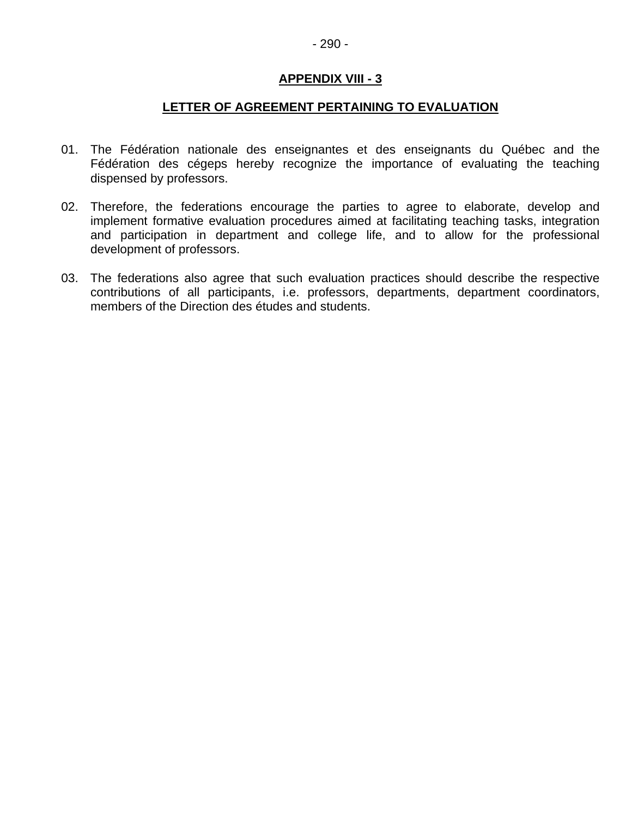#### **LETTER OF AGREEMENT PERTAINING TO EVALUATION**

- 01. The Fédération nationale des enseignantes et des enseignants du Québec and the Fédération des cégeps hereby recognize the importance of evaluating the teaching dispensed by professors.
- 02. Therefore, the federations encourage the parties to agree to elaborate, develop and implement formative evaluation procedures aimed at facilitating teaching tasks, integration and participation in department and college life, and to allow for the professional development of professors.
- 03. The federations also agree that such evaluation practices should describe the respective contributions of all participants, i.e. professors, departments, department coordinators, members of the Direction des études and students.